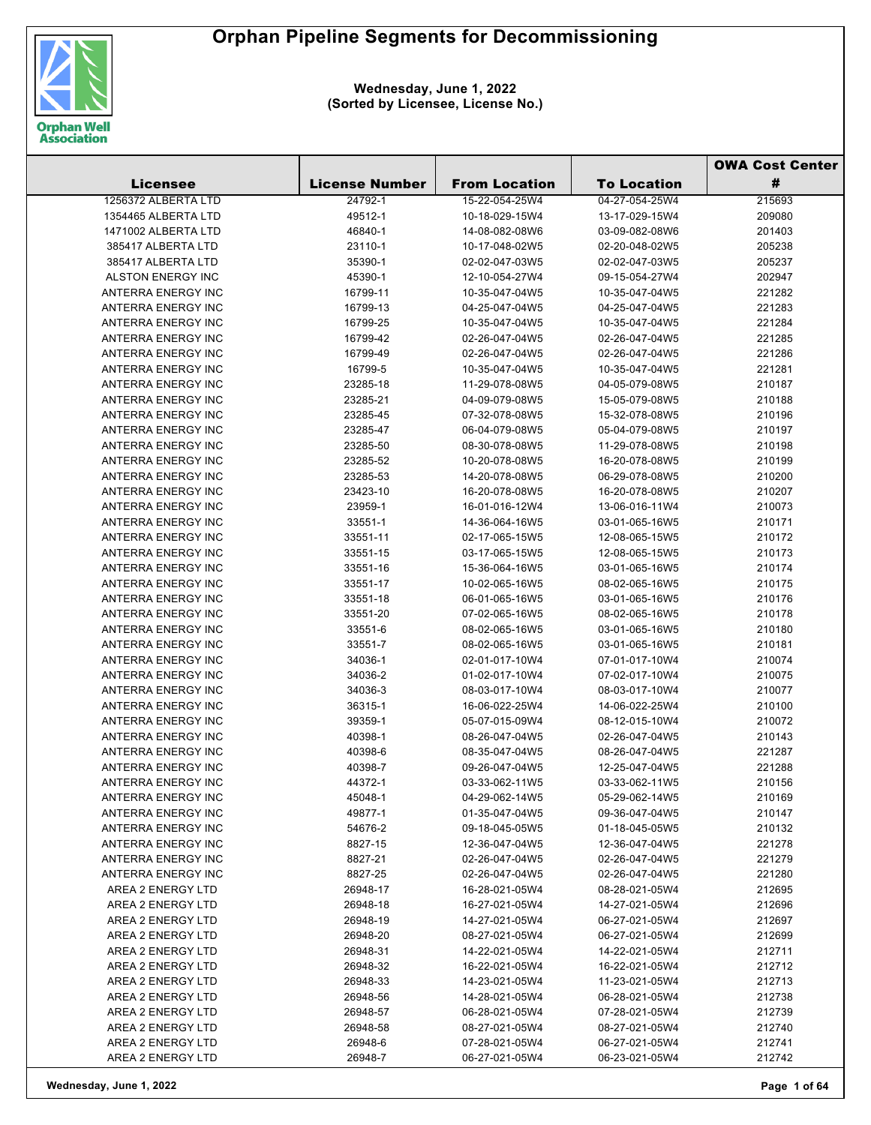

|                           |                       |                      |                    | <b>OWA Cost Center</b> |
|---------------------------|-----------------------|----------------------|--------------------|------------------------|
| <b>Licensee</b>           | <b>License Number</b> | <b>From Location</b> | <b>To Location</b> | #                      |
| 1256372 ALBERTA LTD       | 24792-1               | 15-22-054-25W4       | 04-27-054-25W4     | 215693                 |
| 1354465 ALBERTA LTD       | 49512-1               | 10-18-029-15W4       | 13-17-029-15W4     | 209080                 |
| 1471002 ALBERTA LTD       | 46840-1               | 14-08-082-08W6       | 03-09-082-08W6     | 201403                 |
| 385417 ALBERTA LTD        | 23110-1               | 10-17-048-02W5       | 02-20-048-02W5     | 205238                 |
| 385417 ALBERTA LTD        | 35390-1               | 02-02-047-03W5       | 02-02-047-03W5     | 205237                 |
| <b>ALSTON ENERGY INC</b>  | 45390-1               | 12-10-054-27W4       | 09-15-054-27W4     | 202947                 |
| ANTERRA ENERGY INC        | 16799-11              | 10-35-047-04W5       | 10-35-047-04W5     | 221282                 |
| ANTERRA ENERGY INC        | 16799-13              | 04-25-047-04W5       | 04-25-047-04W5     | 221283                 |
| ANTERRA ENERGY INC        | 16799-25              | 10-35-047-04W5       | 10-35-047-04W5     | 221284                 |
| ANTERRA ENERGY INC        | 16799-42              | 02-26-047-04W5       | 02-26-047-04W5     | 221285                 |
| ANTERRA ENERGY INC        | 16799-49              | 02-26-047-04W5       | 02-26-047-04W5     | 221286                 |
| ANTERRA ENERGY INC        | 16799-5               | 10-35-047-04W5       | 10-35-047-04W5     | 221281                 |
| ANTERRA ENERGY INC        | 23285-18              | 11-29-078-08W5       | 04-05-079-08W5     | 210187                 |
| ANTERRA ENERGY INC        | 23285-21              | 04-09-079-08W5       | 15-05-079-08W5     | 210188                 |
| ANTERRA ENERGY INC        | 23285-45              | 07-32-078-08W5       | 15-32-078-08W5     | 210196                 |
| ANTERRA ENERGY INC        |                       |                      | 05-04-079-08W5     |                        |
|                           | 23285-47              | 06-04-079-08W5       |                    | 210197                 |
| ANTERRA ENERGY INC        | 23285-50              | 08-30-078-08W5       | 11-29-078-08W5     | 210198                 |
| ANTERRA ENERGY INC        | 23285-52              | 10-20-078-08W5       | 16-20-078-08W5     | 210199                 |
| ANTERRA ENERGY INC        | 23285-53              | 14-20-078-08W5       | 06-29-078-08W5     | 210200                 |
| ANTERRA ENERGY INC        | 23423-10              | 16-20-078-08W5       | 16-20-078-08W5     | 210207                 |
| ANTERRA ENERGY INC        | 23959-1               | 16-01-016-12W4       | 13-06-016-11W4     | 210073                 |
| ANTERRA ENERGY INC        | 33551-1               | 14-36-064-16W5       | 03-01-065-16W5     | 210171                 |
| ANTERRA ENERGY INC        | 33551-11              | 02-17-065-15W5       | 12-08-065-15W5     | 210172                 |
| ANTERRA ENERGY INC        | 33551-15              | 03-17-065-15W5       | 12-08-065-15W5     | 210173                 |
| ANTERRA ENERGY INC        | 33551-16              | 15-36-064-16W5       | 03-01-065-16W5     | 210174                 |
| ANTERRA ENERGY INC        | 33551-17              | 10-02-065-16W5       | 08-02-065-16W5     | 210175                 |
| ANTERRA ENERGY INC        | 33551-18              | 06-01-065-16W5       | 03-01-065-16W5     | 210176                 |
| ANTERRA ENERGY INC        | 33551-20              | 07-02-065-16W5       | 08-02-065-16W5     | 210178                 |
| ANTERRA ENERGY INC        | 33551-6               | 08-02-065-16W5       | 03-01-065-16W5     | 210180                 |
| ANTERRA ENERGY INC        | 33551-7               | 08-02-065-16W5       | 03-01-065-16W5     | 210181                 |
| ANTERRA ENERGY INC        | 34036-1               | 02-01-017-10W4       | 07-01-017-10W4     | 210074                 |
| ANTERRA ENERGY INC        | 34036-2               | 01-02-017-10W4       | 07-02-017-10W4     | 210075                 |
| ANTERRA ENERGY INC        | 34036-3               | 08-03-017-10W4       | 08-03-017-10W4     | 210077                 |
| ANTERRA ENERGY INC        | 36315-1               | 16-06-022-25W4       | 14-06-022-25W4     | 210100                 |
| ANTERRA ENERGY INC        | 39359-1               | 05-07-015-09W4       | 08-12-015-10W4     | 210072                 |
| ANTERRA ENERGY INC        | 40398-1               | 08-26-047-04W5       | 02-26-047-04W5     | 210143                 |
| ANTERRA ENERGY INC        | 40398-6               | 08-35-047-04W5       | 08-26-047-04W5     | 221287                 |
| <b>ANTERRA ENERGY INC</b> | 40398-7               | 09-26-047-04W5       | 12-25-047-04W5     | 221288                 |
| ANTERRA ENERGY INC        | 44372-1               | 03-33-062-11W5       | 03-33-062-11W5     | 210156                 |
| ANTERRA ENERGY INC        | 45048-1               | 04-29-062-14W5       | 05-29-062-14W5     | 210169                 |
| ANTERRA ENERGY INC        | 49877-1               | 01-35-047-04W5       | 09-36-047-04W5     | 210147                 |
| ANTERRA ENERGY INC        | 54676-2               | 09-18-045-05W5       | 01-18-045-05W5     | 210132                 |
| ANTERRA ENERGY INC        | 8827-15               | 12-36-047-04W5       | 12-36-047-04W5     | 221278                 |
| ANTERRA ENERGY INC        | 8827-21               | 02-26-047-04W5       | 02-26-047-04W5     | 221279                 |
| ANTERRA ENERGY INC        | 8827-25               | 02-26-047-04W5       | 02-26-047-04W5     | 221280                 |
| AREA 2 ENERGY LTD         | 26948-17              | 16-28-021-05W4       | 08-28-021-05W4     | 212695                 |
| AREA 2 ENERGY LTD         | 26948-18              | 16-27-021-05W4       | 14-27-021-05W4     | 212696                 |
| AREA 2 ENERGY LTD         | 26948-19              | 14-27-021-05W4       | 06-27-021-05W4     | 212697                 |
| AREA 2 ENERGY LTD         | 26948-20              | 08-27-021-05W4       | 06-27-021-05W4     | 212699                 |
| AREA 2 ENERGY LTD         | 26948-31              | 14-22-021-05W4       | 14-22-021-05W4     | 212711                 |
| AREA 2 ENERGY LTD         | 26948-32              | 16-22-021-05W4       | 16-22-021-05W4     | 212712                 |
| AREA 2 ENERGY LTD         | 26948-33              | 14-23-021-05W4       | 11-23-021-05W4     | 212713                 |
| AREA 2 ENERGY LTD         | 26948-56              | 14-28-021-05W4       | 06-28-021-05W4     | 212738                 |
| AREA 2 ENERGY LTD         | 26948-57              | 06-28-021-05W4       | 07-28-021-05W4     | 212739                 |
| AREA 2 ENERGY LTD         | 26948-58              | 08-27-021-05W4       | 08-27-021-05W4     | 212740                 |
| AREA 2 ENERGY LTD         | 26948-6               | 07-28-021-05W4       | 06-27-021-05W4     | 212741                 |
| AREA 2 ENERGY LTD         | 26948-7               | 06-27-021-05W4       | 06-23-021-05W4     | 212742                 |
|                           |                       |                      |                    |                        |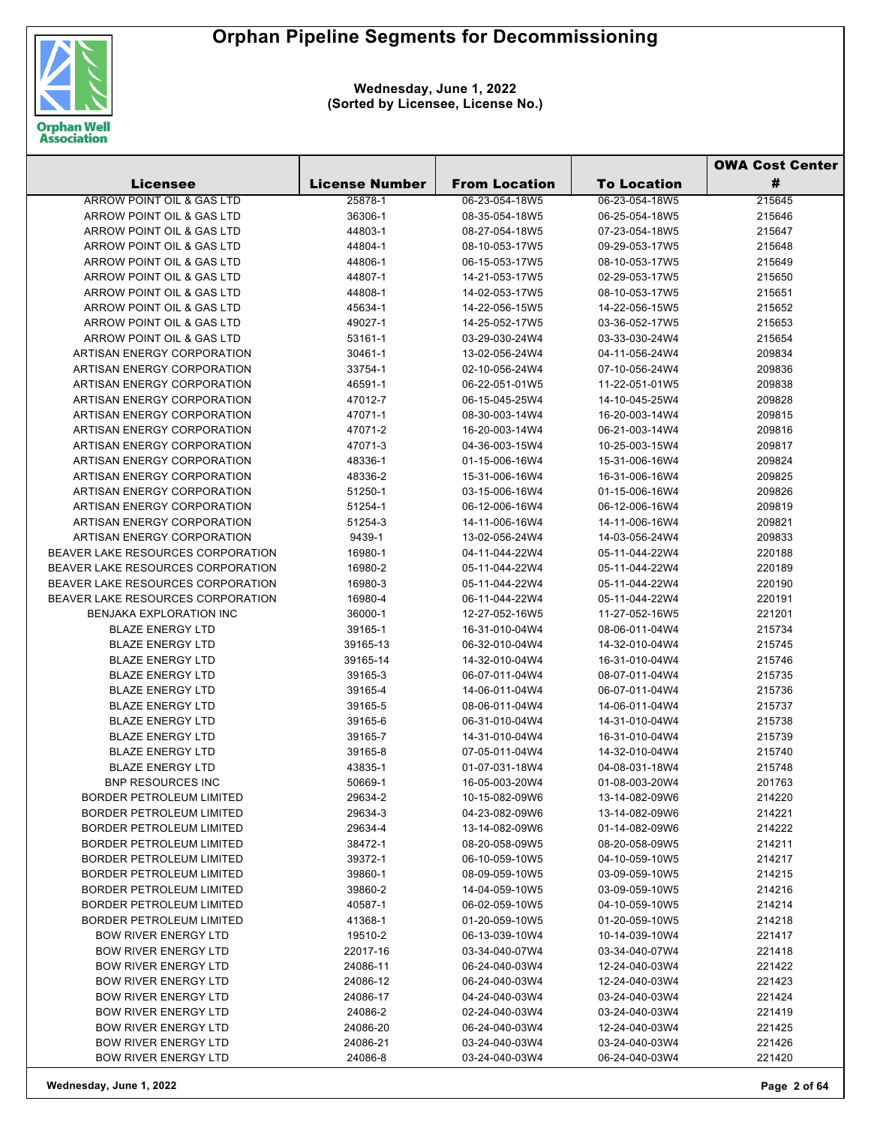

|                                   |                       |                      |                    | <b>OWA Cost Center</b> |  |
|-----------------------------------|-----------------------|----------------------|--------------------|------------------------|--|
| <b>Licensee</b>                   | <b>License Number</b> | <b>From Location</b> | <b>To Location</b> | #                      |  |
| ARROW POINT OIL & GAS LTD         | 25878-1               | 06-23-054-18W5       | 06-23-054-18W5     | 215645                 |  |
| ARROW POINT OIL & GAS LTD         | 36306-1               | 08-35-054-18W5       | 06-25-054-18W5     | 215646                 |  |
| ARROW POINT OIL & GAS LTD         | 44803-1               | 08-27-054-18W5       | 07-23-054-18W5     | 215647                 |  |
| ARROW POINT OIL & GAS LTD         | 44804-1               | 08-10-053-17W5       | 09-29-053-17W5     | 215648                 |  |
| ARROW POINT OIL & GAS LTD         | 44806-1               | 06-15-053-17W5       | 08-10-053-17W5     | 215649                 |  |
| ARROW POINT OIL & GAS LTD         | 44807-1               | 14-21-053-17W5       | 02-29-053-17W5     | 215650                 |  |
| ARROW POINT OIL & GAS LTD         | 44808-1               | 14-02-053-17W5       | 08-10-053-17W5     | 215651                 |  |
| ARROW POINT OIL & GAS LTD         | 45634-1               | 14-22-056-15W5       | 14-22-056-15W5     | 215652                 |  |
| ARROW POINT OIL & GAS LTD         | 49027-1               | 14-25-052-17W5       | 03-36-052-17W5     | 215653                 |  |
| ARROW POINT OIL & GAS LTD         | 53161-1               | 03-29-030-24W4       | 03-33-030-24W4     | 215654                 |  |
| ARTISAN ENERGY CORPORATION        | 30461-1               | 13-02-056-24W4       | 04-11-056-24W4     | 209834                 |  |
| ARTISAN ENERGY CORPORATION        | 33754-1               | 02-10-056-24W4       | 07-10-056-24W4     | 209836                 |  |
| ARTISAN ENERGY CORPORATION        | 46591-1               | 06-22-051-01W5       | 11-22-051-01W5     | 209838                 |  |
| ARTISAN ENERGY CORPORATION        | 47012-7               | 06-15-045-25W4       | 14-10-045-25W4     | 209828                 |  |
| ARTISAN ENERGY CORPORATION        | 47071-1               | 08-30-003-14W4       | 16-20-003-14W4     | 209815                 |  |
| ARTISAN ENERGY CORPORATION        | 47071-2               | 16-20-003-14W4       | 06-21-003-14W4     | 209816                 |  |
| ARTISAN ENERGY CORPORATION        | 47071-3               | 04-36-003-15W4       | 10-25-003-15W4     | 209817                 |  |
| ARTISAN ENERGY CORPORATION        | 48336-1               | 01-15-006-16W4       | 15-31-006-16W4     | 209824                 |  |
| ARTISAN ENERGY CORPORATION        | 48336-2               | 15-31-006-16W4       | 16-31-006-16W4     | 209825                 |  |
| ARTISAN ENERGY CORPORATION        | 51250-1               | 03-15-006-16W4       | 01-15-006-16W4     | 209826                 |  |
| ARTISAN ENERGY CORPORATION        | 51254-1               | 06-12-006-16W4       | 06-12-006-16W4     | 209819                 |  |
| ARTISAN ENERGY CORPORATION        | 51254-3               | 14-11-006-16W4       | 14-11-006-16W4     | 209821                 |  |
| ARTISAN ENERGY CORPORATION        | 9439-1                | 13-02-056-24W4       | 14-03-056-24W4     | 209833                 |  |
| BEAVER LAKE RESOURCES CORPORATION | 16980-1               | 04-11-044-22W4       | 05-11-044-22W4     | 220188                 |  |
| BEAVER LAKE RESOURCES CORPORATION | 16980-2               | 05-11-044-22W4       | 05-11-044-22W4     | 220189                 |  |
| BEAVER LAKE RESOURCES CORPORATION | 16980-3               | 05-11-044-22W4       | 05-11-044-22W4     | 220190                 |  |
| BEAVER LAKE RESOURCES CORPORATION | 16980-4               | 06-11-044-22W4       | 05-11-044-22W4     | 220191                 |  |
| <b>BENJAKA EXPLORATION INC</b>    | 36000-1               | 12-27-052-16W5       | 11-27-052-16W5     | 221201                 |  |
| <b>BLAZE ENERGY LTD</b>           | 39165-1               | 16-31-010-04W4       | 08-06-011-04W4     | 215734                 |  |
| <b>BLAZE ENERGY LTD</b>           | 39165-13              | 06-32-010-04W4       | 14-32-010-04W4     | 215745                 |  |
| <b>BLAZE ENERGY LTD</b>           | 39165-14              | 14-32-010-04W4       | 16-31-010-04W4     | 215746                 |  |
| <b>BLAZE ENERGY LTD</b>           | 39165-3               | 06-07-011-04W4       | 08-07-011-04W4     | 215735                 |  |
| <b>BLAZE ENERGY LTD</b>           | 39165-4               | 14-06-011-04W4       | 06-07-011-04W4     | 215736                 |  |
| <b>BLAZE ENERGY LTD</b>           | 39165-5               | 08-06-011-04W4       | 14-06-011-04W4     | 215737                 |  |
| <b>BLAZE ENERGY LTD</b>           | 39165-6               | 06-31-010-04W4       | 14-31-010-04W4     | 215738                 |  |
| <b>BLAZE ENERGY LTD</b>           | 39165-7               | 14-31-010-04W4       | 16-31-010-04W4     | 215739                 |  |
| <b>BLAZE ENERGY LTD</b>           | 39165-8               | 07-05-011-04W4       | 14-32-010-04W4     | 215740                 |  |
| BLAZE ENERGY LTD                  | 43835-1               | 01-07-031-18W4       | 04-08-031-18W4     | 215748                 |  |
| <b>BNP RESOURCES INC</b>          | 50669-1               | 16-05-003-20W4       | 01-08-003-20W4     | 201763                 |  |
| <b>BORDER PETROLEUM LIMITED</b>   | 29634-2               | 10-15-082-09W6       | 13-14-082-09W6     | 214220                 |  |
| BORDER PETROLEUM LIMITED          | 29634-3               | 04-23-082-09W6       | 13-14-082-09W6     | 214221                 |  |
| BORDER PETROLEUM LIMITED          | 29634-4               | 13-14-082-09W6       | 01-14-082-09W6     | 214222                 |  |
| BORDER PETROLEUM LIMITED          | 38472-1               | 08-20-058-09W5       | 08-20-058-09W5     | 214211                 |  |
| BORDER PETROLEUM LIMITED          | 39372-1               | 06-10-059-10W5       | 04-10-059-10W5     | 214217                 |  |
| BORDER PETROLEUM LIMITED          | 39860-1               | 08-09-059-10W5       | 03-09-059-10W5     | 214215                 |  |
| BORDER PETROLEUM LIMITED          | 39860-2               | 14-04-059-10W5       | 03-09-059-10W5     | 214216                 |  |
| BORDER PETROLEUM LIMITED          | 40587-1               | 06-02-059-10W5       | 04-10-059-10W5     | 214214                 |  |
| BORDER PETROLEUM LIMITED          | 41368-1               | 01-20-059-10W5       | 01-20-059-10W5     | 214218                 |  |
| <b>BOW RIVER ENERGY LTD</b>       | 19510-2               | 06-13-039-10W4       | 10-14-039-10W4     | 221417                 |  |
| <b>BOW RIVER ENERGY LTD</b>       | 22017-16              | 03-34-040-07W4       | 03-34-040-07W4     | 221418                 |  |
| <b>BOW RIVER ENERGY LTD</b>       | 24086-11              | 06-24-040-03W4       | 12-24-040-03W4     | 221422                 |  |
| <b>BOW RIVER ENERGY LTD</b>       | 24086-12              | 06-24-040-03W4       | 12-24-040-03W4     | 221423                 |  |
| <b>BOW RIVER ENERGY LTD</b>       | 24086-17              | 04-24-040-03W4       | 03-24-040-03W4     | 221424                 |  |
| <b>BOW RIVER ENERGY LTD</b>       | 24086-2               | 02-24-040-03W4       | 03-24-040-03W4     | 221419                 |  |
| <b>BOW RIVER ENERGY LTD</b>       | 24086-20              | 06-24-040-03W4       | 12-24-040-03W4     | 221425                 |  |
| <b>BOW RIVER ENERGY LTD</b>       | 24086-21              | 03-24-040-03W4       | 03-24-040-03W4     | 221426                 |  |
| <b>BOW RIVER ENERGY LTD</b>       | 24086-8               | 03-24-040-03W4       | 06-24-040-03W4     | 221420                 |  |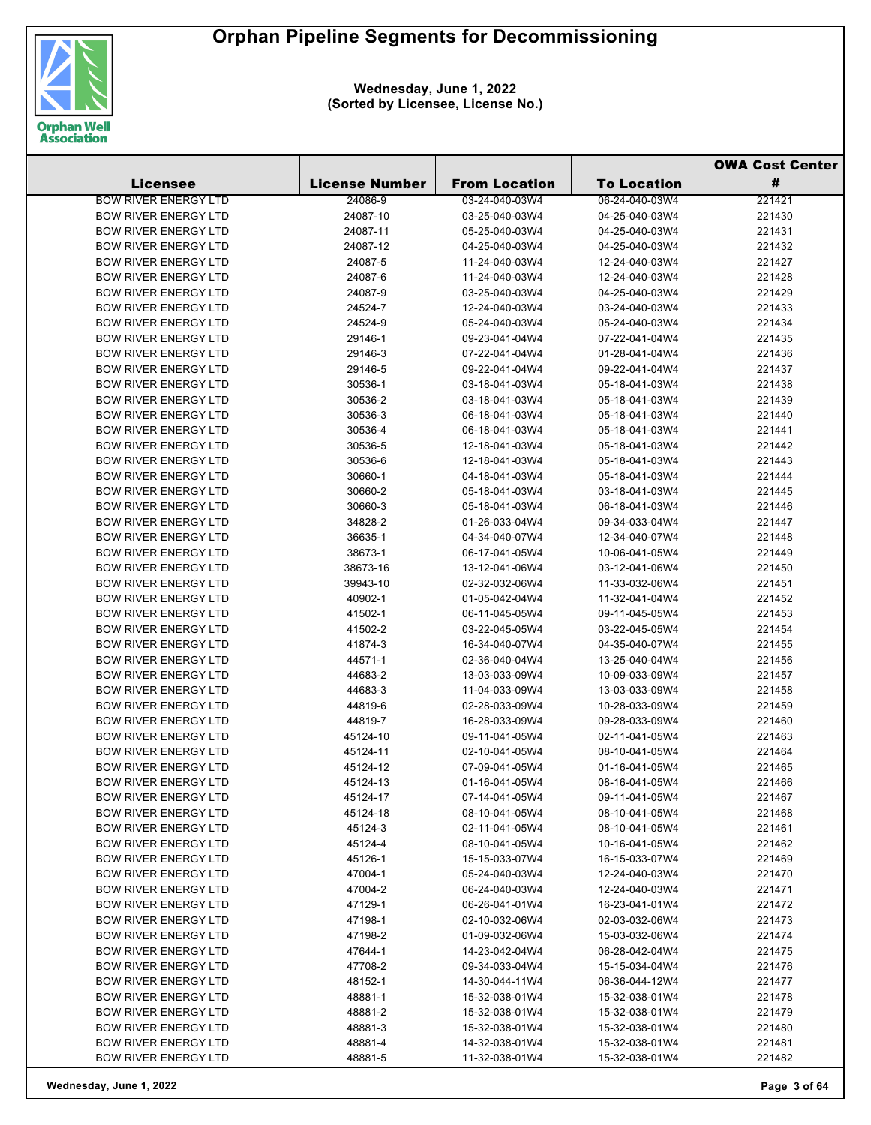

|                             |                       |                      |                    | <b>OWA Cost Center</b> |  |
|-----------------------------|-----------------------|----------------------|--------------------|------------------------|--|
| <b>Licensee</b>             | <b>License Number</b> | <b>From Location</b> | <b>To Location</b> | #                      |  |
| <b>BOW RIVER ENERGY LTD</b> | 24086-9               | 03-24-040-03W4       | 06-24-040-03W4     | 221421                 |  |
| <b>BOW RIVER ENERGY LTD</b> | 24087-10              | 03-25-040-03W4       | 04-25-040-03W4     | 221430                 |  |
| <b>BOW RIVER ENERGY LTD</b> | 24087-11              | 05-25-040-03W4       | 04-25-040-03W4     | 221431                 |  |
| <b>BOW RIVER ENERGY LTD</b> | 24087-12              | 04-25-040-03W4       | 04-25-040-03W4     | 221432                 |  |
| <b>BOW RIVER ENERGY LTD</b> | 24087-5               | 11-24-040-03W4       | 12-24-040-03W4     | 221427                 |  |
| <b>BOW RIVER ENERGY LTD</b> | 24087-6               | 11-24-040-03W4       | 12-24-040-03W4     | 221428                 |  |
| <b>BOW RIVER ENERGY LTD</b> | 24087-9               | 03-25-040-03W4       | 04-25-040-03W4     | 221429                 |  |
| <b>BOW RIVER ENERGY LTD</b> | 24524-7               | 12-24-040-03W4       | 03-24-040-03W4     | 221433                 |  |
| <b>BOW RIVER ENERGY LTD</b> | 24524-9               | 05-24-040-03W4       | 05-24-040-03W4     | 221434                 |  |
| <b>BOW RIVER ENERGY LTD</b> | 29146-1               | 09-23-041-04W4       | 07-22-041-04W4     | 221435                 |  |
| <b>BOW RIVER ENERGY LTD</b> | 29146-3               | 07-22-041-04W4       | 01-28-041-04W4     | 221436                 |  |
| <b>BOW RIVER ENERGY LTD</b> | 29146-5               | 09-22-041-04W4       | 09-22-041-04W4     | 221437                 |  |
| <b>BOW RIVER ENERGY LTD</b> | 30536-1               | 03-18-041-03W4       | 05-18-041-03W4     | 221438                 |  |
| <b>BOW RIVER ENERGY LTD</b> | 30536-2               | 03-18-041-03W4       | 05-18-041-03W4     | 221439                 |  |
| <b>BOW RIVER ENERGY LTD</b> | 30536-3               | 06-18-041-03W4       | 05-18-041-03W4     | 221440                 |  |
| <b>BOW RIVER ENERGY LTD</b> | 30536-4               | 06-18-041-03W4       | 05-18-041-03W4     | 221441                 |  |
| <b>BOW RIVER ENERGY LTD</b> | 30536-5               | 12-18-041-03W4       | 05-18-041-03W4     | 221442                 |  |
| <b>BOW RIVER ENERGY LTD</b> | 30536-6               | 12-18-041-03W4       | 05-18-041-03W4     | 221443                 |  |
| <b>BOW RIVER ENERGY LTD</b> | 30660-1               | 04-18-041-03W4       | 05-18-041-03W4     | 221444                 |  |
| <b>BOW RIVER ENERGY LTD</b> | 30660-2               | 05-18-041-03W4       | 03-18-041-03W4     | 221445                 |  |
| <b>BOW RIVER ENERGY LTD</b> | 30660-3               | 05-18-041-03W4       | 06-18-041-03W4     | 221446                 |  |
| <b>BOW RIVER ENERGY LTD</b> | 34828-2               | 01-26-033-04W4       | 09-34-033-04W4     | 221447                 |  |
| <b>BOW RIVER ENERGY LTD</b> | 36635-1               | 04-34-040-07W4       | 12-34-040-07W4     | 221448                 |  |
| <b>BOW RIVER ENERGY LTD</b> | 38673-1               | 06-17-041-05W4       | 10-06-041-05W4     | 221449                 |  |
| <b>BOW RIVER ENERGY LTD</b> | 38673-16              | 13-12-041-06W4       | 03-12-041-06W4     | 221450                 |  |
| <b>BOW RIVER ENERGY LTD</b> | 39943-10              | 02-32-032-06W4       | 11-33-032-06W4     | 221451                 |  |
| <b>BOW RIVER ENERGY LTD</b> | 40902-1               | 01-05-042-04W4       | 11-32-041-04W4     | 221452                 |  |
| <b>BOW RIVER ENERGY LTD</b> | 41502-1               | 06-11-045-05W4       | 09-11-045-05W4     | 221453                 |  |
| <b>BOW RIVER ENERGY LTD</b> | 41502-2               | 03-22-045-05W4       | 03-22-045-05W4     | 221454                 |  |
| <b>BOW RIVER ENERGY LTD</b> | 41874-3               | 16-34-040-07W4       | 04-35-040-07W4     | 221455                 |  |
| <b>BOW RIVER ENERGY LTD</b> | 44571-1               | 02-36-040-04W4       | 13-25-040-04W4     | 221456                 |  |
| <b>BOW RIVER ENERGY LTD</b> | 44683-2               | 13-03-033-09W4       | 10-09-033-09W4     | 221457                 |  |
| <b>BOW RIVER ENERGY LTD</b> | 44683-3               | 11-04-033-09W4       | 13-03-033-09W4     | 221458                 |  |
| <b>BOW RIVER ENERGY LTD</b> | 44819-6               | 02-28-033-09W4       | 10-28-033-09W4     | 221459                 |  |
| <b>BOW RIVER ENERGY LTD</b> | 44819-7               | 16-28-033-09W4       | 09-28-033-09W4     | 221460                 |  |
| <b>BOW RIVER ENERGY LTD</b> | 45124-10              | 09-11-041-05W4       | 02-11-041-05W4     | 221463                 |  |
| <b>BOW RIVER ENERGY LTD</b> | 45124-11              | 02-10-041-05W4       | 08-10-041-05W4     | 221464                 |  |
| <b>BOW RIVER ENERGY LTD</b> | 45124-12              | 07-09-041-05W4       | 01-16-041-05W4     | 221465                 |  |
| <b>BOW RIVER ENERGY LTD</b> | 45124-13              | 01-16-041-05W4       | 08-16-041-05W4     | 221466                 |  |
| <b>BOW RIVER ENERGY LTD</b> | 45124-17              | 07-14-041-05W4       | 09-11-041-05W4     | 221467                 |  |
| <b>BOW RIVER ENERGY LTD</b> | 45124-18              | 08-10-041-05W4       | 08-10-041-05W4     | 221468                 |  |
| <b>BOW RIVER ENERGY LTD</b> | 45124-3               | 02-11-041-05W4       | 08-10-041-05W4     | 221461                 |  |
| <b>BOW RIVER ENERGY LTD</b> | 45124-4               | 08-10-041-05W4       | 10-16-041-05W4     | 221462                 |  |
| <b>BOW RIVER ENERGY LTD</b> | 45126-1               | 15-15-033-07W4       | 16-15-033-07W4     | 221469                 |  |
| <b>BOW RIVER ENERGY LTD</b> | 47004-1               | 05-24-040-03W4       | 12-24-040-03W4     | 221470                 |  |
| <b>BOW RIVER ENERGY LTD</b> | 47004-2               | 06-24-040-03W4       | 12-24-040-03W4     | 221471                 |  |
| <b>BOW RIVER ENERGY LTD</b> | 47129-1               | 06-26-041-01W4       | 16-23-041-01W4     | 221472                 |  |
| <b>BOW RIVER ENERGY LTD</b> | 47198-1               | 02-10-032-06W4       | 02-03-032-06W4     | 221473                 |  |
| <b>BOW RIVER ENERGY LTD</b> | 47198-2               | 01-09-032-06W4       | 15-03-032-06W4     | 221474                 |  |
| <b>BOW RIVER ENERGY LTD</b> | 47644-1               | 14-23-042-04W4       | 06-28-042-04W4     | 221475                 |  |
| <b>BOW RIVER ENERGY LTD</b> | 47708-2               | 09-34-033-04W4       | 15-15-034-04W4     | 221476                 |  |
| <b>BOW RIVER ENERGY LTD</b> | 48152-1               | 14-30-044-11W4       | 06-36-044-12W4     | 221477                 |  |
| <b>BOW RIVER ENERGY LTD</b> | 48881-1               | 15-32-038-01W4       | 15-32-038-01W4     | 221478                 |  |
| <b>BOW RIVER ENERGY LTD</b> | 48881-2               | 15-32-038-01W4       | 15-32-038-01W4     | 221479                 |  |
| <b>BOW RIVER ENERGY LTD</b> | 48881-3               | 15-32-038-01W4       | 15-32-038-01W4     | 221480                 |  |
| <b>BOW RIVER ENERGY LTD</b> | 48881-4               | 14-32-038-01W4       | 15-32-038-01W4     | 221481                 |  |
| <b>BOW RIVER ENERGY LTD</b> | 48881-5               | 11-32-038-01W4       | 15-32-038-01W4     | 221482                 |  |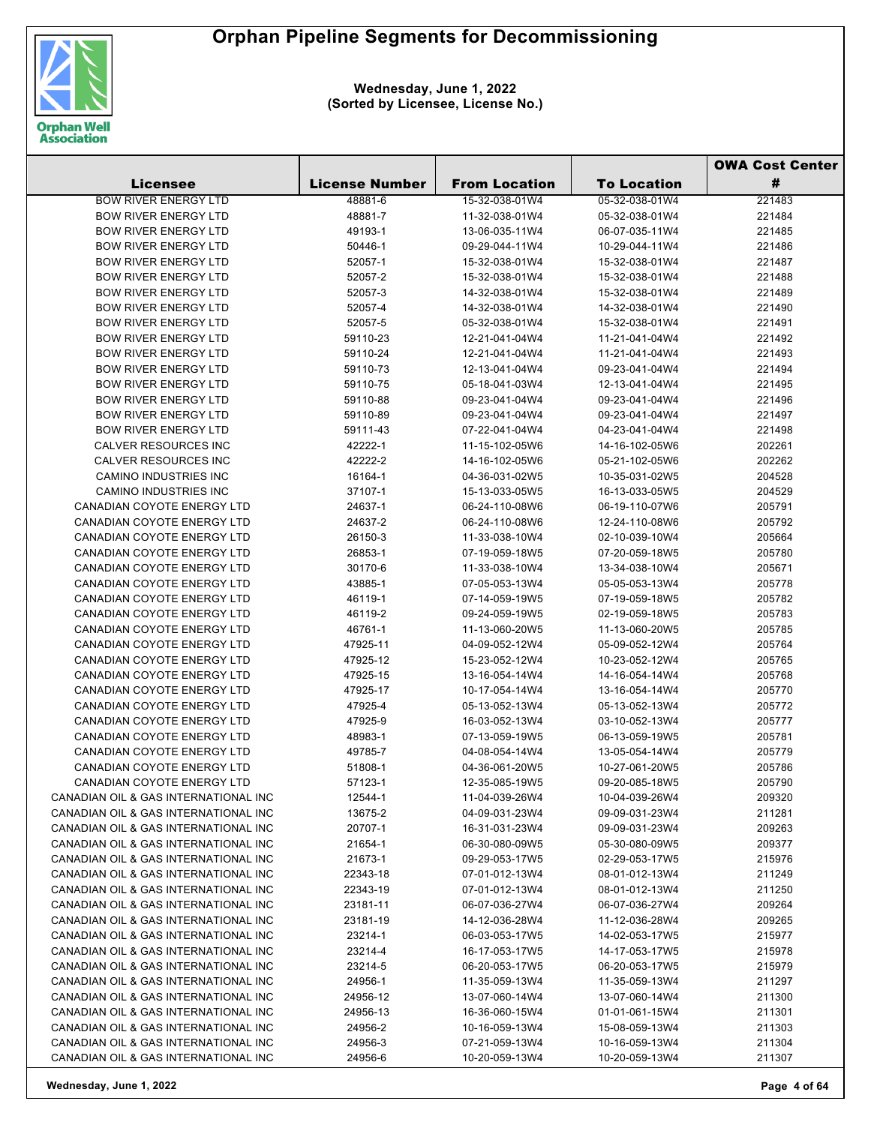

|                                      |                       |                      |                    | <b>OWA Cost Center</b> |  |
|--------------------------------------|-----------------------|----------------------|--------------------|------------------------|--|
| Licensee                             | <b>License Number</b> | <b>From Location</b> | <b>To Location</b> | #                      |  |
| <b>BOW RIVER ENERGY LTD</b>          | 48881-6               | 15-32-038-01W4       | 05-32-038-01W4     | 221483                 |  |
| <b>BOW RIVER ENERGY LTD</b>          | 48881-7               | 11-32-038-01W4       | 05-32-038-01W4     | 221484                 |  |
| <b>BOW RIVER ENERGY LTD</b>          | 49193-1               | 13-06-035-11W4       | 06-07-035-11W4     | 221485                 |  |
| <b>BOW RIVER ENERGY LTD</b>          | 50446-1               | 09-29-044-11W4       | 10-29-044-11W4     | 221486                 |  |
| <b>BOW RIVER ENERGY LTD</b>          | 52057-1               | 15-32-038-01W4       | 15-32-038-01W4     | 221487                 |  |
| <b>BOW RIVER ENERGY LTD</b>          | 52057-2               | 15-32-038-01W4       | 15-32-038-01W4     | 221488                 |  |
| <b>BOW RIVER ENERGY LTD</b>          | 52057-3               | 14-32-038-01W4       | 15-32-038-01W4     | 221489                 |  |
| <b>BOW RIVER ENERGY LTD</b>          | 52057-4               | 14-32-038-01W4       | 14-32-038-01W4     | 221490                 |  |
| <b>BOW RIVER ENERGY LTD</b>          | 52057-5               | 05-32-038-01W4       | 15-32-038-01W4     | 221491                 |  |
| <b>BOW RIVER ENERGY LTD</b>          | 59110-23              | 12-21-041-04W4       | 11-21-041-04W4     | 221492                 |  |
| <b>BOW RIVER ENERGY LTD</b>          | 59110-24              | 12-21-041-04W4       | 11-21-041-04W4     | 221493                 |  |
| <b>BOW RIVER ENERGY LTD</b>          | 59110-73              | 12-13-041-04W4       | 09-23-041-04W4     | 221494                 |  |
| <b>BOW RIVER ENERGY LTD</b>          | 59110-75              | 05-18-041-03W4       | 12-13-041-04W4     | 221495                 |  |
| <b>BOW RIVER ENERGY LTD</b>          | 59110-88              | 09-23-041-04W4       | 09-23-041-04W4     | 221496                 |  |
| <b>BOW RIVER ENERGY LTD</b>          | 59110-89              | 09-23-041-04W4       | 09-23-041-04W4     | 221497                 |  |
| <b>BOW RIVER ENERGY LTD</b>          | 59111-43              | 07-22-041-04W4       | 04-23-041-04W4     | 221498                 |  |
| <b>CALVER RESOURCES INC</b>          | 42222-1               | 11-15-102-05W6       | 14-16-102-05W6     | 202261                 |  |
| <b>CALVER RESOURCES INC</b>          | 42222-2               | 14-16-102-05W6       | 05-21-102-05W6     | 202262                 |  |
| CAMINO INDUSTRIES INC                | 16164-1               | 04-36-031-02W5       | 10-35-031-02W5     | 204528                 |  |
| <b>CAMINO INDUSTRIES INC</b>         | 37107-1               | 15-13-033-05W5       | 16-13-033-05W5     | 204529                 |  |
| CANADIAN COYOTE ENERGY LTD           | 24637-1               | 06-24-110-08W6       | 06-19-110-07W6     | 205791                 |  |
| CANADIAN COYOTE ENERGY LTD           | 24637-2               | 06-24-110-08W6       | 12-24-110-08W6     | 205792                 |  |
| CANADIAN COYOTE ENERGY LTD           | 26150-3               | 11-33-038-10W4       | 02-10-039-10W4     | 205664                 |  |
| CANADIAN COYOTE ENERGY LTD           | 26853-1               | 07-19-059-18W5       | 07-20-059-18W5     | 205780                 |  |
| CANADIAN COYOTE ENERGY LTD           | 30170-6               | 11-33-038-10W4       | 13-34-038-10W4     | 205671                 |  |
| CANADIAN COYOTE ENERGY LTD           | 43885-1               | 07-05-053-13W4       | 05-05-053-13W4     | 205778                 |  |
| CANADIAN COYOTE ENERGY LTD           | 46119-1               | 07-14-059-19W5       | 07-19-059-18W5     | 205782                 |  |
| CANADIAN COYOTE ENERGY LTD           | 46119-2               | 09-24-059-19W5       | 02-19-059-18W5     | 205783                 |  |
| CANADIAN COYOTE ENERGY LTD           | 46761-1               | 11-13-060-20W5       | 11-13-060-20W5     | 205785                 |  |
| CANADIAN COYOTE ENERGY LTD           | 47925-11              | 04-09-052-12W4       | 05-09-052-12W4     | 205764                 |  |
| CANADIAN COYOTE ENERGY LTD           | 47925-12              | 15-23-052-12W4       | 10-23-052-12W4     | 205765                 |  |
| CANADIAN COYOTE ENERGY LTD           | 47925-15              | 13-16-054-14W4       | 14-16-054-14W4     | 205768                 |  |
| CANADIAN COYOTE ENERGY LTD           | 47925-17              | 10-17-054-14W4       | 13-16-054-14W4     | 205770                 |  |
| CANADIAN COYOTE ENERGY LTD           | 47925-4               | 05-13-052-13W4       | 05-13-052-13W4     | 205772                 |  |
| CANADIAN COYOTE ENERGY LTD           | 47925-9               | 16-03-052-13W4       | 03-10-052-13W4     | 205777                 |  |
| CANADIAN COYOTE ENERGY LTD           | 48983-1               | 07-13-059-19W5       | 06-13-059-19W5     | 205781                 |  |
| CANADIAN COYOTE ENERGY LTD           | 49785-7               | 04-08-054-14W4       | 13-05-054-14W4     | 205779                 |  |
| <b>CANADIAN COYOTE ENERGY LTD</b>    | 51808-1               | 04-36-061-20W5       | 10-27-061-20W5     | 205786                 |  |
| CANADIAN COYOTE ENERGY LTD           | 57123-1               | 12-35-085-19W5       | 09-20-085-18W5     | 205790                 |  |
| CANADIAN OIL & GAS INTERNATIONAL INC | 12544-1               | 11-04-039-26W4       | 10-04-039-26W4     | 209320                 |  |
| CANADIAN OIL & GAS INTERNATIONAL INC | 13675-2               | 04-09-031-23W4       | 09-09-031-23W4     | 211281                 |  |
| CANADIAN OIL & GAS INTERNATIONAL INC | 20707-1               | 16-31-031-23W4       | 09-09-031-23W4     | 209263                 |  |
| CANADIAN OIL & GAS INTERNATIONAL INC | 21654-1               | 06-30-080-09W5       | 05-30-080-09W5     | 209377                 |  |
| CANADIAN OIL & GAS INTERNATIONAL INC | 21673-1               | 09-29-053-17W5       | 02-29-053-17W5     | 215976                 |  |
| CANADIAN OIL & GAS INTERNATIONAL INC | 22343-18              | 07-01-012-13W4       | 08-01-012-13W4     | 211249                 |  |
| CANADIAN OIL & GAS INTERNATIONAL INC | 22343-19              | 07-01-012-13W4       | 08-01-012-13W4     | 211250                 |  |
| CANADIAN OIL & GAS INTERNATIONAL INC | 23181-11              | 06-07-036-27W4       | 06-07-036-27W4     | 209264                 |  |
| CANADIAN OIL & GAS INTERNATIONAL INC | 23181-19              | 14-12-036-28W4       | 11-12-036-28W4     | 209265                 |  |
| CANADIAN OIL & GAS INTERNATIONAL INC | 23214-1               | 06-03-053-17W5       | 14-02-053-17W5     | 215977                 |  |
| CANADIAN OIL & GAS INTERNATIONAL INC | 23214-4               | 16-17-053-17W5       | 14-17-053-17W5     | 215978                 |  |
| CANADIAN OIL & GAS INTERNATIONAL INC | 23214-5               | 06-20-053-17W5       | 06-20-053-17W5     | 215979                 |  |
| CANADIAN OIL & GAS INTERNATIONAL INC | 24956-1               | 11-35-059-13W4       | 11-35-059-13W4     | 211297                 |  |
| CANADIAN OIL & GAS INTERNATIONAL INC | 24956-12              | 13-07-060-14W4       | 13-07-060-14W4     | 211300                 |  |
| CANADIAN OIL & GAS INTERNATIONAL INC | 24956-13              | 16-36-060-15W4       | 01-01-061-15W4     | 211301                 |  |
| CANADIAN OIL & GAS INTERNATIONAL INC | 24956-2               | 10-16-059-13W4       | 15-08-059-13W4     | 211303                 |  |
| CANADIAN OIL & GAS INTERNATIONAL INC | 24956-3               | 07-21-059-13W4       | 10-16-059-13W4     | 211304                 |  |
| CANADIAN OIL & GAS INTERNATIONAL INC | 24956-6               | 10-20-059-13W4       | 10-20-059-13W4     | 211307                 |  |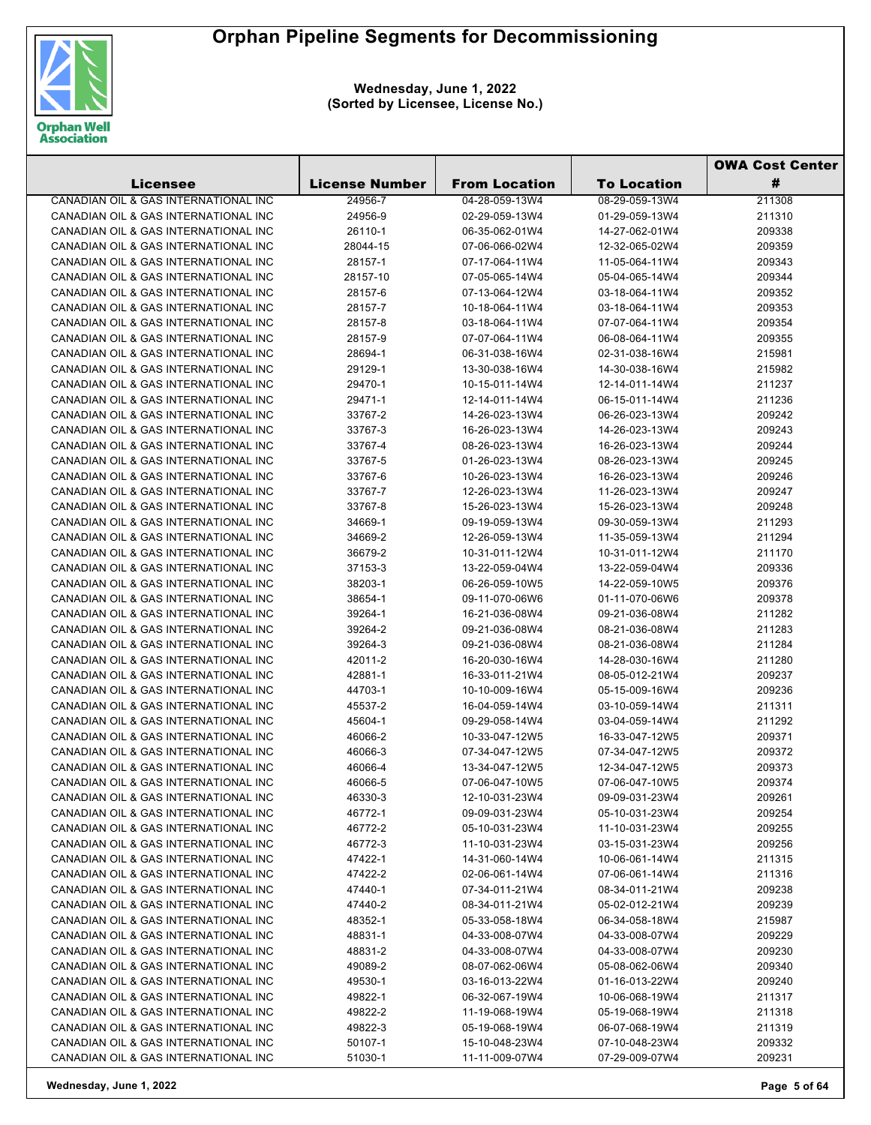

|                                                                              |                       |                      |                    | <b>OWA Cost Center</b> |
|------------------------------------------------------------------------------|-----------------------|----------------------|--------------------|------------------------|
| Licensee                                                                     | <b>License Number</b> | <b>From Location</b> | <b>To Location</b> | #                      |
| CANADIAN OIL & GAS INTERNATIONAL INC                                         | 24956-7               | 04-28-059-13W4       | 08-29-059-13W4     | 211308                 |
| CANADIAN OIL & GAS INTERNATIONAL INC                                         | 24956-9               | 02-29-059-13W4       | 01-29-059-13W4     | 211310                 |
| CANADIAN OIL & GAS INTERNATIONAL INC                                         | 26110-1               | 06-35-062-01W4       | 14-27-062-01W4     | 209338                 |
| CANADIAN OIL & GAS INTERNATIONAL INC                                         | 28044-15              | 07-06-066-02W4       | 12-32-065-02W4     | 209359                 |
| CANADIAN OIL & GAS INTERNATIONAL INC                                         | 28157-1               | 07-17-064-11W4       | 11-05-064-11W4     | 209343                 |
| CANADIAN OIL & GAS INTERNATIONAL INC                                         | 28157-10              | 07-05-065-14W4       | 05-04-065-14W4     | 209344                 |
| CANADIAN OIL & GAS INTERNATIONAL INC                                         | 28157-6               | 07-13-064-12W4       | 03-18-064-11W4     | 209352                 |
| CANADIAN OIL & GAS INTERNATIONAL INC                                         | 28157-7               | 10-18-064-11W4       | 03-18-064-11W4     | 209353                 |
| CANADIAN OIL & GAS INTERNATIONAL INC                                         | 28157-8               | 03-18-064-11W4       | 07-07-064-11W4     | 209354                 |
| CANADIAN OIL & GAS INTERNATIONAL INC                                         | 28157-9               | 07-07-064-11W4       | 06-08-064-11W4     | 209355                 |
| CANADIAN OIL & GAS INTERNATIONAL INC                                         | 28694-1               | 06-31-038-16W4       | 02-31-038-16W4     | 215981                 |
| CANADIAN OIL & GAS INTERNATIONAL INC                                         | 29129-1               | 13-30-038-16W4       | 14-30-038-16W4     | 215982                 |
| CANADIAN OIL & GAS INTERNATIONAL INC                                         | 29470-1               | 10-15-011-14W4       | 12-14-011-14W4     | 211237                 |
| CANADIAN OIL & GAS INTERNATIONAL INC                                         | 29471-1               | 12-14-011-14W4       | 06-15-011-14W4     | 211236                 |
| CANADIAN OIL & GAS INTERNATIONAL INC                                         | 33767-2               | 14-26-023-13W4       | 06-26-023-13W4     | 209242                 |
| CANADIAN OIL & GAS INTERNATIONAL INC                                         | 33767-3               | 16-26-023-13W4       | 14-26-023-13W4     | 209243                 |
| CANADIAN OIL & GAS INTERNATIONAL INC                                         | 33767-4               | 08-26-023-13W4       | 16-26-023-13W4     | 209244                 |
| CANADIAN OIL & GAS INTERNATIONAL INC                                         | 33767-5               | 01-26-023-13W4       | 08-26-023-13W4     | 209245                 |
| CANADIAN OIL & GAS INTERNATIONAL INC                                         | 33767-6               | 10-26-023-13W4       | 16-26-023-13W4     | 209246                 |
| CANADIAN OIL & GAS INTERNATIONAL INC                                         | 33767-7               | 12-26-023-13W4       | 11-26-023-13W4     | 209247                 |
| CANADIAN OIL & GAS INTERNATIONAL INC                                         | 33767-8               | 15-26-023-13W4       | 15-26-023-13W4     | 209248                 |
| CANADIAN OIL & GAS INTERNATIONAL INC                                         | 34669-1               | 09-19-059-13W4       | 09-30-059-13W4     | 211293                 |
| CANADIAN OIL & GAS INTERNATIONAL INC                                         | 34669-2               | 12-26-059-13W4       | 11-35-059-13W4     | 211294                 |
| CANADIAN OIL & GAS INTERNATIONAL INC                                         | 36679-2               | 10-31-011-12W4       | 10-31-011-12W4     | 211170                 |
| CANADIAN OIL & GAS INTERNATIONAL INC                                         | 37153-3               | 13-22-059-04W4       | 13-22-059-04W4     | 209336                 |
| CANADIAN OIL & GAS INTERNATIONAL INC                                         | 38203-1               | 06-26-059-10W5       | 14-22-059-10W5     | 209376                 |
| CANADIAN OIL & GAS INTERNATIONAL INC                                         | 38654-1               | 09-11-070-06W6       | 01-11-070-06W6     | 209378                 |
| CANADIAN OIL & GAS INTERNATIONAL INC                                         | 39264-1               | 16-21-036-08W4       | 09-21-036-08W4     | 211282                 |
| CANADIAN OIL & GAS INTERNATIONAL INC                                         | 39264-2               | 09-21-036-08W4       | 08-21-036-08W4     | 211283                 |
| CANADIAN OIL & GAS INTERNATIONAL INC                                         | 39264-3               | 09-21-036-08W4       | 08-21-036-08W4     | 211284                 |
| CANADIAN OIL & GAS INTERNATIONAL INC                                         | 42011-2               | 16-20-030-16W4       | 14-28-030-16W4     | 211280                 |
| CANADIAN OIL & GAS INTERNATIONAL INC                                         | 42881-1               | 16-33-011-21W4       | 08-05-012-21W4     | 209237                 |
| CANADIAN OIL & GAS INTERNATIONAL INC                                         | 44703-1               | 10-10-009-16W4       | 05-15-009-16W4     | 209236                 |
| CANADIAN OIL & GAS INTERNATIONAL INC                                         | 45537-2               | 16-04-059-14W4       | 03-10-059-14W4     | 211311                 |
| CANADIAN OIL & GAS INTERNATIONAL INC                                         | 45604-1               | 09-29-058-14W4       | 03-04-059-14W4     | 211292                 |
| CANADIAN OIL & GAS INTERNATIONAL INC                                         | 46066-2               | 10-33-047-12W5       | 16-33-047-12W5     | 209371                 |
| CANADIAN OIL & GAS INTERNATIONAL INC                                         | 46066-3               | 07-34-047-12W5       | 07-34-047-12W5     | 209372                 |
| CANADIAN OIL & GAS INTERNATIONAL INC                                         | 46066-4               | 13-34-047-12W5       | 12-34-047-12W5     | 209373                 |
| CANADIAN OIL & GAS INTERNATIONAL INC                                         | 46066-5               | 07-06-047-10W5       | 07-06-047-10W5     | 209374                 |
| CANADIAN OIL & GAS INTERNATIONAL INC                                         | 46330-3               | 12-10-031-23W4       | 09-09-031-23W4     | 209261                 |
| CANADIAN OIL & GAS INTERNATIONAL INC                                         | 46772-1               | 09-09-031-23W4       | 05-10-031-23W4     | 209254                 |
| CANADIAN OIL & GAS INTERNATIONAL INC                                         | 46772-2               | 05-10-031-23W4       | 11-10-031-23W4     | 209255                 |
| CANADIAN OIL & GAS INTERNATIONAL INC                                         | 46772-3               | 11-10-031-23W4       | 03-15-031-23W4     | 209256                 |
| CANADIAN OIL & GAS INTERNATIONAL INC                                         | 47422-1               | 14-31-060-14W4       | 10-06-061-14W4     | 211315                 |
| CANADIAN OIL & GAS INTERNATIONAL INC                                         | 47422-2               | 02-06-061-14W4       | 07-06-061-14W4     | 211316                 |
| CANADIAN OIL & GAS INTERNATIONAL INC                                         | 47440-1               | 07-34-011-21W4       | 08-34-011-21W4     | 209238                 |
| CANADIAN OIL & GAS INTERNATIONAL INC                                         | 47440-2               | 08-34-011-21W4       | 05-02-012-21W4     | 209239                 |
| CANADIAN OIL & GAS INTERNATIONAL INC                                         | 48352-1               | 05-33-058-18W4       | 06-34-058-18W4     | 215987                 |
| CANADIAN OIL & GAS INTERNATIONAL INC                                         | 48831-1               | 04-33-008-07W4       | 04-33-008-07W4     | 209229                 |
| CANADIAN OIL & GAS INTERNATIONAL INC                                         | 48831-2               | 04-33-008-07W4       | 04-33-008-07W4     | 209230                 |
| CANADIAN OIL & GAS INTERNATIONAL INC                                         | 49089-2               | 08-07-062-06W4       | 05-08-062-06W4     | 209340                 |
| CANADIAN OIL & GAS INTERNATIONAL INC                                         | 49530-1               | 03-16-013-22W4       | 01-16-013-22W4     | 209240                 |
| CANADIAN OIL & GAS INTERNATIONAL INC                                         | 49822-1               | 06-32-067-19W4       | 10-06-068-19W4     | 211317                 |
| CANADIAN OIL & GAS INTERNATIONAL INC                                         | 49822-2               | 11-19-068-19W4       | 05-19-068-19W4     | 211318                 |
| CANADIAN OIL & GAS INTERNATIONAL INC<br>CANADIAN OIL & GAS INTERNATIONAL INC | 49822-3               | 05-19-068-19W4       | 06-07-068-19W4     | 211319                 |
|                                                                              | 50107-1               | 15-10-048-23W4       | 07-10-048-23W4     | 209332                 |
| CANADIAN OIL & GAS INTERNATIONAL INC                                         | 51030-1               | 11-11-009-07W4       | 07-29-009-07W4     | 209231                 |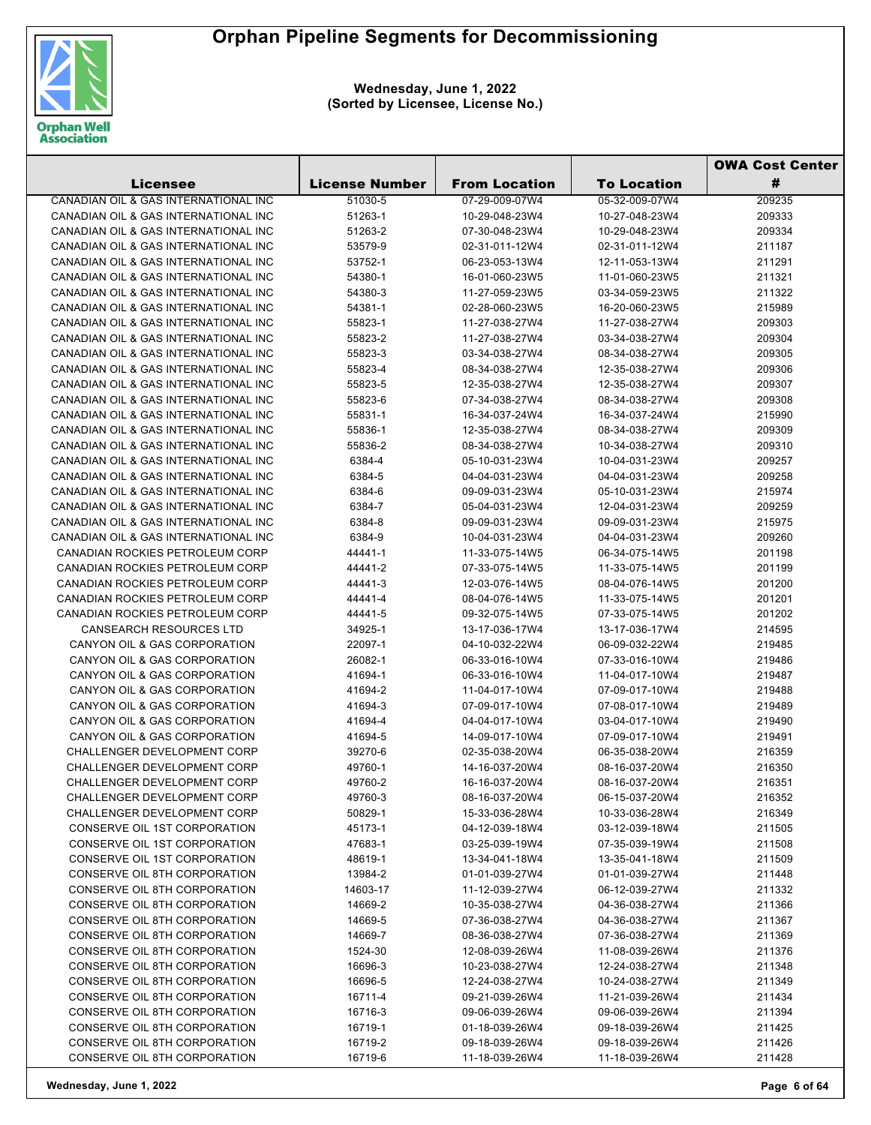

|                                      |                       |                      |                    | <b>OWA Cost Center</b> |
|--------------------------------------|-----------------------|----------------------|--------------------|------------------------|
| Licensee                             | <b>License Number</b> | <b>From Location</b> | <b>To Location</b> | #                      |
| CANADIAN OIL & GAS INTERNATIONAL INC | 51030-5               | 07-29-009-07W4       | 05-32-009-07W4     | 209235                 |
| CANADIAN OIL & GAS INTERNATIONAL INC | 51263-1               | 10-29-048-23W4       | 10-27-048-23W4     | 209333                 |
| CANADIAN OIL & GAS INTERNATIONAL INC | 51263-2               | 07-30-048-23W4       | 10-29-048-23W4     | 209334                 |
| CANADIAN OIL & GAS INTERNATIONAL INC | 53579-9               | 02-31-011-12W4       | 02-31-011-12W4     | 211187                 |
| CANADIAN OIL & GAS INTERNATIONAL INC | 53752-1               | 06-23-053-13W4       | 12-11-053-13W4     | 211291                 |
| CANADIAN OIL & GAS INTERNATIONAL INC | 54380-1               | 16-01-060-23W5       | 11-01-060-23W5     | 211321                 |
| CANADIAN OIL & GAS INTERNATIONAL INC | 54380-3               | 11-27-059-23W5       | 03-34-059-23W5     | 211322                 |
| CANADIAN OIL & GAS INTERNATIONAL INC | 54381-1               | 02-28-060-23W5       | 16-20-060-23W5     | 215989                 |
| CANADIAN OIL & GAS INTERNATIONAL INC | 55823-1               | 11-27-038-27W4       | 11-27-038-27W4     | 209303                 |
| CANADIAN OIL & GAS INTERNATIONAL INC | 55823-2               | 11-27-038-27W4       | 03-34-038-27W4     | 209304                 |
| CANADIAN OIL & GAS INTERNATIONAL INC | 55823-3               | 03-34-038-27W4       | 08-34-038-27W4     | 209305                 |
| CANADIAN OIL & GAS INTERNATIONAL INC | 55823-4               | 08-34-038-27W4       | 12-35-038-27W4     | 209306                 |
| CANADIAN OIL & GAS INTERNATIONAL INC | 55823-5               | 12-35-038-27W4       | 12-35-038-27W4     | 209307                 |
| CANADIAN OIL & GAS INTERNATIONAL INC | 55823-6               | 07-34-038-27W4       | 08-34-038-27W4     | 209308                 |
| CANADIAN OIL & GAS INTERNATIONAL INC | 55831-1               | 16-34-037-24W4       | 16-34-037-24W4     | 215990                 |
| CANADIAN OIL & GAS INTERNATIONAL INC | 55836-1               | 12-35-038-27W4       | 08-34-038-27W4     | 209309                 |
| CANADIAN OIL & GAS INTERNATIONAL INC | 55836-2               | 08-34-038-27W4       | 10-34-038-27W4     | 209310                 |
| CANADIAN OIL & GAS INTERNATIONAL INC | 6384-4                | 05-10-031-23W4       | 10-04-031-23W4     | 209257                 |
| CANADIAN OIL & GAS INTERNATIONAL INC | 6384-5                | 04-04-031-23W4       | 04-04-031-23W4     | 209258                 |
| CANADIAN OIL & GAS INTERNATIONAL INC | 6384-6                | 09-09-031-23W4       | 05-10-031-23W4     | 215974                 |
| CANADIAN OIL & GAS INTERNATIONAL INC | 6384-7                | 05-04-031-23W4       | 12-04-031-23W4     | 209259                 |
| CANADIAN OIL & GAS INTERNATIONAL INC | 6384-8                | 09-09-031-23W4       | 09-09-031-23W4     | 215975                 |
| CANADIAN OIL & GAS INTERNATIONAL INC | 6384-9                | 10-04-031-23W4       | 04-04-031-23W4     | 209260                 |
| CANADIAN ROCKIES PETROLEUM CORP      | 44441-1               | 11-33-075-14W5       | 06-34-075-14W5     | 201198                 |
| CANADIAN ROCKIES PETROLEUM CORP      | 44441-2               | 07-33-075-14W5       | 11-33-075-14W5     | 201199                 |
| CANADIAN ROCKIES PETROLEUM CORP      | 44441-3               | 12-03-076-14W5       | 08-04-076-14W5     | 201200                 |
| CANADIAN ROCKIES PETROLEUM CORP      | 44441-4               | 08-04-076-14W5       | 11-33-075-14W5     | 201201                 |
| CANADIAN ROCKIES PETROLEUM CORP      | 44441-5               | 09-32-075-14W5       | 07-33-075-14W5     | 201202                 |
| <b>CANSEARCH RESOURCES LTD</b>       | 34925-1               | 13-17-036-17W4       | 13-17-036-17W4     | 214595                 |
| CANYON OIL & GAS CORPORATION         | 22097-1               | 04-10-032-22W4       | 06-09-032-22W4     | 219485                 |
| CANYON OIL & GAS CORPORATION         | 26082-1               | 06-33-016-10W4       | 07-33-016-10W4     | 219486                 |
| CANYON OIL & GAS CORPORATION         | 41694-1               | 06-33-016-10W4       | 11-04-017-10W4     | 219487                 |
| CANYON OIL & GAS CORPORATION         | 41694-2               | 11-04-017-10W4       | 07-09-017-10W4     | 219488                 |
| CANYON OIL & GAS CORPORATION         | 41694-3               | 07-09-017-10W4       | 07-08-017-10W4     | 219489                 |
| CANYON OIL & GAS CORPORATION         | 41694-4               | 04-04-017-10W4       | 03-04-017-10W4     | 219490                 |
| CANYON OIL & GAS CORPORATION         | 41694-5               | 14-09-017-10W4       | 07-09-017-10W4     | 219491                 |
| CHALLENGER DEVELOPMENT CORP          | 39270-6               | 02-35-038-20W4       | 06-35-038-20W4     | 216359                 |
| CHALLENGER DEVELOPMENT CORP          | 49760-1               | 14-16-037-20W4       | 08-16-037-20W4     | 216350                 |
| CHALLENGER DEVELOPMENT CORP          | 49760-2               | 16-16-037-20W4       | 08-16-037-20W4     | 216351                 |
| CHALLENGER DEVELOPMENT CORP          | 49760-3               | 08-16-037-20W4       | 06-15-037-20W4     | 216352                 |
| <b>CHALLENGER DEVELOPMENT CORP</b>   | 50829-1               | 15-33-036-28W4       | 10-33-036-28W4     | 216349                 |
| CONSERVE OIL 1ST CORPORATION         | 45173-1               | 04-12-039-18W4       | 03-12-039-18W4     | 211505                 |
| CONSERVE OIL 1ST CORPORATION         | 47683-1               | 03-25-039-19W4       | 07-35-039-19W4     | 211508                 |
| CONSERVE OIL 1ST CORPORATION         | 48619-1               | 13-34-041-18W4       | 13-35-041-18W4     | 211509                 |
| CONSERVE OIL 8TH CORPORATION         | 13984-2               | 01-01-039-27W4       | 01-01-039-27W4     | 211448                 |
| CONSERVE OIL 8TH CORPORATION         | 14603-17              | 11-12-039-27W4       | 06-12-039-27W4     | 211332                 |
| CONSERVE OIL 8TH CORPORATION         | 14669-2               | 10-35-038-27W4       | 04-36-038-27W4     | 211366                 |
| CONSERVE OIL 8TH CORPORATION         | 14669-5               | 07-36-038-27W4       | 04-36-038-27W4     | 211367                 |
| CONSERVE OIL 8TH CORPORATION         | 14669-7               | 08-36-038-27W4       | 07-36-038-27W4     | 211369                 |
| CONSERVE OIL 8TH CORPORATION         | 1524-30               | 12-08-039-26W4       | 11-08-039-26W4     | 211376                 |
| CONSERVE OIL 8TH CORPORATION         | 16696-3               | 10-23-038-27W4       | 12-24-038-27W4     | 211348                 |
| CONSERVE OIL 8TH CORPORATION         | 16696-5               | 12-24-038-27W4       | 10-24-038-27W4     | 211349                 |
| CONSERVE OIL 8TH CORPORATION         | 16711-4               | 09-21-039-26W4       | 11-21-039-26W4     | 211434                 |
| CONSERVE OIL 8TH CORPORATION         | 16716-3               | 09-06-039-26W4       | 09-06-039-26W4     | 211394                 |
| CONSERVE OIL 8TH CORPORATION         | 16719-1               | 01-18-039-26W4       | 09-18-039-26W4     | 211425                 |
| CONSERVE OIL 8TH CORPORATION         | 16719-2               | 09-18-039-26W4       | 09-18-039-26W4     | 211426                 |
| CONSERVE OIL 8TH CORPORATION         | 16719-6               | 11-18-039-26W4       | 11-18-039-26W4     | 211428                 |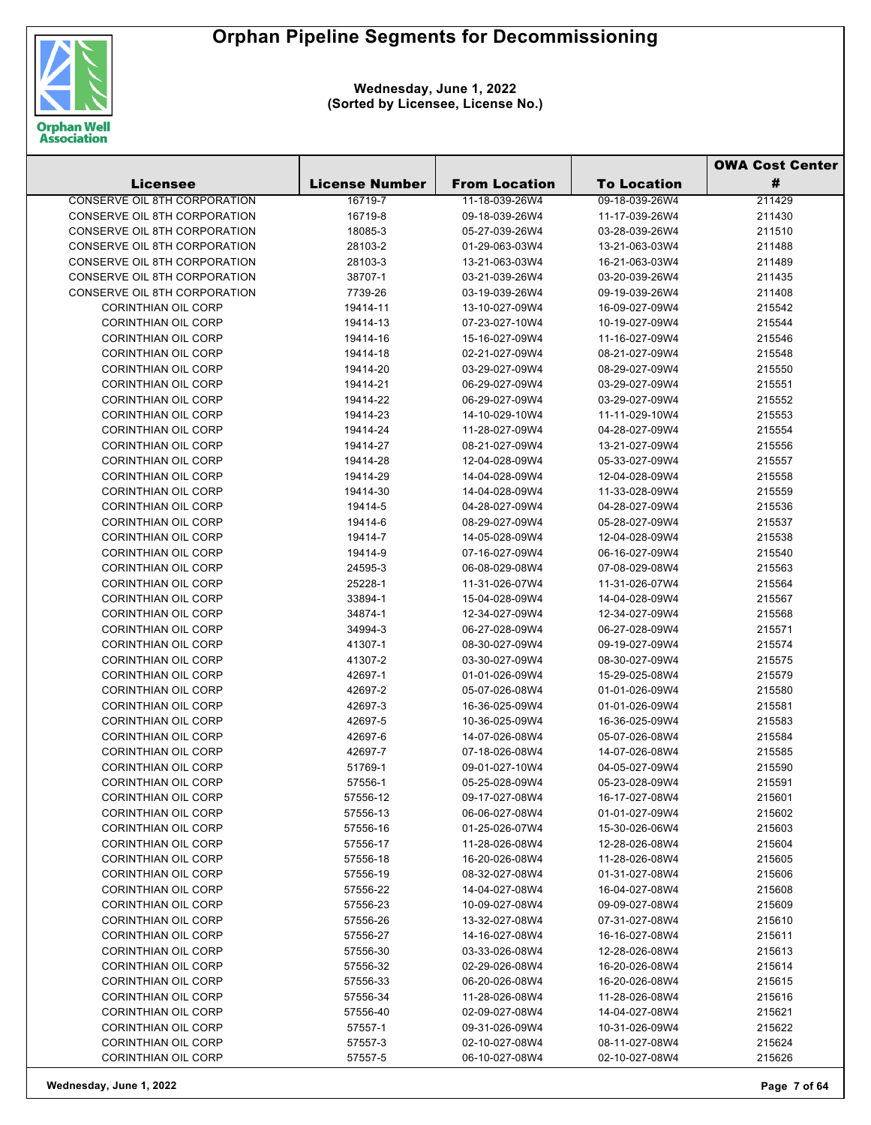

|                                                          |                       |                                  |                                  | <b>OWA Cost Center</b> |  |
|----------------------------------------------------------|-----------------------|----------------------------------|----------------------------------|------------------------|--|
| <b>Licensee</b>                                          | <b>License Number</b> | <b>From Location</b>             | <b>To Location</b>               | #                      |  |
| <b>CONSERVE OIL 8TH CORPORATION</b>                      | 16719-7               | 11-18-039-26W4                   | 09-18-039-26W4                   | 211429                 |  |
| CONSERVE OIL 8TH CORPORATION                             | 16719-8               | 09-18-039-26W4                   | 11-17-039-26W4                   | 211430                 |  |
| CONSERVE OIL 8TH CORPORATION                             | 18085-3               | 05-27-039-26W4                   | 03-28-039-26W4                   | 211510                 |  |
| CONSERVE OIL 8TH CORPORATION                             | 28103-2               | 01-29-063-03W4                   | 13-21-063-03W4                   | 211488                 |  |
| CONSERVE OIL 8TH CORPORATION                             | 28103-3               | 13-21-063-03W4                   | 16-21-063-03W4                   | 211489                 |  |
| CONSERVE OIL 8TH CORPORATION                             | 38707-1               | 03-21-039-26W4                   | 03-20-039-26W4                   | 211435                 |  |
| CONSERVE OIL 8TH CORPORATION                             | 7739-26               | 03-19-039-26W4                   | 09-19-039-26W4                   | 211408                 |  |
| <b>CORINTHIAN OIL CORP</b>                               | 19414-11              | 13-10-027-09W4                   | 16-09-027-09W4                   | 215542                 |  |
| <b>CORINTHIAN OIL CORP</b>                               | 19414-13              | 07-23-027-10W4                   | 10-19-027-09W4                   | 215544                 |  |
| <b>CORINTHIAN OIL CORP</b>                               | 19414-16              | 15-16-027-09W4                   | 11-16-027-09W4                   | 215546                 |  |
| <b>CORINTHIAN OIL CORP</b>                               | 19414-18              | 02-21-027-09W4                   | 08-21-027-09W4                   | 215548                 |  |
| <b>CORINTHIAN OIL CORP</b>                               | 19414-20              | 03-29-027-09W4                   | 08-29-027-09W4                   | 215550                 |  |
| <b>CORINTHIAN OIL CORP</b>                               | 19414-21              | 06-29-027-09W4                   | 03-29-027-09W4                   | 215551                 |  |
| <b>CORINTHIAN OIL CORP</b>                               | 19414-22              | 06-29-027-09W4                   | 03-29-027-09W4                   | 215552                 |  |
| <b>CORINTHIAN OIL CORP</b>                               | 19414-23              | 14-10-029-10W4                   | 11-11-029-10W4                   | 215553                 |  |
| <b>CORINTHIAN OIL CORP</b>                               | 19414-24              | 11-28-027-09W4                   | 04-28-027-09W4                   | 215554                 |  |
| <b>CORINTHIAN OIL CORP</b>                               | 19414-27              | 08-21-027-09W4                   | 13-21-027-09W4                   | 215556                 |  |
| <b>CORINTHIAN OIL CORP</b>                               | 19414-28              | 12-04-028-09W4                   | 05-33-027-09W4                   | 215557                 |  |
| <b>CORINTHIAN OIL CORP</b>                               | 19414-29              | 14-04-028-09W4                   | 12-04-028-09W4                   | 215558                 |  |
| <b>CORINTHIAN OIL CORP</b>                               | 19414-30              | 14-04-028-09W4                   | 11-33-028-09W4                   | 215559                 |  |
| <b>CORINTHIAN OIL CORP</b>                               | 19414-5               | 04-28-027-09W4                   | 04-28-027-09W4                   | 215536                 |  |
| <b>CORINTHIAN OIL CORP</b>                               | 19414-6               | 08-29-027-09W4                   | 05-28-027-09W4                   | 215537                 |  |
| <b>CORINTHIAN OIL CORP</b>                               | 19414-7               | 14-05-028-09W4                   | 12-04-028-09W4                   | 215538                 |  |
| <b>CORINTHIAN OIL CORP</b>                               | 19414-9               | 07-16-027-09W4                   | 06-16-027-09W4                   | 215540                 |  |
| <b>CORINTHIAN OIL CORP</b>                               | 24595-3               | 06-08-029-08W4                   | 07-08-029-08W4                   | 215563                 |  |
| <b>CORINTHIAN OIL CORP</b>                               | 25228-1               | 11-31-026-07W4                   | 11-31-026-07W4                   | 215564                 |  |
| <b>CORINTHIAN OIL CORP</b>                               | 33894-1               | 15-04-028-09W4                   | 14-04-028-09W4                   | 215567                 |  |
| <b>CORINTHIAN OIL CORP</b>                               | 34874-1               | 12-34-027-09W4                   | 12-34-027-09W4                   | 215568                 |  |
| <b>CORINTHIAN OIL CORP</b>                               | 34994-3               | 06-27-028-09W4                   | 06-27-028-09W4                   | 215571                 |  |
| <b>CORINTHIAN OIL CORP</b>                               | 41307-1               | 08-30-027-09W4                   | 09-19-027-09W4                   | 215574                 |  |
| <b>CORINTHIAN OIL CORP</b>                               | 41307-2               | 03-30-027-09W4                   | 08-30-027-09W4                   | 215575                 |  |
| <b>CORINTHIAN OIL CORP</b>                               | 42697-1               | 01-01-026-09W4                   | 15-29-025-08W4                   | 215579                 |  |
| <b>CORINTHIAN OIL CORP</b>                               | 42697-2               | 05-07-026-08W4                   | 01-01-026-09W4                   | 215580                 |  |
| <b>CORINTHIAN OIL CORP</b>                               | 42697-3               | 16-36-025-09W4                   | 01-01-026-09W4                   | 215581                 |  |
| <b>CORINTHIAN OIL CORP</b>                               | 42697-5               | 10-36-025-09W4                   | 16-36-025-09W4                   | 215583                 |  |
| <b>CORINTHIAN OIL CORP</b>                               | 42697-6               | 14-07-026-08W4                   | 05-07-026-08W4                   | 215584                 |  |
| <b>CORINTHIAN OIL CORP</b>                               | 42697-7               | 07-18-026-08W4                   | 14-07-026-08W4                   | 215585                 |  |
| CORINTHIAN OIL CORP                                      | 51769-1               | 09-01-027-10W4                   | 04-05-027-09W4                   | 215590                 |  |
| <b>CORINTHIAN OIL CORP</b>                               | 57556-1               | 05-25-028-09W4                   | 05-23-028-09W4                   | 215591                 |  |
| <b>CORINTHIAN OIL CORP</b>                               | 57556-12              | 09-17-027-08W4                   | 16-17-027-08W4                   | 215601                 |  |
| <b>CORINTHIAN OIL CORP</b>                               | 57556-13              | 06-06-027-08W4                   | 01-01-027-09W4                   | 215602                 |  |
| <b>CORINTHIAN OIL CORP</b>                               | 57556-16              | 01-25-026-07W4                   | 15-30-026-06W4                   | 215603                 |  |
| <b>CORINTHIAN OIL CORP</b>                               | 57556-17              | 11-28-026-08W4                   | 12-28-026-08W4                   | 215604                 |  |
| <b>CORINTHIAN OIL CORP</b>                               | 57556-18              | 16-20-026-08W4                   | 11-28-026-08W4                   | 215605                 |  |
| <b>CORINTHIAN OIL CORP</b>                               | 57556-19              | 08-32-027-08W4                   | 01-31-027-08W4                   | 215606                 |  |
| <b>CORINTHIAN OIL CORP</b>                               | 57556-22              | 14-04-027-08W4                   | 16-04-027-08W4                   | 215608                 |  |
| <b>CORINTHIAN OIL CORP</b>                               | 57556-23              | 10-09-027-08W4                   | 09-09-027-08W4                   | 215609                 |  |
| <b>CORINTHIAN OIL CORP</b>                               | 57556-26              | 13-32-027-08W4                   | 07-31-027-08W4                   | 215610                 |  |
| <b>CORINTHIAN OIL CORP</b><br><b>CORINTHIAN OIL CORP</b> | 57556-27              | 14-16-027-08W4                   | 16-16-027-08W4                   | 215611                 |  |
|                                                          | 57556-30              | 03-33-026-08W4                   | 12-28-026-08W4                   | 215613                 |  |
| <b>CORINTHIAN OIL CORP</b><br><b>CORINTHIAN OIL CORP</b> | 57556-32              | 02-29-026-08W4<br>06-20-026-08W4 | 16-20-026-08W4<br>16-20-026-08W4 | 215614                 |  |
| <b>CORINTHIAN OIL CORP</b>                               | 57556-33<br>57556-34  | 11-28-026-08W4                   |                                  | 215615<br>215616       |  |
| <b>CORINTHIAN OIL CORP</b>                               | 57556-40              | 02-09-027-08W4                   | 11-28-026-08W4<br>14-04-027-08W4 | 215621                 |  |
| <b>CORINTHIAN OIL CORP</b>                               |                       |                                  |                                  |                        |  |
| <b>CORINTHIAN OIL CORP</b>                               | 57557-1<br>57557-3    | 09-31-026-09W4<br>02-10-027-08W4 | 10-31-026-09W4<br>08-11-027-08W4 | 215622<br>215624       |  |
| <b>CORINTHIAN OIL CORP</b>                               | 57557-5               | 06-10-027-08W4                   | 02-10-027-08W4                   | 215626                 |  |
|                                                          |                       |                                  |                                  |                        |  |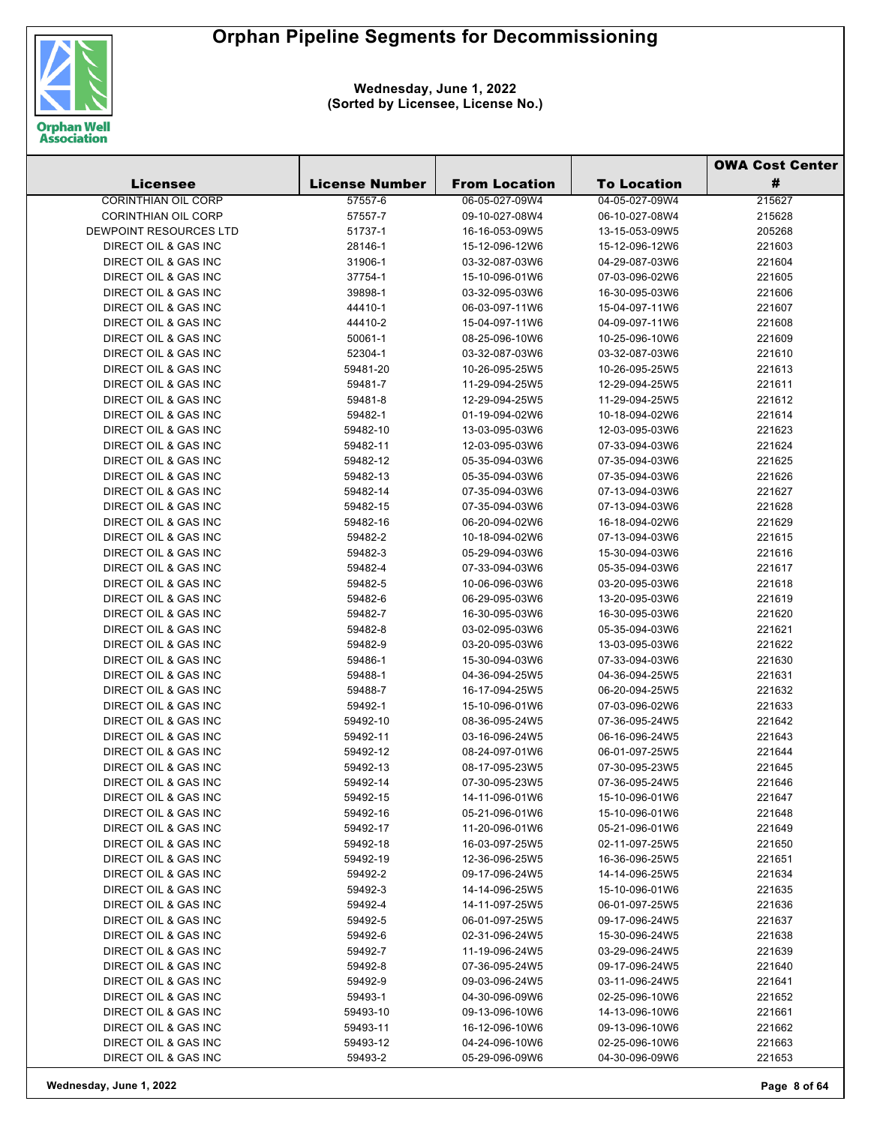

|                                              |                       |                      |                    | <b>OWA Cost Center</b> |
|----------------------------------------------|-----------------------|----------------------|--------------------|------------------------|
| <b>Licensee</b>                              | <b>License Number</b> | <b>From Location</b> | <b>To Location</b> | #                      |
| <b>CORINTHIAN OIL CORP</b>                   | 57557-6               | 06-05-027-09W4       | 04-05-027-09W4     | 215627                 |
| <b>CORINTHIAN OIL CORP</b>                   | 57557-7               | 09-10-027-08W4       | 06-10-027-08W4     | 215628                 |
| DEWPOINT RESOURCES LTD                       | 51737-1               | 16-16-053-09W5       | 13-15-053-09W5     | 205268                 |
| DIRECT OIL & GAS INC                         | 28146-1               | 15-12-096-12W6       | 15-12-096-12W6     | 221603                 |
| DIRECT OIL & GAS INC                         | 31906-1               | 03-32-087-03W6       | 04-29-087-03W6     | 221604                 |
| DIRECT OIL & GAS INC                         | 37754-1               | 15-10-096-01W6       | 07-03-096-02W6     | 221605                 |
| DIRECT OIL & GAS INC                         | 39898-1               | 03-32-095-03W6       | 16-30-095-03W6     | 221606                 |
| DIRECT OIL & GAS INC                         | 44410-1               | 06-03-097-11W6       | 15-04-097-11W6     | 221607                 |
| DIRECT OIL & GAS INC                         | 44410-2               | 15-04-097-11W6       | 04-09-097-11W6     | 221608                 |
| <b>DIRECT OIL &amp; GAS INC</b>              | 50061-1               | 08-25-096-10W6       | 10-25-096-10W6     | 221609                 |
| DIRECT OIL & GAS INC                         | 52304-1               | 03-32-087-03W6       | 03-32-087-03W6     | 221610                 |
| DIRECT OIL & GAS INC                         | 59481-20              | 10-26-095-25W5       | 10-26-095-25W5     | 221613                 |
| DIRECT OIL & GAS INC                         | 59481-7               | 11-29-094-25W5       | 12-29-094-25W5     | 221611                 |
| DIRECT OIL & GAS INC                         | 59481-8               | 12-29-094-25W5       | 11-29-094-25W5     | 221612                 |
| DIRECT OIL & GAS INC                         | 59482-1               | 01-19-094-02W6       | 10-18-094-02W6     | 221614                 |
| DIRECT OIL & GAS INC                         | 59482-10              | 13-03-095-03W6       | 12-03-095-03W6     | 221623                 |
| DIRECT OIL & GAS INC                         | 59482-11              | 12-03-095-03W6       | 07-33-094-03W6     | 221624                 |
| DIRECT OIL & GAS INC                         | 59482-12              | 05-35-094-03W6       | 07-35-094-03W6     | 221625                 |
| DIRECT OIL & GAS INC                         | 59482-13              | 05-35-094-03W6       | 07-35-094-03W6     | 221626                 |
| DIRECT OIL & GAS INC                         | 59482-14              | 07-35-094-03W6       | 07-13-094-03W6     | 221627                 |
| DIRECT OIL & GAS INC                         | 59482-15              | 07-35-094-03W6       | 07-13-094-03W6     | 221628                 |
| DIRECT OIL & GAS INC                         | 59482-16              | 06-20-094-02W6       | 16-18-094-02W6     | 221629                 |
| DIRECT OIL & GAS INC                         | 59482-2               | 10-18-094-02W6       | 07-13-094-03W6     | 221615                 |
| DIRECT OIL & GAS INC                         | 59482-3               | 05-29-094-03W6       | 15-30-094-03W6     | 221616                 |
| DIRECT OIL & GAS INC                         | 59482-4               | 07-33-094-03W6       | 05-35-094-03W6     | 221617                 |
| DIRECT OIL & GAS INC                         | 59482-5               | 10-06-096-03W6       | 03-20-095-03W6     | 221618                 |
| DIRECT OIL & GAS INC                         | 59482-6               | 06-29-095-03W6       | 13-20-095-03W6     | 221619                 |
| DIRECT OIL & GAS INC                         | 59482-7               | 16-30-095-03W6       | 16-30-095-03W6     | 221620                 |
| DIRECT OIL & GAS INC                         | 59482-8               | 03-02-095-03W6       | 05-35-094-03W6     | 221621                 |
| DIRECT OIL & GAS INC                         | 59482-9               | 03-20-095-03W6       | 13-03-095-03W6     | 221622                 |
| DIRECT OIL & GAS INC                         | 59486-1               | 15-30-094-03W6       | 07-33-094-03W6     | 221630                 |
| DIRECT OIL & GAS INC                         | 59488-1               | 04-36-094-25W5       | 04-36-094-25W5     | 221631                 |
| DIRECT OIL & GAS INC                         | 59488-7               | 16-17-094-25W5       | 06-20-094-25W5     | 221632                 |
| DIRECT OIL & GAS INC                         | 59492-1               | 15-10-096-01W6       | 07-03-096-02W6     | 221633                 |
| DIRECT OIL & GAS INC                         | 59492-10              | 08-36-095-24W5       | 07-36-095-24W5     | 221642                 |
| DIRECT OIL & GAS INC                         | 59492-11              | 03-16-096-24W5       | 06-16-096-24W5     | 221643                 |
| DIRECT OIL & GAS INC                         | 59492-12              | 08-24-097-01W6       | 06-01-097-25W5     | 221644                 |
| DIRECT OIL & GAS INC                         | 59492-13              | 08-17-095-23W5       | 07-30-095-23W5     | 221645                 |
| DIRECT OIL & GAS INC                         | 59492-14              | 07-30-095-23W5       | 07-36-095-24W5     | 221646                 |
| DIRECT OIL & GAS INC                         | 59492-15              | 14-11-096-01W6       | 15-10-096-01W6     | 221647                 |
| DIRECT OIL & GAS INC                         | 59492-16              | 05-21-096-01W6       | 15-10-096-01W6     | 221648                 |
| DIRECT OIL & GAS INC                         | 59492-17              | 11-20-096-01W6       | 05-21-096-01W6     | 221649                 |
| DIRECT OIL & GAS INC                         | 59492-18              | 16-03-097-25W5       | 02-11-097-25W5     | 221650                 |
| DIRECT OIL & GAS INC                         | 59492-19              | 12-36-096-25W5       | 16-36-096-25W5     | 221651                 |
| DIRECT OIL & GAS INC                         | 59492-2               | 09-17-096-24W5       | 14-14-096-25W5     | 221634                 |
| DIRECT OIL & GAS INC                         | 59492-3               | 14-14-096-25W5       | 15-10-096-01W6     | 221635                 |
| DIRECT OIL & GAS INC                         | 59492-4               | 14-11-097-25W5       | 06-01-097-25W5     | 221636                 |
| DIRECT OIL & GAS INC                         | 59492-5               | 06-01-097-25W5       | 09-17-096-24W5     | 221637                 |
| DIRECT OIL & GAS INC                         | 59492-6               | 02-31-096-24W5       | 15-30-096-24W5     | 221638                 |
| DIRECT OIL & GAS INC                         | 59492-7               | 11-19-096-24W5       | 03-29-096-24W5     | 221639                 |
| DIRECT OIL & GAS INC                         | 59492-8               | 07-36-095-24W5       | 09-17-096-24W5     | 221640                 |
| DIRECT OIL & GAS INC                         | 59492-9               | 09-03-096-24W5       | 03-11-096-24W5     | 221641                 |
| DIRECT OIL & GAS INC                         | 59493-1               | 04-30-096-09W6       | 02-25-096-10W6     | 221652                 |
| DIRECT OIL & GAS INC<br>DIRECT OIL & GAS INC | 59493-10              | 09-13-096-10W6       | 14-13-096-10W6     | 221661<br>221662       |
| DIRECT OIL & GAS INC                         | 59493-11              | 16-12-096-10W6       | 09-13-096-10W6     | 221663                 |
|                                              | 59493-12              | 04-24-096-10W6       | 02-25-096-10W6     |                        |
| DIRECT OIL & GAS INC                         | 59493-2               | 05-29-096-09W6       | 04-30-096-09W6     | 221653                 |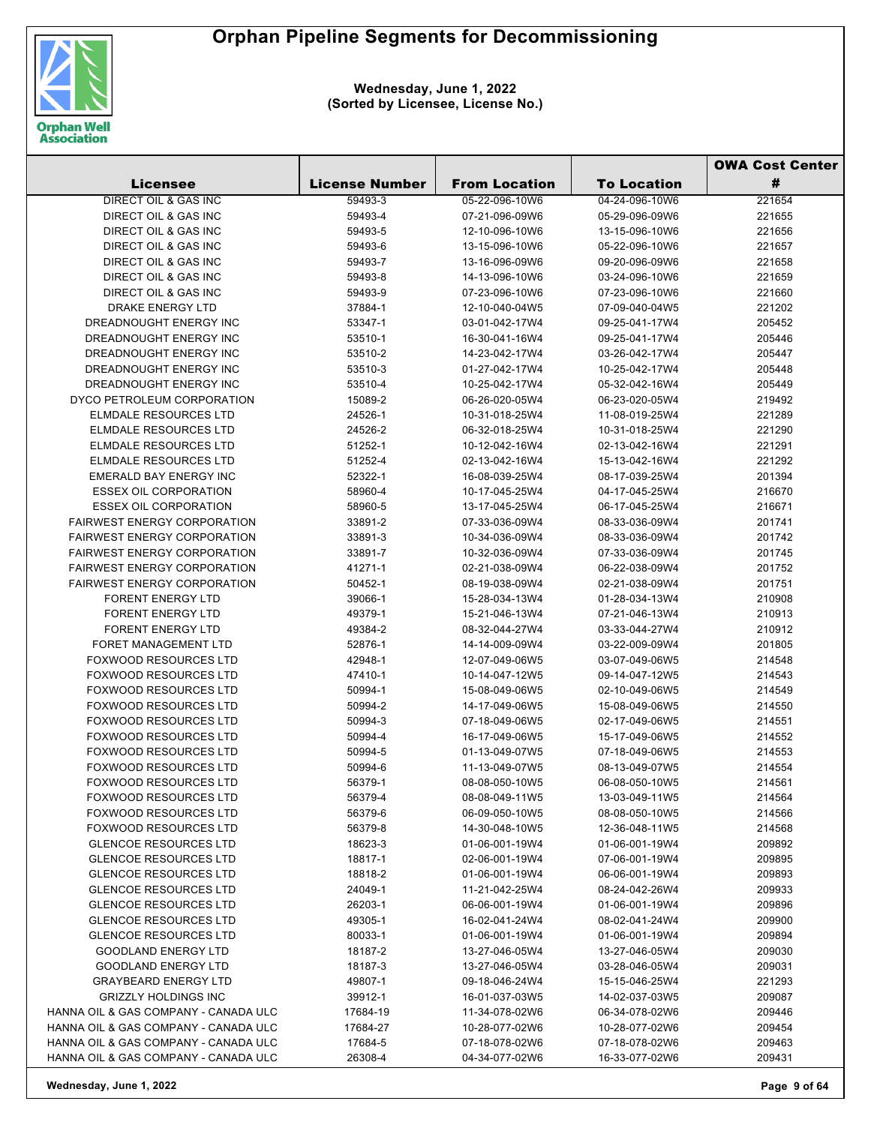

**Wednesday, June 1, 2022 (Sorted by Licensee, License No.)**

|                                      |                       |                      |                    | <b>OWA Cost Center</b> |
|--------------------------------------|-----------------------|----------------------|--------------------|------------------------|
| <b>Licensee</b>                      | <b>License Number</b> | <b>From Location</b> | <b>To Location</b> | #                      |
| DIRECT OIL & GAS INC                 | 59493-3               | 05-22-096-10W6       | 04-24-096-10W6     | 221654                 |
| DIRECT OIL & GAS INC                 | 59493-4               | 07-21-096-09W6       | 05-29-096-09W6     | 221655                 |
| DIRECT OIL & GAS INC                 | 59493-5               | 12-10-096-10W6       | 13-15-096-10W6     | 221656                 |
| DIRECT OIL & GAS INC                 | 59493-6               | 13-15-096-10W6       | 05-22-096-10W6     | 221657                 |
| DIRECT OIL & GAS INC                 | 59493-7               | 13-16-096-09W6       | 09-20-096-09W6     | 221658                 |
| DIRECT OIL & GAS INC                 | 59493-8               | 14-13-096-10W6       | 03-24-096-10W6     | 221659                 |
| DIRECT OIL & GAS INC                 | 59493-9               | 07-23-096-10W6       | 07-23-096-10W6     | 221660                 |
| DRAKE ENERGY LTD                     | 37884-1               | 12-10-040-04W5       | 07-09-040-04W5     | 221202                 |
| DREADNOUGHT ENERGY INC               | 53347-1               | 03-01-042-17W4       | 09-25-041-17W4     | 205452                 |
| DREADNOUGHT ENERGY INC               | 53510-1               | 16-30-041-16W4       | 09-25-041-17W4     | 205446                 |
| DREADNOUGHT ENERGY INC               | 53510-2               | 14-23-042-17W4       | 03-26-042-17W4     | 205447                 |
| DREADNOUGHT ENERGY INC               | 53510-3               | 01-27-042-17W4       | 10-25-042-17W4     | 205448                 |
| DREADNOUGHT ENERGY INC               | 53510-4               | 10-25-042-17W4       | 05-32-042-16W4     | 205449                 |
| DYCO PETROLEUM CORPORATION           | 15089-2               | 06-26-020-05W4       | 06-23-020-05W4     | 219492                 |
| <b>ELMDALE RESOURCES LTD</b>         | 24526-1               | 10-31-018-25W4       | 11-08-019-25W4     | 221289                 |
| ELMDALE RESOURCES LTD                | 24526-2               | 06-32-018-25W4       | 10-31-018-25W4     | 221290                 |
| <b>ELMDALE RESOURCES LTD</b>         | 51252-1               | 10-12-042-16W4       | 02-13-042-16W4     | 221291                 |
| ELMDALE RESOURCES LTD                | 51252-4               | 02-13-042-16W4       | 15-13-042-16W4     | 221292                 |
| EMERALD BAY ENERGY INC               | 52322-1               | 16-08-039-25W4       | 08-17-039-25W4     | 201394                 |
| <b>ESSEX OIL CORPORATION</b>         | 58960-4               | 10-17-045-25W4       | 04-17-045-25W4     | 216670                 |
| <b>ESSEX OIL CORPORATION</b>         | 58960-5               | 13-17-045-25W4       | 06-17-045-25W4     | 216671                 |
| <b>FAIRWEST ENERGY CORPORATION</b>   | 33891-2               | 07-33-036-09W4       | 08-33-036-09W4     | 201741                 |
| <b>FAIRWEST ENERGY CORPORATION</b>   | 33891-3               | 10-34-036-09W4       | 08-33-036-09W4     | 201742                 |
| <b>FAIRWEST ENERGY CORPORATION</b>   | 33891-7               | 10-32-036-09W4       | 07-33-036-09W4     | 201745                 |
| <b>FAIRWEST ENERGY CORPORATION</b>   | 41271-1               | 02-21-038-09W4       | 06-22-038-09W4     | 201752                 |
| <b>FAIRWEST ENERGY CORPORATION</b>   | 50452-1               | 08-19-038-09W4       | 02-21-038-09W4     | 201751                 |
| <b>FORENT ENERGY LTD</b>             | 39066-1               | 15-28-034-13W4       | 01-28-034-13W4     | 210908                 |
| <b>FORENT ENERGY LTD</b>             | 49379-1               | 15-21-046-13W4       | 07-21-046-13W4     | 210913                 |
| <b>FORENT ENERGY LTD</b>             | 49384-2               | 08-32-044-27W4       | 03-33-044-27W4     | 210912                 |
| <b>FORET MANAGEMENT LTD</b>          | 52876-1               | 14-14-009-09W4       | 03-22-009-09W4     | 201805                 |
| <b>FOXWOOD RESOURCES LTD</b>         | 42948-1               | 12-07-049-06W5       | 03-07-049-06W5     | 214548                 |
| <b>FOXWOOD RESOURCES LTD</b>         | 47410-1               | 10-14-047-12W5       | 09-14-047-12W5     | 214543                 |
| <b>FOXWOOD RESOURCES LTD</b>         | 50994-1               | 15-08-049-06W5       | 02-10-049-06W5     | 214549                 |
| <b>FOXWOOD RESOURCES LTD</b>         | 50994-2               | 14-17-049-06W5       | 15-08-049-06W5     | 214550                 |
| <b>FOXWOOD RESOURCES LTD</b>         | 50994-3               | 07-18-049-06W5       | 02-17-049-06W5     | 214551                 |
| <b>FOXWOOD RESOURCES LTD</b>         | 50994-4               | 16-17-049-06W5       | 15-17-049-06W5     | 214552                 |
| <b>FOXWOOD RESOURCES LTD</b>         | 50994-5               | 01-13-049-07W5       | 07-18-049-06W5     | 214553                 |
| FOXWOOD RESOURCES LTD                | 50994-6               | 11-13-049-07W5       | 08-13-049-07W5     | 214554                 |
| <b>FOXWOOD RESOURCES LTD</b>         | 56379-1               | 08-08-050-10W5       | 06-08-050-10W5     | 214561                 |
| <b>FOXWOOD RESOURCES LTD</b>         | 56379-4               | 08-08-049-11W5       | 13-03-049-11W5     | 214564                 |
| <b>FOXWOOD RESOURCES LTD</b>         | 56379-6               | 06-09-050-10W5       | 08-08-050-10W5     | 214566                 |
| <b>FOXWOOD RESOURCES LTD</b>         | 56379-8               | 14-30-048-10W5       | 12-36-048-11W5     | 214568                 |
| <b>GLENCOE RESOURCES LTD</b>         | 18623-3               | 01-06-001-19W4       | 01-06-001-19W4     | 209892                 |
| <b>GLENCOE RESOURCES LTD</b>         | 18817-1               | 02-06-001-19W4       | 07-06-001-19W4     | 209895                 |
| <b>GLENCOE RESOURCES LTD</b>         | 18818-2               | 01-06-001-19W4       | 06-06-001-19W4     | 209893                 |
| <b>GLENCOE RESOURCES LTD</b>         | 24049-1               | 11-21-042-25W4       | 08-24-042-26W4     | 209933                 |
| <b>GLENCOE RESOURCES LTD</b>         | 26203-1               | 06-06-001-19W4       | 01-06-001-19W4     | 209896                 |
| <b>GLENCOE RESOURCES LTD</b>         | 49305-1               | 16-02-041-24W4       | 08-02-041-24W4     | 209900                 |
| <b>GLENCOE RESOURCES LTD</b>         | 80033-1               | 01-06-001-19W4       | 01-06-001-19W4     | 209894                 |
| <b>GOODLAND ENERGY LTD</b>           | 18187-2               | 13-27-046-05W4       | 13-27-046-05W4     | 209030                 |
| <b>GOODLAND ENERGY LTD</b>           | 18187-3               | 13-27-046-05W4       | 03-28-046-05W4     | 209031                 |
| <b>GRAYBEARD ENERGY LTD</b>          | 49807-1               | 09-18-046-24W4       | 15-15-046-25W4     | 221293                 |
| <b>GRIZZLY HOLDINGS INC</b>          | 39912-1               | 16-01-037-03W5       | 14-02-037-03W5     | 209087                 |
| HANNA OIL & GAS COMPANY - CANADA ULC | 17684-19              | 11-34-078-02W6       | 06-34-078-02W6     | 209446                 |
| HANNA OIL & GAS COMPANY - CANADA ULC | 17684-27              | 10-28-077-02W6       | 10-28-077-02W6     | 209454                 |
| HANNA OIL & GAS COMPANY - CANADA ULC | 17684-5               | 07-18-078-02W6       | 07-18-078-02W6     | 209463                 |
| HANNA OIL & GAS COMPANY - CANADA ULC | 26308-4               | 04-34-077-02W6       | 16-33-077-02W6     | 209431                 |

**Wednesday, June 1, 2022 Page 9 of 64**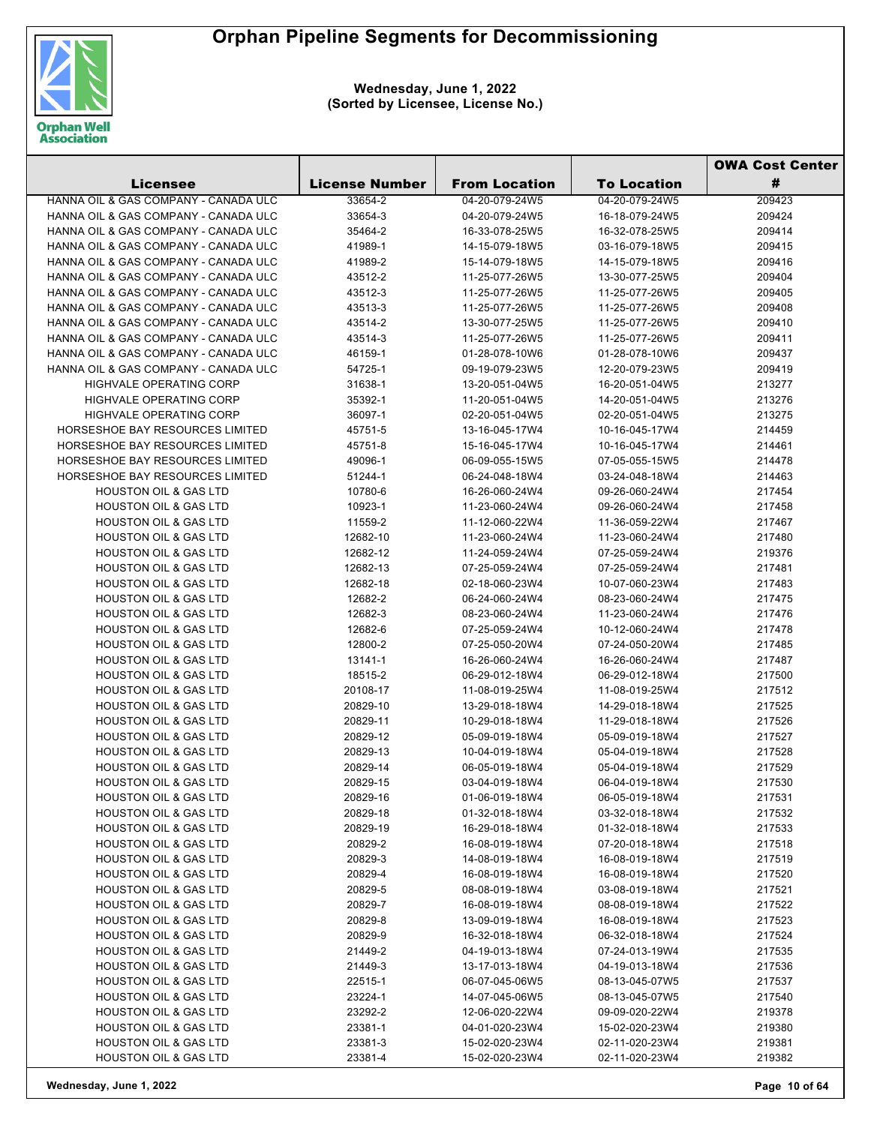

|                                      |                       |                      |                    | <b>OWA Cost Center</b> |
|--------------------------------------|-----------------------|----------------------|--------------------|------------------------|
| Licensee                             | <b>License Number</b> | <b>From Location</b> | <b>To Location</b> | #                      |
| HANNA OIL & GAS COMPANY - CANADA ULC | 33654-2               | 04-20-079-24W5       | 04-20-079-24W5     | 209423                 |
| HANNA OIL & GAS COMPANY - CANADA ULC | 33654-3               | 04-20-079-24W5       | 16-18-079-24W5     | 209424                 |
| HANNA OIL & GAS COMPANY - CANADA ULC | 35464-2               | 16-33-078-25W5       | 16-32-078-25W5     | 209414                 |
| HANNA OIL & GAS COMPANY - CANADA ULC | 41989-1               | 14-15-079-18W5       | 03-16-079-18W5     | 209415                 |
| HANNA OIL & GAS COMPANY - CANADA ULC | 41989-2               | 15-14-079-18W5       | 14-15-079-18W5     | 209416                 |
| HANNA OIL & GAS COMPANY - CANADA ULC | 43512-2               | 11-25-077-26W5       | 13-30-077-25W5     | 209404                 |
| HANNA OIL & GAS COMPANY - CANADA ULC | 43512-3               | 11-25-077-26W5       | 11-25-077-26W5     | 209405                 |
| HANNA OIL & GAS COMPANY - CANADA ULC | 43513-3               | 11-25-077-26W5       | 11-25-077-26W5     | 209408                 |
| HANNA OIL & GAS COMPANY - CANADA ULC | 43514-2               | 13-30-077-25W5       | 11-25-077-26W5     | 209410                 |
| HANNA OIL & GAS COMPANY - CANADA ULC | 43514-3               | 11-25-077-26W5       | 11-25-077-26W5     | 209411                 |
| HANNA OIL & GAS COMPANY - CANADA ULC | 46159-1               | 01-28-078-10W6       | 01-28-078-10W6     | 209437                 |
| HANNA OIL & GAS COMPANY - CANADA ULC | 54725-1               | 09-19-079-23W5       | 12-20-079-23W5     | 209419                 |
| <b>HIGHVALE OPERATING CORP</b>       | 31638-1               | 13-20-051-04W5       | 16-20-051-04W5     | 213277                 |
| HIGHVALE OPERATING CORP              | 35392-1               | 11-20-051-04W5       | 14-20-051-04W5     | 213276                 |
| HIGHVALE OPERATING CORP              | 36097-1               | 02-20-051-04W5       | 02-20-051-04W5     | 213275                 |
| HORSESHOE BAY RESOURCES LIMITED      | 45751-5               | 13-16-045-17W4       | 10-16-045-17W4     | 214459                 |
| HORSESHOE BAY RESOURCES LIMITED      | 45751-8               | 15-16-045-17W4       | 10-16-045-17W4     | 214461                 |
| HORSESHOE BAY RESOURCES LIMITED      | 49096-1               | 06-09-055-15W5       | 07-05-055-15W5     | 214478                 |
| HORSESHOE BAY RESOURCES LIMITED      | 51244-1               | 06-24-048-18W4       | 03-24-048-18W4     | 214463                 |
| <b>HOUSTON OIL &amp; GAS LTD</b>     | 10780-6               | 16-26-060-24W4       | 09-26-060-24W4     | 217454                 |
| <b>HOUSTON OIL &amp; GAS LTD</b>     | 10923-1               | 11-23-060-24W4       | 09-26-060-24W4     | 217458                 |
| <b>HOUSTON OIL &amp; GAS LTD</b>     | 11559-2               | 11-12-060-22W4       | 11-36-059-22W4     | 217467                 |
| <b>HOUSTON OIL &amp; GAS LTD</b>     | 12682-10              | 11-23-060-24W4       | 11-23-060-24W4     | 217480                 |
| <b>HOUSTON OIL &amp; GAS LTD</b>     | 12682-12              | 11-24-059-24W4       | 07-25-059-24W4     | 219376                 |
| <b>HOUSTON OIL &amp; GAS LTD</b>     | 12682-13              | 07-25-059-24W4       | 07-25-059-24W4     | 217481                 |
| <b>HOUSTON OIL &amp; GAS LTD</b>     | 12682-18              | 02-18-060-23W4       | 10-07-060-23W4     | 217483                 |
| <b>HOUSTON OIL &amp; GAS LTD</b>     | 12682-2               | 06-24-060-24W4       | 08-23-060-24W4     | 217475                 |
| <b>HOUSTON OIL &amp; GAS LTD</b>     | 12682-3               | 08-23-060-24W4       | 11-23-060-24W4     | 217476                 |
| <b>HOUSTON OIL &amp; GAS LTD</b>     | 12682-6               | 07-25-059-24W4       | 10-12-060-24W4     | 217478                 |
| <b>HOUSTON OIL &amp; GAS LTD</b>     | 12800-2               | 07-25-050-20W4       | 07-24-050-20W4     | 217485                 |
| <b>HOUSTON OIL &amp; GAS LTD</b>     | 13141-1               | 16-26-060-24W4       | 16-26-060-24W4     | 217487                 |
| <b>HOUSTON OIL &amp; GAS LTD</b>     | 18515-2               | 06-29-012-18W4       | 06-29-012-18W4     |                        |
| <b>HOUSTON OIL &amp; GAS LTD</b>     |                       | 11-08-019-25W4       |                    | 217500                 |
| <b>HOUSTON OIL &amp; GAS LTD</b>     | 20108-17              |                      | 11-08-019-25W4     | 217512                 |
|                                      | 20829-10              | 13-29-018-18W4       | 14-29-018-18W4     | 217525                 |
| <b>HOUSTON OIL &amp; GAS LTD</b>     | 20829-11              | 10-29-018-18W4       | 11-29-018-18W4     | 217526                 |
| <b>HOUSTON OIL &amp; GAS LTD</b>     | 20829-12              | 05-09-019-18W4       | 05-09-019-18W4     | 217527                 |
| <b>HOUSTON OIL &amp; GAS LTD</b>     | 20829-13              | 10-04-019-18W4       | 05-04-019-18W4     | 217528                 |
| <b>HOUSTON OIL &amp; GAS LTD</b>     | 20829-14              | 06-05-019-18W4       | 05-04-019-18W4     | 217529                 |
| <b>HOUSTON OIL &amp; GAS LTD</b>     | 20829-15              | 03-04-019-18W4       | 06-04-019-18W4     | 217530                 |
| <b>HOUSTON OIL &amp; GAS LTD</b>     | 20829-16              | 01-06-019-18W4       | 06-05-019-18W4     | 217531                 |
| <b>HOUSTON OIL &amp; GAS LTD</b>     | 20829-18              | 01-32-018-18W4       | 03-32-018-18W4     | 217532                 |
| <b>HOUSTON OIL &amp; GAS LTD</b>     | 20829-19              | 16-29-018-18W4       | 01-32-018-18W4     | 217533                 |
| <b>HOUSTON OIL &amp; GAS LTD</b>     | 20829-2               | 16-08-019-18W4       | 07-20-018-18W4     | 217518                 |
| HOUSTON OIL & GAS LTD                | 20829-3               | 14-08-019-18W4       | 16-08-019-18W4     | 217519                 |
| <b>HOUSTON OIL &amp; GAS LTD</b>     | 20829-4               | 16-08-019-18W4       | 16-08-019-18W4     | 217520                 |
| <b>HOUSTON OIL &amp; GAS LTD</b>     | 20829-5               | 08-08-019-18W4       | 03-08-019-18W4     | 217521                 |
| <b>HOUSTON OIL &amp; GAS LTD</b>     | 20829-7               | 16-08-019-18W4       | 08-08-019-18W4     | 217522                 |
| <b>HOUSTON OIL &amp; GAS LTD</b>     | 20829-8               | 13-09-019-18W4       | 16-08-019-18W4     | 217523                 |
| <b>HOUSTON OIL &amp; GAS LTD</b>     | 20829-9               | 16-32-018-18W4       | 06-32-018-18W4     | 217524                 |
| <b>HOUSTON OIL &amp; GAS LTD</b>     | 21449-2               | 04-19-013-18W4       | 07-24-013-19W4     | 217535                 |
| <b>HOUSTON OIL &amp; GAS LTD</b>     | 21449-3               | 13-17-013-18W4       | 04-19-013-18W4     | 217536                 |
| <b>HOUSTON OIL &amp; GAS LTD</b>     | 22515-1               | 06-07-045-06W5       | 08-13-045-07W5     | 217537                 |
| <b>HOUSTON OIL &amp; GAS LTD</b>     | 23224-1               | 14-07-045-06W5       | 08-13-045-07W5     | 217540                 |
| <b>HOUSTON OIL &amp; GAS LTD</b>     | 23292-2               | 12-06-020-22W4       | 09-09-020-22W4     | 219378                 |
| <b>HOUSTON OIL &amp; GAS LTD</b>     | 23381-1               | 04-01-020-23W4       | 15-02-020-23W4     | 219380                 |
| <b>HOUSTON OIL &amp; GAS LTD</b>     | 23381-3               | 15-02-020-23W4       | 02-11-020-23W4     | 219381                 |
| <b>HOUSTON OIL &amp; GAS LTD</b>     | 23381-4               | 15-02-020-23W4       | 02-11-020-23W4     | 219382                 |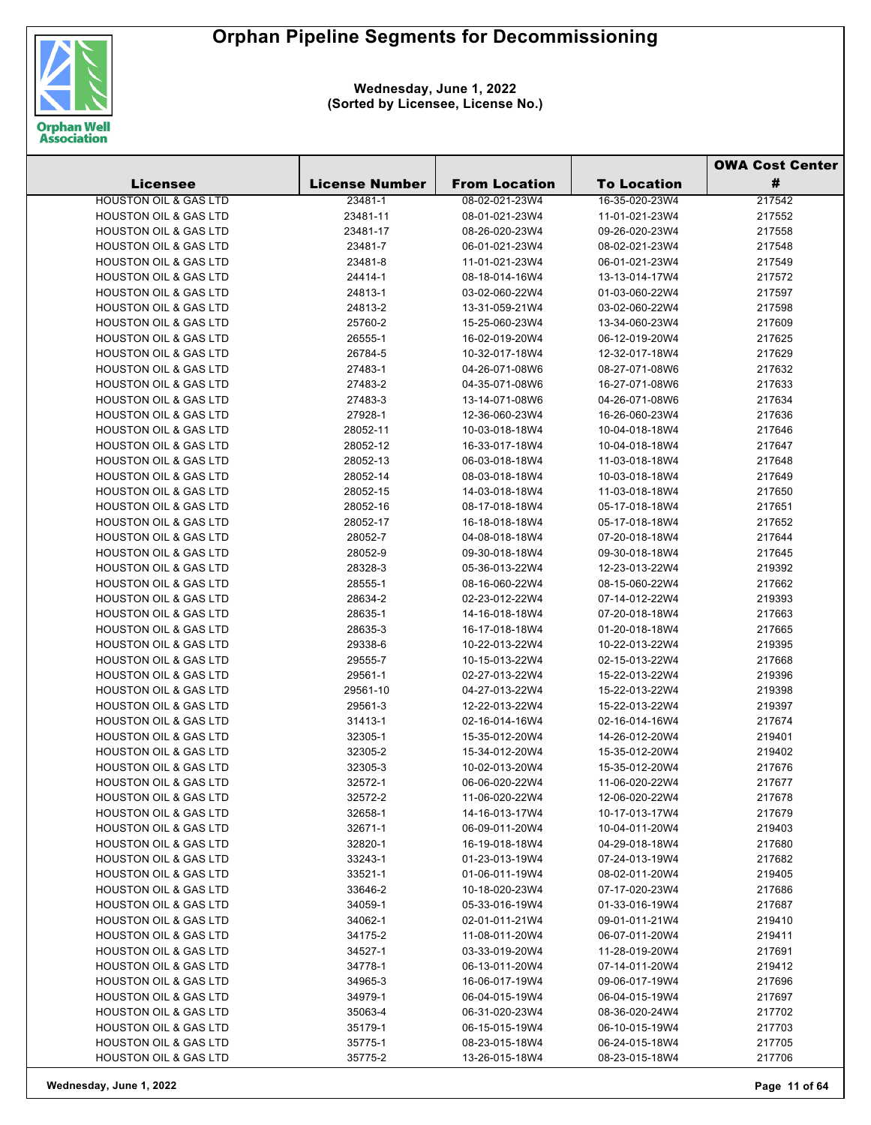

|                                                                      |                       |                      |                    | <b>OWA Cost Center</b> |  |
|----------------------------------------------------------------------|-----------------------|----------------------|--------------------|------------------------|--|
| <b>Licensee</b>                                                      | <b>License Number</b> | <b>From Location</b> | <b>To Location</b> | #                      |  |
| <b>HOUSTON OIL &amp; GAS LTD</b>                                     | 23481-1               | 08-02-021-23W4       | 16-35-020-23W4     | 217542                 |  |
| <b>HOUSTON OIL &amp; GAS LTD</b>                                     | 23481-11              | 08-01-021-23W4       | 11-01-021-23W4     | 217552                 |  |
| <b>HOUSTON OIL &amp; GAS LTD</b>                                     | 23481-17              | 08-26-020-23W4       | 09-26-020-23W4     | 217558                 |  |
| <b>HOUSTON OIL &amp; GAS LTD</b>                                     | 23481-7               | 06-01-021-23W4       | 08-02-021-23W4     | 217548                 |  |
| <b>HOUSTON OIL &amp; GAS LTD</b>                                     | 23481-8               | 11-01-021-23W4       | 06-01-021-23W4     | 217549                 |  |
| <b>HOUSTON OIL &amp; GAS LTD</b>                                     | 24414-1               | 08-18-014-16W4       | 13-13-014-17W4     | 217572                 |  |
| <b>HOUSTON OIL &amp; GAS LTD</b>                                     | 24813-1               | 03-02-060-22W4       | 01-03-060-22W4     | 217597                 |  |
| <b>HOUSTON OIL &amp; GAS LTD</b>                                     | 24813-2               | 13-31-059-21W4       | 03-02-060-22W4     | 217598                 |  |
| <b>HOUSTON OIL &amp; GAS LTD</b>                                     | 25760-2               | 15-25-060-23W4       | 13-34-060-23W4     | 217609                 |  |
| <b>HOUSTON OIL &amp; GAS LTD</b>                                     | 26555-1               | 16-02-019-20W4       | 06-12-019-20W4     | 217625                 |  |
| <b>HOUSTON OIL &amp; GAS LTD</b>                                     | 26784-5               | 10-32-017-18W4       | 12-32-017-18W4     | 217629                 |  |
| <b>HOUSTON OIL &amp; GAS LTD</b>                                     | 27483-1               | 04-26-071-08W6       | 08-27-071-08W6     | 217632                 |  |
| <b>HOUSTON OIL &amp; GAS LTD</b>                                     | 27483-2               | 04-35-071-08W6       | 16-27-071-08W6     | 217633                 |  |
| <b>HOUSTON OIL &amp; GAS LTD</b>                                     | 27483-3               | 13-14-071-08W6       | 04-26-071-08W6     | 217634                 |  |
| <b>HOUSTON OIL &amp; GAS LTD</b>                                     | 27928-1               | 12-36-060-23W4       | 16-26-060-23W4     | 217636                 |  |
| <b>HOUSTON OIL &amp; GAS LTD</b>                                     | 28052-11              | 10-03-018-18W4       | 10-04-018-18W4     | 217646                 |  |
| <b>HOUSTON OIL &amp; GAS LTD</b>                                     | 28052-12              | 16-33-017-18W4       | 10-04-018-18W4     | 217647                 |  |
| <b>HOUSTON OIL &amp; GAS LTD</b>                                     | 28052-13              | 06-03-018-18W4       | 11-03-018-18W4     | 217648                 |  |
| <b>HOUSTON OIL &amp; GAS LTD</b>                                     | 28052-14              | 08-03-018-18W4       | 10-03-018-18W4     | 217649                 |  |
| <b>HOUSTON OIL &amp; GAS LTD</b>                                     | 28052-15              | 14-03-018-18W4       | 11-03-018-18W4     | 217650                 |  |
| <b>HOUSTON OIL &amp; GAS LTD</b>                                     | 28052-16              | 08-17-018-18W4       | 05-17-018-18W4     | 217651                 |  |
| <b>HOUSTON OIL &amp; GAS LTD</b>                                     | 28052-17              | 16-18-018-18W4       | 05-17-018-18W4     | 217652                 |  |
| <b>HOUSTON OIL &amp; GAS LTD</b>                                     | 28052-7               | 04-08-018-18W4       | 07-20-018-18W4     | 217644                 |  |
| <b>HOUSTON OIL &amp; GAS LTD</b>                                     | 28052-9               | 09-30-018-18W4       | 09-30-018-18W4     | 217645                 |  |
| <b>HOUSTON OIL &amp; GAS LTD</b>                                     | 28328-3               | 05-36-013-22W4       | 12-23-013-22W4     | 219392                 |  |
| <b>HOUSTON OIL &amp; GAS LTD</b>                                     | 28555-1               | 08-16-060-22W4       | 08-15-060-22W4     | 217662                 |  |
| <b>HOUSTON OIL &amp; GAS LTD</b>                                     | 28634-2               | 02-23-012-22W4       | 07-14-012-22W4     | 219393                 |  |
| <b>HOUSTON OIL &amp; GAS LTD</b>                                     | 28635-1               | 14-16-018-18W4       | 07-20-018-18W4     | 217663                 |  |
| <b>HOUSTON OIL &amp; GAS LTD</b>                                     | 28635-3               | 16-17-018-18W4       | 01-20-018-18W4     | 217665                 |  |
| <b>HOUSTON OIL &amp; GAS LTD</b>                                     | 29338-6               | 10-22-013-22W4       | 10-22-013-22W4     | 219395                 |  |
| <b>HOUSTON OIL &amp; GAS LTD</b>                                     | 29555-7               | 10-15-013-22W4       | 02-15-013-22W4     | 217668                 |  |
| <b>HOUSTON OIL &amp; GAS LTD</b>                                     | 29561-1               | 02-27-013-22W4       | 15-22-013-22W4     | 219396                 |  |
| <b>HOUSTON OIL &amp; GAS LTD</b>                                     | 29561-10              | 04-27-013-22W4       | 15-22-013-22W4     | 219398                 |  |
| <b>HOUSTON OIL &amp; GAS LTD</b>                                     | 29561-3               | 12-22-013-22W4       | 15-22-013-22W4     | 219397                 |  |
| <b>HOUSTON OIL &amp; GAS LTD</b>                                     | 31413-1               | 02-16-014-16W4       | 02-16-014-16W4     | 217674                 |  |
| <b>HOUSTON OIL &amp; GAS LTD</b>                                     | 32305-1               | 15-35-012-20W4       | 14-26-012-20W4     | 219401                 |  |
| <b>HOUSTON OIL &amp; GAS LTD</b>                                     | 32305-2               | 15-34-012-20W4       | 15-35-012-20W4     | 219402                 |  |
| HOUSTON OIL & GAS LTD                                                | 32305-3               | 10-02-013-20W4       | 15-35-012-20W4     | 217676                 |  |
| <b>HOUSTON OIL &amp; GAS LTD</b>                                     | 32572-1               | 06-06-020-22W4       | 11-06-020-22W4     | 217677                 |  |
| <b>HOUSTON OIL &amp; GAS LTD</b>                                     | 32572-2               | 11-06-020-22W4       | 12-06-020-22W4     | 217678                 |  |
| <b>HOUSTON OIL &amp; GAS LTD</b>                                     | 32658-1               | 14-16-013-17W4       | 10-17-013-17W4     | 217679                 |  |
| <b>HOUSTON OIL &amp; GAS LTD</b>                                     | 32671-1               | 06-09-011-20W4       | 10-04-011-20W4     | 219403                 |  |
| HOUSTON OIL & GAS LTD                                                | 32820-1               | 16-19-018-18W4       | 04-29-018-18W4     | 217680                 |  |
| <b>HOUSTON OIL &amp; GAS LTD</b>                                     | 33243-1               | 01-23-013-19W4       | 07-24-013-19W4     | 217682                 |  |
| <b>HOUSTON OIL &amp; GAS LTD</b>                                     | 33521-1               | 01-06-011-19W4       | 08-02-011-20W4     | 219405                 |  |
| <b>HOUSTON OIL &amp; GAS LTD</b>                                     | 33646-2               | 10-18-020-23W4       | 07-17-020-23W4     | 217686                 |  |
| <b>HOUSTON OIL &amp; GAS LTD</b>                                     | 34059-1               | 05-33-016-19W4       | 01-33-016-19W4     | 217687                 |  |
| <b>HOUSTON OIL &amp; GAS LTD</b>                                     | 34062-1               | 02-01-011-21W4       | 09-01-011-21W4     | 219410                 |  |
| <b>HOUSTON OIL &amp; GAS LTD</b>                                     | 34175-2               | 11-08-011-20W4       | 06-07-011-20W4     | 219411                 |  |
| <b>HOUSTON OIL &amp; GAS LTD</b>                                     | 34527-1               | 03-33-019-20W4       | 11-28-019-20W4     | 217691                 |  |
| <b>HOUSTON OIL &amp; GAS LTD</b>                                     | 34778-1               | 06-13-011-20W4       | 07-14-011-20W4     | 219412                 |  |
| <b>HOUSTON OIL &amp; GAS LTD</b>                                     | 34965-3               | 16-06-017-19W4       | 09-06-017-19W4     | 217696                 |  |
| <b>HOUSTON OIL &amp; GAS LTD</b>                                     | 34979-1               | 06-04-015-19W4       | 06-04-015-19W4     | 217697                 |  |
| <b>HOUSTON OIL &amp; GAS LTD</b><br><b>HOUSTON OIL &amp; GAS LTD</b> | 35063-4               | 06-31-020-23W4       | 08-36-020-24W4     | 217702                 |  |
|                                                                      | 35179-1               | 06-15-015-19W4       | 06-10-015-19W4     | 217703                 |  |
| <b>HOUSTON OIL &amp; GAS LTD</b>                                     | 35775-1               | 08-23-015-18W4       | 06-24-015-18W4     | 217705                 |  |
| <b>HOUSTON OIL &amp; GAS LTD</b>                                     | 35775-2               | 13-26-015-18W4       | 08-23-015-18W4     | 217706                 |  |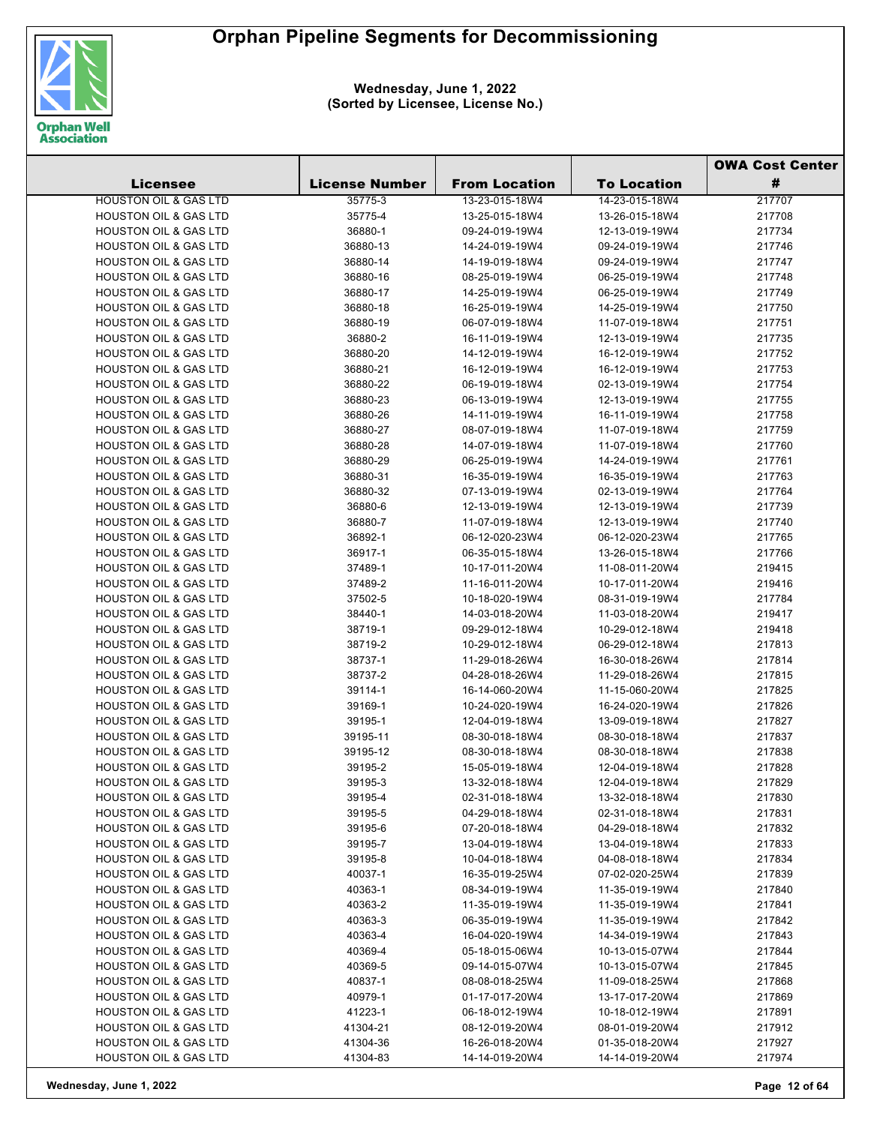

|                                  |                       |                      |                    | <b>OWA Cost Center</b> |
|----------------------------------|-----------------------|----------------------|--------------------|------------------------|
| <b>Licensee</b>                  | <b>License Number</b> | <b>From Location</b> | <b>To Location</b> | #                      |
| <b>HOUSTON OIL &amp; GAS LTD</b> | 35775-3               | 13-23-015-18W4       | 14-23-015-18W4     | 217707                 |
| <b>HOUSTON OIL &amp; GAS LTD</b> | 35775-4               | 13-25-015-18W4       | 13-26-015-18W4     | 217708                 |
| <b>HOUSTON OIL &amp; GAS LTD</b> | 36880-1               | 09-24-019-19W4       | 12-13-019-19W4     | 217734                 |
| <b>HOUSTON OIL &amp; GAS LTD</b> | 36880-13              | 14-24-019-19W4       | 09-24-019-19W4     | 217746                 |
| <b>HOUSTON OIL &amp; GAS LTD</b> | 36880-14              | 14-19-019-18W4       | 09-24-019-19W4     | 217747                 |
| <b>HOUSTON OIL &amp; GAS LTD</b> | 36880-16              | 08-25-019-19W4       | 06-25-019-19W4     | 217748                 |
| <b>HOUSTON OIL &amp; GAS LTD</b> | 36880-17              | 14-25-019-19W4       | 06-25-019-19W4     | 217749                 |
| <b>HOUSTON OIL &amp; GAS LTD</b> | 36880-18              | 16-25-019-19W4       | 14-25-019-19W4     | 217750                 |
| <b>HOUSTON OIL &amp; GAS LTD</b> | 36880-19              | 06-07-019-18W4       | 11-07-019-18W4     | 217751                 |
| <b>HOUSTON OIL &amp; GAS LTD</b> | 36880-2               | 16-11-019-19W4       | 12-13-019-19W4     | 217735                 |
| <b>HOUSTON OIL &amp; GAS LTD</b> | 36880-20              | 14-12-019-19W4       | 16-12-019-19W4     | 217752                 |
| <b>HOUSTON OIL &amp; GAS LTD</b> | 36880-21              | 16-12-019-19W4       | 16-12-019-19W4     | 217753                 |
| <b>HOUSTON OIL &amp; GAS LTD</b> | 36880-22              | 06-19-019-18W4       | 02-13-019-19W4     | 217754                 |
| <b>HOUSTON OIL &amp; GAS LTD</b> | 36880-23              | 06-13-019-19W4       | 12-13-019-19W4     | 217755                 |
| <b>HOUSTON OIL &amp; GAS LTD</b> | 36880-26              | 14-11-019-19W4       | 16-11-019-19W4     | 217758                 |
| <b>HOUSTON OIL &amp; GAS LTD</b> | 36880-27              | 08-07-019-18W4       | 11-07-019-18W4     | 217759                 |
| <b>HOUSTON OIL &amp; GAS LTD</b> | 36880-28              | 14-07-019-18W4       | 11-07-019-18W4     | 217760                 |
| <b>HOUSTON OIL &amp; GAS LTD</b> | 36880-29              | 06-25-019-19W4       | 14-24-019-19W4     | 217761                 |
| <b>HOUSTON OIL &amp; GAS LTD</b> | 36880-31              | 16-35-019-19W4       | 16-35-019-19W4     | 217763                 |
| <b>HOUSTON OIL &amp; GAS LTD</b> | 36880-32              | 07-13-019-19W4       | 02-13-019-19W4     | 217764                 |
| <b>HOUSTON OIL &amp; GAS LTD</b> | 36880-6               | 12-13-019-19W4       | 12-13-019-19W4     | 217739                 |
| <b>HOUSTON OIL &amp; GAS LTD</b> | 36880-7               | 11-07-019-18W4       | 12-13-019-19W4     | 217740                 |
| <b>HOUSTON OIL &amp; GAS LTD</b> | 36892-1               | 06-12-020-23W4       | 06-12-020-23W4     | 217765                 |
| <b>HOUSTON OIL &amp; GAS LTD</b> | 36917-1               | 06-35-015-18W4       | 13-26-015-18W4     | 217766                 |
| <b>HOUSTON OIL &amp; GAS LTD</b> | 37489-1               | 10-17-011-20W4       | 11-08-011-20W4     | 219415                 |
| <b>HOUSTON OIL &amp; GAS LTD</b> | 37489-2               | 11-16-011-20W4       | 10-17-011-20W4     | 219416                 |
| <b>HOUSTON OIL &amp; GAS LTD</b> | 37502-5               | 10-18-020-19W4       | 08-31-019-19W4     | 217784                 |
| <b>HOUSTON OIL &amp; GAS LTD</b> | 38440-1               | 14-03-018-20W4       | 11-03-018-20W4     | 219417                 |
| <b>HOUSTON OIL &amp; GAS LTD</b> | 38719-1               | 09-29-012-18W4       | 10-29-012-18W4     | 219418                 |
| <b>HOUSTON OIL &amp; GAS LTD</b> | 38719-2               | 10-29-012-18W4       | 06-29-012-18W4     | 217813                 |
| <b>HOUSTON OIL &amp; GAS LTD</b> | 38737-1               | 11-29-018-26W4       | 16-30-018-26W4     | 217814                 |
| <b>HOUSTON OIL &amp; GAS LTD</b> | 38737-2               | 04-28-018-26W4       | 11-29-018-26W4     | 217815                 |
| <b>HOUSTON OIL &amp; GAS LTD</b> | 39114-1               | 16-14-060-20W4       | 11-15-060-20W4     | 217825                 |
| <b>HOUSTON OIL &amp; GAS LTD</b> | 39169-1               | 10-24-020-19W4       | 16-24-020-19W4     | 217826                 |
| <b>HOUSTON OIL &amp; GAS LTD</b> | 39195-1               | 12-04-019-18W4       | 13-09-019-18W4     | 217827                 |
| <b>HOUSTON OIL &amp; GAS LTD</b> | 39195-11              | 08-30-018-18W4       | 08-30-018-18W4     | 217837                 |
| <b>HOUSTON OIL &amp; GAS LTD</b> | 39195-12              | 08-30-018-18W4       | 08-30-018-18W4     | 217838                 |
| HOUSTON OIL & GAS LTD            | 39195-2               | 15-05-019-18W4       | 12-04-019-18W4     | 217828                 |
| <b>HOUSTON OIL &amp; GAS LTD</b> | 39195-3               | 13-32-018-18W4       | 12-04-019-18W4     | 217829                 |
| <b>HOUSTON OIL &amp; GAS LTD</b> | 39195-4               | 02-31-018-18W4       | 13-32-018-18W4     | 217830                 |
| <b>HOUSTON OIL &amp; GAS LTD</b> | 39195-5               | 04-29-018-18W4       | 02-31-018-18W4     | 217831                 |
| <b>HOUSTON OIL &amp; GAS LTD</b> | 39195-6               | 07-20-018-18W4       | 04-29-018-18W4     | 217832                 |
| <b>HOUSTON OIL &amp; GAS LTD</b> | 39195-7               | 13-04-019-18W4       | 13-04-019-18W4     | 217833                 |
| <b>HOUSTON OIL &amp; GAS LTD</b> | 39195-8               | 10-04-018-18W4       | 04-08-018-18W4     | 217834                 |
| <b>HOUSTON OIL &amp; GAS LTD</b> | 40037-1               | 16-35-019-25W4       | 07-02-020-25W4     | 217839                 |
| <b>HOUSTON OIL &amp; GAS LTD</b> | 40363-1               | 08-34-019-19W4       | 11-35-019-19W4     | 217840                 |
| <b>HOUSTON OIL &amp; GAS LTD</b> | 40363-2               | 11-35-019-19W4       | 11-35-019-19W4     | 217841                 |
| <b>HOUSTON OIL &amp; GAS LTD</b> | 40363-3               | 06-35-019-19W4       | 11-35-019-19W4     | 217842                 |
| <b>HOUSTON OIL &amp; GAS LTD</b> | 40363-4               | 16-04-020-19W4       | 14-34-019-19W4     | 217843                 |
| <b>HOUSTON OIL &amp; GAS LTD</b> | 40369-4               | 05-18-015-06W4       | 10-13-015-07W4     | 217844                 |
| <b>HOUSTON OIL &amp; GAS LTD</b> | 40369-5               | 09-14-015-07W4       | 10-13-015-07W4     | 217845                 |
| <b>HOUSTON OIL &amp; GAS LTD</b> | 40837-1               | 08-08-018-25W4       | 11-09-018-25W4     | 217868                 |
| <b>HOUSTON OIL &amp; GAS LTD</b> | 40979-1               | 01-17-017-20W4       | 13-17-017-20W4     | 217869                 |
| <b>HOUSTON OIL &amp; GAS LTD</b> | 41223-1               | 06-18-012-19W4       | 10-18-012-19W4     | 217891                 |
| <b>HOUSTON OIL &amp; GAS LTD</b> | 41304-21              | 08-12-019-20W4       | 08-01-019-20W4     | 217912                 |
| <b>HOUSTON OIL &amp; GAS LTD</b> | 41304-36              | 16-26-018-20W4       | 01-35-018-20W4     | 217927                 |
| <b>HOUSTON OIL &amp; GAS LTD</b> | 41304-83              | 14-14-019-20W4       | 14-14-019-20W4     | 217974                 |
|                                  |                       |                      |                    |                        |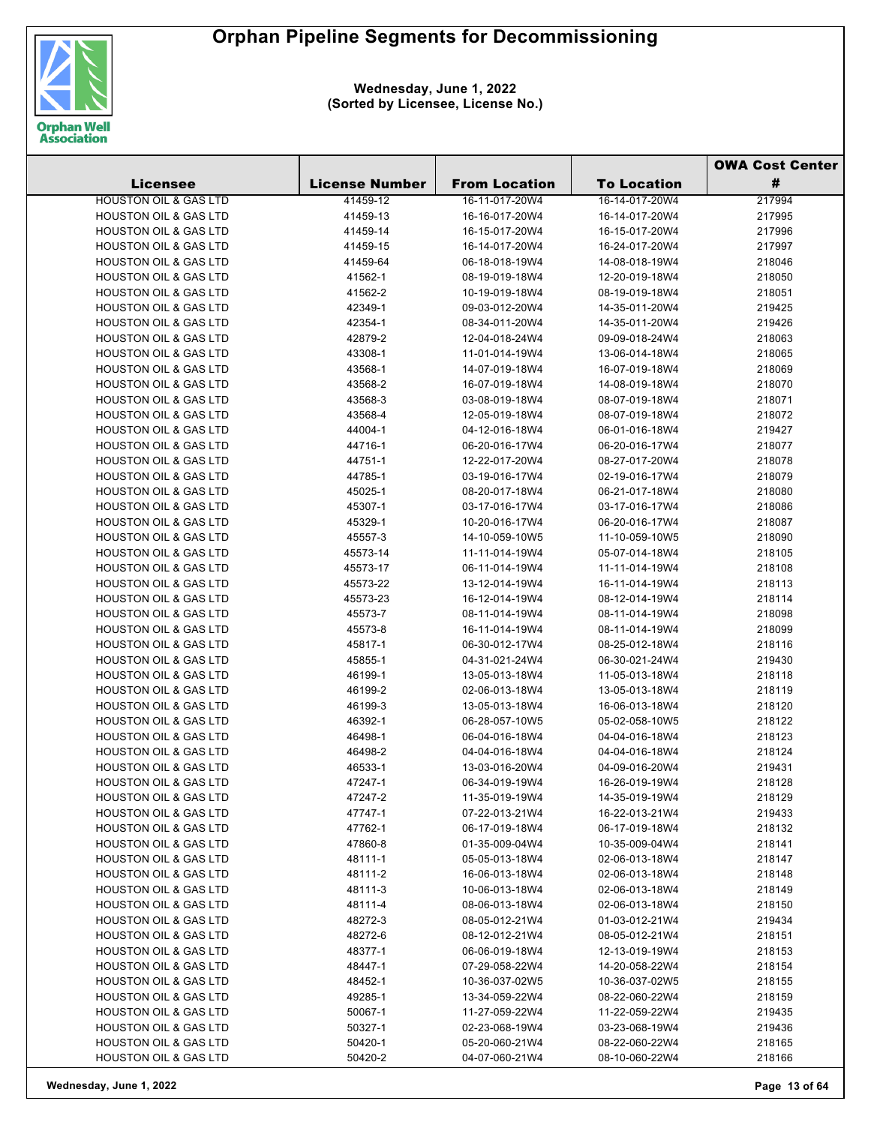

**Wednesday, June 1, 2022 (Sorted by Licensee, License No.)**

|                                                                      |                       |                                  |                                  | <b>OWA Cost Center</b> |  |
|----------------------------------------------------------------------|-----------------------|----------------------------------|----------------------------------|------------------------|--|
| <b>Licensee</b>                                                      | <b>License Number</b> | <b>From Location</b>             | <b>To Location</b>               | #                      |  |
| <b>HOUSTON OIL &amp; GAS LTD</b>                                     | 41459-12              | 16-11-017-20W4                   | 16-14-017-20W4                   | 217994                 |  |
| <b>HOUSTON OIL &amp; GAS LTD</b>                                     | 41459-13              | 16-16-017-20W4                   | 16-14-017-20W4                   | 217995                 |  |
| <b>HOUSTON OIL &amp; GAS LTD</b>                                     | 41459-14              | 16-15-017-20W4                   | 16-15-017-20W4                   | 217996                 |  |
| <b>HOUSTON OIL &amp; GAS LTD</b>                                     | 41459-15              | 16-14-017-20W4                   | 16-24-017-20W4                   | 217997                 |  |
| <b>HOUSTON OIL &amp; GAS LTD</b>                                     | 41459-64              | 06-18-018-19W4                   | 14-08-018-19W4                   | 218046                 |  |
| <b>HOUSTON OIL &amp; GAS LTD</b>                                     | 41562-1               | 08-19-019-18W4                   | 12-20-019-18W4                   | 218050                 |  |
| <b>HOUSTON OIL &amp; GAS LTD</b>                                     | 41562-2               | 10-19-019-18W4                   | 08-19-019-18W4                   | 218051                 |  |
| <b>HOUSTON OIL &amp; GAS LTD</b>                                     | 42349-1               | 09-03-012-20W4                   | 14-35-011-20W4                   | 219425                 |  |
| <b>HOUSTON OIL &amp; GAS LTD</b>                                     | 42354-1               | 08-34-011-20W4                   | 14-35-011-20W4                   | 219426                 |  |
| <b>HOUSTON OIL &amp; GAS LTD</b>                                     | 42879-2               | 12-04-018-24W4                   | 09-09-018-24W4                   | 218063                 |  |
| <b>HOUSTON OIL &amp; GAS LTD</b>                                     | 43308-1               | 11-01-014-19W4                   | 13-06-014-18W4                   | 218065                 |  |
| <b>HOUSTON OIL &amp; GAS LTD</b>                                     | 43568-1               | 14-07-019-18W4                   | 16-07-019-18W4                   | 218069                 |  |
| <b>HOUSTON OIL &amp; GAS LTD</b>                                     | 43568-2               | 16-07-019-18W4                   | 14-08-019-18W4                   | 218070                 |  |
| <b>HOUSTON OIL &amp; GAS LTD</b>                                     | 43568-3               | 03-08-019-18W4                   | 08-07-019-18W4                   | 218071                 |  |
| <b>HOUSTON OIL &amp; GAS LTD</b>                                     | 43568-4               | 12-05-019-18W4                   | 08-07-019-18W4                   | 218072                 |  |
| <b>HOUSTON OIL &amp; GAS LTD</b>                                     | 44004-1               | 04-12-016-18W4                   | 06-01-016-18W4                   | 219427                 |  |
| <b>HOUSTON OIL &amp; GAS LTD</b>                                     | 44716-1               | 06-20-016-17W4                   | 06-20-016-17W4                   | 218077                 |  |
| <b>HOUSTON OIL &amp; GAS LTD</b>                                     | 44751-1               | 12-22-017-20W4                   | 08-27-017-20W4                   | 218078                 |  |
| <b>HOUSTON OIL &amp; GAS LTD</b>                                     | 44785-1               | 03-19-016-17W4                   | 02-19-016-17W4                   | 218079                 |  |
| <b>HOUSTON OIL &amp; GAS LTD</b>                                     | 45025-1               | 08-20-017-18W4                   | 06-21-017-18W4                   | 218080                 |  |
| <b>HOUSTON OIL &amp; GAS LTD</b>                                     | 45307-1               | 03-17-016-17W4                   | 03-17-016-17W4                   | 218086                 |  |
| <b>HOUSTON OIL &amp; GAS LTD</b>                                     | 45329-1               | 10-20-016-17W4                   | 06-20-016-17W4                   | 218087                 |  |
| <b>HOUSTON OIL &amp; GAS LTD</b>                                     | 45557-3               | 14-10-059-10W5                   | 11-10-059-10W5                   | 218090                 |  |
| <b>HOUSTON OIL &amp; GAS LTD</b>                                     | 45573-14              | 11-11-014-19W4                   | 05-07-014-18W4                   | 218105                 |  |
| <b>HOUSTON OIL &amp; GAS LTD</b>                                     | 45573-17              | 06-11-014-19W4                   | 11-11-014-19W4                   | 218108                 |  |
| <b>HOUSTON OIL &amp; GAS LTD</b>                                     | 45573-22              | 13-12-014-19W4                   | 16-11-014-19W4                   | 218113                 |  |
| <b>HOUSTON OIL &amp; GAS LTD</b>                                     | 45573-23              | 16-12-014-19W4                   | 08-12-014-19W4                   | 218114                 |  |
| <b>HOUSTON OIL &amp; GAS LTD</b>                                     | 45573-7               | 08-11-014-19W4                   | 08-11-014-19W4                   | 218098                 |  |
| <b>HOUSTON OIL &amp; GAS LTD</b>                                     | 45573-8               | 16-11-014-19W4                   | 08-11-014-19W4                   | 218099                 |  |
| <b>HOUSTON OIL &amp; GAS LTD</b>                                     | 45817-1               | 06-30-012-17W4                   | 08-25-012-18W4                   | 218116                 |  |
| <b>HOUSTON OIL &amp; GAS LTD</b>                                     |                       |                                  | 06-30-021-24W4                   |                        |  |
| <b>HOUSTON OIL &amp; GAS LTD</b>                                     | 45855-1               | 04-31-021-24W4                   |                                  | 219430                 |  |
| <b>HOUSTON OIL &amp; GAS LTD</b>                                     | 46199-1               | 13-05-013-18W4                   | 11-05-013-18W4<br>13-05-013-18W4 | 218118                 |  |
|                                                                      | 46199-2               | 02-06-013-18W4                   |                                  | 218119                 |  |
| <b>HOUSTON OIL &amp; GAS LTD</b><br><b>HOUSTON OIL &amp; GAS LTD</b> | 46199-3               | 13-05-013-18W4<br>06-28-057-10W5 | 16-06-013-18W4<br>05-02-058-10W5 | 218120                 |  |
| <b>HOUSTON OIL &amp; GAS LTD</b>                                     | 46392-1               |                                  |                                  | 218122<br>218123       |  |
| <b>HOUSTON OIL &amp; GAS LTD</b>                                     | 46498-1<br>46498-2    | 06-04-016-18W4<br>04-04-016-18W4 | 04-04-016-18W4<br>04-04-016-18W4 | 218124                 |  |
| <b>HOUSTON OIL &amp; GAS LTD</b>                                     | 46533-1               | 13-03-016-20W4                   | 04-09-016-20W4                   | 219431                 |  |
| <b>HOUSTON OIL &amp; GAS LTD</b>                                     |                       |                                  |                                  |                        |  |
| <b>HOUSTON OIL &amp; GAS LTD</b>                                     | 47247-1<br>47247-2    | 06-34-019-19W4<br>11-35-019-19W4 | 16-26-019-19W4<br>14-35-019-19W4 | 218128<br>218129       |  |
| <b>HOUSTON OIL &amp; GAS LTD</b>                                     | 47747-1               | 07-22-013-21W4                   | 16-22-013-21W4                   | 219433                 |  |
| <b>HOUSTON OIL &amp; GAS LTD</b>                                     |                       |                                  |                                  |                        |  |
| <b>HOUSTON OIL &amp; GAS LTD</b>                                     | 47762-1               | 06-17-019-18W4                   | 06-17-019-18W4                   | 218132                 |  |
| <b>HOUSTON OIL &amp; GAS LTD</b>                                     | 47860-8               | 01-35-009-04W4<br>05-05-013-18W4 | 10-35-009-04W4                   | 218141                 |  |
| <b>HOUSTON OIL &amp; GAS LTD</b>                                     | 48111-1               |                                  | 02-06-013-18W4                   | 218147                 |  |
|                                                                      | 48111-2               | 16-06-013-18W4                   | 02-06-013-18W4                   | 218148                 |  |
| <b>HOUSTON OIL &amp; GAS LTD</b>                                     | 48111-3               | 10-06-013-18W4                   | 02-06-013-18W4                   | 218149                 |  |
| <b>HOUSTON OIL &amp; GAS LTD</b><br><b>HOUSTON OIL &amp; GAS LTD</b> | 48111-4               | 08-06-013-18W4                   | 02-06-013-18W4                   | 218150                 |  |
|                                                                      | 48272-3               | 08-05-012-21W4                   | 01-03-012-21W4                   | 219434                 |  |
| <b>HOUSTON OIL &amp; GAS LTD</b>                                     | 48272-6               | 08-12-012-21W4                   | 08-05-012-21W4                   | 218151                 |  |
| <b>HOUSTON OIL &amp; GAS LTD</b>                                     | 48377-1               | 06-06-019-18W4                   | 12-13-019-19W4                   | 218153                 |  |
| <b>HOUSTON OIL &amp; GAS LTD</b>                                     | 48447-1               | 07-29-058-22W4                   | 14-20-058-22W4                   | 218154                 |  |
| <b>HOUSTON OIL &amp; GAS LTD</b>                                     | 48452-1               | 10-36-037-02W5                   | 10-36-037-02W5                   | 218155                 |  |
| <b>HOUSTON OIL &amp; GAS LTD</b>                                     | 49285-1               | 13-34-059-22W4                   | 08-22-060-22W4                   | 218159                 |  |
| <b>HOUSTON OIL &amp; GAS LTD</b>                                     | 50067-1               | 11-27-059-22W4                   | 11-22-059-22W4                   | 219435                 |  |
| <b>HOUSTON OIL &amp; GAS LTD</b>                                     | 50327-1               | 02-23-068-19W4                   | 03-23-068-19W4                   | 219436                 |  |
| <b>HOUSTON OIL &amp; GAS LTD</b>                                     | 50420-1               | 05-20-060-21W4                   | 08-22-060-22W4                   | 218165                 |  |
| <b>HOUSTON OIL &amp; GAS LTD</b>                                     | 50420-2               | 04-07-060-21W4                   | 08-10-060-22W4                   | 218166                 |  |

**Wednesday, June 1, 2022 Page 13 of 64**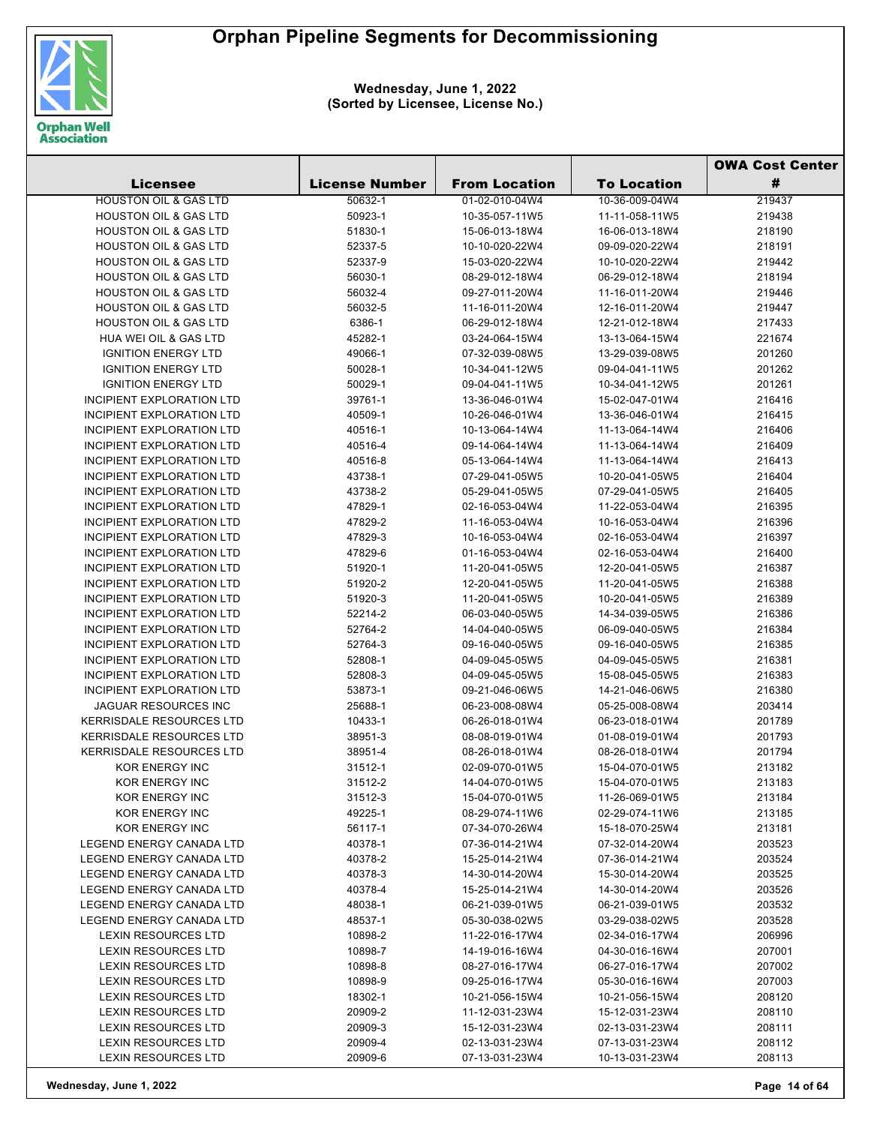

| <b>License Number</b><br>#<br><b>Licensee</b><br><b>From Location</b><br><b>To Location</b><br><b>HOUSTON OIL &amp; GAS LTD</b><br>50632-1<br>01-02-010-04W4<br>10-36-009-04W4<br>219437<br><b>HOUSTON OIL &amp; GAS LTD</b><br>50923-1<br>10-35-057-11W5<br>11-11-058-11W5<br>219438<br><b>HOUSTON OIL &amp; GAS LTD</b><br>51830-1<br>15-06-013-18W4<br>16-06-013-18W4<br>218190<br><b>HOUSTON OIL &amp; GAS LTD</b><br>52337-5<br>10-10-020-22W4<br>09-09-020-22W4<br>218191<br><b>HOUSTON OIL &amp; GAS LTD</b><br>52337-9<br>15-03-020-22W4<br>10-10-020-22W4<br>219442<br><b>HOUSTON OIL &amp; GAS LTD</b><br>56030-1<br>08-29-012-18W4<br>06-29-012-18W4<br>218194<br><b>HOUSTON OIL &amp; GAS LTD</b><br>56032-4<br>09-27-011-20W4<br>11-16-011-20W4<br>219446<br><b>HOUSTON OIL &amp; GAS LTD</b><br>56032-5<br>11-16-011-20W4<br>12-16-011-20W4<br>219447<br><b>HOUSTON OIL &amp; GAS LTD</b><br>6386-1<br>06-29-012-18W4<br>12-21-012-18W4<br>217433<br><b>HUA WEI OIL &amp; GAS LTD</b><br>45282-1<br>03-24-064-15W4<br>13-13-064-15W4<br>221674<br><b>IGNITION ENERGY LTD</b><br>49066-1<br>07-32-039-08W5<br>13-29-039-08W5<br>201260<br><b>IGNITION ENERGY LTD</b><br>50028-1<br>10-34-041-12W5<br>09-04-041-11W5<br>201262<br><b>IGNITION ENERGY LTD</b><br>50029-1<br>09-04-041-11W5<br>201261<br>10-34-041-12W5<br><b>INCIPIENT EXPLORATION LTD</b><br>39761-1<br>15-02-047-01W4<br>216416<br>13-36-046-01W4<br><b>INCIPIENT EXPLORATION LTD</b><br>40509-1<br>10-26-046-01W4<br>13-36-046-01W4<br>216415<br><b>INCIPIENT EXPLORATION LTD</b><br>40516-1<br>10-13-064-14W4<br>11-13-064-14W4<br>216406<br><b>INCIPIENT EXPLORATION LTD</b><br>40516-4<br>09-14-064-14W4<br>11-13-064-14W4<br>216409<br><b>INCIPIENT EXPLORATION LTD</b><br>40516-8<br>05-13-064-14W4<br>11-13-064-14W4<br>216413<br>INCIPIENT EXPLORATION LTD<br>43738-1<br>07-29-041-05W5<br>10-20-041-05W5<br>216404<br><b>INCIPIENT EXPLORATION LTD</b><br>43738-2<br>05-29-041-05W5<br>07-29-041-05W5<br>216405<br><b>INCIPIENT EXPLORATION LTD</b><br>47829-1<br>02-16-053-04W4<br>11-22-053-04W4<br>216395<br><b>INCIPIENT EXPLORATION LTD</b><br>47829-2<br>11-16-053-04W4<br>10-16-053-04W4<br>216396<br><b>INCIPIENT EXPLORATION LTD</b><br>47829-3<br>10-16-053-04W4<br>02-16-053-04W4<br>216397<br><b>INCIPIENT EXPLORATION LTD</b><br>47829-6<br>01-16-053-04W4<br>02-16-053-04W4<br>216400<br><b>INCIPIENT EXPLORATION LTD</b><br>51920-1<br>216387<br>11-20-041-05W5<br>12-20-041-05W5<br><b>INCIPIENT EXPLORATION LTD</b><br>51920-2<br>12-20-041-05W5<br>11-20-041-05W5<br>216388<br>INCIPIENT EXPLORATION LTD<br>51920-3<br>11-20-041-05W5<br>216389<br>10-20-041-05W5<br><b>INCIPIENT EXPLORATION LTD</b><br>52214-2<br>06-03-040-05W5<br>14-34-039-05W5<br>216386<br><b>INCIPIENT EXPLORATION LTD</b><br>52764-2<br>14-04-040-05W5<br>06-09-040-05W5<br>216384<br><b>INCIPIENT EXPLORATION LTD</b><br>52764-3<br>09-16-040-05W5<br>09-16-040-05W5<br>216385<br><b>INCIPIENT EXPLORATION LTD</b><br>52808-1<br>04-09-045-05W5<br>04-09-045-05W5<br>216381<br><b>INCIPIENT EXPLORATION LTD</b><br>52808-3<br>04-09-045-05W5<br>15-08-045-05W5<br>216383<br><b>INCIPIENT EXPLORATION LTD</b><br>53873-1<br>09-21-046-06W5<br>14-21-046-06W5<br>216380<br><b>JAGUAR RESOURCES INC</b><br>25688-1<br>06-23-008-08W4<br>05-25-008-08W4<br>203414<br><b>KERRISDALE RESOURCES LTD</b><br>10433-1<br>06-23-018-01W4<br>201789<br>06-26-018-01W4<br><b>KERRISDALE RESOURCES LTD</b><br>38951-3<br>08-08-019-01W4<br>01-08-019-01W4<br>201793<br><b>KERRISDALE RESOURCES LTD</b><br>201794<br>38951-4<br>08-26-018-01W4<br>08-26-018-01W4<br>KOR ENERGY INC<br>31512-1<br>02-09-070-01W5<br>15-04-070-01W5<br>213182<br>KOR ENERGY INC<br>14-04-070-01W5<br>15-04-070-01W5<br>213183<br>31512-2<br>KOR ENERGY INC<br>31512-3<br>15-04-070-01W5<br>11-26-069-01W5<br>213184<br>49225-1<br><b>KOR ENERGY INC</b><br>08-29-074-11W6<br>02-29-074-11W6<br>213185<br>KOR ENERGY INC<br>56117-1<br>07-34-070-26W4<br>15-18-070-25W4<br>213181<br>LEGEND ENERGY CANADA LTD<br>40378-1<br>07-36-014-21W4<br>07-32-014-20W4<br>203523<br>LEGEND ENERGY CANADA LTD<br>40378-2<br>15-25-014-21W4<br>07-36-014-21W4<br>203524<br>LEGEND ENERGY CANADA LTD<br>40378-3<br>14-30-014-20W4<br>15-30-014-20W4<br>203525<br>LEGEND ENERGY CANADA LTD<br>40378-4<br>15-25-014-21W4<br>14-30-014-20W4<br>203526<br>LEGEND ENERGY CANADA LTD<br>48038-1<br>203532<br>06-21-039-01W5<br>06-21-039-01W5<br>LEGEND ENERGY CANADA LTD<br>48537-1<br>05-30-038-02W5<br>03-29-038-02W5<br>203528<br><b>LEXIN RESOURCES LTD</b><br>10898-2<br>11-22-016-17W4<br>02-34-016-17W4<br>206996<br>LEXIN RESOURCES LTD<br>207001<br>10898-7<br>14-19-016-16W4<br>04-30-016-16W4<br>LEXIN RESOURCES LTD<br>10898-8<br>08-27-016-17W4<br>207002<br>06-27-016-17W4<br>LEXIN RESOURCES LTD<br>09-25-016-17W4<br>207003<br>10898-9<br>05-30-016-16W4<br><b>LEXIN RESOURCES LTD</b><br>18302-1<br>10-21-056-15W4<br>10-21-056-15W4<br>208120<br><b>LEXIN RESOURCES LTD</b><br>20909-2<br>11-12-031-23W4<br>15-12-031-23W4<br>208110<br><b>LEXIN RESOURCES LTD</b><br>20909-3<br>15-12-031-23W4<br>208111<br>02-13-031-23W4<br>LEXIN RESOURCES LTD<br>20909-4<br>02-13-031-23W4<br>208112<br>07-13-031-23W4 |                     |         |                |                | <b>OWA Cost Center</b> |  |
|-------------------------------------------------------------------------------------------------------------------------------------------------------------------------------------------------------------------------------------------------------------------------------------------------------------------------------------------------------------------------------------------------------------------------------------------------------------------------------------------------------------------------------------------------------------------------------------------------------------------------------------------------------------------------------------------------------------------------------------------------------------------------------------------------------------------------------------------------------------------------------------------------------------------------------------------------------------------------------------------------------------------------------------------------------------------------------------------------------------------------------------------------------------------------------------------------------------------------------------------------------------------------------------------------------------------------------------------------------------------------------------------------------------------------------------------------------------------------------------------------------------------------------------------------------------------------------------------------------------------------------------------------------------------------------------------------------------------------------------------------------------------------------------------------------------------------------------------------------------------------------------------------------------------------------------------------------------------------------------------------------------------------------------------------------------------------------------------------------------------------------------------------------------------------------------------------------------------------------------------------------------------------------------------------------------------------------------------------------------------------------------------------------------------------------------------------------------------------------------------------------------------------------------------------------------------------------------------------------------------------------------------------------------------------------------------------------------------------------------------------------------------------------------------------------------------------------------------------------------------------------------------------------------------------------------------------------------------------------------------------------------------------------------------------------------------------------------------------------------------------------------------------------------------------------------------------------------------------------------------------------------------------------------------------------------------------------------------------------------------------------------------------------------------------------------------------------------------------------------------------------------------------------------------------------------------------------------------------------------------------------------------------------------------------------------------------------------------------------------------------------------------------------------------------------------------------------------------------------------------------------------------------------------------------------------------------------------------------------------------------------------------------------------------------------------------------------------------------------------------------------------------------------------------------------------------------------------------------------------------------------------------------------------------------------------------------------------------------------------------------------------------------------------------------------------------------------------------------------------------------------------------------------------------------------------------------------------------------------------------------------------------------------------------------------------------------------------------------------------------------------------------------------------------------------------------------------------------------------------------------------------------------------------------------------------------------------------------------------------------------------------------------------------------------------------------------------------------------------------------------------------------------------------------------------------------------------------------------------------------------------------|---------------------|---------|----------------|----------------|------------------------|--|
|                                                                                                                                                                                                                                                                                                                                                                                                                                                                                                                                                                                                                                                                                                                                                                                                                                                                                                                                                                                                                                                                                                                                                                                                                                                                                                                                                                                                                                                                                                                                                                                                                                                                                                                                                                                                                                                                                                                                                                                                                                                                                                                                                                                                                                                                                                                                                                                                                                                                                                                                                                                                                                                                                                                                                                                                                                                                                                                                                                                                                                                                                                                                                                                                                                                                                                                                                                                                                                                                                                                                                                                                                                                                                                                                                                                                                                                                                                                                                                                                                                                                                                                                                                                                                                                                                                                                                                                                                                                                                                                                                                                                                                                                                                                                                                                                                                                                                                                                                                                                                                                                                                                                                                                                                                                             |                     |         |                |                |                        |  |
|                                                                                                                                                                                                                                                                                                                                                                                                                                                                                                                                                                                                                                                                                                                                                                                                                                                                                                                                                                                                                                                                                                                                                                                                                                                                                                                                                                                                                                                                                                                                                                                                                                                                                                                                                                                                                                                                                                                                                                                                                                                                                                                                                                                                                                                                                                                                                                                                                                                                                                                                                                                                                                                                                                                                                                                                                                                                                                                                                                                                                                                                                                                                                                                                                                                                                                                                                                                                                                                                                                                                                                                                                                                                                                                                                                                                                                                                                                                                                                                                                                                                                                                                                                                                                                                                                                                                                                                                                                                                                                                                                                                                                                                                                                                                                                                                                                                                                                                                                                                                                                                                                                                                                                                                                                                             |                     |         |                |                |                        |  |
|                                                                                                                                                                                                                                                                                                                                                                                                                                                                                                                                                                                                                                                                                                                                                                                                                                                                                                                                                                                                                                                                                                                                                                                                                                                                                                                                                                                                                                                                                                                                                                                                                                                                                                                                                                                                                                                                                                                                                                                                                                                                                                                                                                                                                                                                                                                                                                                                                                                                                                                                                                                                                                                                                                                                                                                                                                                                                                                                                                                                                                                                                                                                                                                                                                                                                                                                                                                                                                                                                                                                                                                                                                                                                                                                                                                                                                                                                                                                                                                                                                                                                                                                                                                                                                                                                                                                                                                                                                                                                                                                                                                                                                                                                                                                                                                                                                                                                                                                                                                                                                                                                                                                                                                                                                                             |                     |         |                |                |                        |  |
|                                                                                                                                                                                                                                                                                                                                                                                                                                                                                                                                                                                                                                                                                                                                                                                                                                                                                                                                                                                                                                                                                                                                                                                                                                                                                                                                                                                                                                                                                                                                                                                                                                                                                                                                                                                                                                                                                                                                                                                                                                                                                                                                                                                                                                                                                                                                                                                                                                                                                                                                                                                                                                                                                                                                                                                                                                                                                                                                                                                                                                                                                                                                                                                                                                                                                                                                                                                                                                                                                                                                                                                                                                                                                                                                                                                                                                                                                                                                                                                                                                                                                                                                                                                                                                                                                                                                                                                                                                                                                                                                                                                                                                                                                                                                                                                                                                                                                                                                                                                                                                                                                                                                                                                                                                                             |                     |         |                |                |                        |  |
|                                                                                                                                                                                                                                                                                                                                                                                                                                                                                                                                                                                                                                                                                                                                                                                                                                                                                                                                                                                                                                                                                                                                                                                                                                                                                                                                                                                                                                                                                                                                                                                                                                                                                                                                                                                                                                                                                                                                                                                                                                                                                                                                                                                                                                                                                                                                                                                                                                                                                                                                                                                                                                                                                                                                                                                                                                                                                                                                                                                                                                                                                                                                                                                                                                                                                                                                                                                                                                                                                                                                                                                                                                                                                                                                                                                                                                                                                                                                                                                                                                                                                                                                                                                                                                                                                                                                                                                                                                                                                                                                                                                                                                                                                                                                                                                                                                                                                                                                                                                                                                                                                                                                                                                                                                                             |                     |         |                |                |                        |  |
|                                                                                                                                                                                                                                                                                                                                                                                                                                                                                                                                                                                                                                                                                                                                                                                                                                                                                                                                                                                                                                                                                                                                                                                                                                                                                                                                                                                                                                                                                                                                                                                                                                                                                                                                                                                                                                                                                                                                                                                                                                                                                                                                                                                                                                                                                                                                                                                                                                                                                                                                                                                                                                                                                                                                                                                                                                                                                                                                                                                                                                                                                                                                                                                                                                                                                                                                                                                                                                                                                                                                                                                                                                                                                                                                                                                                                                                                                                                                                                                                                                                                                                                                                                                                                                                                                                                                                                                                                                                                                                                                                                                                                                                                                                                                                                                                                                                                                                                                                                                                                                                                                                                                                                                                                                                             |                     |         |                |                |                        |  |
|                                                                                                                                                                                                                                                                                                                                                                                                                                                                                                                                                                                                                                                                                                                                                                                                                                                                                                                                                                                                                                                                                                                                                                                                                                                                                                                                                                                                                                                                                                                                                                                                                                                                                                                                                                                                                                                                                                                                                                                                                                                                                                                                                                                                                                                                                                                                                                                                                                                                                                                                                                                                                                                                                                                                                                                                                                                                                                                                                                                                                                                                                                                                                                                                                                                                                                                                                                                                                                                                                                                                                                                                                                                                                                                                                                                                                                                                                                                                                                                                                                                                                                                                                                                                                                                                                                                                                                                                                                                                                                                                                                                                                                                                                                                                                                                                                                                                                                                                                                                                                                                                                                                                                                                                                                                             |                     |         |                |                |                        |  |
|                                                                                                                                                                                                                                                                                                                                                                                                                                                                                                                                                                                                                                                                                                                                                                                                                                                                                                                                                                                                                                                                                                                                                                                                                                                                                                                                                                                                                                                                                                                                                                                                                                                                                                                                                                                                                                                                                                                                                                                                                                                                                                                                                                                                                                                                                                                                                                                                                                                                                                                                                                                                                                                                                                                                                                                                                                                                                                                                                                                                                                                                                                                                                                                                                                                                                                                                                                                                                                                                                                                                                                                                                                                                                                                                                                                                                                                                                                                                                                                                                                                                                                                                                                                                                                                                                                                                                                                                                                                                                                                                                                                                                                                                                                                                                                                                                                                                                                                                                                                                                                                                                                                                                                                                                                                             |                     |         |                |                |                        |  |
|                                                                                                                                                                                                                                                                                                                                                                                                                                                                                                                                                                                                                                                                                                                                                                                                                                                                                                                                                                                                                                                                                                                                                                                                                                                                                                                                                                                                                                                                                                                                                                                                                                                                                                                                                                                                                                                                                                                                                                                                                                                                                                                                                                                                                                                                                                                                                                                                                                                                                                                                                                                                                                                                                                                                                                                                                                                                                                                                                                                                                                                                                                                                                                                                                                                                                                                                                                                                                                                                                                                                                                                                                                                                                                                                                                                                                                                                                                                                                                                                                                                                                                                                                                                                                                                                                                                                                                                                                                                                                                                                                                                                                                                                                                                                                                                                                                                                                                                                                                                                                                                                                                                                                                                                                                                             |                     |         |                |                |                        |  |
|                                                                                                                                                                                                                                                                                                                                                                                                                                                                                                                                                                                                                                                                                                                                                                                                                                                                                                                                                                                                                                                                                                                                                                                                                                                                                                                                                                                                                                                                                                                                                                                                                                                                                                                                                                                                                                                                                                                                                                                                                                                                                                                                                                                                                                                                                                                                                                                                                                                                                                                                                                                                                                                                                                                                                                                                                                                                                                                                                                                                                                                                                                                                                                                                                                                                                                                                                                                                                                                                                                                                                                                                                                                                                                                                                                                                                                                                                                                                                                                                                                                                                                                                                                                                                                                                                                                                                                                                                                                                                                                                                                                                                                                                                                                                                                                                                                                                                                                                                                                                                                                                                                                                                                                                                                                             |                     |         |                |                |                        |  |
|                                                                                                                                                                                                                                                                                                                                                                                                                                                                                                                                                                                                                                                                                                                                                                                                                                                                                                                                                                                                                                                                                                                                                                                                                                                                                                                                                                                                                                                                                                                                                                                                                                                                                                                                                                                                                                                                                                                                                                                                                                                                                                                                                                                                                                                                                                                                                                                                                                                                                                                                                                                                                                                                                                                                                                                                                                                                                                                                                                                                                                                                                                                                                                                                                                                                                                                                                                                                                                                                                                                                                                                                                                                                                                                                                                                                                                                                                                                                                                                                                                                                                                                                                                                                                                                                                                                                                                                                                                                                                                                                                                                                                                                                                                                                                                                                                                                                                                                                                                                                                                                                                                                                                                                                                                                             |                     |         |                |                |                        |  |
|                                                                                                                                                                                                                                                                                                                                                                                                                                                                                                                                                                                                                                                                                                                                                                                                                                                                                                                                                                                                                                                                                                                                                                                                                                                                                                                                                                                                                                                                                                                                                                                                                                                                                                                                                                                                                                                                                                                                                                                                                                                                                                                                                                                                                                                                                                                                                                                                                                                                                                                                                                                                                                                                                                                                                                                                                                                                                                                                                                                                                                                                                                                                                                                                                                                                                                                                                                                                                                                                                                                                                                                                                                                                                                                                                                                                                                                                                                                                                                                                                                                                                                                                                                                                                                                                                                                                                                                                                                                                                                                                                                                                                                                                                                                                                                                                                                                                                                                                                                                                                                                                                                                                                                                                                                                             |                     |         |                |                |                        |  |
|                                                                                                                                                                                                                                                                                                                                                                                                                                                                                                                                                                                                                                                                                                                                                                                                                                                                                                                                                                                                                                                                                                                                                                                                                                                                                                                                                                                                                                                                                                                                                                                                                                                                                                                                                                                                                                                                                                                                                                                                                                                                                                                                                                                                                                                                                                                                                                                                                                                                                                                                                                                                                                                                                                                                                                                                                                                                                                                                                                                                                                                                                                                                                                                                                                                                                                                                                                                                                                                                                                                                                                                                                                                                                                                                                                                                                                                                                                                                                                                                                                                                                                                                                                                                                                                                                                                                                                                                                                                                                                                                                                                                                                                                                                                                                                                                                                                                                                                                                                                                                                                                                                                                                                                                                                                             |                     |         |                |                |                        |  |
|                                                                                                                                                                                                                                                                                                                                                                                                                                                                                                                                                                                                                                                                                                                                                                                                                                                                                                                                                                                                                                                                                                                                                                                                                                                                                                                                                                                                                                                                                                                                                                                                                                                                                                                                                                                                                                                                                                                                                                                                                                                                                                                                                                                                                                                                                                                                                                                                                                                                                                                                                                                                                                                                                                                                                                                                                                                                                                                                                                                                                                                                                                                                                                                                                                                                                                                                                                                                                                                                                                                                                                                                                                                                                                                                                                                                                                                                                                                                                                                                                                                                                                                                                                                                                                                                                                                                                                                                                                                                                                                                                                                                                                                                                                                                                                                                                                                                                                                                                                                                                                                                                                                                                                                                                                                             |                     |         |                |                |                        |  |
|                                                                                                                                                                                                                                                                                                                                                                                                                                                                                                                                                                                                                                                                                                                                                                                                                                                                                                                                                                                                                                                                                                                                                                                                                                                                                                                                                                                                                                                                                                                                                                                                                                                                                                                                                                                                                                                                                                                                                                                                                                                                                                                                                                                                                                                                                                                                                                                                                                                                                                                                                                                                                                                                                                                                                                                                                                                                                                                                                                                                                                                                                                                                                                                                                                                                                                                                                                                                                                                                                                                                                                                                                                                                                                                                                                                                                                                                                                                                                                                                                                                                                                                                                                                                                                                                                                                                                                                                                                                                                                                                                                                                                                                                                                                                                                                                                                                                                                                                                                                                                                                                                                                                                                                                                                                             |                     |         |                |                |                        |  |
|                                                                                                                                                                                                                                                                                                                                                                                                                                                                                                                                                                                                                                                                                                                                                                                                                                                                                                                                                                                                                                                                                                                                                                                                                                                                                                                                                                                                                                                                                                                                                                                                                                                                                                                                                                                                                                                                                                                                                                                                                                                                                                                                                                                                                                                                                                                                                                                                                                                                                                                                                                                                                                                                                                                                                                                                                                                                                                                                                                                                                                                                                                                                                                                                                                                                                                                                                                                                                                                                                                                                                                                                                                                                                                                                                                                                                                                                                                                                                                                                                                                                                                                                                                                                                                                                                                                                                                                                                                                                                                                                                                                                                                                                                                                                                                                                                                                                                                                                                                                                                                                                                                                                                                                                                                                             |                     |         |                |                |                        |  |
|                                                                                                                                                                                                                                                                                                                                                                                                                                                                                                                                                                                                                                                                                                                                                                                                                                                                                                                                                                                                                                                                                                                                                                                                                                                                                                                                                                                                                                                                                                                                                                                                                                                                                                                                                                                                                                                                                                                                                                                                                                                                                                                                                                                                                                                                                                                                                                                                                                                                                                                                                                                                                                                                                                                                                                                                                                                                                                                                                                                                                                                                                                                                                                                                                                                                                                                                                                                                                                                                                                                                                                                                                                                                                                                                                                                                                                                                                                                                                                                                                                                                                                                                                                                                                                                                                                                                                                                                                                                                                                                                                                                                                                                                                                                                                                                                                                                                                                                                                                                                                                                                                                                                                                                                                                                             |                     |         |                |                |                        |  |
|                                                                                                                                                                                                                                                                                                                                                                                                                                                                                                                                                                                                                                                                                                                                                                                                                                                                                                                                                                                                                                                                                                                                                                                                                                                                                                                                                                                                                                                                                                                                                                                                                                                                                                                                                                                                                                                                                                                                                                                                                                                                                                                                                                                                                                                                                                                                                                                                                                                                                                                                                                                                                                                                                                                                                                                                                                                                                                                                                                                                                                                                                                                                                                                                                                                                                                                                                                                                                                                                                                                                                                                                                                                                                                                                                                                                                                                                                                                                                                                                                                                                                                                                                                                                                                                                                                                                                                                                                                                                                                                                                                                                                                                                                                                                                                                                                                                                                                                                                                                                                                                                                                                                                                                                                                                             |                     |         |                |                |                        |  |
|                                                                                                                                                                                                                                                                                                                                                                                                                                                                                                                                                                                                                                                                                                                                                                                                                                                                                                                                                                                                                                                                                                                                                                                                                                                                                                                                                                                                                                                                                                                                                                                                                                                                                                                                                                                                                                                                                                                                                                                                                                                                                                                                                                                                                                                                                                                                                                                                                                                                                                                                                                                                                                                                                                                                                                                                                                                                                                                                                                                                                                                                                                                                                                                                                                                                                                                                                                                                                                                                                                                                                                                                                                                                                                                                                                                                                                                                                                                                                                                                                                                                                                                                                                                                                                                                                                                                                                                                                                                                                                                                                                                                                                                                                                                                                                                                                                                                                                                                                                                                                                                                                                                                                                                                                                                             |                     |         |                |                |                        |  |
|                                                                                                                                                                                                                                                                                                                                                                                                                                                                                                                                                                                                                                                                                                                                                                                                                                                                                                                                                                                                                                                                                                                                                                                                                                                                                                                                                                                                                                                                                                                                                                                                                                                                                                                                                                                                                                                                                                                                                                                                                                                                                                                                                                                                                                                                                                                                                                                                                                                                                                                                                                                                                                                                                                                                                                                                                                                                                                                                                                                                                                                                                                                                                                                                                                                                                                                                                                                                                                                                                                                                                                                                                                                                                                                                                                                                                                                                                                                                                                                                                                                                                                                                                                                                                                                                                                                                                                                                                                                                                                                                                                                                                                                                                                                                                                                                                                                                                                                                                                                                                                                                                                                                                                                                                                                             |                     |         |                |                |                        |  |
|                                                                                                                                                                                                                                                                                                                                                                                                                                                                                                                                                                                                                                                                                                                                                                                                                                                                                                                                                                                                                                                                                                                                                                                                                                                                                                                                                                                                                                                                                                                                                                                                                                                                                                                                                                                                                                                                                                                                                                                                                                                                                                                                                                                                                                                                                                                                                                                                                                                                                                                                                                                                                                                                                                                                                                                                                                                                                                                                                                                                                                                                                                                                                                                                                                                                                                                                                                                                                                                                                                                                                                                                                                                                                                                                                                                                                                                                                                                                                                                                                                                                                                                                                                                                                                                                                                                                                                                                                                                                                                                                                                                                                                                                                                                                                                                                                                                                                                                                                                                                                                                                                                                                                                                                                                                             |                     |         |                |                |                        |  |
|                                                                                                                                                                                                                                                                                                                                                                                                                                                                                                                                                                                                                                                                                                                                                                                                                                                                                                                                                                                                                                                                                                                                                                                                                                                                                                                                                                                                                                                                                                                                                                                                                                                                                                                                                                                                                                                                                                                                                                                                                                                                                                                                                                                                                                                                                                                                                                                                                                                                                                                                                                                                                                                                                                                                                                                                                                                                                                                                                                                                                                                                                                                                                                                                                                                                                                                                                                                                                                                                                                                                                                                                                                                                                                                                                                                                                                                                                                                                                                                                                                                                                                                                                                                                                                                                                                                                                                                                                                                                                                                                                                                                                                                                                                                                                                                                                                                                                                                                                                                                                                                                                                                                                                                                                                                             |                     |         |                |                |                        |  |
|                                                                                                                                                                                                                                                                                                                                                                                                                                                                                                                                                                                                                                                                                                                                                                                                                                                                                                                                                                                                                                                                                                                                                                                                                                                                                                                                                                                                                                                                                                                                                                                                                                                                                                                                                                                                                                                                                                                                                                                                                                                                                                                                                                                                                                                                                                                                                                                                                                                                                                                                                                                                                                                                                                                                                                                                                                                                                                                                                                                                                                                                                                                                                                                                                                                                                                                                                                                                                                                                                                                                                                                                                                                                                                                                                                                                                                                                                                                                                                                                                                                                                                                                                                                                                                                                                                                                                                                                                                                                                                                                                                                                                                                                                                                                                                                                                                                                                                                                                                                                                                                                                                                                                                                                                                                             |                     |         |                |                |                        |  |
|                                                                                                                                                                                                                                                                                                                                                                                                                                                                                                                                                                                                                                                                                                                                                                                                                                                                                                                                                                                                                                                                                                                                                                                                                                                                                                                                                                                                                                                                                                                                                                                                                                                                                                                                                                                                                                                                                                                                                                                                                                                                                                                                                                                                                                                                                                                                                                                                                                                                                                                                                                                                                                                                                                                                                                                                                                                                                                                                                                                                                                                                                                                                                                                                                                                                                                                                                                                                                                                                                                                                                                                                                                                                                                                                                                                                                                                                                                                                                                                                                                                                                                                                                                                                                                                                                                                                                                                                                                                                                                                                                                                                                                                                                                                                                                                                                                                                                                                                                                                                                                                                                                                                                                                                                                                             |                     |         |                |                |                        |  |
|                                                                                                                                                                                                                                                                                                                                                                                                                                                                                                                                                                                                                                                                                                                                                                                                                                                                                                                                                                                                                                                                                                                                                                                                                                                                                                                                                                                                                                                                                                                                                                                                                                                                                                                                                                                                                                                                                                                                                                                                                                                                                                                                                                                                                                                                                                                                                                                                                                                                                                                                                                                                                                                                                                                                                                                                                                                                                                                                                                                                                                                                                                                                                                                                                                                                                                                                                                                                                                                                                                                                                                                                                                                                                                                                                                                                                                                                                                                                                                                                                                                                                                                                                                                                                                                                                                                                                                                                                                                                                                                                                                                                                                                                                                                                                                                                                                                                                                                                                                                                                                                                                                                                                                                                                                                             |                     |         |                |                |                        |  |
|                                                                                                                                                                                                                                                                                                                                                                                                                                                                                                                                                                                                                                                                                                                                                                                                                                                                                                                                                                                                                                                                                                                                                                                                                                                                                                                                                                                                                                                                                                                                                                                                                                                                                                                                                                                                                                                                                                                                                                                                                                                                                                                                                                                                                                                                                                                                                                                                                                                                                                                                                                                                                                                                                                                                                                                                                                                                                                                                                                                                                                                                                                                                                                                                                                                                                                                                                                                                                                                                                                                                                                                                                                                                                                                                                                                                                                                                                                                                                                                                                                                                                                                                                                                                                                                                                                                                                                                                                                                                                                                                                                                                                                                                                                                                                                                                                                                                                                                                                                                                                                                                                                                                                                                                                                                             |                     |         |                |                |                        |  |
|                                                                                                                                                                                                                                                                                                                                                                                                                                                                                                                                                                                                                                                                                                                                                                                                                                                                                                                                                                                                                                                                                                                                                                                                                                                                                                                                                                                                                                                                                                                                                                                                                                                                                                                                                                                                                                                                                                                                                                                                                                                                                                                                                                                                                                                                                                                                                                                                                                                                                                                                                                                                                                                                                                                                                                                                                                                                                                                                                                                                                                                                                                                                                                                                                                                                                                                                                                                                                                                                                                                                                                                                                                                                                                                                                                                                                                                                                                                                                                                                                                                                                                                                                                                                                                                                                                                                                                                                                                                                                                                                                                                                                                                                                                                                                                                                                                                                                                                                                                                                                                                                                                                                                                                                                                                             |                     |         |                |                |                        |  |
|                                                                                                                                                                                                                                                                                                                                                                                                                                                                                                                                                                                                                                                                                                                                                                                                                                                                                                                                                                                                                                                                                                                                                                                                                                                                                                                                                                                                                                                                                                                                                                                                                                                                                                                                                                                                                                                                                                                                                                                                                                                                                                                                                                                                                                                                                                                                                                                                                                                                                                                                                                                                                                                                                                                                                                                                                                                                                                                                                                                                                                                                                                                                                                                                                                                                                                                                                                                                                                                                                                                                                                                                                                                                                                                                                                                                                                                                                                                                                                                                                                                                                                                                                                                                                                                                                                                                                                                                                                                                                                                                                                                                                                                                                                                                                                                                                                                                                                                                                                                                                                                                                                                                                                                                                                                             |                     |         |                |                |                        |  |
|                                                                                                                                                                                                                                                                                                                                                                                                                                                                                                                                                                                                                                                                                                                                                                                                                                                                                                                                                                                                                                                                                                                                                                                                                                                                                                                                                                                                                                                                                                                                                                                                                                                                                                                                                                                                                                                                                                                                                                                                                                                                                                                                                                                                                                                                                                                                                                                                                                                                                                                                                                                                                                                                                                                                                                                                                                                                                                                                                                                                                                                                                                                                                                                                                                                                                                                                                                                                                                                                                                                                                                                                                                                                                                                                                                                                                                                                                                                                                                                                                                                                                                                                                                                                                                                                                                                                                                                                                                                                                                                                                                                                                                                                                                                                                                                                                                                                                                                                                                                                                                                                                                                                                                                                                                                             |                     |         |                |                |                        |  |
|                                                                                                                                                                                                                                                                                                                                                                                                                                                                                                                                                                                                                                                                                                                                                                                                                                                                                                                                                                                                                                                                                                                                                                                                                                                                                                                                                                                                                                                                                                                                                                                                                                                                                                                                                                                                                                                                                                                                                                                                                                                                                                                                                                                                                                                                                                                                                                                                                                                                                                                                                                                                                                                                                                                                                                                                                                                                                                                                                                                                                                                                                                                                                                                                                                                                                                                                                                                                                                                                                                                                                                                                                                                                                                                                                                                                                                                                                                                                                                                                                                                                                                                                                                                                                                                                                                                                                                                                                                                                                                                                                                                                                                                                                                                                                                                                                                                                                                                                                                                                                                                                                                                                                                                                                                                             |                     |         |                |                |                        |  |
|                                                                                                                                                                                                                                                                                                                                                                                                                                                                                                                                                                                                                                                                                                                                                                                                                                                                                                                                                                                                                                                                                                                                                                                                                                                                                                                                                                                                                                                                                                                                                                                                                                                                                                                                                                                                                                                                                                                                                                                                                                                                                                                                                                                                                                                                                                                                                                                                                                                                                                                                                                                                                                                                                                                                                                                                                                                                                                                                                                                                                                                                                                                                                                                                                                                                                                                                                                                                                                                                                                                                                                                                                                                                                                                                                                                                                                                                                                                                                                                                                                                                                                                                                                                                                                                                                                                                                                                                                                                                                                                                                                                                                                                                                                                                                                                                                                                                                                                                                                                                                                                                                                                                                                                                                                                             |                     |         |                |                |                        |  |
|                                                                                                                                                                                                                                                                                                                                                                                                                                                                                                                                                                                                                                                                                                                                                                                                                                                                                                                                                                                                                                                                                                                                                                                                                                                                                                                                                                                                                                                                                                                                                                                                                                                                                                                                                                                                                                                                                                                                                                                                                                                                                                                                                                                                                                                                                                                                                                                                                                                                                                                                                                                                                                                                                                                                                                                                                                                                                                                                                                                                                                                                                                                                                                                                                                                                                                                                                                                                                                                                                                                                                                                                                                                                                                                                                                                                                                                                                                                                                                                                                                                                                                                                                                                                                                                                                                                                                                                                                                                                                                                                                                                                                                                                                                                                                                                                                                                                                                                                                                                                                                                                                                                                                                                                                                                             |                     |         |                |                |                        |  |
|                                                                                                                                                                                                                                                                                                                                                                                                                                                                                                                                                                                                                                                                                                                                                                                                                                                                                                                                                                                                                                                                                                                                                                                                                                                                                                                                                                                                                                                                                                                                                                                                                                                                                                                                                                                                                                                                                                                                                                                                                                                                                                                                                                                                                                                                                                                                                                                                                                                                                                                                                                                                                                                                                                                                                                                                                                                                                                                                                                                                                                                                                                                                                                                                                                                                                                                                                                                                                                                                                                                                                                                                                                                                                                                                                                                                                                                                                                                                                                                                                                                                                                                                                                                                                                                                                                                                                                                                                                                                                                                                                                                                                                                                                                                                                                                                                                                                                                                                                                                                                                                                                                                                                                                                                                                             |                     |         |                |                |                        |  |
|                                                                                                                                                                                                                                                                                                                                                                                                                                                                                                                                                                                                                                                                                                                                                                                                                                                                                                                                                                                                                                                                                                                                                                                                                                                                                                                                                                                                                                                                                                                                                                                                                                                                                                                                                                                                                                                                                                                                                                                                                                                                                                                                                                                                                                                                                                                                                                                                                                                                                                                                                                                                                                                                                                                                                                                                                                                                                                                                                                                                                                                                                                                                                                                                                                                                                                                                                                                                                                                                                                                                                                                                                                                                                                                                                                                                                                                                                                                                                                                                                                                                                                                                                                                                                                                                                                                                                                                                                                                                                                                                                                                                                                                                                                                                                                                                                                                                                                                                                                                                                                                                                                                                                                                                                                                             |                     |         |                |                |                        |  |
|                                                                                                                                                                                                                                                                                                                                                                                                                                                                                                                                                                                                                                                                                                                                                                                                                                                                                                                                                                                                                                                                                                                                                                                                                                                                                                                                                                                                                                                                                                                                                                                                                                                                                                                                                                                                                                                                                                                                                                                                                                                                                                                                                                                                                                                                                                                                                                                                                                                                                                                                                                                                                                                                                                                                                                                                                                                                                                                                                                                                                                                                                                                                                                                                                                                                                                                                                                                                                                                                                                                                                                                                                                                                                                                                                                                                                                                                                                                                                                                                                                                                                                                                                                                                                                                                                                                                                                                                                                                                                                                                                                                                                                                                                                                                                                                                                                                                                                                                                                                                                                                                                                                                                                                                                                                             |                     |         |                |                |                        |  |
|                                                                                                                                                                                                                                                                                                                                                                                                                                                                                                                                                                                                                                                                                                                                                                                                                                                                                                                                                                                                                                                                                                                                                                                                                                                                                                                                                                                                                                                                                                                                                                                                                                                                                                                                                                                                                                                                                                                                                                                                                                                                                                                                                                                                                                                                                                                                                                                                                                                                                                                                                                                                                                                                                                                                                                                                                                                                                                                                                                                                                                                                                                                                                                                                                                                                                                                                                                                                                                                                                                                                                                                                                                                                                                                                                                                                                                                                                                                                                                                                                                                                                                                                                                                                                                                                                                                                                                                                                                                                                                                                                                                                                                                                                                                                                                                                                                                                                                                                                                                                                                                                                                                                                                                                                                                             |                     |         |                |                |                        |  |
|                                                                                                                                                                                                                                                                                                                                                                                                                                                                                                                                                                                                                                                                                                                                                                                                                                                                                                                                                                                                                                                                                                                                                                                                                                                                                                                                                                                                                                                                                                                                                                                                                                                                                                                                                                                                                                                                                                                                                                                                                                                                                                                                                                                                                                                                                                                                                                                                                                                                                                                                                                                                                                                                                                                                                                                                                                                                                                                                                                                                                                                                                                                                                                                                                                                                                                                                                                                                                                                                                                                                                                                                                                                                                                                                                                                                                                                                                                                                                                                                                                                                                                                                                                                                                                                                                                                                                                                                                                                                                                                                                                                                                                                                                                                                                                                                                                                                                                                                                                                                                                                                                                                                                                                                                                                             |                     |         |                |                |                        |  |
|                                                                                                                                                                                                                                                                                                                                                                                                                                                                                                                                                                                                                                                                                                                                                                                                                                                                                                                                                                                                                                                                                                                                                                                                                                                                                                                                                                                                                                                                                                                                                                                                                                                                                                                                                                                                                                                                                                                                                                                                                                                                                                                                                                                                                                                                                                                                                                                                                                                                                                                                                                                                                                                                                                                                                                                                                                                                                                                                                                                                                                                                                                                                                                                                                                                                                                                                                                                                                                                                                                                                                                                                                                                                                                                                                                                                                                                                                                                                                                                                                                                                                                                                                                                                                                                                                                                                                                                                                                                                                                                                                                                                                                                                                                                                                                                                                                                                                                                                                                                                                                                                                                                                                                                                                                                             |                     |         |                |                |                        |  |
|                                                                                                                                                                                                                                                                                                                                                                                                                                                                                                                                                                                                                                                                                                                                                                                                                                                                                                                                                                                                                                                                                                                                                                                                                                                                                                                                                                                                                                                                                                                                                                                                                                                                                                                                                                                                                                                                                                                                                                                                                                                                                                                                                                                                                                                                                                                                                                                                                                                                                                                                                                                                                                                                                                                                                                                                                                                                                                                                                                                                                                                                                                                                                                                                                                                                                                                                                                                                                                                                                                                                                                                                                                                                                                                                                                                                                                                                                                                                                                                                                                                                                                                                                                                                                                                                                                                                                                                                                                                                                                                                                                                                                                                                                                                                                                                                                                                                                                                                                                                                                                                                                                                                                                                                                                                             |                     |         |                |                |                        |  |
|                                                                                                                                                                                                                                                                                                                                                                                                                                                                                                                                                                                                                                                                                                                                                                                                                                                                                                                                                                                                                                                                                                                                                                                                                                                                                                                                                                                                                                                                                                                                                                                                                                                                                                                                                                                                                                                                                                                                                                                                                                                                                                                                                                                                                                                                                                                                                                                                                                                                                                                                                                                                                                                                                                                                                                                                                                                                                                                                                                                                                                                                                                                                                                                                                                                                                                                                                                                                                                                                                                                                                                                                                                                                                                                                                                                                                                                                                                                                                                                                                                                                                                                                                                                                                                                                                                                                                                                                                                                                                                                                                                                                                                                                                                                                                                                                                                                                                                                                                                                                                                                                                                                                                                                                                                                             |                     |         |                |                |                        |  |
|                                                                                                                                                                                                                                                                                                                                                                                                                                                                                                                                                                                                                                                                                                                                                                                                                                                                                                                                                                                                                                                                                                                                                                                                                                                                                                                                                                                                                                                                                                                                                                                                                                                                                                                                                                                                                                                                                                                                                                                                                                                                                                                                                                                                                                                                                                                                                                                                                                                                                                                                                                                                                                                                                                                                                                                                                                                                                                                                                                                                                                                                                                                                                                                                                                                                                                                                                                                                                                                                                                                                                                                                                                                                                                                                                                                                                                                                                                                                                                                                                                                                                                                                                                                                                                                                                                                                                                                                                                                                                                                                                                                                                                                                                                                                                                                                                                                                                                                                                                                                                                                                                                                                                                                                                                                             |                     |         |                |                |                        |  |
|                                                                                                                                                                                                                                                                                                                                                                                                                                                                                                                                                                                                                                                                                                                                                                                                                                                                                                                                                                                                                                                                                                                                                                                                                                                                                                                                                                                                                                                                                                                                                                                                                                                                                                                                                                                                                                                                                                                                                                                                                                                                                                                                                                                                                                                                                                                                                                                                                                                                                                                                                                                                                                                                                                                                                                                                                                                                                                                                                                                                                                                                                                                                                                                                                                                                                                                                                                                                                                                                                                                                                                                                                                                                                                                                                                                                                                                                                                                                                                                                                                                                                                                                                                                                                                                                                                                                                                                                                                                                                                                                                                                                                                                                                                                                                                                                                                                                                                                                                                                                                                                                                                                                                                                                                                                             |                     |         |                |                |                        |  |
|                                                                                                                                                                                                                                                                                                                                                                                                                                                                                                                                                                                                                                                                                                                                                                                                                                                                                                                                                                                                                                                                                                                                                                                                                                                                                                                                                                                                                                                                                                                                                                                                                                                                                                                                                                                                                                                                                                                                                                                                                                                                                                                                                                                                                                                                                                                                                                                                                                                                                                                                                                                                                                                                                                                                                                                                                                                                                                                                                                                                                                                                                                                                                                                                                                                                                                                                                                                                                                                                                                                                                                                                                                                                                                                                                                                                                                                                                                                                                                                                                                                                                                                                                                                                                                                                                                                                                                                                                                                                                                                                                                                                                                                                                                                                                                                                                                                                                                                                                                                                                                                                                                                                                                                                                                                             |                     |         |                |                |                        |  |
|                                                                                                                                                                                                                                                                                                                                                                                                                                                                                                                                                                                                                                                                                                                                                                                                                                                                                                                                                                                                                                                                                                                                                                                                                                                                                                                                                                                                                                                                                                                                                                                                                                                                                                                                                                                                                                                                                                                                                                                                                                                                                                                                                                                                                                                                                                                                                                                                                                                                                                                                                                                                                                                                                                                                                                                                                                                                                                                                                                                                                                                                                                                                                                                                                                                                                                                                                                                                                                                                                                                                                                                                                                                                                                                                                                                                                                                                                                                                                                                                                                                                                                                                                                                                                                                                                                                                                                                                                                                                                                                                                                                                                                                                                                                                                                                                                                                                                                                                                                                                                                                                                                                                                                                                                                                             |                     |         |                |                |                        |  |
|                                                                                                                                                                                                                                                                                                                                                                                                                                                                                                                                                                                                                                                                                                                                                                                                                                                                                                                                                                                                                                                                                                                                                                                                                                                                                                                                                                                                                                                                                                                                                                                                                                                                                                                                                                                                                                                                                                                                                                                                                                                                                                                                                                                                                                                                                                                                                                                                                                                                                                                                                                                                                                                                                                                                                                                                                                                                                                                                                                                                                                                                                                                                                                                                                                                                                                                                                                                                                                                                                                                                                                                                                                                                                                                                                                                                                                                                                                                                                                                                                                                                                                                                                                                                                                                                                                                                                                                                                                                                                                                                                                                                                                                                                                                                                                                                                                                                                                                                                                                                                                                                                                                                                                                                                                                             |                     |         |                |                |                        |  |
|                                                                                                                                                                                                                                                                                                                                                                                                                                                                                                                                                                                                                                                                                                                                                                                                                                                                                                                                                                                                                                                                                                                                                                                                                                                                                                                                                                                                                                                                                                                                                                                                                                                                                                                                                                                                                                                                                                                                                                                                                                                                                                                                                                                                                                                                                                                                                                                                                                                                                                                                                                                                                                                                                                                                                                                                                                                                                                                                                                                                                                                                                                                                                                                                                                                                                                                                                                                                                                                                                                                                                                                                                                                                                                                                                                                                                                                                                                                                                                                                                                                                                                                                                                                                                                                                                                                                                                                                                                                                                                                                                                                                                                                                                                                                                                                                                                                                                                                                                                                                                                                                                                                                                                                                                                                             |                     |         |                |                |                        |  |
|                                                                                                                                                                                                                                                                                                                                                                                                                                                                                                                                                                                                                                                                                                                                                                                                                                                                                                                                                                                                                                                                                                                                                                                                                                                                                                                                                                                                                                                                                                                                                                                                                                                                                                                                                                                                                                                                                                                                                                                                                                                                                                                                                                                                                                                                                                                                                                                                                                                                                                                                                                                                                                                                                                                                                                                                                                                                                                                                                                                                                                                                                                                                                                                                                                                                                                                                                                                                                                                                                                                                                                                                                                                                                                                                                                                                                                                                                                                                                                                                                                                                                                                                                                                                                                                                                                                                                                                                                                                                                                                                                                                                                                                                                                                                                                                                                                                                                                                                                                                                                                                                                                                                                                                                                                                             |                     |         |                |                |                        |  |
|                                                                                                                                                                                                                                                                                                                                                                                                                                                                                                                                                                                                                                                                                                                                                                                                                                                                                                                                                                                                                                                                                                                                                                                                                                                                                                                                                                                                                                                                                                                                                                                                                                                                                                                                                                                                                                                                                                                                                                                                                                                                                                                                                                                                                                                                                                                                                                                                                                                                                                                                                                                                                                                                                                                                                                                                                                                                                                                                                                                                                                                                                                                                                                                                                                                                                                                                                                                                                                                                                                                                                                                                                                                                                                                                                                                                                                                                                                                                                                                                                                                                                                                                                                                                                                                                                                                                                                                                                                                                                                                                                                                                                                                                                                                                                                                                                                                                                                                                                                                                                                                                                                                                                                                                                                                             |                     |         |                |                |                        |  |
|                                                                                                                                                                                                                                                                                                                                                                                                                                                                                                                                                                                                                                                                                                                                                                                                                                                                                                                                                                                                                                                                                                                                                                                                                                                                                                                                                                                                                                                                                                                                                                                                                                                                                                                                                                                                                                                                                                                                                                                                                                                                                                                                                                                                                                                                                                                                                                                                                                                                                                                                                                                                                                                                                                                                                                                                                                                                                                                                                                                                                                                                                                                                                                                                                                                                                                                                                                                                                                                                                                                                                                                                                                                                                                                                                                                                                                                                                                                                                                                                                                                                                                                                                                                                                                                                                                                                                                                                                                                                                                                                                                                                                                                                                                                                                                                                                                                                                                                                                                                                                                                                                                                                                                                                                                                             |                     |         |                |                |                        |  |
|                                                                                                                                                                                                                                                                                                                                                                                                                                                                                                                                                                                                                                                                                                                                                                                                                                                                                                                                                                                                                                                                                                                                                                                                                                                                                                                                                                                                                                                                                                                                                                                                                                                                                                                                                                                                                                                                                                                                                                                                                                                                                                                                                                                                                                                                                                                                                                                                                                                                                                                                                                                                                                                                                                                                                                                                                                                                                                                                                                                                                                                                                                                                                                                                                                                                                                                                                                                                                                                                                                                                                                                                                                                                                                                                                                                                                                                                                                                                                                                                                                                                                                                                                                                                                                                                                                                                                                                                                                                                                                                                                                                                                                                                                                                                                                                                                                                                                                                                                                                                                                                                                                                                                                                                                                                             |                     |         |                |                |                        |  |
|                                                                                                                                                                                                                                                                                                                                                                                                                                                                                                                                                                                                                                                                                                                                                                                                                                                                                                                                                                                                                                                                                                                                                                                                                                                                                                                                                                                                                                                                                                                                                                                                                                                                                                                                                                                                                                                                                                                                                                                                                                                                                                                                                                                                                                                                                                                                                                                                                                                                                                                                                                                                                                                                                                                                                                                                                                                                                                                                                                                                                                                                                                                                                                                                                                                                                                                                                                                                                                                                                                                                                                                                                                                                                                                                                                                                                                                                                                                                                                                                                                                                                                                                                                                                                                                                                                                                                                                                                                                                                                                                                                                                                                                                                                                                                                                                                                                                                                                                                                                                                                                                                                                                                                                                                                                             |                     |         |                |                |                        |  |
|                                                                                                                                                                                                                                                                                                                                                                                                                                                                                                                                                                                                                                                                                                                                                                                                                                                                                                                                                                                                                                                                                                                                                                                                                                                                                                                                                                                                                                                                                                                                                                                                                                                                                                                                                                                                                                                                                                                                                                                                                                                                                                                                                                                                                                                                                                                                                                                                                                                                                                                                                                                                                                                                                                                                                                                                                                                                                                                                                                                                                                                                                                                                                                                                                                                                                                                                                                                                                                                                                                                                                                                                                                                                                                                                                                                                                                                                                                                                                                                                                                                                                                                                                                                                                                                                                                                                                                                                                                                                                                                                                                                                                                                                                                                                                                                                                                                                                                                                                                                                                                                                                                                                                                                                                                                             |                     |         |                |                |                        |  |
|                                                                                                                                                                                                                                                                                                                                                                                                                                                                                                                                                                                                                                                                                                                                                                                                                                                                                                                                                                                                                                                                                                                                                                                                                                                                                                                                                                                                                                                                                                                                                                                                                                                                                                                                                                                                                                                                                                                                                                                                                                                                                                                                                                                                                                                                                                                                                                                                                                                                                                                                                                                                                                                                                                                                                                                                                                                                                                                                                                                                                                                                                                                                                                                                                                                                                                                                                                                                                                                                                                                                                                                                                                                                                                                                                                                                                                                                                                                                                                                                                                                                                                                                                                                                                                                                                                                                                                                                                                                                                                                                                                                                                                                                                                                                                                                                                                                                                                                                                                                                                                                                                                                                                                                                                                                             |                     |         |                |                |                        |  |
|                                                                                                                                                                                                                                                                                                                                                                                                                                                                                                                                                                                                                                                                                                                                                                                                                                                                                                                                                                                                                                                                                                                                                                                                                                                                                                                                                                                                                                                                                                                                                                                                                                                                                                                                                                                                                                                                                                                                                                                                                                                                                                                                                                                                                                                                                                                                                                                                                                                                                                                                                                                                                                                                                                                                                                                                                                                                                                                                                                                                                                                                                                                                                                                                                                                                                                                                                                                                                                                                                                                                                                                                                                                                                                                                                                                                                                                                                                                                                                                                                                                                                                                                                                                                                                                                                                                                                                                                                                                                                                                                                                                                                                                                                                                                                                                                                                                                                                                                                                                                                                                                                                                                                                                                                                                             |                     |         |                |                |                        |  |
|                                                                                                                                                                                                                                                                                                                                                                                                                                                                                                                                                                                                                                                                                                                                                                                                                                                                                                                                                                                                                                                                                                                                                                                                                                                                                                                                                                                                                                                                                                                                                                                                                                                                                                                                                                                                                                                                                                                                                                                                                                                                                                                                                                                                                                                                                                                                                                                                                                                                                                                                                                                                                                                                                                                                                                                                                                                                                                                                                                                                                                                                                                                                                                                                                                                                                                                                                                                                                                                                                                                                                                                                                                                                                                                                                                                                                                                                                                                                                                                                                                                                                                                                                                                                                                                                                                                                                                                                                                                                                                                                                                                                                                                                                                                                                                                                                                                                                                                                                                                                                                                                                                                                                                                                                                                             |                     |         |                |                |                        |  |
|                                                                                                                                                                                                                                                                                                                                                                                                                                                                                                                                                                                                                                                                                                                                                                                                                                                                                                                                                                                                                                                                                                                                                                                                                                                                                                                                                                                                                                                                                                                                                                                                                                                                                                                                                                                                                                                                                                                                                                                                                                                                                                                                                                                                                                                                                                                                                                                                                                                                                                                                                                                                                                                                                                                                                                                                                                                                                                                                                                                                                                                                                                                                                                                                                                                                                                                                                                                                                                                                                                                                                                                                                                                                                                                                                                                                                                                                                                                                                                                                                                                                                                                                                                                                                                                                                                                                                                                                                                                                                                                                                                                                                                                                                                                                                                                                                                                                                                                                                                                                                                                                                                                                                                                                                                                             |                     |         |                |                |                        |  |
|                                                                                                                                                                                                                                                                                                                                                                                                                                                                                                                                                                                                                                                                                                                                                                                                                                                                                                                                                                                                                                                                                                                                                                                                                                                                                                                                                                                                                                                                                                                                                                                                                                                                                                                                                                                                                                                                                                                                                                                                                                                                                                                                                                                                                                                                                                                                                                                                                                                                                                                                                                                                                                                                                                                                                                                                                                                                                                                                                                                                                                                                                                                                                                                                                                                                                                                                                                                                                                                                                                                                                                                                                                                                                                                                                                                                                                                                                                                                                                                                                                                                                                                                                                                                                                                                                                                                                                                                                                                                                                                                                                                                                                                                                                                                                                                                                                                                                                                                                                                                                                                                                                                                                                                                                                                             | LEXIN RESOURCES LTD | 20909-6 | 07-13-031-23W4 | 10-13-031-23W4 | 208113                 |  |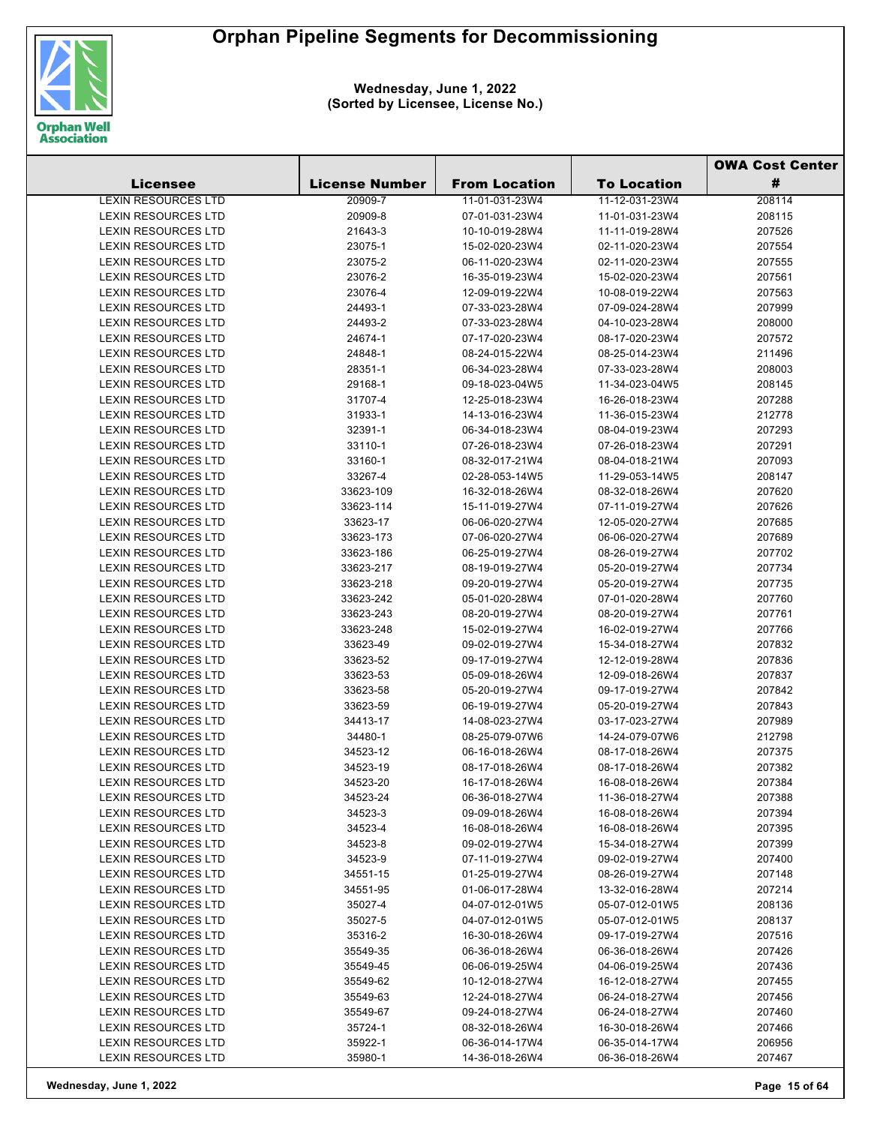

|                            |                       |                      |                    | <b>OWA Cost Center</b> |  |
|----------------------------|-----------------------|----------------------|--------------------|------------------------|--|
| <b>Licensee</b>            | <b>License Number</b> | <b>From Location</b> | <b>To Location</b> | #                      |  |
| <b>LEXIN RESOURCES LTD</b> | 20909-7               | 11-01-031-23W4       | 11-12-031-23W4     | 208114                 |  |
| <b>LEXIN RESOURCES LTD</b> | 20909-8               | 07-01-031-23W4       | 11-01-031-23W4     | 208115                 |  |
| <b>LEXIN RESOURCES LTD</b> | 21643-3               | 10-10-019-28W4       | 11-11-019-28W4     | 207526                 |  |
| <b>LEXIN RESOURCES LTD</b> | 23075-1               | 15-02-020-23W4       | 02-11-020-23W4     | 207554                 |  |
| <b>LEXIN RESOURCES LTD</b> | 23075-2               | 06-11-020-23W4       | 02-11-020-23W4     | 207555                 |  |
| <b>LEXIN RESOURCES LTD</b> | 23076-2               | 16-35-019-23W4       | 15-02-020-23W4     | 207561                 |  |
| LEXIN RESOURCES LTD        | 23076-4               | 12-09-019-22W4       | 10-08-019-22W4     | 207563                 |  |
| <b>LEXIN RESOURCES LTD</b> | 24493-1               | 07-33-023-28W4       | 07-09-024-28W4     | 207999                 |  |
| <b>LEXIN RESOURCES LTD</b> | 24493-2               | 07-33-023-28W4       | 04-10-023-28W4     | 208000                 |  |
| <b>LEXIN RESOURCES LTD</b> | 24674-1               | 07-17-020-23W4       | 08-17-020-23W4     | 207572                 |  |
| <b>LEXIN RESOURCES LTD</b> | 24848-1               | 08-24-015-22W4       | 08-25-014-23W4     | 211496                 |  |
| <b>LEXIN RESOURCES LTD</b> | 28351-1               | 06-34-023-28W4       | 07-33-023-28W4     | 208003                 |  |
| LEXIN RESOURCES LTD        | 29168-1               | 09-18-023-04W5       | 11-34-023-04W5     | 208145                 |  |
| LEXIN RESOURCES LTD        | 31707-4               | 12-25-018-23W4       | 16-26-018-23W4     | 207288                 |  |
| <b>LEXIN RESOURCES LTD</b> | 31933-1               | 14-13-016-23W4       | 11-36-015-23W4     | 212778                 |  |
| <b>LEXIN RESOURCES LTD</b> | 32391-1               | 06-34-018-23W4       | 08-04-019-23W4     | 207293                 |  |
| LEXIN RESOURCES LTD        | 33110-1               | 07-26-018-23W4       | 07-26-018-23W4     | 207291                 |  |
| LEXIN RESOURCES LTD        | 33160-1               | 08-32-017-21W4       | 08-04-018-21W4     | 207093                 |  |
| <b>LEXIN RESOURCES LTD</b> | 33267-4               | 02-28-053-14W5       | 11-29-053-14W5     | 208147                 |  |
| <b>LEXIN RESOURCES LTD</b> | 33623-109             | 16-32-018-26W4       | 08-32-018-26W4     | 207620                 |  |
| LEXIN RESOURCES LTD        | 33623-114             | 15-11-019-27W4       | 07-11-019-27W4     | 207626                 |  |
| LEXIN RESOURCES LTD        | 33623-17              | 06-06-020-27W4       | 12-05-020-27W4     | 207685                 |  |
| <b>LEXIN RESOURCES LTD</b> | 33623-173             | 07-06-020-27W4       | 06-06-020-27W4     | 207689                 |  |
| <b>LEXIN RESOURCES LTD</b> | 33623-186             | 06-25-019-27W4       | 08-26-019-27W4     | 207702                 |  |
| LEXIN RESOURCES LTD        | 33623-217             | 08-19-019-27W4       | 05-20-019-27W4     | 207734                 |  |
| LEXIN RESOURCES LTD        | 33623-218             | 09-20-019-27W4       | 05-20-019-27W4     | 207735                 |  |
| <b>LEXIN RESOURCES LTD</b> | 33623-242             | 05-01-020-28W4       | 07-01-020-28W4     | 207760                 |  |
| <b>LEXIN RESOURCES LTD</b> | 33623-243             | 08-20-019-27W4       | 08-20-019-27W4     | 207761                 |  |
| LEXIN RESOURCES LTD        | 33623-248             | 15-02-019-27W4       | 16-02-019-27W4     | 207766                 |  |
| LEXIN RESOURCES LTD        | 33623-49              | 09-02-019-27W4       | 15-34-018-27W4     | 207832                 |  |
| <b>LEXIN RESOURCES LTD</b> | 33623-52              | 09-17-019-27W4       | 12-12-019-28W4     | 207836                 |  |
| <b>LEXIN RESOURCES LTD</b> | 33623-53              | 05-09-018-26W4       | 12-09-018-26W4     | 207837                 |  |
| <b>LEXIN RESOURCES LTD</b> | 33623-58              | 05-20-019-27W4       | 09-17-019-27W4     | 207842                 |  |
| LEXIN RESOURCES LTD        | 33623-59              | 06-19-019-27W4       | 05-20-019-27W4     | 207843                 |  |
| LEXIN RESOURCES LTD        | 34413-17              | 14-08-023-27W4       | 03-17-023-27W4     | 207989                 |  |
| <b>LEXIN RESOURCES LTD</b> | 34480-1               | 08-25-079-07W6       | 14-24-079-07W6     | 212798                 |  |
| <b>LEXIN RESOURCES LTD</b> | 34523-12              | 06-16-018-26W4       | 08-17-018-26W4     | 207375                 |  |
| <b>LEXIN RESOURCES LTD</b> | 34523-19              | 08-17-018-26W4       | 08-17-018-26W4     | 207382                 |  |
| LEXIN RESOURCES LTD        | 34523-20              | 16-17-018-26W4       | 16-08-018-26W4     | 207384                 |  |
| <b>LEXIN RESOURCES LTD</b> | 34523-24              | 06-36-018-27W4       | 11-36-018-27W4     | 207388                 |  |
| <b>LEXIN RESOURCES LTD</b> | 34523-3               | 09-09-018-26W4       | 16-08-018-26W4     | 207394                 |  |
| <b>LEXIN RESOURCES LTD</b> | 34523-4               | 16-08-018-26W4       | 16-08-018-26W4     | 207395                 |  |
| <b>LEXIN RESOURCES LTD</b> | 34523-8               | 09-02-019-27W4       | 15-34-018-27W4     | 207399                 |  |
| <b>LEXIN RESOURCES LTD</b> | 34523-9               | 07-11-019-27W4       | 09-02-019-27W4     | 207400                 |  |
| <b>LEXIN RESOURCES LTD</b> | 34551-15              | 01-25-019-27W4       | 08-26-019-27W4     | 207148                 |  |
| <b>LEXIN RESOURCES LTD</b> | 34551-95              | 01-06-017-28W4       | 13-32-016-28W4     | 207214                 |  |
| <b>LEXIN RESOURCES LTD</b> | 35027-4               | 04-07-012-01W5       | 05-07-012-01W5     | 208136                 |  |
| <b>LEXIN RESOURCES LTD</b> | 35027-5               | 04-07-012-01W5       | 05-07-012-01W5     | 208137                 |  |
| LEXIN RESOURCES LTD        | 35316-2               | 16-30-018-26W4       | 09-17-019-27W4     | 207516                 |  |
| LEXIN RESOURCES LTD        | 35549-35              | 06-36-018-26W4       | 06-36-018-26W4     | 207426                 |  |
| LEXIN RESOURCES LTD        | 35549-45              | 06-06-019-25W4       | 04-06-019-25W4     | 207436                 |  |
| LEXIN RESOURCES LTD        | 35549-62              | 10-12-018-27W4       | 16-12-018-27W4     | 207455                 |  |
| LEXIN RESOURCES LTD        | 35549-63              | 12-24-018-27W4       | 06-24-018-27W4     | 207456                 |  |
| <b>LEXIN RESOURCES LTD</b> | 35549-67              | 09-24-018-27W4       | 06-24-018-27W4     | 207460                 |  |
| <b>LEXIN RESOURCES LTD</b> | 35724-1               | 08-32-018-26W4       | 16-30-018-26W4     | 207466                 |  |
| LEXIN RESOURCES LTD        | 35922-1               | 06-36-014-17W4       | 06-35-014-17W4     | 206956                 |  |
| LEXIN RESOURCES LTD        | 35980-1               | 14-36-018-26W4       | 06-36-018-26W4     | 207467                 |  |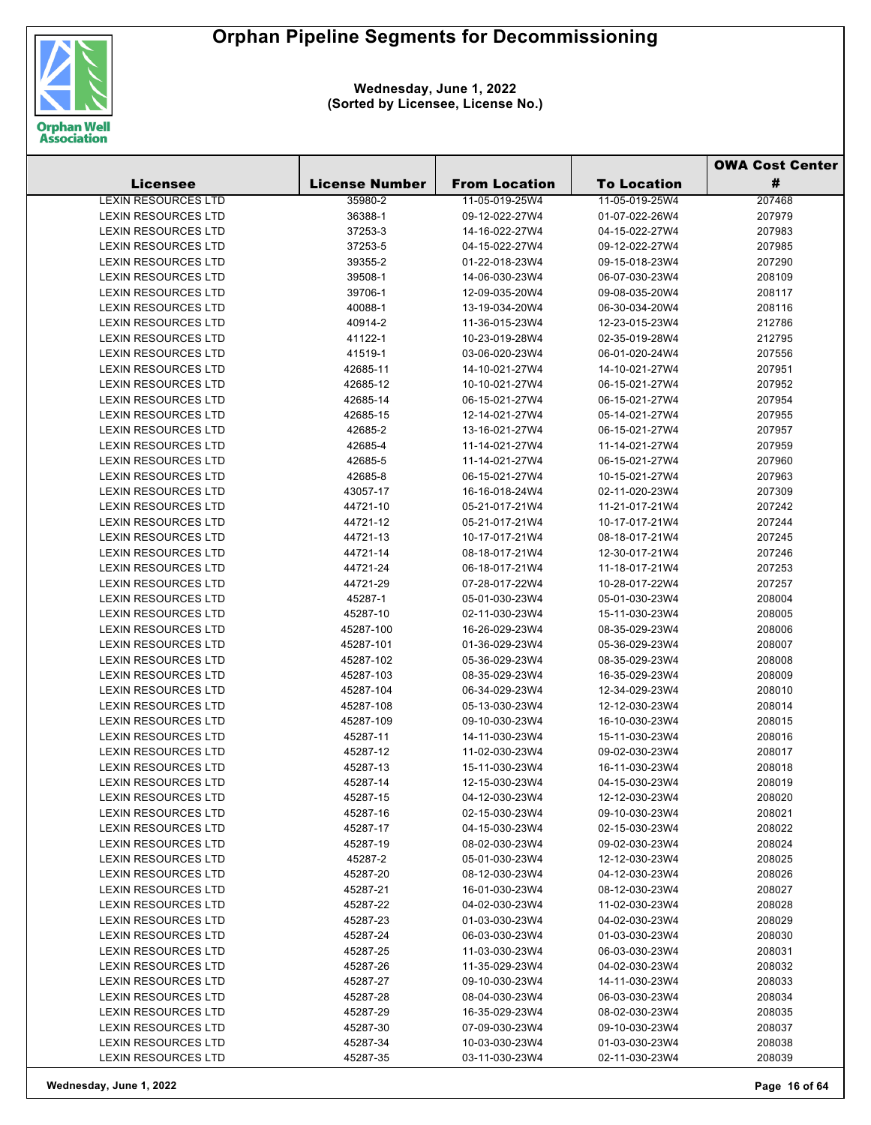

|                            |                       |                      |                    | <b>OWA Cost Center</b> |  |
|----------------------------|-----------------------|----------------------|--------------------|------------------------|--|
| <b>Licensee</b>            | <b>License Number</b> | <b>From Location</b> | <b>To Location</b> | #                      |  |
| <b>LEXIN RESOURCES LTD</b> | 35980-2               | 11-05-019-25W4       | 11-05-019-25W4     | 207468                 |  |
| <b>LEXIN RESOURCES LTD</b> | 36388-1               | 09-12-022-27W4       | 01-07-022-26W4     | 207979                 |  |
| <b>LEXIN RESOURCES LTD</b> | 37253-3               | 14-16-022-27W4       | 04-15-022-27W4     | 207983                 |  |
| <b>LEXIN RESOURCES LTD</b> | 37253-5               | 04-15-022-27W4       | 09-12-022-27W4     | 207985                 |  |
| <b>LEXIN RESOURCES LTD</b> | 39355-2               | 01-22-018-23W4       | 09-15-018-23W4     | 207290                 |  |
| <b>LEXIN RESOURCES LTD</b> | 39508-1               | 14-06-030-23W4       | 06-07-030-23W4     | 208109                 |  |
| LEXIN RESOURCES LTD        | 39706-1               | 12-09-035-20W4       | 09-08-035-20W4     | 208117                 |  |
| <b>LEXIN RESOURCES LTD</b> | 40088-1               | 13-19-034-20W4       | 06-30-034-20W4     | 208116                 |  |
| <b>LEXIN RESOURCES LTD</b> | 40914-2               | 11-36-015-23W4       | 12-23-015-23W4     | 212786                 |  |
| LEXIN RESOURCES LTD        | 41122-1               | 10-23-019-28W4       | 02-35-019-28W4     | 212795                 |  |
| LEXIN RESOURCES LTD        | 41519-1               | 03-06-020-23W4       | 06-01-020-24W4     | 207556                 |  |
| <b>LEXIN RESOURCES LTD</b> | 42685-11              | 14-10-021-27W4       | 14-10-021-27W4     | 207951                 |  |
| <b>LEXIN RESOURCES LTD</b> | 42685-12              | 10-10-021-27W4       | 06-15-021-27W4     | 207952                 |  |
| <b>LEXIN RESOURCES LTD</b> | 42685-14              | 06-15-021-27W4       | 06-15-021-27W4     | 207954                 |  |
| LEXIN RESOURCES LTD        | 42685-15              | 12-14-021-27W4       | 05-14-021-27W4     | 207955                 |  |
| <b>LEXIN RESOURCES LTD</b> | 42685-2               | 13-16-021-27W4       | 06-15-021-27W4     | 207957                 |  |
| <b>LEXIN RESOURCES LTD</b> | 42685-4               | 11-14-021-27W4       | 11-14-021-27W4     | 207959                 |  |
| <b>LEXIN RESOURCES LTD</b> | 42685-5               | 11-14-021-27W4       | 06-15-021-27W4     | 207960                 |  |
| <b>LEXIN RESOURCES LTD</b> | 42685-8               | 06-15-021-27W4       | 10-15-021-27W4     | 207963                 |  |
| <b>LEXIN RESOURCES LTD</b> | 43057-17              | 16-16-018-24W4       | 02-11-020-23W4     | 207309                 |  |
| <b>LEXIN RESOURCES LTD</b> | 44721-10              | 05-21-017-21W4       | 11-21-017-21W4     | 207242                 |  |
| LEXIN RESOURCES LTD        | 44721-12              | 05-21-017-21W4       | 10-17-017-21W4     | 207244                 |  |
| LEXIN RESOURCES LTD        | 44721-13              | 10-17-017-21W4       | 08-18-017-21W4     | 207245                 |  |
| <b>LEXIN RESOURCES LTD</b> | 44721-14              | 08-18-017-21W4       | 12-30-017-21W4     | 207246                 |  |
| <b>LEXIN RESOURCES LTD</b> | 44721-24              | 06-18-017-21W4       | 11-18-017-21W4     | 207253                 |  |
| LEXIN RESOURCES LTD        | 44721-29              | 07-28-017-22W4       | 10-28-017-22W4     | 207257                 |  |
| <b>LEXIN RESOURCES LTD</b> | 45287-1               | 05-01-030-23W4       | 05-01-030-23W4     | 208004                 |  |
| <b>LEXIN RESOURCES LTD</b> | 45287-10              | 02-11-030-23W4       | 15-11-030-23W4     | 208005                 |  |
| LEXIN RESOURCES LTD        | 45287-100             | 16-26-029-23W4       | 08-35-029-23W4     | 208006                 |  |
| LEXIN RESOURCES LTD        | 45287-101             | 01-36-029-23W4       | 05-36-029-23W4     | 208007                 |  |
| <b>LEXIN RESOURCES LTD</b> | 45287-102             | 05-36-029-23W4       | 08-35-029-23W4     | 208008                 |  |
| <b>LEXIN RESOURCES LTD</b> | 45287-103             | 08-35-029-23W4       | 16-35-029-23W4     | 208009                 |  |
| LEXIN RESOURCES LTD        | 45287-104             | 06-34-029-23W4       | 12-34-029-23W4     | 208010                 |  |
| LEXIN RESOURCES LTD        | 45287-108             | 05-13-030-23W4       | 12-12-030-23W4     | 208014                 |  |
| <b>LEXIN RESOURCES LTD</b> | 45287-109             | 09-10-030-23W4       | 16-10-030-23W4     | 208015                 |  |
| <b>LEXIN RESOURCES LTD</b> | 45287-11              | 14-11-030-23W4       | 15-11-030-23W4     | 208016                 |  |
| <b>LEXIN RESOURCES LTD</b> | 45287-12              | 11-02-030-23W4       | 09-02-030-23W4     | 208017                 |  |
| <b>LEXIN RESOURCES LTD</b> | 45287-13              | 15-11-030-23W4       | 16-11-030-23W4     | 208018                 |  |
| LEXIN RESOURCES LTD        | 45287-14              | 12-15-030-23W4       | 04-15-030-23W4     | 208019                 |  |
| <b>LEXIN RESOURCES LTD</b> | 45287-15              | 04-12-030-23W4       | 12-12-030-23W4     | 208020                 |  |
| <b>LEXIN RESOURCES LTD</b> | 45287-16              | 02-15-030-23W4       | 09-10-030-23W4     | 208021                 |  |
| <b>LEXIN RESOURCES LTD</b> | 45287-17              | 04-15-030-23W4       | 02-15-030-23W4     | 208022                 |  |
| <b>LEXIN RESOURCES LTD</b> | 45287-19              | 08-02-030-23W4       | 09-02-030-23W4     | 208024                 |  |
| <b>LEXIN RESOURCES LTD</b> | 45287-2               | 05-01-030-23W4       | 12-12-030-23W4     | 208025                 |  |
| LEXIN RESOURCES LTD        | 45287-20              | 08-12-030-23W4       | 04-12-030-23W4     | 208026                 |  |
| LEXIN RESOURCES LTD        | 45287-21              | 16-01-030-23W4       | 08-12-030-23W4     | 208027                 |  |
| <b>LEXIN RESOURCES LTD</b> | 45287-22              | 04-02-030-23W4       | 11-02-030-23W4     | 208028                 |  |
| <b>LEXIN RESOURCES LTD</b> | 45287-23              | 01-03-030-23W4       | 04-02-030-23W4     | 208029                 |  |
| <b>LEXIN RESOURCES LTD</b> | 45287-24              | 06-03-030-23W4       | 01-03-030-23W4     | 208030                 |  |
| LEXIN RESOURCES LTD        | 45287-25              | 11-03-030-23W4       | 06-03-030-23W4     | 208031                 |  |
| LEXIN RESOURCES LTD        | 45287-26              | 11-35-029-23W4       | 04-02-030-23W4     | 208032                 |  |
| <b>LEXIN RESOURCES LTD</b> | 45287-27              | 09-10-030-23W4       | 14-11-030-23W4     | 208033                 |  |
| <b>LEXIN RESOURCES LTD</b> | 45287-28              | 08-04-030-23W4       | 06-03-030-23W4     | 208034                 |  |
| <b>LEXIN RESOURCES LTD</b> | 45287-29              | 16-35-029-23W4       | 08-02-030-23W4     | 208035                 |  |
| <b>LEXIN RESOURCES LTD</b> | 45287-30              | 07-09-030-23W4       | 09-10-030-23W4     | 208037                 |  |
| LEXIN RESOURCES LTD        | 45287-34              | 10-03-030-23W4       | 01-03-030-23W4     | 208038                 |  |
| LEXIN RESOURCES LTD        | 45287-35              | 03-11-030-23W4       | 02-11-030-23W4     | 208039                 |  |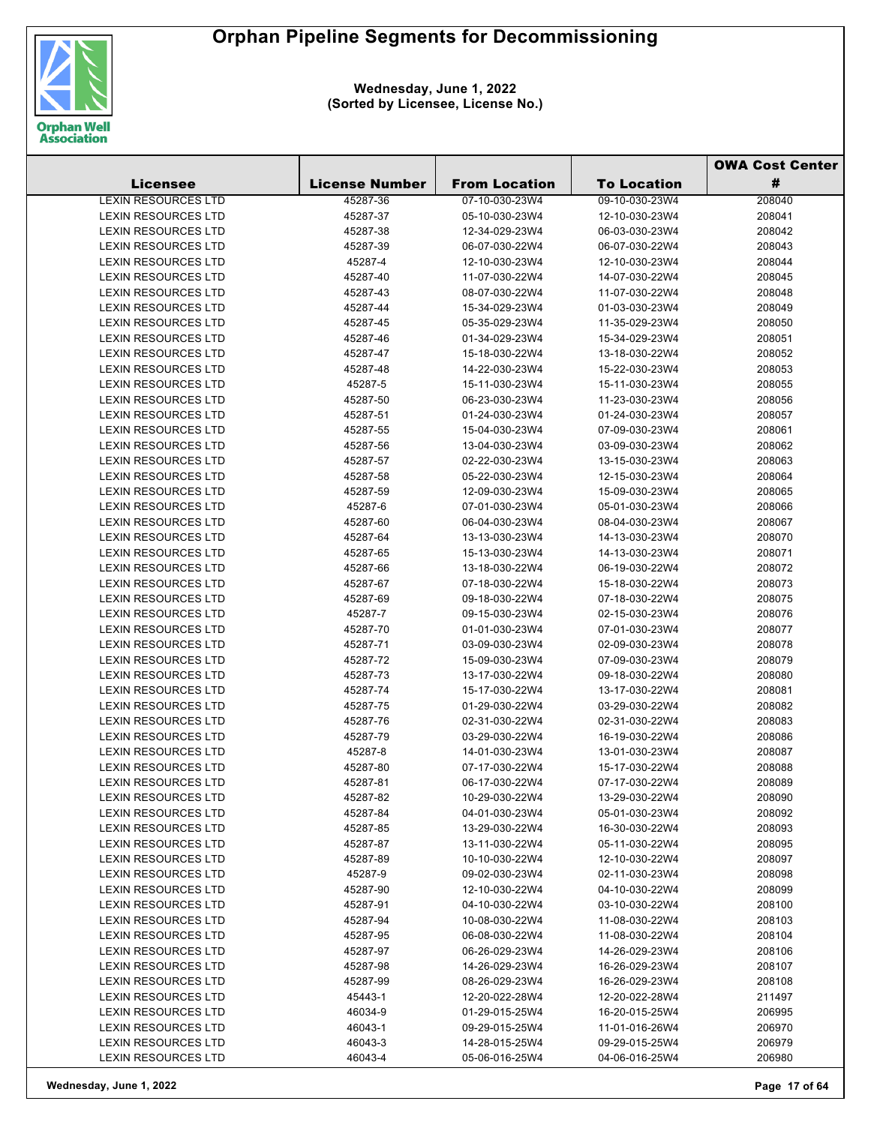

|                            |                       |                      |                    | <b>OWA Cost Center</b> |  |
|----------------------------|-----------------------|----------------------|--------------------|------------------------|--|
| <b>Licensee</b>            | <b>License Number</b> | <b>From Location</b> | <b>To Location</b> | #                      |  |
| <b>LEXIN RESOURCES LTD</b> | 45287-36              | 07-10-030-23W4       | 09-10-030-23W4     | 208040                 |  |
| <b>LEXIN RESOURCES LTD</b> | 45287-37              | 05-10-030-23W4       | 12-10-030-23W4     | 208041                 |  |
| <b>LEXIN RESOURCES LTD</b> | 45287-38              | 12-34-029-23W4       | 06-03-030-23W4     | 208042                 |  |
| <b>LEXIN RESOURCES LTD</b> | 45287-39              | 06-07-030-22W4       | 06-07-030-22W4     | 208043                 |  |
| <b>LEXIN RESOURCES LTD</b> | 45287-4               | 12-10-030-23W4       | 12-10-030-23W4     | 208044                 |  |
| <b>LEXIN RESOURCES LTD</b> | 45287-40              | 11-07-030-22W4       | 14-07-030-22W4     | 208045                 |  |
| <b>LEXIN RESOURCES LTD</b> | 45287-43              | 08-07-030-22W4       | 11-07-030-22W4     | 208048                 |  |
| <b>LEXIN RESOURCES LTD</b> | 45287-44              | 15-34-029-23W4       | 01-03-030-23W4     | 208049                 |  |
| <b>LEXIN RESOURCES LTD</b> | 45287-45              | 05-35-029-23W4       | 11-35-029-23W4     | 208050                 |  |
| <b>LEXIN RESOURCES LTD</b> | 45287-46              | 01-34-029-23W4       | 15-34-029-23W4     | 208051                 |  |
| <b>LEXIN RESOURCES LTD</b> | 45287-47              | 15-18-030-22W4       | 13-18-030-22W4     | 208052                 |  |
| LEXIN RESOURCES LTD        | 45287-48              | 14-22-030-23W4       | 15-22-030-23W4     | 208053                 |  |
| <b>LEXIN RESOURCES LTD</b> | 45287-5               | 15-11-030-23W4       | 15-11-030-23W4     | 208055                 |  |
| <b>LEXIN RESOURCES LTD</b> | 45287-50              | 06-23-030-23W4       | 11-23-030-23W4     | 208056                 |  |
| <b>LEXIN RESOURCES LTD</b> | 45287-51              | 01-24-030-23W4       | 01-24-030-23W4     | 208057                 |  |
| <b>LEXIN RESOURCES LTD</b> | 45287-55              | 15-04-030-23W4       | 07-09-030-23W4     | 208061                 |  |
| <b>LEXIN RESOURCES LTD</b> | 45287-56              | 13-04-030-23W4       | 03-09-030-23W4     | 208062                 |  |
| <b>LEXIN RESOURCES LTD</b> | 45287-57              | 02-22-030-23W4       | 13-15-030-23W4     | 208063                 |  |
| <b>LEXIN RESOURCES LTD</b> | 45287-58              | 05-22-030-23W4       | 12-15-030-23W4     | 208064                 |  |
| <b>LEXIN RESOURCES LTD</b> | 45287-59              | 12-09-030-23W4       | 15-09-030-23W4     | 208065                 |  |
| <b>LEXIN RESOURCES LTD</b> | 45287-6               | 07-01-030-23W4       | 05-01-030-23W4     | 208066                 |  |
| <b>LEXIN RESOURCES LTD</b> | 45287-60              | 06-04-030-23W4       | 08-04-030-23W4     | 208067                 |  |
| <b>LEXIN RESOURCES LTD</b> | 45287-64              | 13-13-030-23W4       | 14-13-030-23W4     | 208070                 |  |
| <b>LEXIN RESOURCES LTD</b> | 45287-65              | 15-13-030-23W4       | 14-13-030-23W4     | 208071                 |  |
| <b>LEXIN RESOURCES LTD</b> | 45287-66              | 13-18-030-22W4       | 06-19-030-22W4     | 208072                 |  |
| <b>LEXIN RESOURCES LTD</b> | 45287-67              | 07-18-030-22W4       | 15-18-030-22W4     | 208073                 |  |
| LEXIN RESOURCES LTD        | 45287-69              | 09-18-030-22W4       | 07-18-030-22W4     | 208075                 |  |
| <b>LEXIN RESOURCES LTD</b> | 45287-7               | 09-15-030-23W4       | 02-15-030-23W4     | 208076                 |  |
| <b>LEXIN RESOURCES LTD</b> | 45287-70              | 01-01-030-23W4       | 07-01-030-23W4     | 208077                 |  |
| <b>LEXIN RESOURCES LTD</b> | 45287-71              | 03-09-030-23W4       | 02-09-030-23W4     | 208078                 |  |
| LEXIN RESOURCES LTD        | 45287-72              | 15-09-030-23W4       | 07-09-030-23W4     | 208079                 |  |
| <b>LEXIN RESOURCES LTD</b> | 45287-73              | 13-17-030-22W4       | 09-18-030-22W4     | 208080                 |  |
| <b>LEXIN RESOURCES LTD</b> | 45287-74              | 15-17-030-22W4       | 13-17-030-22W4     | 208081                 |  |
| <b>LEXIN RESOURCES LTD</b> | 45287-75              | 01-29-030-22W4       | 03-29-030-22W4     | 208082                 |  |
| LEXIN RESOURCES LTD        | 45287-76              | 02-31-030-22W4       | 02-31-030-22W4     | 208083                 |  |
| <b>LEXIN RESOURCES LTD</b> | 45287-79              | 03-29-030-22W4       | 16-19-030-22W4     | 208086                 |  |
| <b>LEXIN RESOURCES LTD</b> | 45287-8               | 14-01-030-23W4       | 13-01-030-23W4     | 208087                 |  |
| <b>LEXIN RESOURCES LTD</b> | 45287-80              | 07-17-030-22W4       | 15-17-030-22W4     | 208088                 |  |
| <b>LEXIN RESOURCES LTD</b> | 45287-81              | 06-17-030-22W4       | 07-17-030-22W4     | 208089                 |  |
| <b>LEXIN RESOURCES LTD</b> | 45287-82              | 10-29-030-22W4       | 13-29-030-22W4     | 208090                 |  |
| <b>LEXIN RESOURCES LTD</b> | 45287-84              | 04-01-030-23W4       | 05-01-030-23W4     | 208092                 |  |
| <b>LEXIN RESOURCES LTD</b> | 45287-85              | 13-29-030-22W4       | 16-30-030-22W4     | 208093                 |  |
| <b>LEXIN RESOURCES LTD</b> | 45287-87              | 13-11-030-22W4       | 05-11-030-22W4     | 208095                 |  |
| <b>LEXIN RESOURCES LTD</b> | 45287-89              | 10-10-030-22W4       | 12-10-030-22W4     | 208097                 |  |
| <b>LEXIN RESOURCES LTD</b> | 45287-9               | 09-02-030-23W4       | 02-11-030-23W4     | 208098                 |  |
| <b>LEXIN RESOURCES LTD</b> | 45287-90              | 12-10-030-22W4       | 04-10-030-22W4     | 208099                 |  |
| <b>LEXIN RESOURCES LTD</b> | 45287-91              | 04-10-030-22W4       | 03-10-030-22W4     | 208100                 |  |
| <b>LEXIN RESOURCES LTD</b> | 45287-94              | 10-08-030-22W4       | 11-08-030-22W4     | 208103                 |  |
| <b>LEXIN RESOURCES LTD</b> | 45287-95              | 06-08-030-22W4       | 11-08-030-22W4     | 208104                 |  |
| <b>LEXIN RESOURCES LTD</b> | 45287-97              | 06-26-029-23W4       | 14-26-029-23W4     | 208106                 |  |
| <b>LEXIN RESOURCES LTD</b> | 45287-98              | 14-26-029-23W4       | 16-26-029-23W4     | 208107                 |  |
| <b>LEXIN RESOURCES LTD</b> | 45287-99              | 08-26-029-23W4       | 16-26-029-23W4     | 208108                 |  |
| <b>LEXIN RESOURCES LTD</b> | 45443-1               | 12-20-022-28W4       | 12-20-022-28W4     | 211497                 |  |
| LEXIN RESOURCES LTD        | 46034-9               | 01-29-015-25W4       | 16-20-015-25W4     | 206995                 |  |
| <b>LEXIN RESOURCES LTD</b> | 46043-1               | 09-29-015-25W4       | 11-01-016-26W4     | 206970                 |  |
| LEXIN RESOURCES LTD        | 46043-3               | 14-28-015-25W4       | 09-29-015-25W4     | 206979                 |  |
| LEXIN RESOURCES LTD        | 46043-4               | 05-06-016-25W4       | 04-06-016-25W4     | 206980                 |  |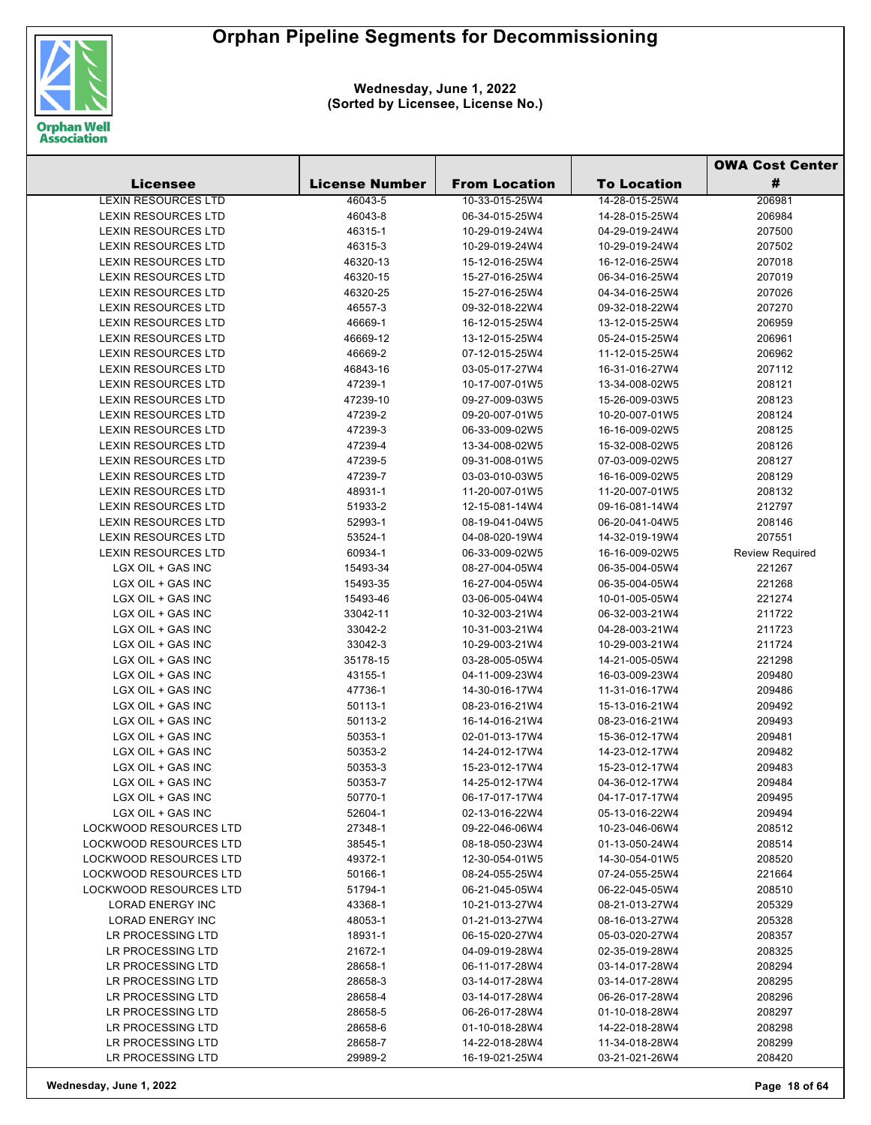

|                                        |                       |                                  |                                  | <b>OWA Cost Center</b> |  |
|----------------------------------------|-----------------------|----------------------------------|----------------------------------|------------------------|--|
| <b>Licensee</b>                        | <b>License Number</b> | <b>From Location</b>             | <b>To Location</b>               | #                      |  |
| <b>LEXIN RESOURCES LTD</b>             | 46043-5               | 10-33-015-25W4                   | 14-28-015-25W4                   | 206981                 |  |
| <b>LEXIN RESOURCES LTD</b>             | 46043-8               | 06-34-015-25W4                   | 14-28-015-25W4                   | 206984                 |  |
| <b>LEXIN RESOURCES LTD</b>             | 46315-1               | 10-29-019-24W4                   | 04-29-019-24W4                   | 207500                 |  |
| <b>LEXIN RESOURCES LTD</b>             | 46315-3               | 10-29-019-24W4                   | 10-29-019-24W4                   | 207502                 |  |
| <b>LEXIN RESOURCES LTD</b>             | 46320-13              | 15-12-016-25W4                   | 16-12-016-25W4                   | 207018                 |  |
| LEXIN RESOURCES LTD                    | 46320-15              | 15-27-016-25W4                   | 06-34-016-25W4                   | 207019                 |  |
| <b>LEXIN RESOURCES LTD</b>             | 46320-25              | 15-27-016-25W4                   | 04-34-016-25W4                   | 207026                 |  |
| <b>LEXIN RESOURCES LTD</b>             | 46557-3               | 09-32-018-22W4                   | 09-32-018-22W4                   | 207270                 |  |
| <b>LEXIN RESOURCES LTD</b>             | 46669-1               | 16-12-015-25W4                   | 13-12-015-25W4                   | 206959                 |  |
| <b>LEXIN RESOURCES LTD</b>             | 46669-12              | 13-12-015-25W4                   | 05-24-015-25W4                   | 206961                 |  |
| <b>LEXIN RESOURCES LTD</b>             | 46669-2               | 07-12-015-25W4                   | 11-12-015-25W4                   | 206962                 |  |
| <b>LEXIN RESOURCES LTD</b>             | 46843-16              | 03-05-017-27W4                   | 16-31-016-27W4                   | 207112                 |  |
| LEXIN RESOURCES LTD                    | 47239-1               | 10-17-007-01W5                   | 13-34-008-02W5                   | 208121                 |  |
| <b>LEXIN RESOURCES LTD</b>             | 47239-10              | 09-27-009-03W5                   | 15-26-009-03W5                   | 208123                 |  |
| <b>LEXIN RESOURCES LTD</b>             | 47239-2               | 09-20-007-01W5                   | 10-20-007-01W5                   | 208124                 |  |
| <b>LEXIN RESOURCES LTD</b>             | 47239-3               | 06-33-009-02W5                   | 16-16-009-02W5                   | 208125                 |  |
| LEXIN RESOURCES LTD                    | 47239-4               | 13-34-008-02W5                   | 15-32-008-02W5                   | 208126                 |  |
| <b>LEXIN RESOURCES LTD</b>             | 47239-5               | 09-31-008-01W5                   | 07-03-009-02W5                   | 208127                 |  |
| <b>LEXIN RESOURCES LTD</b>             | 47239-7               | 03-03-010-03W5                   | 16-16-009-02W5                   | 208129                 |  |
| <b>LEXIN RESOURCES LTD</b>             | 48931-1               | 11-20-007-01W5                   | 11-20-007-01W5                   | 208132                 |  |
| LEXIN RESOURCES LTD                    | 51933-2               | 12-15-081-14W4                   | 09-16-081-14W4                   | 212797                 |  |
| <b>LEXIN RESOURCES LTD</b>             | 52993-1               | 08-19-041-04W5                   | 06-20-041-04W5                   | 208146                 |  |
| <b>LEXIN RESOURCES LTD</b>             | 53524-1               | 04-08-020-19W4                   | 14-32-019-19W4                   | 207551                 |  |
| <b>LEXIN RESOURCES LTD</b>             | 60934-1               | 06-33-009-02W5                   | 16-16-009-02W5                   | <b>Review Required</b> |  |
| LGX OIL + GAS INC                      | 15493-34              | 08-27-004-05W4                   | 06-35-004-05W4                   | 221267                 |  |
| LGX OIL + GAS INC                      | 15493-35              | 16-27-004-05W4                   | 06-35-004-05W4                   | 221268                 |  |
| LGX OIL + GAS INC                      | 15493-46              | 03-06-005-04W4                   | 10-01-005-05W4                   | 221274                 |  |
| LGX OIL + GAS INC                      | 33042-11              | 10-32-003-21W4                   | 06-32-003-21W4                   | 211722                 |  |
| LGX OIL + GAS INC                      | 33042-2               | 10-31-003-21W4                   | 04-28-003-21W4                   | 211723                 |  |
| LGX OIL + GAS INC                      | 33042-3               | 10-29-003-21W4                   | 10-29-003-21W4                   | 211724                 |  |
| LGX OIL + GAS INC                      | 35178-15              | 03-28-005-05W4                   | 14-21-005-05W4                   | 221298                 |  |
| LGX OIL + GAS INC                      | 43155-1               | 04-11-009-23W4                   | 16-03-009-23W4                   | 209480                 |  |
| LGX OIL + GAS INC                      | 47736-1               | 14-30-016-17W4                   | 11-31-016-17W4                   | 209486                 |  |
| LGX OIL + GAS INC                      | 50113-1               | 08-23-016-21W4                   | 15-13-016-21W4                   | 209492                 |  |
| LGX OIL + GAS INC                      | 50113-2               | 16-14-016-21W4                   | 08-23-016-21W4                   | 209493                 |  |
| LGX OIL + GAS INC                      | 50353-1               | 02-01-013-17W4                   | 15-36-012-17W4                   | 209481                 |  |
| LGX OIL + GAS INC                      | 50353-2               | 14-24-012-17W4                   | 14-23-012-17W4                   | 209482                 |  |
| LGX OIL + GAS INC                      | 50353-3               | 15-23-012-17W4                   | 15-23-012-17W4                   | 209483                 |  |
| LGX OIL + GAS INC                      | 50353-7<br>50770-1    | 14-25-012-17W4                   | 04-36-012-17W4                   | 209484                 |  |
| LGX OIL + GAS INC<br>LGX OIL + GAS INC | 52604-1               | 06-17-017-17W4<br>02-13-016-22W4 | 04-17-017-17W4<br>05-13-016-22W4 | 209495                 |  |
| <b>LOCKWOOD RESOURCES LTD</b>          | 27348-1               | 09-22-046-06W4                   | 10-23-046-06W4                   | 209494<br>208512       |  |
| <b>LOCKWOOD RESOURCES LTD</b>          | 38545-1               | 08-18-050-23W4                   | 01-13-050-24W4                   | 208514                 |  |
| <b>LOCKWOOD RESOURCES LTD</b>          | 49372-1               | 12-30-054-01W5                   | 14-30-054-01W5                   | 208520                 |  |
| <b>LOCKWOOD RESOURCES LTD</b>          | 50166-1               | 08-24-055-25W4                   | 07-24-055-25W4                   | 221664                 |  |
| <b>LOCKWOOD RESOURCES LTD</b>          | 51794-1               | 06-21-045-05W4                   | 06-22-045-05W4                   | 208510                 |  |
| <b>LORAD ENERGY INC</b>                | 43368-1               | 10-21-013-27W4                   | 08-21-013-27W4                   | 205329                 |  |
| LORAD ENERGY INC                       | 48053-1               | 01-21-013-27W4                   | 08-16-013-27W4                   | 205328                 |  |
| LR PROCESSING LTD                      | 18931-1               | 06-15-020-27W4                   | 05-03-020-27W4                   | 208357                 |  |
| LR PROCESSING LTD                      | 21672-1               | 04-09-019-28W4                   | 02-35-019-28W4                   | 208325                 |  |
| LR PROCESSING LTD                      | 28658-1               | 06-11-017-28W4                   | 03-14-017-28W4                   | 208294                 |  |
| LR PROCESSING LTD                      | 28658-3               | 03-14-017-28W4                   | 03-14-017-28W4                   | 208295                 |  |
| LR PROCESSING LTD                      | 28658-4               | 03-14-017-28W4                   | 06-26-017-28W4                   | 208296                 |  |
| LR PROCESSING LTD                      | 28658-5               | 06-26-017-28W4                   | 01-10-018-28W4                   | 208297                 |  |
| LR PROCESSING LTD                      | 28658-6               | 01-10-018-28W4                   | 14-22-018-28W4                   | 208298                 |  |
| LR PROCESSING LTD                      | 28658-7               | 14-22-018-28W4                   | 11-34-018-28W4                   | 208299                 |  |
| LR PROCESSING LTD                      | 29989-2               | 16-19-021-25W4                   | 03-21-021-26W4                   | 208420                 |  |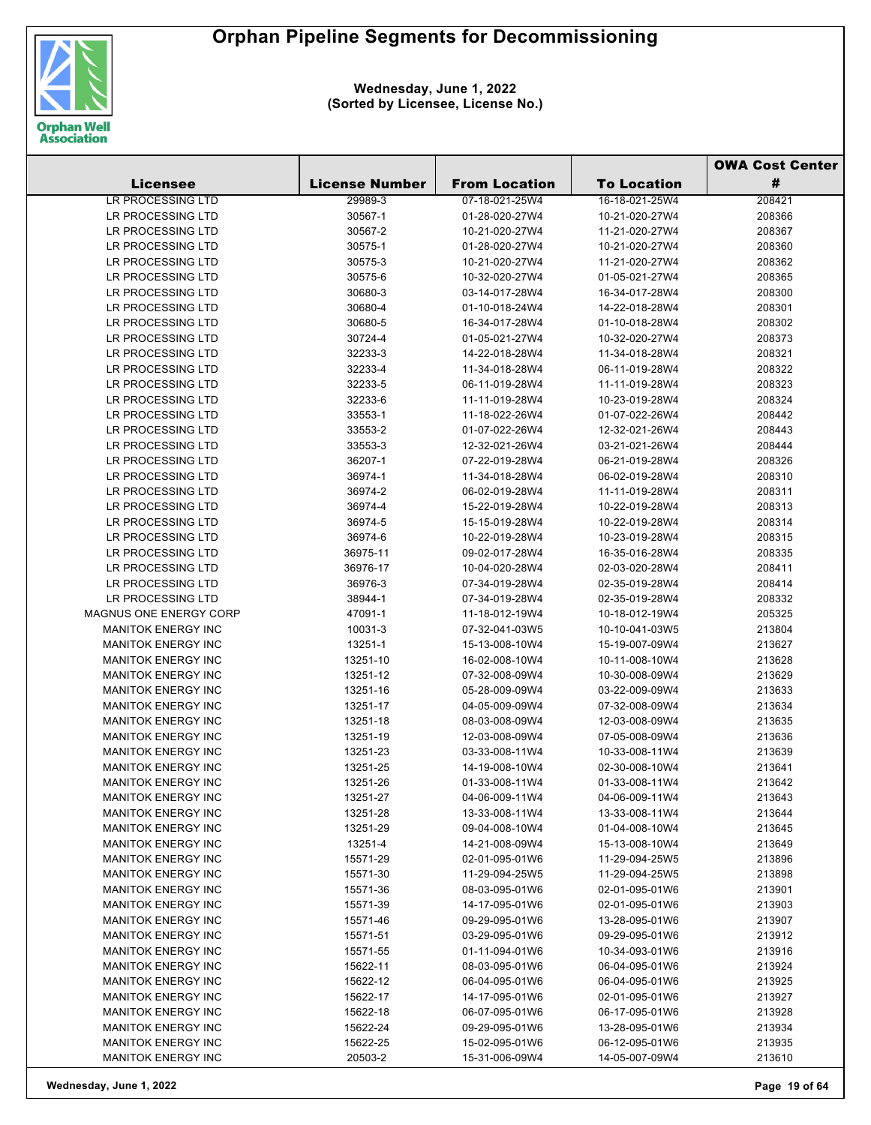

|                           |                       |                      |                    | <b>OWA Cost Center</b> |  |
|---------------------------|-----------------------|----------------------|--------------------|------------------------|--|
| <b>Licensee</b>           | <b>License Number</b> | <b>From Location</b> | <b>To Location</b> | #                      |  |
| LR PROCESSING LTD         | 29989-3               | 07-18-021-25W4       | 16-18-021-25W4     | 208421                 |  |
| LR PROCESSING LTD         | 30567-1               | 01-28-020-27W4       | 10-21-020-27W4     | 208366                 |  |
| LR PROCESSING LTD         | 30567-2               | 10-21-020-27W4       | 11-21-020-27W4     | 208367                 |  |
| LR PROCESSING LTD         | 30575-1               | 01-28-020-27W4       | 10-21-020-27W4     | 208360                 |  |
| LR PROCESSING LTD         | 30575-3               | 10-21-020-27W4       | 11-21-020-27W4     | 208362                 |  |
| LR PROCESSING LTD         | 30575-6               | 10-32-020-27W4       | 01-05-021-27W4     | 208365                 |  |
| LR PROCESSING LTD         | 30680-3               | 03-14-017-28W4       | 16-34-017-28W4     | 208300                 |  |
| LR PROCESSING LTD         | 30680-4               | 01-10-018-24W4       | 14-22-018-28W4     | 208301                 |  |
| LR PROCESSING LTD         | 30680-5               | 16-34-017-28W4       | 01-10-018-28W4     | 208302                 |  |
| LR PROCESSING LTD         | 30724-4               | 01-05-021-27W4       | 10-32-020-27W4     | 208373                 |  |
| LR PROCESSING LTD         | 32233-3               | 14-22-018-28W4       | 11-34-018-28W4     | 208321                 |  |
| LR PROCESSING LTD         | 32233-4               | 11-34-018-28W4       | 06-11-019-28W4     | 208322                 |  |
| LR PROCESSING LTD         | 32233-5               | 06-11-019-28W4       | 11-11-019-28W4     | 208323                 |  |
| LR PROCESSING LTD         | 32233-6               | 11-11-019-28W4       | 10-23-019-28W4     | 208324                 |  |
| LR PROCESSING LTD         | 33553-1               | 11-18-022-26W4       | 01-07-022-26W4     | 208442                 |  |
| LR PROCESSING LTD         | 33553-2               | 01-07-022-26W4       | 12-32-021-26W4     | 208443                 |  |
| LR PROCESSING LTD         | 33553-3               | 12-32-021-26W4       | 03-21-021-26W4     | 208444                 |  |
| LR PROCESSING LTD         | 36207-1               | 07-22-019-28W4       | 06-21-019-28W4     | 208326                 |  |
| LR PROCESSING LTD         | 36974-1               | 11-34-018-28W4       | 06-02-019-28W4     | 208310                 |  |
| LR PROCESSING LTD         | 36974-2               | 06-02-019-28W4       | 11-11-019-28W4     | 208311                 |  |
| LR PROCESSING LTD         | 36974-4               | 15-22-019-28W4       | 10-22-019-28W4     | 208313                 |  |
| LR PROCESSING LTD         | 36974-5               | 15-15-019-28W4       | 10-22-019-28W4     | 208314                 |  |
| LR PROCESSING LTD         | 36974-6               | 10-22-019-28W4       | 10-23-019-28W4     | 208315                 |  |
| LR PROCESSING LTD         | 36975-11              | 09-02-017-28W4       | 16-35-016-28W4     | 208335                 |  |
| LR PROCESSING LTD         | 36976-17              | 10-04-020-28W4       | 02-03-020-28W4     | 208411                 |  |
| LR PROCESSING LTD         | 36976-3               | 07-34-019-28W4       | 02-35-019-28W4     | 208414                 |  |
| LR PROCESSING LTD         | 38944-1               | 07-34-019-28W4       | 02-35-019-28W4     | 208332                 |  |
| MAGNUS ONE ENERGY CORP    | 47091-1               | 11-18-012-19W4       | 10-18-012-19W4     | 205325                 |  |
| <b>MANITOK ENERGY INC</b> | 10031-3               | 07-32-041-03W5       | 10-10-041-03W5     | 213804                 |  |
| <b>MANITOK ENERGY INC</b> | 13251-1               | 15-13-008-10W4       | 15-19-007-09W4     | 213627                 |  |
| <b>MANITOK ENERGY INC</b> | 13251-10              | 16-02-008-10W4       | 10-11-008-10W4     | 213628                 |  |
| <b>MANITOK ENERGY INC</b> | 13251-12              | 07-32-008-09W4       | 10-30-008-09W4     | 213629                 |  |
| <b>MANITOK ENERGY INC</b> | 13251-16              | 05-28-009-09W4       | 03-22-009-09W4     | 213633                 |  |
| <b>MANITOK ENERGY INC</b> | 13251-17              | 04-05-009-09W4       | 07-32-008-09W4     | 213634                 |  |
| <b>MANITOK ENERGY INC</b> | 13251-18              | 08-03-008-09W4       | 12-03-008-09W4     | 213635                 |  |
| <b>MANITOK ENERGY INC</b> | 13251-19              | 12-03-008-09W4       | 07-05-008-09W4     | 213636                 |  |
| <b>MANITOK ENERGY INC</b> | 13251-23              | 03-33-008-11W4       | 10-33-008-11W4     | 213639                 |  |
| MANITOK ENERGY INC        | 13251-25              | 14-19-008-10W4       | 02-30-008-10W4     | 213641                 |  |
| <b>MANITOK ENERGY INC</b> | 13251-26              | 01-33-008-11W4       | 01-33-008-11W4     | 213642                 |  |
| <b>MANITOK ENERGY INC</b> | 13251-27              | 04-06-009-11W4       | 04-06-009-11W4     | 213643                 |  |
| <b>MANITOK ENERGY INC</b> | 13251-28              | 13-33-008-11W4       | 13-33-008-11W4     | 213644                 |  |
| <b>MANITOK ENERGY INC</b> | 13251-29              | 09-04-008-10W4       | 01-04-008-10W4     | 213645                 |  |
| <b>MANITOK ENERGY INC</b> | 13251-4               | 14-21-008-09W4       | 15-13-008-10W4     | 213649                 |  |
| <b>MANITOK ENERGY INC</b> | 15571-29              | 02-01-095-01W6       | 11-29-094-25W5     | 213896                 |  |
| <b>MANITOK ENERGY INC</b> | 15571-30              | 11-29-094-25W5       | 11-29-094-25W5     | 213898                 |  |
| <b>MANITOK ENERGY INC</b> | 15571-36              | 08-03-095-01W6       | 02-01-095-01W6     | 213901                 |  |
| MANITOK ENERGY INC        | 15571-39              | 14-17-095-01W6       | 02-01-095-01W6     | 213903                 |  |
| <b>MANITOK ENERGY INC</b> | 15571-46              | 09-29-095-01W6       | 13-28-095-01W6     | 213907                 |  |
| <b>MANITOK ENERGY INC</b> | 15571-51              | 03-29-095-01W6       | 09-29-095-01W6     | 213912                 |  |
| <b>MANITOK ENERGY INC</b> | 15571-55              | 01-11-094-01W6       | 10-34-093-01W6     | 213916                 |  |
| <b>MANITOK ENERGY INC</b> | 15622-11              | 08-03-095-01W6       | 06-04-095-01W6     | 213924                 |  |
| <b>MANITOK ENERGY INC</b> | 15622-12              | 06-04-095-01W6       | 06-04-095-01W6     | 213925                 |  |
| <b>MANITOK ENERGY INC</b> | 15622-17              | 14-17-095-01W6       | 02-01-095-01W6     | 213927                 |  |
| <b>MANITOK ENERGY INC</b> | 15622-18              | 06-07-095-01W6       | 06-17-095-01W6     | 213928                 |  |
| <b>MANITOK ENERGY INC</b> | 15622-24              | 09-29-095-01W6       | 13-28-095-01W6     | 213934                 |  |
| <b>MANITOK ENERGY INC</b> | 15622-25              | 15-02-095-01W6       | 06-12-095-01W6     | 213935                 |  |
| MANITOK ENERGY INC        | 20503-2               | 15-31-006-09W4       | 14-05-007-09W4     | 213610                 |  |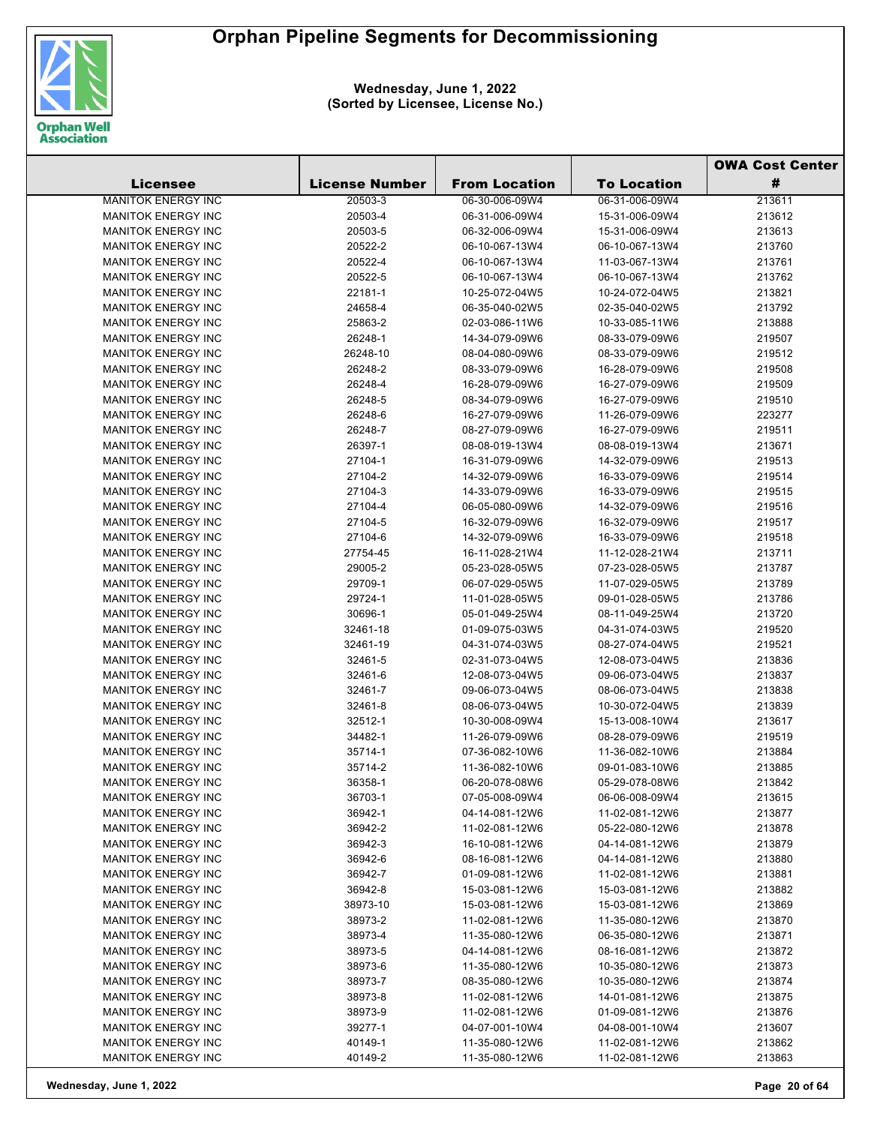

|                           |                       |                      |                    | <b>OWA Cost Center</b> |  |
|---------------------------|-----------------------|----------------------|--------------------|------------------------|--|
| <b>Licensee</b>           | <b>License Number</b> | <b>From Location</b> | <b>To Location</b> | #                      |  |
| <b>MANITOK ENERGY INC</b> | 20503-3               | 06-30-006-09W4       | 06-31-006-09W4     | 213611                 |  |
| <b>MANITOK ENERGY INC</b> | 20503-4               | 06-31-006-09W4       | 15-31-006-09W4     | 213612                 |  |
| <b>MANITOK ENERGY INC</b> | 20503-5               | 06-32-006-09W4       | 15-31-006-09W4     | 213613                 |  |
| <b>MANITOK ENERGY INC</b> | 20522-2               | 06-10-067-13W4       | 06-10-067-13W4     | 213760                 |  |
| <b>MANITOK ENERGY INC</b> | 20522-4               | 06-10-067-13W4       | 11-03-067-13W4     | 213761                 |  |
| <b>MANITOK ENERGY INC</b> | 20522-5               | 06-10-067-13W4       | 06-10-067-13W4     | 213762                 |  |
| <b>MANITOK ENERGY INC</b> | 22181-1               | 10-25-072-04W5       | 10-24-072-04W5     | 213821                 |  |
| <b>MANITOK ENERGY INC</b> | 24658-4               | 06-35-040-02W5       | 02-35-040-02W5     | 213792                 |  |
| <b>MANITOK ENERGY INC</b> | 25863-2               | 02-03-086-11W6       | 10-33-085-11W6     | 213888                 |  |
| <b>MANITOK ENERGY INC</b> | 26248-1               | 14-34-079-09W6       | 08-33-079-09W6     | 219507                 |  |
| <b>MANITOK ENERGY INC</b> | 26248-10              | 08-04-080-09W6       | 08-33-079-09W6     | 219512                 |  |
| <b>MANITOK ENERGY INC</b> | 26248-2               | 08-33-079-09W6       | 16-28-079-09W6     | 219508                 |  |
| <b>MANITOK ENERGY INC</b> | 26248-4               | 16-28-079-09W6       | 16-27-079-09W6     | 219509                 |  |
| <b>MANITOK ENERGY INC</b> | 26248-5               | 08-34-079-09W6       | 16-27-079-09W6     | 219510                 |  |
| <b>MANITOK ENERGY INC</b> | 26248-6               | 16-27-079-09W6       | 11-26-079-09W6     | 223277                 |  |
| <b>MANITOK ENERGY INC</b> | 26248-7               | 08-27-079-09W6       | 16-27-079-09W6     | 219511                 |  |
| <b>MANITOK ENERGY INC</b> | 26397-1               | 08-08-019-13W4       | 08-08-019-13W4     | 213671                 |  |
| <b>MANITOK ENERGY INC</b> | 27104-1               | 16-31-079-09W6       | 14-32-079-09W6     | 219513                 |  |
| <b>MANITOK ENERGY INC</b> | 27104-2               | 14-32-079-09W6       | 16-33-079-09W6     | 219514                 |  |
| <b>MANITOK ENERGY INC</b> | 27104-3               | 14-33-079-09W6       | 16-33-079-09W6     | 219515                 |  |
| <b>MANITOK ENERGY INC</b> | 27104-4               | 06-05-080-09W6       | 14-32-079-09W6     | 219516                 |  |
| <b>MANITOK ENERGY INC</b> | 27104-5               | 16-32-079-09W6       | 16-32-079-09W6     | 219517                 |  |
| <b>MANITOK ENERGY INC</b> | 27104-6               | 14-32-079-09W6       | 16-33-079-09W6     | 219518                 |  |
| <b>MANITOK ENERGY INC</b> | 27754-45              | 16-11-028-21W4       | 11-12-028-21W4     | 213711                 |  |
| <b>MANITOK ENERGY INC</b> | 29005-2               | 05-23-028-05W5       | 07-23-028-05W5     | 213787                 |  |
| <b>MANITOK ENERGY INC</b> | 29709-1               | 06-07-029-05W5       | 11-07-029-05W5     | 213789                 |  |
| <b>MANITOK ENERGY INC</b> | 29724-1               | 11-01-028-05W5       | 09-01-028-05W5     | 213786                 |  |
| <b>MANITOK ENERGY INC</b> | 30696-1               | 05-01-049-25W4       | 08-11-049-25W4     | 213720                 |  |
| <b>MANITOK ENERGY INC</b> | 32461-18              | 01-09-075-03W5       | 04-31-074-03W5     | 219520                 |  |
| <b>MANITOK ENERGY INC</b> | 32461-19              | 04-31-074-03W5       | 08-27-074-04W5     | 219521                 |  |
| <b>MANITOK ENERGY INC</b> | 32461-5               | 02-31-073-04W5       | 12-08-073-04W5     | 213836                 |  |
| <b>MANITOK ENERGY INC</b> | 32461-6               | 12-08-073-04W5       | 09-06-073-04W5     | 213837                 |  |
| <b>MANITOK ENERGY INC</b> | 32461-7               | 09-06-073-04W5       | 08-06-073-04W5     | 213838                 |  |
| <b>MANITOK ENERGY INC</b> | 32461-8               | 08-06-073-04W5       | 10-30-072-04W5     | 213839                 |  |
| <b>MANITOK ENERGY INC</b> | 32512-1               | 10-30-008-09W4       | 15-13-008-10W4     | 213617                 |  |
| <b>MANITOK ENERGY INC</b> | 34482-1               | 11-26-079-09W6       | 08-28-079-09W6     | 219519                 |  |
| <b>MANITOK ENERGY INC</b> | 35714-1               | 07-36-082-10W6       | 11-36-082-10W6     | 213884                 |  |
| <b>MANITOK ENERGY INC</b> | 35714-2               | 11-36-082-10W6       | 09-01-083-10W6     | 213885                 |  |
| <b>MANITOK ENERGY INC</b> | 36358-1               | 06-20-078-08W6       | 05-29-078-08W6     | 213842                 |  |
| <b>MANITOK ENERGY INC</b> | 36703-1               | 07-05-008-09W4       | 06-06-008-09W4     | 213615                 |  |
| <b>MANITOK ENERGY INC</b> | 36942-1               | 04-14-081-12W6       | 11-02-081-12W6     | 213877                 |  |
| <b>MANITOK ENERGY INC</b> | 36942-2               | 11-02-081-12W6       | 05-22-080-12W6     | 213878                 |  |
| <b>MANITOK ENERGY INC</b> | 36942-3               | 16-10-081-12W6       | 04-14-081-12W6     | 213879                 |  |
| <b>MANITOK ENERGY INC</b> | 36942-6               | 08-16-081-12W6       | 04-14-081-12W6     | 213880                 |  |
| <b>MANITOK ENERGY INC</b> | 36942-7               | 01-09-081-12W6       | 11-02-081-12W6     | 213881                 |  |
| <b>MANITOK ENERGY INC</b> | 36942-8               | 15-03-081-12W6       | 15-03-081-12W6     | 213882                 |  |
| <b>MANITOK ENERGY INC</b> | 38973-10              | 15-03-081-12W6       | 15-03-081-12W6     | 213869                 |  |
| <b>MANITOK ENERGY INC</b> | 38973-2               | 11-02-081-12W6       | 11-35-080-12W6     | 213870                 |  |
| <b>MANITOK ENERGY INC</b> | 38973-4               | 11-35-080-12W6       | 06-35-080-12W6     | 213871                 |  |
| <b>MANITOK ENERGY INC</b> | 38973-5               | 04-14-081-12W6       | 08-16-081-12W6     | 213872                 |  |
| <b>MANITOK ENERGY INC</b> | 38973-6               | 11-35-080-12W6       | 10-35-080-12W6     | 213873                 |  |
| <b>MANITOK ENERGY INC</b> | 38973-7               | 08-35-080-12W6       | 10-35-080-12W6     | 213874                 |  |
| <b>MANITOK ENERGY INC</b> | 38973-8               | 11-02-081-12W6       | 14-01-081-12W6     | 213875                 |  |
| <b>MANITOK ENERGY INC</b> | 38973-9               | 11-02-081-12W6       | 01-09-081-12W6     | 213876                 |  |
| <b>MANITOK ENERGY INC</b> | 39277-1               | 04-07-001-10W4       | 04-08-001-10W4     | 213607                 |  |
| <b>MANITOK ENERGY INC</b> | 40149-1               | 11-35-080-12W6       | 11-02-081-12W6     | 213862                 |  |
| <b>MANITOK ENERGY INC</b> | 40149-2               | 11-35-080-12W6       | 11-02-081-12W6     | 213863                 |  |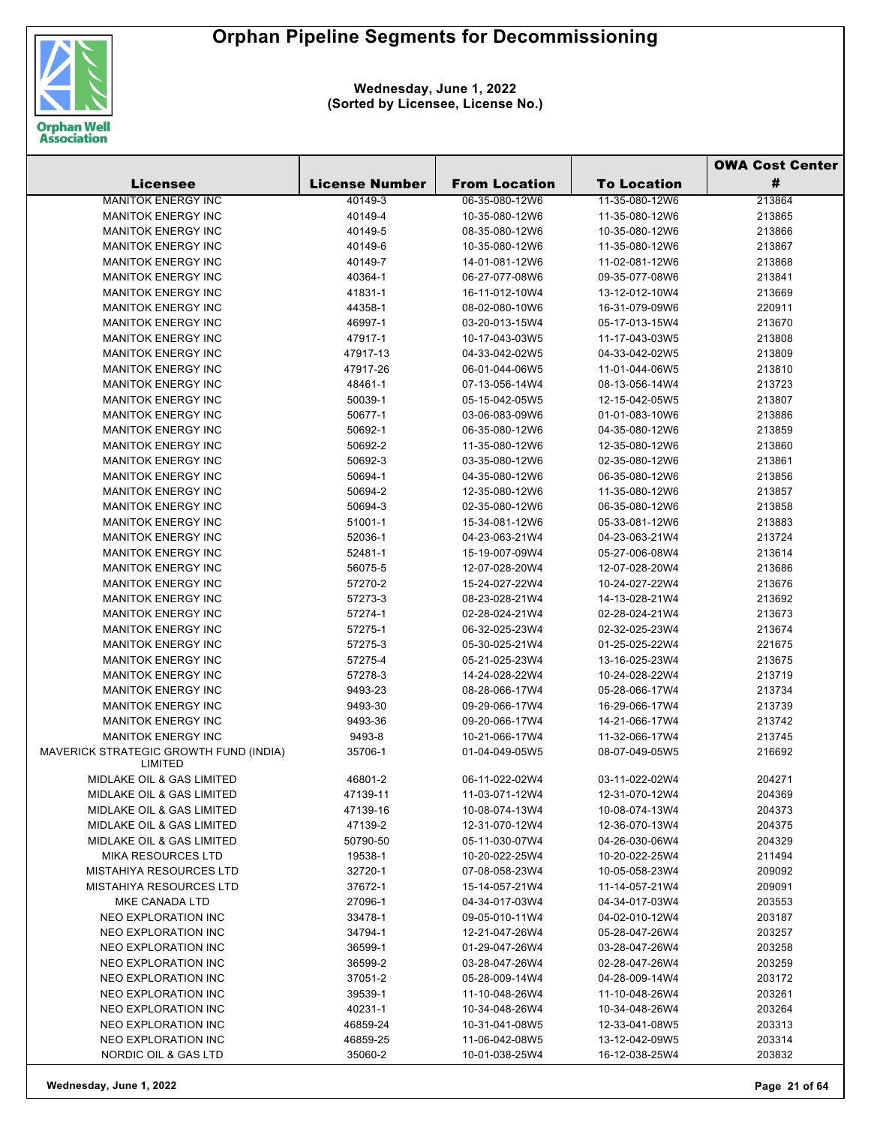

|                                                                     |                       |                      |                    | <b>OWA Cost Center</b> |
|---------------------------------------------------------------------|-----------------------|----------------------|--------------------|------------------------|
| <b>Licensee</b>                                                     | <b>License Number</b> | <b>From Location</b> | <b>To Location</b> | #                      |
| <b>MANITOK ENERGY INC</b>                                           | 40149-3               | 06-35-080-12W6       | 11-35-080-12W6     | 213864                 |
| <b>MANITOK ENERGY INC</b>                                           | 40149-4               | 10-35-080-12W6       | 11-35-080-12W6     | 213865                 |
| <b>MANITOK ENERGY INC</b>                                           | 40149-5               | 08-35-080-12W6       | 10-35-080-12W6     | 213866                 |
| <b>MANITOK ENERGY INC</b>                                           | 40149-6               | 10-35-080-12W6       | 11-35-080-12W6     | 213867                 |
| <b>MANITOK ENERGY INC</b>                                           | 40149-7               | 14-01-081-12W6       | 11-02-081-12W6     | 213868                 |
| <b>MANITOK ENERGY INC</b>                                           | 40364-1               | 06-27-077-08W6       | 09-35-077-08W6     | 213841                 |
| <b>MANITOK ENERGY INC</b>                                           | 41831-1               | 16-11-012-10W4       | 13-12-012-10W4     | 213669                 |
| <b>MANITOK ENERGY INC</b>                                           | 44358-1               | 08-02-080-10W6       | 16-31-079-09W6     | 220911                 |
| <b>MANITOK ENERGY INC</b>                                           | 46997-1               | 03-20-013-15W4       | 05-17-013-15W4     | 213670                 |
| <b>MANITOK ENERGY INC</b>                                           | 47917-1               | 10-17-043-03W5       | 11-17-043-03W5     | 213808                 |
| <b>MANITOK ENERGY INC</b>                                           | 47917-13              | 04-33-042-02W5       | 04-33-042-02W5     | 213809                 |
| <b>MANITOK ENERGY INC</b>                                           | 47917-26              | 06-01-044-06W5       | 11-01-044-06W5     | 213810                 |
| <b>MANITOK ENERGY INC</b>                                           | 48461-1               | 07-13-056-14W4       | 08-13-056-14W4     | 213723                 |
| <b>MANITOK ENERGY INC</b>                                           | 50039-1               | 05-15-042-05W5       | 12-15-042-05W5     | 213807                 |
| <b>MANITOK ENERGY INC</b>                                           | 50677-1               | 03-06-083-09W6       | 01-01-083-10W6     | 213886                 |
| <b>MANITOK ENERGY INC</b>                                           | 50692-1               | 06-35-080-12W6       | 04-35-080-12W6     | 213859                 |
| <b>MANITOK ENERGY INC</b>                                           | 50692-2               | 11-35-080-12W6       | 12-35-080-12W6     | 213860                 |
| <b>MANITOK ENERGY INC</b>                                           | 50692-3               | 03-35-080-12W6       | 02-35-080-12W6     | 213861                 |
| <b>MANITOK ENERGY INC</b>                                           | 50694-1               | 04-35-080-12W6       | 06-35-080-12W6     | 213856                 |
| <b>MANITOK ENERGY INC</b>                                           | 50694-2               | 12-35-080-12W6       | 11-35-080-12W6     | 213857                 |
| <b>MANITOK ENERGY INC</b>                                           | 50694-3               | 02-35-080-12W6       | 06-35-080-12W6     | 213858                 |
| <b>MANITOK ENERGY INC</b>                                           | 51001-1               | 15-34-081-12W6       | 05-33-081-12W6     | 213883                 |
| <b>MANITOK ENERGY INC</b>                                           | 52036-1               | 04-23-063-21W4       | 04-23-063-21W4     | 213724                 |
| <b>MANITOK ENERGY INC</b>                                           | 52481-1               | 15-19-007-09W4       | 05-27-006-08W4     | 213614                 |
| <b>MANITOK ENERGY INC</b>                                           | 56075-5               | 12-07-028-20W4       | 12-07-028-20W4     | 213686                 |
| <b>MANITOK ENERGY INC</b>                                           | 57270-2               | 15-24-027-22W4       | 10-24-027-22W4     | 213676                 |
| <b>MANITOK ENERGY INC</b>                                           | 57273-3               | 08-23-028-21W4       | 14-13-028-21W4     | 213692                 |
| <b>MANITOK ENERGY INC</b>                                           | 57274-1               | 02-28-024-21W4       | 02-28-024-21W4     | 213673                 |
| <b>MANITOK ENERGY INC</b>                                           | 57275-1               | 06-32-025-23W4       | 02-32-025-23W4     | 213674                 |
| <b>MANITOK ENERGY INC</b>                                           | 57275-3               | 05-30-025-21W4       | 01-25-025-22W4     | 221675                 |
| <b>MANITOK ENERGY INC</b>                                           | 57275-4               | 05-21-025-23W4       | 13-16-025-23W4     | 213675                 |
| <b>MANITOK ENERGY INC</b>                                           | 57278-3               | 14-24-028-22W4       | 10-24-028-22W4     | 213719                 |
| <b>MANITOK ENERGY INC</b>                                           | 9493-23               | 08-28-066-17W4       | 05-28-066-17W4     | 213734                 |
| <b>MANITOK ENERGY INC</b>                                           | 9493-30               | 09-29-066-17W4       | 16-29-066-17W4     | 213739                 |
| <b>MANITOK ENERGY INC</b>                                           | 9493-36               | 09-20-066-17W4       | 14-21-066-17W4     | 213742                 |
| <b>MANITOK ENERGY INC</b><br>MAVERICK STRATEGIC GROWTH FUND (INDIA) | 9493-8                | 10-21-066-17W4       | 11-32-066-17W4     | 213745                 |
| LIMITED                                                             | 35706-1               | 01-04-049-05W5       | 08-07-049-05W5     | 216692                 |
| MIDLAKE OIL & GAS LIMITED                                           | 46801-2               | 06-11-022-02W4       | 03-11-022-02W4     | 204271                 |
| MIDLAKE OIL & GAS LIMITED                                           | 47139-11              | 11-03-071-12W4       | 12-31-070-12W4     | 204369                 |
| <b>MIDLAKE OIL &amp; GAS LIMITED</b>                                | 47139-16              | 10-08-074-13W4       | 10-08-074-13W4     | 204373                 |
| <b>MIDLAKE OIL &amp; GAS LIMITED</b>                                | 47139-2               | 12-31-070-12W4       | 12-36-070-13W4     | 204375                 |
| <b>MIDLAKE OIL &amp; GAS LIMITED</b>                                | 50790-50              | 05-11-030-07W4       | 04-26-030-06W4     | 204329                 |
| <b>MIKA RESOURCES LTD</b>                                           | 19538-1               | 10-20-022-25W4       | 10-20-022-25W4     | 211494                 |
| <b>MISTAHIYA RESOURCES LTD</b>                                      | 32720-1               | 07-08-058-23W4       | 10-05-058-23W4     | 209092                 |
| <b>MISTAHIYA RESOURCES LTD</b>                                      | 37672-1               | 15-14-057-21W4       | 11-14-057-21W4     | 209091                 |
| MKE CANADA LTD                                                      | 27096-1               | 04-34-017-03W4       | 04-34-017-03W4     | 203553                 |
| NEO EXPLORATION INC                                                 | 33478-1               | 09-05-010-11W4       | 04-02-010-12W4     | 203187                 |
| NEO EXPLORATION INC                                                 | 34794-1               | 12-21-047-26W4       | 05-28-047-26W4     | 203257                 |
| NEO EXPLORATION INC                                                 | 36599-1               | 01-29-047-26W4       | 03-28-047-26W4     | 203258                 |
| NEO EXPLORATION INC                                                 | 36599-2               | 03-28-047-26W4       | 02-28-047-26W4     | 203259                 |
| NEO EXPLORATION INC                                                 | 37051-2               | 05-28-009-14W4       | 04-28-009-14W4     | 203172                 |
| NEO EXPLORATION INC                                                 | 39539-1               | 11-10-048-26W4       | 11-10-048-26W4     | 203261                 |
| <b>NEO EXPLORATION INC</b>                                          | 40231-1               | 10-34-048-26W4       | 10-34-048-26W4     | 203264                 |
| NEO EXPLORATION INC                                                 | 46859-24              | 10-31-041-08W5       | 12-33-041-08W5     | 203313                 |
| <b>NEO EXPLORATION INC</b>                                          | 46859-25              | 11-06-042-08W5       | 13-12-042-09W5     | 203314                 |
| NORDIC OIL & GAS LTD                                                | 35060-2               | 10-01-038-25W4       | 16-12-038-25W4     | 203832                 |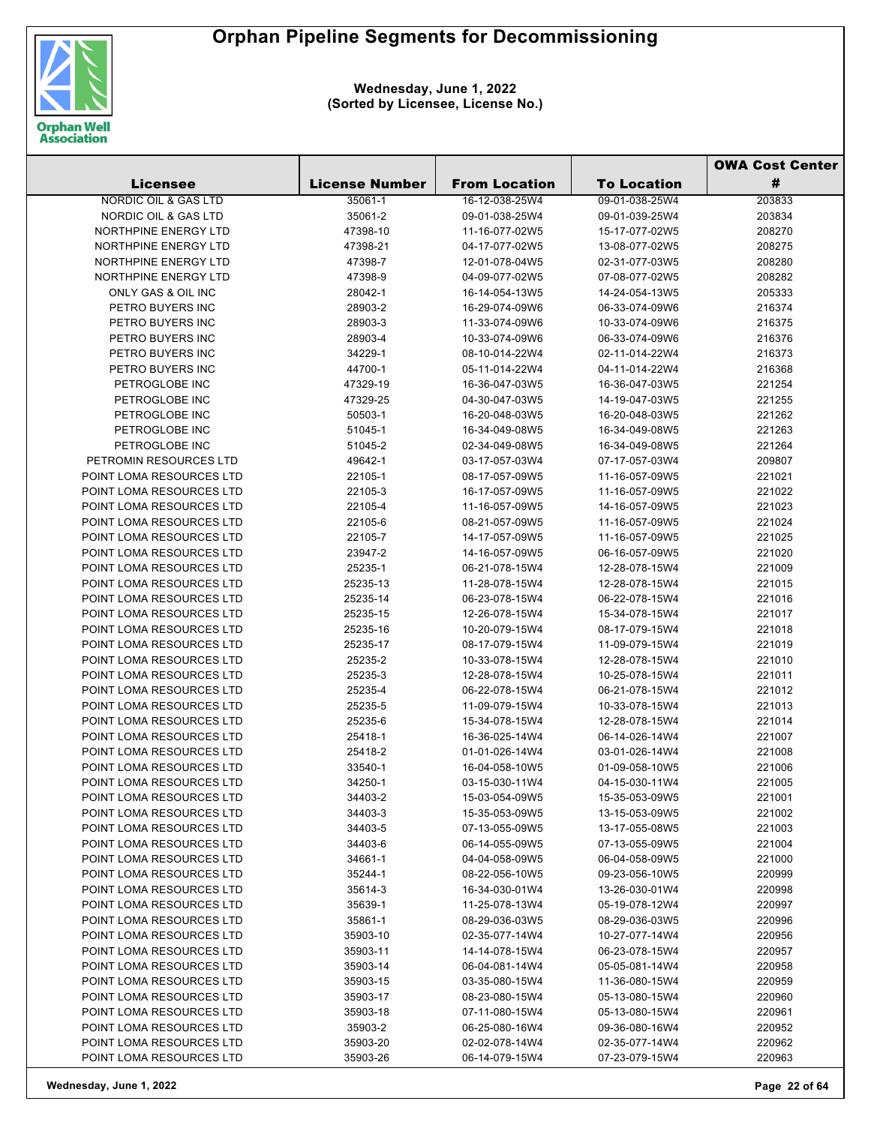

|                          |                       |                                  |                                  | <b>OWA Cost Center</b> |  |
|--------------------------|-----------------------|----------------------------------|----------------------------------|------------------------|--|
| <b>Licensee</b>          | <b>License Number</b> | <b>From Location</b>             | <b>To Location</b>               | #                      |  |
| NORDIC OIL & GAS LTD     | 35061-1               | 16-12-038-25W4                   | 09-01-038-25W4                   | 203833                 |  |
| NORDIC OIL & GAS LTD     | 35061-2               | 09-01-038-25W4                   | 09-01-039-25W4                   | 203834                 |  |
| NORTHPINE ENERGY LTD     | 47398-10              | 11-16-077-02W5                   | 15-17-077-02W5                   | 208270                 |  |
| NORTHPINE ENERGY LTD     | 47398-21              | 04-17-077-02W5                   | 13-08-077-02W5                   | 208275                 |  |
| NORTHPINE ENERGY LTD     | 47398-7               | 12-01-078-04W5                   | 02-31-077-03W5                   | 208280                 |  |
| NORTHPINE ENERGY LTD     | 47398-9               | 04-09-077-02W5                   | 07-08-077-02W5                   | 208282                 |  |
| ONLY GAS & OIL INC       | 28042-1               | 16-14-054-13W5                   | 14-24-054-13W5                   | 205333                 |  |
| PETRO BUYERS INC         | 28903-2               | 16-29-074-09W6                   | 06-33-074-09W6                   | 216374                 |  |
| PETRO BUYERS INC         | 28903-3               | 11-33-074-09W6                   | 10-33-074-09W6                   | 216375                 |  |
| PETRO BUYERS INC         | 28903-4               | 10-33-074-09W6                   | 06-33-074-09W6                   | 216376                 |  |
| PETRO BUYERS INC         | 34229-1               | 08-10-014-22W4                   | 02-11-014-22W4                   | 216373                 |  |
| PETRO BUYERS INC         | 44700-1               | 05-11-014-22W4                   | 04-11-014-22W4                   | 216368                 |  |
| PETROGLOBE INC           | 47329-19              | 16-36-047-03W5                   | 16-36-047-03W5                   | 221254                 |  |
| PETROGLOBE INC           | 47329-25              | 04-30-047-03W5                   | 14-19-047-03W5                   | 221255                 |  |
| PETROGLOBE INC           | 50503-1               | 16-20-048-03W5                   | 16-20-048-03W5                   | 221262                 |  |
| PETROGLOBE INC           | 51045-1               | 16-34-049-08W5                   | 16-34-049-08W5                   | 221263                 |  |
| PETROGLOBE INC           | 51045-2               | 02-34-049-08W5                   | 16-34-049-08W5                   | 221264                 |  |
| PETROMIN RESOURCES LTD   | 49642-1               | 03-17-057-03W4                   | 07-17-057-03W4                   | 209807                 |  |
| POINT LOMA RESOURCES LTD | 22105-1               | 08-17-057-09W5                   | 11-16-057-09W5                   | 221021                 |  |
| POINT LOMA RESOURCES LTD | 22105-3               | 16-17-057-09W5                   | 11-16-057-09W5                   | 221022                 |  |
| POINT LOMA RESOURCES LTD | 22105-4               | 11-16-057-09W5                   | 14-16-057-09W5                   | 221023                 |  |
| POINT LOMA RESOURCES LTD | 22105-6               | 08-21-057-09W5                   | 11-16-057-09W5                   | 221024                 |  |
| POINT LOMA RESOURCES LTD | 22105-7               | 14-17-057-09W5                   | 11-16-057-09W5                   | 221025                 |  |
| POINT LOMA RESOURCES LTD | 23947-2               | 14-16-057-09W5                   | 06-16-057-09W5                   | 221020                 |  |
| POINT LOMA RESOURCES LTD | 25235-1               | 06-21-078-15W4                   | 12-28-078-15W4                   | 221009                 |  |
| POINT LOMA RESOURCES LTD | 25235-13              | 11-28-078-15W4                   | 12-28-078-15W4                   | 221015                 |  |
| POINT LOMA RESOURCES LTD | 25235-14              | 06-23-078-15W4                   | 06-22-078-15W4                   | 221016                 |  |
| POINT LOMA RESOURCES LTD | 25235-15              | 12-26-078-15W4                   | 15-34-078-15W4                   | 221017                 |  |
| POINT LOMA RESOURCES LTD | 25235-16              | 10-20-079-15W4                   | 08-17-079-15W4                   | 221018                 |  |
| POINT LOMA RESOURCES LTD | 25235-17              | 08-17-079-15W4                   | 11-09-079-15W4                   | 221019                 |  |
| POINT LOMA RESOURCES LTD | 25235-2               | 10-33-078-15W4                   | 12-28-078-15W4                   | 221010                 |  |
| POINT LOMA RESOURCES LTD | 25235-3               | 12-28-078-15W4                   | 10-25-078-15W4                   | 221011                 |  |
| POINT LOMA RESOURCES LTD | 25235-4               | 06-22-078-15W4                   | 06-21-078-15W4                   | 221012                 |  |
| POINT LOMA RESOURCES LTD | 25235-5               | 11-09-079-15W4                   | 10-33-078-15W4                   | 221013                 |  |
| POINT LOMA RESOURCES LTD | 25235-6               | 15-34-078-15W4                   | 12-28-078-15W4                   | 221014                 |  |
| POINT LOMA RESOURCES LTD | 25418-1               | 16-36-025-14W4                   | 06-14-026-14W4                   | 221007                 |  |
| POINT LOMA RESOURCES LTD | 25418-2               | 01-01-026-14W4                   | 03-01-026-14W4                   | 221008                 |  |
| POINT LOMA RESOURCES LTD | 33540-1               | 16-04-058-10W5                   | 01-09-058-10W5                   | 221006                 |  |
| POINT LOMA RESOURCES LTD | 34250-1               | 03-15-030-11W4                   | 04-15-030-11W4                   | 221005                 |  |
| POINT LOMA RESOURCES LTD | 34403-2               | 15-03-054-09W5                   | 15-35-053-09W5                   | 221001                 |  |
| POINT LOMA RESOURCES LTD | 34403-3               | 15-35-053-09W5                   | 13-15-053-09W5                   | 221002                 |  |
| POINT LOMA RESOURCES LTD | 34403-5               | 07-13-055-09W5                   | 13-17-055-08W5                   | 221003                 |  |
| POINT LOMA RESOURCES LTD | 34403-6               | 06-14-055-09W5                   | 07-13-055-09W5                   | 221004                 |  |
| POINT LOMA RESOURCES LTD | 34661-1               | 04-04-058-09W5                   | 06-04-058-09W5                   | 221000                 |  |
| POINT LOMA RESOURCES LTD | 35244-1               | 08-22-056-10W5                   | 09-23-056-10W5                   | 220999                 |  |
| POINT LOMA RESOURCES LTD | 35614-3               | 16-34-030-01W4                   | 13-26-030-01W4                   | 220998                 |  |
| POINT LOMA RESOURCES LTD | 35639-1               | 11-25-078-13W4                   | 05-19-078-12W4                   | 220997                 |  |
| POINT LOMA RESOURCES LTD | 35861-1               | 08-29-036-03W5                   | 08-29-036-03W5                   | 220996                 |  |
| POINT LOMA RESOURCES LTD | 35903-10              | 02-35-077-14W4                   | 10-27-077-14W4                   | 220956                 |  |
| POINT LOMA RESOURCES LTD | 35903-11              | 14-14-078-15W4                   | 06-23-078-15W4                   | 220957                 |  |
| POINT LOMA RESOURCES LTD |                       |                                  |                                  | 220958                 |  |
| POINT LOMA RESOURCES LTD | 35903-14<br>35903-15  | 06-04-081-14W4<br>03-35-080-15W4 | 05-05-081-14W4<br>11-36-080-15W4 | 220959                 |  |
| POINT LOMA RESOURCES LTD | 35903-17              | 08-23-080-15W4                   | 05-13-080-15W4                   | 220960                 |  |
| POINT LOMA RESOURCES LTD |                       | 07-11-080-15W4                   | 05-13-080-15W4                   |                        |  |
|                          | 35903-18              |                                  |                                  | 220961                 |  |
| POINT LOMA RESOURCES LTD | 35903-2               | 06-25-080-16W4                   | 09-36-080-16W4                   | 220952                 |  |
| POINT LOMA RESOURCES LTD | 35903-20              | 02-02-078-14W4                   | 02-35-077-14W4                   | 220962                 |  |
| POINT LOMA RESOURCES LTD | 35903-26              | 06-14-079-15W4                   | 07-23-079-15W4                   | 220963                 |  |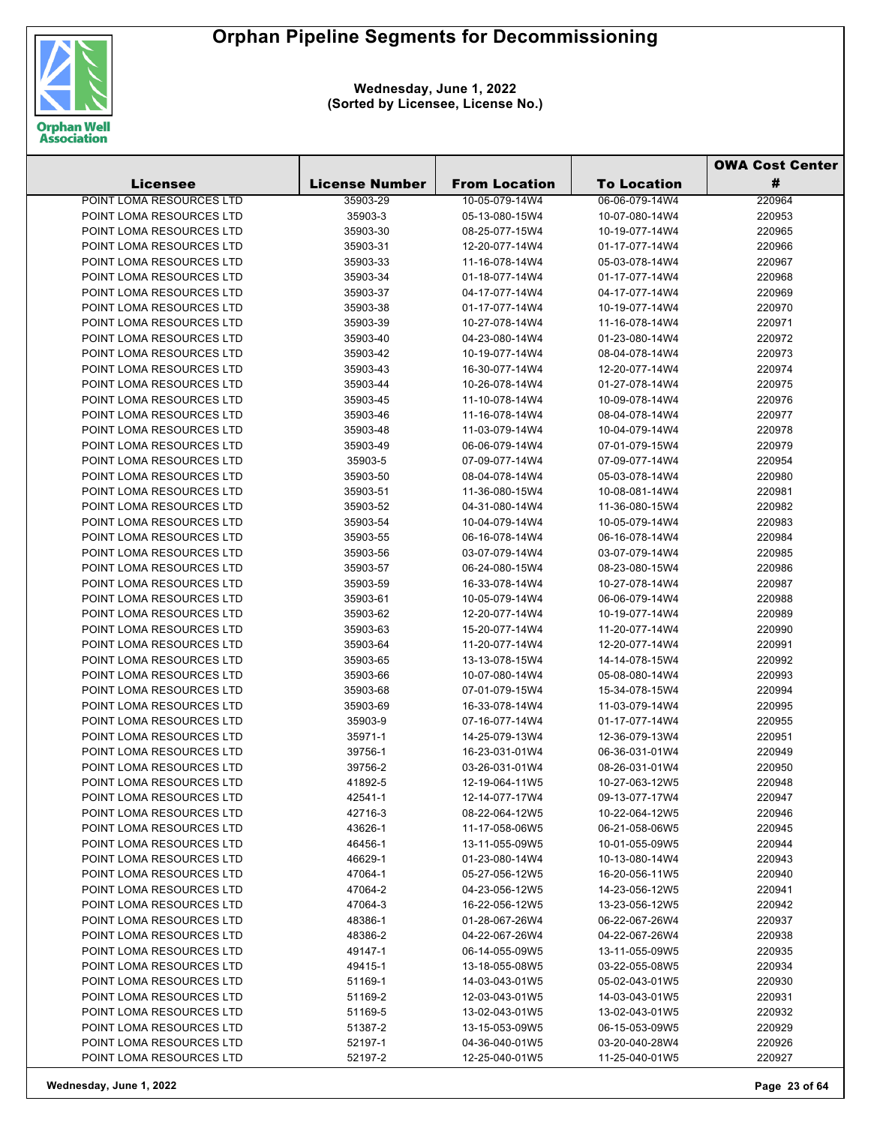

|                                                      |                       |                                  |                                  | <b>OWA Cost Center</b> |  |
|------------------------------------------------------|-----------------------|----------------------------------|----------------------------------|------------------------|--|
| <b>Licensee</b>                                      | <b>License Number</b> | <b>From Location</b>             | <b>To Location</b>               | #                      |  |
| POINT LOMA RESOURCES LTD                             | 35903-29              | 10-05-079-14W4                   | 06-06-079-14W4                   | 220964                 |  |
| POINT LOMA RESOURCES LTD                             | 35903-3               | 05-13-080-15W4                   | 10-07-080-14W4                   | 220953                 |  |
| POINT LOMA RESOURCES LTD                             | 35903-30              | 08-25-077-15W4                   | 10-19-077-14W4                   | 220965                 |  |
| POINT LOMA RESOURCES LTD                             | 35903-31              | 12-20-077-14W4                   | 01-17-077-14W4                   | 220966                 |  |
| POINT LOMA RESOURCES LTD                             | 35903-33              | 11-16-078-14W4                   | 05-03-078-14W4                   | 220967                 |  |
| POINT LOMA RESOURCES LTD                             | 35903-34              | 01-18-077-14W4                   | 01-17-077-14W4                   | 220968                 |  |
| POINT LOMA RESOURCES LTD                             | 35903-37              | 04-17-077-14W4                   | 04-17-077-14W4                   | 220969                 |  |
| POINT LOMA RESOURCES LTD                             | 35903-38              | 01-17-077-14W4                   | 10-19-077-14W4                   | 220970                 |  |
| POINT LOMA RESOURCES LTD                             | 35903-39              | 10-27-078-14W4                   | 11-16-078-14W4                   | 220971                 |  |
| POINT LOMA RESOURCES LTD                             | 35903-40              | 04-23-080-14W4                   | 01-23-080-14W4                   | 220972                 |  |
| POINT LOMA RESOURCES LTD                             | 35903-42              | 10-19-077-14W4                   | 08-04-078-14W4                   | 220973                 |  |
| POINT LOMA RESOURCES LTD                             | 35903-43              | 16-30-077-14W4                   | 12-20-077-14W4                   | 220974                 |  |
| POINT LOMA RESOURCES LTD                             | 35903-44              | 10-26-078-14W4                   | 01-27-078-14W4                   | 220975                 |  |
| POINT LOMA RESOURCES LTD                             | 35903-45              | 11-10-078-14W4                   | 10-09-078-14W4                   | 220976                 |  |
| POINT LOMA RESOURCES LTD                             | 35903-46              | 11-16-078-14W4                   | 08-04-078-14W4                   | 220977                 |  |
| POINT LOMA RESOURCES LTD                             | 35903-48              | 11-03-079-14W4                   | 10-04-079-14W4                   | 220978                 |  |
| POINT LOMA RESOURCES LTD                             | 35903-49              | 06-06-079-14W4                   | 07-01-079-15W4                   | 220979                 |  |
| POINT LOMA RESOURCES LTD                             | 35903-5               | 07-09-077-14W4                   | 07-09-077-14W4                   | 220954                 |  |
| POINT LOMA RESOURCES LTD                             | 35903-50              | 08-04-078-14W4                   | 05-03-078-14W4                   | 220980                 |  |
| POINT LOMA RESOURCES LTD                             | 35903-51              | 11-36-080-15W4                   | 10-08-081-14W4                   | 220981                 |  |
| POINT LOMA RESOURCES LTD                             | 35903-52              | 04-31-080-14W4                   | 11-36-080-15W4                   | 220982                 |  |
| POINT LOMA RESOURCES LTD                             | 35903-54              | 10-04-079-14W4                   | 10-05-079-14W4                   | 220983                 |  |
| POINT LOMA RESOURCES LTD                             | 35903-55              | 06-16-078-14W4                   | 06-16-078-14W4                   | 220984                 |  |
| POINT LOMA RESOURCES LTD                             | 35903-56              | 03-07-079-14W4                   | 03-07-079-14W4                   | 220985                 |  |
| POINT LOMA RESOURCES LTD                             | 35903-57              | 06-24-080-15W4                   | 08-23-080-15W4                   | 220986                 |  |
| POINT LOMA RESOURCES LTD                             | 35903-59              | 16-33-078-14W4                   | 10-27-078-14W4                   | 220987                 |  |
| POINT LOMA RESOURCES LTD                             | 35903-61              | 10-05-079-14W4                   | 06-06-079-14W4                   | 220988                 |  |
| POINT LOMA RESOURCES LTD                             | 35903-62              | 12-20-077-14W4                   | 10-19-077-14W4                   | 220989                 |  |
| POINT LOMA RESOURCES LTD                             | 35903-63              | 15-20-077-14W4                   | 11-20-077-14W4                   | 220990                 |  |
| POINT LOMA RESOURCES LTD                             | 35903-64              | 11-20-077-14W4                   | 12-20-077-14W4                   | 220991                 |  |
| POINT LOMA RESOURCES LTD                             | 35903-65              | 13-13-078-15W4                   | 14-14-078-15W4                   | 220992                 |  |
| POINT LOMA RESOURCES LTD                             | 35903-66              | 10-07-080-14W4                   | 05-08-080-14W4                   | 220993                 |  |
| POINT LOMA RESOURCES LTD                             | 35903-68              | 07-01-079-15W4                   | 15-34-078-15W4                   | 220994                 |  |
| POINT LOMA RESOURCES LTD                             | 35903-69              | 16-33-078-14W4                   | 11-03-079-14W4                   | 220995                 |  |
| POINT LOMA RESOURCES LTD                             | 35903-9               | 07-16-077-14W4                   | 01-17-077-14W4                   | 220955                 |  |
| POINT LOMA RESOURCES LTD                             | 35971-1               | 14-25-079-13W4                   | 12-36-079-13W4                   | 220951                 |  |
| POINT LOMA RESOURCES LTD                             | 39756-1               | 16-23-031-01W4                   | 06-36-031-01W4                   | 220949                 |  |
| POINT LOMA RESOURCES LTD                             | 39756-2               | 03-26-031-01W4                   | 08-26-031-01W4                   | 220950                 |  |
| POINT LOMA RESOURCES LTD                             | 41892-5               | 12-19-064-11W5                   | 10-27-063-12W5                   | 220948                 |  |
| POINT LOMA RESOURCES LTD                             | 42541-1               | 12-14-077-17W4                   | 09-13-077-17W4                   | 220947                 |  |
| POINT LOMA RESOURCES LTD                             | 42716-3               | 08-22-064-12W5                   | 10-22-064-12W5                   | 220946                 |  |
| POINT LOMA RESOURCES LTD                             | 43626-1               | 11-17-058-06W5                   | 06-21-058-06W5                   | 220945                 |  |
| POINT LOMA RESOURCES LTD                             | 46456-1               | 13-11-055-09W5                   | 10-01-055-09W5                   | 220944                 |  |
| POINT LOMA RESOURCES LTD                             | 46629-1               | 01-23-080-14W4                   | 10-13-080-14W4                   | 220943                 |  |
| POINT LOMA RESOURCES LTD                             | 47064-1               | 05-27-056-12W5                   | 16-20-056-11W5                   | 220940                 |  |
| POINT LOMA RESOURCES LTD                             | 47064-2               | 04-23-056-12W5                   | 14-23-056-12W5                   | 220941                 |  |
| POINT LOMA RESOURCES LTD<br>POINT LOMA RESOURCES LTD | 47064-3               | 16-22-056-12W5                   | 13-23-056-12W5                   | 220942                 |  |
|                                                      | 48386-1               | 01-28-067-26W4<br>04-22-067-26W4 | 06-22-067-26W4<br>04-22-067-26W4 | 220937                 |  |
| POINT LOMA RESOURCES LTD<br>POINT LOMA RESOURCES LTD | 48386-2<br>49147-1    | 06-14-055-09W5                   | 13-11-055-09W5                   | 220938<br>220935       |  |
| POINT LOMA RESOURCES LTD                             |                       | 13-18-055-08W5                   | 03-22-055-08W5                   | 220934                 |  |
| POINT LOMA RESOURCES LTD                             | 49415-1<br>51169-1    | 14-03-043-01W5                   | 05-02-043-01W5                   | 220930                 |  |
| POINT LOMA RESOURCES LTD                             | 51169-2               | 12-03-043-01W5                   | 14-03-043-01W5                   | 220931                 |  |
| POINT LOMA RESOURCES LTD                             | 51169-5               | 13-02-043-01W5                   | 13-02-043-01W5                   | 220932                 |  |
| POINT LOMA RESOURCES LTD                             | 51387-2               | 13-15-053-09W5                   | 06-15-053-09W5                   | 220929                 |  |
| POINT LOMA RESOURCES LTD                             | 52197-1               | 04-36-040-01W5                   | 03-20-040-28W4                   | 220926                 |  |
| POINT LOMA RESOURCES LTD                             | 52197-2               | 12-25-040-01W5                   | 11-25-040-01W5                   | 220927                 |  |
|                                                      |                       |                                  |                                  |                        |  |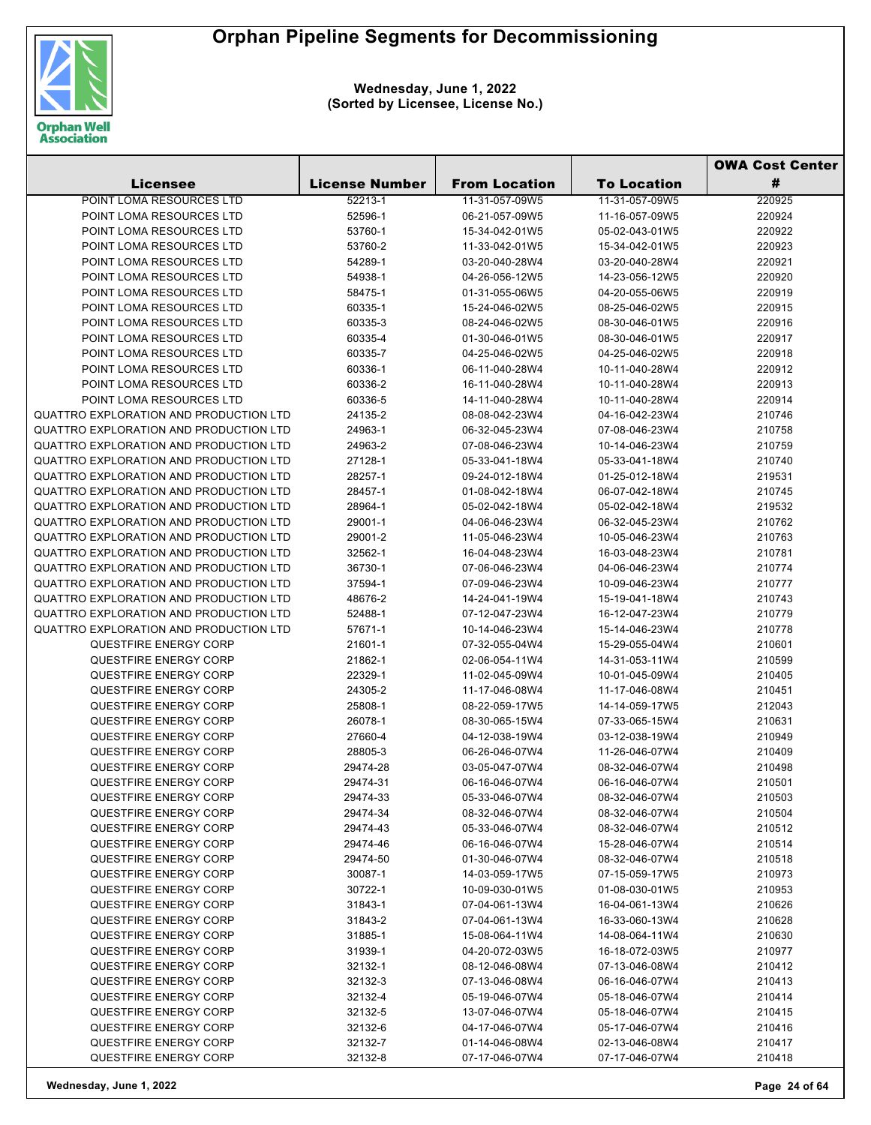

|                                        |                       |                      |                    | <b>OWA Cost Center</b> |
|----------------------------------------|-----------------------|----------------------|--------------------|------------------------|
| <b>Licensee</b>                        | <b>License Number</b> | <b>From Location</b> | <b>To Location</b> | #                      |
| POINT LOMA RESOURCES LTD               | 52213-1               | 11-31-057-09W5       | 11-31-057-09W5     | 220925                 |
| POINT LOMA RESOURCES LTD               | 52596-1               | 06-21-057-09W5       | 11-16-057-09W5     | 220924                 |
| POINT LOMA RESOURCES LTD               | 53760-1               | 15-34-042-01W5       | 05-02-043-01W5     | 220922                 |
| POINT LOMA RESOURCES LTD               | 53760-2               | 11-33-042-01W5       | 15-34-042-01W5     | 220923                 |
| POINT LOMA RESOURCES LTD               | 54289-1               | 03-20-040-28W4       | 03-20-040-28W4     | 220921                 |
| POINT LOMA RESOURCES LTD               | 54938-1               | 04-26-056-12W5       | 14-23-056-12W5     | 220920                 |
| POINT LOMA RESOURCES LTD               | 58475-1               | 01-31-055-06W5       | 04-20-055-06W5     | 220919                 |
| POINT LOMA RESOURCES LTD               | 60335-1               | 15-24-046-02W5       | 08-25-046-02W5     | 220915                 |
| POINT LOMA RESOURCES LTD               | 60335-3               | 08-24-046-02W5       | 08-30-046-01W5     | 220916                 |
| POINT LOMA RESOURCES LTD               | 60335-4               | 01-30-046-01W5       | 08-30-046-01W5     | 220917                 |
| POINT LOMA RESOURCES LTD               | 60335-7               | 04-25-046-02W5       | 04-25-046-02W5     | 220918                 |
| POINT LOMA RESOURCES LTD               | 60336-1               | 06-11-040-28W4       | 10-11-040-28W4     | 220912                 |
| POINT LOMA RESOURCES LTD               | 60336-2               | 16-11-040-28W4       | 10-11-040-28W4     | 220913                 |
| POINT LOMA RESOURCES LTD               | 60336-5               | 14-11-040-28W4       | 10-11-040-28W4     | 220914                 |
| QUATTRO EXPLORATION AND PRODUCTION LTD | 24135-2               | 08-08-042-23W4       | 04-16-042-23W4     | 210746                 |
| QUATTRO EXPLORATION AND PRODUCTION LTD | 24963-1               | 06-32-045-23W4       | 07-08-046-23W4     | 210758                 |
| QUATTRO EXPLORATION AND PRODUCTION LTD | 24963-2               | 07-08-046-23W4       | 10-14-046-23W4     | 210759                 |
| QUATTRO EXPLORATION AND PRODUCTION LTD | 27128-1               | 05-33-041-18W4       | 05-33-041-18W4     | 210740                 |
| QUATTRO EXPLORATION AND PRODUCTION LTD | 28257-1               | 09-24-012-18W4       | 01-25-012-18W4     | 219531                 |
| QUATTRO EXPLORATION AND PRODUCTION LTD | 28457-1               | 01-08-042-18W4       | 06-07-042-18W4     | 210745                 |
| QUATTRO EXPLORATION AND PRODUCTION LTD | 28964-1               | 05-02-042-18W4       | 05-02-042-18W4     | 219532                 |
| QUATTRO EXPLORATION AND PRODUCTION LTD | 29001-1               | 04-06-046-23W4       | 06-32-045-23W4     | 210762                 |
| QUATTRO EXPLORATION AND PRODUCTION LTD | 29001-2               | 11-05-046-23W4       | 10-05-046-23W4     | 210763                 |
| QUATTRO EXPLORATION AND PRODUCTION LTD | 32562-1               | 16-04-048-23W4       | 16-03-048-23W4     | 210781                 |
| QUATTRO EXPLORATION AND PRODUCTION LTD | 36730-1               | 07-06-046-23W4       | 04-06-046-23W4     | 210774                 |
| QUATTRO EXPLORATION AND PRODUCTION LTD | 37594-1               | 07-09-046-23W4       | 10-09-046-23W4     | 210777                 |
| QUATTRO EXPLORATION AND PRODUCTION LTD | 48676-2               | 14-24-041-19W4       | 15-19-041-18W4     | 210743                 |
| QUATTRO EXPLORATION AND PRODUCTION LTD | 52488-1               | 07-12-047-23W4       | 16-12-047-23W4     | 210779                 |
| QUATTRO EXPLORATION AND PRODUCTION LTD | 57671-1               | 10-14-046-23W4       | 15-14-046-23W4     | 210778                 |
| <b>QUESTFIRE ENERGY CORP</b>           | 21601-1               | 07-32-055-04W4       | 15-29-055-04W4     | 210601                 |
| <b>QUESTFIRE ENERGY CORP</b>           | 21862-1               | 02-06-054-11W4       | 14-31-053-11W4     | 210599                 |
| <b>QUESTFIRE ENERGY CORP</b>           | 22329-1               | 11-02-045-09W4       | 10-01-045-09W4     | 210405                 |
| <b>QUESTFIRE ENERGY CORP</b>           | 24305-2               | 11-17-046-08W4       | 11-17-046-08W4     | 210451                 |
| <b>QUESTFIRE ENERGY CORP</b>           | 25808-1               | 08-22-059-17W5       | 14-14-059-17W5     | 212043                 |
| <b>QUESTFIRE ENERGY CORP</b>           | 26078-1               | 08-30-065-15W4       | 07-33-065-15W4     | 210631                 |
| <b>QUESTFIRE ENERGY CORP</b>           | 27660-4               | 04-12-038-19W4       | 03-12-038-19W4     | 210949                 |
| <b>QUESTFIRE ENERGY CORP</b>           | 28805-3               | 06-26-046-07W4       | 11-26-046-07W4     | 210409                 |
| QUESTFIRE ENERGY CORP                  | 29474-28              | 03-05-047-07W4       | 08-32-046-07W4     | 210498                 |
| <b>QUESTFIRE ENERGY CORP</b>           | 29474-31              | 06-16-046-07W4       | 06-16-046-07W4     | 210501                 |
| QUESTFIRE ENERGY CORP                  | 29474-33              | 05-33-046-07W4       | 08-32-046-07W4     | 210503                 |
| <b>QUESTFIRE ENERGY CORP</b>           | 29474-34              | 08-32-046-07W4       | 08-32-046-07W4     | 210504                 |
| QUESTFIRE ENERGY CORP                  | 29474-43              | 05-33-046-07W4       | 08-32-046-07W4     | 210512                 |
| <b>QUESTFIRE ENERGY CORP</b>           | 29474-46              | 06-16-046-07W4       | 15-28-046-07W4     | 210514                 |
| <b>QUESTFIRE ENERGY CORP</b>           | 29474-50              | 01-30-046-07W4       | 08-32-046-07W4     | 210518                 |
| <b>QUESTFIRE ENERGY CORP</b>           | 30087-1               | 14-03-059-17W5       | 07-15-059-17W5     | 210973                 |
| <b>QUESTFIRE ENERGY CORP</b>           | 30722-1               | 10-09-030-01W5       | 01-08-030-01W5     | 210953                 |
| <b>QUESTFIRE ENERGY CORP</b>           | 31843-1               | 07-04-061-13W4       | 16-04-061-13W4     | 210626                 |
| <b>QUESTFIRE ENERGY CORP</b>           | 31843-2               | 07-04-061-13W4       | 16-33-060-13W4     | 210628                 |
| <b>QUESTFIRE ENERGY CORP</b>           | 31885-1               | 15-08-064-11W4       | 14-08-064-11W4     | 210630                 |
| <b>QUESTFIRE ENERGY CORP</b>           | 31939-1               | 04-20-072-03W5       | 16-18-072-03W5     | 210977                 |
| <b>QUESTFIRE ENERGY CORP</b>           | 32132-1               | 08-12-046-08W4       | 07-13-046-08W4     | 210412                 |
| <b>QUESTFIRE ENERGY CORP</b>           | 32132-3               | 07-13-046-08W4       | 06-16-046-07W4     | 210413                 |
| <b>QUESTFIRE ENERGY CORP</b>           | 32132-4               | 05-19-046-07W4       | 05-18-046-07W4     | 210414                 |
| <b>QUESTFIRE ENERGY CORP</b>           | 32132-5               | 13-07-046-07W4       | 05-18-046-07W4     | 210415                 |
| <b>QUESTFIRE ENERGY CORP</b>           | 32132-6               | 04-17-046-07W4       | 05-17-046-07W4     | 210416                 |
| <b>QUESTFIRE ENERGY CORP</b>           | 32132-7               | 01-14-046-08W4       | 02-13-046-08W4     | 210417                 |
| QUESTFIRE ENERGY CORP                  | 32132-8               | 07-17-046-07W4       | 07-17-046-07W4     | 210418                 |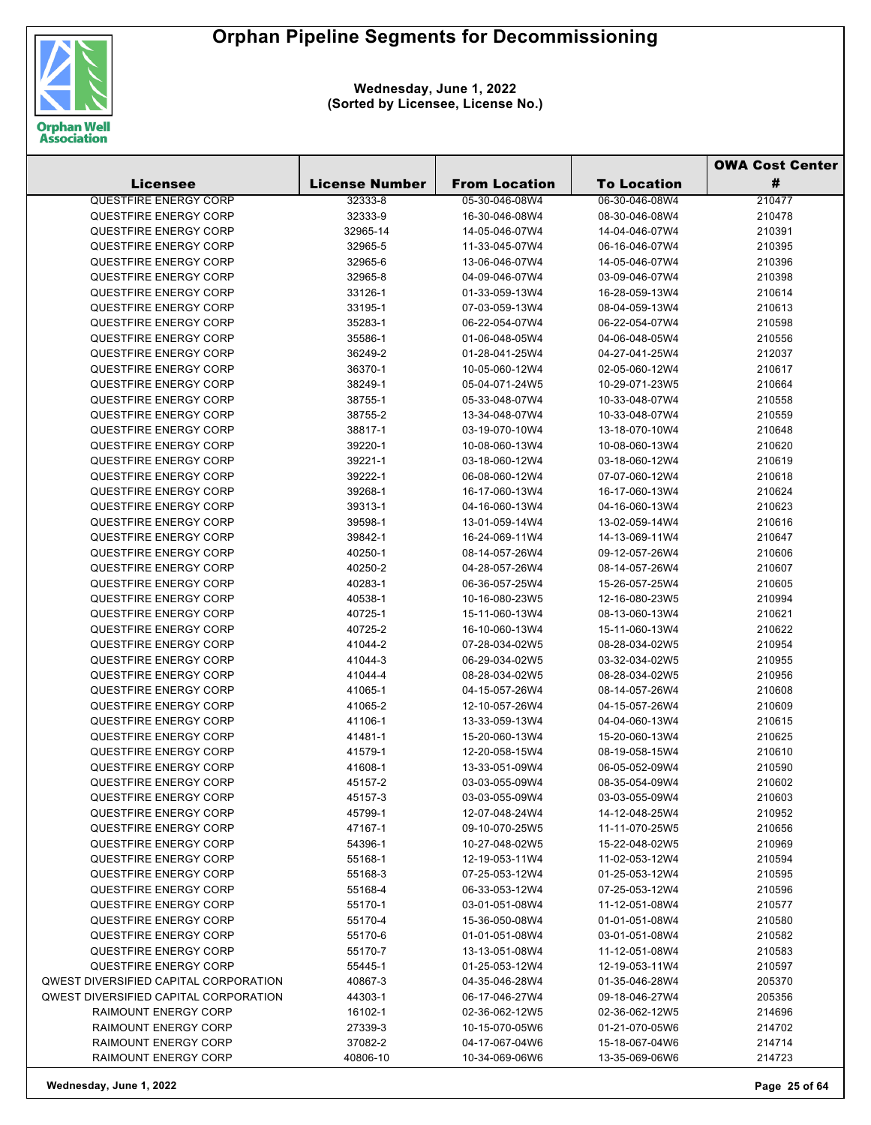

|                                                |                       |                                  |                                  | <b>OWA Cost Center</b> |  |
|------------------------------------------------|-----------------------|----------------------------------|----------------------------------|------------------------|--|
| <b>Licensee</b>                                | <b>License Number</b> | <b>From Location</b>             | <b>To Location</b>               | #                      |  |
| <b>QUESTFIRE ENERGY CORP</b>                   | 32333-8               | 05-30-046-08W4                   | 06-30-046-08W4                   | 210477                 |  |
| QUESTFIRE ENERGY CORP                          | 32333-9               | 16-30-046-08W4                   | 08-30-046-08W4                   | 210478                 |  |
| <b>QUESTFIRE ENERGY CORP</b>                   | 32965-14              | 14-05-046-07W4                   | 14-04-046-07W4                   | 210391                 |  |
| <b>QUESTFIRE ENERGY CORP</b>                   | 32965-5               | 11-33-045-07W4                   | 06-16-046-07W4                   | 210395                 |  |
| QUESTFIRE ENERGY CORP                          | 32965-6               | 13-06-046-07W4                   | 14-05-046-07W4                   | 210396                 |  |
| QUESTFIRE ENERGY CORP                          | 32965-8               | 04-09-046-07W4                   | 03-09-046-07W4                   | 210398                 |  |
| <b>QUESTFIRE ENERGY CORP</b>                   | 33126-1               | 01-33-059-13W4                   | 16-28-059-13W4                   | 210614                 |  |
| QUESTFIRE ENERGY CORP                          | 33195-1               | 07-03-059-13W4                   | 08-04-059-13W4                   | 210613                 |  |
| <b>QUESTFIRE ENERGY CORP</b>                   | 35283-1               | 06-22-054-07W4                   | 06-22-054-07W4                   | 210598                 |  |
| QUESTFIRE ENERGY CORP                          | 35586-1               | 01-06-048-05W4                   | 04-06-048-05W4                   | 210556                 |  |
| QUESTFIRE ENERGY CORP                          | 36249-2               | 01-28-041-25W4                   | 04-27-041-25W4                   | 212037                 |  |
| QUESTFIRE ENERGY CORP                          | 36370-1               | 10-05-060-12W4                   | 02-05-060-12W4                   | 210617                 |  |
| <b>QUESTFIRE ENERGY CORP</b>                   | 38249-1               | 05-04-071-24W5                   | 10-29-071-23W5                   | 210664                 |  |
| <b>QUESTFIRE ENERGY CORP</b>                   | 38755-1               | 05-33-048-07W4                   | 10-33-048-07W4                   | 210558                 |  |
| QUESTFIRE ENERGY CORP                          | 38755-2               | 13-34-048-07W4                   | 10-33-048-07W4                   | 210559                 |  |
| QUESTFIRE ENERGY CORP                          | 38817-1               | 03-19-070-10W4                   | 13-18-070-10W4                   | 210648                 |  |
| QUESTFIRE ENERGY CORP                          | 39220-1               | 10-08-060-13W4                   | 10-08-060-13W4                   | 210620                 |  |
| QUESTFIRE ENERGY CORP                          | 39221-1               | 03-18-060-12W4                   | 03-18-060-12W4                   | 210619                 |  |
| QUESTFIRE ENERGY CORP                          | 39222-1               | 06-08-060-12W4                   | 07-07-060-12W4                   | 210618                 |  |
| QUESTFIRE ENERGY CORP                          | 39268-1               | 16-17-060-13W4                   | 16-17-060-13W4                   | 210624                 |  |
| <b>QUESTFIRE ENERGY CORP</b>                   | 39313-1               | 04-16-060-13W4                   | 04-16-060-13W4                   | 210623                 |  |
| <b>QUESTFIRE ENERGY CORP</b>                   | 39598-1               | 13-01-059-14W4                   | 13-02-059-14W4                   | 210616                 |  |
| QUESTFIRE ENERGY CORP                          | 39842-1               | 16-24-069-11W4                   | 14-13-069-11W4                   | 210647                 |  |
| QUESTFIRE ENERGY CORP                          | 40250-1               | 08-14-057-26W4                   | 09-12-057-26W4                   | 210606                 |  |
| <b>QUESTFIRE ENERGY CORP</b>                   | 40250-2               | 04-28-057-26W4                   | 08-14-057-26W4                   | 210607                 |  |
| <b>QUESTFIRE ENERGY CORP</b>                   | 40283-1               | 06-36-057-25W4                   | 15-26-057-25W4                   | 210605                 |  |
| QUESTFIRE ENERGY CORP                          | 40538-1               | 10-16-080-23W5                   | 12-16-080-23W5                   | 210994                 |  |
| QUESTFIRE ENERGY CORP                          | 40725-1               | 15-11-060-13W4                   | 08-13-060-13W4                   | 210621                 |  |
| QUESTFIRE ENERGY CORP                          | 40725-2               | 16-10-060-13W4                   | 15-11-060-13W4                   | 210622                 |  |
| QUESTFIRE ENERGY CORP                          | 41044-2               | 07-28-034-02W5                   | 08-28-034-02W5                   | 210954                 |  |
| QUESTFIRE ENERGY CORP                          | 41044-3               | 06-29-034-02W5                   | 03-32-034-02W5                   | 210955                 |  |
| <b>QUESTFIRE ENERGY CORP</b>                   | 41044-4               | 08-28-034-02W5                   | 08-28-034-02W5                   | 210956                 |  |
| QUESTFIRE ENERGY CORP                          | 41065-1               | 04-15-057-26W4                   | 08-14-057-26W4                   | 210608                 |  |
| <b>QUESTFIRE ENERGY CORP</b>                   | 41065-2               | 12-10-057-26W4                   | 04-15-057-26W4                   | 210609                 |  |
| <b>QUESTFIRE ENERGY CORP</b>                   | 41106-1               | 13-33-059-13W4                   | 04-04-060-13W4                   | 210615                 |  |
| <b>QUESTFIRE ENERGY CORP</b>                   | 41481-1               | 15-20-060-13W4                   | 15-20-060-13W4                   | 210625                 |  |
| QUESTFIRE ENERGY CORP                          | 41579-1               | 12-20-058-15W4                   | 08-19-058-15W4                   | 210610                 |  |
| <b>QUESTFIRE ENERGY CORP</b>                   | 41608-1               | 13-33-051-09W4                   | 06-05-052-09W4                   | 210590                 |  |
| QUESTFIRE ENERGY CORP                          | 45157-2               | 03-03-055-09W4                   | 08-35-054-09W4                   | 210602                 |  |
| QUESTFIRE ENERGY CORP                          | 45157-3               | 03-03-055-09W4                   | 03-03-055-09W4                   | 210603                 |  |
| QUESTFIRE ENERGY CORP                          | 45799-1               | 12-07-048-24W4                   | 14-12-048-25W4                   | 210952                 |  |
| QUESTFIRE ENERGY CORP                          | 47167-1               | 09-10-070-25W5                   | 11-11-070-25W5                   | 210656                 |  |
| QUESTFIRE ENERGY CORP                          | 54396-1               | 10-27-048-02W5                   | 15-22-048-02W5                   | 210969                 |  |
| QUESTFIRE ENERGY CORP                          | 55168-1               | 12-19-053-11W4                   | 11-02-053-12W4                   | 210594                 |  |
| QUESTFIRE ENERGY CORP<br>QUESTFIRE ENERGY CORP | 55168-3               | 07-25-053-12W4                   | 01-25-053-12W4                   | 210595                 |  |
|                                                | 55168-4               | 06-33-053-12W4                   | 07-25-053-12W4                   | 210596                 |  |
| QUESTFIRE ENERGY CORP<br>QUESTFIRE ENERGY CORP | 55170-1               | 03-01-051-08W4<br>15-36-050-08W4 | 11-12-051-08W4<br>01-01-051-08W4 | 210577                 |  |
| QUESTFIRE ENERGY CORP                          | 55170-4<br>55170-6    | 01-01-051-08W4                   | 03-01-051-08W4                   | 210580<br>210582       |  |
| QUESTFIRE ENERGY CORP                          | 55170-7               | 13-13-051-08W4                   | 11-12-051-08W4                   | 210583                 |  |
| QUESTFIRE ENERGY CORP                          | 55445-1               | 01-25-053-12W4                   | 12-19-053-11W4                   | 210597                 |  |
| <b>QWEST DIVERSIFIED CAPITAL CORPORATION</b>   | 40867-3               | 04-35-046-28W4                   | 01-35-046-28W4                   | 205370                 |  |
| <b>QWEST DIVERSIFIED CAPITAL CORPORATION</b>   | 44303-1               | 06-17-046-27W4                   | 09-18-046-27W4                   | 205356                 |  |
| RAIMOUNT ENERGY CORP                           | 16102-1               | 02-36-062-12W5                   | 02-36-062-12W5                   | 214696                 |  |
| RAIMOUNT ENERGY CORP                           | 27339-3               | 10-15-070-05W6                   | 01-21-070-05W6                   | 214702                 |  |
| RAIMOUNT ENERGY CORP                           | 37082-2               | 04-17-067-04W6                   | 15-18-067-04W6                   | 214714                 |  |
| RAIMOUNT ENERGY CORP                           | 40806-10              | 10-34-069-06W6                   | 13-35-069-06W6                   | 214723                 |  |
|                                                |                       |                                  |                                  |                        |  |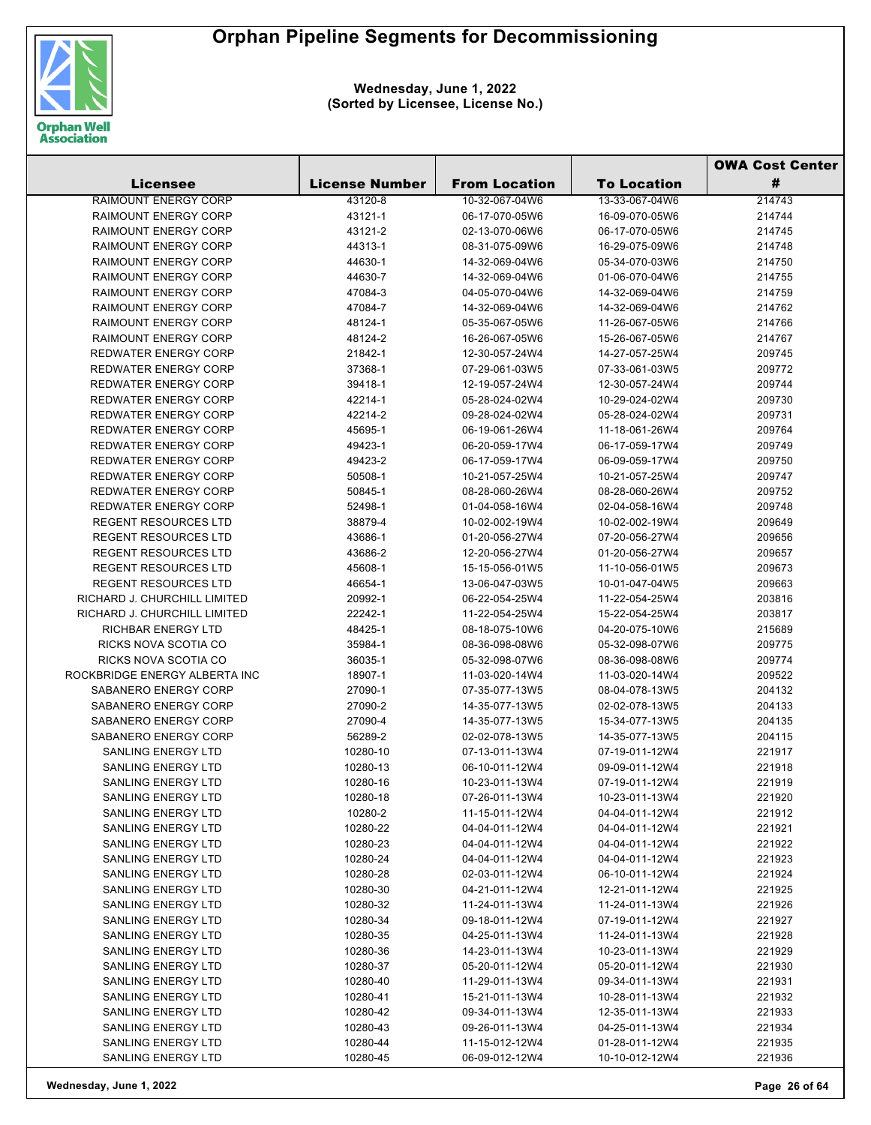

|                                          |                       |                                  |                                  | <b>OWA Cost Center</b> |  |
|------------------------------------------|-----------------------|----------------------------------|----------------------------------|------------------------|--|
| <b>Licensee</b>                          | <b>License Number</b> | <b>From Location</b>             | <b>To Location</b>               | #                      |  |
| <b>RAIMOUNT ENERGY CORP</b>              | 43120-8               | 10-32-067-04W6                   | 13-33-067-04W6                   | 214743                 |  |
| <b>RAIMOUNT ENERGY CORP</b>              | 43121-1               | 06-17-070-05W6                   | 16-09-070-05W6                   | 214744                 |  |
| <b>RAIMOUNT ENERGY CORP</b>              | 43121-2               | 02-13-070-06W6                   | 06-17-070-05W6                   | 214745                 |  |
| <b>RAIMOUNT ENERGY CORP</b>              | 44313-1               | 08-31-075-09W6                   | 16-29-075-09W6                   | 214748                 |  |
| <b>RAIMOUNT ENERGY CORP</b>              | 44630-1               | 14-32-069-04W6                   | 05-34-070-03W6                   | 214750                 |  |
| <b>RAIMOUNT ENERGY CORP</b>              | 44630-7               | 14-32-069-04W6                   | 01-06-070-04W6                   | 214755                 |  |
| <b>RAIMOUNT ENERGY CORP</b>              | 47084-3               | 04-05-070-04W6                   | 14-32-069-04W6                   | 214759                 |  |
| <b>RAIMOUNT ENERGY CORP</b>              | 47084-7               | 14-32-069-04W6                   | 14-32-069-04W6                   | 214762                 |  |
| <b>RAIMOUNT ENERGY CORP</b>              | 48124-1               | 05-35-067-05W6                   | 11-26-067-05W6                   | 214766                 |  |
| <b>RAIMOUNT ENERGY CORP</b>              | 48124-2               | 16-26-067-05W6                   | 15-26-067-05W6                   | 214767                 |  |
| <b>REDWATER ENERGY CORP</b>              | 21842-1               | 12-30-057-24W4                   | 14-27-057-25W4                   | 209745                 |  |
| <b>REDWATER ENERGY CORP</b>              | 37368-1               | 07-29-061-03W5                   | 07-33-061-03W5                   | 209772                 |  |
| <b>REDWATER ENERGY CORP</b>              | 39418-1               | 12-19-057-24W4                   | 12-30-057-24W4                   | 209744                 |  |
| <b>REDWATER ENERGY CORP</b>              | 42214-1               | 05-28-024-02W4                   | 10-29-024-02W4                   | 209730                 |  |
| <b>REDWATER ENERGY CORP</b>              | 42214-2               | 09-28-024-02W4                   | 05-28-024-02W4                   | 209731                 |  |
| <b>REDWATER ENERGY CORP</b>              | 45695-1               | 06-19-061-26W4                   | 11-18-061-26W4                   | 209764                 |  |
| <b>REDWATER ENERGY CORP</b>              | 49423-1               | 06-20-059-17W4                   | 06-17-059-17W4                   | 209749                 |  |
| <b>REDWATER ENERGY CORP</b>              | 49423-2               | 06-17-059-17W4                   | 06-09-059-17W4                   | 209750                 |  |
| <b>REDWATER ENERGY CORP</b>              | 50508-1               | 10-21-057-25W4                   | 10-21-057-25W4                   | 209747                 |  |
| <b>REDWATER ENERGY CORP</b>              | 50845-1               | 08-28-060-26W4                   | 08-28-060-26W4                   | 209752                 |  |
| <b>REDWATER ENERGY CORP</b>              | 52498-1               | 01-04-058-16W4                   | 02-04-058-16W4                   | 209748                 |  |
| <b>REGENT RESOURCES LTD</b>              | 38879-4               | 10-02-002-19W4                   | 10-02-002-19W4                   | 209649                 |  |
| <b>REGENT RESOURCES LTD</b>              | 43686-1               | 01-20-056-27W4                   | 07-20-056-27W4                   | 209656                 |  |
| <b>REGENT RESOURCES LTD</b>              | 43686-2               | 12-20-056-27W4                   | 01-20-056-27W4                   | 209657                 |  |
| <b>REGENT RESOURCES LTD</b>              | 45608-1               | 15-15-056-01W5                   | 11-10-056-01W5                   | 209673                 |  |
| <b>REGENT RESOURCES LTD</b>              | 46654-1               | 13-06-047-03W5                   | 10-01-047-04W5                   | 209663                 |  |
| RICHARD J. CHURCHILL LIMITED             | 20992-1               | 06-22-054-25W4                   | 11-22-054-25W4                   | 203816                 |  |
| RICHARD J. CHURCHILL LIMITED             | 22242-1               | 11-22-054-25W4                   | 15-22-054-25W4                   | 203817                 |  |
| RICHBAR ENERGY LTD                       | 48425-1               | 08-18-075-10W6                   | 04-20-075-10W6                   | 215689                 |  |
| RICKS NOVA SCOTIA CO                     | 35984-1               | 08-36-098-08W6                   | 05-32-098-07W6                   | 209775                 |  |
| RICKS NOVA SCOTIA CO                     | 36035-1               | 05-32-098-07W6                   | 08-36-098-08W6                   | 209774                 |  |
| ROCKBRIDGE ENERGY ALBERTA INC            | 18907-1               | 11-03-020-14W4                   | 11-03-020-14W4                   | 209522                 |  |
| SABANERO ENERGY CORP                     | 27090-1               | 07-35-077-13W5                   | 08-04-078-13W5                   | 204132                 |  |
| SABANERO ENERGY CORP                     | 27090-2               | 14-35-077-13W5                   | 02-02-078-13W5                   | 204133                 |  |
| SABANERO ENERGY CORP                     | 27090-4               | 14-35-077-13W5                   | 15-34-077-13W5                   | 204135                 |  |
| SABANERO ENERGY CORP                     | 56289-2               | 02-02-078-13W5                   | 14-35-077-13W5                   | 204115                 |  |
| <b>SANLING ENERGY LTD</b>                | 10280-10              | 07-13-011-13W4                   | 07-19-011-12W4                   | 221917                 |  |
| <b>SANLING ENERGY LTD</b>                | 10280-13              | 06-10-011-12W4                   | 09-09-011-12W4                   | 221918                 |  |
| <b>SANLING ENERGY LTD</b>                | 10280-16              | 10-23-011-13W4                   | 07-19-011-12W4                   | 221919                 |  |
| <b>SANLING ENERGY LTD</b>                | 10280-18              | 07-26-011-13W4                   | 10-23-011-13W4                   | 221920                 |  |
| SANLING ENERGY LTD                       | 10280-2               | 11-15-011-12W4                   | 04-04-011-12W4                   | 221912                 |  |
| SANLING ENERGY LTD                       | 10280-22              | 04-04-011-12W4                   | 04-04-011-12W4                   | 221921                 |  |
| SANLING ENERGY LTD                       | 10280-23              | 04-04-011-12W4                   | 04-04-011-12W4                   | 221922                 |  |
| SANLING ENERGY LTD                       | 10280-24<br>10280-28  | 04-04-011-12W4                   | 04-04-011-12W4<br>06-10-011-12W4 | 221923                 |  |
| SANLING ENERGY LTD<br>SANLING ENERGY LTD | 10280-30              | 02-03-011-12W4<br>04-21-011-12W4 |                                  | 221924<br>221925       |  |
| <b>SANLING ENERGY LTD</b>                | 10280-32              | 11-24-011-13W4                   | 12-21-011-12W4<br>11-24-011-13W4 | 221926                 |  |
| SANLING ENERGY LTD                       | 10280-34              | 09-18-011-12W4                   | 07-19-011-12W4                   | 221927                 |  |
| <b>SANLING ENERGY LTD</b>                | 10280-35              | 04-25-011-13W4                   | 11-24-011-13W4                   | 221928                 |  |
| SANLING ENERGY LTD                       | 10280-36              | 14-23-011-13W4                   | 10-23-011-13W4                   | 221929                 |  |
| SANLING ENERGY LTD                       | 10280-37              | 05-20-011-12W4                   | 05-20-011-12W4                   | 221930                 |  |
| SANLING ENERGY LTD                       | 10280-40              | 11-29-011-13W4                   | 09-34-011-13W4                   | 221931                 |  |
| SANLING ENERGY LTD                       | 10280-41              | 15-21-011-13W4                   | 10-28-011-13W4                   | 221932                 |  |
| SANLING ENERGY LTD                       | 10280-42              | 09-34-011-13W4                   | 12-35-011-13W4                   | 221933                 |  |
| SANLING ENERGY LTD                       | 10280-43              | 09-26-011-13W4                   | 04-25-011-13W4                   | 221934                 |  |
| SANLING ENERGY LTD                       | 10280-44              | 11-15-012-12W4                   | 01-28-011-12W4                   | 221935                 |  |
| SANLING ENERGY LTD                       | 10280-45              | 06-09-012-12W4                   | 10-10-012-12W4                   | 221936                 |  |
|                                          |                       |                                  |                                  |                        |  |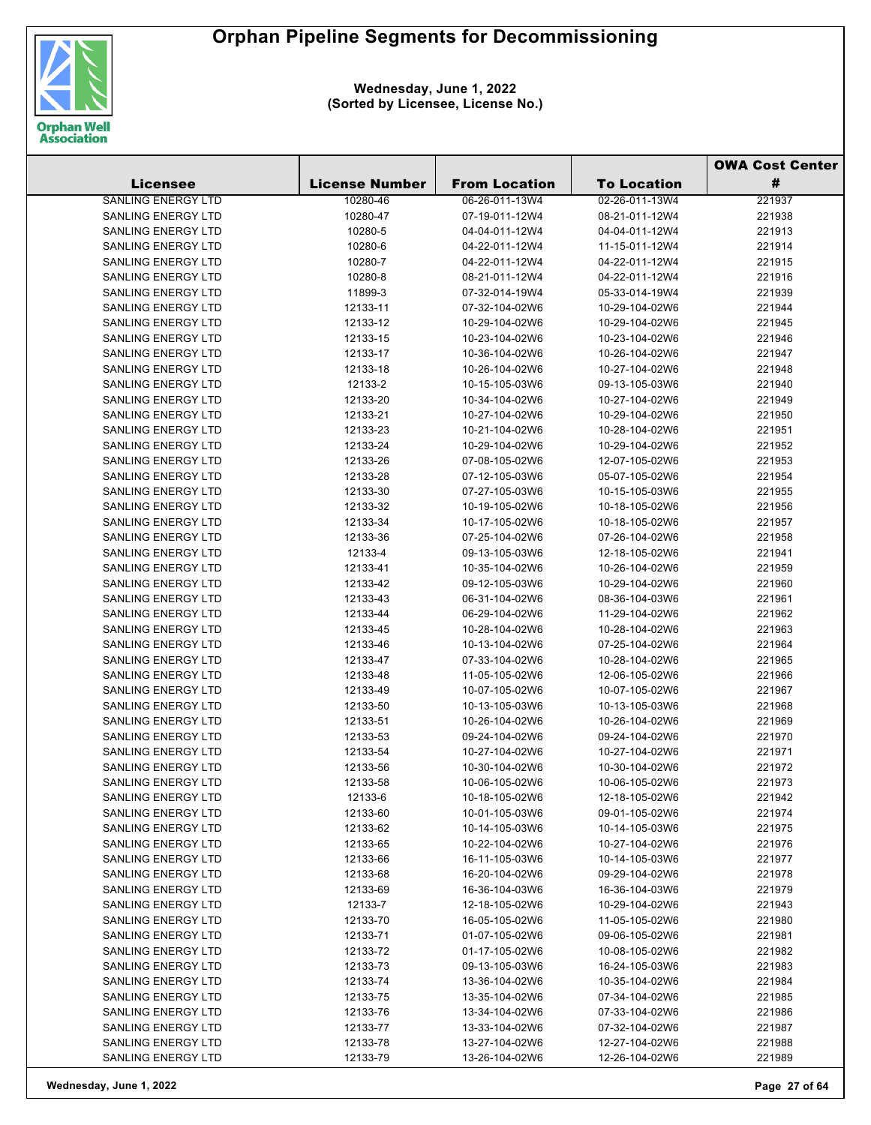

|                                          |                       |                                  |                                  | <b>OWA Cost Center</b> |  |
|------------------------------------------|-----------------------|----------------------------------|----------------------------------|------------------------|--|
| <b>Licensee</b>                          | <b>License Number</b> | <b>From Location</b>             | <b>To Location</b>               | #                      |  |
| <b>SANLING ENERGY LTD</b>                | 10280-46              | 06-26-011-13W4                   | 02-26-011-13W4                   | 221937                 |  |
| <b>SANLING ENERGY LTD</b>                | 10280-47              | 07-19-011-12W4                   | 08-21-011-12W4                   | 221938                 |  |
| <b>SANLING ENERGY LTD</b>                | 10280-5               | 04-04-011-12W4                   | 04-04-011-12W4                   | 221913                 |  |
| <b>SANLING ENERGY LTD</b>                | 10280-6               | 04-22-011-12W4                   | 11-15-011-12W4                   | 221914                 |  |
| <b>SANLING ENERGY LTD</b>                | 10280-7               | 04-22-011-12W4                   | 04-22-011-12W4                   | 221915                 |  |
| <b>SANLING ENERGY LTD</b>                | 10280-8               | 08-21-011-12W4                   | 04-22-011-12W4                   | 221916                 |  |
| <b>SANLING ENERGY LTD</b>                | 11899-3               | 07-32-014-19W4                   | 05-33-014-19W4                   | 221939                 |  |
| <b>SANLING ENERGY LTD</b>                | 12133-11              | 07-32-104-02W6                   | 10-29-104-02W6                   | 221944                 |  |
| <b>SANLING ENERGY LTD</b>                | 12133-12              | 10-29-104-02W6                   | 10-29-104-02W6                   | 221945                 |  |
| <b>SANLING ENERGY LTD</b>                | 12133-15              | 10-23-104-02W6                   | 10-23-104-02W6                   | 221946                 |  |
| <b>SANLING ENERGY LTD</b>                | 12133-17              | 10-36-104-02W6                   | 10-26-104-02W6                   | 221947                 |  |
| <b>SANLING ENERGY LTD</b>                | 12133-18              | 10-26-104-02W6                   | 10-27-104-02W6                   | 221948                 |  |
| <b>SANLING ENERGY LTD</b>                | 12133-2               | 10-15-105-03W6                   | 09-13-105-03W6                   | 221940                 |  |
| <b>SANLING ENERGY LTD</b>                | 12133-20              | 10-34-104-02W6                   | 10-27-104-02W6                   | 221949                 |  |
| <b>SANLING ENERGY LTD</b>                | 12133-21              | 10-27-104-02W6                   | 10-29-104-02W6                   | 221950                 |  |
| <b>SANLING ENERGY LTD</b>                | 12133-23              | 10-21-104-02W6                   | 10-28-104-02W6                   | 221951                 |  |
| <b>SANLING ENERGY LTD</b>                | 12133-24              | 10-29-104-02W6                   | 10-29-104-02W6                   | 221952                 |  |
| <b>SANLING ENERGY LTD</b>                | 12133-26              | 07-08-105-02W6                   | 12-07-105-02W6                   | 221953                 |  |
| <b>SANLING ENERGY LTD</b>                | 12133-28              | 07-12-105-03W6                   | 05-07-105-02W6                   | 221954                 |  |
| <b>SANLING ENERGY LTD</b>                | 12133-30              | 07-27-105-03W6                   | 10-15-105-03W6                   | 221955                 |  |
| <b>SANLING ENERGY LTD</b>                | 12133-32              | 10-19-105-02W6                   | 10-18-105-02W6                   | 221956                 |  |
| <b>SANLING ENERGY LTD</b>                | 12133-34              | 10-17-105-02W6                   | 10-18-105-02W6                   | 221957                 |  |
| <b>SANLING ENERGY LTD</b>                | 12133-36              | 07-25-104-02W6                   | 07-26-104-02W6                   | 221958                 |  |
| <b>SANLING ENERGY LTD</b>                | 12133-4               | 09-13-105-03W6                   | 12-18-105-02W6                   | 221941                 |  |
| SANLING ENERGY LTD                       | 12133-41              | 10-35-104-02W6                   | 10-26-104-02W6                   | 221959                 |  |
| <b>SANLING ENERGY LTD</b>                | 12133-42              | 09-12-105-03W6                   | 10-29-104-02W6                   | 221960                 |  |
| <b>SANLING ENERGY LTD</b>                | 12133-43              | 06-31-104-02W6                   | 08-36-104-03W6                   | 221961                 |  |
| <b>SANLING ENERGY LTD</b>                | 12133-44              | 06-29-104-02W6                   | 11-29-104-02W6                   | 221962                 |  |
| <b>SANLING ENERGY LTD</b>                | 12133-45              | 10-28-104-02W6                   | 10-28-104-02W6                   | 221963                 |  |
| SANLING ENERGY LTD                       | 12133-46              | 10-13-104-02W6                   | 07-25-104-02W6                   | 221964                 |  |
| SANLING ENERGY LTD                       | 12133-47              | 07-33-104-02W6                   | 10-28-104-02W6                   | 221965                 |  |
| SANLING ENERGY LTD                       | 12133-48              | 11-05-105-02W6                   | 12-06-105-02W6                   | 221966                 |  |
| <b>SANLING ENERGY LTD</b>                | 12133-49              | 10-07-105-02W6                   | 10-07-105-02W6                   | 221967                 |  |
| <b>SANLING ENERGY LTD</b>                | 12133-50              | 10-13-105-03W6                   | 10-13-105-03W6                   | 221968                 |  |
| <b>SANLING ENERGY LTD</b>                | 12133-51              | 10-26-104-02W6                   | 10-26-104-02W6                   | 221969                 |  |
| <b>SANLING ENERGY LTD</b>                | 12133-53              | 09-24-104-02W6                   | 09-24-104-02W6                   | 221970                 |  |
| <b>SANLING ENERGY LTD</b>                | 12133-54              | 10-27-104-02W6                   | 10-27-104-02W6                   | 221971                 |  |
| SANLING ENERGY LTD                       | 12133-56              | 10-30-104-02W6                   | 10-30-104-02W6                   | 221972                 |  |
| <b>SANLING ENERGY LTD</b>                | 12133-58              | 10-06-105-02W6                   | 10-06-105-02W6                   | 221973                 |  |
| <b>SANLING ENERGY LTD</b>                | 12133-6               | 10-18-105-02W6                   | 12-18-105-02W6                   | 221942                 |  |
| <b>SANLING ENERGY LTD</b>                | 12133-60              | 10-01-105-03W6                   | 09-01-105-02W6                   | 221974                 |  |
| <b>SANLING ENERGY LTD</b>                | 12133-62              | 10-14-105-03W6                   | 10-14-105-03W6                   | 221975                 |  |
| <b>SANLING ENERGY LTD</b>                | 12133-65              | 10-22-104-02W6                   | 10-27-104-02W6                   | 221976                 |  |
| SANLING ENERGY LTD                       | 12133-66              | 16-11-105-03W6                   | 10-14-105-03W6                   | 221977                 |  |
| <b>SANLING ENERGY LTD</b>                | 12133-68              | 16-20-104-02W6                   | 09-29-104-02W6                   | 221978                 |  |
| <b>SANLING ENERGY LTD</b>                | 12133-69              | 16-36-104-03W6                   | 16-36-104-03W6                   | 221979                 |  |
| <b>SANLING ENERGY LTD</b>                | 12133-7               | 12-18-105-02W6                   | 10-29-104-02W6                   | 221943                 |  |
| SANLING ENERGY LTD                       | 12133-70              | 16-05-105-02W6                   | 11-05-105-02W6                   | 221980                 |  |
| <b>SANLING ENERGY LTD</b>                | 12133-71              | 01-07-105-02W6                   | 09-06-105-02W6                   | 221981                 |  |
| SANLING ENERGY LTD                       | 12133-72              | 01-17-105-02W6                   | 10-08-105-02W6                   | 221982                 |  |
| SANLING ENERGY LTD<br>SANLING ENERGY LTD | 12133-73<br>12133-74  | 09-13-105-03W6                   | 16-24-105-03W6                   | 221983<br>221984       |  |
| SANLING ENERGY LTD                       | 12133-75              | 13-36-104-02W6<br>13-35-104-02W6 | 10-35-104-02W6<br>07-34-104-02W6 | 221985                 |  |
| <b>SANLING ENERGY LTD</b>                |                       | 13-34-104-02W6                   | 07-33-104-02W6                   | 221986                 |  |
| <b>SANLING ENERGY LTD</b>                | 12133-76<br>12133-77  | 13-33-104-02W6                   | 07-32-104-02W6                   | 221987                 |  |
| SANLING ENERGY LTD                       | 12133-78              | 13-27-104-02W6                   | 12-27-104-02W6                   | 221988                 |  |
| SANLING ENERGY LTD                       | 12133-79              | 13-26-104-02W6                   | 12-26-104-02W6                   | 221989                 |  |
|                                          |                       |                                  |                                  |                        |  |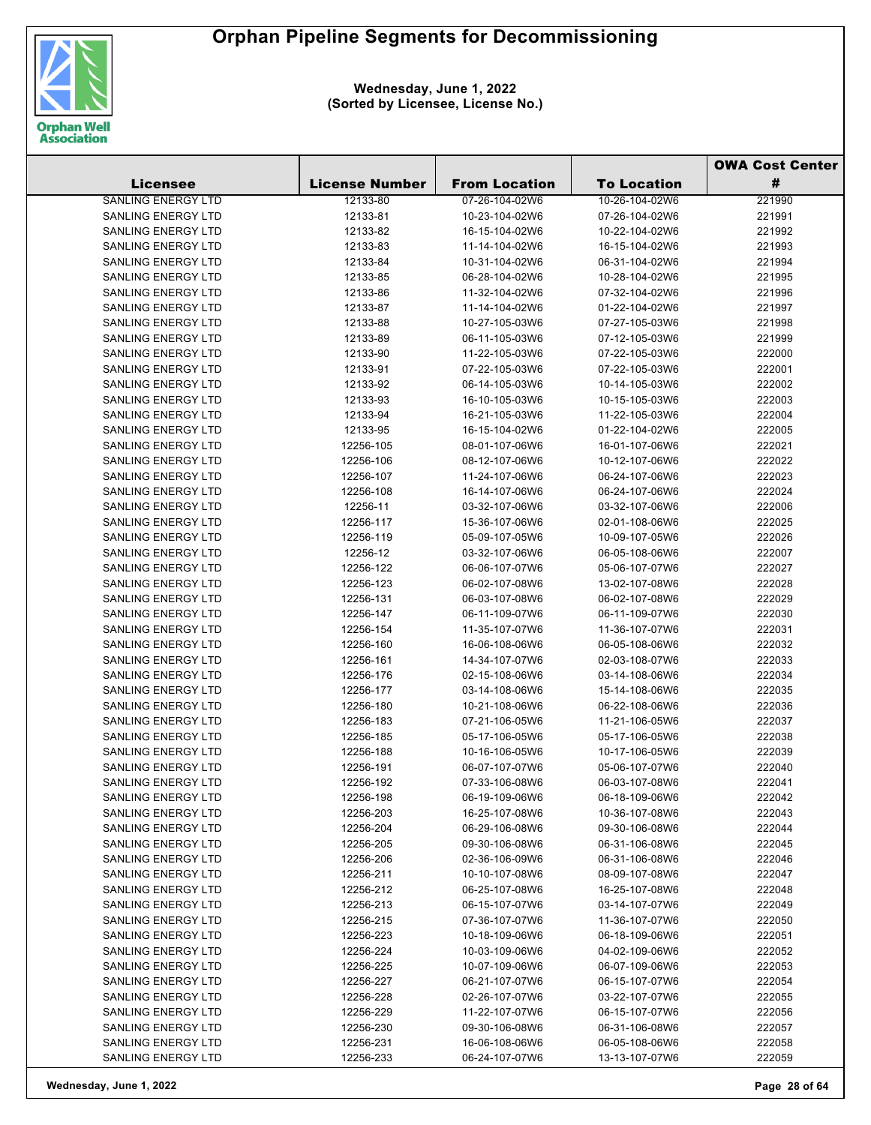

**Wednesday, June 1, 2022 (Sorted by Licensee, License No.)**

|                                                 |                        |                                  |                                  | <b>OWA Cost Center</b> |  |
|-------------------------------------------------|------------------------|----------------------------------|----------------------------------|------------------------|--|
| <b>Licensee</b>                                 | <b>License Number</b>  | <b>From Location</b>             | <b>To Location</b>               | #                      |  |
| <b>SANLING ENERGY LTD</b>                       | 12133-80               | 07-26-104-02W6                   | 10-26-104-02W6                   | 221990                 |  |
| <b>SANLING ENERGY LTD</b>                       | 12133-81               | 10-23-104-02W6                   | 07-26-104-02W6                   | 221991                 |  |
| SANLING ENERGY LTD                              | 12133-82               | 16-15-104-02W6                   | 10-22-104-02W6                   | 221992                 |  |
| <b>SANLING ENERGY LTD</b>                       | 12133-83               | 11-14-104-02W6                   | 16-15-104-02W6                   | 221993                 |  |
| SANLING ENERGY LTD                              | 12133-84               | 10-31-104-02W6                   | 06-31-104-02W6                   | 221994                 |  |
| <b>SANLING ENERGY LTD</b>                       | 12133-85               | 06-28-104-02W6                   | 10-28-104-02W6                   | 221995                 |  |
| SANLING ENERGY LTD                              | 12133-86               | 11-32-104-02W6                   | 07-32-104-02W6                   | 221996                 |  |
| <b>SANLING ENERGY LTD</b>                       | 12133-87               | 11-14-104-02W6                   | 01-22-104-02W6                   | 221997                 |  |
| <b>SANLING ENERGY LTD</b>                       | 12133-88               | 10-27-105-03W6                   | 07-27-105-03W6                   | 221998                 |  |
| <b>SANLING ENERGY LTD</b>                       | 12133-89               | 06-11-105-03W6                   | 07-12-105-03W6                   | 221999                 |  |
| SANLING ENERGY LTD                              | 12133-90               | 11-22-105-03W6                   | 07-22-105-03W6                   | 222000                 |  |
| SANLING ENERGY LTD                              | 12133-91               | 07-22-105-03W6                   | 07-22-105-03W6                   | 222001                 |  |
| SANLING ENERGY LTD                              | 12133-92               | 06-14-105-03W6                   | 10-14-105-03W6                   | 222002                 |  |
| SANLING ENERGY LTD                              | 12133-93               | 16-10-105-03W6                   | 10-15-105-03W6                   | 222003                 |  |
| SANLING ENERGY LTD                              | 12133-94               | 16-21-105-03W6                   | 11-22-105-03W6                   | 222004                 |  |
| <b>SANLING ENERGY LTD</b>                       | 12133-95               | 16-15-104-02W6                   | 01-22-104-02W6                   | 222005                 |  |
| <b>SANLING ENERGY LTD</b>                       | 12256-105              | 08-01-107-06W6                   | 16-01-107-06W6                   | 222021                 |  |
| <b>SANLING ENERGY LTD</b>                       | 12256-106              | 08-12-107-06W6                   | 10-12-107-06W6                   | 222022                 |  |
| SANLING ENERGY LTD                              | 12256-107              | 11-24-107-06W6                   | 06-24-107-06W6                   | 222023                 |  |
| SANLING ENERGY LTD                              | 12256-108              | 16-14-107-06W6                   | 06-24-107-06W6                   | 222024                 |  |
| <b>SANLING ENERGY LTD</b>                       | 12256-11               | 03-32-107-06W6                   | 03-32-107-06W6                   | 222006                 |  |
| SANLING ENERGY LTD                              | 12256-117              | 15-36-107-06W6                   | 02-01-108-06W6                   | 222025                 |  |
| <b>SANLING ENERGY LTD</b>                       | 12256-119              | 05-09-107-05W6                   | 10-09-107-05W6                   | 222026                 |  |
| <b>SANLING ENERGY LTD</b>                       | 12256-12               | 03-32-107-06W6                   | 06-05-108-06W6                   | 222007                 |  |
| SANLING ENERGY LTD                              | 12256-122              | 06-06-107-07W6                   | 05-06-107-07W6                   | 222027                 |  |
| SANLING ENERGY LTD                              | 12256-123              | 06-02-107-08W6                   | 13-02-107-08W6                   | 222028                 |  |
| SANLING ENERGY LTD                              | 12256-131              | 06-03-107-08W6                   | 06-02-107-08W6                   | 222029                 |  |
| SANLING ENERGY LTD                              | 12256-147              | 06-11-109-07W6                   | 06-11-109-07W6                   | 222030                 |  |
| <b>SANLING ENERGY LTD</b>                       | 12256-154              | 11-35-107-07W6                   | 11-36-107-07W6                   | 222031                 |  |
| <b>SANLING ENERGY LTD</b>                       | 12256-160              | 16-06-108-06W6                   | 06-05-108-06W6                   | 222032                 |  |
| SANLING ENERGY LTD                              | 12256-161              | 14-34-107-07W6                   | 02-03-108-07W6                   | 222033                 |  |
| SANLING ENERGY LTD                              | 12256-176              | 02-15-108-06W6                   | 03-14-108-06W6                   | 222034                 |  |
| SANLING ENERGY LTD                              | 12256-177              | 03-14-108-06W6                   | 15-14-108-06W6                   | 222035                 |  |
| SANLING ENERGY LTD                              | 12256-180              | 10-21-108-06W6                   | 06-22-108-06W6                   | 222036                 |  |
| <b>SANLING ENERGY LTD</b>                       | 12256-183              | 07-21-106-05W6                   | 11-21-106-05W6                   | 222037                 |  |
| SANLING ENERGY LTD                              | 12256-185              | 05-17-106-05W6                   | 05-17-106-05W6                   | 222038                 |  |
| <b>SANLING ENERGY LTD</b>                       | 12256-188              | 10-16-106-05W6                   | 10-17-106-05W6                   | 222039                 |  |
| SANLING ENERGY LTD                              | 12256-191              | 06-07-107-07W6                   | 05-06-107-07W6                   | 222040                 |  |
| SANLING ENERGY LTD                              | 12256-192              | 07-33-106-08W6                   | 06-03-107-08W6                   | 222041                 |  |
| SANLING ENERGY LTD                              | 12256-198              | 06-19-109-06W6                   | 06-18-109-06W6                   | 222042                 |  |
| <b>SANLING ENERGY LTD</b>                       | 12256-203              | 16-25-107-08W6                   | 10-36-107-08W6                   | 222043                 |  |
| SANLING ENERGY LTD                              | 12256-204              | 06-29-106-08W6                   | 09-30-106-08W6                   | 222044                 |  |
| SANLING ENERGY LTD<br><b>SANLING ENERGY LTD</b> | 12256-205              | 09-30-106-08W6<br>02-36-106-09W6 | 06-31-106-08W6                   | 222045<br>222046       |  |
| <b>SANLING ENERGY LTD</b>                       | 12256-206<br>12256-211 | 10-10-107-08W6                   | 06-31-106-08W6<br>08-09-107-08W6 | 222047                 |  |
| <b>SANLING ENERGY LTD</b>                       | 12256-212              | 06-25-107-08W6                   | 16-25-107-08W6                   | 222048                 |  |
| <b>SANLING ENERGY LTD</b>                       | 12256-213              | 06-15-107-07W6                   | 03-14-107-07W6                   | 222049                 |  |
| <b>SANLING ENERGY LTD</b>                       | 12256-215              | 07-36-107-07W6                   | 11-36-107-07W6                   | 222050                 |  |
| <b>SANLING ENERGY LTD</b>                       | 12256-223              | 10-18-109-06W6                   | 06-18-109-06W6                   | 222051                 |  |
| SANLING ENERGY LTD                              | 12256-224              | 10-03-109-06W6                   | 04-02-109-06W6                   | 222052                 |  |
| SANLING ENERGY LTD                              | 12256-225              | 10-07-109-06W6                   | 06-07-109-06W6                   | 222053                 |  |
| SANLING ENERGY LTD                              | 12256-227              | 06-21-107-07W6                   | 06-15-107-07W6                   | 222054                 |  |
| <b>SANLING ENERGY LTD</b>                       | 12256-228              | 02-26-107-07W6                   | 03-22-107-07W6                   | 222055                 |  |
| <b>SANLING ENERGY LTD</b>                       | 12256-229              | 11-22-107-07W6                   | 06-15-107-07W6                   | 222056                 |  |
| SANLING ENERGY LTD                              | 12256-230              | 09-30-106-08W6                   | 06-31-106-08W6                   | 222057                 |  |
| SANLING ENERGY LTD                              | 12256-231              | 16-06-108-06W6                   | 06-05-108-06W6                   | 222058                 |  |
| SANLING ENERGY LTD                              | 12256-233              | 06-24-107-07W6                   | 13-13-107-07W6                   | 222059                 |  |
|                                                 |                        |                                  |                                  |                        |  |

**Wednesday, June 1, 2022 Page 28 of 64**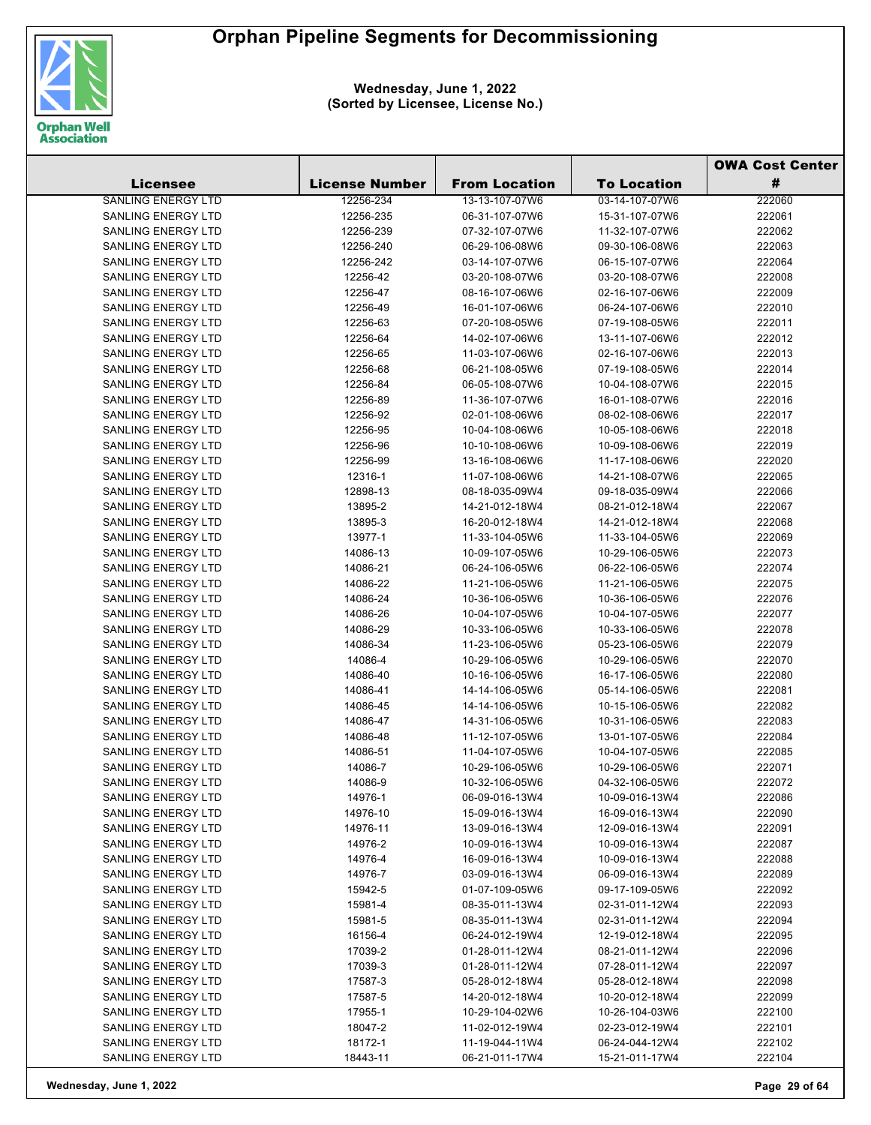

| #<br><b>Licensee</b><br><b>License Number</b><br><b>From Location</b><br><b>To Location</b><br>SANLING ENERGY LTD<br>12256-234<br>13-13-107-07W6<br>03-14-107-07W6<br>222060<br>SANLING ENERGY LTD<br>12256-235<br>06-31-107-07W6<br>15-31-107-07W6<br>222061<br>222062<br>SANLING ENERGY LTD<br>12256-239<br>07-32-107-07W6<br>11-32-107-07W6<br>SANLING ENERGY LTD<br>12256-240<br>06-29-106-08W6<br>09-30-106-08W6<br>222063<br>SANLING ENERGY LTD<br>12256-242<br>03-14-107-07W6<br>06-15-107-07W6<br>222064<br>SANLING ENERGY LTD<br>03-20-108-07W6<br>03-20-108-07W6<br>12256-42<br>222008<br><b>SANLING ENERGY LTD</b><br>12256-47<br>08-16-107-06W6<br>02-16-107-06W6<br>222009<br><b>SANLING ENERGY LTD</b><br>12256-49<br>16-01-107-06W6<br>06-24-107-06W6<br>222010<br><b>SANLING ENERGY LTD</b><br>12256-63<br>07-20-108-05W6<br>07-19-108-05W6<br>222011<br>SANLING ENERGY LTD<br>14-02-107-06W6<br>13-11-107-06W6<br>222012<br>12256-64<br><b>SANLING ENERGY LTD</b><br>12256-65<br>11-03-107-06W6<br>02-16-107-06W6<br>222013<br>SANLING ENERGY LTD<br>12256-68<br>06-21-108-05W6<br>07-19-108-05W6<br>222014<br>SANLING ENERGY LTD<br>12256-84<br>06-05-108-07W6<br>222015<br>10-04-108-07W6<br>SANLING ENERGY LTD<br>222016<br>12256-89<br>11-36-107-07W6<br>16-01-108-07W6<br>SANLING ENERGY LTD<br>02-01-108-06W6<br>222017<br>12256-92<br>08-02-108-06W6<br>SANLING ENERGY LTD<br>10-04-108-06W6<br>222018<br>12256-95<br>10-05-108-06W6<br>SANLING ENERGY LTD<br>12256-96<br>10-10-108-06W6<br>10-09-108-06W6<br>222019<br><b>SANLING ENERGY LTD</b><br>12256-99<br>13-16-108-06W6<br>222020<br>11-17-108-06W6<br>SANLING ENERGY LTD<br>12316-1<br>11-07-108-06W6<br>14-21-108-07W6<br>222065<br>SANLING ENERGY LTD<br>08-18-035-09W4<br>222066<br>12898-13<br>09-18-035-09W4<br>SANLING ENERGY LTD<br>13895-2<br>14-21-012-18W4<br>08-21-012-18W4<br>222067<br>SANLING ENERGY LTD<br>222068<br>13895-3<br>16-20-012-18W4<br>14-21-012-18W4<br><b>SANLING ENERGY LTD</b><br>13977-1<br>11-33-104-05W6<br>11-33-104-05W6<br>222069<br><b>SANLING ENERGY LTD</b><br>14086-13<br>10-09-107-05W6<br>10-29-106-05W6<br>222073<br>SANLING ENERGY LTD<br>14086-21<br>06-24-106-05W6<br>06-22-106-05W6<br>222074<br>SANLING ENERGY LTD<br>14086-22<br>11-21-106-05W6<br>11-21-106-05W6<br>222075<br>SANLING ENERGY LTD<br>14086-24<br>10-36-106-05W6<br>10-36-106-05W6<br>222076<br>SANLING ENERGY LTD<br>14086-26<br>10-04-107-05W6<br>10-04-107-05W6<br>222077<br>SANLING ENERGY LTD<br>10-33-106-05W6<br>10-33-106-05W6<br>14086-29<br>222078<br>SANLING ENERGY LTD<br>14086-34<br>11-23-106-05W6<br>05-23-106-05W6<br>222079<br>SANLING ENERGY LTD<br>10-29-106-05W6<br>10-29-106-05W6<br>222070<br>14086-4<br><b>SANLING ENERGY LTD</b><br>14086-40<br>10-16-106-05W6<br>16-17-106-05W6<br>222080<br>SANLING ENERGY LTD<br>222081<br>14086-41<br>14-14-106-05W6<br>05-14-106-05W6<br><b>SANLING ENERGY LTD</b><br>14-14-106-05W6<br>10-15-106-05W6<br>222082<br>14086-45<br>SANLING ENERGY LTD<br>14086-47<br>14-31-106-05W6<br>10-31-106-05W6<br>222083<br>SANLING ENERGY LTD<br>14086-48<br>11-12-107-05W6<br>13-01-107-05W6<br>222084<br>SANLING ENERGY LTD<br>14086-51<br>11-04-107-05W6<br>10-04-107-05W6<br>222085<br>SANLING ENERGY LTD<br>14086-7<br>10-29-106-05W6<br>10-29-106-05W6<br>222071<br>SANLING ENERGY LTD<br>222072<br>14086-9<br>10-32-106-05W6<br>04-32-106-05W6<br>14976-1<br>222086<br>SANLING ENERGY LTD<br>06-09-016-13W4<br>10-09-016-13W4<br>SANLING ENERGY LTD<br>222090<br>14976-10<br>15-09-016-13W4<br>16-09-016-13W4<br>SANLING ENERGY LTD<br>222091<br>14976-11<br>13-09-016-13W4<br>12-09-016-13W4<br>SANLING ENERGY LTD<br>14976-2<br>222087<br>10-09-016-13W4<br>10-09-016-13W4<br>SANLING ENERGY LTD<br>14976-4<br>222088<br>16-09-016-13W4<br>10-09-016-13W4<br>SANLING ENERGY LTD<br>14976-7<br>222089<br>03-09-016-13W4<br>06-09-016-13W4<br>SANLING ENERGY LTD<br>15942-5<br>222092<br>01-07-109-05W6<br>09-17-109-05W6<br>SANLING ENERGY LTD<br>222093<br>15981-4<br>08-35-011-13W4<br>02-31-011-12W4<br>SANLING ENERGY LTD<br>02-31-011-12W4<br>222094<br>15981-5<br>08-35-011-13W4<br>SANLING ENERGY LTD<br>222095<br>16156-4<br>06-24-012-19W4<br>12-19-012-18W4<br>SANLING ENERGY LTD<br>17039-2<br>01-28-011-12W4<br>08-21-011-12W4<br>222096<br>SANLING ENERGY LTD<br>222097<br>17039-3<br>01-28-011-12W4<br>07-28-011-12W4<br>SANLING ENERGY LTD<br>222098<br>17587-3<br>05-28-012-18W4<br>05-28-012-18W4<br>SANLING ENERGY LTD<br>17587-5<br>14-20-012-18W4<br>10-20-012-18W4<br>222099<br>SANLING ENERGY LTD<br>222100<br>17955-1<br>10-29-104-02W6<br>10-26-104-03W6<br>SANLING ENERGY LTD<br>222101<br>18047-2<br>11-02-012-19W4<br>02-23-012-19W4<br>SANLING ENERGY LTD<br>222102<br>18172-1<br>11-19-044-11W4<br>06-24-044-12W4<br>SANLING ENERGY LTD<br>18443-11<br>06-21-011-17W4<br>222104<br>15-21-011-17W4 |  |  | <b>OWA Cost Center</b> |  |
|-------------------------------------------------------------------------------------------------------------------------------------------------------------------------------------------------------------------------------------------------------------------------------------------------------------------------------------------------------------------------------------------------------------------------------------------------------------------------------------------------------------------------------------------------------------------------------------------------------------------------------------------------------------------------------------------------------------------------------------------------------------------------------------------------------------------------------------------------------------------------------------------------------------------------------------------------------------------------------------------------------------------------------------------------------------------------------------------------------------------------------------------------------------------------------------------------------------------------------------------------------------------------------------------------------------------------------------------------------------------------------------------------------------------------------------------------------------------------------------------------------------------------------------------------------------------------------------------------------------------------------------------------------------------------------------------------------------------------------------------------------------------------------------------------------------------------------------------------------------------------------------------------------------------------------------------------------------------------------------------------------------------------------------------------------------------------------------------------------------------------------------------------------------------------------------------------------------------------------------------------------------------------------------------------------------------------------------------------------------------------------------------------------------------------------------------------------------------------------------------------------------------------------------------------------------------------------------------------------------------------------------------------------------------------------------------------------------------------------------------------------------------------------------------------------------------------------------------------------------------------------------------------------------------------------------------------------------------------------------------------------------------------------------------------------------------------------------------------------------------------------------------------------------------------------------------------------------------------------------------------------------------------------------------------------------------------------------------------------------------------------------------------------------------------------------------------------------------------------------------------------------------------------------------------------------------------------------------------------------------------------------------------------------------------------------------------------------------------------------------------------------------------------------------------------------------------------------------------------------------------------------------------------------------------------------------------------------------------------------------------------------------------------------------------------------------------------------------------------------------------------------------------------------------------------------------------------------------------------------------------------------------------------------------------------------------------------------------------------------------------------------------------------------------------------------------------------------------------------------------------------------------------------------------------------------------------------------------------------------------------------------------------------------------------------------------------------------------------------------------------------------------------------------------------------------------------------------------------------------------------------------------|--|--|------------------------|--|
|                                                                                                                                                                                                                                                                                                                                                                                                                                                                                                                                                                                                                                                                                                                                                                                                                                                                                                                                                                                                                                                                                                                                                                                                                                                                                                                                                                                                                                                                                                                                                                                                                                                                                                                                                                                                                                                                                                                                                                                                                                                                                                                                                                                                                                                                                                                                                                                                                                                                                                                                                                                                                                                                                                                                                                                                                                                                                                                                                                                                                                                                                                                                                                                                                                                                                                                                                                                                                                                                                                                                                                                                                                                                                                                                                                                                                                                                                                                                                                                                                                                                                                                                                                                                                                                                                                                                                                                                                                                                                                                                                                                                                                                                                                                                                                                                                                                                                           |  |  |                        |  |
|                                                                                                                                                                                                                                                                                                                                                                                                                                                                                                                                                                                                                                                                                                                                                                                                                                                                                                                                                                                                                                                                                                                                                                                                                                                                                                                                                                                                                                                                                                                                                                                                                                                                                                                                                                                                                                                                                                                                                                                                                                                                                                                                                                                                                                                                                                                                                                                                                                                                                                                                                                                                                                                                                                                                                                                                                                                                                                                                                                                                                                                                                                                                                                                                                                                                                                                                                                                                                                                                                                                                                                                                                                                                                                                                                                                                                                                                                                                                                                                                                                                                                                                                                                                                                                                                                                                                                                                                                                                                                                                                                                                                                                                                                                                                                                                                                                                                                           |  |  |                        |  |
|                                                                                                                                                                                                                                                                                                                                                                                                                                                                                                                                                                                                                                                                                                                                                                                                                                                                                                                                                                                                                                                                                                                                                                                                                                                                                                                                                                                                                                                                                                                                                                                                                                                                                                                                                                                                                                                                                                                                                                                                                                                                                                                                                                                                                                                                                                                                                                                                                                                                                                                                                                                                                                                                                                                                                                                                                                                                                                                                                                                                                                                                                                                                                                                                                                                                                                                                                                                                                                                                                                                                                                                                                                                                                                                                                                                                                                                                                                                                                                                                                                                                                                                                                                                                                                                                                                                                                                                                                                                                                                                                                                                                                                                                                                                                                                                                                                                                                           |  |  |                        |  |
|                                                                                                                                                                                                                                                                                                                                                                                                                                                                                                                                                                                                                                                                                                                                                                                                                                                                                                                                                                                                                                                                                                                                                                                                                                                                                                                                                                                                                                                                                                                                                                                                                                                                                                                                                                                                                                                                                                                                                                                                                                                                                                                                                                                                                                                                                                                                                                                                                                                                                                                                                                                                                                                                                                                                                                                                                                                                                                                                                                                                                                                                                                                                                                                                                                                                                                                                                                                                                                                                                                                                                                                                                                                                                                                                                                                                                                                                                                                                                                                                                                                                                                                                                                                                                                                                                                                                                                                                                                                                                                                                                                                                                                                                                                                                                                                                                                                                                           |  |  |                        |  |
|                                                                                                                                                                                                                                                                                                                                                                                                                                                                                                                                                                                                                                                                                                                                                                                                                                                                                                                                                                                                                                                                                                                                                                                                                                                                                                                                                                                                                                                                                                                                                                                                                                                                                                                                                                                                                                                                                                                                                                                                                                                                                                                                                                                                                                                                                                                                                                                                                                                                                                                                                                                                                                                                                                                                                                                                                                                                                                                                                                                                                                                                                                                                                                                                                                                                                                                                                                                                                                                                                                                                                                                                                                                                                                                                                                                                                                                                                                                                                                                                                                                                                                                                                                                                                                                                                                                                                                                                                                                                                                                                                                                                                                                                                                                                                                                                                                                                                           |  |  |                        |  |
|                                                                                                                                                                                                                                                                                                                                                                                                                                                                                                                                                                                                                                                                                                                                                                                                                                                                                                                                                                                                                                                                                                                                                                                                                                                                                                                                                                                                                                                                                                                                                                                                                                                                                                                                                                                                                                                                                                                                                                                                                                                                                                                                                                                                                                                                                                                                                                                                                                                                                                                                                                                                                                                                                                                                                                                                                                                                                                                                                                                                                                                                                                                                                                                                                                                                                                                                                                                                                                                                                                                                                                                                                                                                                                                                                                                                                                                                                                                                                                                                                                                                                                                                                                                                                                                                                                                                                                                                                                                                                                                                                                                                                                                                                                                                                                                                                                                                                           |  |  |                        |  |
|                                                                                                                                                                                                                                                                                                                                                                                                                                                                                                                                                                                                                                                                                                                                                                                                                                                                                                                                                                                                                                                                                                                                                                                                                                                                                                                                                                                                                                                                                                                                                                                                                                                                                                                                                                                                                                                                                                                                                                                                                                                                                                                                                                                                                                                                                                                                                                                                                                                                                                                                                                                                                                                                                                                                                                                                                                                                                                                                                                                                                                                                                                                                                                                                                                                                                                                                                                                                                                                                                                                                                                                                                                                                                                                                                                                                                                                                                                                                                                                                                                                                                                                                                                                                                                                                                                                                                                                                                                                                                                                                                                                                                                                                                                                                                                                                                                                                                           |  |  |                        |  |
|                                                                                                                                                                                                                                                                                                                                                                                                                                                                                                                                                                                                                                                                                                                                                                                                                                                                                                                                                                                                                                                                                                                                                                                                                                                                                                                                                                                                                                                                                                                                                                                                                                                                                                                                                                                                                                                                                                                                                                                                                                                                                                                                                                                                                                                                                                                                                                                                                                                                                                                                                                                                                                                                                                                                                                                                                                                                                                                                                                                                                                                                                                                                                                                                                                                                                                                                                                                                                                                                                                                                                                                                                                                                                                                                                                                                                                                                                                                                                                                                                                                                                                                                                                                                                                                                                                                                                                                                                                                                                                                                                                                                                                                                                                                                                                                                                                                                                           |  |  |                        |  |
|                                                                                                                                                                                                                                                                                                                                                                                                                                                                                                                                                                                                                                                                                                                                                                                                                                                                                                                                                                                                                                                                                                                                                                                                                                                                                                                                                                                                                                                                                                                                                                                                                                                                                                                                                                                                                                                                                                                                                                                                                                                                                                                                                                                                                                                                                                                                                                                                                                                                                                                                                                                                                                                                                                                                                                                                                                                                                                                                                                                                                                                                                                                                                                                                                                                                                                                                                                                                                                                                                                                                                                                                                                                                                                                                                                                                                                                                                                                                                                                                                                                                                                                                                                                                                                                                                                                                                                                                                                                                                                                                                                                                                                                                                                                                                                                                                                                                                           |  |  |                        |  |
|                                                                                                                                                                                                                                                                                                                                                                                                                                                                                                                                                                                                                                                                                                                                                                                                                                                                                                                                                                                                                                                                                                                                                                                                                                                                                                                                                                                                                                                                                                                                                                                                                                                                                                                                                                                                                                                                                                                                                                                                                                                                                                                                                                                                                                                                                                                                                                                                                                                                                                                                                                                                                                                                                                                                                                                                                                                                                                                                                                                                                                                                                                                                                                                                                                                                                                                                                                                                                                                                                                                                                                                                                                                                                                                                                                                                                                                                                                                                                                                                                                                                                                                                                                                                                                                                                                                                                                                                                                                                                                                                                                                                                                                                                                                                                                                                                                                                                           |  |  |                        |  |
|                                                                                                                                                                                                                                                                                                                                                                                                                                                                                                                                                                                                                                                                                                                                                                                                                                                                                                                                                                                                                                                                                                                                                                                                                                                                                                                                                                                                                                                                                                                                                                                                                                                                                                                                                                                                                                                                                                                                                                                                                                                                                                                                                                                                                                                                                                                                                                                                                                                                                                                                                                                                                                                                                                                                                                                                                                                                                                                                                                                                                                                                                                                                                                                                                                                                                                                                                                                                                                                                                                                                                                                                                                                                                                                                                                                                                                                                                                                                                                                                                                                                                                                                                                                                                                                                                                                                                                                                                                                                                                                                                                                                                                                                                                                                                                                                                                                                                           |  |  |                        |  |
|                                                                                                                                                                                                                                                                                                                                                                                                                                                                                                                                                                                                                                                                                                                                                                                                                                                                                                                                                                                                                                                                                                                                                                                                                                                                                                                                                                                                                                                                                                                                                                                                                                                                                                                                                                                                                                                                                                                                                                                                                                                                                                                                                                                                                                                                                                                                                                                                                                                                                                                                                                                                                                                                                                                                                                                                                                                                                                                                                                                                                                                                                                                                                                                                                                                                                                                                                                                                                                                                                                                                                                                                                                                                                                                                                                                                                                                                                                                                                                                                                                                                                                                                                                                                                                                                                                                                                                                                                                                                                                                                                                                                                                                                                                                                                                                                                                                                                           |  |  |                        |  |
|                                                                                                                                                                                                                                                                                                                                                                                                                                                                                                                                                                                                                                                                                                                                                                                                                                                                                                                                                                                                                                                                                                                                                                                                                                                                                                                                                                                                                                                                                                                                                                                                                                                                                                                                                                                                                                                                                                                                                                                                                                                                                                                                                                                                                                                                                                                                                                                                                                                                                                                                                                                                                                                                                                                                                                                                                                                                                                                                                                                                                                                                                                                                                                                                                                                                                                                                                                                                                                                                                                                                                                                                                                                                                                                                                                                                                                                                                                                                                                                                                                                                                                                                                                                                                                                                                                                                                                                                                                                                                                                                                                                                                                                                                                                                                                                                                                                                                           |  |  |                        |  |
|                                                                                                                                                                                                                                                                                                                                                                                                                                                                                                                                                                                                                                                                                                                                                                                                                                                                                                                                                                                                                                                                                                                                                                                                                                                                                                                                                                                                                                                                                                                                                                                                                                                                                                                                                                                                                                                                                                                                                                                                                                                                                                                                                                                                                                                                                                                                                                                                                                                                                                                                                                                                                                                                                                                                                                                                                                                                                                                                                                                                                                                                                                                                                                                                                                                                                                                                                                                                                                                                                                                                                                                                                                                                                                                                                                                                                                                                                                                                                                                                                                                                                                                                                                                                                                                                                                                                                                                                                                                                                                                                                                                                                                                                                                                                                                                                                                                                                           |  |  |                        |  |
|                                                                                                                                                                                                                                                                                                                                                                                                                                                                                                                                                                                                                                                                                                                                                                                                                                                                                                                                                                                                                                                                                                                                                                                                                                                                                                                                                                                                                                                                                                                                                                                                                                                                                                                                                                                                                                                                                                                                                                                                                                                                                                                                                                                                                                                                                                                                                                                                                                                                                                                                                                                                                                                                                                                                                                                                                                                                                                                                                                                                                                                                                                                                                                                                                                                                                                                                                                                                                                                                                                                                                                                                                                                                                                                                                                                                                                                                                                                                                                                                                                                                                                                                                                                                                                                                                                                                                                                                                                                                                                                                                                                                                                                                                                                                                                                                                                                                                           |  |  |                        |  |
|                                                                                                                                                                                                                                                                                                                                                                                                                                                                                                                                                                                                                                                                                                                                                                                                                                                                                                                                                                                                                                                                                                                                                                                                                                                                                                                                                                                                                                                                                                                                                                                                                                                                                                                                                                                                                                                                                                                                                                                                                                                                                                                                                                                                                                                                                                                                                                                                                                                                                                                                                                                                                                                                                                                                                                                                                                                                                                                                                                                                                                                                                                                                                                                                                                                                                                                                                                                                                                                                                                                                                                                                                                                                                                                                                                                                                                                                                                                                                                                                                                                                                                                                                                                                                                                                                                                                                                                                                                                                                                                                                                                                                                                                                                                                                                                                                                                                                           |  |  |                        |  |
|                                                                                                                                                                                                                                                                                                                                                                                                                                                                                                                                                                                                                                                                                                                                                                                                                                                                                                                                                                                                                                                                                                                                                                                                                                                                                                                                                                                                                                                                                                                                                                                                                                                                                                                                                                                                                                                                                                                                                                                                                                                                                                                                                                                                                                                                                                                                                                                                                                                                                                                                                                                                                                                                                                                                                                                                                                                                                                                                                                                                                                                                                                                                                                                                                                                                                                                                                                                                                                                                                                                                                                                                                                                                                                                                                                                                                                                                                                                                                                                                                                                                                                                                                                                                                                                                                                                                                                                                                                                                                                                                                                                                                                                                                                                                                                                                                                                                                           |  |  |                        |  |
|                                                                                                                                                                                                                                                                                                                                                                                                                                                                                                                                                                                                                                                                                                                                                                                                                                                                                                                                                                                                                                                                                                                                                                                                                                                                                                                                                                                                                                                                                                                                                                                                                                                                                                                                                                                                                                                                                                                                                                                                                                                                                                                                                                                                                                                                                                                                                                                                                                                                                                                                                                                                                                                                                                                                                                                                                                                                                                                                                                                                                                                                                                                                                                                                                                                                                                                                                                                                                                                                                                                                                                                                                                                                                                                                                                                                                                                                                                                                                                                                                                                                                                                                                                                                                                                                                                                                                                                                                                                                                                                                                                                                                                                                                                                                                                                                                                                                                           |  |  |                        |  |
|                                                                                                                                                                                                                                                                                                                                                                                                                                                                                                                                                                                                                                                                                                                                                                                                                                                                                                                                                                                                                                                                                                                                                                                                                                                                                                                                                                                                                                                                                                                                                                                                                                                                                                                                                                                                                                                                                                                                                                                                                                                                                                                                                                                                                                                                                                                                                                                                                                                                                                                                                                                                                                                                                                                                                                                                                                                                                                                                                                                                                                                                                                                                                                                                                                                                                                                                                                                                                                                                                                                                                                                                                                                                                                                                                                                                                                                                                                                                                                                                                                                                                                                                                                                                                                                                                                                                                                                                                                                                                                                                                                                                                                                                                                                                                                                                                                                                                           |  |  |                        |  |
|                                                                                                                                                                                                                                                                                                                                                                                                                                                                                                                                                                                                                                                                                                                                                                                                                                                                                                                                                                                                                                                                                                                                                                                                                                                                                                                                                                                                                                                                                                                                                                                                                                                                                                                                                                                                                                                                                                                                                                                                                                                                                                                                                                                                                                                                                                                                                                                                                                                                                                                                                                                                                                                                                                                                                                                                                                                                                                                                                                                                                                                                                                                                                                                                                                                                                                                                                                                                                                                                                                                                                                                                                                                                                                                                                                                                                                                                                                                                                                                                                                                                                                                                                                                                                                                                                                                                                                                                                                                                                                                                                                                                                                                                                                                                                                                                                                                                                           |  |  |                        |  |
|                                                                                                                                                                                                                                                                                                                                                                                                                                                                                                                                                                                                                                                                                                                                                                                                                                                                                                                                                                                                                                                                                                                                                                                                                                                                                                                                                                                                                                                                                                                                                                                                                                                                                                                                                                                                                                                                                                                                                                                                                                                                                                                                                                                                                                                                                                                                                                                                                                                                                                                                                                                                                                                                                                                                                                                                                                                                                                                                                                                                                                                                                                                                                                                                                                                                                                                                                                                                                                                                                                                                                                                                                                                                                                                                                                                                                                                                                                                                                                                                                                                                                                                                                                                                                                                                                                                                                                                                                                                                                                                                                                                                                                                                                                                                                                                                                                                                                           |  |  |                        |  |
|                                                                                                                                                                                                                                                                                                                                                                                                                                                                                                                                                                                                                                                                                                                                                                                                                                                                                                                                                                                                                                                                                                                                                                                                                                                                                                                                                                                                                                                                                                                                                                                                                                                                                                                                                                                                                                                                                                                                                                                                                                                                                                                                                                                                                                                                                                                                                                                                                                                                                                                                                                                                                                                                                                                                                                                                                                                                                                                                                                                                                                                                                                                                                                                                                                                                                                                                                                                                                                                                                                                                                                                                                                                                                                                                                                                                                                                                                                                                                                                                                                                                                                                                                                                                                                                                                                                                                                                                                                                                                                                                                                                                                                                                                                                                                                                                                                                                                           |  |  |                        |  |
|                                                                                                                                                                                                                                                                                                                                                                                                                                                                                                                                                                                                                                                                                                                                                                                                                                                                                                                                                                                                                                                                                                                                                                                                                                                                                                                                                                                                                                                                                                                                                                                                                                                                                                                                                                                                                                                                                                                                                                                                                                                                                                                                                                                                                                                                                                                                                                                                                                                                                                                                                                                                                                                                                                                                                                                                                                                                                                                                                                                                                                                                                                                                                                                                                                                                                                                                                                                                                                                                                                                                                                                                                                                                                                                                                                                                                                                                                                                                                                                                                                                                                                                                                                                                                                                                                                                                                                                                                                                                                                                                                                                                                                                                                                                                                                                                                                                                                           |  |  |                        |  |
|                                                                                                                                                                                                                                                                                                                                                                                                                                                                                                                                                                                                                                                                                                                                                                                                                                                                                                                                                                                                                                                                                                                                                                                                                                                                                                                                                                                                                                                                                                                                                                                                                                                                                                                                                                                                                                                                                                                                                                                                                                                                                                                                                                                                                                                                                                                                                                                                                                                                                                                                                                                                                                                                                                                                                                                                                                                                                                                                                                                                                                                                                                                                                                                                                                                                                                                                                                                                                                                                                                                                                                                                                                                                                                                                                                                                                                                                                                                                                                                                                                                                                                                                                                                                                                                                                                                                                                                                                                                                                                                                                                                                                                                                                                                                                                                                                                                                                           |  |  |                        |  |
|                                                                                                                                                                                                                                                                                                                                                                                                                                                                                                                                                                                                                                                                                                                                                                                                                                                                                                                                                                                                                                                                                                                                                                                                                                                                                                                                                                                                                                                                                                                                                                                                                                                                                                                                                                                                                                                                                                                                                                                                                                                                                                                                                                                                                                                                                                                                                                                                                                                                                                                                                                                                                                                                                                                                                                                                                                                                                                                                                                                                                                                                                                                                                                                                                                                                                                                                                                                                                                                                                                                                                                                                                                                                                                                                                                                                                                                                                                                                                                                                                                                                                                                                                                                                                                                                                                                                                                                                                                                                                                                                                                                                                                                                                                                                                                                                                                                                                           |  |  |                        |  |
|                                                                                                                                                                                                                                                                                                                                                                                                                                                                                                                                                                                                                                                                                                                                                                                                                                                                                                                                                                                                                                                                                                                                                                                                                                                                                                                                                                                                                                                                                                                                                                                                                                                                                                                                                                                                                                                                                                                                                                                                                                                                                                                                                                                                                                                                                                                                                                                                                                                                                                                                                                                                                                                                                                                                                                                                                                                                                                                                                                                                                                                                                                                                                                                                                                                                                                                                                                                                                                                                                                                                                                                                                                                                                                                                                                                                                                                                                                                                                                                                                                                                                                                                                                                                                                                                                                                                                                                                                                                                                                                                                                                                                                                                                                                                                                                                                                                                                           |  |  |                        |  |
|                                                                                                                                                                                                                                                                                                                                                                                                                                                                                                                                                                                                                                                                                                                                                                                                                                                                                                                                                                                                                                                                                                                                                                                                                                                                                                                                                                                                                                                                                                                                                                                                                                                                                                                                                                                                                                                                                                                                                                                                                                                                                                                                                                                                                                                                                                                                                                                                                                                                                                                                                                                                                                                                                                                                                                                                                                                                                                                                                                                                                                                                                                                                                                                                                                                                                                                                                                                                                                                                                                                                                                                                                                                                                                                                                                                                                                                                                                                                                                                                                                                                                                                                                                                                                                                                                                                                                                                                                                                                                                                                                                                                                                                                                                                                                                                                                                                                                           |  |  |                        |  |
|                                                                                                                                                                                                                                                                                                                                                                                                                                                                                                                                                                                                                                                                                                                                                                                                                                                                                                                                                                                                                                                                                                                                                                                                                                                                                                                                                                                                                                                                                                                                                                                                                                                                                                                                                                                                                                                                                                                                                                                                                                                                                                                                                                                                                                                                                                                                                                                                                                                                                                                                                                                                                                                                                                                                                                                                                                                                                                                                                                                                                                                                                                                                                                                                                                                                                                                                                                                                                                                                                                                                                                                                                                                                                                                                                                                                                                                                                                                                                                                                                                                                                                                                                                                                                                                                                                                                                                                                                                                                                                                                                                                                                                                                                                                                                                                                                                                                                           |  |  |                        |  |
|                                                                                                                                                                                                                                                                                                                                                                                                                                                                                                                                                                                                                                                                                                                                                                                                                                                                                                                                                                                                                                                                                                                                                                                                                                                                                                                                                                                                                                                                                                                                                                                                                                                                                                                                                                                                                                                                                                                                                                                                                                                                                                                                                                                                                                                                                                                                                                                                                                                                                                                                                                                                                                                                                                                                                                                                                                                                                                                                                                                                                                                                                                                                                                                                                                                                                                                                                                                                                                                                                                                                                                                                                                                                                                                                                                                                                                                                                                                                                                                                                                                                                                                                                                                                                                                                                                                                                                                                                                                                                                                                                                                                                                                                                                                                                                                                                                                                                           |  |  |                        |  |
|                                                                                                                                                                                                                                                                                                                                                                                                                                                                                                                                                                                                                                                                                                                                                                                                                                                                                                                                                                                                                                                                                                                                                                                                                                                                                                                                                                                                                                                                                                                                                                                                                                                                                                                                                                                                                                                                                                                                                                                                                                                                                                                                                                                                                                                                                                                                                                                                                                                                                                                                                                                                                                                                                                                                                                                                                                                                                                                                                                                                                                                                                                                                                                                                                                                                                                                                                                                                                                                                                                                                                                                                                                                                                                                                                                                                                                                                                                                                                                                                                                                                                                                                                                                                                                                                                                                                                                                                                                                                                                                                                                                                                                                                                                                                                                                                                                                                                           |  |  |                        |  |
|                                                                                                                                                                                                                                                                                                                                                                                                                                                                                                                                                                                                                                                                                                                                                                                                                                                                                                                                                                                                                                                                                                                                                                                                                                                                                                                                                                                                                                                                                                                                                                                                                                                                                                                                                                                                                                                                                                                                                                                                                                                                                                                                                                                                                                                                                                                                                                                                                                                                                                                                                                                                                                                                                                                                                                                                                                                                                                                                                                                                                                                                                                                                                                                                                                                                                                                                                                                                                                                                                                                                                                                                                                                                                                                                                                                                                                                                                                                                                                                                                                                                                                                                                                                                                                                                                                                                                                                                                                                                                                                                                                                                                                                                                                                                                                                                                                                                                           |  |  |                        |  |
|                                                                                                                                                                                                                                                                                                                                                                                                                                                                                                                                                                                                                                                                                                                                                                                                                                                                                                                                                                                                                                                                                                                                                                                                                                                                                                                                                                                                                                                                                                                                                                                                                                                                                                                                                                                                                                                                                                                                                                                                                                                                                                                                                                                                                                                                                                                                                                                                                                                                                                                                                                                                                                                                                                                                                                                                                                                                                                                                                                                                                                                                                                                                                                                                                                                                                                                                                                                                                                                                                                                                                                                                                                                                                                                                                                                                                                                                                                                                                                                                                                                                                                                                                                                                                                                                                                                                                                                                                                                                                                                                                                                                                                                                                                                                                                                                                                                                                           |  |  |                        |  |
|                                                                                                                                                                                                                                                                                                                                                                                                                                                                                                                                                                                                                                                                                                                                                                                                                                                                                                                                                                                                                                                                                                                                                                                                                                                                                                                                                                                                                                                                                                                                                                                                                                                                                                                                                                                                                                                                                                                                                                                                                                                                                                                                                                                                                                                                                                                                                                                                                                                                                                                                                                                                                                                                                                                                                                                                                                                                                                                                                                                                                                                                                                                                                                                                                                                                                                                                                                                                                                                                                                                                                                                                                                                                                                                                                                                                                                                                                                                                                                                                                                                                                                                                                                                                                                                                                                                                                                                                                                                                                                                                                                                                                                                                                                                                                                                                                                                                                           |  |  |                        |  |
|                                                                                                                                                                                                                                                                                                                                                                                                                                                                                                                                                                                                                                                                                                                                                                                                                                                                                                                                                                                                                                                                                                                                                                                                                                                                                                                                                                                                                                                                                                                                                                                                                                                                                                                                                                                                                                                                                                                                                                                                                                                                                                                                                                                                                                                                                                                                                                                                                                                                                                                                                                                                                                                                                                                                                                                                                                                                                                                                                                                                                                                                                                                                                                                                                                                                                                                                                                                                                                                                                                                                                                                                                                                                                                                                                                                                                                                                                                                                                                                                                                                                                                                                                                                                                                                                                                                                                                                                                                                                                                                                                                                                                                                                                                                                                                                                                                                                                           |  |  |                        |  |
|                                                                                                                                                                                                                                                                                                                                                                                                                                                                                                                                                                                                                                                                                                                                                                                                                                                                                                                                                                                                                                                                                                                                                                                                                                                                                                                                                                                                                                                                                                                                                                                                                                                                                                                                                                                                                                                                                                                                                                                                                                                                                                                                                                                                                                                                                                                                                                                                                                                                                                                                                                                                                                                                                                                                                                                                                                                                                                                                                                                                                                                                                                                                                                                                                                                                                                                                                                                                                                                                                                                                                                                                                                                                                                                                                                                                                                                                                                                                                                                                                                                                                                                                                                                                                                                                                                                                                                                                                                                                                                                                                                                                                                                                                                                                                                                                                                                                                           |  |  |                        |  |
|                                                                                                                                                                                                                                                                                                                                                                                                                                                                                                                                                                                                                                                                                                                                                                                                                                                                                                                                                                                                                                                                                                                                                                                                                                                                                                                                                                                                                                                                                                                                                                                                                                                                                                                                                                                                                                                                                                                                                                                                                                                                                                                                                                                                                                                                                                                                                                                                                                                                                                                                                                                                                                                                                                                                                                                                                                                                                                                                                                                                                                                                                                                                                                                                                                                                                                                                                                                                                                                                                                                                                                                                                                                                                                                                                                                                                                                                                                                                                                                                                                                                                                                                                                                                                                                                                                                                                                                                                                                                                                                                                                                                                                                                                                                                                                                                                                                                                           |  |  |                        |  |
|                                                                                                                                                                                                                                                                                                                                                                                                                                                                                                                                                                                                                                                                                                                                                                                                                                                                                                                                                                                                                                                                                                                                                                                                                                                                                                                                                                                                                                                                                                                                                                                                                                                                                                                                                                                                                                                                                                                                                                                                                                                                                                                                                                                                                                                                                                                                                                                                                                                                                                                                                                                                                                                                                                                                                                                                                                                                                                                                                                                                                                                                                                                                                                                                                                                                                                                                                                                                                                                                                                                                                                                                                                                                                                                                                                                                                                                                                                                                                                                                                                                                                                                                                                                                                                                                                                                                                                                                                                                                                                                                                                                                                                                                                                                                                                                                                                                                                           |  |  |                        |  |
|                                                                                                                                                                                                                                                                                                                                                                                                                                                                                                                                                                                                                                                                                                                                                                                                                                                                                                                                                                                                                                                                                                                                                                                                                                                                                                                                                                                                                                                                                                                                                                                                                                                                                                                                                                                                                                                                                                                                                                                                                                                                                                                                                                                                                                                                                                                                                                                                                                                                                                                                                                                                                                                                                                                                                                                                                                                                                                                                                                                                                                                                                                                                                                                                                                                                                                                                                                                                                                                                                                                                                                                                                                                                                                                                                                                                                                                                                                                                                                                                                                                                                                                                                                                                                                                                                                                                                                                                                                                                                                                                                                                                                                                                                                                                                                                                                                                                                           |  |  |                        |  |
|                                                                                                                                                                                                                                                                                                                                                                                                                                                                                                                                                                                                                                                                                                                                                                                                                                                                                                                                                                                                                                                                                                                                                                                                                                                                                                                                                                                                                                                                                                                                                                                                                                                                                                                                                                                                                                                                                                                                                                                                                                                                                                                                                                                                                                                                                                                                                                                                                                                                                                                                                                                                                                                                                                                                                                                                                                                                                                                                                                                                                                                                                                                                                                                                                                                                                                                                                                                                                                                                                                                                                                                                                                                                                                                                                                                                                                                                                                                                                                                                                                                                                                                                                                                                                                                                                                                                                                                                                                                                                                                                                                                                                                                                                                                                                                                                                                                                                           |  |  |                        |  |
|                                                                                                                                                                                                                                                                                                                                                                                                                                                                                                                                                                                                                                                                                                                                                                                                                                                                                                                                                                                                                                                                                                                                                                                                                                                                                                                                                                                                                                                                                                                                                                                                                                                                                                                                                                                                                                                                                                                                                                                                                                                                                                                                                                                                                                                                                                                                                                                                                                                                                                                                                                                                                                                                                                                                                                                                                                                                                                                                                                                                                                                                                                                                                                                                                                                                                                                                                                                                                                                                                                                                                                                                                                                                                                                                                                                                                                                                                                                                                                                                                                                                                                                                                                                                                                                                                                                                                                                                                                                                                                                                                                                                                                                                                                                                                                                                                                                                                           |  |  |                        |  |
|                                                                                                                                                                                                                                                                                                                                                                                                                                                                                                                                                                                                                                                                                                                                                                                                                                                                                                                                                                                                                                                                                                                                                                                                                                                                                                                                                                                                                                                                                                                                                                                                                                                                                                                                                                                                                                                                                                                                                                                                                                                                                                                                                                                                                                                                                                                                                                                                                                                                                                                                                                                                                                                                                                                                                                                                                                                                                                                                                                                                                                                                                                                                                                                                                                                                                                                                                                                                                                                                                                                                                                                                                                                                                                                                                                                                                                                                                                                                                                                                                                                                                                                                                                                                                                                                                                                                                                                                                                                                                                                                                                                                                                                                                                                                                                                                                                                                                           |  |  |                        |  |
|                                                                                                                                                                                                                                                                                                                                                                                                                                                                                                                                                                                                                                                                                                                                                                                                                                                                                                                                                                                                                                                                                                                                                                                                                                                                                                                                                                                                                                                                                                                                                                                                                                                                                                                                                                                                                                                                                                                                                                                                                                                                                                                                                                                                                                                                                                                                                                                                                                                                                                                                                                                                                                                                                                                                                                                                                                                                                                                                                                                                                                                                                                                                                                                                                                                                                                                                                                                                                                                                                                                                                                                                                                                                                                                                                                                                                                                                                                                                                                                                                                                                                                                                                                                                                                                                                                                                                                                                                                                                                                                                                                                                                                                                                                                                                                                                                                                                                           |  |  |                        |  |
|                                                                                                                                                                                                                                                                                                                                                                                                                                                                                                                                                                                                                                                                                                                                                                                                                                                                                                                                                                                                                                                                                                                                                                                                                                                                                                                                                                                                                                                                                                                                                                                                                                                                                                                                                                                                                                                                                                                                                                                                                                                                                                                                                                                                                                                                                                                                                                                                                                                                                                                                                                                                                                                                                                                                                                                                                                                                                                                                                                                                                                                                                                                                                                                                                                                                                                                                                                                                                                                                                                                                                                                                                                                                                                                                                                                                                                                                                                                                                                                                                                                                                                                                                                                                                                                                                                                                                                                                                                                                                                                                                                                                                                                                                                                                                                                                                                                                                           |  |  |                        |  |
|                                                                                                                                                                                                                                                                                                                                                                                                                                                                                                                                                                                                                                                                                                                                                                                                                                                                                                                                                                                                                                                                                                                                                                                                                                                                                                                                                                                                                                                                                                                                                                                                                                                                                                                                                                                                                                                                                                                                                                                                                                                                                                                                                                                                                                                                                                                                                                                                                                                                                                                                                                                                                                                                                                                                                                                                                                                                                                                                                                                                                                                                                                                                                                                                                                                                                                                                                                                                                                                                                                                                                                                                                                                                                                                                                                                                                                                                                                                                                                                                                                                                                                                                                                                                                                                                                                                                                                                                                                                                                                                                                                                                                                                                                                                                                                                                                                                                                           |  |  |                        |  |
|                                                                                                                                                                                                                                                                                                                                                                                                                                                                                                                                                                                                                                                                                                                                                                                                                                                                                                                                                                                                                                                                                                                                                                                                                                                                                                                                                                                                                                                                                                                                                                                                                                                                                                                                                                                                                                                                                                                                                                                                                                                                                                                                                                                                                                                                                                                                                                                                                                                                                                                                                                                                                                                                                                                                                                                                                                                                                                                                                                                                                                                                                                                                                                                                                                                                                                                                                                                                                                                                                                                                                                                                                                                                                                                                                                                                                                                                                                                                                                                                                                                                                                                                                                                                                                                                                                                                                                                                                                                                                                                                                                                                                                                                                                                                                                                                                                                                                           |  |  |                        |  |
|                                                                                                                                                                                                                                                                                                                                                                                                                                                                                                                                                                                                                                                                                                                                                                                                                                                                                                                                                                                                                                                                                                                                                                                                                                                                                                                                                                                                                                                                                                                                                                                                                                                                                                                                                                                                                                                                                                                                                                                                                                                                                                                                                                                                                                                                                                                                                                                                                                                                                                                                                                                                                                                                                                                                                                                                                                                                                                                                                                                                                                                                                                                                                                                                                                                                                                                                                                                                                                                                                                                                                                                                                                                                                                                                                                                                                                                                                                                                                                                                                                                                                                                                                                                                                                                                                                                                                                                                                                                                                                                                                                                                                                                                                                                                                                                                                                                                                           |  |  |                        |  |
|                                                                                                                                                                                                                                                                                                                                                                                                                                                                                                                                                                                                                                                                                                                                                                                                                                                                                                                                                                                                                                                                                                                                                                                                                                                                                                                                                                                                                                                                                                                                                                                                                                                                                                                                                                                                                                                                                                                                                                                                                                                                                                                                                                                                                                                                                                                                                                                                                                                                                                                                                                                                                                                                                                                                                                                                                                                                                                                                                                                                                                                                                                                                                                                                                                                                                                                                                                                                                                                                                                                                                                                                                                                                                                                                                                                                                                                                                                                                                                                                                                                                                                                                                                                                                                                                                                                                                                                                                                                                                                                                                                                                                                                                                                                                                                                                                                                                                           |  |  |                        |  |
|                                                                                                                                                                                                                                                                                                                                                                                                                                                                                                                                                                                                                                                                                                                                                                                                                                                                                                                                                                                                                                                                                                                                                                                                                                                                                                                                                                                                                                                                                                                                                                                                                                                                                                                                                                                                                                                                                                                                                                                                                                                                                                                                                                                                                                                                                                                                                                                                                                                                                                                                                                                                                                                                                                                                                                                                                                                                                                                                                                                                                                                                                                                                                                                                                                                                                                                                                                                                                                                                                                                                                                                                                                                                                                                                                                                                                                                                                                                                                                                                                                                                                                                                                                                                                                                                                                                                                                                                                                                                                                                                                                                                                                                                                                                                                                                                                                                                                           |  |  |                        |  |
|                                                                                                                                                                                                                                                                                                                                                                                                                                                                                                                                                                                                                                                                                                                                                                                                                                                                                                                                                                                                                                                                                                                                                                                                                                                                                                                                                                                                                                                                                                                                                                                                                                                                                                                                                                                                                                                                                                                                                                                                                                                                                                                                                                                                                                                                                                                                                                                                                                                                                                                                                                                                                                                                                                                                                                                                                                                                                                                                                                                                                                                                                                                                                                                                                                                                                                                                                                                                                                                                                                                                                                                                                                                                                                                                                                                                                                                                                                                                                                                                                                                                                                                                                                                                                                                                                                                                                                                                                                                                                                                                                                                                                                                                                                                                                                                                                                                                                           |  |  |                        |  |
|                                                                                                                                                                                                                                                                                                                                                                                                                                                                                                                                                                                                                                                                                                                                                                                                                                                                                                                                                                                                                                                                                                                                                                                                                                                                                                                                                                                                                                                                                                                                                                                                                                                                                                                                                                                                                                                                                                                                                                                                                                                                                                                                                                                                                                                                                                                                                                                                                                                                                                                                                                                                                                                                                                                                                                                                                                                                                                                                                                                                                                                                                                                                                                                                                                                                                                                                                                                                                                                                                                                                                                                                                                                                                                                                                                                                                                                                                                                                                                                                                                                                                                                                                                                                                                                                                                                                                                                                                                                                                                                                                                                                                                                                                                                                                                                                                                                                                           |  |  |                        |  |
|                                                                                                                                                                                                                                                                                                                                                                                                                                                                                                                                                                                                                                                                                                                                                                                                                                                                                                                                                                                                                                                                                                                                                                                                                                                                                                                                                                                                                                                                                                                                                                                                                                                                                                                                                                                                                                                                                                                                                                                                                                                                                                                                                                                                                                                                                                                                                                                                                                                                                                                                                                                                                                                                                                                                                                                                                                                                                                                                                                                                                                                                                                                                                                                                                                                                                                                                                                                                                                                                                                                                                                                                                                                                                                                                                                                                                                                                                                                                                                                                                                                                                                                                                                                                                                                                                                                                                                                                                                                                                                                                                                                                                                                                                                                                                                                                                                                                                           |  |  |                        |  |
|                                                                                                                                                                                                                                                                                                                                                                                                                                                                                                                                                                                                                                                                                                                                                                                                                                                                                                                                                                                                                                                                                                                                                                                                                                                                                                                                                                                                                                                                                                                                                                                                                                                                                                                                                                                                                                                                                                                                                                                                                                                                                                                                                                                                                                                                                                                                                                                                                                                                                                                                                                                                                                                                                                                                                                                                                                                                                                                                                                                                                                                                                                                                                                                                                                                                                                                                                                                                                                                                                                                                                                                                                                                                                                                                                                                                                                                                                                                                                                                                                                                                                                                                                                                                                                                                                                                                                                                                                                                                                                                                                                                                                                                                                                                                                                                                                                                                                           |  |  |                        |  |
|                                                                                                                                                                                                                                                                                                                                                                                                                                                                                                                                                                                                                                                                                                                                                                                                                                                                                                                                                                                                                                                                                                                                                                                                                                                                                                                                                                                                                                                                                                                                                                                                                                                                                                                                                                                                                                                                                                                                                                                                                                                                                                                                                                                                                                                                                                                                                                                                                                                                                                                                                                                                                                                                                                                                                                                                                                                                                                                                                                                                                                                                                                                                                                                                                                                                                                                                                                                                                                                                                                                                                                                                                                                                                                                                                                                                                                                                                                                                                                                                                                                                                                                                                                                                                                                                                                                                                                                                                                                                                                                                                                                                                                                                                                                                                                                                                                                                                           |  |  |                        |  |
|                                                                                                                                                                                                                                                                                                                                                                                                                                                                                                                                                                                                                                                                                                                                                                                                                                                                                                                                                                                                                                                                                                                                                                                                                                                                                                                                                                                                                                                                                                                                                                                                                                                                                                                                                                                                                                                                                                                                                                                                                                                                                                                                                                                                                                                                                                                                                                                                                                                                                                                                                                                                                                                                                                                                                                                                                                                                                                                                                                                                                                                                                                                                                                                                                                                                                                                                                                                                                                                                                                                                                                                                                                                                                                                                                                                                                                                                                                                                                                                                                                                                                                                                                                                                                                                                                                                                                                                                                                                                                                                                                                                                                                                                                                                                                                                                                                                                                           |  |  |                        |  |
|                                                                                                                                                                                                                                                                                                                                                                                                                                                                                                                                                                                                                                                                                                                                                                                                                                                                                                                                                                                                                                                                                                                                                                                                                                                                                                                                                                                                                                                                                                                                                                                                                                                                                                                                                                                                                                                                                                                                                                                                                                                                                                                                                                                                                                                                                                                                                                                                                                                                                                                                                                                                                                                                                                                                                                                                                                                                                                                                                                                                                                                                                                                                                                                                                                                                                                                                                                                                                                                                                                                                                                                                                                                                                                                                                                                                                                                                                                                                                                                                                                                                                                                                                                                                                                                                                                                                                                                                                                                                                                                                                                                                                                                                                                                                                                                                                                                                                           |  |  |                        |  |
|                                                                                                                                                                                                                                                                                                                                                                                                                                                                                                                                                                                                                                                                                                                                                                                                                                                                                                                                                                                                                                                                                                                                                                                                                                                                                                                                                                                                                                                                                                                                                                                                                                                                                                                                                                                                                                                                                                                                                                                                                                                                                                                                                                                                                                                                                                                                                                                                                                                                                                                                                                                                                                                                                                                                                                                                                                                                                                                                                                                                                                                                                                                                                                                                                                                                                                                                                                                                                                                                                                                                                                                                                                                                                                                                                                                                                                                                                                                                                                                                                                                                                                                                                                                                                                                                                                                                                                                                                                                                                                                                                                                                                                                                                                                                                                                                                                                                                           |  |  |                        |  |
|                                                                                                                                                                                                                                                                                                                                                                                                                                                                                                                                                                                                                                                                                                                                                                                                                                                                                                                                                                                                                                                                                                                                                                                                                                                                                                                                                                                                                                                                                                                                                                                                                                                                                                                                                                                                                                                                                                                                                                                                                                                                                                                                                                                                                                                                                                                                                                                                                                                                                                                                                                                                                                                                                                                                                                                                                                                                                                                                                                                                                                                                                                                                                                                                                                                                                                                                                                                                                                                                                                                                                                                                                                                                                                                                                                                                                                                                                                                                                                                                                                                                                                                                                                                                                                                                                                                                                                                                                                                                                                                                                                                                                                                                                                                                                                                                                                                                                           |  |  |                        |  |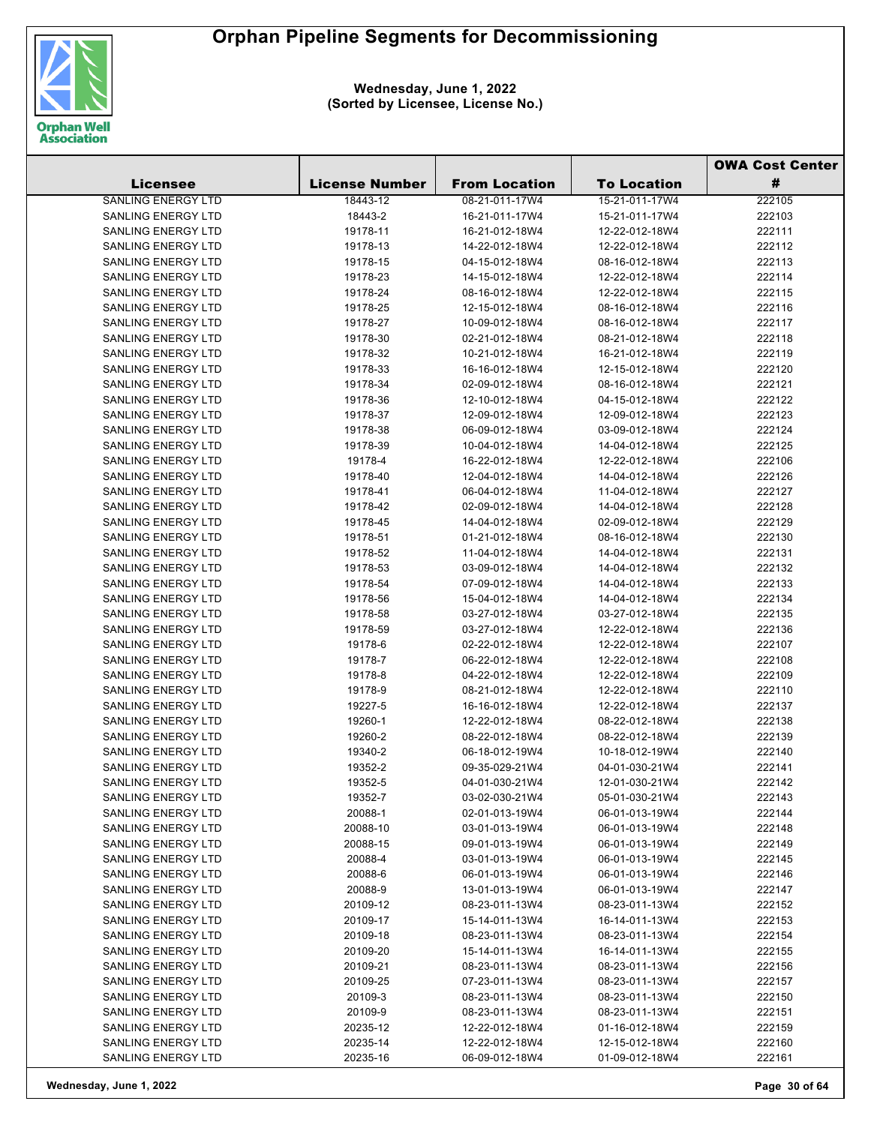

**Wednesday, June 1, 2022 (Sorted by Licensee, License No.)**

| #<br><b>License Number</b><br><b>From Location</b><br><b>To Location</b><br><b>Licensee</b><br><b>SANLING ENERGY LTD</b><br>222105<br>18443-12<br>08-21-011-17W4<br>15-21-011-17W4<br><b>SANLING ENERGY LTD</b><br>18443-2<br>16-21-011-17W4<br>15-21-011-17W4<br>222103<br>SANLING ENERGY LTD<br>19178-11<br>16-21-012-18W4<br>12-22-012-18W4<br>222111<br>SANLING ENERGY LTD<br>19178-13<br>14-22-012-18W4<br>12-22-012-18W4<br>222112<br><b>SANLING ENERGY LTD</b><br>19178-15<br>04-15-012-18W4<br>08-16-012-18W4<br>222113<br><b>SANLING ENERGY LTD</b><br>19178-23<br>14-15-012-18W4<br>12-22-012-18W4<br>222114<br>SANLING ENERGY LTD<br>19178-24<br>08-16-012-18W4<br>12-22-012-18W4<br>222115<br><b>SANLING ENERGY LTD</b><br>19178-25<br>12-15-012-18W4<br>08-16-012-18W4<br>222116<br><b>SANLING ENERGY LTD</b><br>19178-27<br>10-09-012-18W4<br>08-16-012-18W4<br>222117<br>SANLING ENERGY LTD<br>19178-30<br>02-21-012-18W4<br>08-21-012-18W4<br>222118<br><b>SANLING ENERGY LTD</b><br>19178-32<br>10-21-012-18W4<br>222119<br>16-21-012-18W4<br><b>SANLING ENERGY LTD</b><br>19178-33<br>16-16-012-18W4<br>12-15-012-18W4<br>222120<br>SANLING ENERGY LTD<br>19178-34<br>02-09-012-18W4<br>222121<br>08-16-012-18W4<br>SANLING ENERGY LTD<br>19178-36<br>12-10-012-18W4<br>04-15-012-18W4<br>222122<br>222123<br><b>SANLING ENERGY LTD</b><br>19178-37<br>12-09-012-18W4<br>12-09-012-18W4<br><b>SANLING ENERGY LTD</b><br>19178-38<br>06-09-012-18W4<br>03-09-012-18W4<br>222124<br>222125<br>SANLING ENERGY LTD<br>19178-39<br>10-04-012-18W4<br>14-04-012-18W4<br><b>SANLING ENERGY LTD</b><br>19178-4<br>16-22-012-18W4<br>12-22-012-18W4<br>222106<br><b>SANLING ENERGY LTD</b><br>19178-40<br>222126<br>12-04-012-18W4<br>14-04-012-18W4<br>SANLING ENERGY LTD<br>19178-41<br>11-04-012-18W4<br>222127<br>06-04-012-18W4<br><b>SANLING ENERGY LTD</b><br>222128<br>19178-42<br>14-04-012-18W4<br>02-09-012-18W4<br><b>SANLING ENERGY LTD</b><br>19178-45<br>14-04-012-18W4<br>02-09-012-18W4<br>222129<br>SANLING ENERGY LTD<br>19178-51<br>01-21-012-18W4<br>08-16-012-18W4<br>222130<br>SANLING ENERGY LTD<br>19178-52<br>11-04-012-18W4<br>14-04-012-18W4<br>222131<br>SANLING ENERGY LTD<br>19178-53<br>03-09-012-18W4<br>222132<br>14-04-012-18W4<br>SANLING ENERGY LTD<br>222133<br>19178-54<br>07-09-012-18W4<br>14-04-012-18W4<br>SANLING ENERGY LTD<br>19178-56<br>15-04-012-18W4<br>14-04-012-18W4<br>222134<br>SANLING ENERGY LTD<br>19178-58<br>03-27-012-18W4<br>03-27-012-18W4<br>222135<br><b>SANLING ENERGY LTD</b><br>19178-59<br>03-27-012-18W4<br>12-22-012-18W4<br>222136<br>SANLING ENERGY LTD<br>19178-6<br>02-22-012-18W4<br>12-22-012-18W4<br>222107<br>SANLING ENERGY LTD<br>19178-7<br>06-22-012-18W4<br>12-22-012-18W4<br>222108<br>SANLING ENERGY LTD<br>19178-8<br>04-22-012-18W4<br>12-22-012-18W4<br>222109<br>SANLING ENERGY LTD<br>19178-9<br>08-21-012-18W4<br>12-22-012-18W4<br>222110<br>SANLING ENERGY LTD<br>222137<br>19227-5<br>16-16-012-18W4<br>12-22-012-18W4<br>SANLING ENERGY LTD<br>19260-1<br>12-22-012-18W4<br>08-22-012-18W4<br>222138<br><b>SANLING ENERGY LTD</b><br>222139<br>19260-2<br>08-22-012-18W4<br>08-22-012-18W4<br><b>SANLING ENERGY LTD</b><br>19340-2<br>06-18-012-19W4<br>10-18-012-19W4<br>222140<br>19352-2<br>222141<br><b>SANLING ENERGY LTD</b><br>09-35-029-21W4<br>04-01-030-21W4<br>SANLING ENERGY LTD<br>222142<br>19352-5<br>04-01-030-21W4<br>12-01-030-21W4<br>222143<br>SANLING ENERGY LTD<br>19352-7<br>03-02-030-21W4<br>05-01-030-21W4<br><b>SANLING ENERGY LTD</b><br>20088-1<br>06-01-013-19W4<br>222144<br>02-01-013-19W4<br><b>SANLING ENERGY LTD</b><br>20088-10<br>222148<br>03-01-013-19W4<br>06-01-013-19W4<br><b>SANLING ENERGY LTD</b><br>20088-15<br>222149<br>09-01-013-19W4<br>06-01-013-19W4<br><b>SANLING ENERGY LTD</b><br>20088-4<br>222145<br>03-01-013-19W4<br>06-01-013-19W4<br><b>SANLING ENERGY LTD</b><br>20088-6<br>06-01-013-19W4<br>222146<br>06-01-013-19W4<br>SANLING ENERGY LTD<br>20088-9<br>222147<br>13-01-013-19W4<br>06-01-013-19W4<br><b>SANLING ENERGY LTD</b><br>222152<br>20109-12<br>08-23-011-13W4<br>08-23-011-13W4<br>SANLING ENERGY LTD<br>20109-17<br>222153<br>15-14-011-13W4<br>16-14-011-13W4<br><b>SANLING ENERGY LTD</b><br>20109-18<br>08-23-011-13W4<br>222154<br>08-23-011-13W4<br>SANLING ENERGY LTD<br>20109-20<br>222155<br>15-14-011-13W4<br>16-14-011-13W4<br>SANLING ENERGY LTD<br>222156<br>20109-21<br>08-23-011-13W4<br>08-23-011-13W4<br>SANLING ENERGY LTD<br>20109-25<br>07-23-011-13W4<br>08-23-011-13W4<br>222157<br>SANLING ENERGY LTD<br>20109-3<br>222150<br>08-23-011-13W4<br>08-23-011-13W4<br><b>SANLING ENERGY LTD</b><br>20109-9<br>08-23-011-13W4<br>222151<br>08-23-011-13W4<br>SANLING ENERGY LTD<br>20235-12<br>222159<br>12-22-012-18W4<br>01-16-012-18W4<br>SANLING ENERGY LTD<br>20235-14<br>12-22-012-18W4<br>12-15-012-18W4<br>222160<br>SANLING ENERGY LTD<br>20235-16<br>222161<br>06-09-012-18W4<br>01-09-012-18W4 |  |  | <b>OWA Cost Center</b> |  |
|----------------------------------------------------------------------------------------------------------------------------------------------------------------------------------------------------------------------------------------------------------------------------------------------------------------------------------------------------------------------------------------------------------------------------------------------------------------------------------------------------------------------------------------------------------------------------------------------------------------------------------------------------------------------------------------------------------------------------------------------------------------------------------------------------------------------------------------------------------------------------------------------------------------------------------------------------------------------------------------------------------------------------------------------------------------------------------------------------------------------------------------------------------------------------------------------------------------------------------------------------------------------------------------------------------------------------------------------------------------------------------------------------------------------------------------------------------------------------------------------------------------------------------------------------------------------------------------------------------------------------------------------------------------------------------------------------------------------------------------------------------------------------------------------------------------------------------------------------------------------------------------------------------------------------------------------------------------------------------------------------------------------------------------------------------------------------------------------------------------------------------------------------------------------------------------------------------------------------------------------------------------------------------------------------------------------------------------------------------------------------------------------------------------------------------------------------------------------------------------------------------------------------------------------------------------------------------------------------------------------------------------------------------------------------------------------------------------------------------------------------------------------------------------------------------------------------------------------------------------------------------------------------------------------------------------------------------------------------------------------------------------------------------------------------------------------------------------------------------------------------------------------------------------------------------------------------------------------------------------------------------------------------------------------------------------------------------------------------------------------------------------------------------------------------------------------------------------------------------------------------------------------------------------------------------------------------------------------------------------------------------------------------------------------------------------------------------------------------------------------------------------------------------------------------------------------------------------------------------------------------------------------------------------------------------------------------------------------------------------------------------------------------------------------------------------------------------------------------------------------------------------------------------------------------------------------------------------------------------------------------------------------------------------------------------------------------------------------------------------------------------------------------------------------------------------------------------------------------------------------------------------------------------------------------------------------------------------------------------------------------------------------------------------------------------------------------------------------------------------------------------------------------------------------------------------------------------------------------------------------------------------------------------------------------------------------------------------------------------------------------------------|--|--|------------------------|--|
|                                                                                                                                                                                                                                                                                                                                                                                                                                                                                                                                                                                                                                                                                                                                                                                                                                                                                                                                                                                                                                                                                                                                                                                                                                                                                                                                                                                                                                                                                                                                                                                                                                                                                                                                                                                                                                                                                                                                                                                                                                                                                                                                                                                                                                                                                                                                                                                                                                                                                                                                                                                                                                                                                                                                                                                                                                                                                                                                                                                                                                                                                                                                                                                                                                                                                                                                                                                                                                                                                                                                                                                                                                                                                                                                                                                                                                                                                                                                                                                                                                                                                                                                                                                                                                                                                                                                                                                                                                                                                                                                                                                                                                                                                                                                                                                                                                                                                                                                                                                                                |  |  |                        |  |
|                                                                                                                                                                                                                                                                                                                                                                                                                                                                                                                                                                                                                                                                                                                                                                                                                                                                                                                                                                                                                                                                                                                                                                                                                                                                                                                                                                                                                                                                                                                                                                                                                                                                                                                                                                                                                                                                                                                                                                                                                                                                                                                                                                                                                                                                                                                                                                                                                                                                                                                                                                                                                                                                                                                                                                                                                                                                                                                                                                                                                                                                                                                                                                                                                                                                                                                                                                                                                                                                                                                                                                                                                                                                                                                                                                                                                                                                                                                                                                                                                                                                                                                                                                                                                                                                                                                                                                                                                                                                                                                                                                                                                                                                                                                                                                                                                                                                                                                                                                                                                |  |  |                        |  |
|                                                                                                                                                                                                                                                                                                                                                                                                                                                                                                                                                                                                                                                                                                                                                                                                                                                                                                                                                                                                                                                                                                                                                                                                                                                                                                                                                                                                                                                                                                                                                                                                                                                                                                                                                                                                                                                                                                                                                                                                                                                                                                                                                                                                                                                                                                                                                                                                                                                                                                                                                                                                                                                                                                                                                                                                                                                                                                                                                                                                                                                                                                                                                                                                                                                                                                                                                                                                                                                                                                                                                                                                                                                                                                                                                                                                                                                                                                                                                                                                                                                                                                                                                                                                                                                                                                                                                                                                                                                                                                                                                                                                                                                                                                                                                                                                                                                                                                                                                                                                                |  |  |                        |  |
|                                                                                                                                                                                                                                                                                                                                                                                                                                                                                                                                                                                                                                                                                                                                                                                                                                                                                                                                                                                                                                                                                                                                                                                                                                                                                                                                                                                                                                                                                                                                                                                                                                                                                                                                                                                                                                                                                                                                                                                                                                                                                                                                                                                                                                                                                                                                                                                                                                                                                                                                                                                                                                                                                                                                                                                                                                                                                                                                                                                                                                                                                                                                                                                                                                                                                                                                                                                                                                                                                                                                                                                                                                                                                                                                                                                                                                                                                                                                                                                                                                                                                                                                                                                                                                                                                                                                                                                                                                                                                                                                                                                                                                                                                                                                                                                                                                                                                                                                                                                                                |  |  |                        |  |
|                                                                                                                                                                                                                                                                                                                                                                                                                                                                                                                                                                                                                                                                                                                                                                                                                                                                                                                                                                                                                                                                                                                                                                                                                                                                                                                                                                                                                                                                                                                                                                                                                                                                                                                                                                                                                                                                                                                                                                                                                                                                                                                                                                                                                                                                                                                                                                                                                                                                                                                                                                                                                                                                                                                                                                                                                                                                                                                                                                                                                                                                                                                                                                                                                                                                                                                                                                                                                                                                                                                                                                                                                                                                                                                                                                                                                                                                                                                                                                                                                                                                                                                                                                                                                                                                                                                                                                                                                                                                                                                                                                                                                                                                                                                                                                                                                                                                                                                                                                                                                |  |  |                        |  |
|                                                                                                                                                                                                                                                                                                                                                                                                                                                                                                                                                                                                                                                                                                                                                                                                                                                                                                                                                                                                                                                                                                                                                                                                                                                                                                                                                                                                                                                                                                                                                                                                                                                                                                                                                                                                                                                                                                                                                                                                                                                                                                                                                                                                                                                                                                                                                                                                                                                                                                                                                                                                                                                                                                                                                                                                                                                                                                                                                                                                                                                                                                                                                                                                                                                                                                                                                                                                                                                                                                                                                                                                                                                                                                                                                                                                                                                                                                                                                                                                                                                                                                                                                                                                                                                                                                                                                                                                                                                                                                                                                                                                                                                                                                                                                                                                                                                                                                                                                                                                                |  |  |                        |  |
|                                                                                                                                                                                                                                                                                                                                                                                                                                                                                                                                                                                                                                                                                                                                                                                                                                                                                                                                                                                                                                                                                                                                                                                                                                                                                                                                                                                                                                                                                                                                                                                                                                                                                                                                                                                                                                                                                                                                                                                                                                                                                                                                                                                                                                                                                                                                                                                                                                                                                                                                                                                                                                                                                                                                                                                                                                                                                                                                                                                                                                                                                                                                                                                                                                                                                                                                                                                                                                                                                                                                                                                                                                                                                                                                                                                                                                                                                                                                                                                                                                                                                                                                                                                                                                                                                                                                                                                                                                                                                                                                                                                                                                                                                                                                                                                                                                                                                                                                                                                                                |  |  |                        |  |
|                                                                                                                                                                                                                                                                                                                                                                                                                                                                                                                                                                                                                                                                                                                                                                                                                                                                                                                                                                                                                                                                                                                                                                                                                                                                                                                                                                                                                                                                                                                                                                                                                                                                                                                                                                                                                                                                                                                                                                                                                                                                                                                                                                                                                                                                                                                                                                                                                                                                                                                                                                                                                                                                                                                                                                                                                                                                                                                                                                                                                                                                                                                                                                                                                                                                                                                                                                                                                                                                                                                                                                                                                                                                                                                                                                                                                                                                                                                                                                                                                                                                                                                                                                                                                                                                                                                                                                                                                                                                                                                                                                                                                                                                                                                                                                                                                                                                                                                                                                                                                |  |  |                        |  |
|                                                                                                                                                                                                                                                                                                                                                                                                                                                                                                                                                                                                                                                                                                                                                                                                                                                                                                                                                                                                                                                                                                                                                                                                                                                                                                                                                                                                                                                                                                                                                                                                                                                                                                                                                                                                                                                                                                                                                                                                                                                                                                                                                                                                                                                                                                                                                                                                                                                                                                                                                                                                                                                                                                                                                                                                                                                                                                                                                                                                                                                                                                                                                                                                                                                                                                                                                                                                                                                                                                                                                                                                                                                                                                                                                                                                                                                                                                                                                                                                                                                                                                                                                                                                                                                                                                                                                                                                                                                                                                                                                                                                                                                                                                                                                                                                                                                                                                                                                                                                                |  |  |                        |  |
|                                                                                                                                                                                                                                                                                                                                                                                                                                                                                                                                                                                                                                                                                                                                                                                                                                                                                                                                                                                                                                                                                                                                                                                                                                                                                                                                                                                                                                                                                                                                                                                                                                                                                                                                                                                                                                                                                                                                                                                                                                                                                                                                                                                                                                                                                                                                                                                                                                                                                                                                                                                                                                                                                                                                                                                                                                                                                                                                                                                                                                                                                                                                                                                                                                                                                                                                                                                                                                                                                                                                                                                                                                                                                                                                                                                                                                                                                                                                                                                                                                                                                                                                                                                                                                                                                                                                                                                                                                                                                                                                                                                                                                                                                                                                                                                                                                                                                                                                                                                                                |  |  |                        |  |
|                                                                                                                                                                                                                                                                                                                                                                                                                                                                                                                                                                                                                                                                                                                                                                                                                                                                                                                                                                                                                                                                                                                                                                                                                                                                                                                                                                                                                                                                                                                                                                                                                                                                                                                                                                                                                                                                                                                                                                                                                                                                                                                                                                                                                                                                                                                                                                                                                                                                                                                                                                                                                                                                                                                                                                                                                                                                                                                                                                                                                                                                                                                                                                                                                                                                                                                                                                                                                                                                                                                                                                                                                                                                                                                                                                                                                                                                                                                                                                                                                                                                                                                                                                                                                                                                                                                                                                                                                                                                                                                                                                                                                                                                                                                                                                                                                                                                                                                                                                                                                |  |  |                        |  |
|                                                                                                                                                                                                                                                                                                                                                                                                                                                                                                                                                                                                                                                                                                                                                                                                                                                                                                                                                                                                                                                                                                                                                                                                                                                                                                                                                                                                                                                                                                                                                                                                                                                                                                                                                                                                                                                                                                                                                                                                                                                                                                                                                                                                                                                                                                                                                                                                                                                                                                                                                                                                                                                                                                                                                                                                                                                                                                                                                                                                                                                                                                                                                                                                                                                                                                                                                                                                                                                                                                                                                                                                                                                                                                                                                                                                                                                                                                                                                                                                                                                                                                                                                                                                                                                                                                                                                                                                                                                                                                                                                                                                                                                                                                                                                                                                                                                                                                                                                                                                                |  |  |                        |  |
|                                                                                                                                                                                                                                                                                                                                                                                                                                                                                                                                                                                                                                                                                                                                                                                                                                                                                                                                                                                                                                                                                                                                                                                                                                                                                                                                                                                                                                                                                                                                                                                                                                                                                                                                                                                                                                                                                                                                                                                                                                                                                                                                                                                                                                                                                                                                                                                                                                                                                                                                                                                                                                                                                                                                                                                                                                                                                                                                                                                                                                                                                                                                                                                                                                                                                                                                                                                                                                                                                                                                                                                                                                                                                                                                                                                                                                                                                                                                                                                                                                                                                                                                                                                                                                                                                                                                                                                                                                                                                                                                                                                                                                                                                                                                                                                                                                                                                                                                                                                                                |  |  |                        |  |
|                                                                                                                                                                                                                                                                                                                                                                                                                                                                                                                                                                                                                                                                                                                                                                                                                                                                                                                                                                                                                                                                                                                                                                                                                                                                                                                                                                                                                                                                                                                                                                                                                                                                                                                                                                                                                                                                                                                                                                                                                                                                                                                                                                                                                                                                                                                                                                                                                                                                                                                                                                                                                                                                                                                                                                                                                                                                                                                                                                                                                                                                                                                                                                                                                                                                                                                                                                                                                                                                                                                                                                                                                                                                                                                                                                                                                                                                                                                                                                                                                                                                                                                                                                                                                                                                                                                                                                                                                                                                                                                                                                                                                                                                                                                                                                                                                                                                                                                                                                                                                |  |  |                        |  |
|                                                                                                                                                                                                                                                                                                                                                                                                                                                                                                                                                                                                                                                                                                                                                                                                                                                                                                                                                                                                                                                                                                                                                                                                                                                                                                                                                                                                                                                                                                                                                                                                                                                                                                                                                                                                                                                                                                                                                                                                                                                                                                                                                                                                                                                                                                                                                                                                                                                                                                                                                                                                                                                                                                                                                                                                                                                                                                                                                                                                                                                                                                                                                                                                                                                                                                                                                                                                                                                                                                                                                                                                                                                                                                                                                                                                                                                                                                                                                                                                                                                                                                                                                                                                                                                                                                                                                                                                                                                                                                                                                                                                                                                                                                                                                                                                                                                                                                                                                                                                                |  |  |                        |  |
|                                                                                                                                                                                                                                                                                                                                                                                                                                                                                                                                                                                                                                                                                                                                                                                                                                                                                                                                                                                                                                                                                                                                                                                                                                                                                                                                                                                                                                                                                                                                                                                                                                                                                                                                                                                                                                                                                                                                                                                                                                                                                                                                                                                                                                                                                                                                                                                                                                                                                                                                                                                                                                                                                                                                                                                                                                                                                                                                                                                                                                                                                                                                                                                                                                                                                                                                                                                                                                                                                                                                                                                                                                                                                                                                                                                                                                                                                                                                                                                                                                                                                                                                                                                                                                                                                                                                                                                                                                                                                                                                                                                                                                                                                                                                                                                                                                                                                                                                                                                                                |  |  |                        |  |
|                                                                                                                                                                                                                                                                                                                                                                                                                                                                                                                                                                                                                                                                                                                                                                                                                                                                                                                                                                                                                                                                                                                                                                                                                                                                                                                                                                                                                                                                                                                                                                                                                                                                                                                                                                                                                                                                                                                                                                                                                                                                                                                                                                                                                                                                                                                                                                                                                                                                                                                                                                                                                                                                                                                                                                                                                                                                                                                                                                                                                                                                                                                                                                                                                                                                                                                                                                                                                                                                                                                                                                                                                                                                                                                                                                                                                                                                                                                                                                                                                                                                                                                                                                                                                                                                                                                                                                                                                                                                                                                                                                                                                                                                                                                                                                                                                                                                                                                                                                                                                |  |  |                        |  |
|                                                                                                                                                                                                                                                                                                                                                                                                                                                                                                                                                                                                                                                                                                                                                                                                                                                                                                                                                                                                                                                                                                                                                                                                                                                                                                                                                                                                                                                                                                                                                                                                                                                                                                                                                                                                                                                                                                                                                                                                                                                                                                                                                                                                                                                                                                                                                                                                                                                                                                                                                                                                                                                                                                                                                                                                                                                                                                                                                                                                                                                                                                                                                                                                                                                                                                                                                                                                                                                                                                                                                                                                                                                                                                                                                                                                                                                                                                                                                                                                                                                                                                                                                                                                                                                                                                                                                                                                                                                                                                                                                                                                                                                                                                                                                                                                                                                                                                                                                                                                                |  |  |                        |  |
|                                                                                                                                                                                                                                                                                                                                                                                                                                                                                                                                                                                                                                                                                                                                                                                                                                                                                                                                                                                                                                                                                                                                                                                                                                                                                                                                                                                                                                                                                                                                                                                                                                                                                                                                                                                                                                                                                                                                                                                                                                                                                                                                                                                                                                                                                                                                                                                                                                                                                                                                                                                                                                                                                                                                                                                                                                                                                                                                                                                                                                                                                                                                                                                                                                                                                                                                                                                                                                                                                                                                                                                                                                                                                                                                                                                                                                                                                                                                                                                                                                                                                                                                                                                                                                                                                                                                                                                                                                                                                                                                                                                                                                                                                                                                                                                                                                                                                                                                                                                                                |  |  |                        |  |
|                                                                                                                                                                                                                                                                                                                                                                                                                                                                                                                                                                                                                                                                                                                                                                                                                                                                                                                                                                                                                                                                                                                                                                                                                                                                                                                                                                                                                                                                                                                                                                                                                                                                                                                                                                                                                                                                                                                                                                                                                                                                                                                                                                                                                                                                                                                                                                                                                                                                                                                                                                                                                                                                                                                                                                                                                                                                                                                                                                                                                                                                                                                                                                                                                                                                                                                                                                                                                                                                                                                                                                                                                                                                                                                                                                                                                                                                                                                                                                                                                                                                                                                                                                                                                                                                                                                                                                                                                                                                                                                                                                                                                                                                                                                                                                                                                                                                                                                                                                                                                |  |  |                        |  |
|                                                                                                                                                                                                                                                                                                                                                                                                                                                                                                                                                                                                                                                                                                                                                                                                                                                                                                                                                                                                                                                                                                                                                                                                                                                                                                                                                                                                                                                                                                                                                                                                                                                                                                                                                                                                                                                                                                                                                                                                                                                                                                                                                                                                                                                                                                                                                                                                                                                                                                                                                                                                                                                                                                                                                                                                                                                                                                                                                                                                                                                                                                                                                                                                                                                                                                                                                                                                                                                                                                                                                                                                                                                                                                                                                                                                                                                                                                                                                                                                                                                                                                                                                                                                                                                                                                                                                                                                                                                                                                                                                                                                                                                                                                                                                                                                                                                                                                                                                                                                                |  |  |                        |  |
|                                                                                                                                                                                                                                                                                                                                                                                                                                                                                                                                                                                                                                                                                                                                                                                                                                                                                                                                                                                                                                                                                                                                                                                                                                                                                                                                                                                                                                                                                                                                                                                                                                                                                                                                                                                                                                                                                                                                                                                                                                                                                                                                                                                                                                                                                                                                                                                                                                                                                                                                                                                                                                                                                                                                                                                                                                                                                                                                                                                                                                                                                                                                                                                                                                                                                                                                                                                                                                                                                                                                                                                                                                                                                                                                                                                                                                                                                                                                                                                                                                                                                                                                                                                                                                                                                                                                                                                                                                                                                                                                                                                                                                                                                                                                                                                                                                                                                                                                                                                                                |  |  |                        |  |
|                                                                                                                                                                                                                                                                                                                                                                                                                                                                                                                                                                                                                                                                                                                                                                                                                                                                                                                                                                                                                                                                                                                                                                                                                                                                                                                                                                                                                                                                                                                                                                                                                                                                                                                                                                                                                                                                                                                                                                                                                                                                                                                                                                                                                                                                                                                                                                                                                                                                                                                                                                                                                                                                                                                                                                                                                                                                                                                                                                                                                                                                                                                                                                                                                                                                                                                                                                                                                                                                                                                                                                                                                                                                                                                                                                                                                                                                                                                                                                                                                                                                                                                                                                                                                                                                                                                                                                                                                                                                                                                                                                                                                                                                                                                                                                                                                                                                                                                                                                                                                |  |  |                        |  |
|                                                                                                                                                                                                                                                                                                                                                                                                                                                                                                                                                                                                                                                                                                                                                                                                                                                                                                                                                                                                                                                                                                                                                                                                                                                                                                                                                                                                                                                                                                                                                                                                                                                                                                                                                                                                                                                                                                                                                                                                                                                                                                                                                                                                                                                                                                                                                                                                                                                                                                                                                                                                                                                                                                                                                                                                                                                                                                                                                                                                                                                                                                                                                                                                                                                                                                                                                                                                                                                                                                                                                                                                                                                                                                                                                                                                                                                                                                                                                                                                                                                                                                                                                                                                                                                                                                                                                                                                                                                                                                                                                                                                                                                                                                                                                                                                                                                                                                                                                                                                                |  |  |                        |  |
|                                                                                                                                                                                                                                                                                                                                                                                                                                                                                                                                                                                                                                                                                                                                                                                                                                                                                                                                                                                                                                                                                                                                                                                                                                                                                                                                                                                                                                                                                                                                                                                                                                                                                                                                                                                                                                                                                                                                                                                                                                                                                                                                                                                                                                                                                                                                                                                                                                                                                                                                                                                                                                                                                                                                                                                                                                                                                                                                                                                                                                                                                                                                                                                                                                                                                                                                                                                                                                                                                                                                                                                                                                                                                                                                                                                                                                                                                                                                                                                                                                                                                                                                                                                                                                                                                                                                                                                                                                                                                                                                                                                                                                                                                                                                                                                                                                                                                                                                                                                                                |  |  |                        |  |
|                                                                                                                                                                                                                                                                                                                                                                                                                                                                                                                                                                                                                                                                                                                                                                                                                                                                                                                                                                                                                                                                                                                                                                                                                                                                                                                                                                                                                                                                                                                                                                                                                                                                                                                                                                                                                                                                                                                                                                                                                                                                                                                                                                                                                                                                                                                                                                                                                                                                                                                                                                                                                                                                                                                                                                                                                                                                                                                                                                                                                                                                                                                                                                                                                                                                                                                                                                                                                                                                                                                                                                                                                                                                                                                                                                                                                                                                                                                                                                                                                                                                                                                                                                                                                                                                                                                                                                                                                                                                                                                                                                                                                                                                                                                                                                                                                                                                                                                                                                                                                |  |  |                        |  |
|                                                                                                                                                                                                                                                                                                                                                                                                                                                                                                                                                                                                                                                                                                                                                                                                                                                                                                                                                                                                                                                                                                                                                                                                                                                                                                                                                                                                                                                                                                                                                                                                                                                                                                                                                                                                                                                                                                                                                                                                                                                                                                                                                                                                                                                                                                                                                                                                                                                                                                                                                                                                                                                                                                                                                                                                                                                                                                                                                                                                                                                                                                                                                                                                                                                                                                                                                                                                                                                                                                                                                                                                                                                                                                                                                                                                                                                                                                                                                                                                                                                                                                                                                                                                                                                                                                                                                                                                                                                                                                                                                                                                                                                                                                                                                                                                                                                                                                                                                                                                                |  |  |                        |  |
|                                                                                                                                                                                                                                                                                                                                                                                                                                                                                                                                                                                                                                                                                                                                                                                                                                                                                                                                                                                                                                                                                                                                                                                                                                                                                                                                                                                                                                                                                                                                                                                                                                                                                                                                                                                                                                                                                                                                                                                                                                                                                                                                                                                                                                                                                                                                                                                                                                                                                                                                                                                                                                                                                                                                                                                                                                                                                                                                                                                                                                                                                                                                                                                                                                                                                                                                                                                                                                                                                                                                                                                                                                                                                                                                                                                                                                                                                                                                                                                                                                                                                                                                                                                                                                                                                                                                                                                                                                                                                                                                                                                                                                                                                                                                                                                                                                                                                                                                                                                                                |  |  |                        |  |
|                                                                                                                                                                                                                                                                                                                                                                                                                                                                                                                                                                                                                                                                                                                                                                                                                                                                                                                                                                                                                                                                                                                                                                                                                                                                                                                                                                                                                                                                                                                                                                                                                                                                                                                                                                                                                                                                                                                                                                                                                                                                                                                                                                                                                                                                                                                                                                                                                                                                                                                                                                                                                                                                                                                                                                                                                                                                                                                                                                                                                                                                                                                                                                                                                                                                                                                                                                                                                                                                                                                                                                                                                                                                                                                                                                                                                                                                                                                                                                                                                                                                                                                                                                                                                                                                                                                                                                                                                                                                                                                                                                                                                                                                                                                                                                                                                                                                                                                                                                                                                |  |  |                        |  |
|                                                                                                                                                                                                                                                                                                                                                                                                                                                                                                                                                                                                                                                                                                                                                                                                                                                                                                                                                                                                                                                                                                                                                                                                                                                                                                                                                                                                                                                                                                                                                                                                                                                                                                                                                                                                                                                                                                                                                                                                                                                                                                                                                                                                                                                                                                                                                                                                                                                                                                                                                                                                                                                                                                                                                                                                                                                                                                                                                                                                                                                                                                                                                                                                                                                                                                                                                                                                                                                                                                                                                                                                                                                                                                                                                                                                                                                                                                                                                                                                                                                                                                                                                                                                                                                                                                                                                                                                                                                                                                                                                                                                                                                                                                                                                                                                                                                                                                                                                                                                                |  |  |                        |  |
|                                                                                                                                                                                                                                                                                                                                                                                                                                                                                                                                                                                                                                                                                                                                                                                                                                                                                                                                                                                                                                                                                                                                                                                                                                                                                                                                                                                                                                                                                                                                                                                                                                                                                                                                                                                                                                                                                                                                                                                                                                                                                                                                                                                                                                                                                                                                                                                                                                                                                                                                                                                                                                                                                                                                                                                                                                                                                                                                                                                                                                                                                                                                                                                                                                                                                                                                                                                                                                                                                                                                                                                                                                                                                                                                                                                                                                                                                                                                                                                                                                                                                                                                                                                                                                                                                                                                                                                                                                                                                                                                                                                                                                                                                                                                                                                                                                                                                                                                                                                                                |  |  |                        |  |
|                                                                                                                                                                                                                                                                                                                                                                                                                                                                                                                                                                                                                                                                                                                                                                                                                                                                                                                                                                                                                                                                                                                                                                                                                                                                                                                                                                                                                                                                                                                                                                                                                                                                                                                                                                                                                                                                                                                                                                                                                                                                                                                                                                                                                                                                                                                                                                                                                                                                                                                                                                                                                                                                                                                                                                                                                                                                                                                                                                                                                                                                                                                                                                                                                                                                                                                                                                                                                                                                                                                                                                                                                                                                                                                                                                                                                                                                                                                                                                                                                                                                                                                                                                                                                                                                                                                                                                                                                                                                                                                                                                                                                                                                                                                                                                                                                                                                                                                                                                                                                |  |  |                        |  |
|                                                                                                                                                                                                                                                                                                                                                                                                                                                                                                                                                                                                                                                                                                                                                                                                                                                                                                                                                                                                                                                                                                                                                                                                                                                                                                                                                                                                                                                                                                                                                                                                                                                                                                                                                                                                                                                                                                                                                                                                                                                                                                                                                                                                                                                                                                                                                                                                                                                                                                                                                                                                                                                                                                                                                                                                                                                                                                                                                                                                                                                                                                                                                                                                                                                                                                                                                                                                                                                                                                                                                                                                                                                                                                                                                                                                                                                                                                                                                                                                                                                                                                                                                                                                                                                                                                                                                                                                                                                                                                                                                                                                                                                                                                                                                                                                                                                                                                                                                                                                                |  |  |                        |  |
|                                                                                                                                                                                                                                                                                                                                                                                                                                                                                                                                                                                                                                                                                                                                                                                                                                                                                                                                                                                                                                                                                                                                                                                                                                                                                                                                                                                                                                                                                                                                                                                                                                                                                                                                                                                                                                                                                                                                                                                                                                                                                                                                                                                                                                                                                                                                                                                                                                                                                                                                                                                                                                                                                                                                                                                                                                                                                                                                                                                                                                                                                                                                                                                                                                                                                                                                                                                                                                                                                                                                                                                                                                                                                                                                                                                                                                                                                                                                                                                                                                                                                                                                                                                                                                                                                                                                                                                                                                                                                                                                                                                                                                                                                                                                                                                                                                                                                                                                                                                                                |  |  |                        |  |
|                                                                                                                                                                                                                                                                                                                                                                                                                                                                                                                                                                                                                                                                                                                                                                                                                                                                                                                                                                                                                                                                                                                                                                                                                                                                                                                                                                                                                                                                                                                                                                                                                                                                                                                                                                                                                                                                                                                                                                                                                                                                                                                                                                                                                                                                                                                                                                                                                                                                                                                                                                                                                                                                                                                                                                                                                                                                                                                                                                                                                                                                                                                                                                                                                                                                                                                                                                                                                                                                                                                                                                                                                                                                                                                                                                                                                                                                                                                                                                                                                                                                                                                                                                                                                                                                                                                                                                                                                                                                                                                                                                                                                                                                                                                                                                                                                                                                                                                                                                                                                |  |  |                        |  |
|                                                                                                                                                                                                                                                                                                                                                                                                                                                                                                                                                                                                                                                                                                                                                                                                                                                                                                                                                                                                                                                                                                                                                                                                                                                                                                                                                                                                                                                                                                                                                                                                                                                                                                                                                                                                                                                                                                                                                                                                                                                                                                                                                                                                                                                                                                                                                                                                                                                                                                                                                                                                                                                                                                                                                                                                                                                                                                                                                                                                                                                                                                                                                                                                                                                                                                                                                                                                                                                                                                                                                                                                                                                                                                                                                                                                                                                                                                                                                                                                                                                                                                                                                                                                                                                                                                                                                                                                                                                                                                                                                                                                                                                                                                                                                                                                                                                                                                                                                                                                                |  |  |                        |  |
|                                                                                                                                                                                                                                                                                                                                                                                                                                                                                                                                                                                                                                                                                                                                                                                                                                                                                                                                                                                                                                                                                                                                                                                                                                                                                                                                                                                                                                                                                                                                                                                                                                                                                                                                                                                                                                                                                                                                                                                                                                                                                                                                                                                                                                                                                                                                                                                                                                                                                                                                                                                                                                                                                                                                                                                                                                                                                                                                                                                                                                                                                                                                                                                                                                                                                                                                                                                                                                                                                                                                                                                                                                                                                                                                                                                                                                                                                                                                                                                                                                                                                                                                                                                                                                                                                                                                                                                                                                                                                                                                                                                                                                                                                                                                                                                                                                                                                                                                                                                                                |  |  |                        |  |
|                                                                                                                                                                                                                                                                                                                                                                                                                                                                                                                                                                                                                                                                                                                                                                                                                                                                                                                                                                                                                                                                                                                                                                                                                                                                                                                                                                                                                                                                                                                                                                                                                                                                                                                                                                                                                                                                                                                                                                                                                                                                                                                                                                                                                                                                                                                                                                                                                                                                                                                                                                                                                                                                                                                                                                                                                                                                                                                                                                                                                                                                                                                                                                                                                                                                                                                                                                                                                                                                                                                                                                                                                                                                                                                                                                                                                                                                                                                                                                                                                                                                                                                                                                                                                                                                                                                                                                                                                                                                                                                                                                                                                                                                                                                                                                                                                                                                                                                                                                                                                |  |  |                        |  |
|                                                                                                                                                                                                                                                                                                                                                                                                                                                                                                                                                                                                                                                                                                                                                                                                                                                                                                                                                                                                                                                                                                                                                                                                                                                                                                                                                                                                                                                                                                                                                                                                                                                                                                                                                                                                                                                                                                                                                                                                                                                                                                                                                                                                                                                                                                                                                                                                                                                                                                                                                                                                                                                                                                                                                                                                                                                                                                                                                                                                                                                                                                                                                                                                                                                                                                                                                                                                                                                                                                                                                                                                                                                                                                                                                                                                                                                                                                                                                                                                                                                                                                                                                                                                                                                                                                                                                                                                                                                                                                                                                                                                                                                                                                                                                                                                                                                                                                                                                                                                                |  |  |                        |  |
|                                                                                                                                                                                                                                                                                                                                                                                                                                                                                                                                                                                                                                                                                                                                                                                                                                                                                                                                                                                                                                                                                                                                                                                                                                                                                                                                                                                                                                                                                                                                                                                                                                                                                                                                                                                                                                                                                                                                                                                                                                                                                                                                                                                                                                                                                                                                                                                                                                                                                                                                                                                                                                                                                                                                                                                                                                                                                                                                                                                                                                                                                                                                                                                                                                                                                                                                                                                                                                                                                                                                                                                                                                                                                                                                                                                                                                                                                                                                                                                                                                                                                                                                                                                                                                                                                                                                                                                                                                                                                                                                                                                                                                                                                                                                                                                                                                                                                                                                                                                                                |  |  |                        |  |
|                                                                                                                                                                                                                                                                                                                                                                                                                                                                                                                                                                                                                                                                                                                                                                                                                                                                                                                                                                                                                                                                                                                                                                                                                                                                                                                                                                                                                                                                                                                                                                                                                                                                                                                                                                                                                                                                                                                                                                                                                                                                                                                                                                                                                                                                                                                                                                                                                                                                                                                                                                                                                                                                                                                                                                                                                                                                                                                                                                                                                                                                                                                                                                                                                                                                                                                                                                                                                                                                                                                                                                                                                                                                                                                                                                                                                                                                                                                                                                                                                                                                                                                                                                                                                                                                                                                                                                                                                                                                                                                                                                                                                                                                                                                                                                                                                                                                                                                                                                                                                |  |  |                        |  |
|                                                                                                                                                                                                                                                                                                                                                                                                                                                                                                                                                                                                                                                                                                                                                                                                                                                                                                                                                                                                                                                                                                                                                                                                                                                                                                                                                                                                                                                                                                                                                                                                                                                                                                                                                                                                                                                                                                                                                                                                                                                                                                                                                                                                                                                                                                                                                                                                                                                                                                                                                                                                                                                                                                                                                                                                                                                                                                                                                                                                                                                                                                                                                                                                                                                                                                                                                                                                                                                                                                                                                                                                                                                                                                                                                                                                                                                                                                                                                                                                                                                                                                                                                                                                                                                                                                                                                                                                                                                                                                                                                                                                                                                                                                                                                                                                                                                                                                                                                                                                                |  |  |                        |  |
|                                                                                                                                                                                                                                                                                                                                                                                                                                                                                                                                                                                                                                                                                                                                                                                                                                                                                                                                                                                                                                                                                                                                                                                                                                                                                                                                                                                                                                                                                                                                                                                                                                                                                                                                                                                                                                                                                                                                                                                                                                                                                                                                                                                                                                                                                                                                                                                                                                                                                                                                                                                                                                                                                                                                                                                                                                                                                                                                                                                                                                                                                                                                                                                                                                                                                                                                                                                                                                                                                                                                                                                                                                                                                                                                                                                                                                                                                                                                                                                                                                                                                                                                                                                                                                                                                                                                                                                                                                                                                                                                                                                                                                                                                                                                                                                                                                                                                                                                                                                                                |  |  |                        |  |
|                                                                                                                                                                                                                                                                                                                                                                                                                                                                                                                                                                                                                                                                                                                                                                                                                                                                                                                                                                                                                                                                                                                                                                                                                                                                                                                                                                                                                                                                                                                                                                                                                                                                                                                                                                                                                                                                                                                                                                                                                                                                                                                                                                                                                                                                                                                                                                                                                                                                                                                                                                                                                                                                                                                                                                                                                                                                                                                                                                                                                                                                                                                                                                                                                                                                                                                                                                                                                                                                                                                                                                                                                                                                                                                                                                                                                                                                                                                                                                                                                                                                                                                                                                                                                                                                                                                                                                                                                                                                                                                                                                                                                                                                                                                                                                                                                                                                                                                                                                                                                |  |  |                        |  |
|                                                                                                                                                                                                                                                                                                                                                                                                                                                                                                                                                                                                                                                                                                                                                                                                                                                                                                                                                                                                                                                                                                                                                                                                                                                                                                                                                                                                                                                                                                                                                                                                                                                                                                                                                                                                                                                                                                                                                                                                                                                                                                                                                                                                                                                                                                                                                                                                                                                                                                                                                                                                                                                                                                                                                                                                                                                                                                                                                                                                                                                                                                                                                                                                                                                                                                                                                                                                                                                                                                                                                                                                                                                                                                                                                                                                                                                                                                                                                                                                                                                                                                                                                                                                                                                                                                                                                                                                                                                                                                                                                                                                                                                                                                                                                                                                                                                                                                                                                                                                                |  |  |                        |  |
|                                                                                                                                                                                                                                                                                                                                                                                                                                                                                                                                                                                                                                                                                                                                                                                                                                                                                                                                                                                                                                                                                                                                                                                                                                                                                                                                                                                                                                                                                                                                                                                                                                                                                                                                                                                                                                                                                                                                                                                                                                                                                                                                                                                                                                                                                                                                                                                                                                                                                                                                                                                                                                                                                                                                                                                                                                                                                                                                                                                                                                                                                                                                                                                                                                                                                                                                                                                                                                                                                                                                                                                                                                                                                                                                                                                                                                                                                                                                                                                                                                                                                                                                                                                                                                                                                                                                                                                                                                                                                                                                                                                                                                                                                                                                                                                                                                                                                                                                                                                                                |  |  |                        |  |
|                                                                                                                                                                                                                                                                                                                                                                                                                                                                                                                                                                                                                                                                                                                                                                                                                                                                                                                                                                                                                                                                                                                                                                                                                                                                                                                                                                                                                                                                                                                                                                                                                                                                                                                                                                                                                                                                                                                                                                                                                                                                                                                                                                                                                                                                                                                                                                                                                                                                                                                                                                                                                                                                                                                                                                                                                                                                                                                                                                                                                                                                                                                                                                                                                                                                                                                                                                                                                                                                                                                                                                                                                                                                                                                                                                                                                                                                                                                                                                                                                                                                                                                                                                                                                                                                                                                                                                                                                                                                                                                                                                                                                                                                                                                                                                                                                                                                                                                                                                                                                |  |  |                        |  |
|                                                                                                                                                                                                                                                                                                                                                                                                                                                                                                                                                                                                                                                                                                                                                                                                                                                                                                                                                                                                                                                                                                                                                                                                                                                                                                                                                                                                                                                                                                                                                                                                                                                                                                                                                                                                                                                                                                                                                                                                                                                                                                                                                                                                                                                                                                                                                                                                                                                                                                                                                                                                                                                                                                                                                                                                                                                                                                                                                                                                                                                                                                                                                                                                                                                                                                                                                                                                                                                                                                                                                                                                                                                                                                                                                                                                                                                                                                                                                                                                                                                                                                                                                                                                                                                                                                                                                                                                                                                                                                                                                                                                                                                                                                                                                                                                                                                                                                                                                                                                                |  |  |                        |  |
|                                                                                                                                                                                                                                                                                                                                                                                                                                                                                                                                                                                                                                                                                                                                                                                                                                                                                                                                                                                                                                                                                                                                                                                                                                                                                                                                                                                                                                                                                                                                                                                                                                                                                                                                                                                                                                                                                                                                                                                                                                                                                                                                                                                                                                                                                                                                                                                                                                                                                                                                                                                                                                                                                                                                                                                                                                                                                                                                                                                                                                                                                                                                                                                                                                                                                                                                                                                                                                                                                                                                                                                                                                                                                                                                                                                                                                                                                                                                                                                                                                                                                                                                                                                                                                                                                                                                                                                                                                                                                                                                                                                                                                                                                                                                                                                                                                                                                                                                                                                                                |  |  |                        |  |
|                                                                                                                                                                                                                                                                                                                                                                                                                                                                                                                                                                                                                                                                                                                                                                                                                                                                                                                                                                                                                                                                                                                                                                                                                                                                                                                                                                                                                                                                                                                                                                                                                                                                                                                                                                                                                                                                                                                                                                                                                                                                                                                                                                                                                                                                                                                                                                                                                                                                                                                                                                                                                                                                                                                                                                                                                                                                                                                                                                                                                                                                                                                                                                                                                                                                                                                                                                                                                                                                                                                                                                                                                                                                                                                                                                                                                                                                                                                                                                                                                                                                                                                                                                                                                                                                                                                                                                                                                                                                                                                                                                                                                                                                                                                                                                                                                                                                                                                                                                                                                |  |  |                        |  |
|                                                                                                                                                                                                                                                                                                                                                                                                                                                                                                                                                                                                                                                                                                                                                                                                                                                                                                                                                                                                                                                                                                                                                                                                                                                                                                                                                                                                                                                                                                                                                                                                                                                                                                                                                                                                                                                                                                                                                                                                                                                                                                                                                                                                                                                                                                                                                                                                                                                                                                                                                                                                                                                                                                                                                                                                                                                                                                                                                                                                                                                                                                                                                                                                                                                                                                                                                                                                                                                                                                                                                                                                                                                                                                                                                                                                                                                                                                                                                                                                                                                                                                                                                                                                                                                                                                                                                                                                                                                                                                                                                                                                                                                                                                                                                                                                                                                                                                                                                                                                                |  |  |                        |  |
|                                                                                                                                                                                                                                                                                                                                                                                                                                                                                                                                                                                                                                                                                                                                                                                                                                                                                                                                                                                                                                                                                                                                                                                                                                                                                                                                                                                                                                                                                                                                                                                                                                                                                                                                                                                                                                                                                                                                                                                                                                                                                                                                                                                                                                                                                                                                                                                                                                                                                                                                                                                                                                                                                                                                                                                                                                                                                                                                                                                                                                                                                                                                                                                                                                                                                                                                                                                                                                                                                                                                                                                                                                                                                                                                                                                                                                                                                                                                                                                                                                                                                                                                                                                                                                                                                                                                                                                                                                                                                                                                                                                                                                                                                                                                                                                                                                                                                                                                                                                                                |  |  |                        |  |
|                                                                                                                                                                                                                                                                                                                                                                                                                                                                                                                                                                                                                                                                                                                                                                                                                                                                                                                                                                                                                                                                                                                                                                                                                                                                                                                                                                                                                                                                                                                                                                                                                                                                                                                                                                                                                                                                                                                                                                                                                                                                                                                                                                                                                                                                                                                                                                                                                                                                                                                                                                                                                                                                                                                                                                                                                                                                                                                                                                                                                                                                                                                                                                                                                                                                                                                                                                                                                                                                                                                                                                                                                                                                                                                                                                                                                                                                                                                                                                                                                                                                                                                                                                                                                                                                                                                                                                                                                                                                                                                                                                                                                                                                                                                                                                                                                                                                                                                                                                                                                |  |  |                        |  |
|                                                                                                                                                                                                                                                                                                                                                                                                                                                                                                                                                                                                                                                                                                                                                                                                                                                                                                                                                                                                                                                                                                                                                                                                                                                                                                                                                                                                                                                                                                                                                                                                                                                                                                                                                                                                                                                                                                                                                                                                                                                                                                                                                                                                                                                                                                                                                                                                                                                                                                                                                                                                                                                                                                                                                                                                                                                                                                                                                                                                                                                                                                                                                                                                                                                                                                                                                                                                                                                                                                                                                                                                                                                                                                                                                                                                                                                                                                                                                                                                                                                                                                                                                                                                                                                                                                                                                                                                                                                                                                                                                                                                                                                                                                                                                                                                                                                                                                                                                                                                                |  |  |                        |  |
|                                                                                                                                                                                                                                                                                                                                                                                                                                                                                                                                                                                                                                                                                                                                                                                                                                                                                                                                                                                                                                                                                                                                                                                                                                                                                                                                                                                                                                                                                                                                                                                                                                                                                                                                                                                                                                                                                                                                                                                                                                                                                                                                                                                                                                                                                                                                                                                                                                                                                                                                                                                                                                                                                                                                                                                                                                                                                                                                                                                                                                                                                                                                                                                                                                                                                                                                                                                                                                                                                                                                                                                                                                                                                                                                                                                                                                                                                                                                                                                                                                                                                                                                                                                                                                                                                                                                                                                                                                                                                                                                                                                                                                                                                                                                                                                                                                                                                                                                                                                                                |  |  |                        |  |
|                                                                                                                                                                                                                                                                                                                                                                                                                                                                                                                                                                                                                                                                                                                                                                                                                                                                                                                                                                                                                                                                                                                                                                                                                                                                                                                                                                                                                                                                                                                                                                                                                                                                                                                                                                                                                                                                                                                                                                                                                                                                                                                                                                                                                                                                                                                                                                                                                                                                                                                                                                                                                                                                                                                                                                                                                                                                                                                                                                                                                                                                                                                                                                                                                                                                                                                                                                                                                                                                                                                                                                                                                                                                                                                                                                                                                                                                                                                                                                                                                                                                                                                                                                                                                                                                                                                                                                                                                                                                                                                                                                                                                                                                                                                                                                                                                                                                                                                                                                                                                |  |  |                        |  |
|                                                                                                                                                                                                                                                                                                                                                                                                                                                                                                                                                                                                                                                                                                                                                                                                                                                                                                                                                                                                                                                                                                                                                                                                                                                                                                                                                                                                                                                                                                                                                                                                                                                                                                                                                                                                                                                                                                                                                                                                                                                                                                                                                                                                                                                                                                                                                                                                                                                                                                                                                                                                                                                                                                                                                                                                                                                                                                                                                                                                                                                                                                                                                                                                                                                                                                                                                                                                                                                                                                                                                                                                                                                                                                                                                                                                                                                                                                                                                                                                                                                                                                                                                                                                                                                                                                                                                                                                                                                                                                                                                                                                                                                                                                                                                                                                                                                                                                                                                                                                                |  |  |                        |  |
|                                                                                                                                                                                                                                                                                                                                                                                                                                                                                                                                                                                                                                                                                                                                                                                                                                                                                                                                                                                                                                                                                                                                                                                                                                                                                                                                                                                                                                                                                                                                                                                                                                                                                                                                                                                                                                                                                                                                                                                                                                                                                                                                                                                                                                                                                                                                                                                                                                                                                                                                                                                                                                                                                                                                                                                                                                                                                                                                                                                                                                                                                                                                                                                                                                                                                                                                                                                                                                                                                                                                                                                                                                                                                                                                                                                                                                                                                                                                                                                                                                                                                                                                                                                                                                                                                                                                                                                                                                                                                                                                                                                                                                                                                                                                                                                                                                                                                                                                                                                                                |  |  |                        |  |

**Wednesday, June 1, 2022 Page 30 of 64**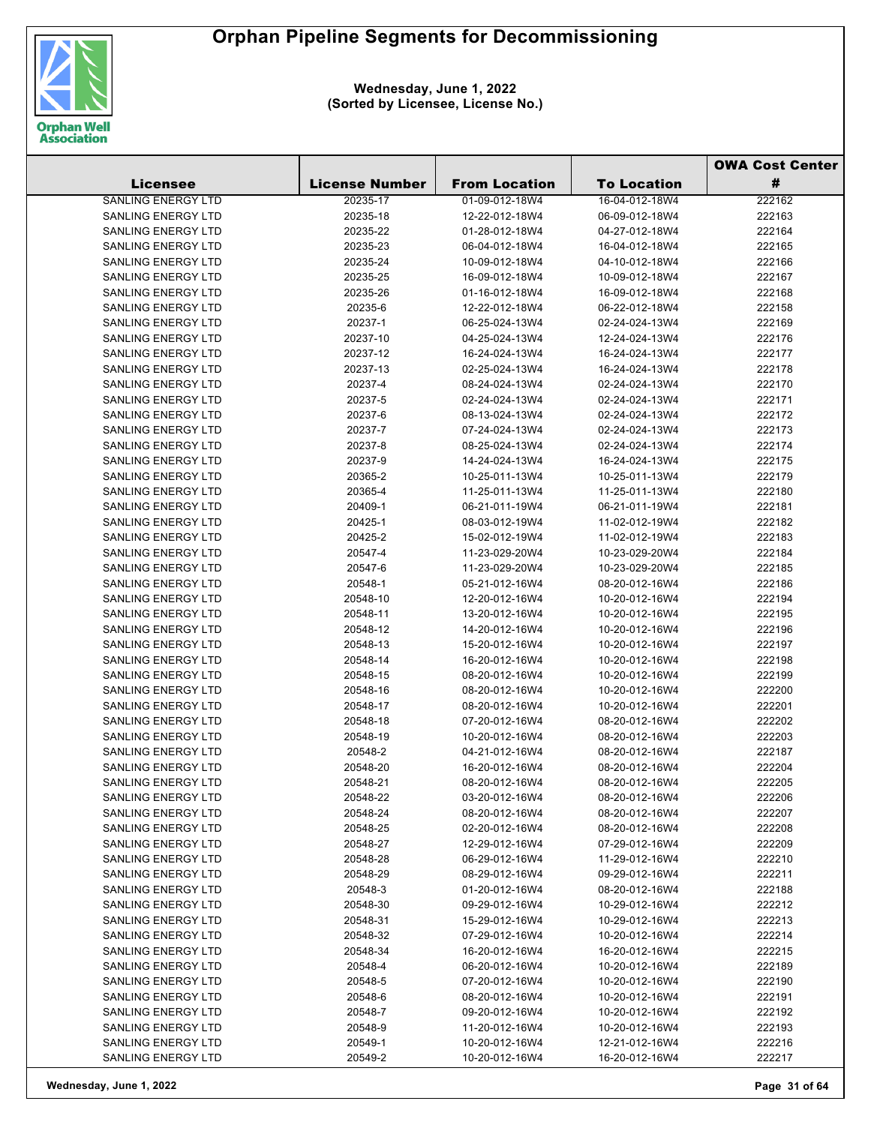

|                           |                       |                      |                    | <b>OWA Cost Center</b> |  |
|---------------------------|-----------------------|----------------------|--------------------|------------------------|--|
| <b>Licensee</b>           | <b>License Number</b> | <b>From Location</b> | <b>To Location</b> | #                      |  |
| <b>SANLING ENERGY LTD</b> | 20235-17              | 01-09-012-18W4       | 16-04-012-18W4     | 222162                 |  |
| SANLING ENERGY LTD        | 20235-18              | 12-22-012-18W4       | 06-09-012-18W4     | 222163                 |  |
| <b>SANLING ENERGY LTD</b> | 20235-22              | 01-28-012-18W4       | 04-27-012-18W4     | 222164                 |  |
| <b>SANLING ENERGY LTD</b> | 20235-23              | 06-04-012-18W4       | 16-04-012-18W4     | 222165                 |  |
| <b>SANLING ENERGY LTD</b> | 20235-24              | 10-09-012-18W4       | 04-10-012-18W4     | 222166                 |  |
| <b>SANLING ENERGY LTD</b> | 20235-25              | 16-09-012-18W4       | 10-09-012-18W4     | 222167                 |  |
| <b>SANLING ENERGY LTD</b> | 20235-26              | 01-16-012-18W4       | 16-09-012-18W4     | 222168                 |  |
| <b>SANLING ENERGY LTD</b> | 20235-6               | 12-22-012-18W4       | 06-22-012-18W4     | 222158                 |  |
| <b>SANLING ENERGY LTD</b> | 20237-1               | 06-25-024-13W4       | 02-24-024-13W4     | 222169                 |  |
| <b>SANLING ENERGY LTD</b> | 20237-10              | 04-25-024-13W4       | 12-24-024-13W4     | 222176                 |  |
| <b>SANLING ENERGY LTD</b> | 20237-12              | 16-24-024-13W4       | 16-24-024-13W4     | 222177                 |  |
| <b>SANLING ENERGY LTD</b> | 20237-13              | 02-25-024-13W4       | 16-24-024-13W4     | 222178                 |  |
| <b>SANLING ENERGY LTD</b> | 20237-4               | 08-24-024-13W4       | 02-24-024-13W4     | 222170                 |  |
| <b>SANLING ENERGY LTD</b> | 20237-5               | 02-24-024-13W4       | 02-24-024-13W4     | 222171                 |  |
| <b>SANLING ENERGY LTD</b> | 20237-6               | 08-13-024-13W4       | 02-24-024-13W4     | 222172                 |  |
| <b>SANLING ENERGY LTD</b> | 20237-7               | 07-24-024-13W4       | 02-24-024-13W4     | 222173                 |  |
| <b>SANLING ENERGY LTD</b> | 20237-8               | 08-25-024-13W4       | 02-24-024-13W4     | 222174                 |  |
| <b>SANLING ENERGY LTD</b> | 20237-9               | 14-24-024-13W4       | 16-24-024-13W4     | 222175                 |  |
| <b>SANLING ENERGY LTD</b> | 20365-2               | 10-25-011-13W4       | 10-25-011-13W4     | 222179                 |  |
| <b>SANLING ENERGY LTD</b> | 20365-4               | 11-25-011-13W4       | 11-25-011-13W4     | 222180                 |  |
| <b>SANLING ENERGY LTD</b> | 20409-1               | 06-21-011-19W4       | 06-21-011-19W4     | 222181                 |  |
| <b>SANLING ENERGY LTD</b> | 20425-1               | 08-03-012-19W4       | 11-02-012-19W4     | 222182                 |  |
| <b>SANLING ENERGY LTD</b> | 20425-2               | 15-02-012-19W4       | 11-02-012-19W4     | 222183                 |  |
| <b>SANLING ENERGY LTD</b> | 20547-4               | 11-23-029-20W4       | 10-23-029-20W4     | 222184                 |  |
| <b>SANLING ENERGY LTD</b> | 20547-6               | 11-23-029-20W4       | 10-23-029-20W4     | 222185                 |  |
| <b>SANLING ENERGY LTD</b> | 20548-1               | 05-21-012-16W4       | 08-20-012-16W4     | 222186                 |  |
| <b>SANLING ENERGY LTD</b> | 20548-10              | 12-20-012-16W4       | 10-20-012-16W4     | 222194                 |  |
| <b>SANLING ENERGY LTD</b> | 20548-11              | 13-20-012-16W4       | 10-20-012-16W4     | 222195                 |  |
| <b>SANLING ENERGY LTD</b> | 20548-12              | 14-20-012-16W4       | 10-20-012-16W4     | 222196                 |  |
| <b>SANLING ENERGY LTD</b> | 20548-13              | 15-20-012-16W4       | 10-20-012-16W4     | 222197                 |  |
| <b>SANLING ENERGY LTD</b> | 20548-14              | 16-20-012-16W4       | 10-20-012-16W4     | 222198                 |  |
| <b>SANLING ENERGY LTD</b> | 20548-15              | 08-20-012-16W4       | 10-20-012-16W4     | 222199                 |  |
| <b>SANLING ENERGY LTD</b> | 20548-16              | 08-20-012-16W4       | 10-20-012-16W4     | 222200                 |  |
| SANLING ENERGY LTD        | 20548-17              | 08-20-012-16W4       | 10-20-012-16W4     | 222201                 |  |
| <b>SANLING ENERGY LTD</b> | 20548-18              | 07-20-012-16W4       | 08-20-012-16W4     | 222202                 |  |
| <b>SANLING ENERGY LTD</b> | 20548-19              | 10-20-012-16W4       | 08-20-012-16W4     | 222203                 |  |
| <b>SANLING ENERGY LTD</b> | 20548-2               | 04-21-012-16W4       | 08-20-012-16W4     | 222187                 |  |
| SANLING ENERGY LTD        | 20548-20              | 16-20-012-16W4       | 08-20-012-16W4     | 222204                 |  |
| <b>SANLING ENERGY LTD</b> | 20548-21              | 08-20-012-16W4       | 08-20-012-16W4     | 222205                 |  |
| SANLING ENERGY LTD        | 20548-22              | 03-20-012-16W4       | 08-20-012-16W4     | 222206                 |  |
| SANLING ENERGY LTD        | 20548-24              | 08-20-012-16W4       | 08-20-012-16W4     | 222207                 |  |
| SANLING ENERGY LTD        | 20548-25              | 02-20-012-16W4       | 08-20-012-16W4     | 222208                 |  |
| <b>SANLING ENERGY LTD</b> | 20548-27              | 12-29-012-16W4       | 07-29-012-16W4     | 222209                 |  |
| SANLING ENERGY LTD        | 20548-28              | 06-29-012-16W4       | 11-29-012-16W4     | 222210                 |  |
| <b>SANLING ENERGY LTD</b> | 20548-29              | 08-29-012-16W4       | 09-29-012-16W4     | 222211                 |  |
| <b>SANLING ENERGY LTD</b> | 20548-3               | 01-20-012-16W4       | 08-20-012-16W4     | 222188                 |  |
| SANLING ENERGY LTD        | 20548-30              | 09-29-012-16W4       | 10-29-012-16W4     | 222212                 |  |
| SANLING ENERGY LTD        | 20548-31              | 15-29-012-16W4       | 10-29-012-16W4     | 222213                 |  |
| SANLING ENERGY LTD        | 20548-32              | 07-29-012-16W4       | 10-20-012-16W4     | 222214                 |  |
| SANLING ENERGY LTD        | 20548-34              | 16-20-012-16W4       | 16-20-012-16W4     | 222215                 |  |
| SANLING ENERGY LTD        | 20548-4               | 06-20-012-16W4       | 10-20-012-16W4     | 222189                 |  |
| SANLING ENERGY LTD        | 20548-5               | 07-20-012-16W4       | 10-20-012-16W4     | 222190                 |  |
| SANLING ENERGY LTD        | 20548-6               | 08-20-012-16W4       | 10-20-012-16W4     | 222191                 |  |
| SANLING ENERGY LTD        | 20548-7               | 09-20-012-16W4       | 10-20-012-16W4     | 222192                 |  |
| SANLING ENERGY LTD        | 20548-9               | 11-20-012-16W4       | 10-20-012-16W4     | 222193                 |  |
| SANLING ENERGY LTD        | 20549-1               | 10-20-012-16W4       | 12-21-012-16W4     | 222216                 |  |
| SANLING ENERGY LTD        | 20549-2               | 10-20-012-16W4       | 16-20-012-16W4     | 222217                 |  |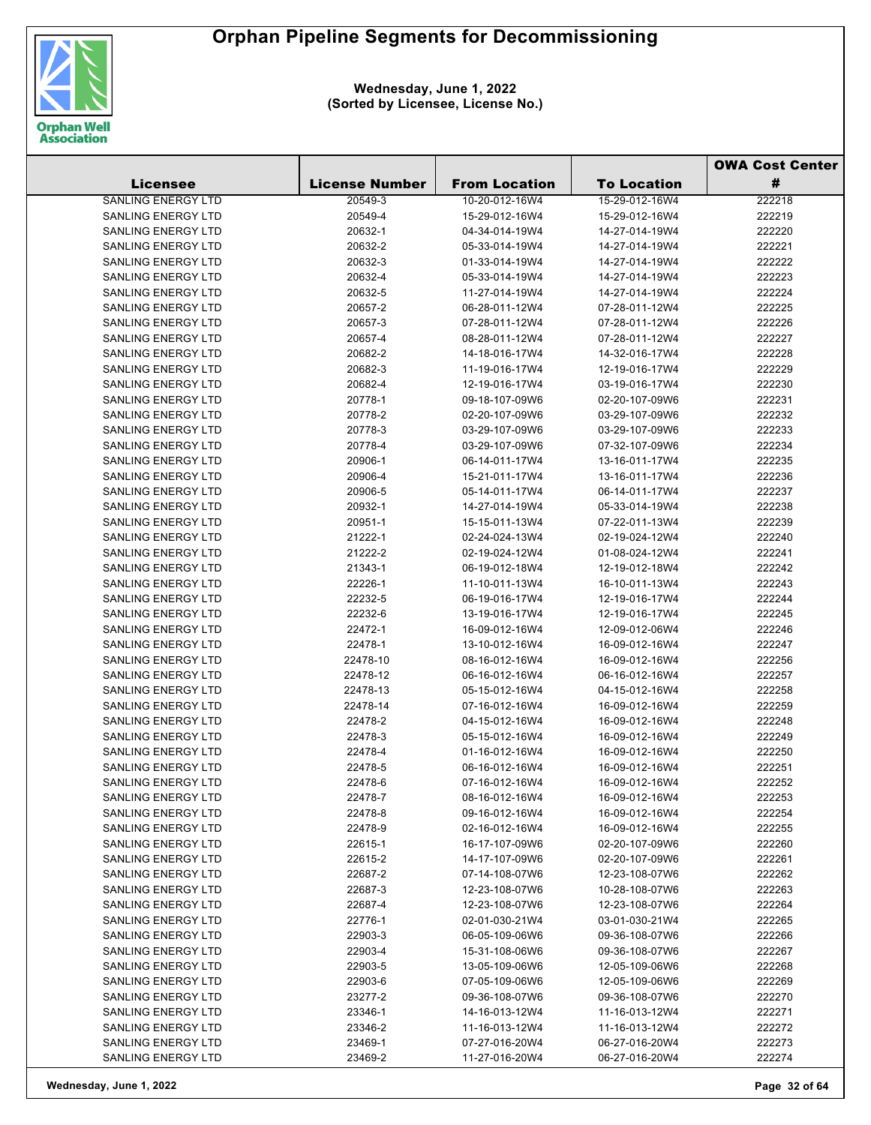

**Wednesday, June 1, 2022 (Sorted by Licensee, License No.)**

|                           |                       |                      |                    | <b>OWA Cost Center</b> |  |
|---------------------------|-----------------------|----------------------|--------------------|------------------------|--|
| Licensee                  | <b>License Number</b> | <b>From Location</b> | <b>To Location</b> | #                      |  |
| <b>SANLING ENERGY LTD</b> | 20549-3               | 10-20-012-16W4       | 15-29-012-16W4     | 222218                 |  |
| <b>SANLING ENERGY LTD</b> | 20549-4               | 15-29-012-16W4       | 15-29-012-16W4     | 222219                 |  |
| <b>SANLING ENERGY LTD</b> | 20632-1               | 04-34-014-19W4       | 14-27-014-19W4     | 222220                 |  |
| <b>SANLING ENERGY LTD</b> | 20632-2               | 05-33-014-19W4       | 14-27-014-19W4     | 222221                 |  |
| <b>SANLING ENERGY LTD</b> | 20632-3               | 01-33-014-19W4       | 14-27-014-19W4     | 222222                 |  |
| <b>SANLING ENERGY LTD</b> | 20632-4               | 05-33-014-19W4       | 14-27-014-19W4     | 222223                 |  |
| SANLING ENERGY LTD        | 20632-5               | 11-27-014-19W4       | 14-27-014-19W4     | 222224                 |  |
| <b>SANLING ENERGY LTD</b> | 20657-2               | 06-28-011-12W4       | 07-28-011-12W4     | 222225                 |  |
| <b>SANLING ENERGY LTD</b> | 20657-3               | 07-28-011-12W4       | 07-28-011-12W4     | 222226                 |  |
| <b>SANLING ENERGY LTD</b> | 20657-4               | 08-28-011-12W4       | 07-28-011-12W4     | 222227                 |  |
| SANLING ENERGY LTD        | 20682-2               | 14-18-016-17W4       | 14-32-016-17W4     | 222228                 |  |
| SANLING ENERGY LTD        | 20682-3               | 11-19-016-17W4       | 12-19-016-17W4     | 222229                 |  |
| <b>SANLING ENERGY LTD</b> | 20682-4               | 12-19-016-17W4       | 03-19-016-17W4     | 222230                 |  |
| <b>SANLING ENERGY LTD</b> | 20778-1               | 09-18-107-09W6       | 02-20-107-09W6     | 222231                 |  |
| SANLING ENERGY LTD        | 20778-2               | 02-20-107-09W6       | 03-29-107-09W6     | 222232                 |  |
| <b>SANLING ENERGY LTD</b> | 20778-3               | 03-29-107-09W6       | 03-29-107-09W6     | 222233                 |  |
| <b>SANLING ENERGY LTD</b> | 20778-4               | 03-29-107-09W6       | 07-32-107-09W6     | 222234                 |  |
| <b>SANLING ENERGY LTD</b> | 20906-1               | 06-14-011-17W4       | 13-16-011-17W4     | 222235                 |  |
| SANLING ENERGY LTD        | 20906-4               | 15-21-011-17W4       | 13-16-011-17W4     | 222236                 |  |
| <b>SANLING ENERGY LTD</b> | 20906-5               | 05-14-011-17W4       | 06-14-011-17W4     | 222237                 |  |
| <b>SANLING ENERGY LTD</b> | 20932-1               | 14-27-014-19W4       | 05-33-014-19W4     | 222238                 |  |
| SANLING ENERGY LTD        | 20951-1               | 15-15-011-13W4       | 07-22-011-13W4     | 222239                 |  |
| <b>SANLING ENERGY LTD</b> | 21222-1               | 02-24-024-13W4       | 02-19-024-12W4     | 222240                 |  |
| <b>SANLING ENERGY LTD</b> | 21222-2               | 02-19-024-12W4       | 01-08-024-12W4     | 222241                 |  |
| SANLING ENERGY LTD        | 21343-1               | 06-19-012-18W4       | 12-19-012-18W4     | 222242                 |  |
| SANLING ENERGY LTD        | 22226-1               | 11-10-011-13W4       | 16-10-011-13W4     | 222243                 |  |
| SANLING ENERGY LTD        | 22232-5               | 06-19-016-17W4       | 12-19-016-17W4     | 222244                 |  |
| SANLING ENERGY LTD        | 22232-6               | 13-19-016-17W4       | 12-19-016-17W4     | 222245                 |  |
| <b>SANLING ENERGY LTD</b> | 22472-1               | 16-09-012-16W4       | 12-09-012-06W4     | 222246                 |  |
| SANLING ENERGY LTD        | 22478-1               | 13-10-012-16W4       | 16-09-012-16W4     | 222247                 |  |
| SANLING ENERGY LTD        | 22478-10              | 08-16-012-16W4       | 16-09-012-16W4     | 222256                 |  |
| SANLING ENERGY LTD        | 22478-12              | 06-16-012-16W4       | 06-16-012-16W4     | 222257                 |  |
| <b>SANLING ENERGY LTD</b> | 22478-13              | 05-15-012-16W4       | 04-15-012-16W4     | 222258                 |  |
| SANLING ENERGY LTD        | 22478-14              | 07-16-012-16W4       | 16-09-012-16W4     | 222259                 |  |
| SANLING ENERGY LTD        | 22478-2               | 04-15-012-16W4       | 16-09-012-16W4     | 222248                 |  |
| <b>SANLING ENERGY LTD</b> | 22478-3               | 05-15-012-16W4       | 16-09-012-16W4     | 222249                 |  |
| <b>SANLING ENERGY LTD</b> | 22478-4               | 01-16-012-16W4       | 16-09-012-16W4     | 222250                 |  |
| SANLING ENERGY LTD        | 22478-5               | 06-16-012-16W4       | 16-09-012-16W4     | 222251                 |  |
| SANLING ENERGY LTD        | 22478-6               | 07-16-012-16W4       | 16-09-012-16W4     | 222252                 |  |
| SANLING ENERGY LTD        | 22478-7               | 08-16-012-16W4       | 16-09-012-16W4     | 222253                 |  |
| <b>SANLING ENERGY LTD</b> | 22478-8               | 09-16-012-16W4       | 16-09-012-16W4     | 222254                 |  |
| <b>SANLING ENERGY LTD</b> | 22478-9               | 02-16-012-16W4       | 16-09-012-16W4     | 222255                 |  |
| <b>SANLING ENERGY LTD</b> | 22615-1               | 16-17-107-09W6       | 02-20-107-09W6     | 222260                 |  |
| <b>SANLING ENERGY LTD</b> | 22615-2               | 14-17-107-09W6       | 02-20-107-09W6     | 222261                 |  |
| <b>SANLING ENERGY LTD</b> | 22687-2               | 07-14-108-07W6       | 12-23-108-07W6     | 222262                 |  |
| <b>SANLING ENERGY LTD</b> | 22687-3               | 12-23-108-07W6       | 10-28-108-07W6     | 222263                 |  |
| <b>SANLING ENERGY LTD</b> | 22687-4               | 12-23-108-07W6       | 12-23-108-07W6     | 222264                 |  |
| <b>SANLING ENERGY LTD</b> | 22776-1               | 02-01-030-21W4       | 03-01-030-21W4     | 222265                 |  |
| <b>SANLING ENERGY LTD</b> | 22903-3               | 06-05-109-06W6       | 09-36-108-07W6     | 222266                 |  |
| SANLING ENERGY LTD        | 22903-4               | 15-31-108-06W6       | 09-36-108-07W6     | 222267                 |  |
| SANLING ENERGY LTD        | 22903-5               | 13-05-109-06W6       | 12-05-109-06W6     | 222268                 |  |
| <b>SANLING ENERGY LTD</b> | 22903-6               | 07-05-109-06W6       | 12-05-109-06W6     | 222269                 |  |
| <b>SANLING ENERGY LTD</b> | 23277-2               | 09-36-108-07W6       | 09-36-108-07W6     | 222270                 |  |
| <b>SANLING ENERGY LTD</b> | 23346-1               | 14-16-013-12W4       | 11-16-013-12W4     | 222271                 |  |
| <b>SANLING ENERGY LTD</b> | 23346-2               | 11-16-013-12W4       | 11-16-013-12W4     | 222272                 |  |
| <b>SANLING ENERGY LTD</b> | 23469-1               | 07-27-016-20W4       | 06-27-016-20W4     | 222273                 |  |
| <b>SANLING ENERGY LTD</b> | 23469-2               | 11-27-016-20W4       | 06-27-016-20W4     | 222274                 |  |

**Wednesday, June 1, 2022 Page 32 of 64**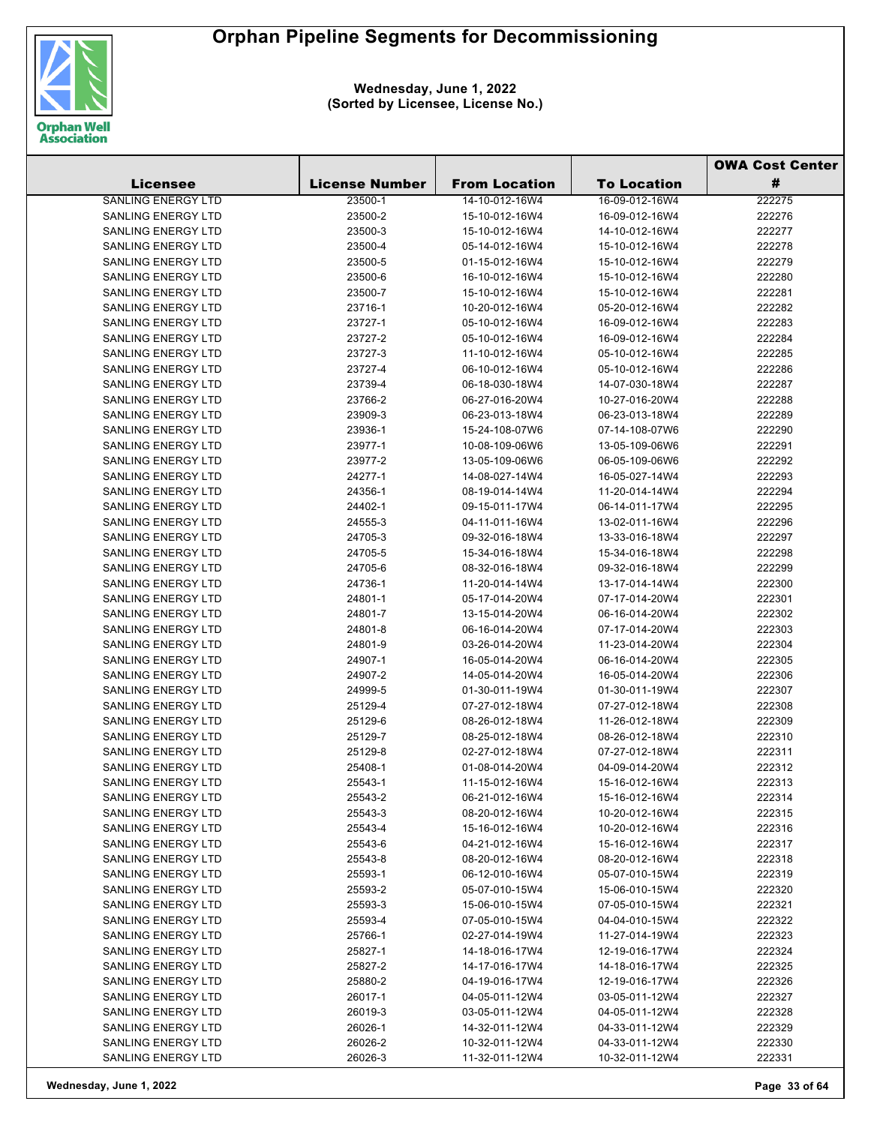

|                           |                       |                      |                    | <b>OWA Cost Center</b> |
|---------------------------|-----------------------|----------------------|--------------------|------------------------|
| <b>Licensee</b>           | <b>License Number</b> | <b>From Location</b> | <b>To Location</b> | #                      |
| <b>SANLING ENERGY LTD</b> | 23500-1               | 14-10-012-16W4       | 16-09-012-16W4     | 222275                 |
| SANLING ENERGY LTD        | 23500-2               | 15-10-012-16W4       | 16-09-012-16W4     | 222276                 |
| SANLING ENERGY LTD        | 23500-3               | 15-10-012-16W4       | 14-10-012-16W4     | 222277                 |
| <b>SANLING ENERGY LTD</b> | 23500-4               | 05-14-012-16W4       | 15-10-012-16W4     | 222278                 |
| SANLING ENERGY LTD        | 23500-5               | 01-15-012-16W4       | 15-10-012-16W4     | 222279                 |
| <b>SANLING ENERGY LTD</b> | 23500-6               | 16-10-012-16W4       | 15-10-012-16W4     | 222280                 |
| <b>SANLING ENERGY LTD</b> | 23500-7               | 15-10-012-16W4       | 15-10-012-16W4     | 222281                 |
| <b>SANLING ENERGY LTD</b> | 23716-1               | 10-20-012-16W4       | 05-20-012-16W4     | 222282                 |
| <b>SANLING ENERGY LTD</b> | 23727-1               | 05-10-012-16W4       | 16-09-012-16W4     | 222283                 |
| <b>SANLING ENERGY LTD</b> | 23727-2               | 05-10-012-16W4       | 16-09-012-16W4     | 222284                 |
| SANLING ENERGY LTD        | 23727-3               | 11-10-012-16W4       | 05-10-012-16W4     | 222285                 |
| <b>SANLING ENERGY LTD</b> | 23727-4               | 06-10-012-16W4       | 05-10-012-16W4     | 222286                 |
| SANLING ENERGY LTD        | 23739-4               | 06-18-030-18W4       | 14-07-030-18W4     | 222287                 |
| SANLING ENERGY LTD        | 23766-2               | 06-27-016-20W4       | 10-27-016-20W4     | 222288                 |
| SANLING ENERGY LTD        |                       |                      | 06-23-013-18W4     |                        |
| <b>SANLING ENERGY LTD</b> | 23909-3               | 06-23-013-18W4       |                    | 222289                 |
|                           | 23936-1               | 15-24-108-07W6       | 07-14-108-07W6     | 222290                 |
| SANLING ENERGY LTD        | 23977-1               | 10-08-109-06W6       | 13-05-109-06W6     | 222291                 |
| SANLING ENERGY LTD        | 23977-2               | 13-05-109-06W6       | 06-05-109-06W6     | 222292                 |
| SANLING ENERGY LTD        | 24277-1               | 14-08-027-14W4       | 16-05-027-14W4     | 222293                 |
| <b>SANLING ENERGY LTD</b> | 24356-1               | 08-19-014-14W4       | 11-20-014-14W4     | 222294                 |
| <b>SANLING ENERGY LTD</b> | 24402-1               | 09-15-011-17W4       | 06-14-011-17W4     | 222295                 |
| <b>SANLING ENERGY LTD</b> | 24555-3               | 04-11-011-16W4       | 13-02-011-16W4     | 222296                 |
| <b>SANLING ENERGY LTD</b> | 24705-3               | 09-32-016-18W4       | 13-33-016-18W4     | 222297                 |
| <b>SANLING ENERGY LTD</b> | 24705-5               | 15-34-016-18W4       | 15-34-016-18W4     | 222298                 |
| SANLING ENERGY LTD        | 24705-6               | 08-32-016-18W4       | 09-32-016-18W4     | 222299                 |
| SANLING ENERGY LTD        | 24736-1               | 11-20-014-14W4       | 13-17-014-14W4     | 222300                 |
| SANLING ENERGY LTD        | 24801-1               | 05-17-014-20W4       | 07-17-014-20W4     | 222301                 |
| SANLING ENERGY LTD        | 24801-7               | 13-15-014-20W4       | 06-16-014-20W4     | 222302                 |
| SANLING ENERGY LTD        | 24801-8               | 06-16-014-20W4       | 07-17-014-20W4     | 222303                 |
| <b>SANLING ENERGY LTD</b> | 24801-9               | 03-26-014-20W4       | 11-23-014-20W4     | 222304                 |
| <b>SANLING ENERGY LTD</b> | 24907-1               | 16-05-014-20W4       | 06-16-014-20W4     | 222305                 |
| <b>SANLING ENERGY LTD</b> | 24907-2               | 14-05-014-20W4       | 16-05-014-20W4     | 222306                 |
| SANLING ENERGY LTD        | 24999-5               | 01-30-011-19W4       | 01-30-011-19W4     | 222307                 |
| SANLING ENERGY LTD        | 25129-4               | 07-27-012-18W4       | 07-27-012-18W4     | 222308                 |
| SANLING ENERGY LTD        | 25129-6               | 08-26-012-18W4       | 11-26-012-18W4     | 222309                 |
| <b>SANLING ENERGY LTD</b> | 25129-7               | 08-25-012-18W4       | 08-26-012-18W4     | 222310                 |
| <b>SANLING ENERGY LTD</b> | 25129-8               | 02-27-012-18W4       | 07-27-012-18W4     | 222311                 |
| SANLING ENERGY LTD        | 25408-1               | 01-08-014-20W4       | 04-09-014-20W4     | 222312                 |
| SANLING ENERGY LTD        | 25543-1               | 11-15-012-16W4       | 15-16-012-16W4     | 222313                 |
| <b>SANLING ENERGY LTD</b> | 25543-2               | 06-21-012-16W4       | 15-16-012-16W4     | 222314                 |
| <b>SANLING ENERGY LTD</b> | 25543-3               | 08-20-012-16W4       | 10-20-012-16W4     | 222315                 |
| <b>SANLING ENERGY LTD</b> | 25543-4               | 15-16-012-16W4       | 10-20-012-16W4     | 222316                 |
| <b>SANLING ENERGY LTD</b> | 25543-6               | 04-21-012-16W4       | 15-16-012-16W4     | 222317                 |
| <b>SANLING ENERGY LTD</b> | 25543-8               | 08-20-012-16W4       | 08-20-012-16W4     | 222318                 |
| <b>SANLING ENERGY LTD</b> | 25593-1               | 06-12-010-16W4       | 05-07-010-15W4     | 222319                 |
| <b>SANLING ENERGY LTD</b> | 25593-2               | 05-07-010-15W4       | 15-06-010-15W4     | 222320                 |
| <b>SANLING ENERGY LTD</b> | 25593-3               | 15-06-010-15W4       | 07-05-010-15W4     | 222321                 |
| <b>SANLING ENERGY LTD</b> | 25593-4               | 07-05-010-15W4       | 04-04-010-15W4     | 222322                 |
| <b>SANLING ENERGY LTD</b> | 25766-1               | 02-27-014-19W4       | 11-27-014-19W4     | 222323                 |
| SANLING ENERGY LTD        | 25827-1               | 14-18-016-17W4       | 12-19-016-17W4     | 222324                 |
| SANLING ENERGY LTD        | 25827-2               | 14-17-016-17W4       | 14-18-016-17W4     | 222325                 |
| <b>SANLING ENERGY LTD</b> | 25880-2               | 04-19-016-17W4       | 12-19-016-17W4     | 222326                 |
| SANLING ENERGY LTD        | 26017-1               | 04-05-011-12W4       | 03-05-011-12W4     | 222327                 |
| SANLING ENERGY LTD        | 26019-3               | 03-05-011-12W4       | 04-05-011-12W4     | 222328                 |
| SANLING ENERGY LTD        | 26026-1               | 14-32-011-12W4       | 04-33-011-12W4     | 222329                 |
| SANLING ENERGY LTD        | 26026-2               | 10-32-011-12W4       | 04-33-011-12W4     | 222330                 |
| SANLING ENERGY LTD        | 26026-3               | 11-32-011-12W4       | 10-32-011-12W4     | 222331                 |
|                           |                       |                      |                    |                        |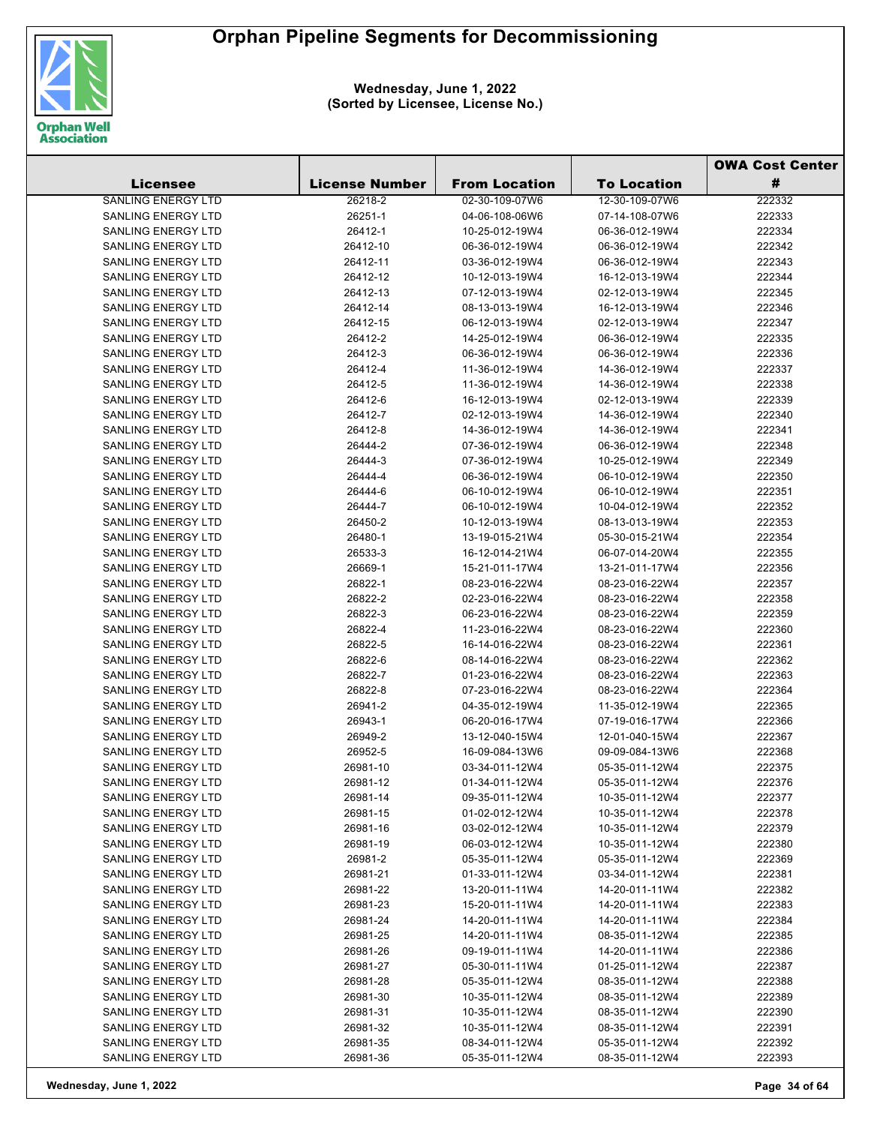

|                                                        |                       |                                  |                                  | <b>OWA Cost Center</b> |  |
|--------------------------------------------------------|-----------------------|----------------------------------|----------------------------------|------------------------|--|
| <b>Licensee</b>                                        | <b>License Number</b> | <b>From Location</b>             | <b>To Location</b>               | #                      |  |
| <b>SANLING ENERGY LTD</b>                              | 26218-2               | 02-30-109-07W6                   | 12-30-109-07W6                   | 222332                 |  |
| SANLING ENERGY LTD                                     | 26251-1               | 04-06-108-06W6                   | 07-14-108-07W6                   | 222333                 |  |
| <b>SANLING ENERGY LTD</b>                              | 26412-1               | 10-25-012-19W4                   | 06-36-012-19W4                   | 222334                 |  |
| SANLING ENERGY LTD                                     | 26412-10              | 06-36-012-19W4                   | 06-36-012-19W4                   | 222342                 |  |
| <b>SANLING ENERGY LTD</b>                              | 26412-11              | 03-36-012-19W4                   | 06-36-012-19W4                   | 222343                 |  |
| SANLING ENERGY LTD                                     | 26412-12              | 10-12-013-19W4                   | 16-12-013-19W4                   | 222344                 |  |
| <b>SANLING ENERGY LTD</b>                              | 26412-13              | 07-12-013-19W4                   | 02-12-013-19W4                   | 222345                 |  |
| <b>SANLING ENERGY LTD</b>                              | 26412-14              | 08-13-013-19W4                   | 16-12-013-19W4                   | 222346                 |  |
| <b>SANLING ENERGY LTD</b>                              | 26412-15              | 06-12-013-19W4                   | 02-12-013-19W4                   | 222347                 |  |
| SANLING ENERGY LTD                                     | 26412-2               | 14-25-012-19W4                   | 06-36-012-19W4                   | 222335                 |  |
| <b>SANLING ENERGY LTD</b>                              | 26412-3               | 06-36-012-19W4                   | 06-36-012-19W4                   | 222336                 |  |
| <b>SANLING ENERGY LTD</b>                              | 26412-4               | 11-36-012-19W4                   | 14-36-012-19W4                   | 222337                 |  |
| <b>SANLING ENERGY LTD</b>                              | 26412-5               | 11-36-012-19W4                   | 14-36-012-19W4                   | 222338                 |  |
| <b>SANLING ENERGY LTD</b>                              | 26412-6               | 16-12-013-19W4                   | 02-12-013-19W4                   | 222339                 |  |
| <b>SANLING ENERGY LTD</b>                              | 26412-7               | 02-12-013-19W4                   | 14-36-012-19W4                   | 222340                 |  |
| <b>SANLING ENERGY LTD</b>                              | 26412-8               | 14-36-012-19W4                   | 14-36-012-19W4                   | 222341                 |  |
| <b>SANLING ENERGY LTD</b>                              | 26444-2               | 07-36-012-19W4                   | 06-36-012-19W4                   | 222348                 |  |
| <b>SANLING ENERGY LTD</b>                              | 26444-3               | 07-36-012-19W4                   | 10-25-012-19W4                   | 222349                 |  |
| <b>SANLING ENERGY LTD</b>                              | 26444-4               | 06-36-012-19W4                   | 06-10-012-19W4                   | 222350                 |  |
| <b>SANLING ENERGY LTD</b>                              | 26444-6               | 06-10-012-19W4                   | 06-10-012-19W4                   | 222351                 |  |
| <b>SANLING ENERGY LTD</b>                              | 26444-7               | 06-10-012-19W4                   | 10-04-012-19W4                   | 222352                 |  |
| <b>SANLING ENERGY LTD</b>                              | 26450-2               | 10-12-013-19W4                   | 08-13-013-19W4                   | 222353                 |  |
| <b>SANLING ENERGY LTD</b>                              | 26480-1               | 13-19-015-21W4                   | 05-30-015-21W4                   | 222354                 |  |
| <b>SANLING ENERGY LTD</b>                              | 26533-3               | 16-12-014-21W4                   | 06-07-014-20W4                   | 222355                 |  |
| <b>SANLING ENERGY LTD</b>                              | 26669-1               | 15-21-011-17W4                   | 13-21-011-17W4                   | 222356                 |  |
| SANLING ENERGY LTD                                     | 26822-1               | 08-23-016-22W4                   | 08-23-016-22W4                   | 222357                 |  |
| <b>SANLING ENERGY LTD</b>                              | 26822-2               | 02-23-016-22W4                   | 08-23-016-22W4                   | 222358                 |  |
| <b>SANLING ENERGY LTD</b>                              | 26822-3               | 06-23-016-22W4                   | 08-23-016-22W4                   | 222359                 |  |
| <b>SANLING ENERGY LTD</b>                              | 26822-4               | 11-23-016-22W4                   | 08-23-016-22W4                   | 222360                 |  |
| <b>SANLING ENERGY LTD</b>                              | 26822-5               | 16-14-016-22W4                   | 08-23-016-22W4                   | 222361                 |  |
| <b>SANLING ENERGY LTD</b>                              | 26822-6               | 08-14-016-22W4                   | 08-23-016-22W4                   | 222362                 |  |
| <b>SANLING ENERGY LTD</b>                              | 26822-7               | 01-23-016-22W4                   | 08-23-016-22W4                   | 222363                 |  |
| <b>SANLING ENERGY LTD</b>                              | 26822-8               | 07-23-016-22W4                   | 08-23-016-22W4                   | 222364                 |  |
| <b>SANLING ENERGY LTD</b>                              | 26941-2               | 04-35-012-19W4                   | 11-35-012-19W4                   | 222365                 |  |
| <b>SANLING ENERGY LTD</b>                              | 26943-1               | 06-20-016-17W4                   | 07-19-016-17W4                   | 222366                 |  |
| <b>SANLING ENERGY LTD</b>                              | 26949-2               | 13-12-040-15W4                   | 12-01-040-15W4                   | 222367                 |  |
| <b>SANLING ENERGY LTD</b>                              | 26952-5               | 16-09-084-13W6                   | 09-09-084-13W6                   | 222368                 |  |
| SANLING ENERGY LTD                                     | 26981-10              | 03-34-011-12W4                   | 05-35-011-12W4                   | 222375                 |  |
| SANLING ENERGY LTD                                     | 26981-12              | 01-34-011-12W4                   | 05-35-011-12W4                   | 222376                 |  |
| <b>SANLING ENERGY LTD</b>                              | 26981-14              | 09-35-011-12W4                   | 10-35-011-12W4                   | 222377                 |  |
| <b>SANLING ENERGY LTD</b>                              | 26981-15              | 01-02-012-12W4                   | 10-35-011-12W4                   | 222378                 |  |
| <b>SANLING ENERGY LTD</b>                              | 26981-16              | 03-02-012-12W4                   | 10-35-011-12W4                   | 222379                 |  |
| SANLING ENERGY LTD                                     | 26981-19              | 06-03-012-12W4                   | 10-35-011-12W4                   | 222380                 |  |
| <b>SANLING ENERGY LTD</b>                              | 26981-2               | 05-35-011-12W4                   | 05-35-011-12W4                   | 222369                 |  |
| <b>SANLING ENERGY LTD</b>                              | 26981-21              | 01-33-011-12W4                   | 03-34-011-12W4                   | 222381                 |  |
| <b>SANLING ENERGY LTD</b>                              | 26981-22              | 13-20-011-11W4                   | 14-20-011-11W4                   | 222382                 |  |
| SANLING ENERGY LTD                                     | 26981-23              | 15-20-011-11W4<br>14-20-011-11W4 | 14-20-011-11W4                   | 222383                 |  |
| <b>SANLING ENERGY LTD</b><br><b>SANLING ENERGY LTD</b> | 26981-24              | 14-20-011-11W4                   | 14-20-011-11W4                   | 222384                 |  |
| SANLING ENERGY LTD                                     | 26981-25              |                                  | 08-35-011-12W4                   | 222385<br>222386       |  |
| SANLING ENERGY LTD                                     | 26981-26<br>26981-27  | 09-19-011-11W4<br>05-30-011-11W4 | 14-20-011-11W4<br>01-25-011-12W4 | 222387                 |  |
| <b>SANLING ENERGY LTD</b>                              | 26981-28              | 05-35-011-12W4                   | 08-35-011-12W4                   | 222388                 |  |
| SANLING ENERGY LTD                                     | 26981-30              | 10-35-011-12W4                   | 08-35-011-12W4                   | 222389                 |  |
| SANLING ENERGY LTD                                     | 26981-31              | 10-35-011-12W4                   | 08-35-011-12W4                   | 222390                 |  |
| SANLING ENERGY LTD                                     | 26981-32              | 10-35-011-12W4                   | 08-35-011-12W4                   | 222391                 |  |
| SANLING ENERGY LTD                                     | 26981-35              | 08-34-011-12W4                   | 05-35-011-12W4                   | 222392                 |  |
| SANLING ENERGY LTD                                     | 26981-36              | 05-35-011-12W4                   | 08-35-011-12W4                   | 222393                 |  |
|                                                        |                       |                                  |                                  |                        |  |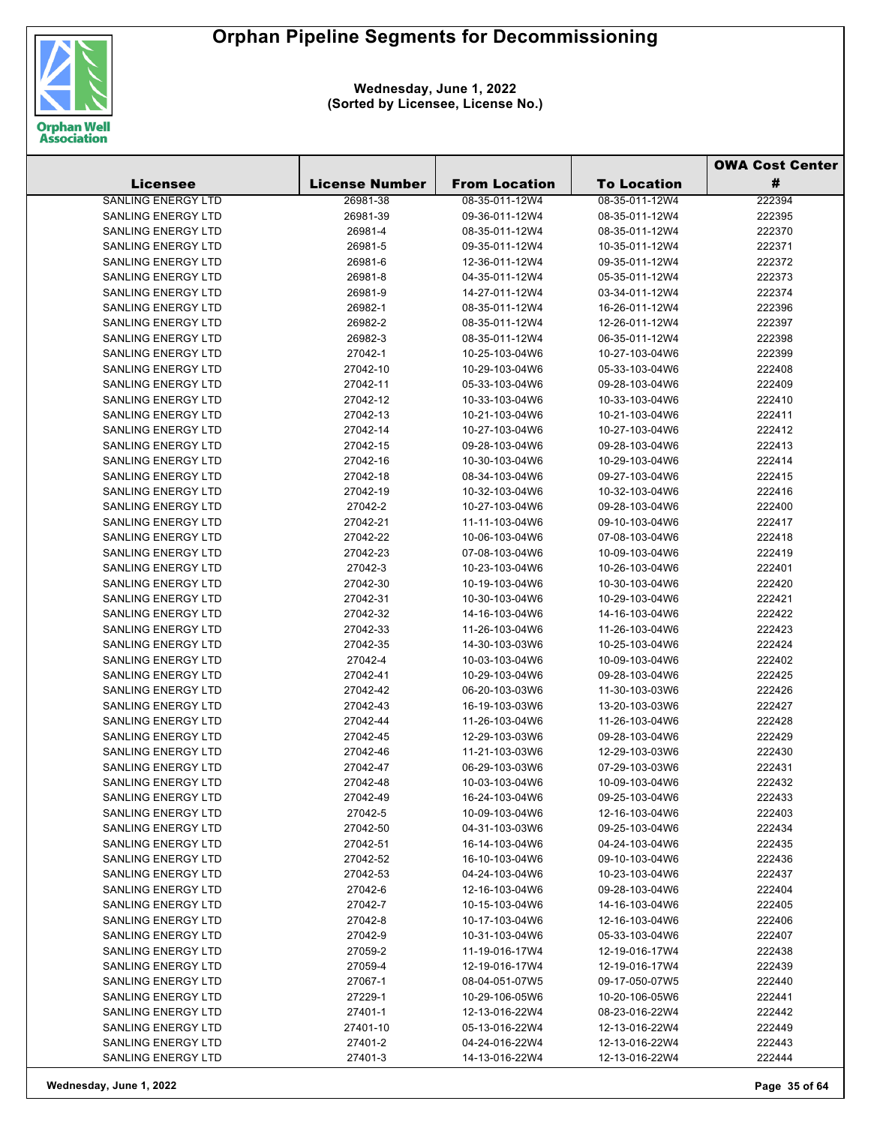

**Wednesday, June 1, 2022 (Sorted by Licensee, License No.)**

|                                                        |                       |                                  | <b>OWA Cost Center</b>           |                  |
|--------------------------------------------------------|-----------------------|----------------------------------|----------------------------------|------------------|
| Licensee                                               | <b>License Number</b> | <b>From Location</b>             | <b>To Location</b>               | #                |
| <b>SANLING ENERGY LTD</b>                              | 26981-38              | 08-35-011-12W4                   | 08-35-011-12W4                   | 222394           |
| <b>SANLING ENERGY LTD</b>                              | 26981-39              | 09-36-011-12W4                   | 08-35-011-12W4                   | 222395           |
| <b>SANLING ENERGY LTD</b>                              | 26981-4               | 08-35-011-12W4                   | 08-35-011-12W4                   | 222370           |
| <b>SANLING ENERGY LTD</b>                              | 26981-5               | 09-35-011-12W4                   | 10-35-011-12W4                   | 222371           |
| <b>SANLING ENERGY LTD</b>                              | 26981-6               | 12-36-011-12W4                   | 09-35-011-12W4                   | 222372           |
| <b>SANLING ENERGY LTD</b>                              | 26981-8               | 04-35-011-12W4                   | 05-35-011-12W4                   | 222373           |
| <b>SANLING ENERGY LTD</b>                              | 26981-9               | 14-27-011-12W4                   | 03-34-011-12W4                   | 222374           |
| <b>SANLING ENERGY LTD</b>                              | 26982-1               | 08-35-011-12W4                   | 16-26-011-12W4                   | 222396           |
| <b>SANLING ENERGY LTD</b>                              | 26982-2               | 08-35-011-12W4                   | 12-26-011-12W4                   | 222397           |
| <b>SANLING ENERGY LTD</b>                              | 26982-3               | 08-35-011-12W4                   | 06-35-011-12W4                   | 222398           |
| <b>SANLING ENERGY LTD</b>                              | 27042-1               | 10-25-103-04W6                   | 10-27-103-04W6                   | 222399           |
| <b>SANLING ENERGY LTD</b>                              | 27042-10              | 10-29-103-04W6                   | 05-33-103-04W6                   | 222408           |
| SANLING ENERGY LTD                                     | 27042-11              | 05-33-103-04W6                   | 09-28-103-04W6                   | 222409           |
| <b>SANLING ENERGY LTD</b>                              | 27042-12              | 10-33-103-04W6                   | 10-33-103-04W6                   | 222410           |
| <b>SANLING ENERGY LTD</b>                              | 27042-13              | 10-21-103-04W6                   | 10-21-103-04W6                   | 222411           |
| <b>SANLING ENERGY LTD</b>                              | 27042-14              | 10-27-103-04W6                   | 10-27-103-04W6                   | 222412           |
| <b>SANLING ENERGY LTD</b>                              | 27042-15              | 09-28-103-04W6                   | 09-28-103-04W6                   | 222413           |
| <b>SANLING ENERGY LTD</b>                              | 27042-16              | 10-30-103-04W6                   | 10-29-103-04W6                   | 222414           |
| <b>SANLING ENERGY LTD</b>                              | 27042-18              | 08-34-103-04W6                   | 09-27-103-04W6                   | 222415           |
| <b>SANLING ENERGY LTD</b>                              | 27042-19              | 10-32-103-04W6                   | 10-32-103-04W6                   | 222416           |
| <b>SANLING ENERGY LTD</b>                              | 27042-2               | 10-27-103-04W6                   | 09-28-103-04W6                   | 222400           |
| <b>SANLING ENERGY LTD</b>                              | 27042-21              | 11-11-103-04W6                   | 09-10-103-04W6                   | 222417           |
| <b>SANLING ENERGY LTD</b>                              | 27042-22              | 10-06-103-04W6                   | 07-08-103-04W6                   | 222418           |
| <b>SANLING ENERGY LTD</b>                              | 27042-23              | 07-08-103-04W6                   | 10-09-103-04W6                   | 222419           |
| SANLING ENERGY LTD                                     | 27042-3               | 10-23-103-04W6                   | 10-26-103-04W6                   | 222401           |
| <b>SANLING ENERGY LTD</b>                              | 27042-30              | 10-19-103-04W6                   | 10-30-103-04W6                   | 222420           |
| <b>SANLING ENERGY LTD</b>                              | 27042-31              | 10-30-103-04W6                   | 10-29-103-04W6                   | 222421           |
| <b>SANLING ENERGY LTD</b>                              | 27042-32              | 14-16-103-04W6                   | 14-16-103-04W6                   | 222422           |
| <b>SANLING ENERGY LTD</b>                              | 27042-33              | 11-26-103-04W6                   | 11-26-103-04W6                   | 222423           |
| <b>SANLING ENERGY LTD</b>                              | 27042-35              | 14-30-103-03W6                   | 10-25-103-04W6                   | 222424           |
| <b>SANLING ENERGY LTD</b>                              | 27042-4               | 10-03-103-04W6                   | 10-09-103-04W6                   | 222402           |
| <b>SANLING ENERGY LTD</b>                              | 27042-41              | 10-29-103-04W6                   | 09-28-103-04W6                   | 222425           |
| <b>SANLING ENERGY LTD</b>                              | 27042-42              | 06-20-103-03W6                   | 11-30-103-03W6                   | 222426           |
| <b>SANLING ENERGY LTD</b>                              | 27042-43              | 16-19-103-03W6                   | 13-20-103-03W6                   | 222427           |
| SANLING ENERGY LTD                                     | 27042-44              | 11-26-103-04W6                   | 11-26-103-04W6                   | 222428           |
| <b>SANLING ENERGY LTD</b>                              | 27042-45              | 12-29-103-03W6                   | 09-28-103-04W6                   | 222429           |
| <b>SANLING ENERGY LTD</b>                              | 27042-46              | 11-21-103-03W6                   | 12-29-103-03W6                   | 222430           |
| SANLING ENERGY LTD                                     | 27042-47              | 06-29-103-03W6                   | 07-29-103-03W6                   | 222431           |
| <b>SANLING ENERGY LTD</b>                              | 27042-48              | 10-03-103-04W6                   | 10-09-103-04W6                   | 222432           |
| SANLING ENERGY LTD                                     | 27042-49              | 16-24-103-04W6                   | 09-25-103-04W6                   | 222433           |
| <b>SANLING ENERGY LTD</b>                              | 27042-5               | 10-09-103-04W6                   | 12-16-103-04W6                   | 222403           |
| <b>SANLING ENERGY LTD</b>                              | 27042-50              | 04-31-103-03W6                   | 09-25-103-04W6                   | 222434           |
| <b>SANLING ENERGY LTD</b>                              | 27042-51              | 16-14-103-04W6                   | 04-24-103-04W6                   | 222435           |
| <b>SANLING ENERGY LTD</b>                              | 27042-52              | 16-10-103-04W6                   | 09-10-103-04W6                   | 222436           |
| <b>SANLING ENERGY LTD</b><br><b>SANLING ENERGY LTD</b> | 27042-53              | 04-24-103-04W6                   | 10-23-103-04W6<br>09-28-103-04W6 | 222437           |
| <b>SANLING ENERGY LTD</b>                              | 27042-6               | 12-16-103-04W6                   |                                  | 222404           |
| <b>SANLING ENERGY LTD</b>                              | 27042-7<br>27042-8    | 10-15-103-04W6                   | 14-16-103-04W6                   | 222405           |
| <b>SANLING ENERGY LTD</b>                              | 27042-9               | 10-17-103-04W6<br>10-31-103-04W6 | 12-16-103-04W6                   | 222406<br>222407 |
| SANLING ENERGY LTD                                     | 27059-2               | 11-19-016-17W4                   | 05-33-103-04W6<br>12-19-016-17W4 | 222438           |
| SANLING ENERGY LTD                                     | 27059-4               | 12-19-016-17W4                   | 12-19-016-17W4                   | 222439           |
| SANLING ENERGY LTD                                     | 27067-1               | 08-04-051-07W5                   | 09-17-050-07W5                   | 222440           |
| <b>SANLING ENERGY LTD</b>                              | 27229-1               | 10-29-106-05W6                   | 10-20-106-05W6                   | 222441           |
| <b>SANLING ENERGY LTD</b>                              | 27401-1               | 12-13-016-22W4                   | 08-23-016-22W4                   | 222442           |
| SANLING ENERGY LTD                                     | 27401-10              | 05-13-016-22W4                   | 12-13-016-22W4                   | 222449           |
| SANLING ENERGY LTD                                     | 27401-2               | 04-24-016-22W4                   | 12-13-016-22W4                   | 222443           |
| SANLING ENERGY LTD                                     | 27401-3               | 14-13-016-22W4                   | 12-13-016-22W4                   | 222444           |
|                                                        |                       |                                  |                                  |                  |

**Wednesday, June 1, 2022 Page 35 of 64**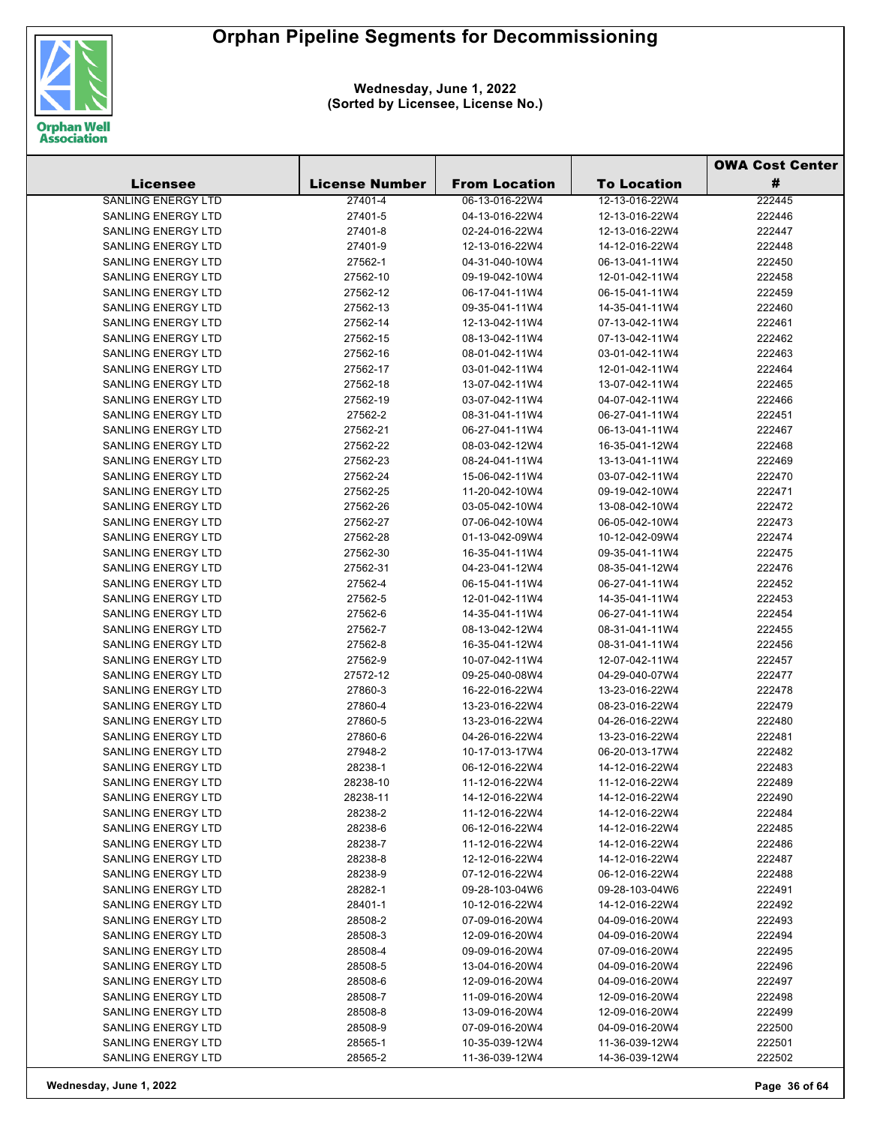

|                           |                       |                      |                    | <b>OWA Cost Center</b> |
|---------------------------|-----------------------|----------------------|--------------------|------------------------|
| <b>Licensee</b>           | <b>License Number</b> | <b>From Location</b> | <b>To Location</b> | #                      |
| <b>SANLING ENERGY LTD</b> | 27401-4               | 06-13-016-22W4       | 12-13-016-22W4     | 222445                 |
| SANLING ENERGY LTD        | 27401-5               | 04-13-016-22W4       | 12-13-016-22W4     | 222446                 |
| <b>SANLING ENERGY LTD</b> | 27401-8               | 02-24-016-22W4       | 12-13-016-22W4     | 222447                 |
| <b>SANLING ENERGY LTD</b> | 27401-9               | 12-13-016-22W4       | 14-12-016-22W4     | 222448                 |
| <b>SANLING ENERGY LTD</b> | 27562-1               | 04-31-040-10W4       | 06-13-041-11W4     | 222450                 |
| <b>SANLING ENERGY LTD</b> | 27562-10              | 09-19-042-10W4       | 12-01-042-11W4     | 222458                 |
| <b>SANLING ENERGY LTD</b> | 27562-12              | 06-17-041-11W4       | 06-15-041-11W4     | 222459                 |
| <b>SANLING ENERGY LTD</b> | 27562-13              | 09-35-041-11W4       | 14-35-041-11W4     | 222460                 |
| <b>SANLING ENERGY LTD</b> | 27562-14              | 12-13-042-11W4       | 07-13-042-11W4     | 222461                 |
| SANLING ENERGY LTD        | 27562-15              | 08-13-042-11W4       | 07-13-042-11W4     | 222462                 |
| <b>SANLING ENERGY LTD</b> | 27562-16              | 08-01-042-11W4       | 03-01-042-11W4     | 222463                 |
| <b>SANLING ENERGY LTD</b> | 27562-17              | 03-01-042-11W4       | 12-01-042-11W4     | 222464                 |
| <b>SANLING ENERGY LTD</b> | 27562-18              | 13-07-042-11W4       | 13-07-042-11W4     | 222465                 |
| <b>SANLING ENERGY LTD</b> | 27562-19              | 03-07-042-11W4       | 04-07-042-11W4     | 222466                 |
| <b>SANLING ENERGY LTD</b> | 27562-2               | 08-31-041-11W4       | 06-27-041-11W4     | 222451                 |
| <b>SANLING ENERGY LTD</b> | 27562-21              | 06-27-041-11W4       | 06-13-041-11W4     | 222467                 |
| <b>SANLING ENERGY LTD</b> | 27562-22              | 08-03-042-12W4       | 16-35-041-12W4     | 222468                 |
| <b>SANLING ENERGY LTD</b> | 27562-23              | 08-24-041-11W4       | 13-13-041-11W4     | 222469                 |
| <b>SANLING ENERGY LTD</b> | 27562-24              | 15-06-042-11W4       | 03-07-042-11W4     | 222470                 |
| <b>SANLING ENERGY LTD</b> | 27562-25              | 11-20-042-10W4       | 09-19-042-10W4     | 222471                 |
| <b>SANLING ENERGY LTD</b> | 27562-26              | 03-05-042-10W4       | 13-08-042-10W4     | 222472                 |
| <b>SANLING ENERGY LTD</b> | 27562-27              | 07-06-042-10W4       | 06-05-042-10W4     | 222473                 |
| <b>SANLING ENERGY LTD</b> | 27562-28              | 01-13-042-09W4       | 10-12-042-09W4     | 222474                 |
| SANLING ENERGY LTD        | 27562-30              | 16-35-041-11W4       | 09-35-041-11W4     | 222475                 |
| SANLING ENERGY LTD        | 27562-31              | 04-23-041-12W4       | 08-35-041-12W4     | 222476                 |
| <b>SANLING ENERGY LTD</b> | 27562-4               | 06-15-041-11W4       | 06-27-041-11W4     | 222452                 |
| <b>SANLING ENERGY LTD</b> | 27562-5               | 12-01-042-11W4       | 14-35-041-11W4     | 222453                 |
| <b>SANLING ENERGY LTD</b> | 27562-6               | 14-35-041-11W4       | 06-27-041-11W4     | 222454                 |
| <b>SANLING ENERGY LTD</b> | 27562-7               | 08-13-042-12W4       | 08-31-041-11W4     | 222455                 |
| <b>SANLING ENERGY LTD</b> | 27562-8               | 16-35-041-12W4       | 08-31-041-11W4     | 222456                 |
| <b>SANLING ENERGY LTD</b> | 27562-9               | 10-07-042-11W4       | 12-07-042-11W4     | 222457                 |
| <b>SANLING ENERGY LTD</b> | 27572-12              | 09-25-040-08W4       | 04-29-040-07W4     | 222477                 |
| SANLING ENERGY LTD        | 27860-3               | 16-22-016-22W4       | 13-23-016-22W4     | 222478                 |
| SANLING ENERGY LTD        | 27860-4               | 13-23-016-22W4       | 08-23-016-22W4     | 222479                 |
| SANLING ENERGY LTD        | 27860-5               | 13-23-016-22W4       | 04-26-016-22W4     | 222480                 |
| <b>SANLING ENERGY LTD</b> | 27860-6               | 04-26-016-22W4       | 13-23-016-22W4     | 222481                 |
| <b>SANLING ENERGY LTD</b> | 27948-2               | 10-17-013-17W4       | 06-20-013-17W4     | 222482                 |
| SANLING ENERGY LTD        | 28238-1               | 06-12-016-22W4       | 14-12-016-22W4     | 222483                 |
| SANLING ENERGY LTD        | 28238-10              | 11-12-016-22W4       | 11-12-016-22W4     | 222489                 |
| SANLING ENERGY LTD        | 28238-11              | 14-12-016-22W4       | 14-12-016-22W4     | 222490                 |
| SANLING ENERGY LTD        | 28238-2               | 11-12-016-22W4       | 14-12-016-22W4     | 222484                 |
| <b>SANLING ENERGY LTD</b> | 28238-6               | 06-12-016-22W4       | 14-12-016-22W4     | 222485                 |
| <b>SANLING ENERGY LTD</b> | 28238-7               | 11-12-016-22W4       | 14-12-016-22W4     | 222486                 |
| SANLING ENERGY LTD        | 28238-8               | 12-12-016-22W4       | 14-12-016-22W4     | 222487                 |
| SANLING ENERGY LTD        | 28238-9               | 07-12-016-22W4       | 06-12-016-22W4     | 222488                 |
| <b>SANLING ENERGY LTD</b> | 28282-1               | 09-28-103-04W6       | 09-28-103-04W6     | 222491                 |
| SANLING ENERGY LTD        | 28401-1               | 10-12-016-22W4       | 14-12-016-22W4     | 222492                 |
| <b>SANLING ENERGY LTD</b> | 28508-2               | 07-09-016-20W4       | 04-09-016-20W4     | 222493                 |
| SANLING ENERGY LTD        | 28508-3               | 12-09-016-20W4       | 04-09-016-20W4     | 222494                 |
| SANLING ENERGY LTD        | 28508-4               | 09-09-016-20W4       | 07-09-016-20W4     | 222495                 |
| SANLING ENERGY LTD        | 28508-5               | 13-04-016-20W4       | 04-09-016-20W4     | 222496                 |
| SANLING ENERGY LTD        | 28508-6               | 12-09-016-20W4       | 04-09-016-20W4     | 222497                 |
| <b>SANLING ENERGY LTD</b> | 28508-7               | 11-09-016-20W4       | 12-09-016-20W4     | 222498                 |
| SANLING ENERGY LTD        | 28508-8               | 13-09-016-20W4       | 12-09-016-20W4     | 222499                 |
| <b>SANLING ENERGY LTD</b> | 28508-9               | 07-09-016-20W4       | 04-09-016-20W4     | 222500                 |
| SANLING ENERGY LTD        | 28565-1               | 10-35-039-12W4       | 11-36-039-12W4     | 222501                 |
| SANLING ENERGY LTD        | 28565-2               | 11-36-039-12W4       | 14-36-039-12W4     | 222502                 |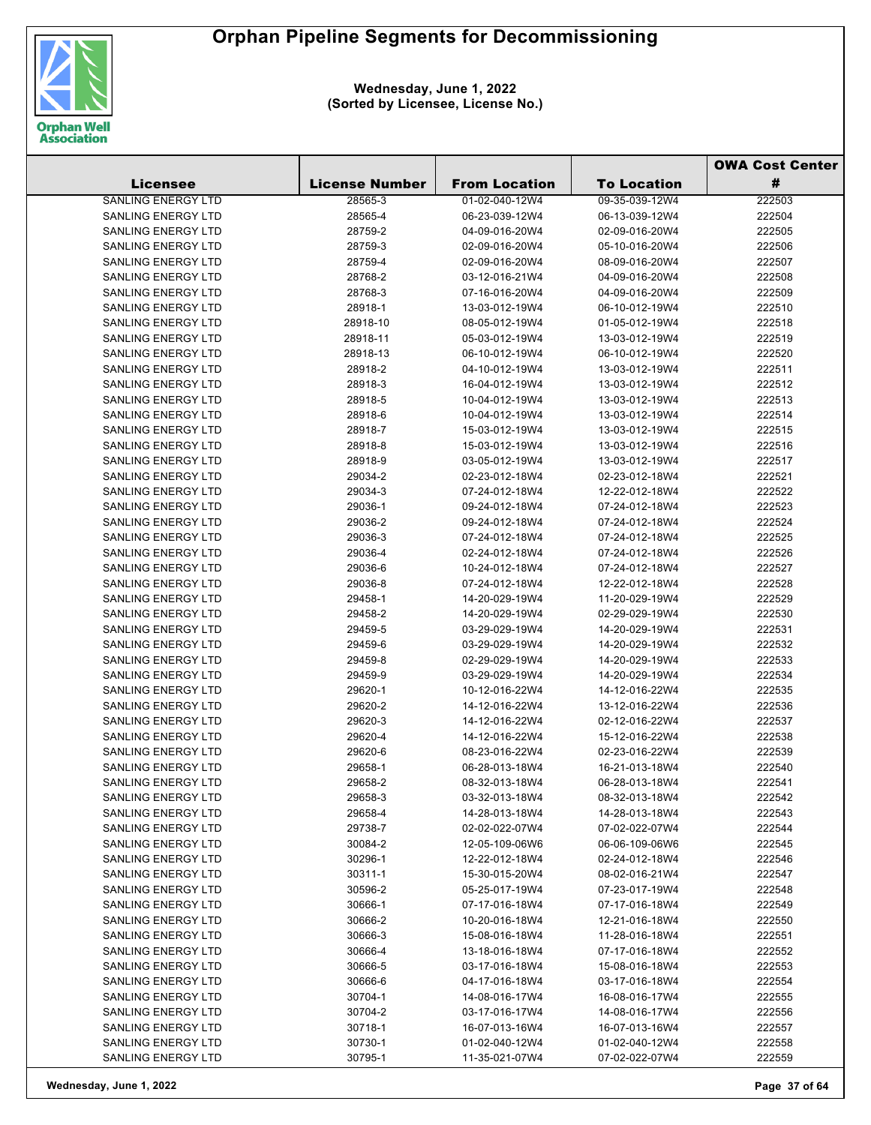

|                                                        |                       |                                  | <b>OWA Cost Center</b>           |                  |
|--------------------------------------------------------|-----------------------|----------------------------------|----------------------------------|------------------|
| Licensee                                               | <b>License Number</b> | <b>From Location</b>             | <b>To Location</b>               | #                |
| <b>SANLING ENERGY LTD</b>                              | 28565-3               | 01-02-040-12W4                   | 09-35-039-12W4                   | 222503           |
| <b>SANLING ENERGY LTD</b>                              | 28565-4               | 06-23-039-12W4                   | 06-13-039-12W4                   | 222504           |
| <b>SANLING ENERGY LTD</b>                              | 28759-2               | 04-09-016-20W4                   | 02-09-016-20W4                   | 222505           |
| <b>SANLING ENERGY LTD</b>                              | 28759-3               | 02-09-016-20W4                   | 05-10-016-20W4                   | 222506           |
| <b>SANLING ENERGY LTD</b>                              | 28759-4               | 02-09-016-20W4                   | 08-09-016-20W4                   | 222507           |
| <b>SANLING ENERGY LTD</b>                              | 28768-2               | 03-12-016-21W4                   | 04-09-016-20W4                   | 222508           |
| <b>SANLING ENERGY LTD</b>                              | 28768-3               | 07-16-016-20W4                   | 04-09-016-20W4                   | 222509           |
| <b>SANLING ENERGY LTD</b>                              | 28918-1               | 13-03-012-19W4                   | 06-10-012-19W4                   | 222510           |
| <b>SANLING ENERGY LTD</b>                              | 28918-10              | 08-05-012-19W4                   | 01-05-012-19W4                   | 222518           |
| <b>SANLING ENERGY LTD</b>                              | 28918-11              | 05-03-012-19W4                   | 13-03-012-19W4                   | 222519           |
| <b>SANLING ENERGY LTD</b>                              | 28918-13              | 06-10-012-19W4                   | 06-10-012-19W4                   | 222520           |
| <b>SANLING ENERGY LTD</b>                              | 28918-2               | 04-10-012-19W4                   | 13-03-012-19W4                   | 222511           |
| <b>SANLING ENERGY LTD</b>                              | 28918-3               | 16-04-012-19W4                   | 13-03-012-19W4                   | 222512           |
| <b>SANLING ENERGY LTD</b>                              | 28918-5               | 10-04-012-19W4                   | 13-03-012-19W4                   | 222513           |
| <b>SANLING ENERGY LTD</b>                              | 28918-6               | 10-04-012-19W4                   | 13-03-012-19W4                   | 222514           |
| <b>SANLING ENERGY LTD</b>                              | 28918-7               | 15-03-012-19W4                   | 13-03-012-19W4                   | 222515           |
| <b>SANLING ENERGY LTD</b>                              | 28918-8               | 15-03-012-19W4                   | 13-03-012-19W4                   | 222516           |
| <b>SANLING ENERGY LTD</b>                              | 28918-9               | 03-05-012-19W4                   | 13-03-012-19W4                   | 222517           |
| <b>SANLING ENERGY LTD</b>                              | 29034-2               | 02-23-012-18W4                   | 02-23-012-18W4                   | 222521           |
| <b>SANLING ENERGY LTD</b>                              | 29034-3               | 07-24-012-18W4                   | 12-22-012-18W4                   | 222522           |
| <b>SANLING ENERGY LTD</b>                              | 29036-1               | 09-24-012-18W4                   | 07-24-012-18W4                   | 222523           |
| <b>SANLING ENERGY LTD</b>                              | 29036-2               | 09-24-012-18W4                   | 07-24-012-18W4                   | 222524           |
| <b>SANLING ENERGY LTD</b>                              | 29036-3               | 07-24-012-18W4                   | 07-24-012-18W4                   | 222525           |
| <b>SANLING ENERGY LTD</b>                              | 29036-4               | 02-24-012-18W4                   | 07-24-012-18W4                   | 222526           |
| <b>SANLING ENERGY LTD</b>                              | 29036-6               | 10-24-012-18W4                   | 07-24-012-18W4                   | 222527           |
| <b>SANLING ENERGY LTD</b>                              | 29036-8               | 07-24-012-18W4                   | 12-22-012-18W4                   | 222528           |
| <b>SANLING ENERGY LTD</b>                              | 29458-1               | 14-20-029-19W4                   | 11-20-029-19W4                   | 222529           |
| <b>SANLING ENERGY LTD</b>                              | 29458-2               | 14-20-029-19W4                   | 02-29-029-19W4                   | 222530           |
| <b>SANLING ENERGY LTD</b>                              | 29459-5               | 03-29-029-19W4                   | 14-20-029-19W4                   | 222531           |
| <b>SANLING ENERGY LTD</b>                              | 29459-6               | 03-29-029-19W4                   | 14-20-029-19W4                   | 222532           |
| <b>SANLING ENERGY LTD</b>                              | 29459-8               | 02-29-029-19W4                   | 14-20-029-19W4                   | 222533           |
| <b>SANLING ENERGY LTD</b>                              | 29459-9               | 03-29-029-19W4                   | 14-20-029-19W4                   | 222534           |
| <b>SANLING ENERGY LTD</b>                              | 29620-1               | 10-12-016-22W4                   | 14-12-016-22W4                   | 222535           |
| <b>SANLING ENERGY LTD</b>                              | 29620-2               | 14-12-016-22W4                   | 13-12-016-22W4                   | 222536           |
| <b>SANLING ENERGY LTD</b>                              | 29620-3               | 14-12-016-22W4                   | 02-12-016-22W4                   | 222537           |
| <b>SANLING ENERGY LTD</b>                              | 29620-4               | 14-12-016-22W4                   | 15-12-016-22W4                   | 222538           |
| <b>SANLING ENERGY LTD</b>                              | 29620-6               | 08-23-016-22W4                   | 02-23-016-22W4                   | 222539           |
| SANLING ENERGY LTD                                     | 29658-1               | 06-28-013-18W4                   | 16-21-013-18W4                   | 222540           |
| <b>SANLING ENERGY LTD</b>                              | 29658-2               | 08-32-013-18W4                   | 06-28-013-18W4                   | 222541           |
| <b>SANLING ENERGY LTD</b>                              | 29658-3               | 03-32-013-18W4                   | 08-32-013-18W4                   | 222542           |
| SANLING ENERGY LTD                                     | 29658-4               | 14-28-013-18W4                   | 14-28-013-18W4                   | 222543           |
| <b>SANLING ENERGY LTD</b>                              | 29738-7               | 02-02-022-07W4                   | 07-02-022-07W4                   | 222544           |
| <b>SANLING ENERGY LTD</b>                              | 30084-2               | 12-05-109-06W6                   | 06-06-109-06W6                   | 222545           |
| <b>SANLING ENERGY LTD</b><br><b>SANLING ENERGY LTD</b> | 30296-1               | 12-22-012-18W4                   | 02-24-012-18W4                   | 222546           |
|                                                        | 30311-1               | 15-30-015-20W4                   | 08-02-016-21W4                   | 222547           |
| SANLING ENERGY LTD<br><b>SANLING ENERGY LTD</b>        | 30596-2               | 05-25-017-19W4<br>07-17-016-18W4 | 07-23-017-19W4<br>07-17-016-18W4 | 222548           |
| <b>SANLING ENERGY LTD</b>                              | 30666-1               |                                  | 12-21-016-18W4                   | 222549<br>222550 |
| SANLING ENERGY LTD                                     | 30666-2<br>30666-3    | 10-20-016-18W4                   | 11-28-016-18W4                   | 222551           |
| SANLING ENERGY LTD                                     | 30666-4               | 15-08-016-18W4<br>13-18-016-18W4 | 07-17-016-18W4                   | 222552           |
| SANLING ENERGY LTD                                     | 30666-5               | 03-17-016-18W4                   | 15-08-016-18W4                   | 222553           |
| SANLING ENERGY LTD                                     | 30666-6               | 04-17-016-18W4                   | 03-17-016-18W4                   | 222554           |
| <b>SANLING ENERGY LTD</b>                              | 30704-1               | 14-08-016-17W4                   | 16-08-016-17W4                   | 222555           |
| <b>SANLING ENERGY LTD</b>                              | 30704-2               | 03-17-016-17W4                   | 14-08-016-17W4                   | 222556           |
| <b>SANLING ENERGY LTD</b>                              | 30718-1               | 16-07-013-16W4                   | 16-07-013-16W4                   | 222557           |
| SANLING ENERGY LTD                                     | 30730-1               | 01-02-040-12W4                   | 01-02-040-12W4                   | 222558           |
| SANLING ENERGY LTD                                     | 30795-1               | 11-35-021-07W4                   | 07-02-022-07W4                   | 222559           |
|                                                        |                       |                                  |                                  |                  |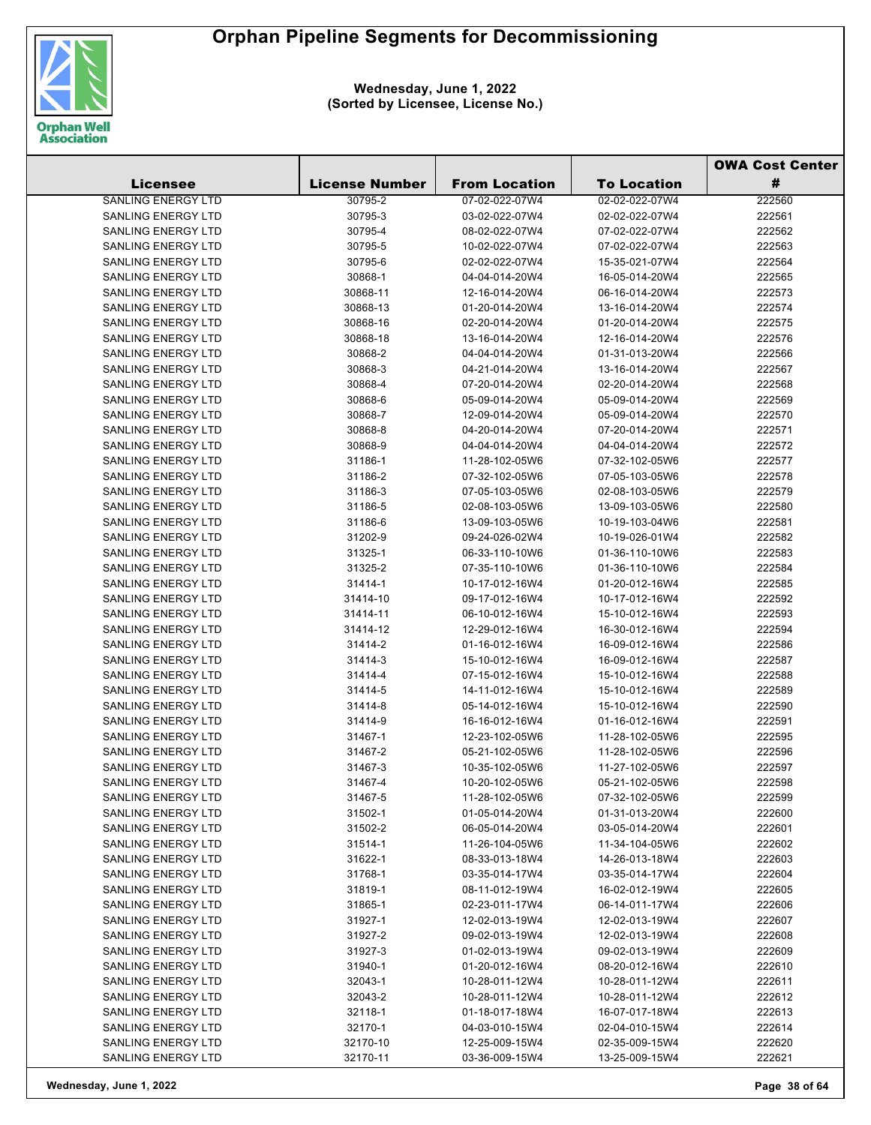

|                           |                       |                      |                    | <b>OWA Cost Center</b> |
|---------------------------|-----------------------|----------------------|--------------------|------------------------|
| <b>Licensee</b>           | <b>License Number</b> | <b>From Location</b> | <b>To Location</b> | #                      |
| <b>SANLING ENERGY LTD</b> | 30795-2               | 07-02-022-07W4       | 02-02-022-07W4     | 222560                 |
| <b>SANLING ENERGY LTD</b> | 30795-3               | 03-02-022-07W4       | 02-02-022-07W4     | 222561                 |
| <b>SANLING ENERGY LTD</b> | 30795-4               | 08-02-022-07W4       | 07-02-022-07W4     | 222562                 |
| <b>SANLING ENERGY LTD</b> | 30795-5               | 10-02-022-07W4       | 07-02-022-07W4     | 222563                 |
| <b>SANLING ENERGY LTD</b> | 30795-6               | 02-02-022-07W4       | 15-35-021-07W4     | 222564                 |
| <b>SANLING ENERGY LTD</b> | 30868-1               | 04-04-014-20W4       | 16-05-014-20W4     | 222565                 |
| SANLING ENERGY LTD        | 30868-11              | 12-16-014-20W4       | 06-16-014-20W4     | 222573                 |
| SANLING ENERGY LTD        | 30868-13              | 01-20-014-20W4       | 13-16-014-20W4     | 222574                 |
| <b>SANLING ENERGY LTD</b> | 30868-16              | 02-20-014-20W4       | 01-20-014-20W4     | 222575                 |
| SANLING ENERGY LTD        | 30868-18              | 13-16-014-20W4       | 12-16-014-20W4     | 222576                 |
| SANLING ENERGY LTD        | 30868-2               | 04-04-014-20W4       | 01-31-013-20W4     | 222566                 |
| <b>SANLING ENERGY LTD</b> | 30868-3               | 04-21-014-20W4       | 13-16-014-20W4     | 222567                 |
| <b>SANLING ENERGY LTD</b> | 30868-4               | 07-20-014-20W4       | 02-20-014-20W4     | 222568                 |
| <b>SANLING ENERGY LTD</b> | 30868-6               | 05-09-014-20W4       | 05-09-014-20W4     | 222569                 |
| <b>SANLING ENERGY LTD</b> | 30868-7               | 12-09-014-20W4       | 05-09-014-20W4     | 222570                 |
| <b>SANLING ENERGY LTD</b> | 30868-8               | 04-20-014-20W4       | 07-20-014-20W4     | 222571                 |
| <b>SANLING ENERGY LTD</b> | 30868-9               | 04-04-014-20W4       | 04-04-014-20W4     | 222572                 |
| <b>SANLING ENERGY LTD</b> | 31186-1               | 11-28-102-05W6       | 07-32-102-05W6     | 222577                 |
| <b>SANLING ENERGY LTD</b> | 31186-2               | 07-32-102-05W6       | 07-05-103-05W6     | 222578                 |
| <b>SANLING ENERGY LTD</b> | 31186-3               | 07-05-103-05W6       | 02-08-103-05W6     | 222579                 |
| <b>SANLING ENERGY LTD</b> | 31186-5               | 02-08-103-05W6       | 13-09-103-05W6     | 222580                 |
| <b>SANLING ENERGY LTD</b> | 31186-6               | 13-09-103-05W6       | 10-19-103-04W6     | 222581                 |
| <b>SANLING ENERGY LTD</b> | 31202-9               | 09-24-026-02W4       | 10-19-026-01W4     | 222582                 |
| SANLING ENERGY LTD        | 31325-1               | 06-33-110-10W6       | 01-36-110-10W6     | 222583                 |
| <b>SANLING ENERGY LTD</b> | 31325-2               | 07-35-110-10W6       | 01-36-110-10W6     | 222584                 |
| <b>SANLING ENERGY LTD</b> | 31414-1               | 10-17-012-16W4       | 01-20-012-16W4     | 222585                 |
| <b>SANLING ENERGY LTD</b> | 31414-10              | 09-17-012-16W4       | 10-17-012-16W4     | 222592                 |
| <b>SANLING ENERGY LTD</b> | 31414-11              | 06-10-012-16W4       | 15-10-012-16W4     | 222593                 |
| <b>SANLING ENERGY LTD</b> | 31414-12              | 12-29-012-16W4       | 16-30-012-16W4     | 222594                 |
| <b>SANLING ENERGY LTD</b> | 31414-2               | 01-16-012-16W4       | 16-09-012-16W4     | 222586                 |
| <b>SANLING ENERGY LTD</b> | 31414-3               | 15-10-012-16W4       | 16-09-012-16W4     | 222587                 |
| <b>SANLING ENERGY LTD</b> | 31414-4               | 07-15-012-16W4       | 15-10-012-16W4     | 222588                 |
| <b>SANLING ENERGY LTD</b> | 31414-5               | 14-11-012-16W4       | 15-10-012-16W4     | 222589                 |
| <b>SANLING ENERGY LTD</b> | 31414-8               | 05-14-012-16W4       | 15-10-012-16W4     | 222590                 |
| <b>SANLING ENERGY LTD</b> | 31414-9               | 16-16-012-16W4       | 01-16-012-16W4     | 222591                 |
| <b>SANLING ENERGY LTD</b> | 31467-1               | 12-23-102-05W6       | 11-28-102-05W6     | 222595                 |
| <b>SANLING ENERGY LTD</b> | 31467-2               | 05-21-102-05W6       | 11-28-102-05W6     | 222596                 |
| SANLING ENERGY LTD        | 31467-3               | 10-35-102-05W6       | 11-27-102-05W6     | 222597                 |
| <b>SANLING ENERGY LTD</b> | 31467-4               | 10-20-102-05W6       | 05-21-102-05W6     | 222598                 |
| <b>SANLING ENERGY LTD</b> | 31467-5               | 11-28-102-05W6       | 07-32-102-05W6     | 222599                 |
| <b>SANLING ENERGY LTD</b> | 31502-1               | 01-05-014-20W4       | 01-31-013-20W4     | 222600                 |
| <b>SANLING ENERGY LTD</b> | 31502-2               | 06-05-014-20W4       | 03-05-014-20W4     | 222601                 |
| <b>SANLING ENERGY LTD</b> | 31514-1               | 11-26-104-05W6       | 11-34-104-05W6     | 222602                 |
| <b>SANLING ENERGY LTD</b> | 31622-1               | 08-33-013-18W4       | 14-26-013-18W4     | 222603                 |
| SANLING ENERGY LTD        | 31768-1               | 03-35-014-17W4       | 03-35-014-17W4     | 222604                 |
| <b>SANLING ENERGY LTD</b> | 31819-1               | 08-11-012-19W4       | 16-02-012-19W4     | 222605                 |
| <b>SANLING ENERGY LTD</b> | 31865-1               | 02-23-011-17W4       | 06-14-011-17W4     | 222606                 |
| <b>SANLING ENERGY LTD</b> | 31927-1               | 12-02-013-19W4       | 12-02-013-19W4     | 222607                 |
| <b>SANLING ENERGY LTD</b> | 31927-2               | 09-02-013-19W4       | 12-02-013-19W4     | 222608                 |
| <b>SANLING ENERGY LTD</b> | 31927-3               | 01-02-013-19W4       | 09-02-013-19W4     | 222609                 |
| SANLING ENERGY LTD        | 31940-1               | 01-20-012-16W4       | 08-20-012-16W4     | 222610                 |
| <b>SANLING ENERGY LTD</b> | 32043-1               | 10-28-011-12W4       | 10-28-011-12W4     | 222611                 |
| <b>SANLING ENERGY LTD</b> | 32043-2               | 10-28-011-12W4       | 10-28-011-12W4     | 222612                 |
| <b>SANLING ENERGY LTD</b> | 32118-1               | 01-18-017-18W4       | 16-07-017-18W4     | 222613                 |
| <b>SANLING ENERGY LTD</b> | 32170-1               | 04-03-010-15W4       | 02-04-010-15W4     | 222614                 |
| <b>SANLING ENERGY LTD</b> | 32170-10              | 12-25-009-15W4       | 02-35-009-15W4     | 222620                 |
| <b>SANLING ENERGY LTD</b> | 32170-11              | 03-36-009-15W4       | 13-25-009-15W4     | 222621                 |
|                           |                       |                      |                    |                        |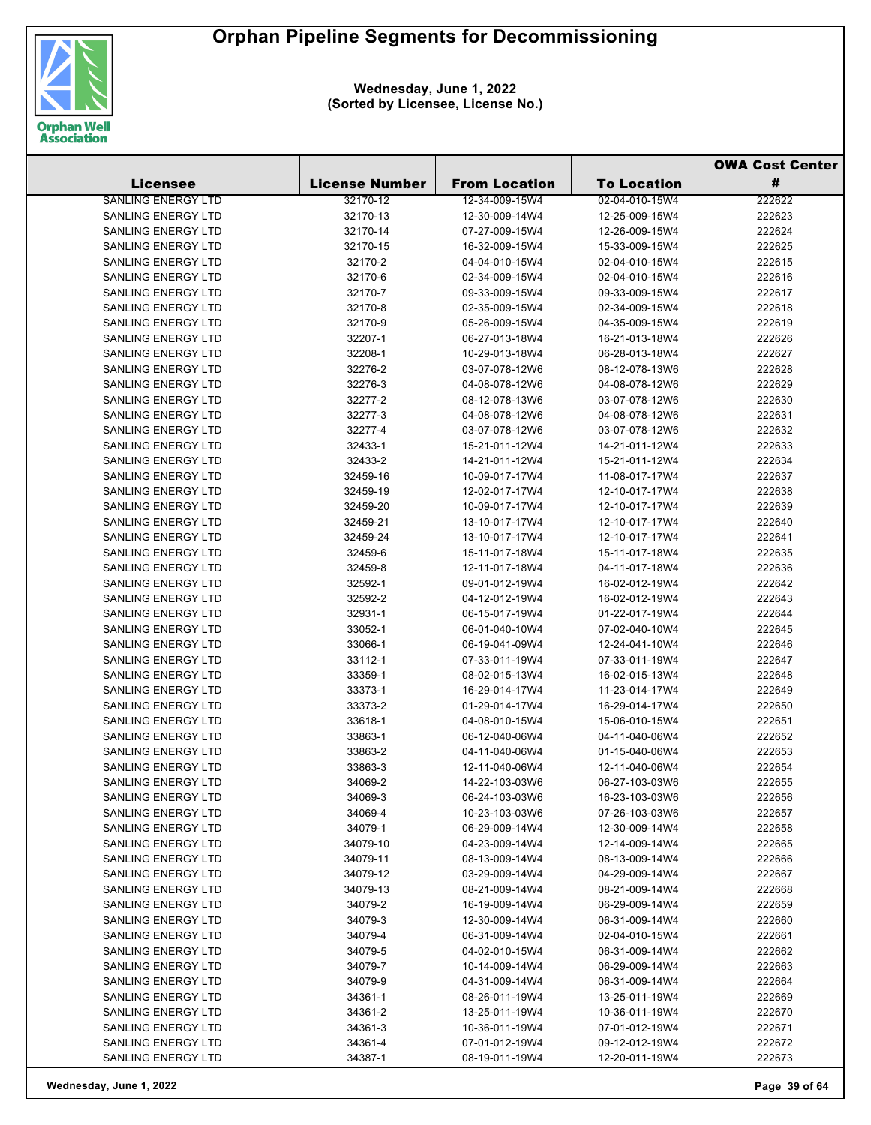

|                           |                       |                      |                    | <b>OWA Cost Center</b> |
|---------------------------|-----------------------|----------------------|--------------------|------------------------|
| <b>Licensee</b>           | <b>License Number</b> | <b>From Location</b> | <b>To Location</b> | #                      |
| SANLING ENERGY LTD        | 32170-12              | 12-34-009-15W4       | 02-04-010-15W4     | 222622                 |
| SANLING ENERGY LTD        | 32170-13              | 12-30-009-14W4       | 12-25-009-15W4     | 222623                 |
| <b>SANLING ENERGY LTD</b> | 32170-14              | 07-27-009-15W4       | 12-26-009-15W4     | 222624                 |
| <b>SANLING ENERGY LTD</b> | 32170-15              | 16-32-009-15W4       | 15-33-009-15W4     | 222625                 |
| <b>SANLING ENERGY LTD</b> | 32170-2               | 04-04-010-15W4       | 02-04-010-15W4     | 222615                 |
| <b>SANLING ENERGY LTD</b> | 32170-6               | 02-34-009-15W4       | 02-04-010-15W4     | 222616                 |
| <b>SANLING ENERGY LTD</b> | 32170-7               | 09-33-009-15W4       | 09-33-009-15W4     | 222617                 |
| <b>SANLING ENERGY LTD</b> | 32170-8               | 02-35-009-15W4       | 02-34-009-15W4     | 222618                 |
| <b>SANLING ENERGY LTD</b> | 32170-9               | 05-26-009-15W4       | 04-35-009-15W4     | 222619                 |
| SANLING ENERGY LTD        | 32207-1               | 06-27-013-18W4       | 16-21-013-18W4     | 222626                 |
| <b>SANLING ENERGY LTD</b> | 32208-1               | 10-29-013-18W4       | 06-28-013-18W4     | 222627                 |
| SANLING ENERGY LTD        | 32276-2               | 03-07-078-12W6       | 08-12-078-13W6     | 222628                 |
| SANLING ENERGY LTD        | 32276-3               | 04-08-078-12W6       | 04-08-078-12W6     | 222629                 |
| SANLING ENERGY LTD        | 32277-2               | 08-12-078-13W6       | 03-07-078-12W6     | 222630                 |
| SANLING ENERGY LTD        | 32277-3               | 04-08-078-12W6       | 04-08-078-12W6     | 222631                 |
| <b>SANLING ENERGY LTD</b> | 32277-4               | 03-07-078-12W6       | 03-07-078-12W6     | 222632                 |
| SANLING ENERGY LTD        | 32433-1               | 15-21-011-12W4       | 14-21-011-12W4     | 222633                 |
| SANLING ENERGY LTD        | 32433-2               | 14-21-011-12W4       | 15-21-011-12W4     | 222634                 |
| SANLING ENERGY LTD        | 32459-16              | 10-09-017-17W4       | 11-08-017-17W4     | 222637                 |
| <b>SANLING ENERGY LTD</b> | 32459-19              | 12-02-017-17W4       | 12-10-017-17W4     | 222638                 |
| <b>SANLING ENERGY LTD</b> | 32459-20              | 10-09-017-17W4       | 12-10-017-17W4     | 222639                 |
| <b>SANLING ENERGY LTD</b> | 32459-21              | 13-10-017-17W4       | 12-10-017-17W4     | 222640                 |
| <b>SANLING ENERGY LTD</b> | 32459-24              | 13-10-017-17W4       | 12-10-017-17W4     | 222641                 |
| <b>SANLING ENERGY LTD</b> | 32459-6               | 15-11-017-18W4       | 15-11-017-18W4     | 222635                 |
| SANLING ENERGY LTD        | 32459-8               | 12-11-017-18W4       | 04-11-017-18W4     | 222636                 |
| SANLING ENERGY LTD        | 32592-1               | 09-01-012-19W4       | 16-02-012-19W4     | 222642                 |
| SANLING ENERGY LTD        | 32592-2               | 04-12-012-19W4       | 16-02-012-19W4     | 222643                 |
| SANLING ENERGY LTD        | 32931-1               | 06-15-017-19W4       | 01-22-017-19W4     | 222644                 |
| SANLING ENERGY LTD        | 33052-1               | 06-01-040-10W4       | 07-02-040-10W4     | 222645                 |
| SANLING ENERGY LTD        | 33066-1               | 06-19-041-09W4       | 12-24-041-10W4     | 222646                 |
| SANLING ENERGY LTD        | 33112-1               | 07-33-011-19W4       | 07-33-011-19W4     | 222647                 |
| SANLING ENERGY LTD        | 33359-1               | 08-02-015-13W4       | 16-02-015-13W4     | 222648                 |
| <b>SANLING ENERGY LTD</b> | 33373-1               | 16-29-014-17W4       | 11-23-014-17W4     | 222649                 |
| SANLING ENERGY LTD        | 33373-2               | 01-29-014-17W4       | 16-29-014-17W4     | 222650                 |
| SANLING ENERGY LTD        | 33618-1               | 04-08-010-15W4       | 15-06-010-15W4     | 222651                 |
| SANLING ENERGY LTD        | 33863-1               | 06-12-040-06W4       | 04-11-040-06W4     | 222652                 |
| <b>SANLING ENERGY LTD</b> | 33863-2               | 04-11-040-06W4       | 01-15-040-06W4     | 222653                 |
| <b>SANLING ENERGY LTD</b> | 33863-3               | 12-11-040-06W4       | 12-11-040-06W4     | 222654                 |
| SANLING ENERGY LTD        | 34069-2               | 14-22-103-03W6       | 06-27-103-03W6     | 222655                 |
| <b>SANLING ENERGY LTD</b> | 34069-3               | 06-24-103-03W6       | 16-23-103-03W6     | 222656                 |
| SANLING ENERGY LTD        | 34069-4               | 10-23-103-03W6       | 07-26-103-03W6     | 222657                 |
| <b>SANLING ENERGY LTD</b> | 34079-1               | 06-29-009-14W4       | 12-30-009-14W4     | 222658                 |
| SANLING ENERGY LTD        | 34079-10              | 04-23-009-14W4       | 12-14-009-14W4     | 222665                 |
| SANLING ENERGY LTD        | 34079-11              | 08-13-009-14W4       | 08-13-009-14W4     | 222666                 |
| SANLING ENERGY LTD        | 34079-12              | 03-29-009-14W4       | 04-29-009-14W4     | 222667                 |
| SANLING ENERGY LTD        | 34079-13              | 08-21-009-14W4       | 08-21-009-14W4     | 222668                 |
| SANLING ENERGY LTD        | 34079-2               | 16-19-009-14W4       | 06-29-009-14W4     | 222659                 |
| SANLING ENERGY LTD        | 34079-3               | 12-30-009-14W4       | 06-31-009-14W4     | 222660                 |
| SANLING ENERGY LTD        | 34079-4               | 06-31-009-14W4       | 02-04-010-15W4     | 222661                 |
| SANLING ENERGY LTD        | 34079-5               | 04-02-010-15W4       | 06-31-009-14W4     | 222662                 |
| SANLING ENERGY LTD        | 34079-7               | 10-14-009-14W4       | 06-29-009-14W4     | 222663                 |
| SANLING ENERGY LTD        | 34079-9               | 04-31-009-14W4       | 06-31-009-14W4     | 222664                 |
| SANLING ENERGY LTD        | 34361-1               | 08-26-011-19W4       | 13-25-011-19W4     | 222669                 |
| SANLING ENERGY LTD        | 34361-2               | 13-25-011-19W4       | 10-36-011-19W4     | 222670                 |
| <b>SANLING ENERGY LTD</b> | 34361-3               | 10-36-011-19W4       | 07-01-012-19W4     | 222671                 |
| SANLING ENERGY LTD        | 34361-4               | 07-01-012-19W4       | 09-12-012-19W4     | 222672                 |
| SANLING ENERGY LTD        | 34387-1               | 08-19-011-19W4       | 12-20-011-19W4     | 222673                 |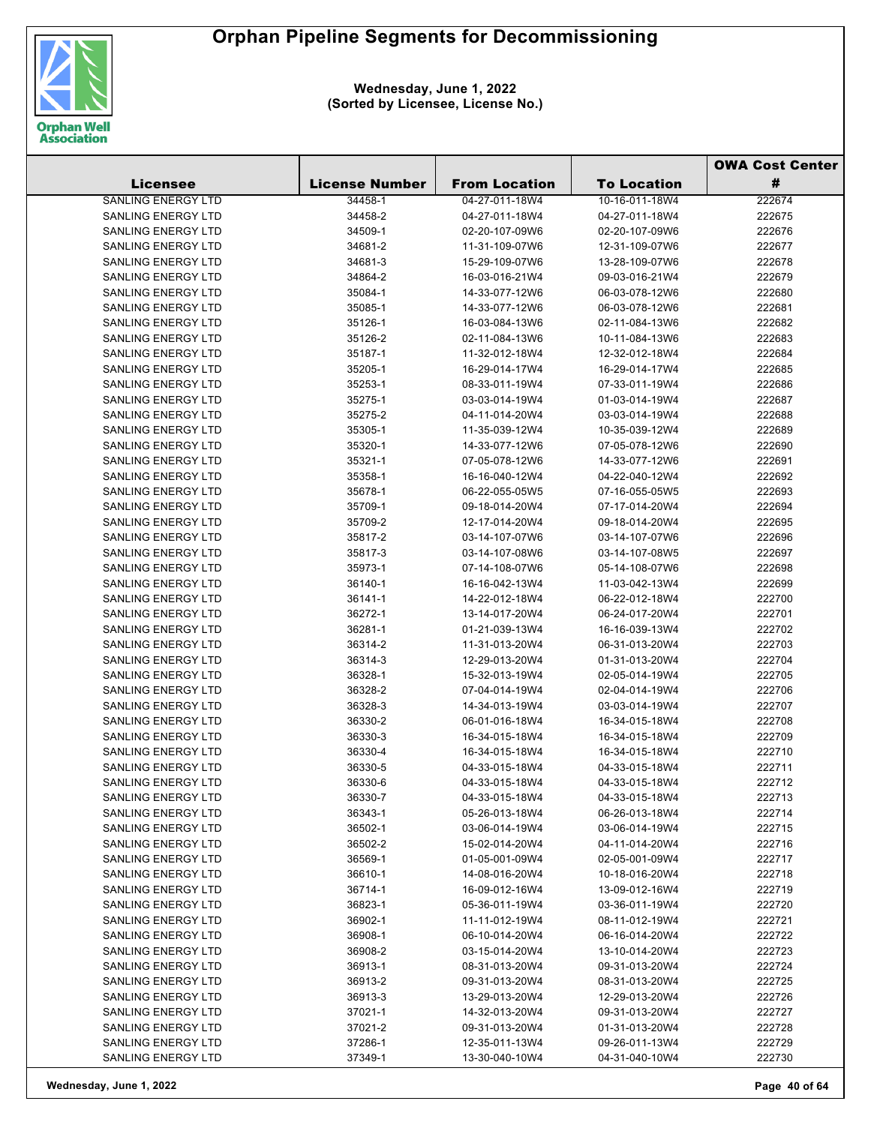

|                           |                       |                      |                    | <b>OWA Cost Center</b> |
|---------------------------|-----------------------|----------------------|--------------------|------------------------|
| <b>Licensee</b>           | <b>License Number</b> | <b>From Location</b> | <b>To Location</b> | #                      |
| <b>SANLING ENERGY LTD</b> | 34458-1               | 04-27-011-18W4       | 10-16-011-18W4     | 222674                 |
| <b>SANLING ENERGY LTD</b> | 34458-2               | 04-27-011-18W4       | 04-27-011-18W4     | 222675                 |
| <b>SANLING ENERGY LTD</b> | 34509-1               | 02-20-107-09W6       | 02-20-107-09W6     | 222676                 |
| <b>SANLING ENERGY LTD</b> | 34681-2               | 11-31-109-07W6       | 12-31-109-07W6     | 222677                 |
| SANLING ENERGY LTD        | 34681-3               | 15-29-109-07W6       | 13-28-109-07W6     | 222678                 |
| <b>SANLING ENERGY LTD</b> | 34864-2               | 16-03-016-21W4       | 09-03-016-21W4     | 222679                 |
| SANLING ENERGY LTD        | 35084-1               | 14-33-077-12W6       | 06-03-078-12W6     | 222680                 |
| <b>SANLING ENERGY LTD</b> | 35085-1               | 14-33-077-12W6       | 06-03-078-12W6     | 222681                 |
| <b>SANLING ENERGY LTD</b> | 35126-1               | 16-03-084-13W6       | 02-11-084-13W6     | 222682                 |
| <b>SANLING ENERGY LTD</b> | 35126-2               | 02-11-084-13W6       | 10-11-084-13W6     | 222683                 |
| <b>SANLING ENERGY LTD</b> | 35187-1               | 11-32-012-18W4       | 12-32-012-18W4     | 222684                 |
| SANLING ENERGY LTD        | 35205-1               | 16-29-014-17W4       | 16-29-014-17W4     | 222685                 |
| SANLING ENERGY LTD        | 35253-1               | 08-33-011-19W4       | 07-33-011-19W4     | 222686                 |
| <b>SANLING ENERGY LTD</b> | 35275-1               | 03-03-014-19W4       | 01-03-014-19W4     | 222687                 |
| SANLING ENERGY LTD        | 35275-2               | 04-11-014-20W4       | 03-03-014-19W4     | 222688                 |
| <b>SANLING ENERGY LTD</b> | 35305-1               | 11-35-039-12W4       | 10-35-039-12W4     | 222689                 |
| SANLING ENERGY LTD        | 35320-1               | 14-33-077-12W6       | 07-05-078-12W6     | 222690                 |
| <b>SANLING ENERGY LTD</b> | 35321-1               | 07-05-078-12W6       | 14-33-077-12W6     | 222691                 |
| SANLING ENERGY LTD        | 35358-1               | 16-16-040-12W4       | 04-22-040-12W4     | 222692                 |
| <b>SANLING ENERGY LTD</b> | 35678-1               | 06-22-055-05W5       | 07-16-055-05W5     | 222693                 |
| SANLING ENERGY LTD        | 35709-1               | 09-18-014-20W4       | 07-17-014-20W4     | 222694                 |
| <b>SANLING ENERGY LTD</b> | 35709-2               | 12-17-014-20W4       | 09-18-014-20W4     | 222695                 |
| SANLING ENERGY LTD        | 35817-2               | 03-14-107-07W6       | 03-14-107-07W6     | 222696                 |
| <b>SANLING ENERGY LTD</b> | 35817-3               | 03-14-107-08W6       | 03-14-107-08W5     | 222697                 |
| SANLING ENERGY LTD        | 35973-1               | 07-14-108-07W6       | 05-14-108-07W6     | 222698                 |
| SANLING ENERGY LTD        | 36140-1               | 16-16-042-13W4       | 11-03-042-13W4     | 222699                 |
| SANLING ENERGY LTD        | 36141-1               | 14-22-012-18W4       | 06-22-012-18W4     | 222700                 |
| SANLING ENERGY LTD        | 36272-1               | 13-14-017-20W4       | 06-24-017-20W4     | 222701                 |
| SANLING ENERGY LTD        | 36281-1               | 01-21-039-13W4       | 16-16-039-13W4     | 222702                 |
| SANLING ENERGY LTD        | 36314-2               | 11-31-013-20W4       | 06-31-013-20W4     | 222703                 |
| SANLING ENERGY LTD        | 36314-3               | 12-29-013-20W4       | 01-31-013-20W4     | 222704                 |
| <b>SANLING ENERGY LTD</b> | 36328-1               | 15-32-013-19W4       | 02-05-014-19W4     | 222705                 |
| SANLING ENERGY LTD        | 36328-2               | 07-04-014-19W4       | 02-04-014-19W4     | 222706                 |
| SANLING ENERGY LTD        | 36328-3               | 14-34-013-19W4       | 03-03-014-19W4     | 222707                 |
| SANLING ENERGY LTD        | 36330-2               | 06-01-016-18W4       | 16-34-015-18W4     | 222708                 |
| <b>SANLING ENERGY LTD</b> | 36330-3               | 16-34-015-18W4       | 16-34-015-18W4     | 222709                 |
| <b>SANLING ENERGY LTD</b> | 36330-4               | 16-34-015-18W4       | 16-34-015-18W4     | 222710                 |
| SANLING ENERGY LTD        | 36330-5               | 04-33-015-18W4       | 04-33-015-18W4     | 222711                 |
| SANLING ENERGY LTD        | 36330-6               | 04-33-015-18W4       | 04-33-015-18W4     | 222712                 |
| SANLING ENERGY LTD        | 36330-7               | 04-33-015-18W4       | 04-33-015-18W4     | 222713                 |
| SANLING ENERGY LTD        | 36343-1               | 05-26-013-18W4       | 06-26-013-18W4     | 222714                 |
| <b>SANLING ENERGY LTD</b> | 36502-1               | 03-06-014-19W4       | 03-06-014-19W4     | 222715                 |
| SANLING ENERGY LTD        | 36502-2               | 15-02-014-20W4       | 04-11-014-20W4     | 222716                 |
| <b>SANLING ENERGY LTD</b> | 36569-1               | 01-05-001-09W4       | 02-05-001-09W4     | 222717                 |
| <b>SANLING ENERGY LTD</b> | 36610-1               | 14-08-016-20W4       | 10-18-016-20W4     | 222718                 |
| <b>SANLING ENERGY LTD</b> | 36714-1               | 16-09-012-16W4       | 13-09-012-16W4     | 222719                 |
| <b>SANLING ENERGY LTD</b> | 36823-1               | 05-36-011-19W4       | 03-36-011-19W4     | 222720                 |
| SANLING ENERGY LTD        | 36902-1               | 11-11-012-19W4       | 08-11-012-19W4     | 222721                 |
| SANLING ENERGY LTD        | 36908-1               | 06-10-014-20W4       | 06-16-014-20W4     | 222722                 |
| SANLING ENERGY LTD        | 36908-2               | 03-15-014-20W4       | 13-10-014-20W4     | 222723                 |
| SANLING ENERGY LTD        | 36913-1               | 08-31-013-20W4       | 09-31-013-20W4     | 222724                 |
| SANLING ENERGY LTD        | 36913-2               | 09-31-013-20W4       | 08-31-013-20W4     | 222725                 |
| SANLING ENERGY LTD        | 36913-3               | 13-29-013-20W4       | 12-29-013-20W4     | 222726                 |
| SANLING ENERGY LTD        | 37021-1               | 14-32-013-20W4       | 09-31-013-20W4     | 222727                 |
| SANLING ENERGY LTD        | 37021-2               | 09-31-013-20W4       | 01-31-013-20W4     | 222728                 |
| SANLING ENERGY LTD        | 37286-1               | 12-35-011-13W4       | 09-26-011-13W4     | 222729                 |
| SANLING ENERGY LTD        | 37349-1               | 13-30-040-10W4       | 04-31-040-10W4     | 222730                 |
|                           |                       |                      |                    |                        |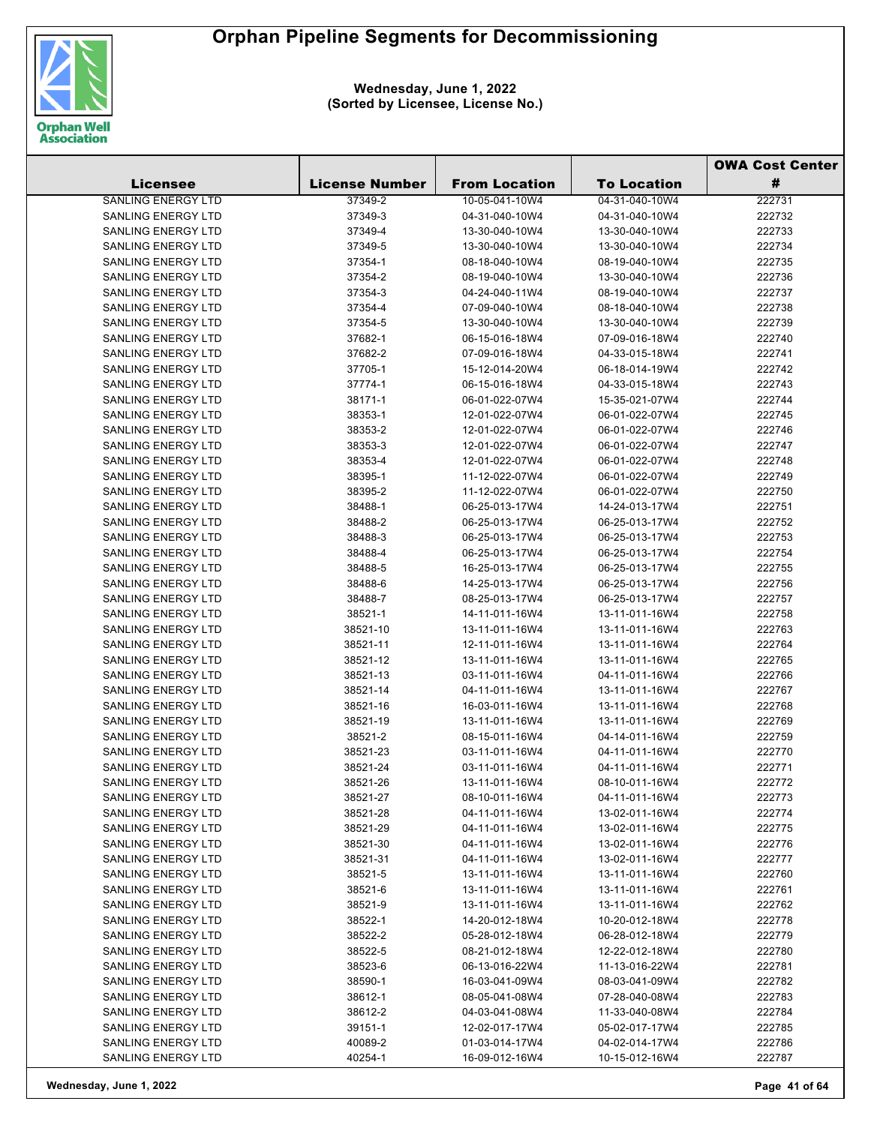

|                           |                       |                      |                    | <b>OWA Cost Center</b> |
|---------------------------|-----------------------|----------------------|--------------------|------------------------|
| <b>Licensee</b>           | <b>License Number</b> | <b>From Location</b> | <b>To Location</b> | #                      |
| <b>SANLING ENERGY LTD</b> | 37349-2               | 10-05-041-10W4       | 04-31-040-10W4     | 222731                 |
| <b>SANLING ENERGY LTD</b> | 37349-3               | 04-31-040-10W4       | 04-31-040-10W4     | 222732                 |
| <b>SANLING ENERGY LTD</b> | 37349-4               | 13-30-040-10W4       | 13-30-040-10W4     | 222733                 |
| <b>SANLING ENERGY LTD</b> | 37349-5               | 13-30-040-10W4       | 13-30-040-10W4     | 222734                 |
| <b>SANLING ENERGY LTD</b> | 37354-1               | 08-18-040-10W4       | 08-19-040-10W4     | 222735                 |
| <b>SANLING ENERGY LTD</b> | 37354-2               | 08-19-040-10W4       | 13-30-040-10W4     | 222736                 |
| <b>SANLING ENERGY LTD</b> | 37354-3               | 04-24-040-11W4       | 08-19-040-10W4     | 222737                 |
| <b>SANLING ENERGY LTD</b> | 37354-4               | 07-09-040-10W4       | 08-18-040-10W4     | 222738                 |
| <b>SANLING ENERGY LTD</b> | 37354-5               | 13-30-040-10W4       | 13-30-040-10W4     | 222739                 |
| <b>SANLING ENERGY LTD</b> | 37682-1               | 06-15-016-18W4       | 07-09-016-18W4     | 222740                 |
| <b>SANLING ENERGY LTD</b> | 37682-2               | 07-09-016-18W4       | 04-33-015-18W4     | 222741                 |
| <b>SANLING ENERGY LTD</b> | 37705-1               | 15-12-014-20W4       | 06-18-014-19W4     | 222742                 |
| SANLING ENERGY LTD        | 37774-1               | 06-15-016-18W4       | 04-33-015-18W4     | 222743                 |
| <b>SANLING ENERGY LTD</b> | 38171-1               | 06-01-022-07W4       | 15-35-021-07W4     | 222744                 |
| <b>SANLING ENERGY LTD</b> | 38353-1               | 12-01-022-07W4       | 06-01-022-07W4     | 222745                 |
| <b>SANLING ENERGY LTD</b> | 38353-2               | 12-01-022-07W4       | 06-01-022-07W4     | 222746                 |
| <b>SANLING ENERGY LTD</b> | 38353-3               | 12-01-022-07W4       | 06-01-022-07W4     | 222747                 |
| <b>SANLING ENERGY LTD</b> | 38353-4               | 12-01-022-07W4       | 06-01-022-07W4     | 222748                 |
| <b>SANLING ENERGY LTD</b> | 38395-1               | 11-12-022-07W4       | 06-01-022-07W4     | 222749                 |
| <b>SANLING ENERGY LTD</b> | 38395-2               | 11-12-022-07W4       | 06-01-022-07W4     | 222750                 |
| <b>SANLING ENERGY LTD</b> | 38488-1               | 06-25-013-17W4       | 14-24-013-17W4     | 222751                 |
| <b>SANLING ENERGY LTD</b> | 38488-2               | 06-25-013-17W4       | 06-25-013-17W4     | 222752                 |
| <b>SANLING ENERGY LTD</b> | 38488-3               | 06-25-013-17W4       | 06-25-013-17W4     | 222753                 |
| <b>SANLING ENERGY LTD</b> | 38488-4               | 06-25-013-17W4       | 06-25-013-17W4     | 222754                 |
| SANLING ENERGY LTD        | 38488-5               | 16-25-013-17W4       | 06-25-013-17W4     | 222755                 |
| SANLING ENERGY LTD        | 38488-6               | 14-25-013-17W4       | 06-25-013-17W4     | 222756                 |
| SANLING ENERGY LTD        | 38488-7               | 08-25-013-17W4       | 06-25-013-17W4     | 222757                 |
| SANLING ENERGY LTD        | 38521-1               | 14-11-011-16W4       | 13-11-011-16W4     | 222758                 |
| <b>SANLING ENERGY LTD</b> | 38521-10              | 13-11-011-16W4       | 13-11-011-16W4     | 222763                 |
| SANLING ENERGY LTD        | 38521-11              | 12-11-011-16W4       | 13-11-011-16W4     | 222764                 |
| SANLING ENERGY LTD        | 38521-12              | 13-11-011-16W4       | 13-11-011-16W4     | 222765                 |
| SANLING ENERGY LTD        | 38521-13              | 03-11-011-16W4       | 04-11-011-16W4     | 222766                 |
| SANLING ENERGY LTD        | 38521-14              | 04-11-011-16W4       | 13-11-011-16W4     | 222767                 |
| <b>SANLING ENERGY LTD</b> | 38521-16              | 16-03-011-16W4       | 13-11-011-16W4     | 222768                 |
| SANLING ENERGY LTD        | 38521-19              | 13-11-011-16W4       | 13-11-011-16W4     | 222769                 |
| <b>SANLING ENERGY LTD</b> | 38521-2               | 08-15-011-16W4       | 04-14-011-16W4     | 222759                 |
| <b>SANLING ENERGY LTD</b> | 38521-23              | 03-11-011-16W4       | 04-11-011-16W4     | 222770                 |
| SANLING ENERGY LTD        | 38521-24              | 03-11-011-16W4       | 04-11-011-16W4     | 222771                 |
| SANLING ENERGY LTD        | 38521-26              | 13-11-011-16W4       | 08-10-011-16W4     | 222772                 |
| SANLING ENERGY LTD        | 38521-27              | 08-10-011-16W4       | 04-11-011-16W4     | 222773                 |
| <b>SANLING ENERGY LTD</b> | 38521-28              | 04-11-011-16W4       | 13-02-011-16W4     | 222774                 |
| <b>SANLING ENERGY LTD</b> | 38521-29              | 04-11-011-16W4       | 13-02-011-16W4     | 222775                 |
| <b>SANLING ENERGY LTD</b> | 38521-30              | 04-11-011-16W4       | 13-02-011-16W4     | 222776                 |
| <b>SANLING ENERGY LTD</b> | 38521-31              | 04-11-011-16W4       | 13-02-011-16W4     | 222777                 |
| <b>SANLING ENERGY LTD</b> | 38521-5               | 13-11-011-16W4       | 13-11-011-16W4     | 222760                 |
| <b>SANLING ENERGY LTD</b> | 38521-6               | 13-11-011-16W4       | 13-11-011-16W4     | 222761                 |
| SANLING ENERGY LTD        | 38521-9               | 13-11-011-16W4       | 13-11-011-16W4     | 222762                 |
| <b>SANLING ENERGY LTD</b> | 38522-1               | 14-20-012-18W4       | 10-20-012-18W4     | 222778                 |
| <b>SANLING ENERGY LTD</b> | 38522-2               | 05-28-012-18W4       | 06-28-012-18W4     | 222779                 |
| SANLING ENERGY LTD        | 38522-5               | 08-21-012-18W4       | 12-22-012-18W4     | 222780                 |
| SANLING ENERGY LTD        | 38523-6               | 06-13-016-22W4       | 11-13-016-22W4     | 222781                 |
| SANLING ENERGY LTD        | 38590-1               | 16-03-041-09W4       | 08-03-041-09W4     | 222782                 |
| <b>SANLING ENERGY LTD</b> | 38612-1               | 08-05-041-08W4       | 07-28-040-08W4     | 222783                 |
| <b>SANLING ENERGY LTD</b> | 38612-2               | 04-03-041-08W4       | 11-33-040-08W4     | 222784                 |
| SANLING ENERGY LTD        | 39151-1               | 12-02-017-17W4       | 05-02-017-17W4     | 222785                 |
| SANLING ENERGY LTD        | 40089-2               | 01-03-014-17W4       | 04-02-014-17W4     | 222786                 |
| SANLING ENERGY LTD        | 40254-1               | 16-09-012-16W4       | 10-15-012-16W4     | 222787                 |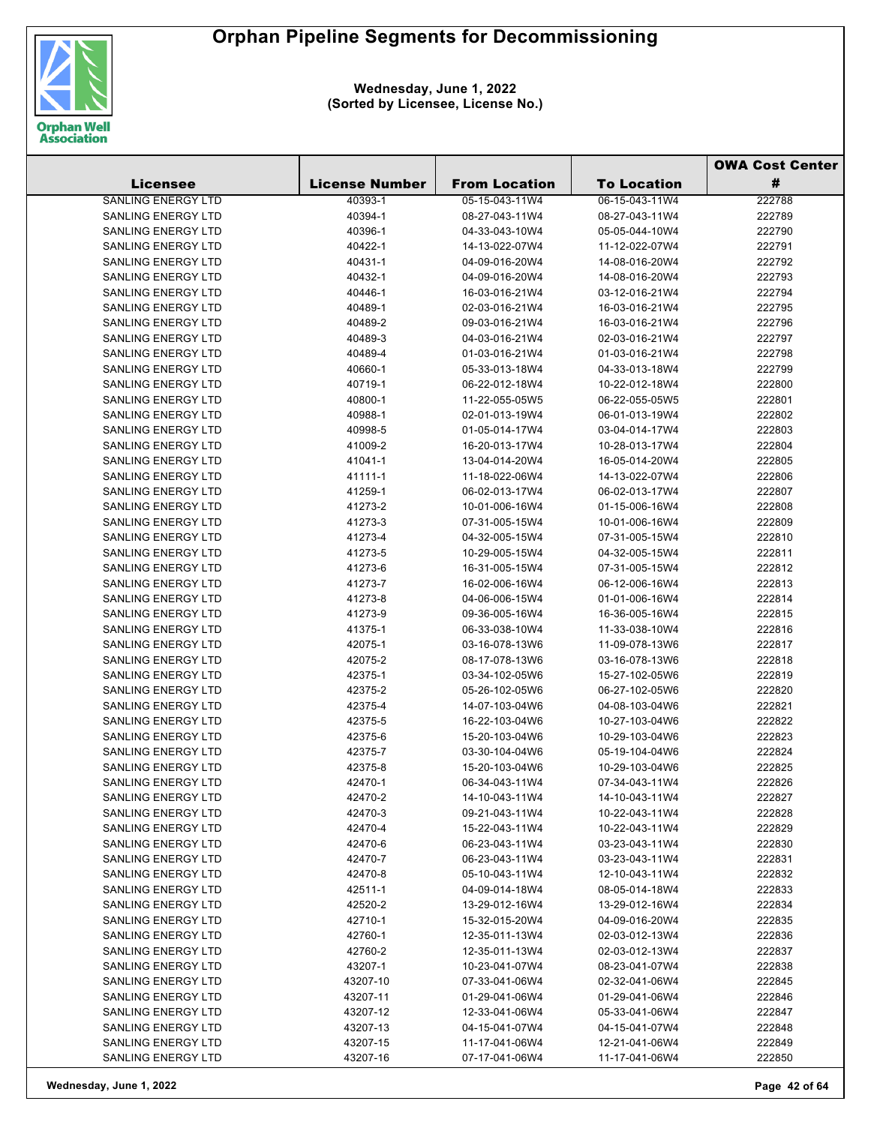

|                           |                       |                      |                    | <b>OWA Cost Center</b> |
|---------------------------|-----------------------|----------------------|--------------------|------------------------|
| <b>Licensee</b>           | <b>License Number</b> | <b>From Location</b> | <b>To Location</b> | #                      |
| <b>SANLING ENERGY LTD</b> | 40393-1               | 05-15-043-11W4       | 06-15-043-11W4     | 222788                 |
| <b>SANLING ENERGY LTD</b> | 40394-1               | 08-27-043-11W4       | 08-27-043-11W4     | 222789                 |
| <b>SANLING ENERGY LTD</b> | 40396-1               | 04-33-043-10W4       | 05-05-044-10W4     | 222790                 |
| <b>SANLING ENERGY LTD</b> | 40422-1               | 14-13-022-07W4       | 11-12-022-07W4     | 222791                 |
| <b>SANLING ENERGY LTD</b> | 40431-1               | 04-09-016-20W4       | 14-08-016-20W4     | 222792                 |
| <b>SANLING ENERGY LTD</b> | 40432-1               | 04-09-016-20W4       | 14-08-016-20W4     | 222793                 |
| <b>SANLING ENERGY LTD</b> | 40446-1               | 16-03-016-21W4       | 03-12-016-21W4     | 222794                 |
| <b>SANLING ENERGY LTD</b> | 40489-1               | 02-03-016-21W4       | 16-03-016-21W4     | 222795                 |
| <b>SANLING ENERGY LTD</b> | 40489-2               | 09-03-016-21W4       | 16-03-016-21W4     | 222796                 |
| <b>SANLING ENERGY LTD</b> | 40489-3               | 04-03-016-21W4       | 02-03-016-21W4     | 222797                 |
| <b>SANLING ENERGY LTD</b> | 40489-4               | 01-03-016-21W4       | 01-03-016-21W4     | 222798                 |
| <b>SANLING ENERGY LTD</b> | 40660-1               | 05-33-013-18W4       | 04-33-013-18W4     | 222799                 |
| <b>SANLING ENERGY LTD</b> | 40719-1               | 06-22-012-18W4       | 10-22-012-18W4     | 222800                 |
| <b>SANLING ENERGY LTD</b> | 40800-1               | 11-22-055-05W5       | 06-22-055-05W5     | 222801                 |
| <b>SANLING ENERGY LTD</b> | 40988-1               | 02-01-013-19W4       | 06-01-013-19W4     | 222802                 |
| <b>SANLING ENERGY LTD</b> | 40998-5               | 01-05-014-17W4       | 03-04-014-17W4     | 222803                 |
| <b>SANLING ENERGY LTD</b> | 41009-2               | 16-20-013-17W4       | 10-28-013-17W4     | 222804                 |
| <b>SANLING ENERGY LTD</b> | 41041-1               | 13-04-014-20W4       | 16-05-014-20W4     | 222805                 |
| SANLING ENERGY LTD        | 41111-1               | 11-18-022-06W4       | 14-13-022-07W4     | 222806                 |
| <b>SANLING ENERGY LTD</b> | 41259-1               | 06-02-013-17W4       | 06-02-013-17W4     | 222807                 |
| <b>SANLING ENERGY LTD</b> | 41273-2               | 10-01-006-16W4       | 01-15-006-16W4     | 222808                 |
| <b>SANLING ENERGY LTD</b> | 41273-3               | 07-31-005-15W4       | 10-01-006-16W4     | 222809                 |
| SANLING ENERGY LTD        | 41273-4               | 04-32-005-15W4       | 07-31-005-15W4     | 222810                 |
| <b>SANLING ENERGY LTD</b> | 41273-5               | 10-29-005-15W4       | 04-32-005-15W4     | 222811                 |
| SANLING ENERGY LTD        | 41273-6               | 16-31-005-15W4       | 07-31-005-15W4     | 222812                 |
| <b>SANLING ENERGY LTD</b> | 41273-7               | 16-02-006-16W4       | 06-12-006-16W4     | 222813                 |
| <b>SANLING ENERGY LTD</b> | 41273-8               | 04-06-006-15W4       | 01-01-006-16W4     | 222814                 |
| <b>SANLING ENERGY LTD</b> | 41273-9               | 09-36-005-16W4       | 16-36-005-16W4     | 222815                 |
| SANLING ENERGY LTD        | 41375-1               | 06-33-038-10W4       | 11-33-038-10W4     | 222816                 |
| <b>SANLING ENERGY LTD</b> | 42075-1               | 03-16-078-13W6       | 11-09-078-13W6     | 222817                 |
| <b>SANLING ENERGY LTD</b> | 42075-2               | 08-17-078-13W6       | 03-16-078-13W6     | 222818                 |
| <b>SANLING ENERGY LTD</b> | 42375-1               | 03-34-102-05W6       | 15-27-102-05W6     | 222819                 |
| <b>SANLING ENERGY LTD</b> | 42375-2               | 05-26-102-05W6       | 06-27-102-05W6     | 222820                 |
| <b>SANLING ENERGY LTD</b> | 42375-4               | 14-07-103-04W6       | 04-08-103-04W6     | 222821                 |
| SANLING ENERGY LTD        | 42375-5               | 16-22-103-04W6       | 10-27-103-04W6     | 222822                 |
| <b>SANLING ENERGY LTD</b> | 42375-6               | 15-20-103-04W6       | 10-29-103-04W6     | 222823                 |
| SANLING ENERGY LTD        | 42375-7               | 03-30-104-04W6       | 05-19-104-04W6     | 222824                 |
| <b>SANLING ENERGY LTD</b> | 42375-8               | 15-20-103-04W6       | 10-29-103-04W6     | 222825                 |
| SANLING ENERGY LTD        | 42470-1               | 06-34-043-11W4       | 07-34-043-11W4     | 222826                 |
| <b>SANLING ENERGY LTD</b> | 42470-2               | 14-10-043-11W4       | 14-10-043-11W4     | 222827                 |
| <b>SANLING ENERGY LTD</b> | 42470-3               | 09-21-043-11W4       | 10-22-043-11W4     | 222828                 |
| SANLING ENERGY LTD        | 42470-4               | 15-22-043-11W4       | 10-22-043-11W4     | 222829                 |
| <b>SANLING ENERGY LTD</b> | 42470-6               | 06-23-043-11W4       | 03-23-043-11W4     | 222830                 |
| SANLING ENERGY LTD        | 42470-7               | 06-23-043-11W4       | 03-23-043-11W4     | 222831                 |
| <b>SANLING ENERGY LTD</b> | 42470-8               | 05-10-043-11W4       | 12-10-043-11W4     | 222832                 |
| <b>SANLING ENERGY LTD</b> | 42511-1               | 04-09-014-18W4       | 08-05-014-18W4     | 222833                 |
| <b>SANLING ENERGY LTD</b> | 42520-2               | 13-29-012-16W4       | 13-29-012-16W4     | 222834                 |
| SANLING ENERGY LTD        | 42710-1               | 15-32-015-20W4       | 04-09-016-20W4     | 222835                 |
| SANLING ENERGY LTD        | 42760-1               | 12-35-011-13W4       | 02-03-012-13W4     | 222836                 |
| SANLING ENERGY LTD        | 42760-2               | 12-35-011-13W4       | 02-03-012-13W4     | 222837                 |
| <b>SANLING ENERGY LTD</b> | 43207-1               | 10-23-041-07W4       | 08-23-041-07W4     | 222838                 |
| SANLING ENERGY LTD        | 43207-10              | 07-33-041-06W4       | 02-32-041-06W4     | 222845                 |
| <b>SANLING ENERGY LTD</b> | 43207-11              | 01-29-041-06W4       | 01-29-041-06W4     | 222846                 |
| SANLING ENERGY LTD        | 43207-12              | 12-33-041-06W4       | 05-33-041-06W4     | 222847                 |
| <b>SANLING ENERGY LTD</b> | 43207-13              | 04-15-041-07W4       | 04-15-041-07W4     | 222848                 |
| SANLING ENERGY LTD        | 43207-15              | 11-17-041-06W4       | 12-21-041-06W4     | 222849                 |
| SANLING ENERGY LTD        | 43207-16              | 07-17-041-06W4       | 11-17-041-06W4     | 222850                 |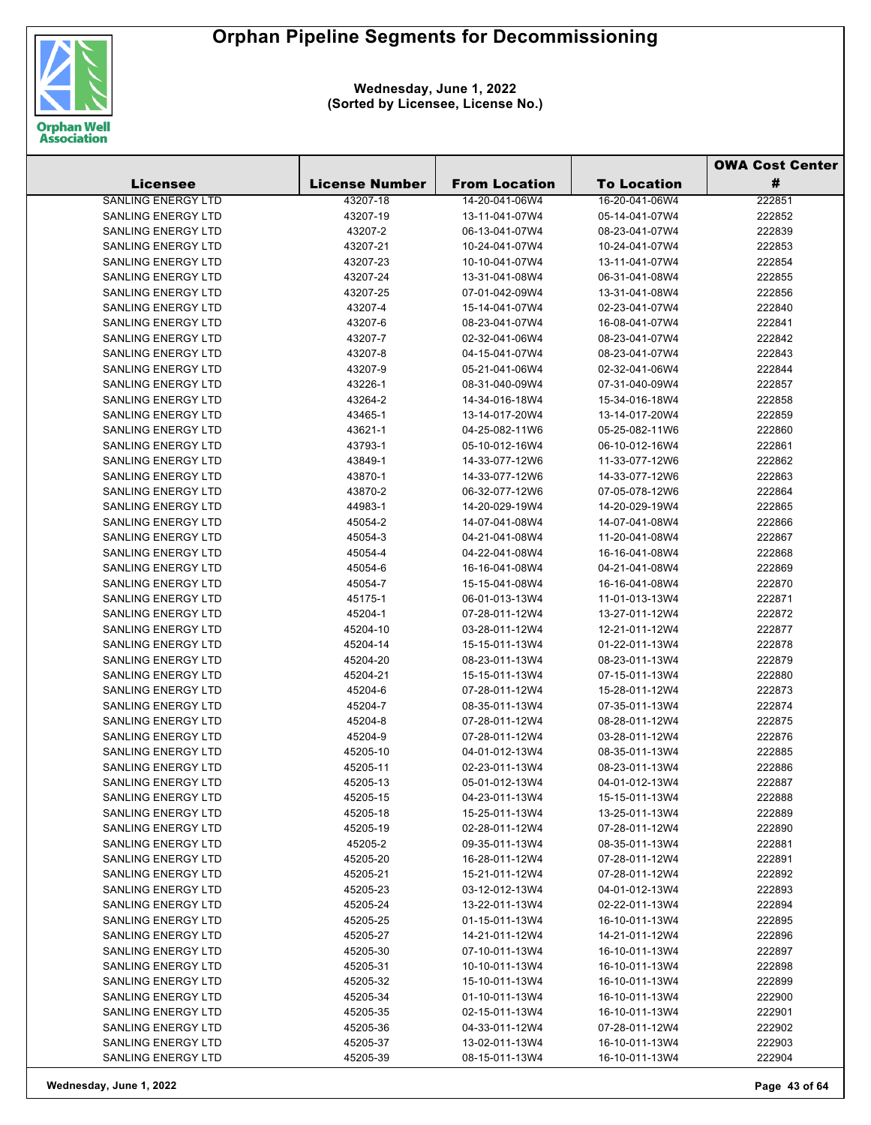

|                                                 |                       |                                  |                                  | <b>OWA Cost Center</b> |
|-------------------------------------------------|-----------------------|----------------------------------|----------------------------------|------------------------|
| <b>Licensee</b>                                 | <b>License Number</b> | <b>From Location</b>             | <b>To Location</b>               | #                      |
| <b>SANLING ENERGY LTD</b>                       | 43207-18              | 14-20-041-06W4                   | 16-20-041-06W4                   | 222851                 |
| SANLING ENERGY LTD                              | 43207-19              | 13-11-041-07W4                   | 05-14-041-07W4                   | 222852                 |
| <b>SANLING ENERGY LTD</b>                       | 43207-2               | 06-13-041-07W4                   | 08-23-041-07W4                   | 222839                 |
| <b>SANLING ENERGY LTD</b>                       | 43207-21              | 10-24-041-07W4                   | 10-24-041-07W4                   | 222853                 |
| SANLING ENERGY LTD                              | 43207-23              | 10-10-041-07W4                   | 13-11-041-07W4                   | 222854                 |
| <b>SANLING ENERGY LTD</b>                       | 43207-24              | 13-31-041-08W4                   | 06-31-041-08W4                   | 222855                 |
| SANLING ENERGY LTD                              | 43207-25              | 07-01-042-09W4                   | 13-31-041-08W4                   | 222856                 |
| SANLING ENERGY LTD                              | 43207-4               | 15-14-041-07W4                   | 02-23-041-07W4                   | 222840                 |
| SANLING ENERGY LTD                              | 43207-6               | 08-23-041-07W4                   | 16-08-041-07W4                   | 222841                 |
| <b>SANLING ENERGY LTD</b>                       | 43207-7               | 02-32-041-06W4                   | 08-23-041-07W4                   | 222842                 |
| <b>SANLING ENERGY LTD</b>                       | 43207-8               | 04-15-041-07W4                   | 08-23-041-07W4                   | 222843                 |
| SANLING ENERGY LTD                              | 43207-9               | 05-21-041-06W4                   | 02-32-041-06W4                   | 222844                 |
| SANLING ENERGY LTD                              | 43226-1               | 08-31-040-09W4                   | 07-31-040-09W4                   | 222857                 |
| SANLING ENERGY LTD                              | 43264-2               | 14-34-016-18W4                   | 15-34-016-18W4                   | 222858                 |
| <b>SANLING ENERGY LTD</b>                       | 43465-1               | 13-14-017-20W4                   | 13-14-017-20W4                   | 222859                 |
| SANLING ENERGY LTD                              | 43621-1               | 04-25-082-11W6                   | 05-25-082-11W6                   | 222860                 |
| SANLING ENERGY LTD                              | 43793-1               | 05-10-012-16W4                   | 06-10-012-16W4                   | 222861                 |
| <b>SANLING ENERGY LTD</b>                       | 43849-1               | 14-33-077-12W6                   | 11-33-077-12W6                   | 222862                 |
| <b>SANLING ENERGY LTD</b>                       | 43870-1               | 14-33-077-12W6                   | 14-33-077-12W6                   | 222863                 |
| <b>SANLING ENERGY LTD</b>                       | 43870-2               | 06-32-077-12W6                   | 07-05-078-12W6                   | 222864                 |
| SANLING ENERGY LTD                              | 44983-1               | 14-20-029-19W4                   | 14-20-029-19W4                   | 222865                 |
| SANLING ENERGY LTD                              | 45054-2               | 14-07-041-08W4                   | 14-07-041-08W4                   | 222866                 |
| <b>SANLING ENERGY LTD</b>                       | 45054-3               | 04-21-041-08W4                   | 11-20-041-08W4                   | 222867                 |
| <b>SANLING ENERGY LTD</b>                       | 45054-4               | 04-22-041-08W4                   | 16-16-041-08W4                   | 222868                 |
| SANLING ENERGY LTD                              | 45054-6               | 16-16-041-08W4                   | 04-21-041-08W4                   | 222869                 |
| SANLING ENERGY LTD                              | 45054-7               | 15-15-041-08W4                   | 16-16-041-08W4                   | 222870                 |
| SANLING ENERGY LTD                              | 45175-1               | 06-01-013-13W4                   | 11-01-013-13W4                   | 222871                 |
| SANLING ENERGY LTD                              | 45204-1               | 07-28-011-12W4                   | 13-27-011-12W4                   | 222872                 |
| <b>SANLING ENERGY LTD</b>                       | 45204-10              | 03-28-011-12W4                   | 12-21-011-12W4                   | 222877                 |
| SANLING ENERGY LTD                              | 45204-14              | 15-15-011-13W4                   | 01-22-011-13W4                   | 222878                 |
| SANLING ENERGY LTD                              | 45204-20              | 08-23-011-13W4                   | 08-23-011-13W4                   | 222879                 |
| SANLING ENERGY LTD                              | 45204-21              | 15-15-011-13W4                   | 07-15-011-13W4                   | 222880                 |
| SANLING ENERGY LTD                              | 45204-6               | 07-28-011-12W4                   | 15-28-011-12W4                   | 222873                 |
| SANLING ENERGY LTD                              | 45204-7               | 08-35-011-13W4                   | 07-35-011-13W4                   | 222874                 |
| SANLING ENERGY LTD                              | 45204-8               | 07-28-011-12W4                   | 08-28-011-12W4                   | 222875                 |
| SANLING ENERGY LTD                              | 45204-9               | 07-28-011-12W4                   | 03-28-011-12W4                   | 222876                 |
| <b>SANLING ENERGY LTD</b>                       | 45205-10              | 04-01-012-13W4                   | 08-35-011-13W4                   | 222885                 |
| <b>SANLING ENERGY LTD</b>                       | 45205-11              | 02-23-011-13W4                   | 08-23-011-13W4                   | 222886                 |
| SANLING ENERGY LTD                              | 45205-13              | 05-01-012-13W4                   | 04-01-012-13W4                   | 222887                 |
| SANLING ENERGY LTD                              | 45205-15              | 04-23-011-13W4                   | 15-15-011-13W4                   | 222888                 |
| <b>SANLING ENERGY LTD</b>                       | 45205-18              | 15-25-011-13W4                   | 13-25-011-13W4                   | 222889                 |
| <b>SANLING ENERGY LTD</b>                       | 45205-19              | 02-28-011-12W4                   | 07-28-011-12W4                   | 222890                 |
| <b>SANLING ENERGY LTD</b>                       | 45205-2               | 09-35-011-13W4                   | 08-35-011-13W4                   | 222881                 |
| <b>SANLING ENERGY LTD</b>                       | 45205-20              | 16-28-011-12W4                   | 07-28-011-12W4                   | 222891                 |
| <b>SANLING ENERGY LTD</b>                       | 45205-21              | 15-21-011-12W4                   | 07-28-011-12W4                   | 222892                 |
| SANLING ENERGY LTD                              | 45205-23              | 03-12-012-13W4                   | 04-01-012-13W4                   | 222893                 |
| SANLING ENERGY LTD                              | 45205-24              | 13-22-011-13W4                   | 02-22-011-13W4                   | 222894                 |
| SANLING ENERGY LTD                              | 45205-25              | 01-15-011-13W4                   | 16-10-011-13W4                   | 222895                 |
| <b>SANLING ENERGY LTD</b>                       | 45205-27              | 14-21-011-12W4                   | 14-21-011-12W4                   | 222896                 |
| SANLING ENERGY LTD                              | 45205-30              | 07-10-011-13W4                   | 16-10-011-13W4                   | 222897                 |
| SANLING ENERGY LTD                              | 45205-31              | 10-10-011-13W4                   | 16-10-011-13W4                   | 222898                 |
| SANLING ENERGY LTD                              | 45205-32              | 15-10-011-13W4                   | 16-10-011-13W4                   | 222899                 |
| SANLING ENERGY LTD                              | 45205-34              | 01-10-011-13W4                   | 16-10-011-13W4                   | 222900                 |
| <b>SANLING ENERGY LTD</b><br>SANLING ENERGY LTD | 45205-35              | 02-15-011-13W4                   | 16-10-011-13W4                   | 222901                 |
| SANLING ENERGY LTD                              | 45205-36              | 04-33-011-12W4                   | 07-28-011-12W4                   | 222902                 |
| SANLING ENERGY LTD                              | 45205-37<br>45205-39  | 13-02-011-13W4<br>08-15-011-13W4 | 16-10-011-13W4<br>16-10-011-13W4 | 222903<br>222904       |
|                                                 |                       |                                  |                                  |                        |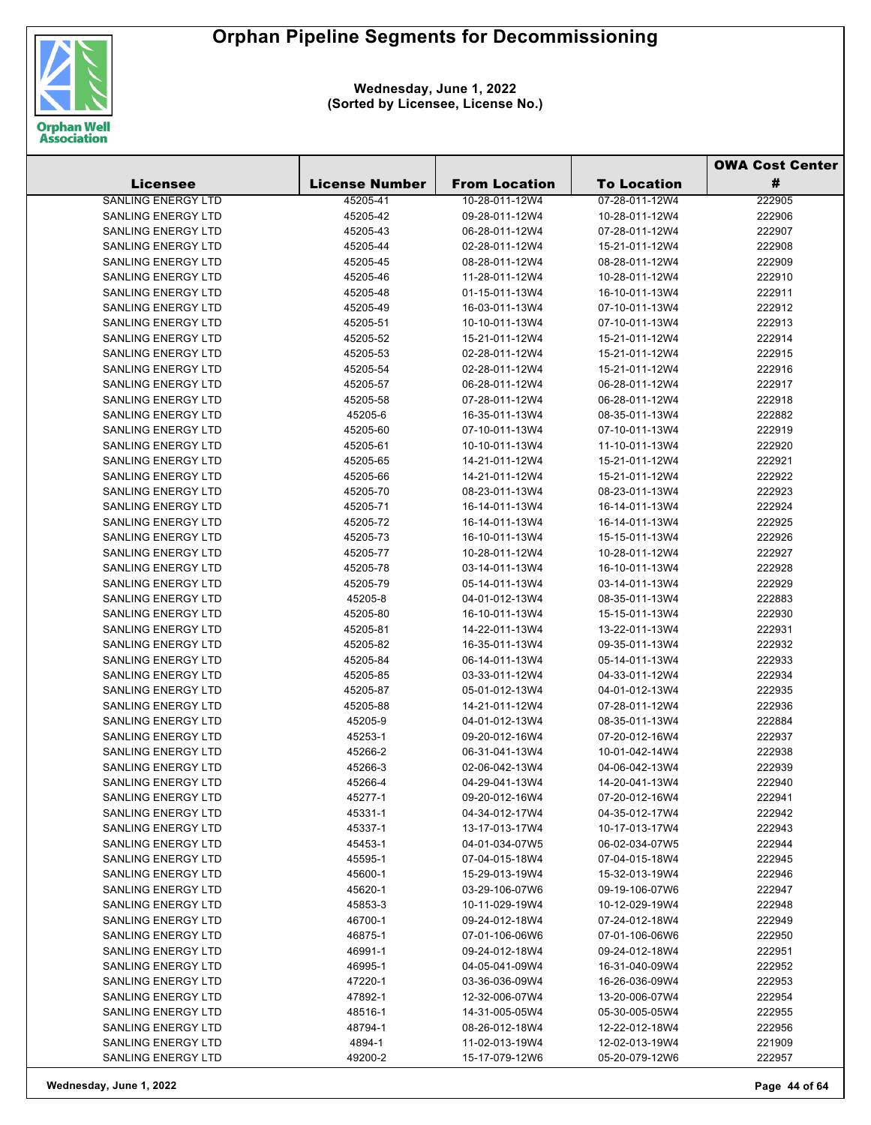

|                           |                       |                      |                    | <b>OWA Cost Center</b> |
|---------------------------|-----------------------|----------------------|--------------------|------------------------|
| <b>Licensee</b>           | <b>License Number</b> | <b>From Location</b> | <b>To Location</b> | #                      |
| SANLING ENERGY LTD        | 45205-41              | 10-28-011-12W4       | 07-28-011-12W4     | 222905                 |
| SANLING ENERGY LTD        | 45205-42              | 09-28-011-12W4       | 10-28-011-12W4     | 222906                 |
| <b>SANLING ENERGY LTD</b> | 45205-43              | 06-28-011-12W4       | 07-28-011-12W4     | 222907                 |
| <b>SANLING ENERGY LTD</b> | 45205-44              | 02-28-011-12W4       | 15-21-011-12W4     | 222908                 |
| SANLING ENERGY LTD        | 45205-45              | 08-28-011-12W4       | 08-28-011-12W4     | 222909                 |
| <b>SANLING ENERGY LTD</b> | 45205-46              | 11-28-011-12W4       | 10-28-011-12W4     | 222910                 |
| SANLING ENERGY LTD        | 45205-48              | 01-15-011-13W4       | 16-10-011-13W4     | 222911                 |
| <b>SANLING ENERGY LTD</b> | 45205-49              | 16-03-011-13W4       | 07-10-011-13W4     | 222912                 |
| <b>SANLING ENERGY LTD</b> | 45205-51              | 10-10-011-13W4       | 07-10-011-13W4     | 222913                 |
| <b>SANLING ENERGY LTD</b> | 45205-52              | 15-21-011-12W4       | 15-21-011-12W4     | 222914                 |
| SANLING ENERGY LTD        | 45205-53              | 02-28-011-12W4       | 15-21-011-12W4     | 222915                 |
| <b>SANLING ENERGY LTD</b> | 45205-54              | 02-28-011-12W4       | 15-21-011-12W4     | 222916                 |
| SANLING ENERGY LTD        | 45205-57              | 06-28-011-12W4       | 06-28-011-12W4     | 222917                 |
| SANLING ENERGY LTD        | 45205-58              | 07-28-011-12W4       | 06-28-011-12W4     | 222918                 |
| SANLING ENERGY LTD        | 45205-6               | 16-35-011-13W4       | 08-35-011-13W4     | 222882                 |
| SANLING ENERGY LTD        | 45205-60              | 07-10-011-13W4       | 07-10-011-13W4     | 222919                 |
| SANLING ENERGY LTD        | 45205-61              | 10-10-011-13W4       | 11-10-011-13W4     | 222920                 |
| <b>SANLING ENERGY LTD</b> | 45205-65              | 14-21-011-12W4       | 15-21-011-12W4     | 222921                 |
| SANLING ENERGY LTD        | 45205-66              | 14-21-011-12W4       | 15-21-011-12W4     | 222922                 |
| SANLING ENERGY LTD        | 45205-70              | 08-23-011-13W4       | 08-23-011-13W4     | 222923                 |
| <b>SANLING ENERGY LTD</b> | 45205-71              | 16-14-011-13W4       | 16-14-011-13W4     | 222924                 |
| <b>SANLING ENERGY LTD</b> | 45205-72              | 16-14-011-13W4       | 16-14-011-13W4     | 222925                 |
| SANLING ENERGY LTD        | 45205-73              | 16-10-011-13W4       | 15-15-011-13W4     | 222926                 |
| <b>SANLING ENERGY LTD</b> | 45205-77              | 10-28-011-12W4       | 10-28-011-12W4     | 222927                 |
| SANLING ENERGY LTD        | 45205-78              | 03-14-011-13W4       | 16-10-011-13W4     | 222928                 |
| SANLING ENERGY LTD        | 45205-79              | 05-14-011-13W4       | 03-14-011-13W4     | 222929                 |
| <b>SANLING ENERGY LTD</b> | 45205-8               | 04-01-012-13W4       | 08-35-011-13W4     | 222883                 |
| SANLING ENERGY LTD        | 45205-80              | 16-10-011-13W4       | 15-15-011-13W4     | 222930                 |
| SANLING ENERGY LTD        | 45205-81              | 14-22-011-13W4       | 13-22-011-13W4     | 222931                 |
| SANLING ENERGY LTD        | 45205-82              | 16-35-011-13W4       | 09-35-011-13W4     | 222932                 |
| <b>SANLING ENERGY LTD</b> | 45205-84              | 06-14-011-13W4       | 05-14-011-13W4     | 222933                 |
| SANLING ENERGY LTD        | 45205-85              | 03-33-011-12W4       | 04-33-011-12W4     | 222934                 |
| SANLING ENERGY LTD        | 45205-87              | 05-01-012-13W4       | 04-01-012-13W4     | 222935                 |
| SANLING ENERGY LTD        | 45205-88              | 14-21-011-12W4       | 07-28-011-12W4     | 222936                 |
| SANLING ENERGY LTD        | 45205-9               | 04-01-012-13W4       | 08-35-011-13W4     | 222884                 |
| SANLING ENERGY LTD        | 45253-1               | 09-20-012-16W4       | 07-20-012-16W4     | 222937                 |
| <b>SANLING ENERGY LTD</b> | 45266-2               | 06-31-041-13W4       | 10-01-042-14W4     | 222938                 |
| <b>SANLING ENERGY LTD</b> | 45266-3               | 02-06-042-13W4       | 04-06-042-13W4     | 222939                 |
| SANLING ENERGY LTD        | 45266-4               | 04-29-041-13W4       | 14-20-041-13W4     | 222940                 |
| <b>SANLING ENERGY LTD</b> | 45277-1               | 09-20-012-16W4       | 07-20-012-16W4     | 222941                 |
| SANLING ENERGY LTD        | 45331-1               | 04-34-012-17W4       | 04-35-012-17W4     | 222942                 |
| <b>SANLING ENERGY LTD</b> | 45337-1               | 13-17-013-17W4       | 10-17-013-17W4     | 222943                 |
| <b>SANLING ENERGY LTD</b> | 45453-1               | 04-01-034-07W5       | 06-02-034-07W5     | 222944                 |
| SANLING ENERGY LTD        | 45595-1               | 07-04-015-18W4       | 07-04-015-18W4     | 222945                 |
| SANLING ENERGY LTD        | 45600-1               | 15-29-013-19W4       | 15-32-013-19W4     | 222946                 |
| <b>SANLING ENERGY LTD</b> | 45620-1               | 03-29-106-07W6       | 09-19-106-07W6     | 222947                 |
| <b>SANLING ENERGY LTD</b> | 45853-3               | 10-11-029-19W4       | 10-12-029-19W4     | 222948                 |
| <b>SANLING ENERGY LTD</b> | 46700-1               | 09-24-012-18W4       | 07-24-012-18W4     | 222949                 |
| <b>SANLING ENERGY LTD</b> | 46875-1               | 07-01-106-06W6       | 07-01-106-06W6     | 222950                 |
| SANLING ENERGY LTD        | 46991-1               | 09-24-012-18W4       | 09-24-012-18W4     | 222951                 |
| <b>SANLING ENERGY LTD</b> | 46995-1               | 04-05-041-09W4       | 16-31-040-09W4     | 222952                 |
| <b>SANLING ENERGY LTD</b> | 47220-1               | 03-36-036-09W4       | 16-26-036-09W4     | 222953                 |
| <b>SANLING ENERGY LTD</b> | 47892-1               | 12-32-006-07W4       | 13-20-006-07W4     | 222954                 |
| <b>SANLING ENERGY LTD</b> | 48516-1               | 14-31-005-05W4       | 05-30-005-05W4     | 222955                 |
| <b>SANLING ENERGY LTD</b> | 48794-1               | 08-26-012-18W4       | 12-22-012-18W4     | 222956                 |
| SANLING ENERGY LTD        | 4894-1                | 11-02-013-19W4       | 12-02-013-19W4     | 221909                 |
| <b>SANLING ENERGY LTD</b> | 49200-2               | 15-17-079-12W6       | 05-20-079-12W6     | 222957                 |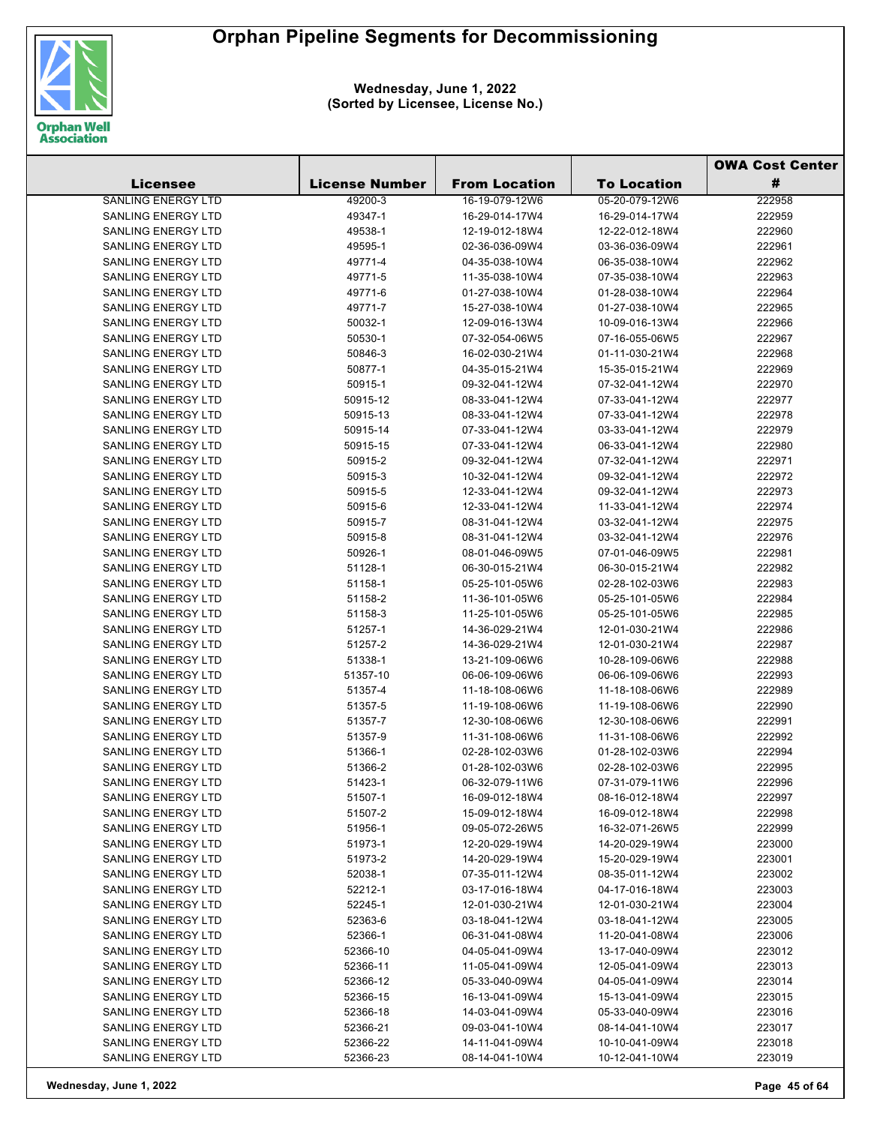

|                                                        |                       |                                  |                                  | <b>OWA Cost Center</b> |
|--------------------------------------------------------|-----------------------|----------------------------------|----------------------------------|------------------------|
| Licensee                                               | <b>License Number</b> | <b>From Location</b>             | <b>To Location</b>               | #                      |
| <b>SANLING ENERGY LTD</b>                              | 49200-3               | 16-19-079-12W6                   | 05-20-079-12W6                   | 222958                 |
| <b>SANLING ENERGY LTD</b>                              | 49347-1               | 16-29-014-17W4                   | 16-29-014-17W4                   | 222959                 |
| SANLING ENERGY LTD                                     | 49538-1               | 12-19-012-18W4                   | 12-22-012-18W4                   | 222960                 |
| <b>SANLING ENERGY LTD</b>                              | 49595-1               | 02-36-036-09W4                   | 03-36-036-09W4                   | 222961                 |
| SANLING ENERGY LTD                                     | 49771-4               | 04-35-038-10W4                   | 06-35-038-10W4                   | 222962                 |
| <b>SANLING ENERGY LTD</b>                              | 49771-5               | 11-35-038-10W4                   | 07-35-038-10W4                   | 222963                 |
| SANLING ENERGY LTD                                     | 49771-6               | 01-27-038-10W4                   | 01-28-038-10W4                   | 222964                 |
| <b>SANLING ENERGY LTD</b>                              | 49771-7               | 15-27-038-10W4                   | 01-27-038-10W4                   | 222965                 |
| SANLING ENERGY LTD                                     | 50032-1               | 12-09-016-13W4                   | 10-09-016-13W4                   | 222966                 |
| <b>SANLING ENERGY LTD</b>                              | 50530-1               | 07-32-054-06W5                   | 07-16-055-06W5                   | 222967                 |
| <b>SANLING ENERGY LTD</b>                              | 50846-3               | 16-02-030-21W4                   | 01-11-030-21W4                   | 222968                 |
| SANLING ENERGY LTD                                     | 50877-1               | 04-35-015-21W4                   | 15-35-015-21W4                   | 222969                 |
| SANLING ENERGY LTD                                     | 50915-1               | 09-32-041-12W4                   | 07-32-041-12W4                   | 222970                 |
| SANLING ENERGY LTD                                     | 50915-12              | 08-33-041-12W4                   | 07-33-041-12W4                   | 222977                 |
| SANLING ENERGY LTD                                     | 50915-13              | 08-33-041-12W4                   | 07-33-041-12W4                   | 222978                 |
| <b>SANLING ENERGY LTD</b>                              | 50915-14              | 07-33-041-12W4                   | 03-33-041-12W4                   | 222979                 |
| SANLING ENERGY LTD                                     | 50915-15              | 07-33-041-12W4                   | 06-33-041-12W4                   | 222980                 |
| <b>SANLING ENERGY LTD</b>                              | 50915-2               | 09-32-041-12W4                   | 07-32-041-12W4                   | 222971                 |
| SANLING ENERGY LTD                                     | 50915-3               | 10-32-041-12W4                   | 09-32-041-12W4                   | 222972                 |
| <b>SANLING ENERGY LTD</b>                              | 50915-5               | 12-33-041-12W4                   | 09-32-041-12W4                   | 222973                 |
| <b>SANLING ENERGY LTD</b>                              | 50915-6               | 12-33-041-12W4                   | 11-33-041-12W4                   | 222974                 |
| SANLING ENERGY LTD                                     | 50915-7               | 08-31-041-12W4                   | 03-32-041-12W4                   | 222975                 |
| <b>SANLING ENERGY LTD</b>                              | 50915-8               | 08-31-041-12W4                   | 03-32-041-12W4                   | 222976                 |
| <b>SANLING ENERGY LTD</b>                              | 50926-1               | 08-01-046-09W5                   | 07-01-046-09W5                   | 222981                 |
| SANLING ENERGY LTD                                     | 51128-1               | 06-30-015-21W4                   | 06-30-015-21W4                   | 222982                 |
| SANLING ENERGY LTD                                     | 51158-1               | 05-25-101-05W6                   | 02-28-102-03W6                   | 222983                 |
| SANLING ENERGY LTD                                     | 51158-2               | 11-36-101-05W6                   | 05-25-101-05W6                   | 222984                 |
| SANLING ENERGY LTD                                     | 51158-3               | 11-25-101-05W6                   | 05-25-101-05W6                   | 222985                 |
| <b>SANLING ENERGY LTD</b>                              | 51257-1               | 14-36-029-21W4                   | 12-01-030-21W4                   | 222986                 |
| SANLING ENERGY LTD                                     | 51257-2               | 14-36-029-21W4                   | 12-01-030-21W4                   | 222987                 |
| SANLING ENERGY LTD                                     | 51338-1               | 13-21-109-06W6                   | 10-28-109-06W6                   | 222988                 |
| SANLING ENERGY LTD                                     | 51357-10              | 06-06-109-06W6                   | 06-06-109-06W6                   | 222993                 |
| <b>SANLING ENERGY LTD</b>                              | 51357-4               | 11-18-108-06W6                   | 11-18-108-06W6                   | 222989                 |
| SANLING ENERGY LTD                                     | 51357-5               | 11-19-108-06W6                   | 11-19-108-06W6                   | 222990                 |
| SANLING ENERGY LTD                                     | 51357-7               | 12-30-108-06W6                   | 12-30-108-06W6                   | 222991                 |
| SANLING ENERGY LTD                                     | 51357-9               | 11-31-108-06W6                   | 11-31-108-06W6                   | 222992                 |
| <b>SANLING ENERGY LTD</b>                              | 51366-1               | 02-28-102-03W6                   | 01-28-102-03W6                   | 222994                 |
| SANLING ENERGY LTD                                     | 51366-2               | 01-28-102-03W6                   | 02-28-102-03W6                   | 222995                 |
| SANLING ENERGY LTD                                     | 51423-1               | 06-32-079-11W6                   | 07-31-079-11W6                   | 222996                 |
| SANLING ENERGY LTD                                     | 51507-1               | 16-09-012-18W4                   | 08-16-012-18W4                   | 222997                 |
| <b>SANLING ENERGY LTD</b>                              | 51507-2               | 15-09-012-18W4                   | 16-09-012-18W4                   | 222998                 |
| <b>SANLING ENERGY LTD</b>                              | 51956-1               | 09-05-072-26W5                   | 16-32-071-26W5                   | 222999                 |
| <b>SANLING ENERGY LTD</b>                              | 51973-1               | 12-20-029-19W4                   | 14-20-029-19W4                   | 223000                 |
| <b>SANLING ENERGY LTD</b>                              | 51973-2               | 14-20-029-19W4                   | 15-20-029-19W4                   | 223001                 |
| <b>SANLING ENERGY LTD</b><br><b>SANLING ENERGY LTD</b> | 52038-1               | 07-35-011-12W4                   | 08-35-011-12W4                   | 223002                 |
|                                                        | 52212-1               | 03-17-016-18W4<br>12-01-030-21W4 | 04-17-016-18W4                   | 223003                 |
| SANLING ENERGY LTD<br><b>SANLING ENERGY LTD</b>        | 52245-1               |                                  | 12-01-030-21W4<br>03-18-041-12W4 | 223004                 |
| <b>SANLING ENERGY LTD</b>                              | 52363-6<br>52366-1    | 03-18-041-12W4<br>06-31-041-08W4 | 11-20-041-08W4                   | 223005<br>223006       |
| SANLING ENERGY LTD                                     | 52366-10              | 04-05-041-09W4                   | 13-17-040-09W4                   | 223012                 |
| SANLING ENERGY LTD                                     | 52366-11              | 11-05-041-09W4                   | 12-05-041-09W4                   | 223013                 |
| SANLING ENERGY LTD                                     | 52366-12              | 05-33-040-09W4                   | 04-05-041-09W4                   | 223014                 |
| <b>SANLING ENERGY LTD</b>                              | 52366-15              | 16-13-041-09W4                   | 15-13-041-09W4                   | 223015                 |
| <b>SANLING ENERGY LTD</b>                              | 52366-18              | 14-03-041-09W4                   | 05-33-040-09W4                   | 223016                 |
| SANLING ENERGY LTD                                     | 52366-21              | 09-03-041-10W4                   | 08-14-041-10W4                   | 223017                 |
| SANLING ENERGY LTD                                     | 52366-22              | 14-11-041-09W4                   | 10-10-041-09W4                   | 223018                 |
| SANLING ENERGY LTD                                     | 52366-23              | 08-14-041-10W4                   | 10-12-041-10W4                   | 223019                 |
|                                                        |                       |                                  |                                  |                        |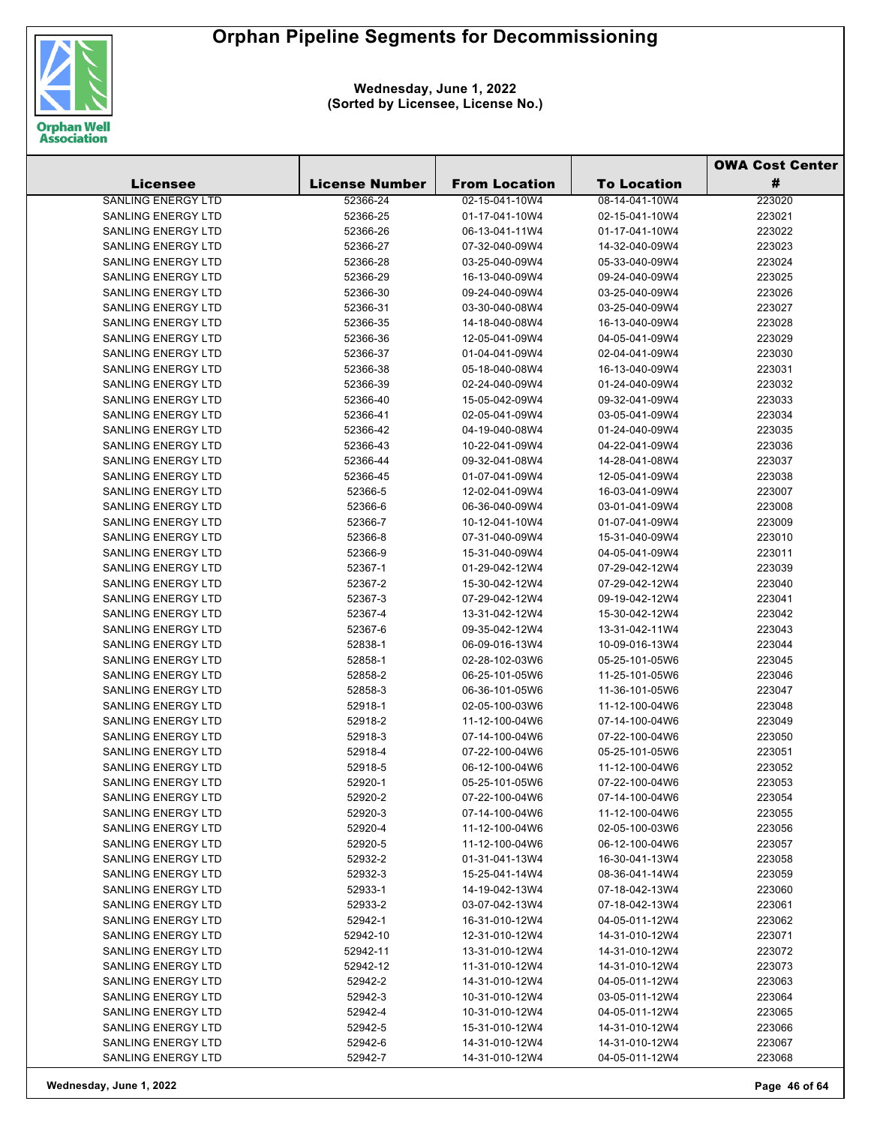

|                           |                       |                      |                    | <b>OWA Cost Center</b> |
|---------------------------|-----------------------|----------------------|--------------------|------------------------|
| <b>Licensee</b>           | <b>License Number</b> | <b>From Location</b> | <b>To Location</b> | #                      |
| <b>SANLING ENERGY LTD</b> | 52366-24              | 02-15-041-10W4       | 08-14-041-10W4     | 223020                 |
| <b>SANLING ENERGY LTD</b> | 52366-25              | 01-17-041-10W4       | 02-15-041-10W4     | 223021                 |
| <b>SANLING ENERGY LTD</b> | 52366-26              | 06-13-041-11W4       | 01-17-041-10W4     | 223022                 |
| SANLING ENERGY LTD        | 52366-27              | 07-32-040-09W4       | 14-32-040-09W4     | 223023                 |
| SANLING ENERGY LTD        | 52366-28              | 03-25-040-09W4       | 05-33-040-09W4     | 223024                 |
| SANLING ENERGY LTD        | 52366-29              | 16-13-040-09W4       | 09-24-040-09W4     | 223025                 |
| SANLING ENERGY LTD        | 52366-30              | 09-24-040-09W4       | 03-25-040-09W4     | 223026                 |
| SANLING ENERGY LTD        | 52366-31              | 03-30-040-08W4       | 03-25-040-09W4     | 223027                 |
| <b>SANLING ENERGY LTD</b> | 52366-35              | 14-18-040-08W4       | 16-13-040-09W4     | 223028                 |
| <b>SANLING ENERGY LTD</b> | 52366-36              | 12-05-041-09W4       | 04-05-041-09W4     | 223029                 |
| SANLING ENERGY LTD        | 52366-37              | 01-04-041-09W4       | 02-04-041-09W4     | 223030                 |
| SANLING ENERGY LTD        | 52366-38              | 05-18-040-08W4       | 16-13-040-09W4     | 223031                 |
| SANLING ENERGY LTD        | 52366-39              | 02-24-040-09W4       | 01-24-040-09W4     | 223032                 |
| SANLING ENERGY LTD        | 52366-40              | 15-05-042-09W4       | 09-32-041-09W4     | 223033                 |
| SANLING ENERGY LTD        | 52366-41              | 02-05-041-09W4       | 03-05-041-09W4     | 223034                 |
| <b>SANLING ENERGY LTD</b> | 52366-42              | 04-19-040-08W4       | 01-24-040-09W4     | 223035                 |
| SANLING ENERGY LTD        | 52366-43              | 10-22-041-09W4       | 04-22-041-09W4     | 223036                 |
| <b>SANLING ENERGY LTD</b> | 52366-44              | 09-32-041-08W4       | 14-28-041-08W4     | 223037                 |
| SANLING ENERGY LTD        | 52366-45              | 01-07-041-09W4       | 12-05-041-09W4     | 223038                 |
| SANLING ENERGY LTD        | 52366-5               | 12-02-041-09W4       | 16-03-041-09W4     | 223007                 |
| SANLING ENERGY LTD        | 52366-6               | 06-36-040-09W4       | 03-01-041-09W4     | 223008                 |
| <b>SANLING ENERGY LTD</b> | 52366-7               | 10-12-041-10W4       | 01-07-041-09W4     | 223009                 |
| SANLING ENERGY LTD        | 52366-8               | 07-31-040-09W4       | 15-31-040-09W4     | 223010                 |
| SANLING ENERGY LTD        | 52366-9               | 15-31-040-09W4       | 04-05-041-09W4     | 223011                 |
| SANLING ENERGY LTD        | 52367-1               | 01-29-042-12W4       | 07-29-042-12W4     | 223039                 |
| SANLING ENERGY LTD        | 52367-2               | 15-30-042-12W4       | 07-29-042-12W4     | 223040                 |
| SANLING ENERGY LTD        | 52367-3               | 07-29-042-12W4       | 09-19-042-12W4     | 223041                 |
| SANLING ENERGY LTD        | 52367-4               | 13-31-042-12W4       | 15-30-042-12W4     | 223042                 |
| SANLING ENERGY LTD        | 52367-6               | 09-35-042-12W4       | 13-31-042-11W4     | 223043                 |
| SANLING ENERGY LTD        | 52838-1               | 06-09-016-13W4       | 10-09-016-13W4     | 223044                 |
| SANLING ENERGY LTD        | 52858-1               | 02-28-102-03W6       | 05-25-101-05W6     | 223045                 |
| SANLING ENERGY LTD        | 52858-2               | 06-25-101-05W6       | 11-25-101-05W6     | 223046                 |
| SANLING ENERGY LTD        | 52858-3               | 06-36-101-05W6       | 11-36-101-05W6     | 223047                 |
| SANLING ENERGY LTD        | 52918-1               | 02-05-100-03W6       | 11-12-100-04W6     | 223048                 |
| SANLING ENERGY LTD        | 52918-2               | 11-12-100-04W6       | 07-14-100-04W6     | 223049                 |
| SANLING ENERGY LTD        | 52918-3               | 07-14-100-04W6       | 07-22-100-04W6     | 223050                 |
| SANLING ENERGY LTD        | 52918-4               | 07-22-100-04W6       | 05-25-101-05W6     | 223051                 |
| SANLING ENERGY LTD        | 52918-5               | 06-12-100-04W6       | 11-12-100-04W6     | 223052                 |
| SANLING ENERGY LTD        | 52920-1               | 05-25-101-05W6       | 07-22-100-04W6     | 223053                 |
| <b>SANLING ENERGY LTD</b> | 52920-2               | 07-22-100-04W6       | 07-14-100-04W6     | 223054                 |
| <b>SANLING ENERGY LTD</b> | 52920-3               | 07-14-100-04W6       | 11-12-100-04W6     | 223055                 |
| <b>SANLING ENERGY LTD</b> | 52920-4               | 11-12-100-04W6       | 02-05-100-03W6     | 223056                 |
| <b>SANLING ENERGY LTD</b> | 52920-5               | 11-12-100-04W6       | 06-12-100-04W6     | 223057                 |
| SANLING ENERGY LTD        | 52932-2               | 01-31-041-13W4       | 16-30-041-13W4     | 223058                 |
| <b>SANLING ENERGY LTD</b> | 52932-3               | 15-25-041-14W4       | 08-36-041-14W4     | 223059                 |
| <b>SANLING ENERGY LTD</b> | 52933-1               | 14-19-042-13W4       | 07-18-042-13W4     | 223060                 |
| <b>SANLING ENERGY LTD</b> | 52933-2               | 03-07-042-13W4       | 07-18-042-13W4     | 223061                 |
| <b>SANLING ENERGY LTD</b> | 52942-1               | 16-31-010-12W4       | 04-05-011-12W4     | 223062                 |
| <b>SANLING ENERGY LTD</b> | 52942-10              | 12-31-010-12W4       | 14-31-010-12W4     | 223071                 |
| SANLING ENERGY LTD        | 52942-11              | 13-31-010-12W4       | 14-31-010-12W4     | 223072                 |
| SANLING ENERGY LTD        | 52942-12              | 11-31-010-12W4       | 14-31-010-12W4     | 223073                 |
| SANLING ENERGY LTD        | 52942-2               | 14-31-010-12W4       | 04-05-011-12W4     | 223063                 |
| SANLING ENERGY LTD        | 52942-3               | 10-31-010-12W4       | 03-05-011-12W4     | 223064                 |
| SANLING ENERGY LTD        | 52942-4               | 10-31-010-12W4       | 04-05-011-12W4     | 223065                 |
| SANLING ENERGY LTD        | 52942-5               | 15-31-010-12W4       | 14-31-010-12W4     | 223066                 |
| SANLING ENERGY LTD        | 52942-6               | 14-31-010-12W4       | 14-31-010-12W4     | 223067                 |
| SANLING ENERGY LTD        | 52942-7               | 14-31-010-12W4       | 04-05-011-12W4     | 223068                 |
|                           |                       |                      |                    |                        |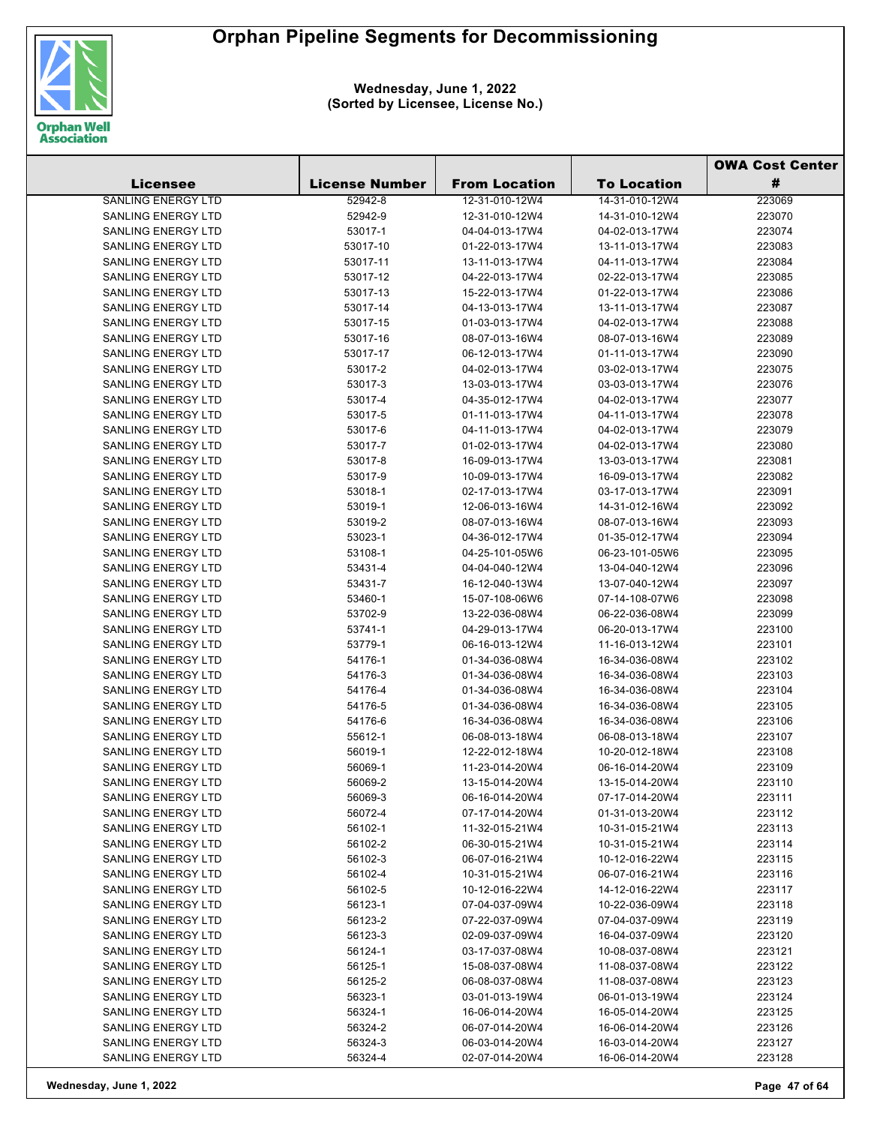

|                           |                       |                      |                                  | <b>OWA Cost Center</b> |
|---------------------------|-----------------------|----------------------|----------------------------------|------------------------|
| <b>Licensee</b>           | <b>License Number</b> | <b>From Location</b> | <b>To Location</b>               | #                      |
| SANLING ENERGY LTD        | 52942-8               | 12-31-010-12W4       | 14-31-010-12W4                   | 223069                 |
| SANLING ENERGY LTD        | 52942-9               | 12-31-010-12W4       | 14-31-010-12W4                   | 223070                 |
| <b>SANLING ENERGY LTD</b> | 53017-1               | 04-04-013-17W4       | 04-02-013-17W4                   | 223074                 |
| SANLING ENERGY LTD        | 53017-10              | 01-22-013-17W4       | 13-11-013-17W4                   | 223083                 |
| SANLING ENERGY LTD        | 53017-11              | 13-11-013-17W4       | 04-11-013-17W4                   | 223084                 |
| SANLING ENERGY LTD        | 53017-12              | 04-22-013-17W4       | 02-22-013-17W4                   | 223085                 |
| <b>SANLING ENERGY LTD</b> | 53017-13              | 15-22-013-17W4       | 01-22-013-17W4                   | 223086                 |
| SANLING ENERGY LTD        | 53017-14              | 04-13-013-17W4       | 13-11-013-17W4                   | 223087                 |
| <b>SANLING ENERGY LTD</b> | 53017-15              | 01-03-013-17W4       | 04-02-013-17W4                   | 223088                 |
| <b>SANLING ENERGY LTD</b> | 53017-16              | 08-07-013-16W4       | 08-07-013-16W4                   | 223089                 |
| <b>SANLING ENERGY LTD</b> | 53017-17              | 06-12-013-17W4       | 01-11-013-17W4                   | 223090                 |
| <b>SANLING ENERGY LTD</b> | 53017-2               | 04-02-013-17W4       | 03-02-013-17W4                   | 223075                 |
| <b>SANLING ENERGY LTD</b> | 53017-3               | 13-03-013-17W4       | 03-03-013-17W4                   | 223076                 |
| <b>SANLING ENERGY LTD</b> | 53017-4               | 04-35-012-17W4       | 04-02-013-17W4                   | 223077                 |
| SANLING ENERGY LTD        | 53017-5               | 01-11-013-17W4       | 04-11-013-17W4                   | 223078                 |
| <b>SANLING ENERGY LTD</b> | 53017-6               | 04-11-013-17W4       | 04-02-013-17W4                   | 223079                 |
| <b>SANLING ENERGY LTD</b> | 53017-7               | 01-02-013-17W4       | 04-02-013-17W4                   | 223080                 |
| <b>SANLING ENERGY LTD</b> | 53017-8               | 16-09-013-17W4       | 13-03-013-17W4                   | 223081                 |
| <b>SANLING ENERGY LTD</b> | 53017-9               | 10-09-013-17W4       | 16-09-013-17W4                   | 223082                 |
| <b>SANLING ENERGY LTD</b> | 53018-1               | 02-17-013-17W4       | 03-17-013-17W4                   | 223091                 |
| SANLING ENERGY LTD        | 53019-1               | 12-06-013-16W4       | 14-31-012-16W4                   | 223092                 |
| <b>SANLING ENERGY LTD</b> | 53019-2               | 08-07-013-16W4       | 08-07-013-16W4                   | 223093                 |
| SANLING ENERGY LTD        | 53023-1               | 04-36-012-17W4       | 01-35-012-17W4                   | 223094                 |
| <b>SANLING ENERGY LTD</b> | 53108-1               | 04-25-101-05W6       | 06-23-101-05W6                   | 223095                 |
| <b>SANLING ENERGY LTD</b> | 53431-4               | 04-04-040-12W4       | 13-04-040-12W4                   | 223096                 |
| <b>SANLING ENERGY LTD</b> | 53431-7               | 16-12-040-13W4       | 13-07-040-12W4                   | 223097                 |
| <b>SANLING ENERGY LTD</b> | 53460-1               | 15-07-108-06W6       | 07-14-108-07W6                   | 223098                 |
| <b>SANLING ENERGY LTD</b> | 53702-9               | 13-22-036-08W4       | 06-22-036-08W4                   | 223099                 |
| <b>SANLING ENERGY LTD</b> | 53741-1               | 04-29-013-17W4       | 06-20-013-17W4                   | 223100                 |
| <b>SANLING ENERGY LTD</b> | 53779-1               | 06-16-013-12W4       | 11-16-013-12W4                   | 223101                 |
| <b>SANLING ENERGY LTD</b> | 54176-1               | 01-34-036-08W4       | 16-34-036-08W4                   | 223102                 |
| <b>SANLING ENERGY LTD</b> | 54176-3               | 01-34-036-08W4       | 16-34-036-08W4                   | 223103                 |
| <b>SANLING ENERGY LTD</b> | 54176-4               | 01-34-036-08W4       | 16-34-036-08W4                   | 223104                 |
| <b>SANLING ENERGY LTD</b> | 54176-5               | 01-34-036-08W4       | 16-34-036-08W4                   | 223105                 |
| <b>SANLING ENERGY LTD</b> | 54176-6               | 16-34-036-08W4       | 16-34-036-08W4                   | 223106                 |
| <b>SANLING ENERGY LTD</b> | 55612-1               | 06-08-013-18W4       | 06-08-013-18W4                   | 223107                 |
| <b>SANLING ENERGY LTD</b> | 56019-1               | 12-22-012-18W4       | 10-20-012-18W4                   | 223108                 |
| <b>SANLING ENERGY LTD</b> | 56069-1               | 11-23-014-20W4       | 06-16-014-20W4                   | 223109                 |
| <b>SANLING ENERGY LTD</b> | 56069-2               | 13-15-014-20W4       | 13-15-014-20W4                   | 223110                 |
| <b>SANLING ENERGY LTD</b> | 56069-3               | 06-16-014-20W4       | 07-17-014-20W4                   | 223111                 |
| <b>SANLING ENERGY LTD</b> | 56072-4               | 07-17-014-20W4       |                                  | 223112                 |
| <b>SANLING ENERGY LTD</b> | 56102-1               | 11-32-015-21W4       | 01-31-013-20W4                   | 223113                 |
| SANLING ENERGY LTD        | 56102-2               | 06-30-015-21W4       | 10-31-015-21W4<br>10-31-015-21W4 | 223114                 |
| <b>SANLING ENERGY LTD</b> |                       |                      | 10-12-016-22W4                   |                        |
|                           | 56102-3               | 06-07-016-21W4       |                                  | 223115                 |
| SANLING ENERGY LTD        | 56102-4               | 10-31-015-21W4       | 06-07-016-21W4                   | 223116                 |
| <b>SANLING ENERGY LTD</b> | 56102-5               | 10-12-016-22W4       | 14-12-016-22W4                   | 223117                 |
| SANLING ENERGY LTD        | 56123-1               | 07-04-037-09W4       | 10-22-036-09W4                   | 223118                 |
| <b>SANLING ENERGY LTD</b> | 56123-2               | 07-22-037-09W4       | 07-04-037-09W4                   | 223119                 |
| <b>SANLING ENERGY LTD</b> | 56123-3               | 02-09-037-09W4       | 16-04-037-09W4                   | 223120                 |
| SANLING ENERGY LTD        | 56124-1               | 03-17-037-08W4       | 10-08-037-08W4                   | 223121                 |
| SANLING ENERGY LTD        | 56125-1               | 15-08-037-08W4       | 11-08-037-08W4                   | 223122                 |
| SANLING ENERGY LTD        | 56125-2               | 06-08-037-08W4       | 11-08-037-08W4                   | 223123                 |
| <b>SANLING ENERGY LTD</b> | 56323-1               | 03-01-013-19W4       | 06-01-013-19W4                   | 223124                 |
| <b>SANLING ENERGY LTD</b> | 56324-1               | 16-06-014-20W4       | 16-05-014-20W4                   | 223125                 |
| SANLING ENERGY LTD        | 56324-2               | 06-07-014-20W4       | 16-06-014-20W4                   | 223126                 |
| <b>SANLING ENERGY LTD</b> | 56324-3               | 06-03-014-20W4       | 16-03-014-20W4                   | 223127                 |
| SANLING ENERGY LTD        | 56324-4               | 02-07-014-20W4       | 16-06-014-20W4                   | 223128                 |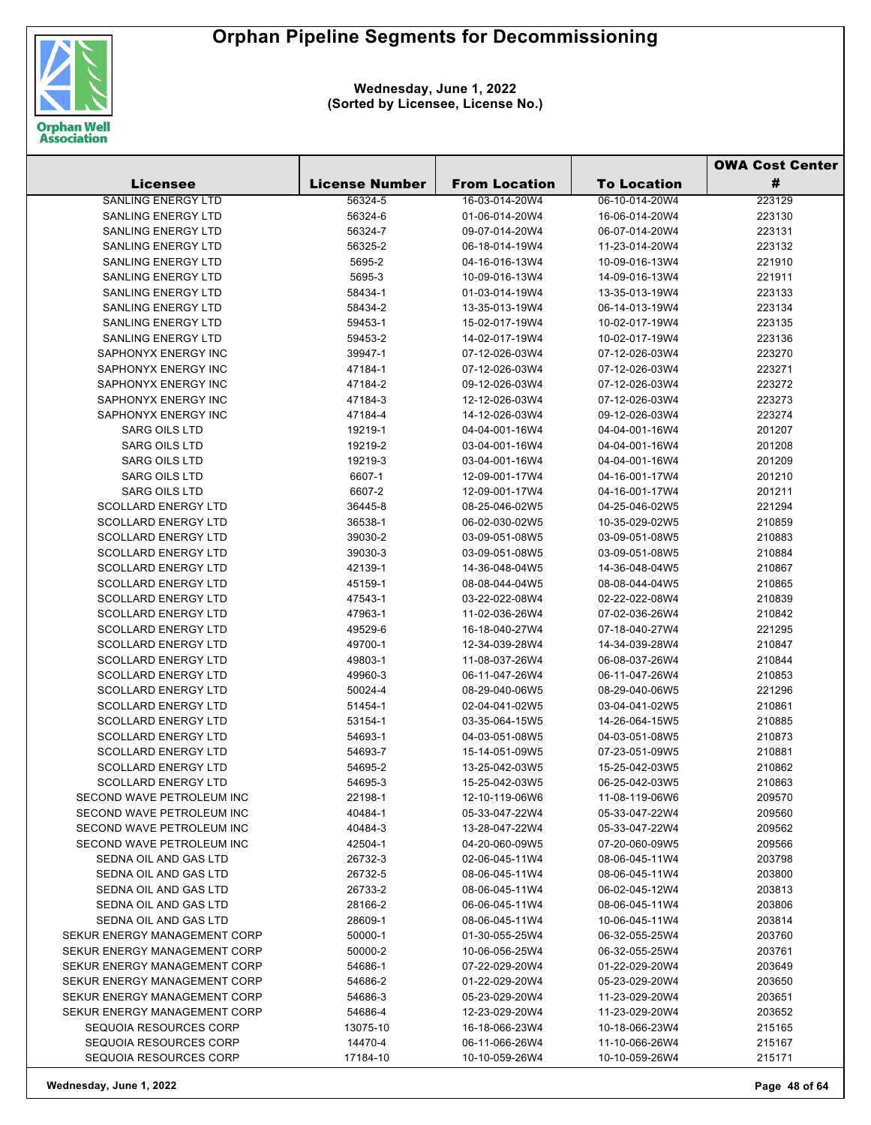

**Wednesday, June 1, 2022 (Sorted by Licensee, License No.)**

|                              |                       |                      |                    | <b>OWA Cost Center</b> |
|------------------------------|-----------------------|----------------------|--------------------|------------------------|
| <b>Licensee</b>              | <b>License Number</b> | <b>From Location</b> | <b>To Location</b> | #                      |
| <b>SANLING ENERGY LTD</b>    | 56324-5               | 16-03-014-20W4       | 06-10-014-20W4     | 223129                 |
| <b>SANLING ENERGY LTD</b>    | 56324-6               | 01-06-014-20W4       | 16-06-014-20W4     | 223130                 |
| <b>SANLING ENERGY LTD</b>    | 56324-7               | 09-07-014-20W4       | 06-07-014-20W4     | 223131                 |
| <b>SANLING ENERGY LTD</b>    | 56325-2               | 06-18-014-19W4       | 11-23-014-20W4     | 223132                 |
| <b>SANLING ENERGY LTD</b>    | 5695-2                | 04-16-016-13W4       | 10-09-016-13W4     | 221910                 |
| SANLING ENERGY LTD           | 5695-3                | 10-09-016-13W4       | 14-09-016-13W4     | 221911                 |
| <b>SANLING ENERGY LTD</b>    | 58434-1               | 01-03-014-19W4       | 13-35-013-19W4     | 223133                 |
| <b>SANLING ENERGY LTD</b>    | 58434-2               | 13-35-013-19W4       | 06-14-013-19W4     | 223134                 |
| <b>SANLING ENERGY LTD</b>    | 59453-1               | 15-02-017-19W4       | 10-02-017-19W4     | 223135                 |
| <b>SANLING ENERGY LTD</b>    | 59453-2               | 14-02-017-19W4       | 10-02-017-19W4     | 223136                 |
| SAPHONYX ENERGY INC          | 39947-1               | 07-12-026-03W4       | 07-12-026-03W4     | 223270                 |
| SAPHONYX ENERGY INC          | 47184-1               | 07-12-026-03W4       | 07-12-026-03W4     | 223271                 |
| SAPHONYX ENERGY INC          | 47184-2               | 09-12-026-03W4       | 07-12-026-03W4     | 223272                 |
| SAPHONYX ENERGY INC          | 47184-3               | 12-12-026-03W4       | 07-12-026-03W4     | 223273                 |
| SAPHONYX ENERGY INC          | 47184-4               | 14-12-026-03W4       | 09-12-026-03W4     | 223274                 |
| <b>SARG OILS LTD</b>         | 19219-1               | 04-04-001-16W4       | 04-04-001-16W4     | 201207                 |
| <b>SARG OILS LTD</b>         | 19219-2               | 03-04-001-16W4       | 04-04-001-16W4     | 201208                 |
| <b>SARG OILS LTD</b>         | 19219-3               | 03-04-001-16W4       | 04-04-001-16W4     | 201209                 |
| <b>SARG OILS LTD</b>         | 6607-1                | 12-09-001-17W4       | 04-16-001-17W4     | 201210                 |
| <b>SARG OILS LTD</b>         | 6607-2                | 12-09-001-17W4       | 04-16-001-17W4     | 201211                 |
| <b>SCOLLARD ENERGY LTD</b>   | 36445-8               | 08-25-046-02W5       | 04-25-046-02W5     | 221294                 |
| <b>SCOLLARD ENERGY LTD</b>   | 36538-1               | 06-02-030-02W5       | 10-35-029-02W5     | 210859                 |
| <b>SCOLLARD ENERGY LTD</b>   | 39030-2               | 03-09-051-08W5       | 03-09-051-08W5     | 210883                 |
| <b>SCOLLARD ENERGY LTD</b>   | 39030-3               | 03-09-051-08W5       | 03-09-051-08W5     | 210884                 |
| <b>SCOLLARD ENERGY LTD</b>   | 42139-1               | 14-36-048-04W5       | 14-36-048-04W5     | 210867                 |
| <b>SCOLLARD ENERGY LTD</b>   | 45159-1               | 08-08-044-04W5       | 08-08-044-04W5     | 210865                 |
| <b>SCOLLARD ENERGY LTD</b>   | 47543-1               | 03-22-022-08W4       | 02-22-022-08W4     | 210839                 |
| <b>SCOLLARD ENERGY LTD</b>   | 47963-1               | 11-02-036-26W4       | 07-02-036-26W4     | 210842                 |
| <b>SCOLLARD ENERGY LTD</b>   | 49529-6               | 16-18-040-27W4       | 07-18-040-27W4     | 221295                 |
| <b>SCOLLARD ENERGY LTD</b>   | 49700-1               | 12-34-039-28W4       | 14-34-039-28W4     | 210847                 |
| <b>SCOLLARD ENERGY LTD</b>   | 49803-1               | 11-08-037-26W4       | 06-08-037-26W4     | 210844                 |
| <b>SCOLLARD ENERGY LTD</b>   | 49960-3               | 06-11-047-26W4       | 06-11-047-26W4     | 210853                 |
| <b>SCOLLARD ENERGY LTD</b>   | 50024-4               | 08-29-040-06W5       | 08-29-040-06W5     | 221296                 |
| <b>SCOLLARD ENERGY LTD</b>   | 51454-1               | 02-04-041-02W5       | 03-04-041-02W5     | 210861                 |
| <b>SCOLLARD ENERGY LTD</b>   | 53154-1               | 03-35-064-15W5       | 14-26-064-15W5     | 210885                 |
| <b>SCOLLARD ENERGY LTD</b>   | 54693-1               | 04-03-051-08W5       | 04-03-051-08W5     | 210873                 |
| <b>SCOLLARD ENERGY LTD</b>   | 54693-7               | 15-14-051-09W5       | 07-23-051-09W5     | 210881                 |
| <b>SCOLLARD ENERGY LTD</b>   | 54695-2               | 13-25-042-03W5       | 15-25-042-03W5     | 210862                 |
| <b>SCOLLARD ENERGY LTD</b>   | 54695-3               | 15-25-042-03W5       | 06-25-042-03W5     | 210863                 |
| SECOND WAVE PETROLEUM INC    | 22198-1               | 12-10-119-06W6       | 11-08-119-06W6     | 209570                 |
| SECOND WAVE PETROLEUM INC    | 40484-1               | 05-33-047-22W4       | 05-33-047-22W4     | 209560                 |
| SECOND WAVE PETROLEUM INC    | 40484-3               | 13-28-047-22W4       | 05-33-047-22W4     | 209562                 |
| SECOND WAVE PETROLEUM INC    | 42504-1               | 04-20-060-09W5       | 07-20-060-09W5     | 209566                 |
| SEDNA OIL AND GAS LTD        | 26732-3               | 02-06-045-11W4       | 08-06-045-11W4     | 203798                 |
| SEDNA OIL AND GAS LTD        | 26732-5               | 08-06-045-11W4       | 08-06-045-11W4     | 203800                 |
| SEDNA OIL AND GAS LTD        | 26733-2               | 08-06-045-11W4       | 06-02-045-12W4     | 203813                 |
| SEDNA OIL AND GAS LTD        | 28166-2               | 06-06-045-11W4       | 08-06-045-11W4     | 203806                 |
| SEDNA OIL AND GAS LTD        | 28609-1               | 08-06-045-11W4       | 10-06-045-11W4     | 203814                 |
| SEKUR ENERGY MANAGEMENT CORP | 50000-1               | 01-30-055-25W4       | 06-32-055-25W4     | 203760                 |
| SEKUR ENERGY MANAGEMENT CORP | 50000-2               | 10-06-056-25W4       | 06-32-055-25W4     | 203761                 |
| SEKUR ENERGY MANAGEMENT CORP | 54686-1               | 07-22-029-20W4       | 01-22-029-20W4     | 203649                 |
| SEKUR ENERGY MANAGEMENT CORP | 54686-2               | 01-22-029-20W4       | 05-23-029-20W4     | 203650                 |
| SEKUR ENERGY MANAGEMENT CORP | 54686-3               | 05-23-029-20W4       | 11-23-029-20W4     | 203651                 |
| SEKUR ENERGY MANAGEMENT CORP | 54686-4               | 12-23-029-20W4       | 11-23-029-20W4     | 203652                 |
| SEQUOIA RESOURCES CORP       | 13075-10              | 16-18-066-23W4       | 10-18-066-23W4     | 215165                 |
| SEQUOIA RESOURCES CORP       | 14470-4               | 06-11-066-26W4       | 11-10-066-26W4     | 215167                 |
| SEQUOIA RESOURCES CORP       | 17184-10              | 10-10-059-26W4       | 10-10-059-26W4     | 215171                 |

**Wednesday, June 1, 2022 Page 48 of 64**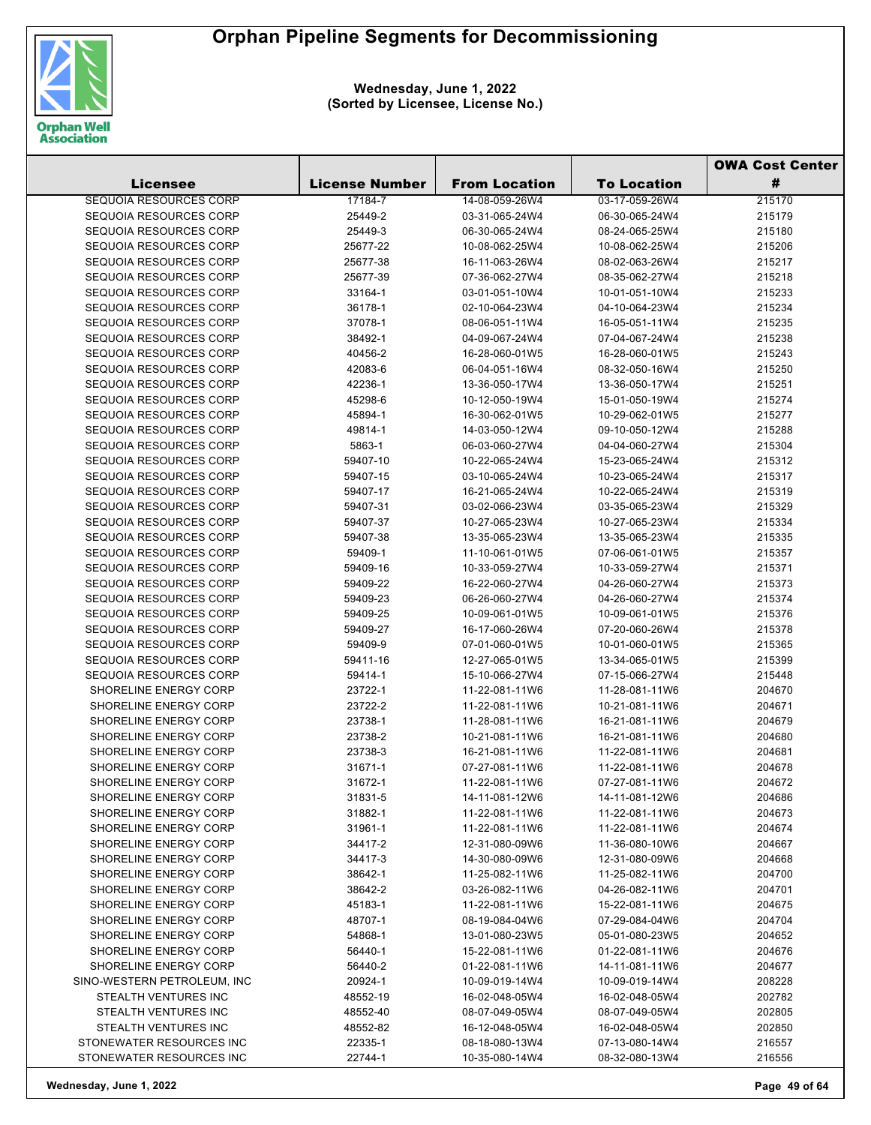

|  |                               |                       |                      | <b>OWA Cost Center</b> |        |
|--|-------------------------------|-----------------------|----------------------|------------------------|--------|
|  | Licensee                      | <b>License Number</b> | <b>From Location</b> | <b>To Location</b>     | #      |
|  | <b>SEQUOIA RESOURCES CORP</b> | 17184-7               | 14-08-059-26W4       | 03-17-059-26W4         | 215170 |
|  | SEQUOIA RESOURCES CORP        | 25449-2               | 03-31-065-24W4       | 06-30-065-24W4         | 215179 |
|  | SEQUOIA RESOURCES CORP        | 25449-3               | 06-30-065-24W4       | 08-24-065-25W4         | 215180 |
|  | SEQUOIA RESOURCES CORP        | 25677-22              | 10-08-062-25W4       | 10-08-062-25W4         | 215206 |
|  | SEQUOIA RESOURCES CORP        | 25677-38              | 16-11-063-26W4       | 08-02-063-26W4         | 215217 |
|  | SEQUOIA RESOURCES CORP        | 25677-39              | 07-36-062-27W4       | 08-35-062-27W4         | 215218 |
|  | SEQUOIA RESOURCES CORP        | 33164-1               | 03-01-051-10W4       | 10-01-051-10W4         | 215233 |
|  | SEQUOIA RESOURCES CORP        | 36178-1               | 02-10-064-23W4       | 04-10-064-23W4         | 215234 |
|  | SEQUOIA RESOURCES CORP        | 37078-1               | 08-06-051-11W4       | 16-05-051-11W4         | 215235 |
|  | SEQUOIA RESOURCES CORP        | 38492-1               | 04-09-067-24W4       | 07-04-067-24W4         | 215238 |
|  | SEQUOIA RESOURCES CORP        | 40456-2               | 16-28-060-01W5       | 16-28-060-01W5         | 215243 |
|  | SEQUOIA RESOURCES CORP        | 42083-6               | 06-04-051-16W4       | 08-32-050-16W4         | 215250 |
|  | SEQUOIA RESOURCES CORP        | 42236-1               | 13-36-050-17W4       | 13-36-050-17W4         | 215251 |
|  | SEQUOIA RESOURCES CORP        | 45298-6               | 10-12-050-19W4       | 15-01-050-19W4         | 215274 |
|  | SEQUOIA RESOURCES CORP        | 45894-1               | 16-30-062-01W5       | 10-29-062-01W5         | 215277 |
|  | SEQUOIA RESOURCES CORP        | 49814-1               | 14-03-050-12W4       | 09-10-050-12W4         | 215288 |
|  | SEQUOIA RESOURCES CORP        | 5863-1                | 06-03-060-27W4       | 04-04-060-27W4         | 215304 |
|  | SEQUOIA RESOURCES CORP        | 59407-10              | 10-22-065-24W4       | 15-23-065-24W4         | 215312 |
|  | SEQUOIA RESOURCES CORP        | 59407-15              | 03-10-065-24W4       | 10-23-065-24W4         | 215317 |
|  | SEQUOIA RESOURCES CORP        | 59407-17              | 16-21-065-24W4       | 10-22-065-24W4         | 215319 |
|  | SEQUOIA RESOURCES CORP        | 59407-31              | 03-02-066-23W4       | 03-35-065-23W4         | 215329 |
|  | <b>SEQUOIA RESOURCES CORP</b> | 59407-37              | 10-27-065-23W4       | 10-27-065-23W4         | 215334 |
|  | SEQUOIA RESOURCES CORP        | 59407-38              | 13-35-065-23W4       | 13-35-065-23W4         | 215335 |
|  | SEQUOIA RESOURCES CORP        | 59409-1               | 11-10-061-01W5       | 07-06-061-01W5         | 215357 |
|  | SEQUOIA RESOURCES CORP        | 59409-16              | 10-33-059-27W4       | 10-33-059-27W4         | 215371 |
|  | SEQUOIA RESOURCES CORP        | 59409-22              | 16-22-060-27W4       | 04-26-060-27W4         | 215373 |
|  | SEQUOIA RESOURCES CORP        | 59409-23              | 06-26-060-27W4       | 04-26-060-27W4         | 215374 |
|  | SEQUOIA RESOURCES CORP        | 59409-25              | 10-09-061-01W5       | 10-09-061-01W5         | 215376 |
|  | SEQUOIA RESOURCES CORP        | 59409-27              | 16-17-060-26W4       | 07-20-060-26W4         | 215378 |
|  | SEQUOIA RESOURCES CORP        | 59409-9               | 07-01-060-01W5       | 10-01-060-01W5         | 215365 |
|  | SEQUOIA RESOURCES CORP        | 59411-16              | 12-27-065-01W5       | 13-34-065-01W5         | 215399 |
|  | SEQUOIA RESOURCES CORP        | 59414-1               | 15-10-066-27W4       | 07-15-066-27W4         | 215448 |
|  | SHORELINE ENERGY CORP         | 23722-1               | 11-22-081-11W6       | 11-28-081-11W6         | 204670 |
|  | SHORELINE ENERGY CORP         | 23722-2               | 11-22-081-11W6       | 10-21-081-11W6         | 204671 |
|  | SHORELINE ENERGY CORP         | 23738-1               | 11-28-081-11W6       | 16-21-081-11W6         | 204679 |
|  | SHORELINE ENERGY CORP         | 23738-2               | 10-21-081-11W6       | 16-21-081-11W6         | 204680 |
|  | SHORELINE ENERGY CORP         | 23738-3               | 16-21-081-11W6       | 11-22-081-11W6         | 204681 |
|  | SHORELINE ENERGY CORP         | 31671-1               | 07-27-081-11W6       | 11-22-081-11W6         | 204678 |
|  | <b>SHORELINE ENERGY CORP</b>  | 31672-1               | 11-22-081-11W6       | 07-27-081-11W6         | 204672 |
|  | SHORELINE ENERGY CORP         | 31831-5               | 14-11-081-12W6       | 14-11-081-12W6         | 204686 |
|  | SHORELINE ENERGY CORP         | 31882-1               | 11-22-081-11W6       | 11-22-081-11W6         | 204673 |
|  | SHORELINE ENERGY CORP         | 31961-1               | 11-22-081-11W6       | 11-22-081-11W6         | 204674 |
|  | SHORELINE ENERGY CORP         | 34417-2               | 12-31-080-09W6       | 11-36-080-10W6         | 204667 |
|  | SHORELINE ENERGY CORP         | 34417-3               | 14-30-080-09W6       | 12-31-080-09W6         | 204668 |
|  | SHORELINE ENERGY CORP         | 38642-1               | 11-25-082-11W6       | 11-25-082-11W6         | 204700 |
|  | <b>SHORELINE ENERGY CORP</b>  | 38642-2               | 03-26-082-11W6       | 04-26-082-11W6         | 204701 |
|  | SHORELINE ENERGY CORP         | 45183-1               | 11-22-081-11W6       | 15-22-081-11W6         | 204675 |
|  | <b>SHORELINE ENERGY CORP</b>  | 48707-1               | 08-19-084-04W6       | 07-29-084-04W6         | 204704 |
|  | <b>SHORELINE ENERGY CORP</b>  | 54868-1               | 13-01-080-23W5       | 05-01-080-23W5         | 204652 |
|  | SHORELINE ENERGY CORP         | 56440-1               | 15-22-081-11W6       | 01-22-081-11W6         | 204676 |
|  | SHORELINE ENERGY CORP         | 56440-2               | 01-22-081-11W6       | 14-11-081-11W6         | 204677 |
|  | SINO-WESTERN PETROLEUM, INC   | 20924-1               | 10-09-019-14W4       | 10-09-019-14W4         | 208228 |
|  | STEALTH VENTURES INC          | 48552-19              | 16-02-048-05W4       | 16-02-048-05W4         | 202782 |
|  | STEALTH VENTURES INC          | 48552-40              | 08-07-049-05W4       | 08-07-049-05W4         | 202805 |
|  | STEALTH VENTURES INC          | 48552-82              | 16-12-048-05W4       | 16-02-048-05W4         | 202850 |
|  | STONEWATER RESOURCES INC      | 22335-1               | 08-18-080-13W4       | 07-13-080-14W4         | 216557 |
|  | STONEWATER RESOURCES INC      | 22744-1               | 10-35-080-14W4       | 08-32-080-13W4         | 216556 |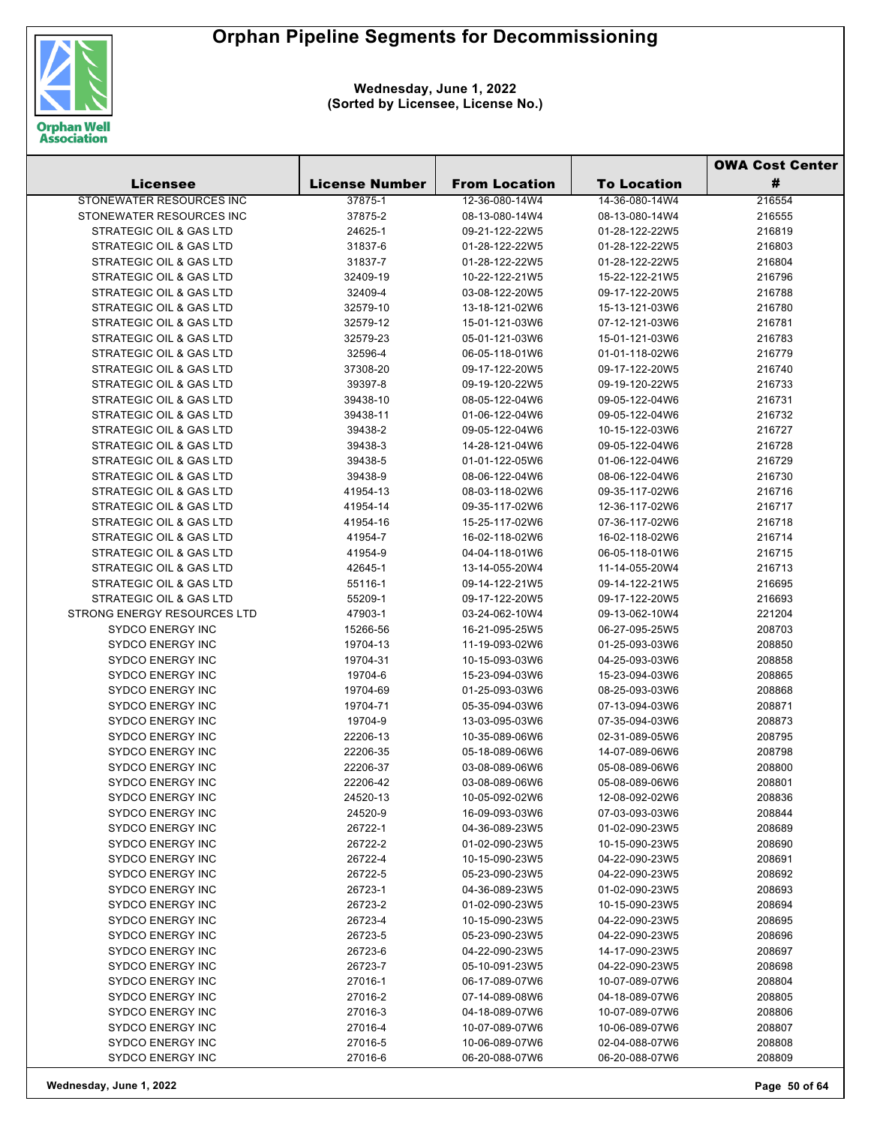

|                                                    |                       |                                  | <b>OWA Cost Center</b>           |                  |
|----------------------------------------------------|-----------------------|----------------------------------|----------------------------------|------------------|
| Licensee                                           | <b>License Number</b> | <b>From Location</b>             | <b>To Location</b>               | #                |
| STONEWATER RESOURCES INC                           | 37875-1               | 12-36-080-14W4                   | 14-36-080-14W4                   | 216554           |
| STONEWATER RESOURCES INC                           | 37875-2               | 08-13-080-14W4                   | 08-13-080-14W4                   | 216555           |
| STRATEGIC OIL & GAS LTD                            | 24625-1               | 09-21-122-22W5                   | 01-28-122-22W5                   | 216819           |
| STRATEGIC OIL & GAS LTD                            | 31837-6               | 01-28-122-22W5                   | 01-28-122-22W5                   | 216803           |
| STRATEGIC OIL & GAS LTD                            | 31837-7               | 01-28-122-22W5                   | 01-28-122-22W5                   | 216804           |
| STRATEGIC OIL & GAS LTD                            | 32409-19              | 10-22-122-21W5                   | 15-22-122-21W5                   | 216796           |
| STRATEGIC OIL & GAS LTD                            | 32409-4               | 03-08-122-20W5                   | 09-17-122-20W5                   | 216788           |
| STRATEGIC OIL & GAS LTD                            | 32579-10              | 13-18-121-02W6                   | 15-13-121-03W6                   | 216780           |
| STRATEGIC OIL & GAS LTD                            | 32579-12              | 15-01-121-03W6                   | 07-12-121-03W6                   | 216781           |
| <b>STRATEGIC OIL &amp; GAS LTD</b>                 | 32579-23              | 05-01-121-03W6                   | 15-01-121-03W6                   | 216783           |
| STRATEGIC OIL & GAS LTD                            | 32596-4               | 06-05-118-01W6                   | 01-01-118-02W6                   | 216779           |
| STRATEGIC OIL & GAS LTD                            | 37308-20              | 09-17-122-20W5                   | 09-17-122-20W5                   | 216740           |
| STRATEGIC OIL & GAS LTD                            | 39397-8               | 09-19-120-22W5                   | 09-19-120-22W5                   | 216733           |
| STRATEGIC OIL & GAS LTD                            | 39438-10              | 08-05-122-04W6                   | 09-05-122-04W6                   | 216731           |
| STRATEGIC OIL & GAS LTD                            | 39438-11              | 01-06-122-04W6                   | 09-05-122-04W6                   | 216732           |
| STRATEGIC OIL & GAS LTD                            | 39438-2               | 09-05-122-04W6                   | 10-15-122-03W6                   | 216727           |
| <b>STRATEGIC OIL &amp; GAS LTD</b>                 | 39438-3               | 14-28-121-04W6                   | 09-05-122-04W6                   | 216728           |
| STRATEGIC OIL & GAS LTD                            | 39438-5               | 01-01-122-05W6                   | 01-06-122-04W6                   | 216729           |
| STRATEGIC OIL & GAS LTD                            | 39438-9               | 08-06-122-04W6                   | 08-06-122-04W6                   | 216730           |
| STRATEGIC OIL & GAS LTD                            | 41954-13              | 08-03-118-02W6                   | 09-35-117-02W6                   | 216716           |
| <b>STRATEGIC OIL &amp; GAS LTD</b>                 | 41954-14              | 09-35-117-02W6                   | 12-36-117-02W6                   | 216717           |
| STRATEGIC OIL & GAS LTD                            | 41954-16              | 15-25-117-02W6                   | 07-36-117-02W6                   | 216718           |
| <b>STRATEGIC OIL &amp; GAS LTD</b>                 | 41954-7               | 16-02-118-02W6                   | 16-02-118-02W6                   | 216714           |
| STRATEGIC OIL & GAS LTD                            | 41954-9               | 04-04-118-01W6                   | 06-05-118-01W6                   | 216715           |
| <b>STRATEGIC OIL &amp; GAS LTD</b>                 | 42645-1               | 13-14-055-20W4                   | 11-14-055-20W4                   | 216713           |
| STRATEGIC OIL & GAS LTD                            | 55116-1               | 09-14-122-21W5                   | 09-14-122-21W5                   | 216695           |
| STRATEGIC OIL & GAS LTD                            | 55209-1               | 09-17-122-20W5                   | 09-17-122-20W5                   | 216693           |
| <b>STRONG ENERGY RESOURCES LTD</b>                 | 47903-1               | 03-24-062-10W4                   | 09-13-062-10W4                   | 221204           |
| <b>SYDCO ENERGY INC</b>                            | 15266-56              | 16-21-095-25W5                   | 06-27-095-25W5                   | 208703           |
| <b>SYDCO ENERGY INC</b>                            | 19704-13              | 11-19-093-02W6                   | 01-25-093-03W6                   | 208850           |
| <b>SYDCO ENERGY INC</b>                            | 19704-31              | 10-15-093-03W6                   | 04-25-093-03W6                   | 208858           |
| <b>SYDCO ENERGY INC</b><br><b>SYDCO ENERGY INC</b> | 19704-6               | 15-23-094-03W6                   | 15-23-094-03W6                   | 208865           |
| <b>SYDCO ENERGY INC</b>                            | 19704-69<br>19704-71  | 01-25-093-03W6                   | 08-25-093-03W6<br>07-13-094-03W6 | 208868<br>208871 |
| <b>SYDCO ENERGY INC</b>                            | 19704-9               | 05-35-094-03W6<br>13-03-095-03W6 | 07-35-094-03W6                   | 208873           |
| <b>SYDCO ENERGY INC</b>                            | 22206-13              | 10-35-089-06W6                   | 02-31-089-05W6                   | 208795           |
| <b>SYDCO ENERGY INC</b>                            | 22206-35              | 05-18-089-06W6                   | 14-07-089-06W6                   | 208798           |
| <b>SYDCO ENERGY INC</b>                            | 22206-37              | 03-08-089-06W6                   | 05-08-089-06W6                   | 208800           |
| <b>SYDCO ENERGY INC</b>                            | 22206-42              | 03-08-089-06W6                   | 05-08-089-06W6                   | 208801           |
| <b>SYDCO ENERGY INC</b>                            | 24520-13              | 10-05-092-02W6                   | 12-08-092-02W6                   | 208836           |
| <b>SYDCO ENERGY INC</b>                            | 24520-9               | 16-09-093-03W6                   | 07-03-093-03W6                   | 208844           |
| <b>SYDCO ENERGY INC</b>                            | 26722-1               | 04-36-089-23W5                   | 01-02-090-23W5                   | 208689           |
| <b>SYDCO ENERGY INC</b>                            | 26722-2               | 01-02-090-23W5                   | 10-15-090-23W5                   | 208690           |
| <b>SYDCO ENERGY INC</b>                            | 26722-4               | 10-15-090-23W5                   | 04-22-090-23W5                   | 208691           |
| <b>SYDCO ENERGY INC</b>                            | 26722-5               | 05-23-090-23W5                   | 04-22-090-23W5                   | 208692           |
| <b>SYDCO ENERGY INC</b>                            | 26723-1               | 04-36-089-23W5                   | 01-02-090-23W5                   | 208693           |
| <b>SYDCO ENERGY INC</b>                            | 26723-2               | 01-02-090-23W5                   | 10-15-090-23W5                   | 208694           |
| <b>SYDCO ENERGY INC</b>                            | 26723-4               | 10-15-090-23W5                   | 04-22-090-23W5                   | 208695           |
| <b>SYDCO ENERGY INC</b>                            | 26723-5               | 05-23-090-23W5                   | 04-22-090-23W5                   | 208696           |
| <b>SYDCO ENERGY INC</b>                            | 26723-6               | 04-22-090-23W5                   | 14-17-090-23W5                   | 208697           |
| <b>SYDCO ENERGY INC</b>                            | 26723-7               | 05-10-091-23W5                   | 04-22-090-23W5                   | 208698           |
| <b>SYDCO ENERGY INC</b>                            | 27016-1               | 06-17-089-07W6                   | 10-07-089-07W6                   | 208804           |
| <b>SYDCO ENERGY INC</b>                            | 27016-2               | 07-14-089-08W6                   | 04-18-089-07W6                   | 208805           |
| <b>SYDCO ENERGY INC</b>                            | 27016-3               | 04-18-089-07W6                   | 10-07-089-07W6                   | 208806           |
| <b>SYDCO ENERGY INC</b>                            | 27016-4               | 10-07-089-07W6                   | 10-06-089-07W6                   | 208807           |
| <b>SYDCO ENERGY INC</b>                            | 27016-5               | 10-06-089-07W6                   | 02-04-088-07W6                   | 208808           |
| SYDCO ENERGY INC                                   | 27016-6               | 06-20-088-07W6                   | 06-20-088-07W6                   | 208809           |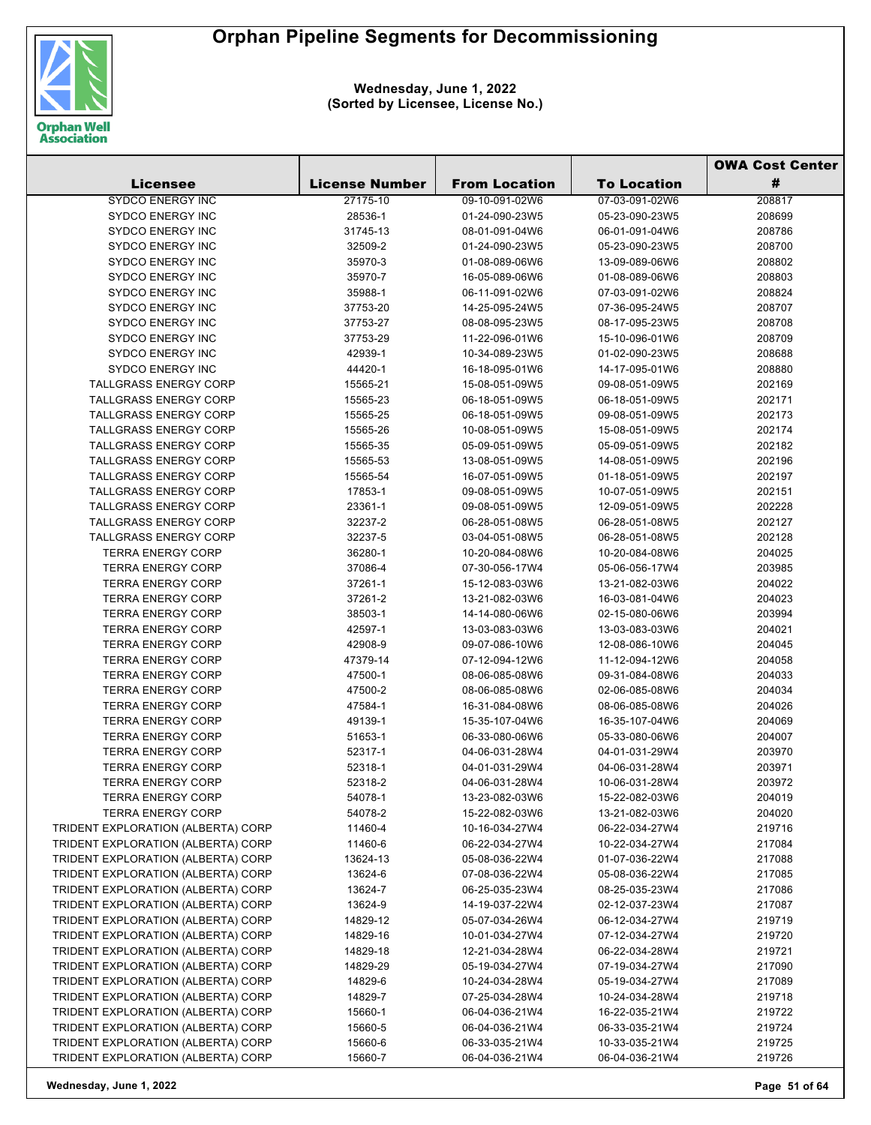

**Wednesday, June 1, 2022 (Sorted by Licensee, License No.)**

|                                    |                       |                      |                    | <b>OWA Cost Center</b> |
|------------------------------------|-----------------------|----------------------|--------------------|------------------------|
| <b>Licensee</b>                    | <b>License Number</b> | <b>From Location</b> | <b>To Location</b> | #                      |
| <b>SYDCO ENERGY INC</b>            | 27175-10              | 09-10-091-02W6       | 07-03-091-02W6     | 208817                 |
| <b>SYDCO ENERGY INC</b>            | 28536-1               | 01-24-090-23W5       | 05-23-090-23W5     | 208699                 |
| <b>SYDCO ENERGY INC</b>            | 31745-13              | 08-01-091-04W6       | 06-01-091-04W6     | 208786                 |
| <b>SYDCO ENERGY INC</b>            | 32509-2               | 01-24-090-23W5       | 05-23-090-23W5     | 208700                 |
| <b>SYDCO ENERGY INC</b>            | 35970-3               | 01-08-089-06W6       | 13-09-089-06W6     | 208802                 |
| <b>SYDCO ENERGY INC</b>            | 35970-7               | 16-05-089-06W6       | 01-08-089-06W6     | 208803                 |
| <b>SYDCO ENERGY INC</b>            | 35988-1               | 06-11-091-02W6       | 07-03-091-02W6     | 208824                 |
| <b>SYDCO ENERGY INC</b>            | 37753-20              | 14-25-095-24W5       | 07-36-095-24W5     | 208707                 |
| <b>SYDCO ENERGY INC</b>            | 37753-27              | 08-08-095-23W5       | 08-17-095-23W5     | 208708                 |
| <b>SYDCO ENERGY INC</b>            | 37753-29              | 11-22-096-01W6       | 15-10-096-01W6     | 208709                 |
| SYDCO ENERGY INC                   | 42939-1               | 10-34-089-23W5       | 01-02-090-23W5     | 208688                 |
| <b>SYDCO ENERGY INC</b>            | 44420-1               | 16-18-095-01W6       | 14-17-095-01W6     | 208880                 |
| <b>TALLGRASS ENERGY CORP</b>       | 15565-21              | 15-08-051-09W5       | 09-08-051-09W5     | 202169                 |
| <b>TALLGRASS ENERGY CORP</b>       | 15565-23              | 06-18-051-09W5       | 06-18-051-09W5     | 202171                 |
| <b>TALLGRASS ENERGY CORP</b>       | 15565-25              | 06-18-051-09W5       | 09-08-051-09W5     | 202173                 |
| <b>TALLGRASS ENERGY CORP</b>       | 15565-26              | 10-08-051-09W5       | 15-08-051-09W5     | 202174                 |
| <b>TALLGRASS ENERGY CORP</b>       | 15565-35              | 05-09-051-09W5       | 05-09-051-09W5     | 202182                 |
| <b>TALLGRASS ENERGY CORP</b>       | 15565-53              | 13-08-051-09W5       | 14-08-051-09W5     | 202196                 |
| <b>TALLGRASS ENERGY CORP</b>       | 15565-54              | 16-07-051-09W5       | 01-18-051-09W5     | 202197                 |
| <b>TALLGRASS ENERGY CORP</b>       | 17853-1               | 09-08-051-09W5       | 10-07-051-09W5     | 202151                 |
| <b>TALLGRASS ENERGY CORP</b>       | 23361-1               | 09-08-051-09W5       | 12-09-051-09W5     | 202228                 |
| <b>TALLGRASS ENERGY CORP</b>       | 32237-2               | 06-28-051-08W5       | 06-28-051-08W5     | 202127                 |
| <b>TALLGRASS ENERGY CORP</b>       | 32237-5               | 03-04-051-08W5       | 06-28-051-08W5     | 202128                 |
| <b>TERRA ENERGY CORP</b>           | 36280-1               | 10-20-084-08W6       | 10-20-084-08W6     | 204025                 |
| <b>TERRA ENERGY CORP</b>           | 37086-4               | 07-30-056-17W4       | 05-06-056-17W4     | 203985                 |
| <b>TERRA ENERGY CORP</b>           | 37261-1               | 15-12-083-03W6       | 13-21-082-03W6     | 204022                 |
| <b>TERRA ENERGY CORP</b>           | 37261-2               | 13-21-082-03W6       | 16-03-081-04W6     | 204023                 |
| <b>TERRA ENERGY CORP</b>           | 38503-1               | 14-14-080-06W6       | 02-15-080-06W6     | 203994                 |
| <b>TERRA ENERGY CORP</b>           | 42597-1               | 13-03-083-03W6       | 13-03-083-03W6     | 204021                 |
| <b>TERRA ENERGY CORP</b>           | 42908-9               | 09-07-086-10W6       | 12-08-086-10W6     | 204045                 |
| <b>TERRA ENERGY CORP</b>           | 47379-14              | 07-12-094-12W6       | 11-12-094-12W6     | 204058                 |
| <b>TERRA ENERGY CORP</b>           | 47500-1               | 08-06-085-08W6       | 09-31-084-08W6     | 204033                 |
| <b>TERRA ENERGY CORP</b>           | 47500-2               | 08-06-085-08W6       | 02-06-085-08W6     | 204034                 |
| <b>TERRA ENERGY CORP</b>           | 47584-1               | 16-31-084-08W6       | 08-06-085-08W6     | 204026                 |
| <b>TERRA ENERGY CORP</b>           | 49139-1               | 15-35-107-04W6       | 16-35-107-04W6     | 204069                 |
| <b>TERRA ENERGY CORP</b>           | 51653-1               | 06-33-080-06W6       | 05-33-080-06W6     | 204007                 |
| <b>TERRA ENERGY CORP</b>           | 52317-1               | 04-06-031-28W4       | 04-01-031-29W4     | 203970                 |
| <b>TERRA ENERGY CORP</b>           | 52318-1               | 04-01-031-29W4       | 04-06-031-28W4     | 203971                 |
| <b>TERRA ENERGY CORP</b>           | 52318-2               | 04-06-031-28W4       | 10-06-031-28W4     | 203972                 |
| <b>TERRA ENERGY CORP</b>           | 54078-1               | 13-23-082-03W6       | 15-22-082-03W6     | 204019                 |
| <b>TERRA ENERGY CORP</b>           | 54078-2               | 15-22-082-03W6       | 13-21-082-03W6     | 204020                 |
| TRIDENT EXPLORATION (ALBERTA) CORP | 11460-4               | 10-16-034-27W4       | 06-22-034-27W4     | 219716                 |
| TRIDENT EXPLORATION (ALBERTA) CORP | 11460-6               | 06-22-034-27W4       | 10-22-034-27W4     | 217084                 |
| TRIDENT EXPLORATION (ALBERTA) CORP | 13624-13              | 05-08-036-22W4       | 01-07-036-22W4     | 217088                 |
| TRIDENT EXPLORATION (ALBERTA) CORP | 13624-6               | 07-08-036-22W4       | 05-08-036-22W4     | 217085                 |
| TRIDENT EXPLORATION (ALBERTA) CORP | 13624-7               | 06-25-035-23W4       | 08-25-035-23W4     | 217086                 |
| TRIDENT EXPLORATION (ALBERTA) CORP | 13624-9               | 14-19-037-22W4       | 02-12-037-23W4     | 217087                 |
| TRIDENT EXPLORATION (ALBERTA) CORP | 14829-12              | 05-07-034-26W4       | 06-12-034-27W4     | 219719                 |
| TRIDENT EXPLORATION (ALBERTA) CORP | 14829-16              | 10-01-034-27W4       | 07-12-034-27W4     | 219720                 |
| TRIDENT EXPLORATION (ALBERTA) CORP | 14829-18              | 12-21-034-28W4       | 06-22-034-28W4     | 219721                 |
| TRIDENT EXPLORATION (ALBERTA) CORP | 14829-29              | 05-19-034-27W4       | 07-19-034-27W4     | 217090                 |
| TRIDENT EXPLORATION (ALBERTA) CORP | 14829-6               | 10-24-034-28W4       | 05-19-034-27W4     | 217089                 |
| TRIDENT EXPLORATION (ALBERTA) CORP | 14829-7               | 07-25-034-28W4       | 10-24-034-28W4     | 219718                 |
| TRIDENT EXPLORATION (ALBERTA) CORP | 15660-1               | 06-04-036-21W4       | 16-22-035-21W4     | 219722                 |
| TRIDENT EXPLORATION (ALBERTA) CORP | 15660-5               | 06-04-036-21W4       | 06-33-035-21W4     | 219724                 |
| TRIDENT EXPLORATION (ALBERTA) CORP | 15660-6               | 06-33-035-21W4       | 10-33-035-21W4     | 219725                 |
| TRIDENT EXPLORATION (ALBERTA) CORP | 15660-7               | 06-04-036-21W4       | 06-04-036-21W4     | 219726                 |

**Wednesday, June 1, 2022 Page 51 of 64**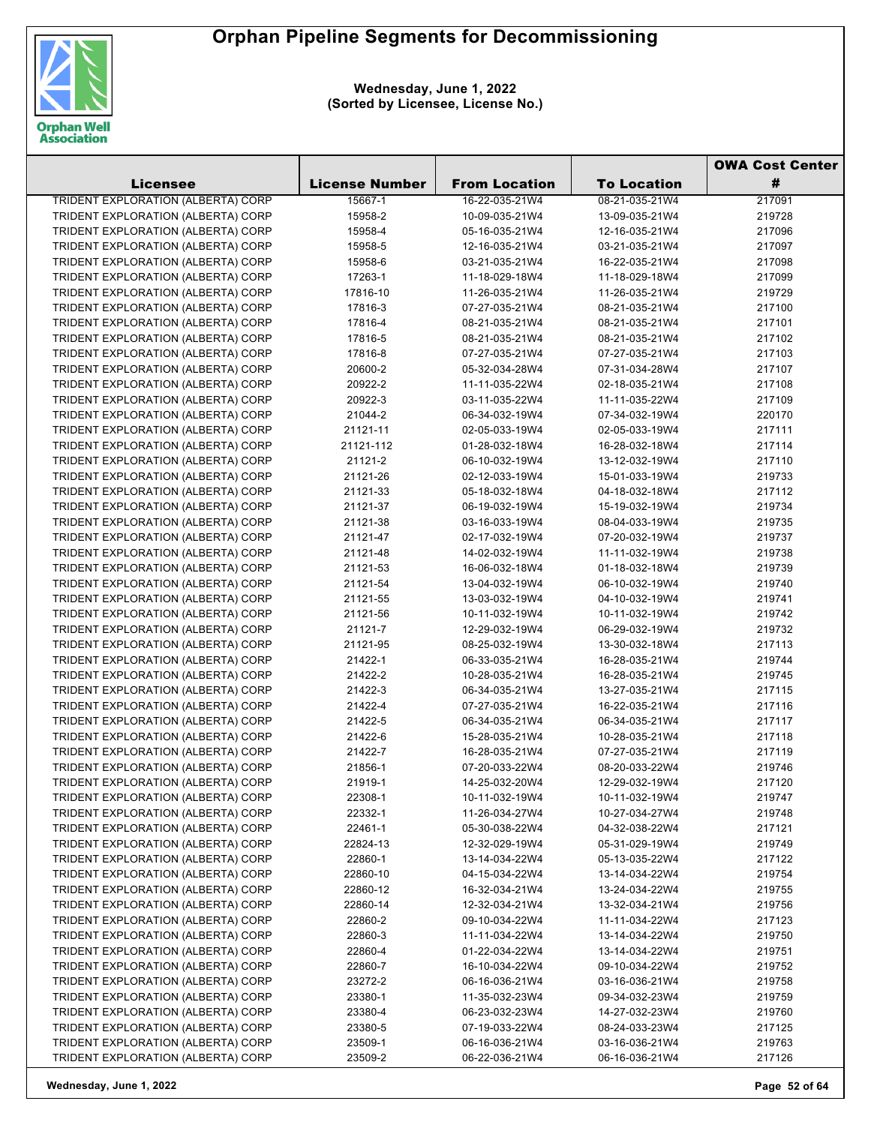

**Wednesday, June 1, 2022 (Sorted by Licensee, License No.)**

|                                           |                       |                      |                    | <b>OWA Cost Center</b> |
|-------------------------------------------|-----------------------|----------------------|--------------------|------------------------|
| Licensee                                  | <b>License Number</b> | <b>From Location</b> | <b>To Location</b> | #                      |
| <b>TRIDENT EXPLORATION (ALBERTA) CORP</b> | 15667-1               | 16-22-035-21W4       | 08-21-035-21W4     | 217091                 |
| TRIDENT EXPLORATION (ALBERTA) CORP        | 15958-2               | 10-09-035-21W4       | 13-09-035-21W4     | 219728                 |
| TRIDENT EXPLORATION (ALBERTA) CORP        | 15958-4               | 05-16-035-21W4       | 12-16-035-21W4     | 217096                 |
| TRIDENT EXPLORATION (ALBERTA) CORP        | 15958-5               | 12-16-035-21W4       | 03-21-035-21W4     | 217097                 |
| TRIDENT EXPLORATION (ALBERTA) CORP        | 15958-6               | 03-21-035-21W4       | 16-22-035-21W4     | 217098                 |
| TRIDENT EXPLORATION (ALBERTA) CORP        | 17263-1               | 11-18-029-18W4       | 11-18-029-18W4     | 217099                 |
| TRIDENT EXPLORATION (ALBERTA) CORP        | 17816-10              | 11-26-035-21W4       | 11-26-035-21W4     | 219729                 |
| TRIDENT EXPLORATION (ALBERTA) CORP        | 17816-3               | 07-27-035-21W4       | 08-21-035-21W4     | 217100                 |
| TRIDENT EXPLORATION (ALBERTA) CORP        | 17816-4               | 08-21-035-21W4       | 08-21-035-21W4     | 217101                 |
| TRIDENT EXPLORATION (ALBERTA) CORP        | 17816-5               | 08-21-035-21W4       | 08-21-035-21W4     | 217102                 |
| TRIDENT EXPLORATION (ALBERTA) CORP        | 17816-8               | 07-27-035-21W4       | 07-27-035-21W4     | 217103                 |
| TRIDENT EXPLORATION (ALBERTA) CORP        | 20600-2               | 05-32-034-28W4       | 07-31-034-28W4     | 217107                 |
| TRIDENT EXPLORATION (ALBERTA) CORP        | 20922-2               | 11-11-035-22W4       | 02-18-035-21W4     | 217108                 |
| TRIDENT EXPLORATION (ALBERTA) CORP        | 20922-3               | 03-11-035-22W4       | 11-11-035-22W4     | 217109                 |
| TRIDENT EXPLORATION (ALBERTA) CORP        | 21044-2               | 06-34-032-19W4       | 07-34-032-19W4     | 220170                 |
| TRIDENT EXPLORATION (ALBERTA) CORP        | 21121-11              | 02-05-033-19W4       | 02-05-033-19W4     | 217111                 |
| TRIDENT EXPLORATION (ALBERTA) CORP        | 21121-112             | 01-28-032-18W4       | 16-28-032-18W4     | 217114                 |
| TRIDENT EXPLORATION (ALBERTA) CORP        | 21121-2               | 06-10-032-19W4       | 13-12-032-19W4     | 217110                 |
| TRIDENT EXPLORATION (ALBERTA) CORP        | 21121-26              | 02-12-033-19W4       | 15-01-033-19W4     | 219733                 |
|                                           |                       |                      |                    |                        |
| TRIDENT EXPLORATION (ALBERTA) CORP        | 21121-33              | 05-18-032-18W4       | 04-18-032-18W4     | 217112                 |
| TRIDENT EXPLORATION (ALBERTA) CORP        | 21121-37              | 06-19-032-19W4       | 15-19-032-19W4     | 219734                 |
| TRIDENT EXPLORATION (ALBERTA) CORP        | 21121-38              | 03-16-033-19W4       | 08-04-033-19W4     | 219735                 |
| TRIDENT EXPLORATION (ALBERTA) CORP        | 21121-47              | 02-17-032-19W4       | 07-20-032-19W4     | 219737                 |
| TRIDENT EXPLORATION (ALBERTA) CORP        | 21121-48              | 14-02-032-19W4       | 11-11-032-19W4     | 219738                 |
| TRIDENT EXPLORATION (ALBERTA) CORP        | 21121-53              | 16-06-032-18W4       | 01-18-032-18W4     | 219739                 |
| TRIDENT EXPLORATION (ALBERTA) CORP        | 21121-54              | 13-04-032-19W4       | 06-10-032-19W4     | 219740                 |
| TRIDENT EXPLORATION (ALBERTA) CORP        | 21121-55              | 13-03-032-19W4       | 04-10-032-19W4     | 219741                 |
| TRIDENT EXPLORATION (ALBERTA) CORP        | 21121-56              | 10-11-032-19W4       | 10-11-032-19W4     | 219742                 |
| TRIDENT EXPLORATION (ALBERTA) CORP        | 21121-7               | 12-29-032-19W4       | 06-29-032-19W4     | 219732                 |
| TRIDENT EXPLORATION (ALBERTA) CORP        | 21121-95              | 08-25-032-19W4       | 13-30-032-18W4     | 217113                 |
| TRIDENT EXPLORATION (ALBERTA) CORP        | 21422-1               | 06-33-035-21W4       | 16-28-035-21W4     | 219744                 |
| TRIDENT EXPLORATION (ALBERTA) CORP        | 21422-2               | 10-28-035-21W4       | 16-28-035-21W4     | 219745                 |
| TRIDENT EXPLORATION (ALBERTA) CORP        | 21422-3               | 06-34-035-21W4       | 13-27-035-21W4     | 217115                 |
| TRIDENT EXPLORATION (ALBERTA) CORP        | 21422-4               | 07-27-035-21W4       | 16-22-035-21W4     | 217116                 |
| TRIDENT EXPLORATION (ALBERTA) CORP        | 21422-5               | 06-34-035-21W4       | 06-34-035-21W4     | 217117                 |
| TRIDENT EXPLORATION (ALBERTA) CORP        | 21422-6               | 15-28-035-21W4       | 10-28-035-21W4     | 217118                 |
| TRIDENT EXPLORATION (ALBERTA) CORP        | 21422-7               | 16-28-035-21W4       | 07-27-035-21W4     | 217119                 |
| TRIDENT EXPLORATION (ALBERTA) CORP        | 21856-1               | 07-20-033-22W4       | 08-20-033-22W4     | 219746                 |
| TRIDENT EXPLORATION (ALBERTA) CORP        | 21919-1               | 14-25-032-20W4       | 12-29-032-19W4     | 217120                 |
| TRIDENT EXPLORATION (ALBERTA) CORP        | 22308-1               | 10-11-032-19W4       | 10-11-032-19W4     | 219747                 |
| TRIDENT EXPLORATION (ALBERTA) CORP        | 22332-1               | 11-26-034-27W4       | 10-27-034-27W4     | 219748                 |
| TRIDENT EXPLORATION (ALBERTA) CORP        | 22461-1               | 05-30-038-22W4       | 04-32-038-22W4     | 217121                 |
| TRIDENT EXPLORATION (ALBERTA) CORP        | 22824-13              | 12-32-029-19W4       | 05-31-029-19W4     | 219749                 |
| TRIDENT EXPLORATION (ALBERTA) CORP        | 22860-1               | 13-14-034-22W4       | 05-13-035-22W4     | 217122                 |
| TRIDENT EXPLORATION (ALBERTA) CORP        | 22860-10              | 04-15-034-22W4       | 13-14-034-22W4     | 219754                 |
| TRIDENT EXPLORATION (ALBERTA) CORP        | 22860-12              | 16-32-034-21W4       | 13-24-034-22W4     | 219755                 |
| TRIDENT EXPLORATION (ALBERTA) CORP        | 22860-14              | 12-32-034-21W4       | 13-32-034-21W4     | 219756                 |
| TRIDENT EXPLORATION (ALBERTA) CORP        | 22860-2               | 09-10-034-22W4       | 11-11-034-22W4     | 217123                 |
| TRIDENT EXPLORATION (ALBERTA) CORP        | 22860-3               | 11-11-034-22W4       | 13-14-034-22W4     | 219750                 |
| TRIDENT EXPLORATION (ALBERTA) CORP        | 22860-4               | 01-22-034-22W4       | 13-14-034-22W4     | 219751                 |
| TRIDENT EXPLORATION (ALBERTA) CORP        | 22860-7               | 16-10-034-22W4       | 09-10-034-22W4     | 219752                 |
| TRIDENT EXPLORATION (ALBERTA) CORP        | 23272-2               | 06-16-036-21W4       | 03-16-036-21W4     | 219758                 |
| TRIDENT EXPLORATION (ALBERTA) CORP        | 23380-1               | 11-35-032-23W4       | 09-34-032-23W4     | 219759                 |
| TRIDENT EXPLORATION (ALBERTA) CORP        | 23380-4               | 06-23-032-23W4       | 14-27-032-23W4     | 219760                 |
| TRIDENT EXPLORATION (ALBERTA) CORP        | 23380-5               | 07-19-033-22W4       | 08-24-033-23W4     | 217125                 |
| TRIDENT EXPLORATION (ALBERTA) CORP        | 23509-1               | 06-16-036-21W4       | 03-16-036-21W4     | 219763                 |
| TRIDENT EXPLORATION (ALBERTA) CORP        | 23509-2               | 06-22-036-21W4       | 06-16-036-21W4     | 217126                 |

**Wednesday, June 1, 2022 Page 52 of 64**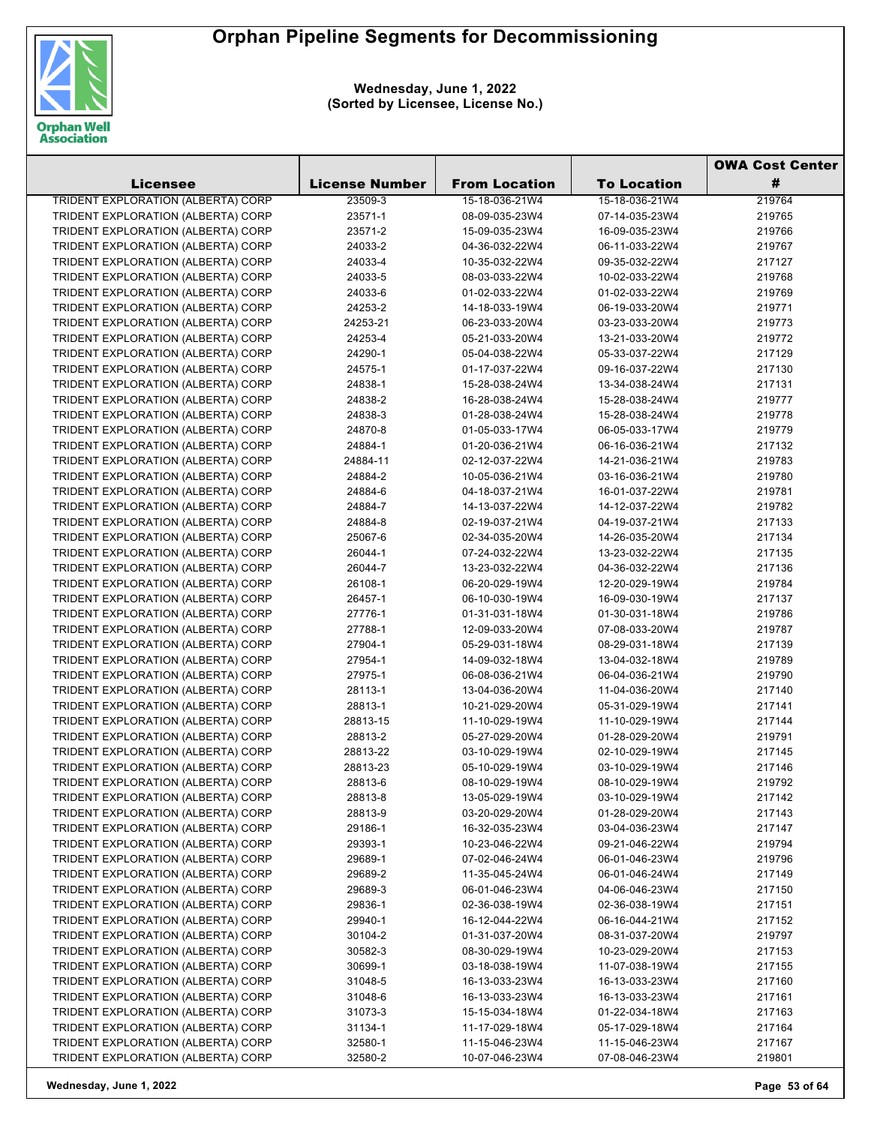

**Wednesday, June 1, 2022 (Sorted by Licensee, License No.)**

|                                           |                       |                      |                    | <b>OWA Cost Center</b> |
|-------------------------------------------|-----------------------|----------------------|--------------------|------------------------|
| Licensee                                  | <b>License Number</b> | <b>From Location</b> | <b>To Location</b> | #                      |
| <b>TRIDENT EXPLORATION (ALBERTA) CORP</b> | 23509-3               | 15-18-036-21W4       | 15-18-036-21W4     | 219764                 |
| TRIDENT EXPLORATION (ALBERTA) CORP        | 23571-1               | 08-09-035-23W4       | 07-14-035-23W4     | 219765                 |
| TRIDENT EXPLORATION (ALBERTA) CORP        | 23571-2               | 15-09-035-23W4       | 16-09-035-23W4     | 219766                 |
| TRIDENT EXPLORATION (ALBERTA) CORP        | 24033-2               | 04-36-032-22W4       | 06-11-033-22W4     | 219767                 |
| TRIDENT EXPLORATION (ALBERTA) CORP        | 24033-4               | 10-35-032-22W4       | 09-35-032-22W4     | 217127                 |
| TRIDENT EXPLORATION (ALBERTA) CORP        | 24033-5               | 08-03-033-22W4       | 10-02-033-22W4     | 219768                 |
| TRIDENT EXPLORATION (ALBERTA) CORP        | 24033-6               | 01-02-033-22W4       | 01-02-033-22W4     | 219769                 |
| TRIDENT EXPLORATION (ALBERTA) CORP        | 24253-2               | 14-18-033-19W4       | 06-19-033-20W4     | 219771                 |
| TRIDENT EXPLORATION (ALBERTA) CORP        | 24253-21              | 06-23-033-20W4       | 03-23-033-20W4     | 219773                 |
| TRIDENT EXPLORATION (ALBERTA) CORP        | 24253-4               | 05-21-033-20W4       | 13-21-033-20W4     | 219772                 |
| TRIDENT EXPLORATION (ALBERTA) CORP        | 24290-1               | 05-04-038-22W4       | 05-33-037-22W4     | 217129                 |
| TRIDENT EXPLORATION (ALBERTA) CORP        | 24575-1               | 01-17-037-22W4       | 09-16-037-22W4     | 217130                 |
| TRIDENT EXPLORATION (ALBERTA) CORP        | 24838-1               | 15-28-038-24W4       | 13-34-038-24W4     | 217131                 |
| TRIDENT EXPLORATION (ALBERTA) CORP        | 24838-2               | 16-28-038-24W4       | 15-28-038-24W4     | 219777                 |
| TRIDENT EXPLORATION (ALBERTA) CORP        | 24838-3               | 01-28-038-24W4       | 15-28-038-24W4     | 219778                 |
| TRIDENT EXPLORATION (ALBERTA) CORP        | 24870-8               | 01-05-033-17W4       | 06-05-033-17W4     | 219779                 |
| TRIDENT EXPLORATION (ALBERTA) CORP        | 24884-1               | 01-20-036-21W4       | 06-16-036-21W4     | 217132                 |
| TRIDENT EXPLORATION (ALBERTA) CORP        | 24884-11              | 02-12-037-22W4       | 14-21-036-21W4     | 219783                 |
| TRIDENT EXPLORATION (ALBERTA) CORP        | 24884-2               | 10-05-036-21W4       | 03-16-036-21W4     | 219780                 |
| TRIDENT EXPLORATION (ALBERTA) CORP        | 24884-6               | 04-18-037-21W4       | 16-01-037-22W4     | 219781                 |
| TRIDENT EXPLORATION (ALBERTA) CORP        | 24884-7               | 14-13-037-22W4       | 14-12-037-22W4     | 219782                 |
| TRIDENT EXPLORATION (ALBERTA) CORP        | 24884-8               | 02-19-037-21W4       | 04-19-037-21W4     | 217133                 |
| TRIDENT EXPLORATION (ALBERTA) CORP        | 25067-6               | 02-34-035-20W4       | 14-26-035-20W4     | 217134                 |
| TRIDENT EXPLORATION (ALBERTA) CORP        | 26044-1               | 07-24-032-22W4       | 13-23-032-22W4     | 217135                 |
| TRIDENT EXPLORATION (ALBERTA) CORP        | 26044-7               | 13-23-032-22W4       | 04-36-032-22W4     | 217136                 |
| TRIDENT EXPLORATION (ALBERTA) CORP        | 26108-1               | 06-20-029-19W4       | 12-20-029-19W4     | 219784                 |
| TRIDENT EXPLORATION (ALBERTA) CORP        | 26457-1               | 06-10-030-19W4       | 16-09-030-19W4     | 217137                 |
| TRIDENT EXPLORATION (ALBERTA) CORP        | 27776-1               | 01-31-031-18W4       | 01-30-031-18W4     | 219786                 |
| TRIDENT EXPLORATION (ALBERTA) CORP        | 27788-1               | 12-09-033-20W4       | 07-08-033-20W4     | 219787                 |
| TRIDENT EXPLORATION (ALBERTA) CORP        | 27904-1               | 05-29-031-18W4       | 08-29-031-18W4     | 217139                 |
| TRIDENT EXPLORATION (ALBERTA) CORP        | 27954-1               | 14-09-032-18W4       | 13-04-032-18W4     | 219789                 |
| TRIDENT EXPLORATION (ALBERTA) CORP        | 27975-1               | 06-08-036-21W4       | 06-04-036-21W4     | 219790                 |
| TRIDENT EXPLORATION (ALBERTA) CORP        | 28113-1               | 13-04-036-20W4       | 11-04-036-20W4     | 217140                 |
| TRIDENT EXPLORATION (ALBERTA) CORP        | 28813-1               | 10-21-029-20W4       | 05-31-029-19W4     | 217141                 |
| TRIDENT EXPLORATION (ALBERTA) CORP        | 28813-15              | 11-10-029-19W4       | 11-10-029-19W4     | 217144                 |
| TRIDENT EXPLORATION (ALBERTA) CORP        | 28813-2               | 05-27-029-20W4       | 01-28-029-20W4     | 219791                 |
| TRIDENT EXPLORATION (ALBERTA) CORP        | 28813-22              | 03-10-029-19W4       | 02-10-029-19W4     | 217145                 |
| TRIDENT EXPLORATION (ALBERTA) CORP        | 28813-23              | 05-10-029-19W4       | 03-10-029-19W4     | 217146                 |
| TRIDENT EXPLORATION (ALBERTA) CORP        | 28813-6               | 08-10-029-19W4       | 08-10-029-19W4     | 219792                 |
| TRIDENT EXPLORATION (ALBERTA) CORP        | 28813-8               | 13-05-029-19W4       | 03-10-029-19W4     | 217142                 |
| TRIDENT EXPLORATION (ALBERTA) CORP        | 28813-9               | 03-20-029-20W4       | 01-28-029-20W4     | 217143                 |
| TRIDENT EXPLORATION (ALBERTA) CORP        | 29186-1               | 16-32-035-23W4       | 03-04-036-23W4     | 217147                 |
| TRIDENT EXPLORATION (ALBERTA) CORP        | 29393-1               | 10-23-046-22W4       | 09-21-046-22W4     | 219794                 |
| TRIDENT EXPLORATION (ALBERTA) CORP        | 29689-1               | 07-02-046-24W4       | 06-01-046-23W4     | 219796                 |
| TRIDENT EXPLORATION (ALBERTA) CORP        | 29689-2               | 11-35-045-24W4       | 06-01-046-24W4     | 217149                 |
| TRIDENT EXPLORATION (ALBERTA) CORP        | 29689-3               | 06-01-046-23W4       | 04-06-046-23W4     | 217150                 |
| TRIDENT EXPLORATION (ALBERTA) CORP        | 29836-1               | 02-36-038-19W4       | 02-36-038-19W4     | 217151                 |
| TRIDENT EXPLORATION (ALBERTA) CORP        | 29940-1               | 16-12-044-22W4       | 06-16-044-21W4     | 217152                 |
| TRIDENT EXPLORATION (ALBERTA) CORP        | 30104-2               | 01-31-037-20W4       | 08-31-037-20W4     | 219797                 |
| TRIDENT EXPLORATION (ALBERTA) CORP        | 30582-3               | 08-30-029-19W4       | 10-23-029-20W4     | 217153                 |
| TRIDENT EXPLORATION (ALBERTA) CORP        | 30699-1               | 03-18-038-19W4       | 11-07-038-19W4     | 217155                 |
| TRIDENT EXPLORATION (ALBERTA) CORP        | 31048-5               | 16-13-033-23W4       | 16-13-033-23W4     | 217160                 |
| TRIDENT EXPLORATION (ALBERTA) CORP        | 31048-6               | 16-13-033-23W4       | 16-13-033-23W4     | 217161                 |
| TRIDENT EXPLORATION (ALBERTA) CORP        | 31073-3               | 15-15-034-18W4       | 01-22-034-18W4     | 217163                 |
| TRIDENT EXPLORATION (ALBERTA) CORP        | 31134-1               | 11-17-029-18W4       | 05-17-029-18W4     | 217164                 |
| TRIDENT EXPLORATION (ALBERTA) CORP        | 32580-1               | 11-15-046-23W4       | 11-15-046-23W4     | 217167                 |
| TRIDENT EXPLORATION (ALBERTA) CORP        | 32580-2               | 10-07-046-23W4       | 07-08-046-23W4     | 219801                 |
|                                           |                       |                      |                    |                        |

**Wednesday, June 1, 2022 Page 53 of 64**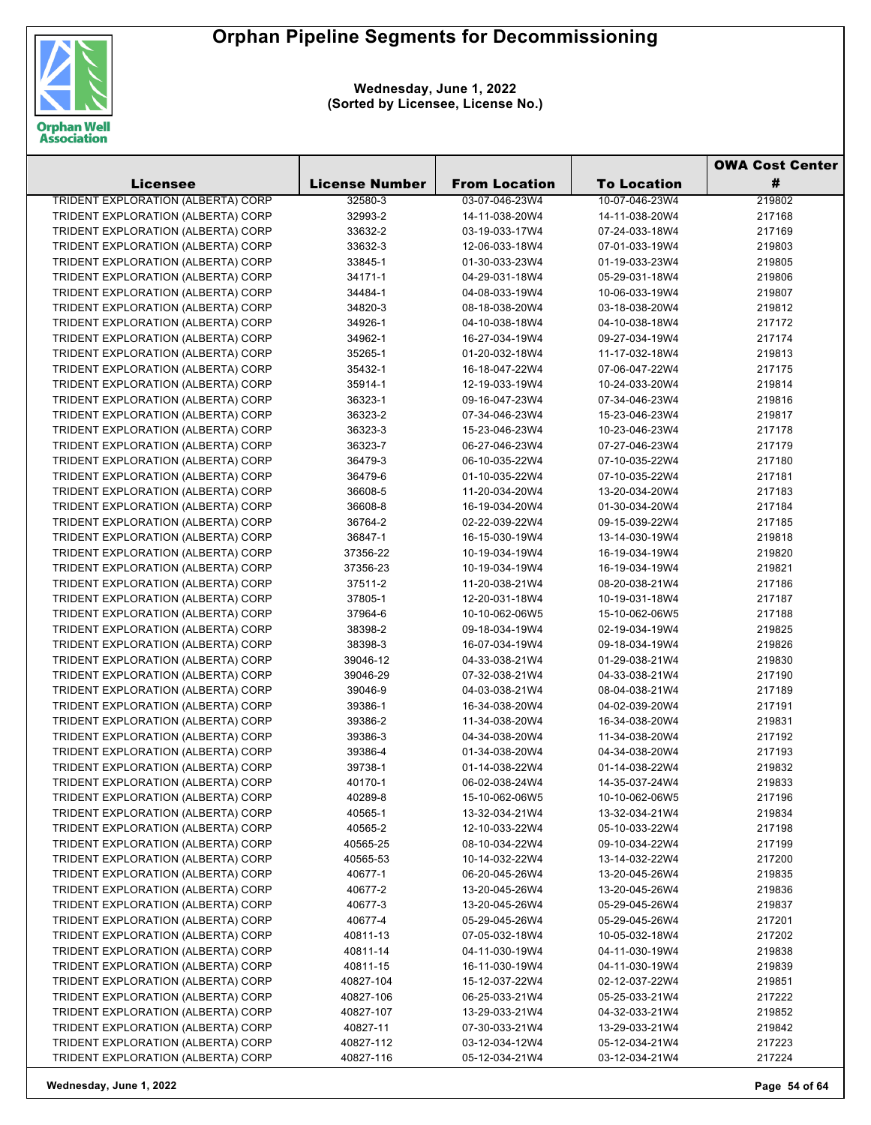

**Wednesday, June 1, 2022 (Sorted by Licensee, License No.)**

|                                           |                       |                      |                    | <b>OWA Cost Center</b> |
|-------------------------------------------|-----------------------|----------------------|--------------------|------------------------|
| Licensee                                  | <b>License Number</b> | <b>From Location</b> | <b>To Location</b> | #                      |
| <b>TRIDENT EXPLORATION (ALBERTA) CORP</b> | 32580-3               | 03-07-046-23W4       | 10-07-046-23W4     | 219802                 |
| TRIDENT EXPLORATION (ALBERTA) CORP        | 32993-2               | 14-11-038-20W4       | 14-11-038-20W4     | 217168                 |
| TRIDENT EXPLORATION (ALBERTA) CORP        | 33632-2               | 03-19-033-17W4       | 07-24-033-18W4     | 217169                 |
| TRIDENT EXPLORATION (ALBERTA) CORP        | 33632-3               | 12-06-033-18W4       | 07-01-033-19W4     | 219803                 |
| TRIDENT EXPLORATION (ALBERTA) CORP        | 33845-1               | 01-30-033-23W4       | 01-19-033-23W4     | 219805                 |
| TRIDENT EXPLORATION (ALBERTA) CORP        | 34171-1               | 04-29-031-18W4       | 05-29-031-18W4     | 219806                 |
| TRIDENT EXPLORATION (ALBERTA) CORP        | 34484-1               | 04-08-033-19W4       | 10-06-033-19W4     | 219807                 |
| TRIDENT EXPLORATION (ALBERTA) CORP        | 34820-3               | 08-18-038-20W4       | 03-18-038-20W4     | 219812                 |
| TRIDENT EXPLORATION (ALBERTA) CORP        | 34926-1               | 04-10-038-18W4       | 04-10-038-18W4     | 217172                 |
| TRIDENT EXPLORATION (ALBERTA) CORP        | 34962-1               | 16-27-034-19W4       | 09-27-034-19W4     | 217174                 |
| TRIDENT EXPLORATION (ALBERTA) CORP        | 35265-1               | 01-20-032-18W4       | 11-17-032-18W4     | 219813                 |
| TRIDENT EXPLORATION (ALBERTA) CORP        | 35432-1               | 16-18-047-22W4       | 07-06-047-22W4     | 217175                 |
| TRIDENT EXPLORATION (ALBERTA) CORP        | 35914-1               | 12-19-033-19W4       | 10-24-033-20W4     | 219814                 |
| TRIDENT EXPLORATION (ALBERTA) CORP        | 36323-1               | 09-16-047-23W4       | 07-34-046-23W4     | 219816                 |
| TRIDENT EXPLORATION (ALBERTA) CORP        | 36323-2               | 07-34-046-23W4       | 15-23-046-23W4     | 219817                 |
| TRIDENT EXPLORATION (ALBERTA) CORP        | 36323-3               | 15-23-046-23W4       | 10-23-046-23W4     | 217178                 |
| TRIDENT EXPLORATION (ALBERTA) CORP        | 36323-7               | 06-27-046-23W4       | 07-27-046-23W4     | 217179                 |
| TRIDENT EXPLORATION (ALBERTA) CORP        | 36479-3               | 06-10-035-22W4       | 07-10-035-22W4     | 217180                 |
| TRIDENT EXPLORATION (ALBERTA) CORP        | 36479-6               | 01-10-035-22W4       | 07-10-035-22W4     | 217181                 |
| TRIDENT EXPLORATION (ALBERTA) CORP        | 36608-5               | 11-20-034-20W4       | 13-20-034-20W4     | 217183                 |
| TRIDENT EXPLORATION (ALBERTA) CORP        | 36608-8               | 16-19-034-20W4       | 01-30-034-20W4     | 217184                 |
| TRIDENT EXPLORATION (ALBERTA) CORP        | 36764-2               | 02-22-039-22W4       | 09-15-039-22W4     | 217185                 |
| TRIDENT EXPLORATION (ALBERTA) CORP        | 36847-1               | 16-15-030-19W4       | 13-14-030-19W4     | 219818                 |
| TRIDENT EXPLORATION (ALBERTA) CORP        | 37356-22              | 10-19-034-19W4       | 16-19-034-19W4     | 219820                 |
| TRIDENT EXPLORATION (ALBERTA) CORP        | 37356-23              | 10-19-034-19W4       | 16-19-034-19W4     |                        |
|                                           | 37511-2               |                      |                    | 219821<br>217186       |
| TRIDENT EXPLORATION (ALBERTA) CORP        |                       | 11-20-038-21W4       | 08-20-038-21W4     |                        |
| TRIDENT EXPLORATION (ALBERTA) CORP        | 37805-1               | 12-20-031-18W4       | 10-19-031-18W4     | 217187                 |
| TRIDENT EXPLORATION (ALBERTA) CORP        | 37964-6               | 10-10-062-06W5       | 15-10-062-06W5     | 217188                 |
| TRIDENT EXPLORATION (ALBERTA) CORP        | 38398-2               | 09-18-034-19W4       | 02-19-034-19W4     | 219825                 |
| TRIDENT EXPLORATION (ALBERTA) CORP        | 38398-3               | 16-07-034-19W4       | 09-18-034-19W4     | 219826                 |
| TRIDENT EXPLORATION (ALBERTA) CORP        | 39046-12              | 04-33-038-21W4       | 01-29-038-21W4     | 219830                 |
| TRIDENT EXPLORATION (ALBERTA) CORP        | 39046-29              | 07-32-038-21W4       | 04-33-038-21W4     | 217190                 |
| TRIDENT EXPLORATION (ALBERTA) CORP        | 39046-9               | 04-03-038-21W4       | 08-04-038-21W4     | 217189                 |
| TRIDENT EXPLORATION (ALBERTA) CORP        | 39386-1               | 16-34-038-20W4       | 04-02-039-20W4     | 217191                 |
| TRIDENT EXPLORATION (ALBERTA) CORP        | 39386-2               | 11-34-038-20W4       | 16-34-038-20W4     | 219831                 |
| TRIDENT EXPLORATION (ALBERTA) CORP        | 39386-3               | 04-34-038-20W4       | 11-34-038-20W4     | 217192                 |
| TRIDENT EXPLORATION (ALBERTA) CORP        | 39386-4               | 01-34-038-20W4       | 04-34-038-20W4     | 217193                 |
| TRIDENT EXPLORATION (ALBERTA) CORP        | 39738-1               | 01-14-038-22W4       | 01-14-038-22W4     | 219832                 |
| TRIDENT EXPLORATION (ALBERTA) CORP        | 40170-1               | 06-02-038-24W4       | 14-35-037-24W4     | 219833                 |
| TRIDENT EXPLORATION (ALBERTA) CORP        | 40289-8               | 15-10-062-06W5       | 10-10-062-06W5     | 217196                 |
| TRIDENT EXPLORATION (ALBERTA) CORP        | 40565-1               | 13-32-034-21W4       | 13-32-034-21W4     | 219834                 |
| TRIDENT EXPLORATION (ALBERTA) CORP        | 40565-2               | 12-10-033-22W4       | 05-10-033-22W4     | 217198                 |
| TRIDENT EXPLORATION (ALBERTA) CORP        | 40565-25              | 08-10-034-22W4       | 09-10-034-22W4     | 217199                 |
| TRIDENT EXPLORATION (ALBERTA) CORP        | 40565-53              | 10-14-032-22W4       | 13-14-032-22W4     | 217200                 |
| TRIDENT EXPLORATION (ALBERTA) CORP        | 40677-1               | 06-20-045-26W4       | 13-20-045-26W4     | 219835                 |
| TRIDENT EXPLORATION (ALBERTA) CORP        | 40677-2               | 13-20-045-26W4       | 13-20-045-26W4     | 219836                 |
| TRIDENT EXPLORATION (ALBERTA) CORP        | 40677-3               | 13-20-045-26W4       | 05-29-045-26W4     | 219837                 |
| TRIDENT EXPLORATION (ALBERTA) CORP        | 40677-4               | 05-29-045-26W4       | 05-29-045-26W4     | 217201                 |
| TRIDENT EXPLORATION (ALBERTA) CORP        | 40811-13              | 07-05-032-18W4       | 10-05-032-18W4     | 217202                 |
| TRIDENT EXPLORATION (ALBERTA) CORP        | 40811-14              | 04-11-030-19W4       | 04-11-030-19W4     | 219838                 |
| TRIDENT EXPLORATION (ALBERTA) CORP        | 40811-15              | 16-11-030-19W4       | 04-11-030-19W4     | 219839                 |
| TRIDENT EXPLORATION (ALBERTA) CORP        | 40827-104             | 15-12-037-22W4       | 02-12-037-22W4     | 219851                 |
| TRIDENT EXPLORATION (ALBERTA) CORP        | 40827-106             | 06-25-033-21W4       | 05-25-033-21W4     | 217222                 |
| TRIDENT EXPLORATION (ALBERTA) CORP        | 40827-107             | 13-29-033-21W4       | 04-32-033-21W4     | 219852                 |
| TRIDENT EXPLORATION (ALBERTA) CORP        | 40827-11              | 07-30-033-21W4       | 13-29-033-21W4     | 219842                 |
| TRIDENT EXPLORATION (ALBERTA) CORP        | 40827-112             | 03-12-034-12W4       | 05-12-034-21W4     | 217223                 |
| TRIDENT EXPLORATION (ALBERTA) CORP        | 40827-116             | 05-12-034-21W4       | 03-12-034-21W4     | 217224                 |

**Wednesday, June 1, 2022 Page 54 of 64**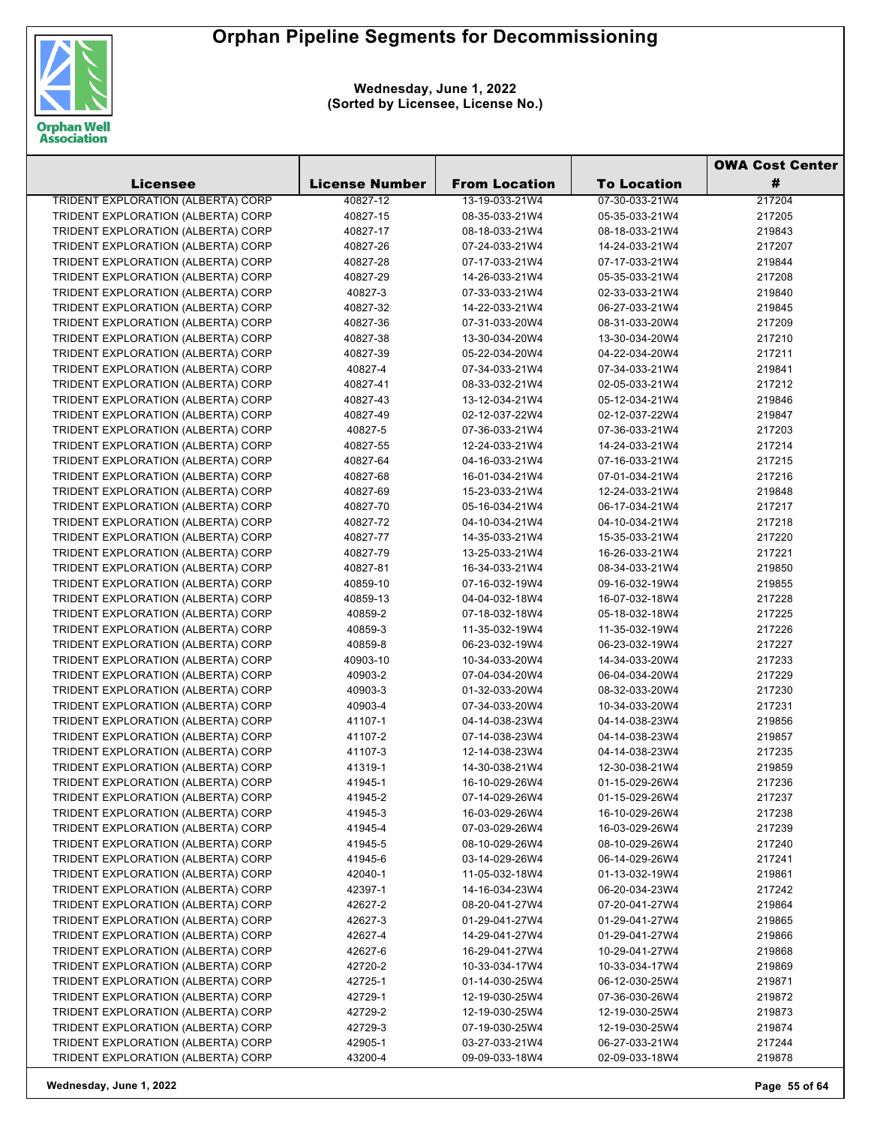

**Wednesday, June 1, 2022 (Sorted by Licensee, License No.)**

|                                           |                       |                      |                    | <b>OWA Cost Center</b> |
|-------------------------------------------|-----------------------|----------------------|--------------------|------------------------|
| Licensee                                  | <b>License Number</b> | <b>From Location</b> | <b>To Location</b> | #                      |
| <b>TRIDENT EXPLORATION (ALBERTA) CORP</b> | 40827-12              | 13-19-033-21W4       | 07-30-033-21W4     | 217204                 |
| TRIDENT EXPLORATION (ALBERTA) CORP        | 40827-15              | 08-35-033-21W4       | 05-35-033-21W4     | 217205                 |
| TRIDENT EXPLORATION (ALBERTA) CORP        | 40827-17              | 08-18-033-21W4       | 08-18-033-21W4     | 219843                 |
| TRIDENT EXPLORATION (ALBERTA) CORP        | 40827-26              | 07-24-033-21W4       | 14-24-033-21W4     | 217207                 |
| TRIDENT EXPLORATION (ALBERTA) CORP        | 40827-28              | 07-17-033-21W4       | 07-17-033-21W4     | 219844                 |
| TRIDENT EXPLORATION (ALBERTA) CORP        | 40827-29              | 14-26-033-21W4       | 05-35-033-21W4     | 217208                 |
| TRIDENT EXPLORATION (ALBERTA) CORP        | 40827-3               | 07-33-033-21W4       | 02-33-033-21W4     | 219840                 |
| TRIDENT EXPLORATION (ALBERTA) CORP        | 40827-32              | 14-22-033-21W4       | 06-27-033-21W4     | 219845                 |
| TRIDENT EXPLORATION (ALBERTA) CORP        | 40827-36              | 07-31-033-20W4       | 08-31-033-20W4     | 217209                 |
| TRIDENT EXPLORATION (ALBERTA) CORP        | 40827-38              | 13-30-034-20W4       | 13-30-034-20W4     | 217210                 |
| TRIDENT EXPLORATION (ALBERTA) CORP        | 40827-39              | 05-22-034-20W4       | 04-22-034-20W4     | 217211                 |
| TRIDENT EXPLORATION (ALBERTA) CORP        | 40827-4               | 07-34-033-21W4       | 07-34-033-21W4     | 219841                 |
| TRIDENT EXPLORATION (ALBERTA) CORP        | 40827-41              | 08-33-032-21W4       | 02-05-033-21W4     | 217212                 |
| TRIDENT EXPLORATION (ALBERTA) CORP        | 40827-43              | 13-12-034-21W4       | 05-12-034-21W4     | 219846                 |
| TRIDENT EXPLORATION (ALBERTA) CORP        | 40827-49              | 02-12-037-22W4       | 02-12-037-22W4     | 219847                 |
| TRIDENT EXPLORATION (ALBERTA) CORP        | 40827-5               | 07-36-033-21W4       | 07-36-033-21W4     | 217203                 |
| TRIDENT EXPLORATION (ALBERTA) CORP        | 40827-55              | 12-24-033-21W4       | 14-24-033-21W4     | 217214                 |
| TRIDENT EXPLORATION (ALBERTA) CORP        | 40827-64              | 04-16-033-21W4       | 07-16-033-21W4     | 217215                 |
| TRIDENT EXPLORATION (ALBERTA) CORP        | 40827-68              | 16-01-034-21W4       | 07-01-034-21W4     | 217216                 |
| TRIDENT EXPLORATION (ALBERTA) CORP        | 40827-69              | 15-23-033-21W4       | 12-24-033-21W4     | 219848                 |
| TRIDENT EXPLORATION (ALBERTA) CORP        |                       |                      |                    | 217217                 |
|                                           | 40827-70              | 05-16-034-21W4       | 06-17-034-21W4     |                        |
| TRIDENT EXPLORATION (ALBERTA) CORP        | 40827-72              | 04-10-034-21W4       | 04-10-034-21W4     | 217218                 |
| TRIDENT EXPLORATION (ALBERTA) CORP        | 40827-77              | 14-35-033-21W4       | 15-35-033-21W4     | 217220                 |
| TRIDENT EXPLORATION (ALBERTA) CORP        | 40827-79              | 13-25-033-21W4       | 16-26-033-21W4     | 217221                 |
| TRIDENT EXPLORATION (ALBERTA) CORP        | 40827-81              | 16-34-033-21W4       | 08-34-033-21W4     | 219850                 |
| TRIDENT EXPLORATION (ALBERTA) CORP        | 40859-10              | 07-16-032-19W4       | 09-16-032-19W4     | 219855                 |
| TRIDENT EXPLORATION (ALBERTA) CORP        | 40859-13              | 04-04-032-18W4       | 16-07-032-18W4     | 217228                 |
| TRIDENT EXPLORATION (ALBERTA) CORP        | 40859-2               | 07-18-032-18W4       | 05-18-032-18W4     | 217225                 |
| TRIDENT EXPLORATION (ALBERTA) CORP        | 40859-3               | 11-35-032-19W4       | 11-35-032-19W4     | 217226                 |
| TRIDENT EXPLORATION (ALBERTA) CORP        | 40859-8               | 06-23-032-19W4       | 06-23-032-19W4     | 217227                 |
| TRIDENT EXPLORATION (ALBERTA) CORP        | 40903-10              | 10-34-033-20W4       | 14-34-033-20W4     | 217233                 |
| TRIDENT EXPLORATION (ALBERTA) CORP        | 40903-2               | 07-04-034-20W4       | 06-04-034-20W4     | 217229                 |
| TRIDENT EXPLORATION (ALBERTA) CORP        | 40903-3               | 01-32-033-20W4       | 08-32-033-20W4     | 217230                 |
| TRIDENT EXPLORATION (ALBERTA) CORP        | 40903-4               | 07-34-033-20W4       | 10-34-033-20W4     | 217231                 |
| TRIDENT EXPLORATION (ALBERTA) CORP        | 41107-1               | 04-14-038-23W4       | 04-14-038-23W4     | 219856                 |
| TRIDENT EXPLORATION (ALBERTA) CORP        | 41107-2               | 07-14-038-23W4       | 04-14-038-23W4     | 219857                 |
| TRIDENT EXPLORATION (ALBERTA) CORP        | 41107-3               | 12-14-038-23W4       | 04-14-038-23W4     | 217235                 |
| TRIDENT EXPLORATION (ALBERTA) CORP        | 41319-1               | 14-30-038-21W4       | 12-30-038-21W4     | 219859                 |
| TRIDENT EXPLORATION (ALBERTA) CORP        | 41945-1               | 16-10-029-26W4       | 01-15-029-26W4     | 217236                 |
| TRIDENT EXPLORATION (ALBERTA) CORP        | 41945-2               | 07-14-029-26W4       | 01-15-029-26W4     | 217237                 |
| TRIDENT EXPLORATION (ALBERTA) CORP        | 41945-3               | 16-03-029-26W4       | 16-10-029-26W4     | 217238                 |
| TRIDENT EXPLORATION (ALBERTA) CORP        | 41945-4               | 07-03-029-26W4       | 16-03-029-26W4     | 217239                 |
| TRIDENT EXPLORATION (ALBERTA) CORP        | 41945-5               | 08-10-029-26W4       | 08-10-029-26W4     | 217240                 |
| TRIDENT EXPLORATION (ALBERTA) CORP        | 41945-6               | 03-14-029-26W4       | 06-14-029-26W4     | 217241                 |
| TRIDENT EXPLORATION (ALBERTA) CORP        | 42040-1               | 11-05-032-18W4       | 01-13-032-19W4     | 219861                 |
| TRIDENT EXPLORATION (ALBERTA) CORP        | 42397-1               | 14-16-034-23W4       | 06-20-034-23W4     | 217242                 |
| TRIDENT EXPLORATION (ALBERTA) CORP        | 42627-2               | 08-20-041-27W4       | 07-20-041-27W4     | 219864                 |
| TRIDENT EXPLORATION (ALBERTA) CORP        | 42627-3               | 01-29-041-27W4       | 01-29-041-27W4     | 219865                 |
| TRIDENT EXPLORATION (ALBERTA) CORP        | 42627-4               | 14-29-041-27W4       | 01-29-041-27W4     | 219866                 |
| TRIDENT EXPLORATION (ALBERTA) CORP        | 42627-6               | 16-29-041-27W4       | 10-29-041-27W4     | 219868                 |
| TRIDENT EXPLORATION (ALBERTA) CORP        | 42720-2               | 10-33-034-17W4       | 10-33-034-17W4     | 219869                 |
| TRIDENT EXPLORATION (ALBERTA) CORP        | 42725-1               | 01-14-030-25W4       | 06-12-030-25W4     | 219871                 |
| TRIDENT EXPLORATION (ALBERTA) CORP        | 42729-1               | 12-19-030-25W4       | 07-36-030-26W4     | 219872                 |
| TRIDENT EXPLORATION (ALBERTA) CORP        | 42729-2               | 12-19-030-25W4       | 12-19-030-25W4     | 219873                 |
| TRIDENT EXPLORATION (ALBERTA) CORP        | 42729-3               | 07-19-030-25W4       | 12-19-030-25W4     | 219874                 |
| TRIDENT EXPLORATION (ALBERTA) CORP        | 42905-1               | 03-27-033-21W4       | 06-27-033-21W4     | 217244                 |
| TRIDENT EXPLORATION (ALBERTA) CORP        | 43200-4               | 09-09-033-18W4       | 02-09-033-18W4     | 219878                 |

**Wednesday, June 1, 2022 Page 55 of 64**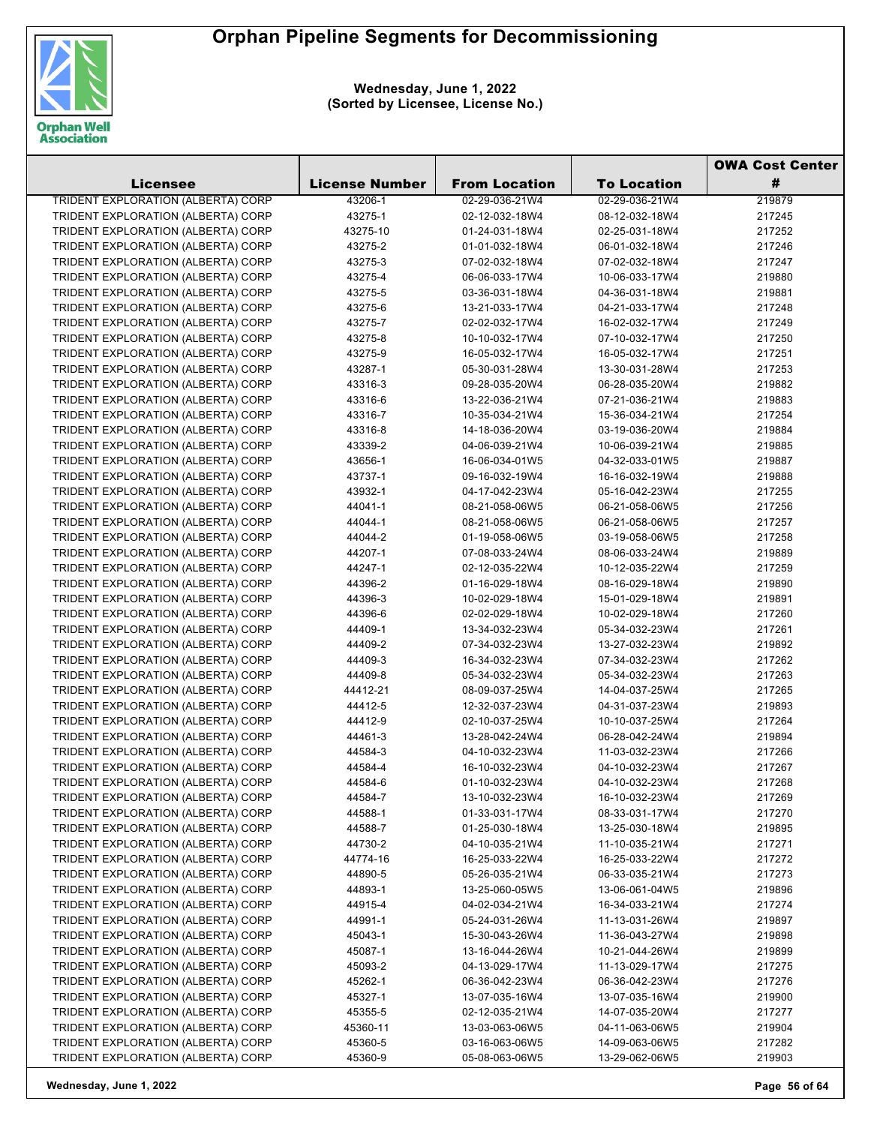

**Wednesday, June 1, 2022 (Sorted by Licensee, License No.)**

|                                           |                       |                      |                    | <b>OWA Cost Center</b> |
|-------------------------------------------|-----------------------|----------------------|--------------------|------------------------|
| Licensee                                  | <b>License Number</b> | <b>From Location</b> | <b>To Location</b> | #                      |
| <b>TRIDENT EXPLORATION (ALBERTA) CORP</b> | 43206-1               | 02-29-036-21W4       | 02-29-036-21W4     | 219879                 |
| TRIDENT EXPLORATION (ALBERTA) CORP        | 43275-1               | 02-12-032-18W4       | 08-12-032-18W4     | 217245                 |
| TRIDENT EXPLORATION (ALBERTA) CORP        | 43275-10              | 01-24-031-18W4       | 02-25-031-18W4     | 217252                 |
| TRIDENT EXPLORATION (ALBERTA) CORP        | 43275-2               | 01-01-032-18W4       | 06-01-032-18W4     | 217246                 |
| TRIDENT EXPLORATION (ALBERTA) CORP        | 43275-3               | 07-02-032-18W4       | 07-02-032-18W4     | 217247                 |
| TRIDENT EXPLORATION (ALBERTA) CORP        | 43275-4               | 06-06-033-17W4       | 10-06-033-17W4     | 219880                 |
| TRIDENT EXPLORATION (ALBERTA) CORP        | 43275-5               | 03-36-031-18W4       | 04-36-031-18W4     | 219881                 |
| TRIDENT EXPLORATION (ALBERTA) CORP        | 43275-6               | 13-21-033-17W4       | 04-21-033-17W4     | 217248                 |
| TRIDENT EXPLORATION (ALBERTA) CORP        | 43275-7               | 02-02-032-17W4       | 16-02-032-17W4     | 217249                 |
| TRIDENT EXPLORATION (ALBERTA) CORP        | 43275-8               | 10-10-032-17W4       | 07-10-032-17W4     | 217250                 |
| TRIDENT EXPLORATION (ALBERTA) CORP        | 43275-9               | 16-05-032-17W4       | 16-05-032-17W4     | 217251                 |
| TRIDENT EXPLORATION (ALBERTA) CORP        | 43287-1               | 05-30-031-28W4       | 13-30-031-28W4     | 217253                 |
| TRIDENT EXPLORATION (ALBERTA) CORP        | 43316-3               | 09-28-035-20W4       | 06-28-035-20W4     | 219882                 |
| TRIDENT EXPLORATION (ALBERTA) CORP        | 43316-6               | 13-22-036-21W4       | 07-21-036-21W4     | 219883                 |
| TRIDENT EXPLORATION (ALBERTA) CORP        | 43316-7               | 10-35-034-21W4       | 15-36-034-21W4     | 217254                 |
| TRIDENT EXPLORATION (ALBERTA) CORP        | 43316-8               | 14-18-036-20W4       | 03-19-036-20W4     | 219884                 |
| TRIDENT EXPLORATION (ALBERTA) CORP        | 43339-2               | 04-06-039-21W4       | 10-06-039-21W4     | 219885                 |
| TRIDENT EXPLORATION (ALBERTA) CORP        | 43656-1               | 16-06-034-01W5       | 04-32-033-01W5     | 219887                 |
| TRIDENT EXPLORATION (ALBERTA) CORP        | 43737-1               | 09-16-032-19W4       | 16-16-032-19W4     | 219888                 |
| TRIDENT EXPLORATION (ALBERTA) CORP        | 43932-1               | 04-17-042-23W4       | 05-16-042-23W4     | 217255                 |
| TRIDENT EXPLORATION (ALBERTA) CORP        | 44041-1               | 08-21-058-06W5       | 06-21-058-06W5     | 217256                 |
| TRIDENT EXPLORATION (ALBERTA) CORP        | 44044-1               | 08-21-058-06W5       | 06-21-058-06W5     | 217257                 |
| TRIDENT EXPLORATION (ALBERTA) CORP        | 44044-2               | 01-19-058-06W5       | 03-19-058-06W5     | 217258                 |
| TRIDENT EXPLORATION (ALBERTA) CORP        | 44207-1               | 07-08-033-24W4       | 08-06-033-24W4     | 219889                 |
| TRIDENT EXPLORATION (ALBERTA) CORP        | 44247-1               | 02-12-035-22W4       | 10-12-035-22W4     | 217259                 |
| TRIDENT EXPLORATION (ALBERTA) CORP        | 44396-2               | 01-16-029-18W4       | 08-16-029-18W4     | 219890                 |
| TRIDENT EXPLORATION (ALBERTA) CORP        | 44396-3               |                      |                    | 219891                 |
|                                           |                       | 10-02-029-18W4       | 15-01-029-18W4     |                        |
| TRIDENT EXPLORATION (ALBERTA) CORP        | 44396-6               | 02-02-029-18W4       | 10-02-029-18W4     | 217260                 |
| TRIDENT EXPLORATION (ALBERTA) CORP        | 44409-1               | 13-34-032-23W4       | 05-34-032-23W4     | 217261                 |
| TRIDENT EXPLORATION (ALBERTA) CORP        | 44409-2               | 07-34-032-23W4       | 13-27-032-23W4     | 219892                 |
| TRIDENT EXPLORATION (ALBERTA) CORP        | 44409-3               | 16-34-032-23W4       | 07-34-032-23W4     | 217262                 |
| TRIDENT EXPLORATION (ALBERTA) CORP        | 44409-8               | 05-34-032-23W4       | 05-34-032-23W4     | 217263                 |
| TRIDENT EXPLORATION (ALBERTA) CORP        | 44412-21              | 08-09-037-25W4       | 14-04-037-25W4     | 217265                 |
| TRIDENT EXPLORATION (ALBERTA) CORP        | 44412-5               | 12-32-037-23W4       | 04-31-037-23W4     | 219893                 |
| TRIDENT EXPLORATION (ALBERTA) CORP        | 44412-9               | 02-10-037-25W4       | 10-10-037-25W4     | 217264                 |
| TRIDENT EXPLORATION (ALBERTA) CORP        | 44461-3               | 13-28-042-24W4       | 06-28-042-24W4     | 219894                 |
| TRIDENT EXPLORATION (ALBERTA) CORP        | 44584-3               | 04-10-032-23W4       | 11-03-032-23W4     | 217266                 |
| TRIDENT EXPLORATION (ALBERTA) CORP        | 44584-4               | 16-10-032-23W4       | 04-10-032-23W4     | 217267                 |
| TRIDENT EXPLORATION (ALBERTA) CORP        | 44584-6               | 01-10-032-23W4       | 04-10-032-23W4     | 217268                 |
| TRIDENT EXPLORATION (ALBERTA) CORP        | 44584-7               | 13-10-032-23W4       | 16-10-032-23W4     | 217269                 |
| TRIDENT EXPLORATION (ALBERTA) CORP        | 44588-1               | 01-33-031-17W4       | 08-33-031-17W4     | 217270                 |
| TRIDENT EXPLORATION (ALBERTA) CORP        | 44588-7               | 01-25-030-18W4       | 13-25-030-18W4     | 219895                 |
| TRIDENT EXPLORATION (ALBERTA) CORP        | 44730-2               | 04-10-035-21W4       | 11-10-035-21W4     | 217271                 |
| TRIDENT EXPLORATION (ALBERTA) CORP        | 44774-16              | 16-25-033-22W4       | 16-25-033-22W4     | 217272                 |
| TRIDENT EXPLORATION (ALBERTA) CORP        | 44890-5               | 05-26-035-21W4       | 06-33-035-21W4     | 217273                 |
| TRIDENT EXPLORATION (ALBERTA) CORP        | 44893-1               | 13-25-060-05W5       | 13-06-061-04W5     | 219896                 |
| TRIDENT EXPLORATION (ALBERTA) CORP        | 44915-4               | 04-02-034-21W4       | 16-34-033-21W4     | 217274                 |
| TRIDENT EXPLORATION (ALBERTA) CORP        | 44991-1               | 05-24-031-26W4       | 11-13-031-26W4     | 219897                 |
| TRIDENT EXPLORATION (ALBERTA) CORP        | 45043-1               | 15-30-043-26W4       | 11-36-043-27W4     | 219898                 |
| TRIDENT EXPLORATION (ALBERTA) CORP        | 45087-1               | 13-16-044-26W4       | 10-21-044-26W4     | 219899                 |
| TRIDENT EXPLORATION (ALBERTA) CORP        | 45093-2               | 04-13-029-17W4       | 11-13-029-17W4     | 217275                 |
| TRIDENT EXPLORATION (ALBERTA) CORP        | 45262-1               | 06-36-042-23W4       | 06-36-042-23W4     | 217276                 |
| TRIDENT EXPLORATION (ALBERTA) CORP        | 45327-1               | 13-07-035-16W4       | 13-07-035-16W4     | 219900                 |
| TRIDENT EXPLORATION (ALBERTA) CORP        | 45355-5               | 02-12-035-21W4       | 14-07-035-20W4     | 217277                 |
| TRIDENT EXPLORATION (ALBERTA) CORP        | 45360-11              | 13-03-063-06W5       | 04-11-063-06W5     | 219904                 |
| TRIDENT EXPLORATION (ALBERTA) CORP        | 45360-5               | 03-16-063-06W5       | 14-09-063-06W5     | 217282                 |
| TRIDENT EXPLORATION (ALBERTA) CORP        | 45360-9               | 05-08-063-06W5       | 13-29-062-06W5     | 219903                 |

**Wednesday, June 1, 2022 Page 56 of 64**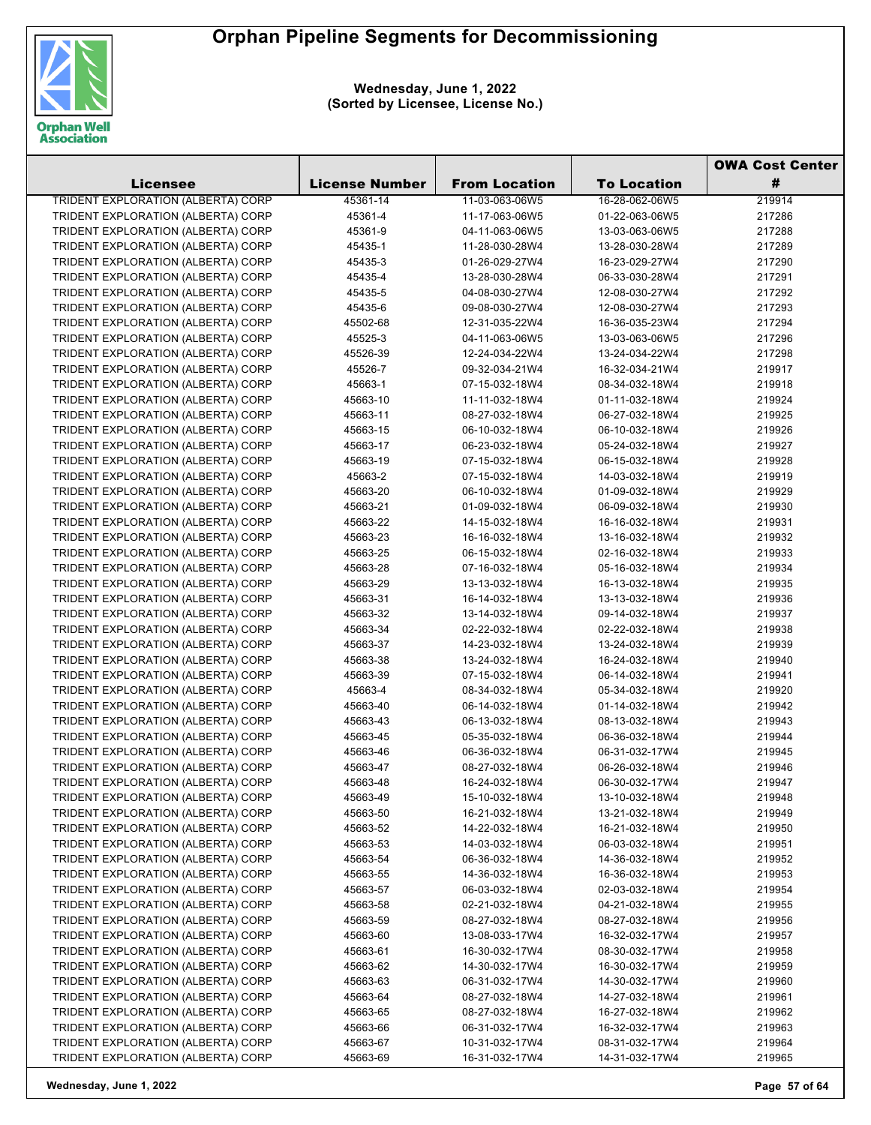

**Wednesday, June 1, 2022 (Sorted by Licensee, License No.)**

|                                    |                       |                      |                    | <b>OWA Cost Center</b> |
|------------------------------------|-----------------------|----------------------|--------------------|------------------------|
| Licensee                           | <b>License Number</b> | <b>From Location</b> | <b>To Location</b> | #                      |
| TRIDENT EXPLORATION (ALBERTA) CORP | 45361-14              | 11-03-063-06W5       | 16-28-062-06W5     | 219914                 |
| TRIDENT EXPLORATION (ALBERTA) CORP | 45361-4               | 11-17-063-06W5       | 01-22-063-06W5     | 217286                 |
| TRIDENT EXPLORATION (ALBERTA) CORP | 45361-9               | 04-11-063-06W5       | 13-03-063-06W5     | 217288                 |
| TRIDENT EXPLORATION (ALBERTA) CORP | 45435-1               | 11-28-030-28W4       | 13-28-030-28W4     | 217289                 |
| TRIDENT EXPLORATION (ALBERTA) CORP | 45435-3               | 01-26-029-27W4       | 16-23-029-27W4     | 217290                 |
| TRIDENT EXPLORATION (ALBERTA) CORP | 45435-4               | 13-28-030-28W4       | 06-33-030-28W4     | 217291                 |
| TRIDENT EXPLORATION (ALBERTA) CORP | 45435-5               | 04-08-030-27W4       | 12-08-030-27W4     | 217292                 |
| TRIDENT EXPLORATION (ALBERTA) CORP | 45435-6               | 09-08-030-27W4       | 12-08-030-27W4     | 217293                 |
| TRIDENT EXPLORATION (ALBERTA) CORP | 45502-68              | 12-31-035-22W4       | 16-36-035-23W4     | 217294                 |
| TRIDENT EXPLORATION (ALBERTA) CORP | 45525-3               | 04-11-063-06W5       | 13-03-063-06W5     | 217296                 |
| TRIDENT EXPLORATION (ALBERTA) CORP | 45526-39              | 12-24-034-22W4       | 13-24-034-22W4     | 217298                 |
| TRIDENT EXPLORATION (ALBERTA) CORP | 45526-7               | 09-32-034-21W4       | 16-32-034-21W4     | 219917                 |
| TRIDENT EXPLORATION (ALBERTA) CORP | 45663-1               | 07-15-032-18W4       | 08-34-032-18W4     | 219918                 |
| TRIDENT EXPLORATION (ALBERTA) CORP | 45663-10              | 11-11-032-18W4       | 01-11-032-18W4     | 219924                 |
| TRIDENT EXPLORATION (ALBERTA) CORP | 45663-11              | 08-27-032-18W4       | 06-27-032-18W4     | 219925                 |
| TRIDENT EXPLORATION (ALBERTA) CORP | 45663-15              | 06-10-032-18W4       | 06-10-032-18W4     | 219926                 |
| TRIDENT EXPLORATION (ALBERTA) CORP | 45663-17              | 06-23-032-18W4       | 05-24-032-18W4     | 219927                 |
| TRIDENT EXPLORATION (ALBERTA) CORP | 45663-19              | 07-15-032-18W4       | 06-15-032-18W4     | 219928                 |
| TRIDENT EXPLORATION (ALBERTA) CORP | 45663-2               | 07-15-032-18W4       | 14-03-032-18W4     | 219919                 |
| TRIDENT EXPLORATION (ALBERTA) CORP | 45663-20              | 06-10-032-18W4       | 01-09-032-18W4     | 219929                 |
| TRIDENT EXPLORATION (ALBERTA) CORP | 45663-21              | 01-09-032-18W4       | 06-09-032-18W4     | 219930                 |
| TRIDENT EXPLORATION (ALBERTA) CORP | 45663-22              | 14-15-032-18W4       | 16-16-032-18W4     | 219931                 |
| TRIDENT EXPLORATION (ALBERTA) CORP | 45663-23              | 16-16-032-18W4       | 13-16-032-18W4     | 219932                 |
| TRIDENT EXPLORATION (ALBERTA) CORP | 45663-25              | 06-15-032-18W4       | 02-16-032-18W4     | 219933                 |
| TRIDENT EXPLORATION (ALBERTA) CORP | 45663-28              | 07-16-032-18W4       | 05-16-032-18W4     | 219934                 |
| TRIDENT EXPLORATION (ALBERTA) CORP | 45663-29              | 13-13-032-18W4       | 16-13-032-18W4     | 219935                 |
| TRIDENT EXPLORATION (ALBERTA) CORP | 45663-31              | 16-14-032-18W4       | 13-13-032-18W4     | 219936                 |
| TRIDENT EXPLORATION (ALBERTA) CORP | 45663-32              | 13-14-032-18W4       | 09-14-032-18W4     | 219937                 |
| TRIDENT EXPLORATION (ALBERTA) CORP | 45663-34              | 02-22-032-18W4       | 02-22-032-18W4     | 219938                 |
| TRIDENT EXPLORATION (ALBERTA) CORP | 45663-37              | 14-23-032-18W4       | 13-24-032-18W4     | 219939                 |
| TRIDENT EXPLORATION (ALBERTA) CORP | 45663-38              | 13-24-032-18W4       | 16-24-032-18W4     | 219940                 |
| TRIDENT EXPLORATION (ALBERTA) CORP | 45663-39              | 07-15-032-18W4       | 06-14-032-18W4     | 219941                 |
| TRIDENT EXPLORATION (ALBERTA) CORP | 45663-4               | 08-34-032-18W4       | 05-34-032-18W4     | 219920                 |
| TRIDENT EXPLORATION (ALBERTA) CORP | 45663-40              | 06-14-032-18W4       | 01-14-032-18W4     | 219942                 |
| TRIDENT EXPLORATION (ALBERTA) CORP | 45663-43              | 06-13-032-18W4       | 08-13-032-18W4     | 219943                 |
| TRIDENT EXPLORATION (ALBERTA) CORP | 45663-45              | 05-35-032-18W4       | 06-36-032-18W4     | 219944                 |
| TRIDENT EXPLORATION (ALBERTA) CORP | 45663-46              | 06-36-032-18W4       | 06-31-032-17W4     | 219945                 |
| TRIDENT EXPLORATION (ALBERTA) CORP | 45663-47              | 08-27-032-18W4       | 06-26-032-18W4     | 219946                 |
| TRIDENT EXPLORATION (ALBERTA) CORP | 45663-48              | 16-24-032-18W4       | 06-30-032-17W4     | 219947                 |
| TRIDENT EXPLORATION (ALBERTA) CORP | 45663-49              | 15-10-032-18W4       | 13-10-032-18W4     | 219948                 |
| TRIDENT EXPLORATION (ALBERTA) CORP | 45663-50              | 16-21-032-18W4       | 13-21-032-18W4     | 219949                 |
| TRIDENT EXPLORATION (ALBERTA) CORP | 45663-52              | 14-22-032-18W4       | 16-21-032-18W4     | 219950                 |
| TRIDENT EXPLORATION (ALBERTA) CORP | 45663-53              | 14-03-032-18W4       | 06-03-032-18W4     | 219951                 |
| TRIDENT EXPLORATION (ALBERTA) CORP | 45663-54              | 06-36-032-18W4       | 14-36-032-18W4     | 219952                 |
| TRIDENT EXPLORATION (ALBERTA) CORP | 45663-55              | 14-36-032-18W4       | 16-36-032-18W4     | 219953                 |
| TRIDENT EXPLORATION (ALBERTA) CORP | 45663-57              | 06-03-032-18W4       | 02-03-032-18W4     | 219954                 |
| TRIDENT EXPLORATION (ALBERTA) CORP | 45663-58              | 02-21-032-18W4       | 04-21-032-18W4     | 219955                 |
| TRIDENT EXPLORATION (ALBERTA) CORP | 45663-59              | 08-27-032-18W4       | 08-27-032-18W4     | 219956                 |
| TRIDENT EXPLORATION (ALBERTA) CORP | 45663-60              | 13-08-033-17W4       | 16-32-032-17W4     | 219957                 |
| TRIDENT EXPLORATION (ALBERTA) CORP | 45663-61              | 16-30-032-17W4       | 08-30-032-17W4     | 219958                 |
| TRIDENT EXPLORATION (ALBERTA) CORP | 45663-62              | 14-30-032-17W4       | 16-30-032-17W4     | 219959                 |
| TRIDENT EXPLORATION (ALBERTA) CORP | 45663-63              | 06-31-032-17W4       | 14-30-032-17W4     | 219960                 |
| TRIDENT EXPLORATION (ALBERTA) CORP | 45663-64              | 08-27-032-18W4       | 14-27-032-18W4     | 219961                 |
| TRIDENT EXPLORATION (ALBERTA) CORP | 45663-65              | 08-27-032-18W4       | 16-27-032-18W4     | 219962                 |
| TRIDENT EXPLORATION (ALBERTA) CORP | 45663-66              | 06-31-032-17W4       | 16-32-032-17W4     | 219963                 |
| TRIDENT EXPLORATION (ALBERTA) CORP | 45663-67              | 10-31-032-17W4       | 08-31-032-17W4     | 219964                 |
| TRIDENT EXPLORATION (ALBERTA) CORP | 45663-69              | 16-31-032-17W4       | 14-31-032-17W4     | 219965                 |

**Wednesday, June 1, 2022 Page 57 of 64**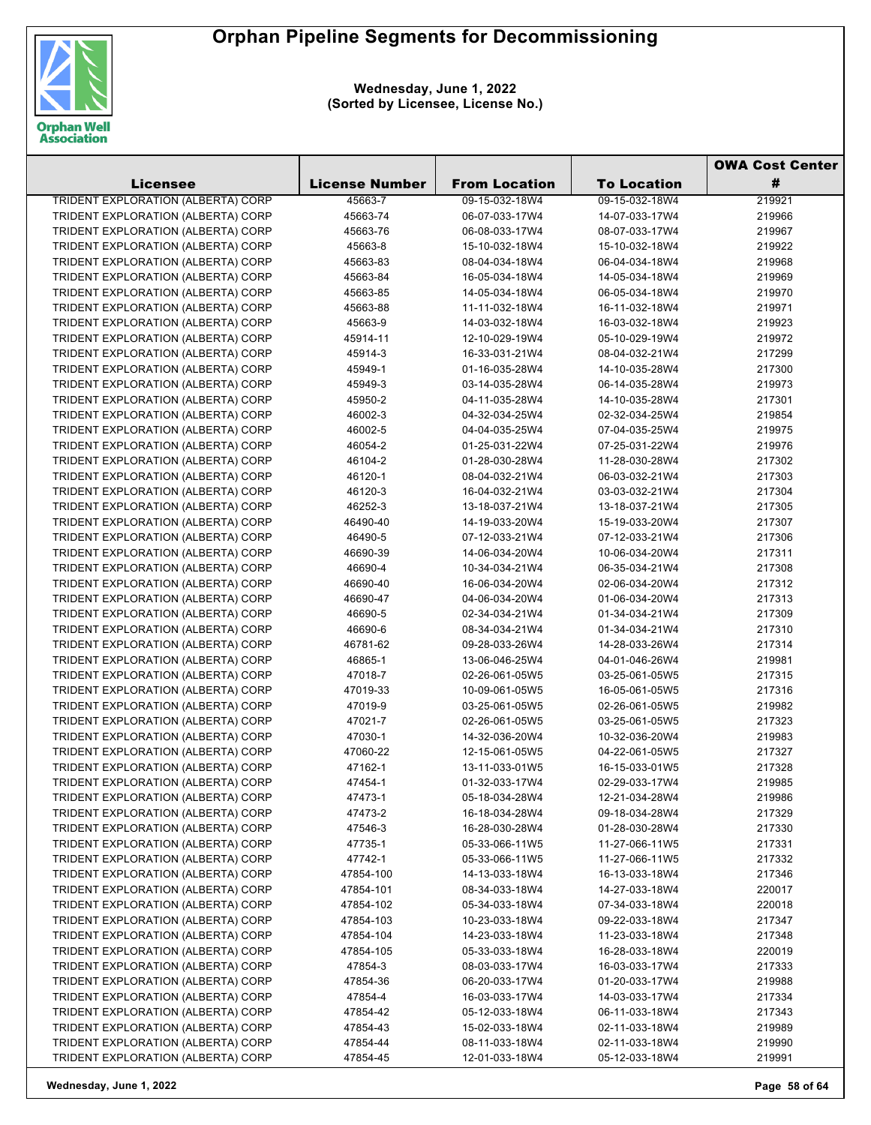

**Wednesday, June 1, 2022 (Sorted by Licensee, License No.)**

|                                                                          |                       |                      |                    | <b>OWA Cost Center</b> |  |
|--------------------------------------------------------------------------|-----------------------|----------------------|--------------------|------------------------|--|
| Licensee                                                                 | <b>License Number</b> | <b>From Location</b> | <b>To Location</b> | #                      |  |
| <b>TRIDENT EXPLORATION (ALBERTA) CORP</b>                                | 45663-7               | 09-15-032-18W4       | 09-15-032-18W4     | 219921                 |  |
| TRIDENT EXPLORATION (ALBERTA) CORP                                       | 45663-74              | 06-07-033-17W4       | 14-07-033-17W4     | 219966                 |  |
| TRIDENT EXPLORATION (ALBERTA) CORP                                       | 45663-76              | 06-08-033-17W4       | 08-07-033-17W4     | 219967                 |  |
| TRIDENT EXPLORATION (ALBERTA) CORP                                       | 45663-8               | 15-10-032-18W4       | 15-10-032-18W4     | 219922                 |  |
| TRIDENT EXPLORATION (ALBERTA) CORP                                       | 45663-83              | 08-04-034-18W4       | 06-04-034-18W4     | 219968                 |  |
| TRIDENT EXPLORATION (ALBERTA) CORP                                       | 45663-84              | 16-05-034-18W4       | 14-05-034-18W4     | 219969                 |  |
| TRIDENT EXPLORATION (ALBERTA) CORP                                       | 45663-85              | 14-05-034-18W4       | 06-05-034-18W4     | 219970                 |  |
| TRIDENT EXPLORATION (ALBERTA) CORP                                       | 45663-88              | 11-11-032-18W4       | 16-11-032-18W4     | 219971                 |  |
| TRIDENT EXPLORATION (ALBERTA) CORP                                       | 45663-9               | 14-03-032-18W4       | 16-03-032-18W4     | 219923                 |  |
| TRIDENT EXPLORATION (ALBERTA) CORP                                       | 45914-11              | 12-10-029-19W4       | 05-10-029-19W4     | 219972                 |  |
| TRIDENT EXPLORATION (ALBERTA) CORP                                       | 45914-3               | 16-33-031-21W4       | 08-04-032-21W4     | 217299                 |  |
| TRIDENT EXPLORATION (ALBERTA) CORP                                       | 45949-1               | 01-16-035-28W4       | 14-10-035-28W4     | 217300                 |  |
| TRIDENT EXPLORATION (ALBERTA) CORP                                       | 45949-3               | 03-14-035-28W4       | 06-14-035-28W4     | 219973                 |  |
| TRIDENT EXPLORATION (ALBERTA) CORP                                       | 45950-2               | 04-11-035-28W4       | 14-10-035-28W4     | 217301                 |  |
| TRIDENT EXPLORATION (ALBERTA) CORP                                       | 46002-3               | 04-32-034-25W4       | 02-32-034-25W4     | 219854                 |  |
| TRIDENT EXPLORATION (ALBERTA) CORP                                       | 46002-5               | 04-04-035-25W4       | 07-04-035-25W4     | 219975                 |  |
| TRIDENT EXPLORATION (ALBERTA) CORP                                       | 46054-2               | 01-25-031-22W4       | 07-25-031-22W4     | 219976                 |  |
|                                                                          | 46104-2               | 01-28-030-28W4       | 11-28-030-28W4     | 217302                 |  |
| TRIDENT EXPLORATION (ALBERTA) CORP<br>TRIDENT EXPLORATION (ALBERTA) CORP | 46120-1               | 08-04-032-21W4       | 06-03-032-21W4     | 217303                 |  |
| TRIDENT EXPLORATION (ALBERTA) CORP                                       |                       |                      | 03-03-032-21W4     |                        |  |
|                                                                          | 46120-3               | 16-04-032-21W4       |                    | 217304                 |  |
| TRIDENT EXPLORATION (ALBERTA) CORP                                       | 46252-3               | 13-18-037-21W4       | 13-18-037-21W4     | 217305                 |  |
| TRIDENT EXPLORATION (ALBERTA) CORP                                       | 46490-40              | 14-19-033-20W4       | 15-19-033-20W4     | 217307                 |  |
| TRIDENT EXPLORATION (ALBERTA) CORP                                       | 46490-5               | 07-12-033-21W4       | 07-12-033-21W4     | 217306                 |  |
| TRIDENT EXPLORATION (ALBERTA) CORP                                       | 46690-39              | 14-06-034-20W4       | 10-06-034-20W4     | 217311                 |  |
| TRIDENT EXPLORATION (ALBERTA) CORP                                       | 46690-4               | 10-34-034-21W4       | 06-35-034-21W4     | 217308                 |  |
| TRIDENT EXPLORATION (ALBERTA) CORP                                       | 46690-40              | 16-06-034-20W4       | 02-06-034-20W4     | 217312                 |  |
| TRIDENT EXPLORATION (ALBERTA) CORP                                       | 46690-47              | 04-06-034-20W4       | 01-06-034-20W4     | 217313                 |  |
| TRIDENT EXPLORATION (ALBERTA) CORP                                       | 46690-5               | 02-34-034-21W4       | 01-34-034-21W4     | 217309                 |  |
| TRIDENT EXPLORATION (ALBERTA) CORP                                       | 46690-6               | 08-34-034-21W4       | 01-34-034-21W4     | 217310                 |  |
| TRIDENT EXPLORATION (ALBERTA) CORP                                       | 46781-62              | 09-28-033-26W4       | 14-28-033-26W4     | 217314                 |  |
| TRIDENT EXPLORATION (ALBERTA) CORP                                       | 46865-1               | 13-06-046-25W4       | 04-01-046-26W4     | 219981                 |  |
| TRIDENT EXPLORATION (ALBERTA) CORP                                       | 47018-7               | 02-26-061-05W5       | 03-25-061-05W5     | 217315                 |  |
| TRIDENT EXPLORATION (ALBERTA) CORP                                       | 47019-33              | 10-09-061-05W5       | 16-05-061-05W5     | 217316                 |  |
| TRIDENT EXPLORATION (ALBERTA) CORP                                       | 47019-9               | 03-25-061-05W5       | 02-26-061-05W5     | 219982                 |  |
| TRIDENT EXPLORATION (ALBERTA) CORP                                       | 47021-7               | 02-26-061-05W5       | 03-25-061-05W5     | 217323                 |  |
| TRIDENT EXPLORATION (ALBERTA) CORP                                       | 47030-1               | 14-32-036-20W4       | 10-32-036-20W4     | 219983                 |  |
| TRIDENT EXPLORATION (ALBERTA) CORP                                       | 47060-22              | 12-15-061-05W5       | 04-22-061-05W5     | 217327                 |  |
| TRIDENT EXPLORATION (ALBERTA) CORP                                       | 47162-1               | 13-11-033-01W5       | 16-15-033-01W5     | 217328                 |  |
| TRIDENT EXPLORATION (ALBERTA) CORP                                       | 47454-1               | 01-32-033-17W4       | 02-29-033-17W4     | 219985                 |  |
| TRIDENT EXPLORATION (ALBERTA) CORP                                       | 47473-1               | 05-18-034-28W4       | 12-21-034-28W4     | 219986                 |  |
| TRIDENT EXPLORATION (ALBERTA) CORP                                       | 47473-2               | 16-18-034-28W4       | 09-18-034-28W4     | 217329                 |  |
| TRIDENT EXPLORATION (ALBERTA) CORP                                       | 47546-3               | 16-28-030-28W4       | 01-28-030-28W4     | 217330                 |  |
| TRIDENT EXPLORATION (ALBERTA) CORP                                       | 47735-1               | 05-33-066-11W5       | 11-27-066-11W5     | 217331                 |  |
| TRIDENT EXPLORATION (ALBERTA) CORP                                       | 47742-1               | 05-33-066-11W5       | 11-27-066-11W5     | 217332                 |  |
| TRIDENT EXPLORATION (ALBERTA) CORP                                       | 47854-100             | 14-13-033-18W4       | 16-13-033-18W4     | 217346                 |  |
| TRIDENT EXPLORATION (ALBERTA) CORP                                       | 47854-101             | 08-34-033-18W4       | 14-27-033-18W4     | 220017                 |  |
| TRIDENT EXPLORATION (ALBERTA) CORP                                       | 47854-102             | 05-34-033-18W4       | 07-34-033-18W4     | 220018                 |  |
| TRIDENT EXPLORATION (ALBERTA) CORP                                       | 47854-103             | 10-23-033-18W4       | 09-22-033-18W4     | 217347                 |  |
| TRIDENT EXPLORATION (ALBERTA) CORP                                       | 47854-104             | 14-23-033-18W4       | 11-23-033-18W4     | 217348                 |  |
| TRIDENT EXPLORATION (ALBERTA) CORP                                       | 47854-105             | 05-33-033-18W4       | 16-28-033-18W4     | 220019                 |  |
| TRIDENT EXPLORATION (ALBERTA) CORP                                       | 47854-3               | 08-03-033-17W4       | 16-03-033-17W4     | 217333                 |  |
| TRIDENT EXPLORATION (ALBERTA) CORP                                       | 47854-36              | 06-20-033-17W4       | 01-20-033-17W4     | 219988                 |  |
| TRIDENT EXPLORATION (ALBERTA) CORP                                       | 47854-4               | 16-03-033-17W4       | 14-03-033-17W4     | 217334                 |  |
| TRIDENT EXPLORATION (ALBERTA) CORP                                       | 47854-42              | 05-12-033-18W4       | 06-11-033-18W4     | 217343                 |  |
| TRIDENT EXPLORATION (ALBERTA) CORP                                       | 47854-43              | 15-02-033-18W4       | 02-11-033-18W4     | 219989                 |  |
| TRIDENT EXPLORATION (ALBERTA) CORP                                       | 47854-44              | 08-11-033-18W4       | 02-11-033-18W4     | 219990                 |  |
| TRIDENT EXPLORATION (ALBERTA) CORP                                       | 47854-45              | 12-01-033-18W4       | 05-12-033-18W4     | 219991                 |  |
|                                                                          |                       |                      |                    |                        |  |

**Wednesday, June 1, 2022 Page 58 of 64**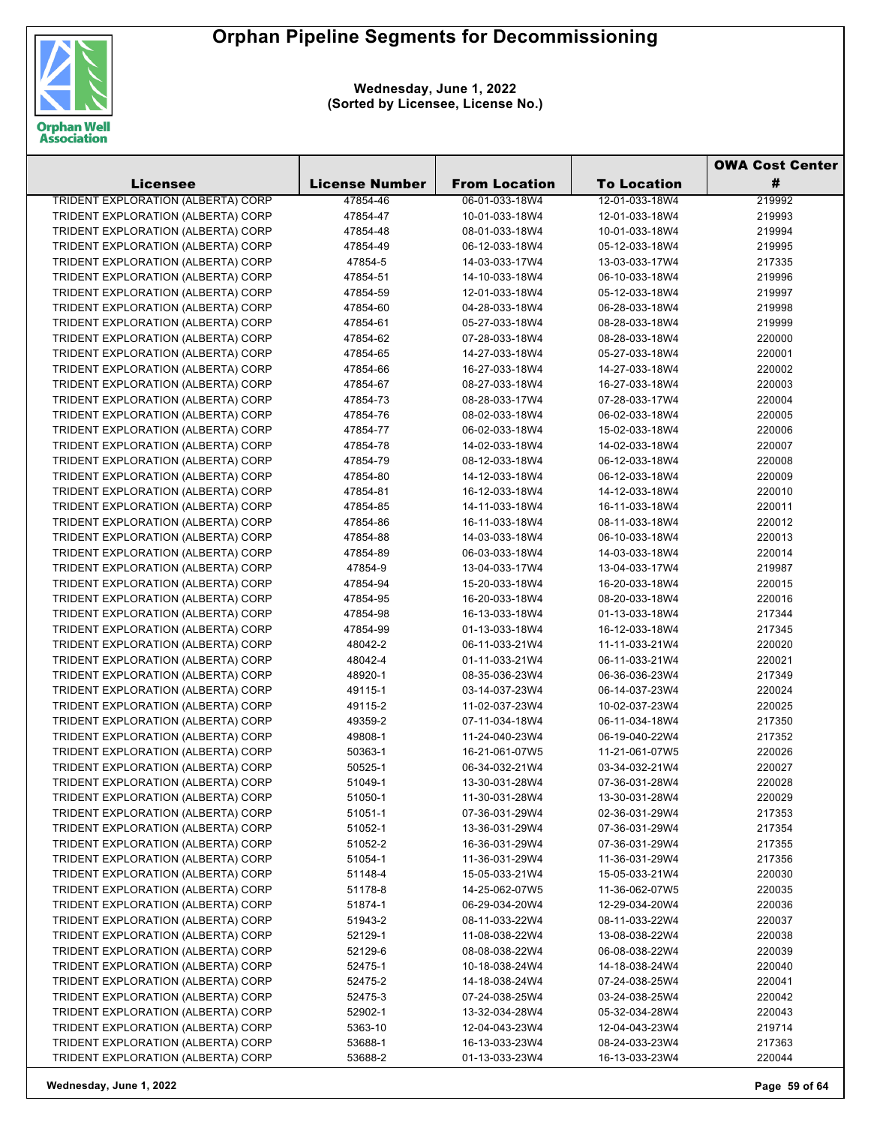

**Wednesday, June 1, 2022 (Sorted by Licensee, License No.)**

|                                           |                       |                      | <b>OWA Cost Center</b> |        |
|-------------------------------------------|-----------------------|----------------------|------------------------|--------|
| <b>Licensee</b>                           | <b>License Number</b> | <b>From Location</b> | <b>To Location</b>     | #      |
| <b>TRIDENT EXPLORATION (ALBERTA) CORP</b> | 47854-46              | 06-01-033-18W4       | 12-01-033-18W4         | 219992 |
| TRIDENT EXPLORATION (ALBERTA) CORP        | 47854-47              | 10-01-033-18W4       | 12-01-033-18W4         | 219993 |
| TRIDENT EXPLORATION (ALBERTA) CORP        | 47854-48              | 08-01-033-18W4       | 10-01-033-18W4         | 219994 |
| TRIDENT EXPLORATION (ALBERTA) CORP        | 47854-49              | 06-12-033-18W4       | 05-12-033-18W4         | 219995 |
| TRIDENT EXPLORATION (ALBERTA) CORP        | 47854-5               | 14-03-033-17W4       | 13-03-033-17W4         | 217335 |
| TRIDENT EXPLORATION (ALBERTA) CORP        | 47854-51              | 14-10-033-18W4       | 06-10-033-18W4         | 219996 |
| TRIDENT EXPLORATION (ALBERTA) CORP        | 47854-59              | 12-01-033-18W4       | 05-12-033-18W4         | 219997 |
| TRIDENT EXPLORATION (ALBERTA) CORP        | 47854-60              | 04-28-033-18W4       | 06-28-033-18W4         | 219998 |
| TRIDENT EXPLORATION (ALBERTA) CORP        | 47854-61              | 05-27-033-18W4       | 08-28-033-18W4         | 219999 |
| TRIDENT EXPLORATION (ALBERTA) CORP        | 47854-62              | 07-28-033-18W4       | 08-28-033-18W4         | 220000 |
| TRIDENT EXPLORATION (ALBERTA) CORP        | 47854-65              | 14-27-033-18W4       | 05-27-033-18W4         | 220001 |
| TRIDENT EXPLORATION (ALBERTA) CORP        | 47854-66              | 16-27-033-18W4       | 14-27-033-18W4         | 220002 |
| TRIDENT EXPLORATION (ALBERTA) CORP        | 47854-67              | 08-27-033-18W4       | 16-27-033-18W4         | 220003 |
| TRIDENT EXPLORATION (ALBERTA) CORP        | 47854-73              | 08-28-033-17W4       | 07-28-033-17W4         | 220004 |
| TRIDENT EXPLORATION (ALBERTA) CORP        | 47854-76              | 08-02-033-18W4       | 06-02-033-18W4         | 220005 |
| TRIDENT EXPLORATION (ALBERTA) CORP        | 47854-77              | 06-02-033-18W4       | 15-02-033-18W4         | 220006 |
| TRIDENT EXPLORATION (ALBERTA) CORP        | 47854-78              | 14-02-033-18W4       | 14-02-033-18W4         | 220007 |
| TRIDENT EXPLORATION (ALBERTA) CORP        | 47854-79              | 08-12-033-18W4       | 06-12-033-18W4         | 220008 |
| TRIDENT EXPLORATION (ALBERTA) CORP        | 47854-80              | 14-12-033-18W4       | 06-12-033-18W4         | 220009 |
| TRIDENT EXPLORATION (ALBERTA) CORP        | 47854-81              | 16-12-033-18W4       | 14-12-033-18W4         | 220010 |
| TRIDENT EXPLORATION (ALBERTA) CORP        | 47854-85              | 14-11-033-18W4       | 16-11-033-18W4         | 220011 |
| TRIDENT EXPLORATION (ALBERTA) CORP        | 47854-86              | 16-11-033-18W4       | 08-11-033-18W4         | 220012 |
| TRIDENT EXPLORATION (ALBERTA) CORP        | 47854-88              | 14-03-033-18W4       | 06-10-033-18W4         | 220013 |
| TRIDENT EXPLORATION (ALBERTA) CORP        | 47854-89              | 06-03-033-18W4       | 14-03-033-18W4         | 220014 |
| TRIDENT EXPLORATION (ALBERTA) CORP        | 47854-9               | 13-04-033-17W4       | 13-04-033-17W4         | 219987 |
| TRIDENT EXPLORATION (ALBERTA) CORP        | 47854-94              | 15-20-033-18W4       | 16-20-033-18W4         | 220015 |
| TRIDENT EXPLORATION (ALBERTA) CORP        | 47854-95              | 16-20-033-18W4       | 08-20-033-18W4         | 220016 |
| TRIDENT EXPLORATION (ALBERTA) CORP        | 47854-98              | 16-13-033-18W4       | 01-13-033-18W4         | 217344 |
| TRIDENT EXPLORATION (ALBERTA) CORP        | 47854-99              | 01-13-033-18W4       | 16-12-033-18W4         | 217345 |
| TRIDENT EXPLORATION (ALBERTA) CORP        | 48042-2               | 06-11-033-21W4       | 11-11-033-21W4         | 220020 |
| TRIDENT EXPLORATION (ALBERTA) CORP        | 48042-4               | 01-11-033-21W4       | 06-11-033-21W4         | 220021 |
| TRIDENT EXPLORATION (ALBERTA) CORP        | 48920-1               | 08-35-036-23W4       | 06-36-036-23W4         | 217349 |
| TRIDENT EXPLORATION (ALBERTA) CORP        | 49115-1               | 03-14-037-23W4       | 06-14-037-23W4         | 220024 |
| TRIDENT EXPLORATION (ALBERTA) CORP        | 49115-2               | 11-02-037-23W4       | 10-02-037-23W4         | 220025 |
| TRIDENT EXPLORATION (ALBERTA) CORP        | 49359-2               | 07-11-034-18W4       | 06-11-034-18W4         | 217350 |
| TRIDENT EXPLORATION (ALBERTA) CORP        | 49808-1               | 11-24-040-23W4       | 06-19-040-22W4         | 217352 |
| TRIDENT EXPLORATION (ALBERTA) CORP        | 50363-1               | 16-21-061-07W5       | 11-21-061-07W5         | 220026 |
| TRIDENT EXPLORATION (ALBERTA) CORP        | 50525-1               | 06-34-032-21W4       | 03-34-032-21W4         | 220027 |
| TRIDENT EXPLORATION (ALBERTA) CORP        | 51049-1               | 13-30-031-28W4       | 07-36-031-28W4         | 220028 |
| TRIDENT EXPLORATION (ALBERTA) CORP        | 51050-1               | 11-30-031-28W4       | 13-30-031-28W4         | 220029 |
| TRIDENT EXPLORATION (ALBERTA) CORP        | 51051-1               | 07-36-031-29W4       | 02-36-031-29W4         | 217353 |
| TRIDENT EXPLORATION (ALBERTA) CORP        | 51052-1               | 13-36-031-29W4       | 07-36-031-29W4         | 217354 |
| TRIDENT EXPLORATION (ALBERTA) CORP        | 51052-2               | 16-36-031-29W4       | 07-36-031-29W4         | 217355 |
| TRIDENT EXPLORATION (ALBERTA) CORP        | 51054-1               | 11-36-031-29W4       | 11-36-031-29W4         | 217356 |
| TRIDENT EXPLORATION (ALBERTA) CORP        | 51148-4               | 15-05-033-21W4       | 15-05-033-21W4         | 220030 |
| TRIDENT EXPLORATION (ALBERTA) CORP        | 51178-8               | 14-25-062-07W5       | 11-36-062-07W5         | 220035 |
| TRIDENT EXPLORATION (ALBERTA) CORP        | 51874-1               | 06-29-034-20W4       | 12-29-034-20W4         | 220036 |
| TRIDENT EXPLORATION (ALBERTA) CORP        | 51943-2               | 08-11-033-22W4       | 08-11-033-22W4         | 220037 |
| TRIDENT EXPLORATION (ALBERTA) CORP        | 52129-1               | 11-08-038-22W4       | 13-08-038-22W4         | 220038 |
| TRIDENT EXPLORATION (ALBERTA) CORP        | 52129-6               | 08-08-038-22W4       | 06-08-038-22W4         | 220039 |
| TRIDENT EXPLORATION (ALBERTA) CORP        | 52475-1               | 10-18-038-24W4       | 14-18-038-24W4         | 220040 |
| TRIDENT EXPLORATION (ALBERTA) CORP        | 52475-2               | 14-18-038-24W4       | 07-24-038-25W4         | 220041 |
| TRIDENT EXPLORATION (ALBERTA) CORP        | 52475-3               | 07-24-038-25W4       | 03-24-038-25W4         | 220042 |
| TRIDENT EXPLORATION (ALBERTA) CORP        | 52902-1               | 13-32-034-28W4       | 05-32-034-28W4         | 220043 |
| TRIDENT EXPLORATION (ALBERTA) CORP        | 5363-10               | 12-04-043-23W4       | 12-04-043-23W4         | 219714 |
| TRIDENT EXPLORATION (ALBERTA) CORP        | 53688-1               | 16-13-033-23W4       | 08-24-033-23W4         | 217363 |
| TRIDENT EXPLORATION (ALBERTA) CORP        | 53688-2               | 01-13-033-23W4       | 16-13-033-23W4         | 220044 |

**Wednesday, June 1, 2022 Page 59 of 64**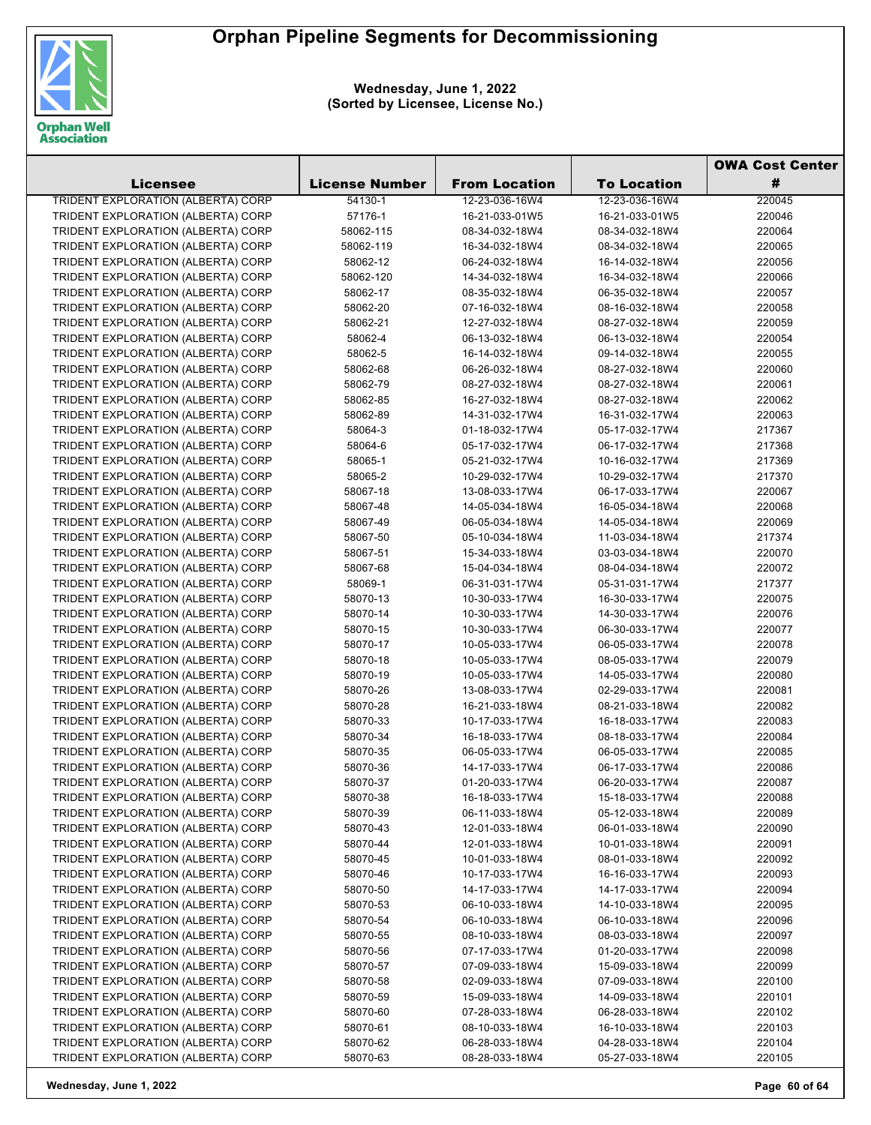

**Wednesday, June 1, 2022 (Sorted by Licensee, License No.)**

|                                           |                       |                      |                    | <b>OWA Cost Center</b> |  |
|-------------------------------------------|-----------------------|----------------------|--------------------|------------------------|--|
| Licensee                                  | <b>License Number</b> | <b>From Location</b> | <b>To Location</b> | #                      |  |
| <b>TRIDENT EXPLORATION (ALBERTA) CORP</b> | 54130-1               | 12-23-036-16W4       | 12-23-036-16W4     | 220045                 |  |
| TRIDENT EXPLORATION (ALBERTA) CORP        | 57176-1               | 16-21-033-01W5       | 16-21-033-01W5     | 220046                 |  |
| TRIDENT EXPLORATION (ALBERTA) CORP        | 58062-115             | 08-34-032-18W4       | 08-34-032-18W4     | 220064                 |  |
| TRIDENT EXPLORATION (ALBERTA) CORP        | 58062-119             | 16-34-032-18W4       | 08-34-032-18W4     | 220065                 |  |
| TRIDENT EXPLORATION (ALBERTA) CORP        | 58062-12              | 06-24-032-18W4       | 16-14-032-18W4     | 220056                 |  |
| TRIDENT EXPLORATION (ALBERTA) CORP        | 58062-120             | 14-34-032-18W4       | 16-34-032-18W4     | 220066                 |  |
| TRIDENT EXPLORATION (ALBERTA) CORP        | 58062-17              | 08-35-032-18W4       | 06-35-032-18W4     | 220057                 |  |
| TRIDENT EXPLORATION (ALBERTA) CORP        | 58062-20              | 07-16-032-18W4       | 08-16-032-18W4     | 220058                 |  |
| TRIDENT EXPLORATION (ALBERTA) CORP        | 58062-21              | 12-27-032-18W4       | 08-27-032-18W4     | 220059                 |  |
| TRIDENT EXPLORATION (ALBERTA) CORP        | 58062-4               | 06-13-032-18W4       | 06-13-032-18W4     | 220054                 |  |
| TRIDENT EXPLORATION (ALBERTA) CORP        | 58062-5               | 16-14-032-18W4       | 09-14-032-18W4     | 220055                 |  |
| TRIDENT EXPLORATION (ALBERTA) CORP        | 58062-68              | 06-26-032-18W4       | 08-27-032-18W4     | 220060                 |  |
| TRIDENT EXPLORATION (ALBERTA) CORP        | 58062-79              | 08-27-032-18W4       | 08-27-032-18W4     | 220061                 |  |
| TRIDENT EXPLORATION (ALBERTA) CORP        | 58062-85              | 16-27-032-18W4       | 08-27-032-18W4     | 220062                 |  |
| TRIDENT EXPLORATION (ALBERTA) CORP        | 58062-89              | 14-31-032-17W4       | 16-31-032-17W4     | 220063                 |  |
| TRIDENT EXPLORATION (ALBERTA) CORP        | 58064-3               | 01-18-032-17W4       | 05-17-032-17W4     | 217367                 |  |
| TRIDENT EXPLORATION (ALBERTA) CORP        | 58064-6               | 05-17-032-17W4       | 06-17-032-17W4     | 217368                 |  |
| TRIDENT EXPLORATION (ALBERTA) CORP        | 58065-1               | 05-21-032-17W4       | 10-16-032-17W4     | 217369                 |  |
| TRIDENT EXPLORATION (ALBERTA) CORP        | 58065-2               | 10-29-032-17W4       | 10-29-032-17W4     | 217370                 |  |
| TRIDENT EXPLORATION (ALBERTA) CORP        | 58067-18              | 13-08-033-17W4       | 06-17-033-17W4     | 220067                 |  |
| TRIDENT EXPLORATION (ALBERTA) CORP        | 58067-48              | 14-05-034-18W4       | 16-05-034-18W4     | 220068                 |  |
| TRIDENT EXPLORATION (ALBERTA) CORP        | 58067-49              | 06-05-034-18W4       | 14-05-034-18W4     | 220069                 |  |
| TRIDENT EXPLORATION (ALBERTA) CORP        | 58067-50              | 05-10-034-18W4       | 11-03-034-18W4     | 217374                 |  |
| TRIDENT EXPLORATION (ALBERTA) CORP        | 58067-51              | 15-34-033-18W4       | 03-03-034-18W4     | 220070                 |  |
| TRIDENT EXPLORATION (ALBERTA) CORP        | 58067-68              | 15-04-034-18W4       | 08-04-034-18W4     | 220072                 |  |
| TRIDENT EXPLORATION (ALBERTA) CORP        | 58069-1               | 06-31-031-17W4       | 05-31-031-17W4     | 217377                 |  |
| TRIDENT EXPLORATION (ALBERTA) CORP        | 58070-13              | 10-30-033-17W4       | 16-30-033-17W4     | 220075                 |  |
| TRIDENT EXPLORATION (ALBERTA) CORP        | 58070-14              | 10-30-033-17W4       | 14-30-033-17W4     | 220076                 |  |
| TRIDENT EXPLORATION (ALBERTA) CORP        | 58070-15              | 10-30-033-17W4       | 06-30-033-17W4     | 220077                 |  |
| TRIDENT EXPLORATION (ALBERTA) CORP        | 58070-17              | 10-05-033-17W4       | 06-05-033-17W4     | 220078                 |  |
| TRIDENT EXPLORATION (ALBERTA) CORP        | 58070-18              | 10-05-033-17W4       | 08-05-033-17W4     | 220079                 |  |
| TRIDENT EXPLORATION (ALBERTA) CORP        | 58070-19              | 10-05-033-17W4       | 14-05-033-17W4     | 220080                 |  |
| TRIDENT EXPLORATION (ALBERTA) CORP        | 58070-26              | 13-08-033-17W4       | 02-29-033-17W4     | 220081                 |  |
| TRIDENT EXPLORATION (ALBERTA) CORP        | 58070-28              | 16-21-033-18W4       | 08-21-033-18W4     | 220082                 |  |
| TRIDENT EXPLORATION (ALBERTA) CORP        | 58070-33              | 10-17-033-17W4       | 16-18-033-17W4     | 220083                 |  |
| TRIDENT EXPLORATION (ALBERTA) CORP        | 58070-34              | 16-18-033-17W4       | 08-18-033-17W4     | 220084                 |  |
| TRIDENT EXPLORATION (ALBERTA) CORP        | 58070-35              | 06-05-033-17W4       | 06-05-033-17W4     | 220085                 |  |
| TRIDENT EXPLORATION (ALBERTA) CORP        | 58070-36              | 14-17-033-17W4       | 06-17-033-17W4     | 220086                 |  |
| TRIDENT EXPLORATION (ALBERTA) CORP        | 58070-37              | 01-20-033-17W4       | 06-20-033-17W4     | 220087                 |  |
| TRIDENT EXPLORATION (ALBERTA) CORP        | 58070-38              | 16-18-033-17W4       | 15-18-033-17W4     | 220088                 |  |
| TRIDENT EXPLORATION (ALBERTA) CORP        | 58070-39              | 06-11-033-18W4       | 05-12-033-18W4     | 220089                 |  |
| TRIDENT EXPLORATION (ALBERTA) CORP        | 58070-43              | 12-01-033-18W4       | 06-01-033-18W4     | 220090                 |  |
| TRIDENT EXPLORATION (ALBERTA) CORP        | 58070-44              | 12-01-033-18W4       | 10-01-033-18W4     | 220091                 |  |
| TRIDENT EXPLORATION (ALBERTA) CORP        | 58070-45              | 10-01-033-18W4       | 08-01-033-18W4     | 220092                 |  |
| TRIDENT EXPLORATION (ALBERTA) CORP        | 58070-46              | 10-17-033-17W4       | 16-16-033-17W4     | 220093                 |  |
| TRIDENT EXPLORATION (ALBERTA) CORP        | 58070-50              | 14-17-033-17W4       | 14-17-033-17W4     | 220094                 |  |
| TRIDENT EXPLORATION (ALBERTA) CORP        | 58070-53              | 06-10-033-18W4       | 14-10-033-18W4     | 220095                 |  |
| TRIDENT EXPLORATION (ALBERTA) CORP        | 58070-54              | 06-10-033-18W4       | 06-10-033-18W4     | 220096                 |  |
| TRIDENT EXPLORATION (ALBERTA) CORP        | 58070-55              | 08-10-033-18W4       | 08-03-033-18W4     | 220097                 |  |
| TRIDENT EXPLORATION (ALBERTA) CORP        | 58070-56              | 07-17-033-17W4       | 01-20-033-17W4     | 220098                 |  |
| TRIDENT EXPLORATION (ALBERTA) CORP        | 58070-57              | 07-09-033-18W4       | 15-09-033-18W4     | 220099                 |  |
| TRIDENT EXPLORATION (ALBERTA) CORP        | 58070-58              | 02-09-033-18W4       | 07-09-033-18W4     | 220100                 |  |
| TRIDENT EXPLORATION (ALBERTA) CORP        | 58070-59              | 15-09-033-18W4       | 14-09-033-18W4     | 220101                 |  |
| TRIDENT EXPLORATION (ALBERTA) CORP        | 58070-60              | 07-28-033-18W4       | 06-28-033-18W4     | 220102                 |  |
| TRIDENT EXPLORATION (ALBERTA) CORP        | 58070-61              | 08-10-033-18W4       | 16-10-033-18W4     | 220103                 |  |
| TRIDENT EXPLORATION (ALBERTA) CORP        | 58070-62              | 06-28-033-18W4       | 04-28-033-18W4     | 220104                 |  |
| TRIDENT EXPLORATION (ALBERTA) CORP        | 58070-63              | 08-28-033-18W4       | 05-27-033-18W4     | 220105                 |  |

**Wednesday, June 1, 2022 Page 60 of 64**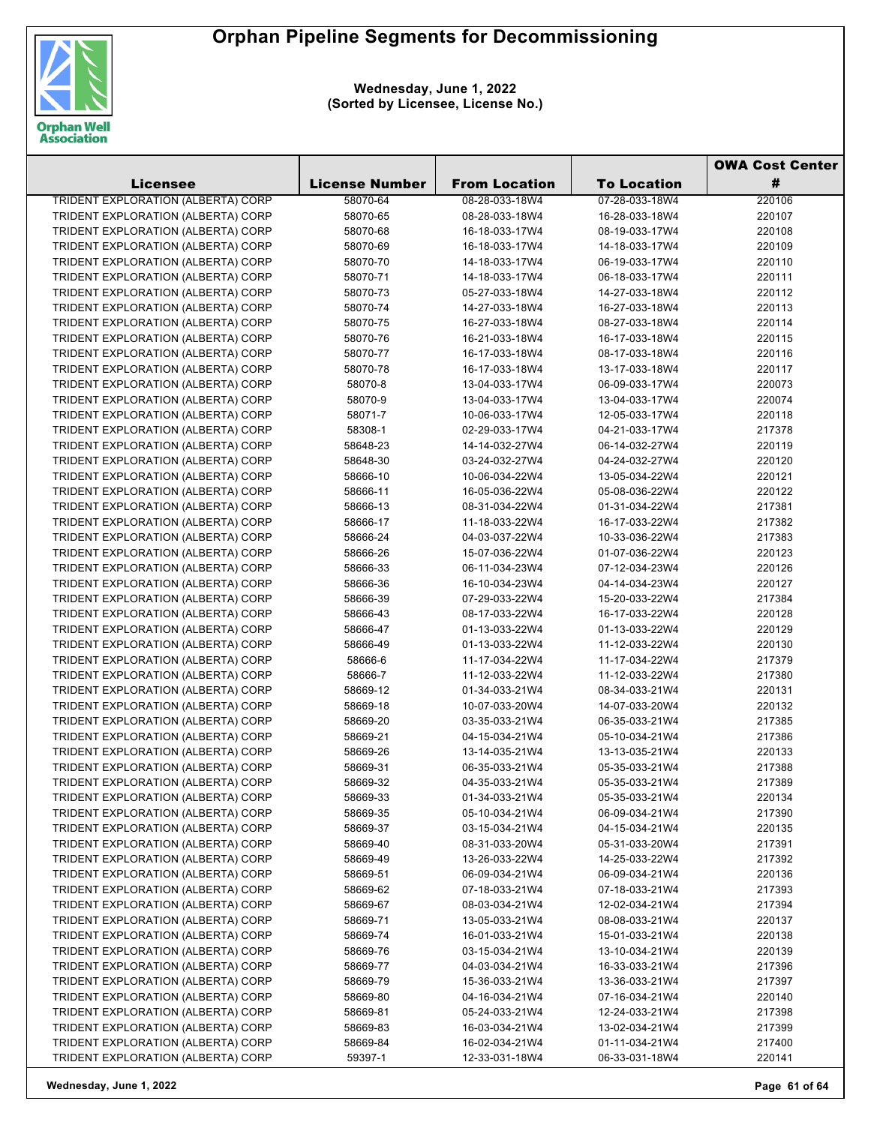

**Wednesday, June 1, 2022 (Sorted by Licensee, License No.)**

|                                           |                       |                      |                    | <b>OWA Cost Center</b> |  |
|-------------------------------------------|-----------------------|----------------------|--------------------|------------------------|--|
| Licensee                                  | <b>License Number</b> | <b>From Location</b> | <b>To Location</b> | #                      |  |
| <b>TRIDENT EXPLORATION (ALBERTA) CORP</b> | 58070-64              | 08-28-033-18W4       | 07-28-033-18W4     | 220106                 |  |
| TRIDENT EXPLORATION (ALBERTA) CORP        | 58070-65              | 08-28-033-18W4       | 16-28-033-18W4     | 220107                 |  |
| TRIDENT EXPLORATION (ALBERTA) CORP        | 58070-68              | 16-18-033-17W4       | 08-19-033-17W4     | 220108                 |  |
| TRIDENT EXPLORATION (ALBERTA) CORP        | 58070-69              | 16-18-033-17W4       | 14-18-033-17W4     | 220109                 |  |
| TRIDENT EXPLORATION (ALBERTA) CORP        | 58070-70              | 14-18-033-17W4       | 06-19-033-17W4     | 220110                 |  |
| TRIDENT EXPLORATION (ALBERTA) CORP        | 58070-71              | 14-18-033-17W4       | 06-18-033-17W4     | 220111                 |  |
| TRIDENT EXPLORATION (ALBERTA) CORP        | 58070-73              | 05-27-033-18W4       | 14-27-033-18W4     | 220112                 |  |
| TRIDENT EXPLORATION (ALBERTA) CORP        | 58070-74              | 14-27-033-18W4       | 16-27-033-18W4     | 220113                 |  |
| TRIDENT EXPLORATION (ALBERTA) CORP        | 58070-75              | 16-27-033-18W4       | 08-27-033-18W4     | 220114                 |  |
| TRIDENT EXPLORATION (ALBERTA) CORP        | 58070-76              | 16-21-033-18W4       | 16-17-033-18W4     | 220115                 |  |
| TRIDENT EXPLORATION (ALBERTA) CORP        | 58070-77              | 16-17-033-18W4       | 08-17-033-18W4     | 220116                 |  |
| TRIDENT EXPLORATION (ALBERTA) CORP        | 58070-78              | 16-17-033-18W4       | 13-17-033-18W4     | 220117                 |  |
| TRIDENT EXPLORATION (ALBERTA) CORP        | 58070-8               | 13-04-033-17W4       | 06-09-033-17W4     | 220073                 |  |
| TRIDENT EXPLORATION (ALBERTA) CORP        | 58070-9               | 13-04-033-17W4       | 13-04-033-17W4     | 220074                 |  |
| TRIDENT EXPLORATION (ALBERTA) CORP        | 58071-7               | 10-06-033-17W4       | 12-05-033-17W4     | 220118                 |  |
| TRIDENT EXPLORATION (ALBERTA) CORP        | 58308-1               | 02-29-033-17W4       | 04-21-033-17W4     | 217378                 |  |
| TRIDENT EXPLORATION (ALBERTA) CORP        | 58648-23              | 14-14-032-27W4       | 06-14-032-27W4     | 220119                 |  |
| TRIDENT EXPLORATION (ALBERTA) CORP        | 58648-30              | 03-24-032-27W4       | 04-24-032-27W4     | 220120                 |  |
| TRIDENT EXPLORATION (ALBERTA) CORP        | 58666-10              | 10-06-034-22W4       | 13-05-034-22W4     | 220121                 |  |
| TRIDENT EXPLORATION (ALBERTA) CORP        | 58666-11              | 16-05-036-22W4       | 05-08-036-22W4     | 220122                 |  |
| TRIDENT EXPLORATION (ALBERTA) CORP        | 58666-13              | 08-31-034-22W4       | 01-31-034-22W4     | 217381                 |  |
| TRIDENT EXPLORATION (ALBERTA) CORP        | 58666-17              | 11-18-033-22W4       | 16-17-033-22W4     | 217382                 |  |
| TRIDENT EXPLORATION (ALBERTA) CORP        | 58666-24              | 04-03-037-22W4       | 10-33-036-22W4     | 217383                 |  |
| TRIDENT EXPLORATION (ALBERTA) CORP        | 58666-26              | 15-07-036-22W4       | 01-07-036-22W4     | 220123                 |  |
| TRIDENT EXPLORATION (ALBERTA) CORP        | 58666-33              | 06-11-034-23W4       | 07-12-034-23W4     | 220126                 |  |
| TRIDENT EXPLORATION (ALBERTA) CORP        | 58666-36              | 16-10-034-23W4       | 04-14-034-23W4     | 220127                 |  |
| TRIDENT EXPLORATION (ALBERTA) CORP        | 58666-39              | 07-29-033-22W4       | 15-20-033-22W4     | 217384                 |  |
| TRIDENT EXPLORATION (ALBERTA) CORP        | 58666-43              | 08-17-033-22W4       | 16-17-033-22W4     | 220128                 |  |
| TRIDENT EXPLORATION (ALBERTA) CORP        | 58666-47              | 01-13-033-22W4       | 01-13-033-22W4     | 220129                 |  |
| TRIDENT EXPLORATION (ALBERTA) CORP        | 58666-49              | 01-13-033-22W4       | 11-12-033-22W4     | 220130                 |  |
| TRIDENT EXPLORATION (ALBERTA) CORP        | 58666-6               | 11-17-034-22W4       | 11-17-034-22W4     | 217379                 |  |
| TRIDENT EXPLORATION (ALBERTA) CORP        | 58666-7               | 11-12-033-22W4       | 11-12-033-22W4     | 217380                 |  |
| TRIDENT EXPLORATION (ALBERTA) CORP        | 58669-12              | 01-34-033-21W4       | 08-34-033-21W4     | 220131                 |  |
| TRIDENT EXPLORATION (ALBERTA) CORP        | 58669-18              | 10-07-033-20W4       | 14-07-033-20W4     | 220132                 |  |
| TRIDENT EXPLORATION (ALBERTA) CORP        | 58669-20              | 03-35-033-21W4       | 06-35-033-21W4     | 217385                 |  |
| TRIDENT EXPLORATION (ALBERTA) CORP        | 58669-21              | 04-15-034-21W4       | 05-10-034-21W4     | 217386                 |  |
| TRIDENT EXPLORATION (ALBERTA) CORP        | 58669-26              | 13-14-035-21W4       | 13-13-035-21W4     | 220133                 |  |
| TRIDENT EXPLORATION (ALBERTA) CORP        | 58669-31              | 06-35-033-21W4       | 05-35-033-21W4     | 217388                 |  |
| TRIDENT EXPLORATION (ALBERTA) CORP        | 58669-32              | 04-35-033-21W4       | 05-35-033-21W4     | 217389                 |  |
| TRIDENT EXPLORATION (ALBERTA) CORP        | 58669-33              | 01-34-033-21W4       | 05-35-033-21W4     | 220134                 |  |
| TRIDENT EXPLORATION (ALBERTA) CORP        | 58669-35              | 05-10-034-21W4       | 06-09-034-21W4     | 217390                 |  |
| TRIDENT EXPLORATION (ALBERTA) CORP        | 58669-37              | 03-15-034-21W4       | 04-15-034-21W4     | 220135                 |  |
| TRIDENT EXPLORATION (ALBERTA) CORP        | 58669-40              | 08-31-033-20W4       | 05-31-033-20W4     | 217391                 |  |
| TRIDENT EXPLORATION (ALBERTA) CORP        | 58669-49              | 13-26-033-22W4       | 14-25-033-22W4     | 217392                 |  |
| TRIDENT EXPLORATION (ALBERTA) CORP        | 58669-51              | 06-09-034-21W4       | 06-09-034-21W4     | 220136                 |  |
| TRIDENT EXPLORATION (ALBERTA) CORP        | 58669-62              | 07-18-033-21W4       | 07-18-033-21W4     | 217393                 |  |
| TRIDENT EXPLORATION (ALBERTA) CORP        | 58669-67              | 08-03-034-21W4       | 12-02-034-21W4     | 217394                 |  |
| TRIDENT EXPLORATION (ALBERTA) CORP        | 58669-71              | 13-05-033-21W4       | 08-08-033-21W4     | 220137                 |  |
| TRIDENT EXPLORATION (ALBERTA) CORP        | 58669-74              | 16-01-033-21W4       | 15-01-033-21W4     | 220138                 |  |
| TRIDENT EXPLORATION (ALBERTA) CORP        | 58669-76              | 03-15-034-21W4       | 13-10-034-21W4     | 220139                 |  |
| TRIDENT EXPLORATION (ALBERTA) CORP        | 58669-77              | 04-03-034-21W4       | 16-33-033-21W4     | 217396                 |  |
| TRIDENT EXPLORATION (ALBERTA) CORP        | 58669-79              | 15-36-033-21W4       | 13-36-033-21W4     | 217397                 |  |
| TRIDENT EXPLORATION (ALBERTA) CORP        | 58669-80              | 04-16-034-21W4       | 07-16-034-21W4     | 220140                 |  |
| TRIDENT EXPLORATION (ALBERTA) CORP        | 58669-81              | 05-24-033-21W4       | 12-24-033-21W4     | 217398                 |  |
| TRIDENT EXPLORATION (ALBERTA) CORP        | 58669-83              | 16-03-034-21W4       | 13-02-034-21W4     | 217399                 |  |
| TRIDENT EXPLORATION (ALBERTA) CORP        | 58669-84              | 16-02-034-21W4       | 01-11-034-21W4     | 217400                 |  |
| TRIDENT EXPLORATION (ALBERTA) CORP        | 59397-1               | 12-33-031-18W4       | 06-33-031-18W4     | 220141                 |  |

**Wednesday, June 1, 2022 Page 61 of 64**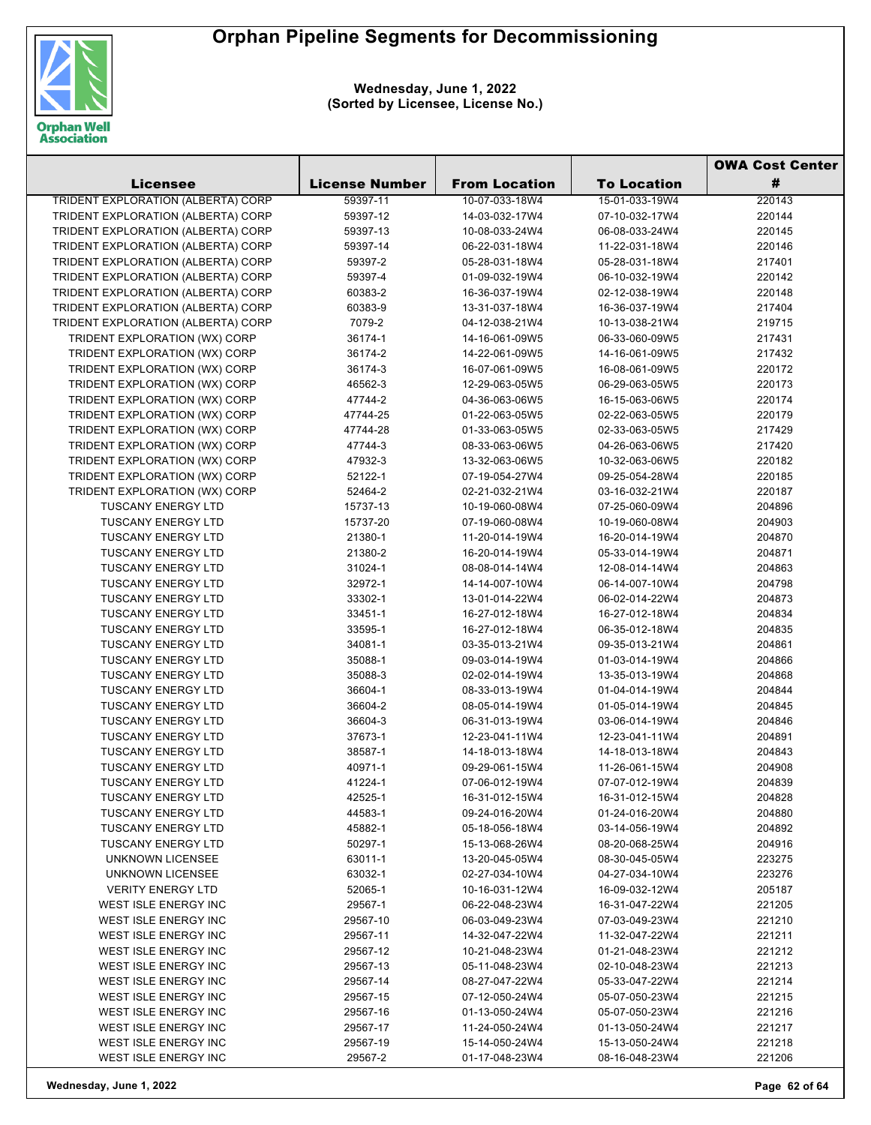

**Wednesday, June 1, 2022 (Sorted by Licensee, License No.)**

|                                                        |                       |                                  |                                  | <b>OWA Cost Center</b> |  |
|--------------------------------------------------------|-----------------------|----------------------------------|----------------------------------|------------------------|--|
| <b>Licensee</b>                                        | <b>License Number</b> | <b>From Location</b>             | <b>To Location</b>               | #                      |  |
| <b>TRIDENT EXPLORATION (ALBERTA) CORP</b>              | 59397-11              | 10-07-033-18W4                   | 15-01-033-19W4                   | 220143                 |  |
| TRIDENT EXPLORATION (ALBERTA) CORP                     | 59397-12              | 14-03-032-17W4                   | 07-10-032-17W4                   | 220144                 |  |
| TRIDENT EXPLORATION (ALBERTA) CORP                     | 59397-13              | 10-08-033-24W4                   | 06-08-033-24W4                   | 220145                 |  |
| TRIDENT EXPLORATION (ALBERTA) CORP                     | 59397-14              | 06-22-031-18W4                   | 11-22-031-18W4                   | 220146                 |  |
| TRIDENT EXPLORATION (ALBERTA) CORP                     | 59397-2               | 05-28-031-18W4                   | 05-28-031-18W4                   | 217401                 |  |
| TRIDENT EXPLORATION (ALBERTA) CORP                     | 59397-4               | 01-09-032-19W4                   | 06-10-032-19W4                   | 220142                 |  |
| TRIDENT EXPLORATION (ALBERTA) CORP                     | 60383-2               | 16-36-037-19W4                   | 02-12-038-19W4                   | 220148                 |  |
| TRIDENT EXPLORATION (ALBERTA) CORP                     | 60383-9               | 13-31-037-18W4                   | 16-36-037-19W4                   | 217404                 |  |
| TRIDENT EXPLORATION (ALBERTA) CORP                     | 7079-2                | 04-12-038-21W4                   | 10-13-038-21W4                   | 219715                 |  |
| TRIDENT EXPLORATION (WX) CORP                          | 36174-1               | 14-16-061-09W5                   | 06-33-060-09W5                   | 217431                 |  |
| TRIDENT EXPLORATION (WX) CORP                          | 36174-2               | 14-22-061-09W5                   | 14-16-061-09W5                   | 217432                 |  |
| TRIDENT EXPLORATION (WX) CORP                          | 36174-3               | 16-07-061-09W5                   | 16-08-061-09W5                   | 220172                 |  |
| TRIDENT EXPLORATION (WX) CORP                          | 46562-3               | 12-29-063-05W5                   | 06-29-063-05W5                   | 220173                 |  |
| TRIDENT EXPLORATION (WX) CORP                          | 47744-2               | 04-36-063-06W5                   | 16-15-063-06W5                   | 220174                 |  |
| TRIDENT EXPLORATION (WX) CORP                          | 47744-25              | 01-22-063-05W5                   | 02-22-063-05W5                   | 220179                 |  |
| TRIDENT EXPLORATION (WX) CORP                          | 47744-28              | 01-33-063-05W5                   | 02-33-063-05W5                   | 217429                 |  |
| TRIDENT EXPLORATION (WX) CORP                          | 47744-3               | 08-33-063-06W5                   | 04-26-063-06W5                   | 217420                 |  |
| TRIDENT EXPLORATION (WX) CORP                          | 47932-3               | 13-32-063-06W5                   | 10-32-063-06W5                   | 220182                 |  |
| TRIDENT EXPLORATION (WX) CORP                          | 52122-1               | 07-19-054-27W4                   | 09-25-054-28W4                   | 220185                 |  |
| TRIDENT EXPLORATION (WX) CORP                          | 52464-2               | 02-21-032-21W4                   | 03-16-032-21W4                   | 220187                 |  |
| <b>TUSCANY ENERGY LTD</b>                              | 15737-13              | 10-19-060-08W4                   | 07-25-060-09W4                   | 204896                 |  |
| <b>TUSCANY ENERGY LTD</b>                              | 15737-20              | 07-19-060-08W4                   | 10-19-060-08W4                   | 204903                 |  |
| <b>TUSCANY ENERGY LTD</b>                              | 21380-1               | 11-20-014-19W4                   | 16-20-014-19W4                   | 204870                 |  |
| <b>TUSCANY ENERGY LTD</b>                              | 21380-2               | 16-20-014-19W4                   | 05-33-014-19W4                   | 204871                 |  |
| <b>TUSCANY ENERGY LTD</b>                              | 31024-1               | 08-08-014-14W4                   | 12-08-014-14W4                   | 204863                 |  |
| <b>TUSCANY ENERGY LTD</b>                              | 32972-1               | 14-14-007-10W4                   | 06-14-007-10W4                   | 204798                 |  |
| <b>TUSCANY ENERGY LTD</b>                              | 33302-1               | 13-01-014-22W4                   | 06-02-014-22W4                   | 204873                 |  |
| <b>TUSCANY ENERGY LTD</b>                              | 33451-1               | 16-27-012-18W4                   | 16-27-012-18W4                   | 204834                 |  |
| <b>TUSCANY ENERGY LTD</b>                              | 33595-1               | 16-27-012-18W4                   | 06-35-012-18W4                   | 204835                 |  |
| <b>TUSCANY ENERGY LTD</b>                              | 34081-1               | 03-35-013-21W4                   | 09-35-013-21W4                   | 204861                 |  |
| <b>TUSCANY ENERGY LTD</b>                              | 35088-1               | 09-03-014-19W4                   | 01-03-014-19W4                   | 204866                 |  |
| <b>TUSCANY ENERGY LTD</b>                              | 35088-3               | 02-02-014-19W4                   | 13-35-013-19W4                   | 204868                 |  |
| <b>TUSCANY ENERGY LTD</b>                              | 36604-1               | 08-33-013-19W4                   | 01-04-014-19W4                   | 204844                 |  |
| <b>TUSCANY ENERGY LTD</b>                              | 36604-2               | 08-05-014-19W4                   | 01-05-014-19W4                   | 204845                 |  |
| <b>TUSCANY ENERGY LTD</b>                              | 36604-3               | 06-31-013-19W4                   | 03-06-014-19W4                   | 204846                 |  |
| <b>TUSCANY ENERGY LTD</b>                              | 37673-1               | 12-23-041-11W4                   | 12-23-041-11W4                   | 204891                 |  |
| <b>TUSCANY ENERGY LTD</b>                              | 38587-1               | 14-18-013-18W4                   | 14-18-013-18W4                   | 204843                 |  |
| <b>TUSCANY ENERGY LTD</b><br><b>TUSCANY ENERGY LTD</b> | 40971-1               | 09-29-061-15W4                   | 11-26-061-15W4                   | 204908                 |  |
| <b>TUSCANY ENERGY LTD</b>                              | 41224-1<br>42525-1    | 07-06-012-19W4<br>16-31-012-15W4 | 07-07-012-19W4                   | 204839<br>204828       |  |
| <b>TUSCANY ENERGY LTD</b>                              | 44583-1               | 09-24-016-20W4                   | 16-31-012-15W4<br>01-24-016-20W4 | 204880                 |  |
| <b>TUSCANY ENERGY LTD</b>                              | 45882-1               | 05-18-056-18W4                   | 03-14-056-19W4                   | 204892                 |  |
| <b>TUSCANY ENERGY LTD</b>                              | 50297-1               | 15-13-068-26W4                   | 08-20-068-25W4                   | 204916                 |  |
| UNKNOWN LICENSEE                                       | 63011-1               | 13-20-045-05W4                   | 08-30-045-05W4                   | 223275                 |  |
| UNKNOWN LICENSEE                                       | 63032-1               | 02-27-034-10W4                   | 04-27-034-10W4                   | 223276                 |  |
| <b>VERITY ENERGY LTD</b>                               | 52065-1               | 10-16-031-12W4                   | 16-09-032-12W4                   | 205187                 |  |
| <b>WEST ISLE ENERGY INC</b>                            | 29567-1               | 06-22-048-23W4                   | 16-31-047-22W4                   | 221205                 |  |
| WEST ISLE ENERGY INC                                   | 29567-10              | 06-03-049-23W4                   | 07-03-049-23W4                   | 221210                 |  |
| WEST ISLE ENERGY INC                                   | 29567-11              | 14-32-047-22W4                   | 11-32-047-22W4                   | 221211                 |  |
| WEST ISLE ENERGY INC                                   | 29567-12              | 10-21-048-23W4                   | 01-21-048-23W4                   | 221212                 |  |
| WEST ISLE ENERGY INC                                   | 29567-13              | 05-11-048-23W4                   | 02-10-048-23W4                   | 221213                 |  |
| WEST ISLE ENERGY INC                                   | 29567-14              | 08-27-047-22W4                   | 05-33-047-22W4                   | 221214                 |  |
| WEST ISLE ENERGY INC                                   | 29567-15              | 07-12-050-24W4                   | 05-07-050-23W4                   | 221215                 |  |
| WEST ISLE ENERGY INC                                   | 29567-16              | 01-13-050-24W4                   | 05-07-050-23W4                   | 221216                 |  |
| WEST ISLE ENERGY INC                                   | 29567-17              | 11-24-050-24W4                   | 01-13-050-24W4                   | 221217                 |  |
| WEST ISLE ENERGY INC                                   | 29567-19              | 15-14-050-24W4                   | 15-13-050-24W4                   | 221218                 |  |
| WEST ISLE ENERGY INC                                   | 29567-2               | 01-17-048-23W4                   | 08-16-048-23W4                   | 221206                 |  |

**Wednesday, June 1, 2022 Page 62 of 64**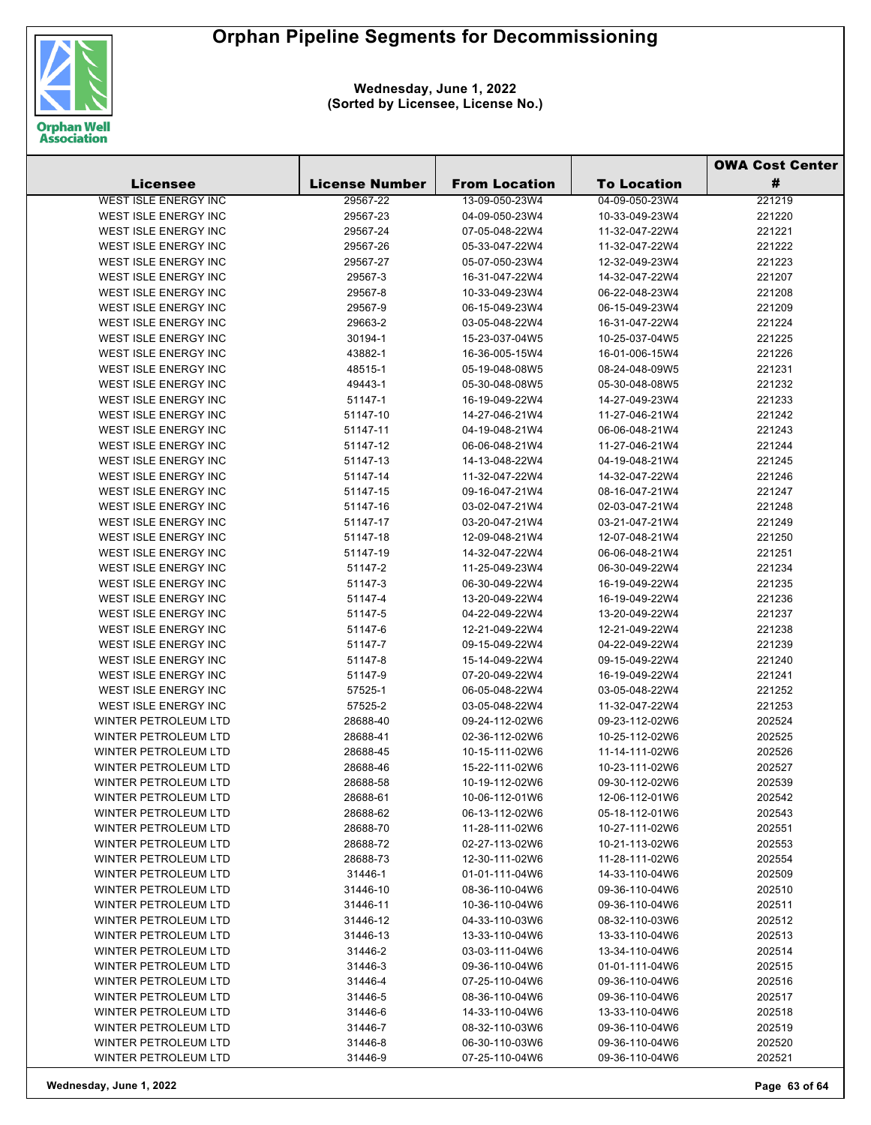

|                             |                       |                      |                    | <b>OWA Cost Center</b> |  |
|-----------------------------|-----------------------|----------------------|--------------------|------------------------|--|
| Licensee                    | <b>License Number</b> | <b>From Location</b> | <b>To Location</b> | #                      |  |
| WEST ISLE ENERGY INC        | 29567-22              | 13-09-050-23W4       | 04-09-050-23W4     | 221219                 |  |
| WEST ISLE ENERGY INC        | 29567-23              | 04-09-050-23W4       | 10-33-049-23W4     | 221220                 |  |
| WEST ISLE ENERGY INC        | 29567-24              | 07-05-048-22W4       | 11-32-047-22W4     | 221221                 |  |
| WEST ISLE ENERGY INC        | 29567-26              | 05-33-047-22W4       | 11-32-047-22W4     | 221222                 |  |
| <b>WEST ISLE ENERGY INC</b> | 29567-27              | 05-07-050-23W4       | 12-32-049-23W4     | 221223                 |  |
| WEST ISLE ENERGY INC        | 29567-3               | 16-31-047-22W4       | 14-32-047-22W4     | 221207                 |  |
| WEST ISLE ENERGY INC        | 29567-8               | 10-33-049-23W4       | 06-22-048-23W4     | 221208                 |  |
| WEST ISLE ENERGY INC        | 29567-9               | 06-15-049-23W4       | 06-15-049-23W4     | 221209                 |  |
| WEST ISLE ENERGY INC        | 29663-2               | 03-05-048-22W4       | 16-31-047-22W4     | 221224                 |  |
| WEST ISLE ENERGY INC        | 30194-1               | 15-23-037-04W5       | 10-25-037-04W5     | 221225                 |  |
| WEST ISLE ENERGY INC        | 43882-1               | 16-36-005-15W4       | 16-01-006-15W4     | 221226                 |  |
| WEST ISLE ENERGY INC        | 48515-1               | 05-19-048-08W5       | 08-24-048-09W5     | 221231                 |  |
| WEST ISLE ENERGY INC        | 49443-1               | 05-30-048-08W5       | 05-30-048-08W5     | 221232                 |  |
| WEST ISLE ENERGY INC        | 51147-1               | 16-19-049-22W4       | 14-27-049-23W4     | 221233                 |  |
| WEST ISLE ENERGY INC        | 51147-10              | 14-27-046-21W4       | 11-27-046-21W4     | 221242                 |  |
| WEST ISLE ENERGY INC        | 51147-11              | 04-19-048-21W4       | 06-06-048-21W4     | 221243                 |  |
| WEST ISLE ENERGY INC        | 51147-12              | 06-06-048-21W4       | 11-27-046-21W4     | 221244                 |  |
| WEST ISLE ENERGY INC        | 51147-13              | 14-13-048-22W4       | 04-19-048-21W4     | 221245                 |  |
| WEST ISLE ENERGY INC        | 51147-14              | 11-32-047-22W4       | 14-32-047-22W4     | 221246                 |  |
| WEST ISLE ENERGY INC        | 51147-15              | 09-16-047-21W4       | 08-16-047-21W4     | 221247                 |  |
| WEST ISLE ENERGY INC        | 51147-16              | 03-02-047-21W4       | 02-03-047-21W4     | 221248                 |  |
| WEST ISLE ENERGY INC        | 51147-17              | 03-20-047-21W4       | 03-21-047-21W4     | 221249                 |  |
| WEST ISLE ENERGY INC        | 51147-18              | 12-09-048-21W4       | 12-07-048-21W4     | 221250                 |  |
| WEST ISLE ENERGY INC        | 51147-19              | 14-32-047-22W4       | 06-06-048-21W4     | 221251                 |  |
| WEST ISLE ENERGY INC        | 51147-2               | 11-25-049-23W4       | 06-30-049-22W4     | 221234                 |  |
| WEST ISLE ENERGY INC        | 51147-3               | 06-30-049-22W4       | 16-19-049-22W4     | 221235                 |  |
| WEST ISLE ENERGY INC        | 51147-4               | 13-20-049-22W4       | 16-19-049-22W4     | 221236                 |  |
| WEST ISLE ENERGY INC        | 51147-5               | 04-22-049-22W4       | 13-20-049-22W4     | 221237                 |  |
| WEST ISLE ENERGY INC        | 51147-6               | 12-21-049-22W4       | 12-21-049-22W4     | 221238                 |  |
| WEST ISLE ENERGY INC        | 51147-7               | 09-15-049-22W4       | 04-22-049-22W4     | 221239                 |  |
| WEST ISLE ENERGY INC        | 51147-8               | 15-14-049-22W4       | 09-15-049-22W4     | 221240                 |  |
| WEST ISLE ENERGY INC        | 51147-9               | 07-20-049-22W4       | 16-19-049-22W4     | 221241                 |  |
| WEST ISLE ENERGY INC        | 57525-1               | 06-05-048-22W4       | 03-05-048-22W4     | 221252                 |  |
| WEST ISLE ENERGY INC        | 57525-2               | 03-05-048-22W4       | 11-32-047-22W4     | 221253                 |  |
| WINTER PETROLEUM LTD        | 28688-40              | 09-24-112-02W6       | 09-23-112-02W6     | 202524                 |  |
| <b>WINTER PETROLEUM LTD</b> | 28688-41              | 02-36-112-02W6       | 10-25-112-02W6     | 202525                 |  |
| WINTER PETROLEUM LTD        | 28688-45              | 10-15-111-02W6       | 11-14-111-02W6     | 202526                 |  |
| <b>WINTER PETROLEUM LTD</b> | 28688-46              | 15-22-111-02W6       | 10-23-111-02W6     | 202527                 |  |
| WINTER PETROLEUM LTD        | 28688-58              | 10-19-112-02W6       | 09-30-112-02W6     | 202539                 |  |
| <b>WINTER PETROLEUM LTD</b> | 28688-61              | 10-06-112-01W6       | 12-06-112-01W6     | 202542                 |  |
| WINTER PETROLEUM LTD        | 28688-62              | 06-13-112-02W6       | 05-18-112-01W6     | 202543                 |  |
| WINTER PETROLEUM LTD        | 28688-70              | 11-28-111-02W6       | 10-27-111-02W6     | 202551                 |  |
| <b>WINTER PETROLEUM LTD</b> | 28688-72              | 02-27-113-02W6       | 10-21-113-02W6     | 202553                 |  |
| WINTER PETROLEUM LTD        | 28688-73              | 12-30-111-02W6       | 11-28-111-02W6     | 202554                 |  |
|                             |                       |                      |                    |                        |  |
| WINTER PETROLEUM LTD        | 31446-1               | 01-01-111-04W6       | 14-33-110-04W6     | 202509                 |  |
| WINTER PETROLEUM LTD        | 31446-10              | 08-36-110-04W6       | 09-36-110-04W6     | 202510                 |  |
| WINTER PETROLEUM LTD        | 31446-11              | 10-36-110-04W6       | 09-36-110-04W6     | 202511                 |  |
| <b>WINTER PETROLEUM LTD</b> | 31446-12              | 04-33-110-03W6       | 08-32-110-03W6     | 202512                 |  |
| WINTER PETROLEUM LTD        | 31446-13              | 13-33-110-04W6       | 13-33-110-04W6     | 202513                 |  |
| WINTER PETROLEUM LTD        | 31446-2               | 03-03-111-04W6       | 13-34-110-04W6     | 202514                 |  |
| WINTER PETROLEUM LTD        | 31446-3               | 09-36-110-04W6       | 01-01-111-04W6     | 202515                 |  |
| WINTER PETROLEUM LTD        | 31446-4               | 07-25-110-04W6       | 09-36-110-04W6     | 202516                 |  |
| WINTER PETROLEUM LTD        | 31446-5               | 08-36-110-04W6       | 09-36-110-04W6     | 202517                 |  |
| WINTER PETROLEUM LTD        | 31446-6               | 14-33-110-04W6       | 13-33-110-04W6     | 202518                 |  |
| WINTER PETROLEUM LTD        | 31446-7               | 08-32-110-03W6       | 09-36-110-04W6     | 202519                 |  |
| WINTER PETROLEUM LTD        | 31446-8               | 06-30-110-03W6       | 09-36-110-04W6     | 202520                 |  |
| WINTER PETROLEUM LTD        | 31446-9               | 07-25-110-04W6       | 09-36-110-04W6     | 202521                 |  |